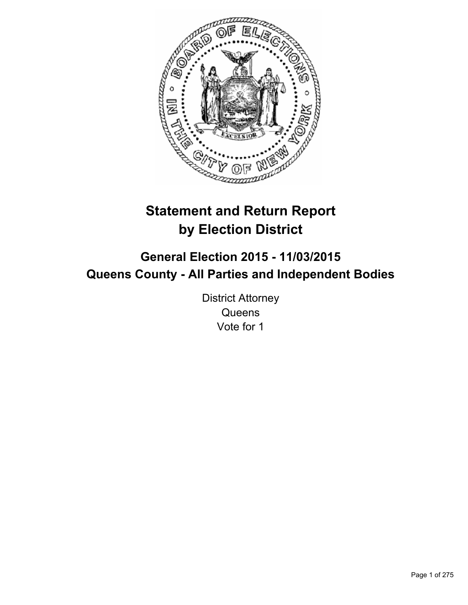

# **Statement and Return Report by Election District**

# **General Election 2015 - 11/03/2015 Queens County - All Parties and Independent Bodies**

District Attorney **Queens** Vote for 1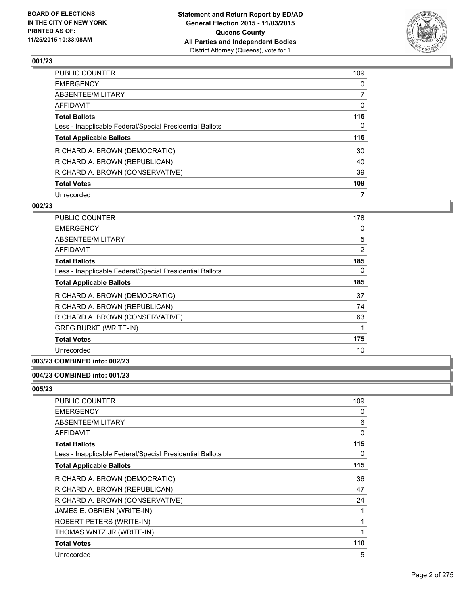

| PUBLIC COUNTER                                           | 109            |
|----------------------------------------------------------|----------------|
| <b>EMERGENCY</b>                                         | 0              |
| ABSENTEE/MILITARY                                        | $\overline{7}$ |
| AFFIDAVIT                                                | 0              |
| <b>Total Ballots</b>                                     | 116            |
| Less - Inapplicable Federal/Special Presidential Ballots | 0              |
| <b>Total Applicable Ballots</b>                          | 116            |
| RICHARD A. BROWN (DEMOCRATIC)                            | 30             |
| RICHARD A. BROWN (REPUBLICAN)                            | 40             |
| RICHARD A. BROWN (CONSERVATIVE)                          | 39             |
| <b>Total Votes</b>                                       | 109            |
| Unrecorded                                               | 7              |

#### **002/23**

| <b>PUBLIC COUNTER</b>                                    | 178            |
|----------------------------------------------------------|----------------|
| <b>EMERGENCY</b>                                         | 0              |
| ABSENTEE/MILITARY                                        | 5              |
| AFFIDAVIT                                                | $\overline{2}$ |
| <b>Total Ballots</b>                                     | 185            |
| Less - Inapplicable Federal/Special Presidential Ballots | 0              |
| <b>Total Applicable Ballots</b>                          | 185            |
| RICHARD A. BROWN (DEMOCRATIC)                            | 37             |
| RICHARD A. BROWN (REPUBLICAN)                            | 74             |
| RICHARD A. BROWN (CONSERVATIVE)                          | 63             |
| <b>GREG BURKE (WRITE-IN)</b>                             | 1              |
| <b>Total Votes</b>                                       | 175            |
| Unrecorded                                               | 10             |

# **003/23 COMBINED into: 002/23**

### **004/23 COMBINED into: 001/23**

| PUBLIC COUNTER                                           | 109 |
|----------------------------------------------------------|-----|
| <b>EMERGENCY</b>                                         | 0   |
| ABSENTEE/MILITARY                                        | 6   |
| <b>AFFIDAVIT</b>                                         | 0   |
| <b>Total Ballots</b>                                     | 115 |
| Less - Inapplicable Federal/Special Presidential Ballots | 0   |
| <b>Total Applicable Ballots</b>                          | 115 |
| RICHARD A. BROWN (DEMOCRATIC)                            | 36  |
| RICHARD A. BROWN (REPUBLICAN)                            | 47  |
| RICHARD A. BROWN (CONSERVATIVE)                          | 24  |
| JAMES E. OBRIEN (WRITE-IN)                               | 1   |
| ROBERT PETERS (WRITE-IN)                                 | 1   |
| THOMAS WNTZ JR (WRITE-IN)                                | 1   |
| <b>Total Votes</b>                                       | 110 |
| Unrecorded                                               | 5   |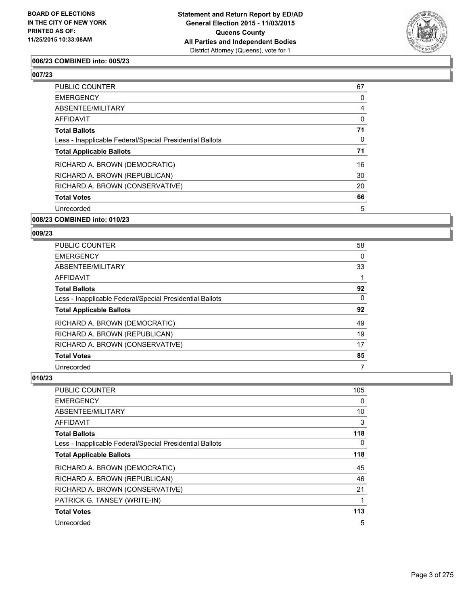

### **006/23 COMBINED into: 005/23**

### **007/23**

| PUBLIC COUNTER                                           | 67 |
|----------------------------------------------------------|----|
| <b>EMERGENCY</b>                                         | 0  |
| ABSENTEE/MILITARY                                        | 4  |
| AFFIDAVIT                                                | 0  |
| <b>Total Ballots</b>                                     | 71 |
| Less - Inapplicable Federal/Special Presidential Ballots | 0  |
| <b>Total Applicable Ballots</b>                          | 71 |
| RICHARD A. BROWN (DEMOCRATIC)                            | 16 |
| RICHARD A. BROWN (REPUBLICAN)                            | 30 |
| RICHARD A. BROWN (CONSERVATIVE)                          | 20 |
| <b>Total Votes</b>                                       | 66 |
| Unrecorded                                               | 5  |
|                                                          |    |

### **008/23 COMBINED into: 010/23**

### **009/23**

| PUBLIC COUNTER                                           | 58 |
|----------------------------------------------------------|----|
| <b>EMERGENCY</b>                                         | 0  |
| ABSENTEE/MILITARY                                        | 33 |
| AFFIDAVIT                                                |    |
| <b>Total Ballots</b>                                     | 92 |
| Less - Inapplicable Federal/Special Presidential Ballots | 0  |
| <b>Total Applicable Ballots</b>                          | 92 |
| RICHARD A. BROWN (DEMOCRATIC)                            | 49 |
| RICHARD A. BROWN (REPUBLICAN)                            | 19 |
| RICHARD A. BROWN (CONSERVATIVE)                          | 17 |
| <b>Total Votes</b>                                       | 85 |
| Unrecorded                                               | 7  |

| <b>PUBLIC COUNTER</b>                                    | 105 |
|----------------------------------------------------------|-----|
| <b>EMERGENCY</b>                                         | 0   |
| ABSENTEE/MILITARY                                        | 10  |
| AFFIDAVIT                                                | 3   |
| <b>Total Ballots</b>                                     | 118 |
| Less - Inapplicable Federal/Special Presidential Ballots | 0   |
| <b>Total Applicable Ballots</b>                          | 118 |
| RICHARD A. BROWN (DEMOCRATIC)                            | 45  |
| RICHARD A. BROWN (REPUBLICAN)                            | 46  |
| RICHARD A. BROWN (CONSERVATIVE)                          | 21  |
| PATRICK G. TANSEY (WRITE-IN)                             | 1   |
| <b>Total Votes</b>                                       | 113 |
| Unrecorded                                               | 5   |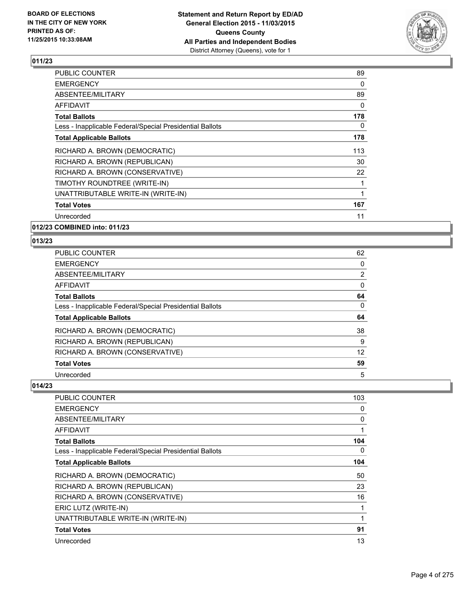

| <b>PUBLIC COUNTER</b>                                    | 89  |
|----------------------------------------------------------|-----|
| <b>EMERGENCY</b>                                         | 0   |
| ABSENTEE/MILITARY                                        | 89  |
| AFFIDAVIT                                                | 0   |
| <b>Total Ballots</b>                                     | 178 |
| Less - Inapplicable Federal/Special Presidential Ballots | 0   |
| <b>Total Applicable Ballots</b>                          | 178 |
| RICHARD A. BROWN (DEMOCRATIC)                            | 113 |
| RICHARD A. BROWN (REPUBLICAN)                            | 30  |
| RICHARD A. BROWN (CONSERVATIVE)                          | 22  |
| TIMOTHY ROUNDTREE (WRITE-IN)                             |     |
| UNATTRIBUTABLE WRITE-IN (WRITE-IN)                       | 1   |
| <b>Total Votes</b>                                       | 167 |
| Unrecorded                                               | 11  |
| 012/23 COMBINED into: 011/23                             |     |

## **013/23**

| <b>PUBLIC COUNTER</b>                                    | 62                |
|----------------------------------------------------------|-------------------|
| <b>EMERGENCY</b>                                         | 0                 |
| ABSENTEE/MILITARY                                        | 2                 |
| <b>AFFIDAVIT</b>                                         | 0                 |
| <b>Total Ballots</b>                                     | 64                |
| Less - Inapplicable Federal/Special Presidential Ballots | 0                 |
| <b>Total Applicable Ballots</b>                          | 64                |
| RICHARD A. BROWN (DEMOCRATIC)                            | 38                |
| RICHARD A. BROWN (REPUBLICAN)                            | 9                 |
| RICHARD A. BROWN (CONSERVATIVE)                          | $12 \overline{ }$ |
| <b>Total Votes</b>                                       | 59                |
| Unrecorded                                               | 5                 |

| PUBLIC COUNTER                                           | 103 |
|----------------------------------------------------------|-----|
| <b>EMERGENCY</b>                                         | 0   |
| ABSENTEE/MILITARY                                        | 0   |
| AFFIDAVIT                                                | 1   |
| <b>Total Ballots</b>                                     | 104 |
| Less - Inapplicable Federal/Special Presidential Ballots | 0   |
| <b>Total Applicable Ballots</b>                          | 104 |
| RICHARD A. BROWN (DEMOCRATIC)                            | 50  |
| RICHARD A. BROWN (REPUBLICAN)                            | 23  |
| RICHARD A. BROWN (CONSERVATIVE)                          | 16  |
| ERIC LUTZ (WRITE-IN)                                     | 1   |
| UNATTRIBUTABLE WRITE-IN (WRITE-IN)                       | 1   |
| <b>Total Votes</b>                                       | 91  |
| Unrecorded                                               | 13  |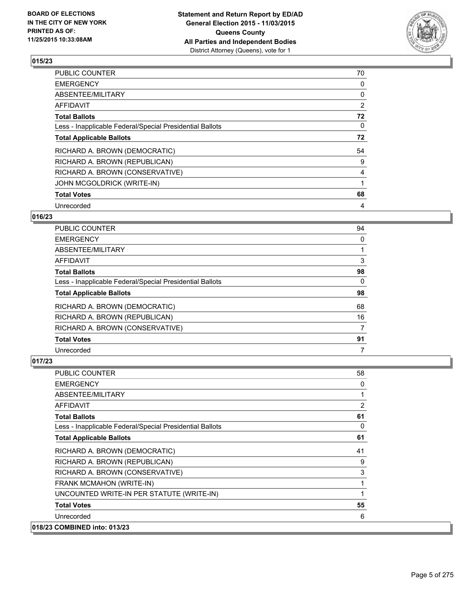

| <b>PUBLIC COUNTER</b>                                    | 70 |
|----------------------------------------------------------|----|
| <b>EMERGENCY</b>                                         | 0  |
| ABSENTEE/MILITARY                                        | 0  |
| <b>AFFIDAVIT</b>                                         | 2  |
| <b>Total Ballots</b>                                     | 72 |
| Less - Inapplicable Federal/Special Presidential Ballots | 0  |
| <b>Total Applicable Ballots</b>                          | 72 |
| RICHARD A. BROWN (DEMOCRATIC)                            | 54 |
| RICHARD A. BROWN (REPUBLICAN)                            | 9  |
| RICHARD A. BROWN (CONSERVATIVE)                          | 4  |
| JOHN MCGOLDRICK (WRITE-IN)                               | 1  |
| <b>Total Votes</b>                                       | 68 |
| Unrecorded                                               | 4  |

### **016/23**

| PUBLIC COUNTER                                           | 94 |
|----------------------------------------------------------|----|
| <b>EMERGENCY</b>                                         | 0  |
| ABSENTEE/MILITARY                                        |    |
| AFFIDAVIT                                                | 3  |
| <b>Total Ballots</b>                                     | 98 |
| Less - Inapplicable Federal/Special Presidential Ballots | 0  |
| <b>Total Applicable Ballots</b>                          | 98 |
| RICHARD A. BROWN (DEMOCRATIC)                            | 68 |
| RICHARD A. BROWN (REPUBLICAN)                            | 16 |
| RICHARD A. BROWN (CONSERVATIVE)                          | 7  |
| <b>Total Votes</b>                                       | 91 |
| Unrecorded                                               | 7  |

| <b>PUBLIC COUNTER</b>                                    | 58 |
|----------------------------------------------------------|----|
| <b>EMERGENCY</b>                                         | 0  |
| ABSENTEE/MILITARY                                        |    |
| AFFIDAVIT                                                | 2  |
| <b>Total Ballots</b>                                     | 61 |
| Less - Inapplicable Federal/Special Presidential Ballots | 0  |
| <b>Total Applicable Ballots</b>                          | 61 |
| RICHARD A. BROWN (DEMOCRATIC)                            | 41 |
| RICHARD A. BROWN (REPUBLICAN)                            | 9  |
| RICHARD A. BROWN (CONSERVATIVE)                          | 3  |
| FRANK MCMAHON (WRITE-IN)                                 |    |
| UNCOUNTED WRITE-IN PER STATUTE (WRITE-IN)                | 1  |
| <b>Total Votes</b>                                       | 55 |
| Unrecorded                                               | 6  |
| 018/23 COMBINED into: 013/23                             |    |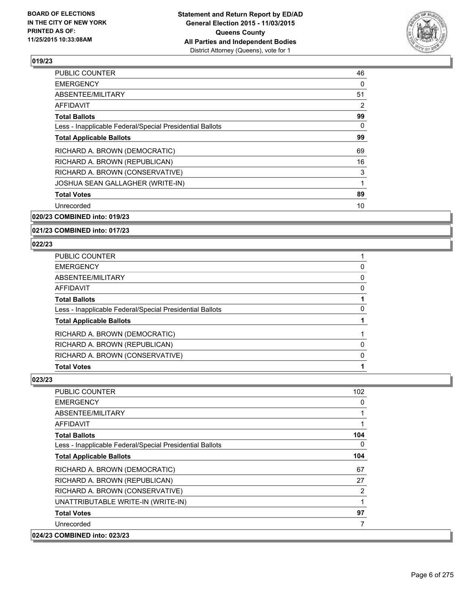

| <b>PUBLIC COUNTER</b>                                    | 46 |
|----------------------------------------------------------|----|
| <b>EMERGENCY</b>                                         | 0  |
| ABSENTEE/MILITARY                                        | 51 |
| AFFIDAVIT                                                | 2  |
| <b>Total Ballots</b>                                     | 99 |
| Less - Inapplicable Federal/Special Presidential Ballots | 0  |
| <b>Total Applicable Ballots</b>                          | 99 |
| RICHARD A. BROWN (DEMOCRATIC)                            | 69 |
| RICHARD A. BROWN (REPUBLICAN)                            | 16 |
| RICHARD A. BROWN (CONSERVATIVE)                          | 3  |
| JOSHUA SEAN GALLAGHER (WRITE-IN)                         |    |
| <b>Total Votes</b>                                       | 89 |
| Unrecorded                                               | 10 |
|                                                          |    |

### **020/23 COMBINED into: 019/23**

#### **021/23 COMBINED into: 017/23**

#### **022/23**

| PUBLIC COUNTER                                           |          |
|----------------------------------------------------------|----------|
| <b>EMERGENCY</b>                                         | 0        |
| ABSENTEE/MILITARY                                        | 0        |
| AFFIDAVIT                                                | 0        |
| <b>Total Ballots</b>                                     |          |
| Less - Inapplicable Federal/Special Presidential Ballots | 0        |
| <b>Total Applicable Ballots</b>                          |          |
| RICHARD A. BROWN (DEMOCRATIC)                            |          |
| RICHARD A. BROWN (REPUBLICAN)                            | $\Omega$ |
| RICHARD A. BROWN (CONSERVATIVE)                          | $\Omega$ |
| <b>Total Votes</b>                                       |          |

| <b>PUBLIC COUNTER</b>                                    | 102      |
|----------------------------------------------------------|----------|
| <b>EMERGENCY</b>                                         | 0        |
| ABSENTEE/MILITARY                                        |          |
| <b>AFFIDAVIT</b>                                         |          |
| <b>Total Ballots</b>                                     | 104      |
| Less - Inapplicable Federal/Special Presidential Ballots | $\Omega$ |
| <b>Total Applicable Ballots</b>                          | 104      |
| RICHARD A. BROWN (DEMOCRATIC)                            | 67       |
| RICHARD A. BROWN (REPUBLICAN)                            | 27       |
| RICHARD A. BROWN (CONSERVATIVE)                          | 2        |
| UNATTRIBUTABLE WRITE-IN (WRITE-IN)                       |          |
| <b>Total Votes</b>                                       | 97       |
| Unrecorded                                               | 7        |
| 024/23 COMBINED into: 023/23                             |          |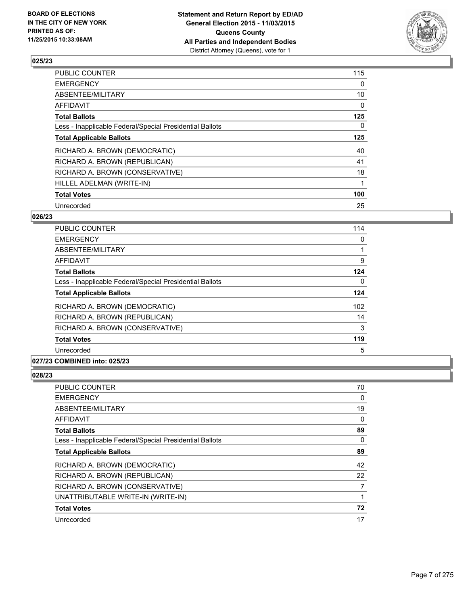

| <b>PUBLIC COUNTER</b>                                    | 115 |
|----------------------------------------------------------|-----|
| <b>EMERGENCY</b>                                         | 0   |
| ABSENTEE/MILITARY                                        | 10  |
| AFFIDAVIT                                                | 0   |
| <b>Total Ballots</b>                                     | 125 |
| Less - Inapplicable Federal/Special Presidential Ballots | 0   |
| <b>Total Applicable Ballots</b>                          | 125 |
| RICHARD A. BROWN (DEMOCRATIC)                            | 40  |
| RICHARD A. BROWN (REPUBLICAN)                            | 41  |
| RICHARD A. BROWN (CONSERVATIVE)                          | 18  |
| HILLEL ADELMAN (WRITE-IN)                                | 1   |
| <b>Total Votes</b>                                       | 100 |
| Unrecorded                                               | 25  |

### **026/23**

| PUBLIC COUNTER                                           | 114 |
|----------------------------------------------------------|-----|
| <b>EMERGENCY</b>                                         | 0   |
| ABSENTEE/MILITARY                                        |     |
| <b>AFFIDAVIT</b>                                         | 9   |
| <b>Total Ballots</b>                                     | 124 |
| Less - Inapplicable Federal/Special Presidential Ballots | 0   |
| <b>Total Applicable Ballots</b>                          | 124 |
| RICHARD A. BROWN (DEMOCRATIC)                            | 102 |
| RICHARD A. BROWN (REPUBLICAN)                            | 14  |
| RICHARD A. BROWN (CONSERVATIVE)                          | 3   |
| <b>Total Votes</b>                                       | 119 |
| Unrecorded                                               | 5   |

### **027/23 COMBINED into: 025/23**

| PUBLIC COUNTER                                           | 70             |
|----------------------------------------------------------|----------------|
| EMERGENCY                                                | 0              |
| ABSENTEE/MILITARY                                        | 19             |
| AFFIDAVIT                                                | 0              |
| <b>Total Ballots</b>                                     | 89             |
| Less - Inapplicable Federal/Special Presidential Ballots | $\Omega$       |
| <b>Total Applicable Ballots</b>                          | 89             |
| RICHARD A. BROWN (DEMOCRATIC)                            | 42             |
| RICHARD A. BROWN (REPUBLICAN)                            | 22             |
| RICHARD A. BROWN (CONSERVATIVE)                          | $\overline{7}$ |
| UNATTRIBUTABLE WRITE-IN (WRITE-IN)                       | $\mathbf 1$    |
| <b>Total Votes</b>                                       | 72             |
| Unrecorded                                               | 17             |
|                                                          |                |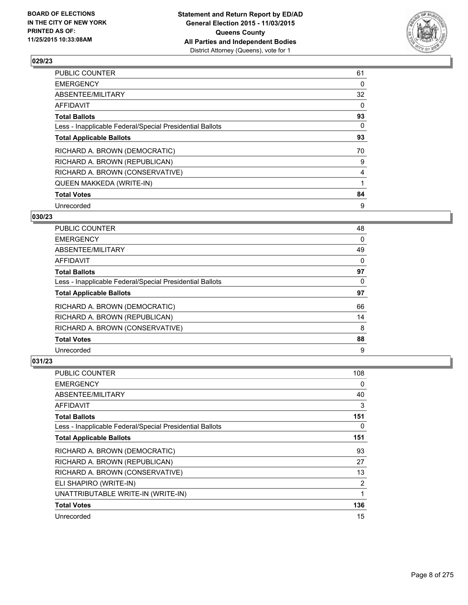

| <b>PUBLIC COUNTER</b>                                    | 61 |
|----------------------------------------------------------|----|
| <b>EMERGENCY</b>                                         | 0  |
| ABSENTEE/MILITARY                                        | 32 |
| AFFIDAVIT                                                | 0  |
| <b>Total Ballots</b>                                     | 93 |
| Less - Inapplicable Federal/Special Presidential Ballots | 0  |
| <b>Total Applicable Ballots</b>                          | 93 |
| RICHARD A. BROWN (DEMOCRATIC)                            | 70 |
| RICHARD A. BROWN (REPUBLICAN)                            | 9  |
| RICHARD A. BROWN (CONSERVATIVE)                          | 4  |
| QUEEN MAKKEDA (WRITE-IN)                                 |    |
| <b>Total Votes</b>                                       | 84 |
| Unrecorded                                               | 9  |

### **030/23**

| PUBLIC COUNTER                                           | 48 |
|----------------------------------------------------------|----|
| <b>EMERGENCY</b>                                         | 0  |
| ABSENTEE/MILITARY                                        | 49 |
| AFFIDAVIT                                                | 0  |
| <b>Total Ballots</b>                                     | 97 |
| Less - Inapplicable Federal/Special Presidential Ballots | 0  |
| <b>Total Applicable Ballots</b>                          | 97 |
| RICHARD A. BROWN (DEMOCRATIC)                            | 66 |
| RICHARD A. BROWN (REPUBLICAN)                            | 14 |
| RICHARD A. BROWN (CONSERVATIVE)                          | 8  |
| <b>Total Votes</b>                                       | 88 |
| Unrecorded                                               | 9  |

| <b>PUBLIC COUNTER</b>                                    | 108 |
|----------------------------------------------------------|-----|
| <b>EMERGENCY</b>                                         | 0   |
| ABSENTEE/MILITARY                                        | 40  |
| AFFIDAVIT                                                | 3   |
| <b>Total Ballots</b>                                     | 151 |
| Less - Inapplicable Federal/Special Presidential Ballots | 0   |
| <b>Total Applicable Ballots</b>                          | 151 |
| RICHARD A. BROWN (DEMOCRATIC)                            | 93  |
| RICHARD A. BROWN (REPUBLICAN)                            | 27  |
| RICHARD A. BROWN (CONSERVATIVE)                          | 13  |
| ELI SHAPIRO (WRITE-IN)                                   | 2   |
| UNATTRIBUTABLE WRITE-IN (WRITE-IN)                       | 1   |
| <b>Total Votes</b>                                       | 136 |
| Unrecorded                                               | 15  |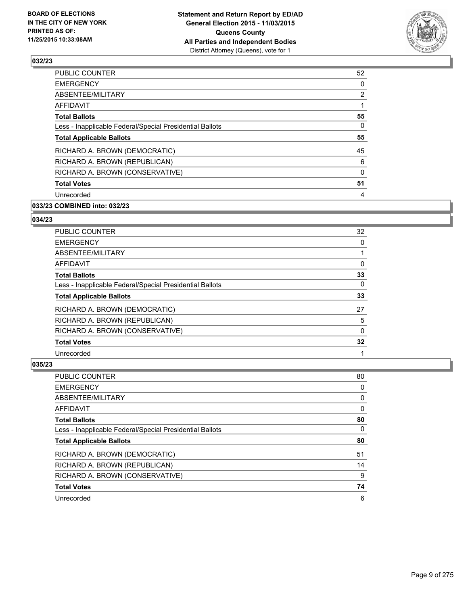

| <b>PUBLIC COUNTER</b>                                    | 52             |
|----------------------------------------------------------|----------------|
| <b>EMERGENCY</b>                                         | 0              |
| ABSENTEE/MILITARY                                        | $\overline{2}$ |
| AFFIDAVIT                                                |                |
| <b>Total Ballots</b>                                     | 55             |
| Less - Inapplicable Federal/Special Presidential Ballots | 0              |
| <b>Total Applicable Ballots</b>                          | 55             |
| RICHARD A. BROWN (DEMOCRATIC)                            | 45             |
| RICHARD A. BROWN (REPUBLICAN)                            | 6              |
| RICHARD A. BROWN (CONSERVATIVE)                          | 0              |
| <b>Total Votes</b>                                       | 51             |
| Unrecorded                                               | 4              |
|                                                          |                |

### **033/23 COMBINED into: 032/23**

#### **034/23**

| PUBLIC COUNTER                                           | 32 |
|----------------------------------------------------------|----|
| <b>EMERGENCY</b>                                         | 0  |
| ABSENTEE/MILITARY                                        |    |
| AFFIDAVIT                                                | 0  |
| <b>Total Ballots</b>                                     | 33 |
| Less - Inapplicable Federal/Special Presidential Ballots | 0  |
| <b>Total Applicable Ballots</b>                          | 33 |
| RICHARD A. BROWN (DEMOCRATIC)                            | 27 |
| RICHARD A. BROWN (REPUBLICAN)                            | 5  |
| RICHARD A. BROWN (CONSERVATIVE)                          | 0  |
| <b>Total Votes</b>                                       | 32 |
| Unrecorded                                               |    |

| <b>PUBLIC COUNTER</b>                                    | 80 |
|----------------------------------------------------------|----|
| <b>EMERGENCY</b>                                         | 0  |
| ABSENTEE/MILITARY                                        | 0  |
| <b>AFFIDAVIT</b>                                         | 0  |
| <b>Total Ballots</b>                                     | 80 |
| Less - Inapplicable Federal/Special Presidential Ballots | 0  |
| <b>Total Applicable Ballots</b>                          | 80 |
| RICHARD A. BROWN (DEMOCRATIC)                            | 51 |
| RICHARD A. BROWN (REPUBLICAN)                            | 14 |
| RICHARD A. BROWN (CONSERVATIVE)                          | 9  |
| <b>Total Votes</b>                                       | 74 |
| Unrecorded                                               | 6  |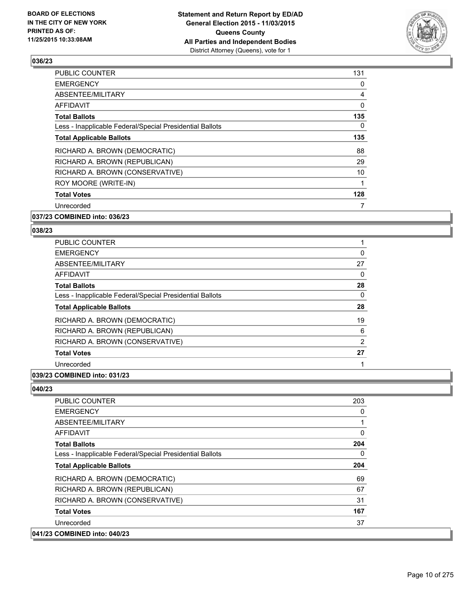

| <b>PUBLIC COUNTER</b>                                    | 131 |
|----------------------------------------------------------|-----|
| <b>EMERGENCY</b>                                         | 0   |
| ABSENTEE/MILITARY                                        | 4   |
| AFFIDAVIT                                                | 0   |
| <b>Total Ballots</b>                                     | 135 |
| Less - Inapplicable Federal/Special Presidential Ballots | 0   |
| <b>Total Applicable Ballots</b>                          | 135 |
| RICHARD A. BROWN (DEMOCRATIC)                            | 88  |
| RICHARD A. BROWN (REPUBLICAN)                            | 29  |
| RICHARD A. BROWN (CONSERVATIVE)                          | 10  |
| ROY MOORE (WRITE-IN)                                     |     |
| <b>Total Votes</b>                                       | 128 |
| Unrecorded                                               | 7   |
|                                                          |     |

### **037/23 COMBINED into: 036/23**

#### **038/23**

| PUBLIC COUNTER                                           |    |
|----------------------------------------------------------|----|
| <b>EMERGENCY</b>                                         | 0  |
| ABSENTEE/MILITARY                                        | 27 |
| AFFIDAVIT                                                | 0  |
| <b>Total Ballots</b>                                     | 28 |
| Less - Inapplicable Federal/Special Presidential Ballots | 0  |
| <b>Total Applicable Ballots</b>                          | 28 |
| RICHARD A. BROWN (DEMOCRATIC)                            | 19 |
| RICHARD A. BROWN (REPUBLICAN)                            | 6  |
| RICHARD A. BROWN (CONSERVATIVE)                          | 2  |
| <b>Total Votes</b>                                       | 27 |
| Unrecorded                                               |    |

### **039/23 COMBINED into: 031/23**

| <b>PUBLIC COUNTER</b>                                    | 203          |
|----------------------------------------------------------|--------------|
| <b>EMERGENCY</b>                                         | 0            |
| ABSENTEE/MILITARY                                        |              |
| AFFIDAVIT                                                | $\mathbf{0}$ |
| <b>Total Ballots</b>                                     | 204          |
| Less - Inapplicable Federal/Special Presidential Ballots | 0            |
| <b>Total Applicable Ballots</b>                          | 204          |
| RICHARD A. BROWN (DEMOCRATIC)                            | 69           |
| RICHARD A. BROWN (REPUBLICAN)                            | 67           |
| RICHARD A. BROWN (CONSERVATIVE)                          | 31           |
| <b>Total Votes</b>                                       | 167          |
| Unrecorded                                               | 37           |
| 041/23 COMBINED into: 040/23                             |              |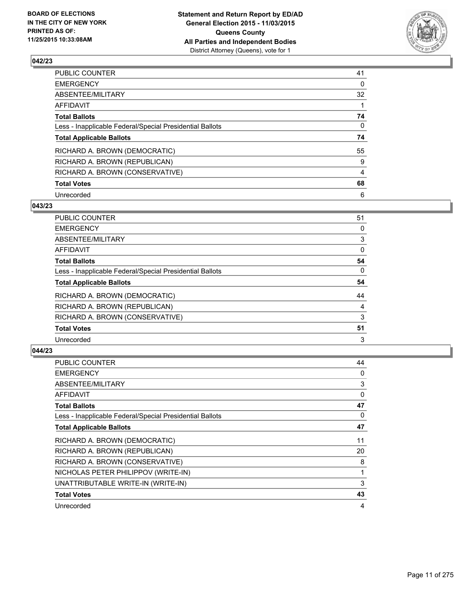

| PUBLIC COUNTER                                           | 41 |
|----------------------------------------------------------|----|
| <b>EMERGENCY</b>                                         | 0  |
| ABSENTEE/MILITARY                                        | 32 |
| <b>AFFIDAVIT</b>                                         |    |
| <b>Total Ballots</b>                                     | 74 |
| Less - Inapplicable Federal/Special Presidential Ballots | 0  |
| <b>Total Applicable Ballots</b>                          | 74 |
| RICHARD A. BROWN (DEMOCRATIC)                            | 55 |
| RICHARD A. BROWN (REPUBLICAN)                            | 9  |
| RICHARD A. BROWN (CONSERVATIVE)                          | 4  |
| <b>Total Votes</b>                                       | 68 |
| Unrecorded                                               | 6  |

#### **043/23**

| PUBLIC COUNTER                                           | 51 |
|----------------------------------------------------------|----|
| <b>EMERGENCY</b>                                         | 0  |
| ABSENTEE/MILITARY                                        | 3  |
| AFFIDAVIT                                                | 0  |
| <b>Total Ballots</b>                                     | 54 |
| Less - Inapplicable Federal/Special Presidential Ballots | 0  |
| <b>Total Applicable Ballots</b>                          | 54 |
| RICHARD A. BROWN (DEMOCRATIC)                            | 44 |
| RICHARD A. BROWN (REPUBLICAN)                            | 4  |
| RICHARD A. BROWN (CONSERVATIVE)                          | 3  |
| <b>Total Votes</b>                                       | 51 |
| Unrecorded                                               | 3  |

| <b>PUBLIC COUNTER</b>                                    | 44 |
|----------------------------------------------------------|----|
| <b>EMERGENCY</b>                                         | 0  |
| ABSENTEE/MILITARY                                        | 3  |
| <b>AFFIDAVIT</b>                                         | 0  |
| <b>Total Ballots</b>                                     | 47 |
| Less - Inapplicable Federal/Special Presidential Ballots | 0  |
| <b>Total Applicable Ballots</b>                          | 47 |
| RICHARD A. BROWN (DEMOCRATIC)                            | 11 |
| RICHARD A. BROWN (REPUBLICAN)                            | 20 |
| RICHARD A. BROWN (CONSERVATIVE)                          | 8  |
| NICHOLAS PETER PHILIPPOV (WRITE-IN)                      | 1  |
| UNATTRIBUTABLE WRITE-IN (WRITE-IN)                       | 3  |
| <b>Total Votes</b>                                       | 43 |
| Unrecorded                                               | 4  |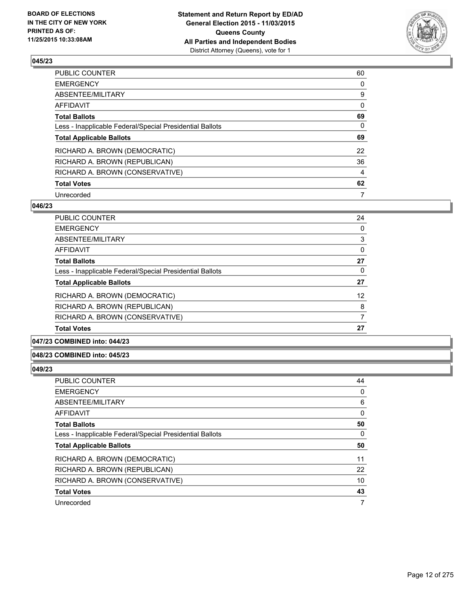

| PUBLIC COUNTER                                           | 60       |
|----------------------------------------------------------|----------|
| <b>EMERGENCY</b>                                         | 0        |
| ABSENTEE/MILITARY                                        | 9        |
| <b>AFFIDAVIT</b>                                         | 0        |
| <b>Total Ballots</b>                                     | 69       |
| Less - Inapplicable Federal/Special Presidential Ballots | $\Omega$ |
| <b>Total Applicable Ballots</b>                          | 69       |
| RICHARD A. BROWN (DEMOCRATIC)                            | 22       |
| RICHARD A. BROWN (REPUBLICAN)                            | 36       |
| RICHARD A. BROWN (CONSERVATIVE)                          | 4        |
| <b>Total Votes</b>                                       | 62       |
| Unrecorded                                               | 7        |

#### **046/23**

| <b>PUBLIC COUNTER</b>                                    | 24       |
|----------------------------------------------------------|----------|
| <b>EMERGENCY</b>                                         | 0        |
| <b>ABSENTEE/MILITARY</b>                                 | 3        |
| <b>AFFIDAVIT</b>                                         | $\Omega$ |
| <b>Total Ballots</b>                                     | 27       |
| Less - Inapplicable Federal/Special Presidential Ballots | $\Omega$ |
| <b>Total Applicable Ballots</b>                          | 27       |
| RICHARD A. BROWN (DEMOCRATIC)                            | 12       |
| RICHARD A. BROWN (REPUBLICAN)                            | 8        |
| RICHARD A. BROWN (CONSERVATIVE)                          | 7        |
| <b>Total Votes</b>                                       | 27       |

### **047/23 COMBINED into: 044/23**

### **048/23 COMBINED into: 045/23**

| PUBLIC COUNTER                                           | 44 |
|----------------------------------------------------------|----|
| <b>EMERGENCY</b>                                         | 0  |
| ABSENTEE/MILITARY                                        | 6  |
| AFFIDAVIT                                                | 0  |
| <b>Total Ballots</b>                                     | 50 |
| Less - Inapplicable Federal/Special Presidential Ballots | 0  |
| <b>Total Applicable Ballots</b>                          | 50 |
| RICHARD A. BROWN (DEMOCRATIC)                            | 11 |
| RICHARD A. BROWN (REPUBLICAN)                            | 22 |
| RICHARD A. BROWN (CONSERVATIVE)                          | 10 |
| <b>Total Votes</b>                                       | 43 |
| Unrecorded                                               | 7  |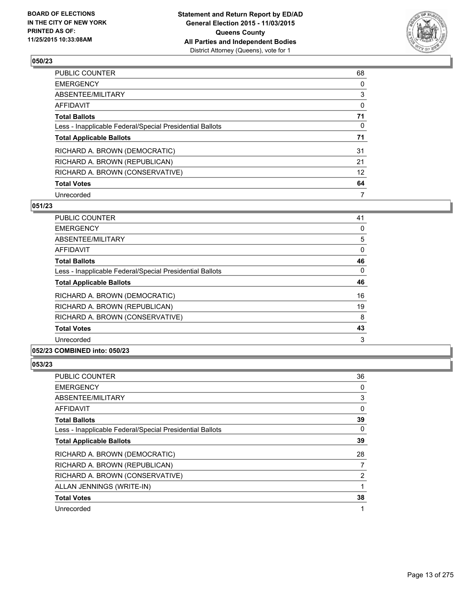

| PUBLIC COUNTER                                           | 68                |
|----------------------------------------------------------|-------------------|
| <b>EMERGENCY</b>                                         | 0                 |
| ABSENTEE/MILITARY                                        | 3                 |
| AFFIDAVIT                                                | 0                 |
| <b>Total Ballots</b>                                     | 71                |
| Less - Inapplicable Federal/Special Presidential Ballots | $\Omega$          |
| <b>Total Applicable Ballots</b>                          | 71                |
| RICHARD A. BROWN (DEMOCRATIC)                            | 31                |
| RICHARD A. BROWN (REPUBLICAN)                            | 21                |
| RICHARD A. BROWN (CONSERVATIVE)                          | $12 \overline{ }$ |
| <b>Total Votes</b>                                       | 64                |
| Unrecorded                                               | 7                 |

#### **051/23**

| PUBLIC COUNTER                                                                                                                                                                                                                                                                                                                                                                                                         | 41 |
|------------------------------------------------------------------------------------------------------------------------------------------------------------------------------------------------------------------------------------------------------------------------------------------------------------------------------------------------------------------------------------------------------------------------|----|
| <b>EMERGENCY</b>                                                                                                                                                                                                                                                                                                                                                                                                       | 0  |
| ABSENTEE/MILITARY                                                                                                                                                                                                                                                                                                                                                                                                      | 5  |
| <b>AFFIDAVIT</b>                                                                                                                                                                                                                                                                                                                                                                                                       | 0  |
| <b>Total Ballots</b>                                                                                                                                                                                                                                                                                                                                                                                                   | 46 |
| Less - Inapplicable Federal/Special Presidential Ballots                                                                                                                                                                                                                                                                                                                                                               | 0  |
| <b>Total Applicable Ballots</b>                                                                                                                                                                                                                                                                                                                                                                                        | 46 |
| RICHARD A. BROWN (DEMOCRATIC)                                                                                                                                                                                                                                                                                                                                                                                          | 16 |
| RICHARD A. BROWN (REPUBLICAN)                                                                                                                                                                                                                                                                                                                                                                                          | 19 |
| RICHARD A. BROWN (CONSERVATIVE)                                                                                                                                                                                                                                                                                                                                                                                        | 8  |
| <b>Total Votes</b>                                                                                                                                                                                                                                                                                                                                                                                                     | 43 |
| Unrecorded                                                                                                                                                                                                                                                                                                                                                                                                             | 3  |
| $\mathbf{A} \mathbf{A} \mathbf{B} \mathbf{B} \mathbf{B} \mathbf{B} \mathbf{B} \mathbf{A} \mathbf{A} \mathbf{A} \mathbf{A} \mathbf{A} \mathbf{A} \mathbf{A} \mathbf{A} \mathbf{A} \mathbf{A} \mathbf{A} \mathbf{A} \mathbf{A} \mathbf{A} \mathbf{A} \mathbf{A} \mathbf{A} \mathbf{A} \mathbf{A} \mathbf{A} \mathbf{A} \mathbf{A} \mathbf{A} \mathbf{A} \mathbf{A} \mathbf{A} \mathbf{A} \mathbf{A} \mathbf{A} \mathbf{$ |    |

### **052/23 COMBINED into: 050/23**

| PUBLIC COUNTER                                           | 36 |
|----------------------------------------------------------|----|
| <b>EMERGENCY</b>                                         | 0  |
| ABSENTEE/MILITARY                                        | 3  |
| AFFIDAVIT                                                | 0  |
| <b>Total Ballots</b>                                     | 39 |
| Less - Inapplicable Federal/Special Presidential Ballots | 0  |
| <b>Total Applicable Ballots</b>                          | 39 |
| RICHARD A. BROWN (DEMOCRATIC)                            | 28 |
| RICHARD A. BROWN (REPUBLICAN)                            | 7  |
| RICHARD A. BROWN (CONSERVATIVE)                          | 2  |
| ALLAN JENNINGS (WRITE-IN)                                |    |
| <b>Total Votes</b>                                       | 38 |
| Unrecorded                                               | 1  |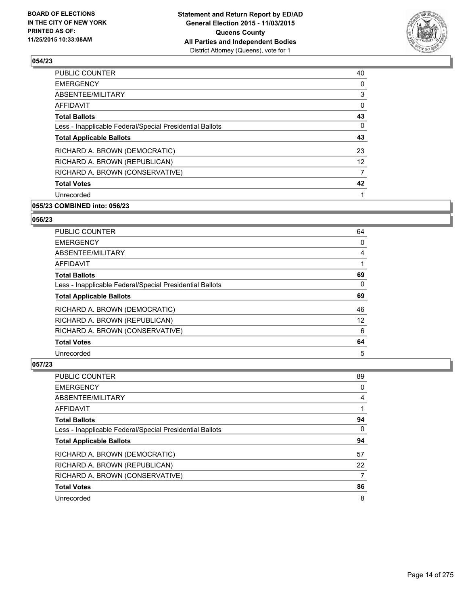

| 40 |
|----|
| 0  |
| 3  |
| 0  |
| 43 |
| 0  |
| 43 |
| 23 |
| 12 |
| 7  |
| 42 |
|    |
|    |

### **055/23 COMBINED into: 056/23**

#### **056/23**

| <b>PUBLIC COUNTER</b>                                    | 64 |
|----------------------------------------------------------|----|
| <b>EMERGENCY</b>                                         | 0  |
| ABSENTEE/MILITARY                                        | 4  |
| AFFIDAVIT                                                |    |
| <b>Total Ballots</b>                                     | 69 |
| Less - Inapplicable Federal/Special Presidential Ballots | 0  |
| <b>Total Applicable Ballots</b>                          | 69 |
| RICHARD A. BROWN (DEMOCRATIC)                            | 46 |
| RICHARD A. BROWN (REPUBLICAN)                            | 12 |
| RICHARD A. BROWN (CONSERVATIVE)                          | 6  |
| <b>Total Votes</b>                                       | 64 |
| Unrecorded                                               | 5  |

| PUBLIC COUNTER                                           | 89 |
|----------------------------------------------------------|----|
| <b>EMERGENCY</b>                                         | 0  |
| ABSENTEE/MILITARY                                        | 4  |
| <b>AFFIDAVIT</b>                                         |    |
| <b>Total Ballots</b>                                     | 94 |
| Less - Inapplicable Federal/Special Presidential Ballots | 0  |
| <b>Total Applicable Ballots</b>                          | 94 |
| RICHARD A. BROWN (DEMOCRATIC)                            | 57 |
| RICHARD A. BROWN (REPUBLICAN)                            | 22 |
| RICHARD A. BROWN (CONSERVATIVE)                          | 7  |
| <b>Total Votes</b>                                       | 86 |
| Unrecorded                                               | 8  |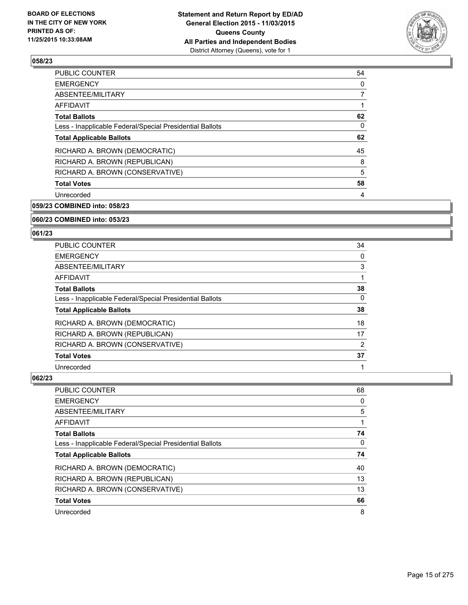

| <b>PUBLIC COUNTER</b>                                    | 54 |
|----------------------------------------------------------|----|
| <b>EMERGENCY</b>                                         | 0  |
| ABSENTEE/MILITARY                                        | 7  |
| AFFIDAVIT                                                |    |
| <b>Total Ballots</b>                                     | 62 |
| Less - Inapplicable Federal/Special Presidential Ballots | 0  |
| <b>Total Applicable Ballots</b>                          | 62 |
| RICHARD A. BROWN (DEMOCRATIC)                            | 45 |
| RICHARD A. BROWN (REPUBLICAN)                            | 8  |
| RICHARD A. BROWN (CONSERVATIVE)                          | 5  |
| <b>Total Votes</b>                                       | 58 |
| Unrecorded                                               | 4  |
|                                                          |    |

**059/23 COMBINED into: 058/23**

#### **060/23 COMBINED into: 053/23**

### **061/23**

| <b>PUBLIC COUNTER</b>                                    | 34 |
|----------------------------------------------------------|----|
| <b>EMERGENCY</b>                                         | 0  |
| ABSENTEE/MILITARY                                        | 3  |
| AFFIDAVIT                                                |    |
| <b>Total Ballots</b>                                     | 38 |
| Less - Inapplicable Federal/Special Presidential Ballots | 0  |
| <b>Total Applicable Ballots</b>                          | 38 |
| RICHARD A. BROWN (DEMOCRATIC)                            | 18 |
| RICHARD A. BROWN (REPUBLICAN)                            | 17 |
| RICHARD A. BROWN (CONSERVATIVE)                          | 2  |
| <b>Total Votes</b>                                       | 37 |
| Unrecorded                                               |    |

| <b>PUBLIC COUNTER</b>                                    | 68 |
|----------------------------------------------------------|----|
| <b>EMERGENCY</b>                                         | 0  |
| ABSENTEE/MILITARY                                        | 5  |
| <b>AFFIDAVIT</b>                                         |    |
| <b>Total Ballots</b>                                     | 74 |
| Less - Inapplicable Federal/Special Presidential Ballots | 0  |
| <b>Total Applicable Ballots</b>                          | 74 |
| RICHARD A. BROWN (DEMOCRATIC)                            | 40 |
| RICHARD A. BROWN (REPUBLICAN)                            | 13 |
| RICHARD A. BROWN (CONSERVATIVE)                          | 13 |
| <b>Total Votes</b>                                       | 66 |
| Unrecorded                                               | 8  |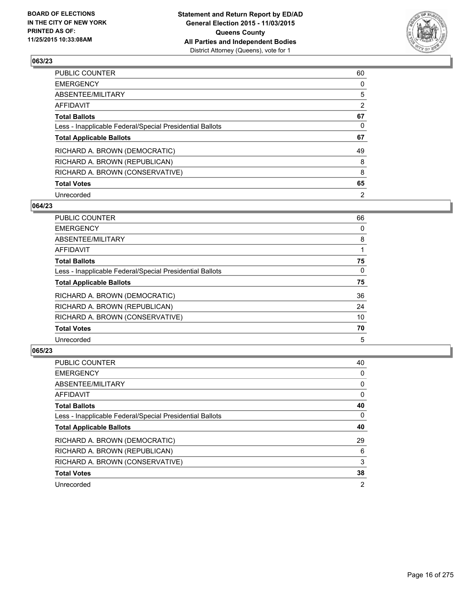

| PUBLIC COUNTER                                           | 60 |
|----------------------------------------------------------|----|
| <b>EMERGENCY</b>                                         | 0  |
| ABSENTEE/MILITARY                                        | 5  |
| AFFIDAVIT                                                | 2  |
| <b>Total Ballots</b>                                     | 67 |
| Less - Inapplicable Federal/Special Presidential Ballots | 0  |
| <b>Total Applicable Ballots</b>                          | 67 |
| RICHARD A. BROWN (DEMOCRATIC)                            | 49 |
| RICHARD A. BROWN (REPUBLICAN)                            | 8  |
| RICHARD A. BROWN (CONSERVATIVE)                          | 8  |
| <b>Total Votes</b>                                       | 65 |
| Unrecorded                                               | 2  |

#### **064/23**

| <b>PUBLIC COUNTER</b>                                    | 66 |
|----------------------------------------------------------|----|
| <b>EMERGENCY</b>                                         | 0  |
| ABSENTEE/MILITARY                                        | 8  |
| <b>AFFIDAVIT</b>                                         |    |
| <b>Total Ballots</b>                                     | 75 |
| Less - Inapplicable Federal/Special Presidential Ballots | 0  |
| <b>Total Applicable Ballots</b>                          | 75 |
| RICHARD A. BROWN (DEMOCRATIC)                            | 36 |
| RICHARD A. BROWN (REPUBLICAN)                            | 24 |
| RICHARD A. BROWN (CONSERVATIVE)                          | 10 |
| <b>Total Votes</b>                                       | 70 |
| Unrecorded                                               | 5  |
|                                                          |    |

| PUBLIC COUNTER                                           | 40             |
|----------------------------------------------------------|----------------|
| <b>EMERGENCY</b>                                         | 0              |
| ABSENTEE/MILITARY                                        | 0              |
| <b>AFFIDAVIT</b>                                         | 0              |
| <b>Total Ballots</b>                                     | 40             |
| Less - Inapplicable Federal/Special Presidential Ballots | 0              |
| <b>Total Applicable Ballots</b>                          | 40             |
| RICHARD A. BROWN (DEMOCRATIC)                            | 29             |
| RICHARD A. BROWN (REPUBLICAN)                            | 6              |
| RICHARD A. BROWN (CONSERVATIVE)                          | 3              |
| <b>Total Votes</b>                                       | 38             |
| Unrecorded                                               | $\overline{2}$ |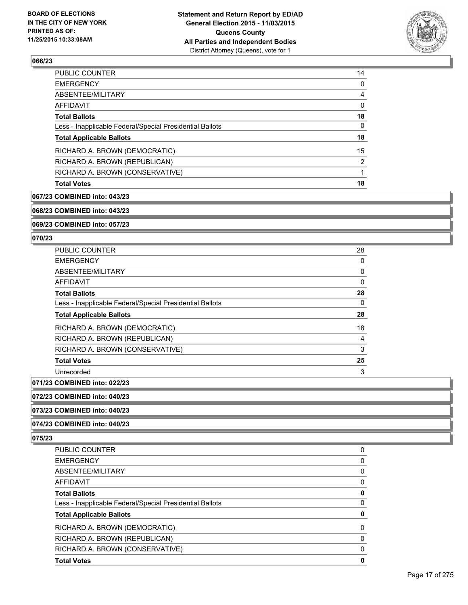

| PUBLIC COUNTER                                           | 14 |
|----------------------------------------------------------|----|
| <b>EMERGENCY</b>                                         | 0  |
| ABSENTEE/MILITARY                                        | 4  |
| AFFIDAVIT                                                | 0  |
| <b>Total Ballots</b>                                     | 18 |
| Less - Inapplicable Federal/Special Presidential Ballots | 0  |
| <b>Total Applicable Ballots</b>                          | 18 |
| RICHARD A. BROWN (DEMOCRATIC)                            | 15 |
| RICHARD A. BROWN (REPUBLICAN)                            | 2  |
| RICHARD A. BROWN (CONSERVATIVE)                          |    |
| <b>Total Votes</b>                                       | 18 |

#### **067/23 COMBINED into: 043/23**

**068/23 COMBINED into: 043/23**

**069/23 COMBINED into: 057/23**

### **070/23**

| <b>PUBLIC COUNTER</b>                                    | 28 |
|----------------------------------------------------------|----|
| <b>EMERGENCY</b>                                         | 0  |
| ABSENTEE/MILITARY                                        | 0  |
| AFFIDAVIT                                                | 0  |
| <b>Total Ballots</b>                                     | 28 |
| Less - Inapplicable Federal/Special Presidential Ballots | 0  |
| <b>Total Applicable Ballots</b>                          | 28 |
| RICHARD A. BROWN (DEMOCRATIC)                            | 18 |
| RICHARD A. BROWN (REPUBLICAN)                            | 4  |
| RICHARD A. BROWN (CONSERVATIVE)                          | 3  |
| <b>Total Votes</b>                                       | 25 |
| Unrecorded                                               | 3  |
|                                                          |    |

**071/23 COMBINED into: 022/23**

**072/23 COMBINED into: 040/23**

**073/23 COMBINED into: 040/23**

**074/23 COMBINED into: 040/23**

| <b>PUBLIC COUNTER</b>                                    | 0        |
|----------------------------------------------------------|----------|
| <b>EMERGENCY</b>                                         | 0        |
| ABSENTEE/MILITARY                                        | 0        |
| AFFIDAVIT                                                | 0        |
| <b>Total Ballots</b>                                     | 0        |
| Less - Inapplicable Federal/Special Presidential Ballots | 0        |
| <b>Total Applicable Ballots</b>                          | 0        |
| RICHARD A. BROWN (DEMOCRATIC)                            | 0        |
| RICHARD A. BROWN (REPUBLICAN)                            | 0        |
| RICHARD A. BROWN (CONSERVATIVE)                          | $\Omega$ |
| <b>Total Votes</b>                                       | 0        |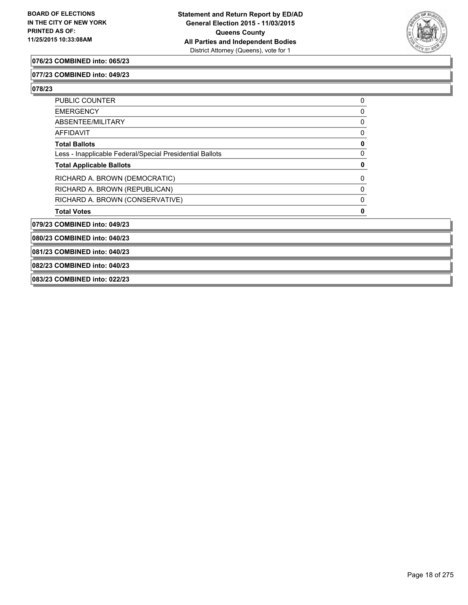

#### **076/23 COMBINED into: 065/23**

#### **077/23 COMBINED into: 049/23**

**078/23** 

| <b>PUBLIC COUNTER</b>                                    | 0            |
|----------------------------------------------------------|--------------|
| <b>EMERGENCY</b>                                         | 0            |
| ABSENTEE/MILITARY                                        | $\mathbf{0}$ |
| AFFIDAVIT                                                | 0            |
| <b>Total Ballots</b>                                     | 0            |
| Less - Inapplicable Federal/Special Presidential Ballots | 0            |
| <b>Total Applicable Ballots</b>                          | 0            |
| RICHARD A. BROWN (DEMOCRATIC)                            | 0            |
| RICHARD A. BROWN (REPUBLICAN)                            | 0            |
| RICHARD A. BROWN (CONSERVATIVE)                          | $\Omega$     |
| <b>Total Votes</b>                                       | 0            |
| 079/23 COMBINED into: 049/23                             |              |
| 080/23 COMBINED into: 040/23                             |              |
|                                                          |              |

**081/23 COMBINED into: 040/23**

**082/23 COMBINED into: 040/23**

**083/23 COMBINED into: 022/23**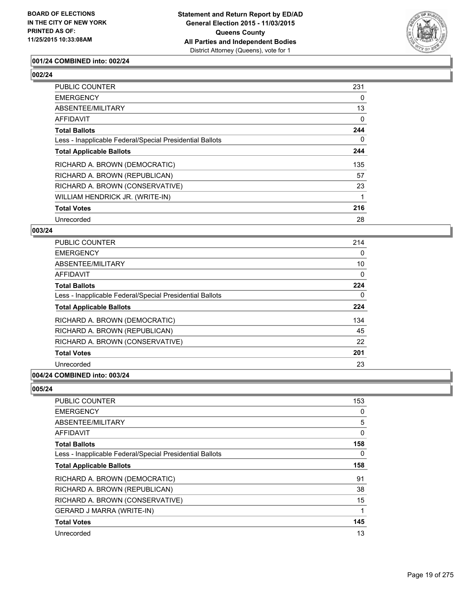

### **001/24 COMBINED into: 002/24**

### **002/24**

| PUBLIC COUNTER                                           | 231 |
|----------------------------------------------------------|-----|
| <b>EMERGENCY</b>                                         | 0   |
| ABSENTEE/MILITARY                                        | 13  |
| <b>AFFIDAVIT</b>                                         | 0   |
| <b>Total Ballots</b>                                     | 244 |
| Less - Inapplicable Federal/Special Presidential Ballots | 0   |
| <b>Total Applicable Ballots</b>                          | 244 |
| RICHARD A. BROWN (DEMOCRATIC)                            | 135 |
| RICHARD A. BROWN (REPUBLICAN)                            | 57  |
| RICHARD A. BROWN (CONSERVATIVE)                          | 23  |
| WILLIAM HENDRICK JR. (WRITE-IN)                          |     |
| <b>Total Votes</b>                                       | 216 |
| Unrecorded                                               | 28  |

#### **003/24**

| PUBLIC COUNTER                                           | 214 |
|----------------------------------------------------------|-----|
| <b>EMERGENCY</b>                                         | 0   |
| ABSENTEE/MILITARY                                        | 10  |
| <b>AFFIDAVIT</b>                                         | 0   |
| <b>Total Ballots</b>                                     | 224 |
| Less - Inapplicable Federal/Special Presidential Ballots | 0   |
| <b>Total Applicable Ballots</b>                          | 224 |
| RICHARD A. BROWN (DEMOCRATIC)                            | 134 |
| RICHARD A. BROWN (REPUBLICAN)                            | 45  |
| RICHARD A. BROWN (CONSERVATIVE)                          | 22  |
| <b>Total Votes</b>                                       | 201 |
| Unrecorded                                               | 23  |

### **004/24 COMBINED into: 003/24**

| 153 |
|-----|
| 0   |
| 5   |
| 0   |
| 158 |
| 0   |
| 158 |
| 91  |
| 38  |
| 15  |
| 1   |
| 145 |
| 13  |
|     |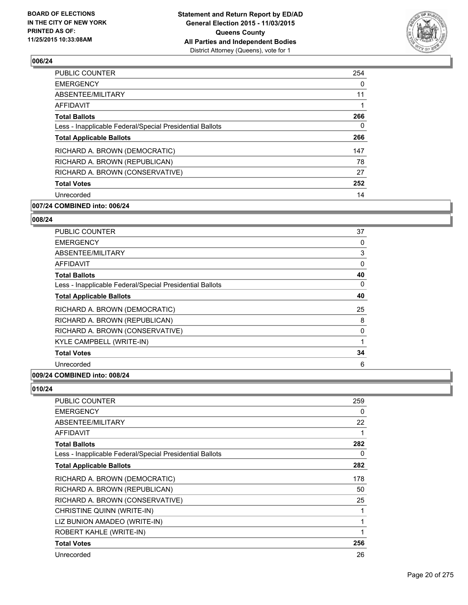

| <b>PUBLIC COUNTER</b>                                    | 254 |
|----------------------------------------------------------|-----|
| <b>EMERGENCY</b>                                         | 0   |
| ABSENTEE/MILITARY                                        | 11  |
| AFFIDAVIT                                                |     |
| <b>Total Ballots</b>                                     | 266 |
| Less - Inapplicable Federal/Special Presidential Ballots | 0   |
| <b>Total Applicable Ballots</b>                          | 266 |
| RICHARD A. BROWN (DEMOCRATIC)                            | 147 |
| RICHARD A. BROWN (REPUBLICAN)                            | 78  |
| RICHARD A. BROWN (CONSERVATIVE)                          | 27  |
| <b>Total Votes</b>                                       | 252 |
| Unrecorded                                               | 14  |
|                                                          |     |

### **007/24 COMBINED into: 006/24**

#### **008/24**

| <b>PUBLIC COUNTER</b>                                    | 37 |
|----------------------------------------------------------|----|
| <b>EMERGENCY</b>                                         | 0  |
| ABSENTEE/MILITARY                                        | 3  |
| <b>AFFIDAVIT</b>                                         | 0  |
| <b>Total Ballots</b>                                     | 40 |
| Less - Inapplicable Federal/Special Presidential Ballots | 0  |
| <b>Total Applicable Ballots</b>                          | 40 |
| RICHARD A. BROWN (DEMOCRATIC)                            | 25 |
| RICHARD A. BROWN (REPUBLICAN)                            | 8  |
| RICHARD A. BROWN (CONSERVATIVE)                          | 0  |
| KYLE CAMPBELL (WRITE-IN)                                 | 1  |
| <b>Total Votes</b>                                       | 34 |
| Unrecorded                                               | 6  |
|                                                          |    |

### **009/24 COMBINED into: 008/24**

| PUBLIC COUNTER                                           | 259 |
|----------------------------------------------------------|-----|
| <b>EMERGENCY</b>                                         | 0   |
| ABSENTEE/MILITARY                                        | 22  |
| AFFIDAVIT                                                | 1   |
| <b>Total Ballots</b>                                     | 282 |
| Less - Inapplicable Federal/Special Presidential Ballots | 0   |
| <b>Total Applicable Ballots</b>                          | 282 |
| RICHARD A. BROWN (DEMOCRATIC)                            | 178 |
| RICHARD A. BROWN (REPUBLICAN)                            | 50  |
| RICHARD A. BROWN (CONSERVATIVE)                          | 25  |
| CHRISTINE QUINN (WRITE-IN)                               | 1   |
| LIZ BUNION AMADEO (WRITE-IN)                             | 1   |
| ROBERT KAHLE (WRITE-IN)                                  | 1   |
| <b>Total Votes</b>                                       | 256 |
| Unrecorded                                               | 26  |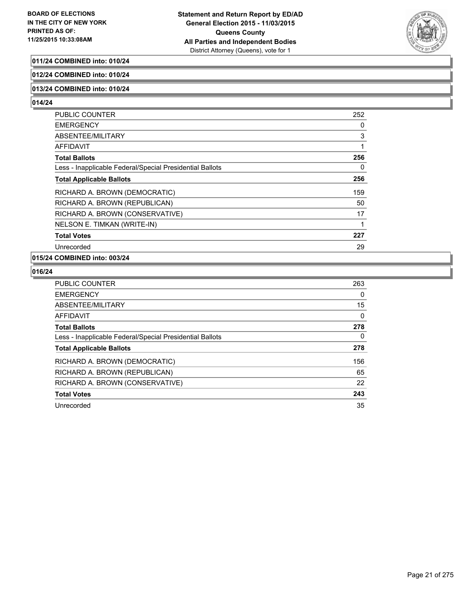

### **011/24 COMBINED into: 010/24**

#### **012/24 COMBINED into: 010/24**

### **013/24 COMBINED into: 010/24**

**014/24** 

| PUBLIC COUNTER                                           | 252 |
|----------------------------------------------------------|-----|
| <b>EMERGENCY</b>                                         | 0   |
| ABSENTEE/MILITARY                                        | 3   |
| AFFIDAVIT                                                | 1   |
| <b>Total Ballots</b>                                     | 256 |
| Less - Inapplicable Federal/Special Presidential Ballots | 0   |
| <b>Total Applicable Ballots</b>                          | 256 |
| RICHARD A. BROWN (DEMOCRATIC)                            | 159 |
| RICHARD A. BROWN (REPUBLICAN)                            | 50  |
| RICHARD A. BROWN (CONSERVATIVE)                          | 17  |
| NELSON E. TIMKAN (WRITE-IN)                              | 1   |
| <b>Total Votes</b>                                       | 227 |
| Unrecorded                                               | 29  |

### **015/24 COMBINED into: 003/24**

| <b>PUBLIC COUNTER</b>                                    | 263 |
|----------------------------------------------------------|-----|
| <b>EMERGENCY</b>                                         | 0   |
| ABSENTEE/MILITARY                                        | 15  |
| AFFIDAVIT                                                | 0   |
| <b>Total Ballots</b>                                     | 278 |
| Less - Inapplicable Federal/Special Presidential Ballots | 0   |
| <b>Total Applicable Ballots</b>                          | 278 |
| RICHARD A. BROWN (DEMOCRATIC)                            | 156 |
| RICHARD A. BROWN (REPUBLICAN)                            | 65  |
| RICHARD A. BROWN (CONSERVATIVE)                          | 22  |
| <b>Total Votes</b>                                       | 243 |
| Unrecorded                                               | 35  |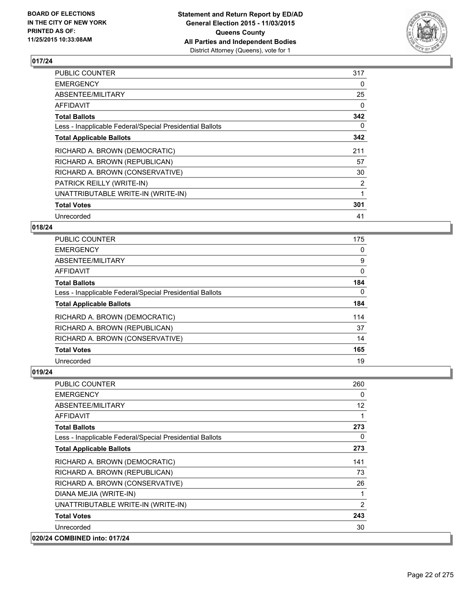

| <b>PUBLIC COUNTER</b>                                    | 317 |
|----------------------------------------------------------|-----|
| <b>EMERGENCY</b>                                         | 0   |
| ABSENTEE/MILITARY                                        | 25  |
| AFFIDAVIT                                                | 0   |
| <b>Total Ballots</b>                                     | 342 |
| Less - Inapplicable Federal/Special Presidential Ballots | 0   |
| <b>Total Applicable Ballots</b>                          | 342 |
| RICHARD A. BROWN (DEMOCRATIC)                            | 211 |
| RICHARD A. BROWN (REPUBLICAN)                            | 57  |
| RICHARD A. BROWN (CONSERVATIVE)                          | 30  |
| PATRICK REILLY (WRITE-IN)                                | 2   |
| UNATTRIBUTABLE WRITE-IN (WRITE-IN)                       | 1   |
| <b>Total Votes</b>                                       | 301 |
| Unrecorded                                               | 41  |

### **018/24**

| PUBLIC COUNTER                                           | 175 |
|----------------------------------------------------------|-----|
| <b>EMERGENCY</b>                                         | 0   |
| ABSENTEE/MILITARY                                        | 9   |
| <b>AFFIDAVIT</b>                                         | 0   |
| <b>Total Ballots</b>                                     | 184 |
| Less - Inapplicable Federal/Special Presidential Ballots | 0   |
| <b>Total Applicable Ballots</b>                          | 184 |
| RICHARD A. BROWN (DEMOCRATIC)                            | 114 |
| RICHARD A. BROWN (REPUBLICAN)                            | 37  |
| RICHARD A. BROWN (CONSERVATIVE)                          | 14  |
| <b>Total Votes</b>                                       | 165 |
| Unrecorded                                               | 19  |

| PUBLIC COUNTER                                           | 260            |
|----------------------------------------------------------|----------------|
| <b>EMERGENCY</b>                                         | 0              |
| ABSENTEE/MILITARY                                        | 12             |
| AFFIDAVIT                                                | 1              |
| <b>Total Ballots</b>                                     | 273            |
| Less - Inapplicable Federal/Special Presidential Ballots | 0              |
| <b>Total Applicable Ballots</b>                          | 273            |
| RICHARD A. BROWN (DEMOCRATIC)                            | 141            |
| RICHARD A. BROWN (REPUBLICAN)                            | 73             |
| RICHARD A. BROWN (CONSERVATIVE)                          | 26             |
| DIANA MEJIA (WRITE-IN)                                   | 1              |
| UNATTRIBUTABLE WRITE-IN (WRITE-IN)                       | $\overline{2}$ |
| <b>Total Votes</b>                                       | 243            |
| Unrecorded                                               | 30             |
| 020/24 COMBINED into: 017/24                             |                |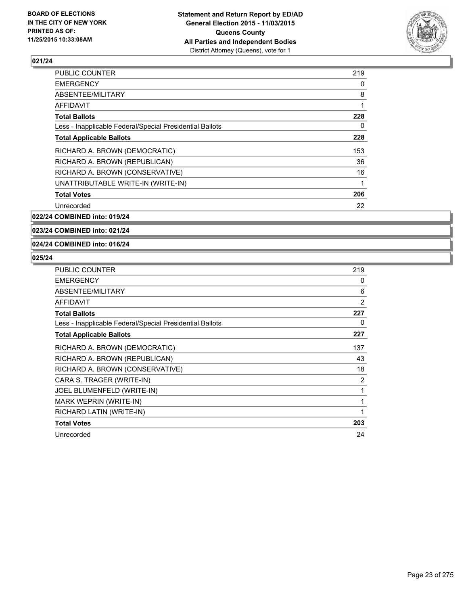

| <b>PUBLIC COUNTER</b>                                    | 219 |
|----------------------------------------------------------|-----|
| <b>EMERGENCY</b>                                         | 0   |
| ABSENTEE/MILITARY                                        | 8   |
| AFFIDAVIT                                                | 1   |
| <b>Total Ballots</b>                                     | 228 |
| Less - Inapplicable Federal/Special Presidential Ballots | 0   |
| <b>Total Applicable Ballots</b>                          | 228 |
| RICHARD A. BROWN (DEMOCRATIC)                            | 153 |
| RICHARD A. BROWN (REPUBLICAN)                            | 36  |
| RICHARD A. BROWN (CONSERVATIVE)                          | 16  |
| UNATTRIBUTABLE WRITE-IN (WRITE-IN)                       | 1   |
| <b>Total Votes</b>                                       | 206 |
| Unrecorded                                               | 22  |
|                                                          |     |

**022/24 COMBINED into: 019/24**

**023/24 COMBINED into: 021/24**

**024/24 COMBINED into: 016/24**

| <b>PUBLIC COUNTER</b>                                    | 219 |
|----------------------------------------------------------|-----|
| <b>EMERGENCY</b>                                         | 0   |
| ABSENTEE/MILITARY                                        | 6   |
| AFFIDAVIT                                                | 2   |
| <b>Total Ballots</b>                                     | 227 |
| Less - Inapplicable Federal/Special Presidential Ballots | 0   |
| <b>Total Applicable Ballots</b>                          | 227 |
| RICHARD A. BROWN (DEMOCRATIC)                            | 137 |
| RICHARD A. BROWN (REPUBLICAN)                            | 43  |
| RICHARD A. BROWN (CONSERVATIVE)                          | 18  |
| CARA S. TRAGER (WRITE-IN)                                | 2   |
| JOEL BLUMENFELD (WRITE-IN)                               | 1   |
| MARK WEPRIN (WRITE-IN)                                   | 1   |
| RICHARD LATIN (WRITE-IN)                                 | 1   |
| <b>Total Votes</b>                                       | 203 |
| Unrecorded                                               | 24  |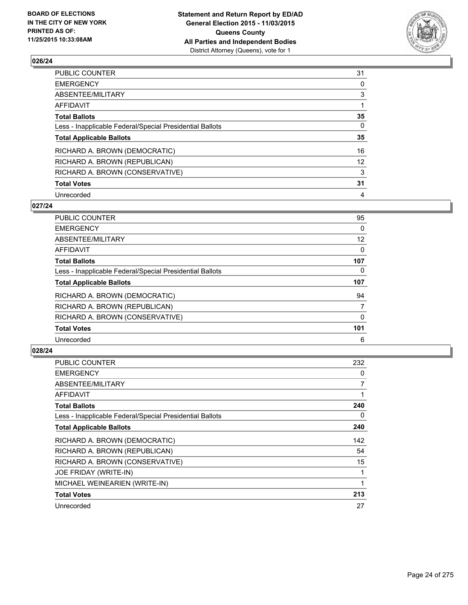

| PUBLIC COUNTER                                           | 31              |
|----------------------------------------------------------|-----------------|
| <b>EMERGENCY</b>                                         | 0               |
| ABSENTEE/MILITARY                                        | 3               |
| <b>AFFIDAVIT</b>                                         |                 |
| <b>Total Ballots</b>                                     | 35              |
| Less - Inapplicable Federal/Special Presidential Ballots | $\Omega$        |
| <b>Total Applicable Ballots</b>                          | 35              |
| RICHARD A. BROWN (DEMOCRATIC)                            | 16              |
| RICHARD A. BROWN (REPUBLICAN)                            | 12 <sup>°</sup> |
| RICHARD A. BROWN (CONSERVATIVE)                          | 3               |
| <b>Total Votes</b>                                       | 31              |
| Unrecorded                                               | 4               |

#### **027/24**

| PUBLIC COUNTER                                           | 95                |
|----------------------------------------------------------|-------------------|
| <b>EMERGENCY</b>                                         | 0                 |
| ABSENTEE/MILITARY                                        | $12 \overline{ }$ |
| <b>AFFIDAVIT</b>                                         | 0                 |
| <b>Total Ballots</b>                                     | 107               |
| Less - Inapplicable Federal/Special Presidential Ballots | 0                 |
| <b>Total Applicable Ballots</b>                          | 107               |
| RICHARD A. BROWN (DEMOCRATIC)                            | 94                |
| RICHARD A. BROWN (REPUBLICAN)                            | $\overline{7}$    |
| RICHARD A. BROWN (CONSERVATIVE)                          | 0                 |
| <b>Total Votes</b>                                       | 101               |
| Unrecorded                                               | 6                 |

| <b>PUBLIC COUNTER</b>                                    | 232 |
|----------------------------------------------------------|-----|
| <b>EMERGENCY</b>                                         | 0   |
| ABSENTEE/MILITARY                                        | 7   |
| AFFIDAVIT                                                |     |
| <b>Total Ballots</b>                                     | 240 |
| Less - Inapplicable Federal/Special Presidential Ballots | 0   |
| <b>Total Applicable Ballots</b>                          | 240 |
| RICHARD A. BROWN (DEMOCRATIC)                            | 142 |
| RICHARD A. BROWN (REPUBLICAN)                            | 54  |
| RICHARD A. BROWN (CONSERVATIVE)                          | 15  |
| JOE FRIDAY (WRITE-IN)                                    |     |
| MICHAEL WEINEARIEN (WRITE-IN)                            | 1   |
| <b>Total Votes</b>                                       | 213 |
| Unrecorded                                               | 27  |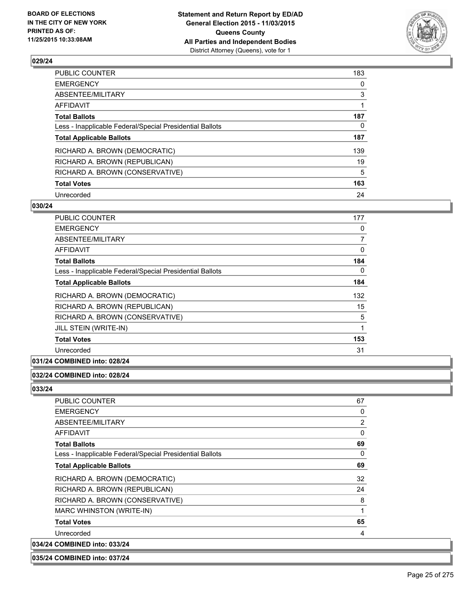

| PUBLIC COUNTER                                           | 183 |
|----------------------------------------------------------|-----|
| <b>EMERGENCY</b>                                         | 0   |
| ABSENTEE/MILITARY                                        | 3   |
| <b>AFFIDAVIT</b>                                         |     |
| <b>Total Ballots</b>                                     | 187 |
| Less - Inapplicable Federal/Special Presidential Ballots | 0   |
| <b>Total Applicable Ballots</b>                          | 187 |
| RICHARD A. BROWN (DEMOCRATIC)                            | 139 |
| RICHARD A. BROWN (REPUBLICAN)                            | 19  |
| RICHARD A. BROWN (CONSERVATIVE)                          | 5   |
| <b>Total Votes</b>                                       | 163 |
| Unrecorded                                               | 24  |

### **030/24**

| <b>PUBLIC COUNTER</b>                                    | 177 |
|----------------------------------------------------------|-----|
| <b>EMERGENCY</b>                                         | 0   |
| ABSENTEE/MILITARY                                        | 7   |
| AFFIDAVIT                                                | 0   |
| <b>Total Ballots</b>                                     | 184 |
| Less - Inapplicable Federal/Special Presidential Ballots | 0   |
| <b>Total Applicable Ballots</b>                          | 184 |
| RICHARD A. BROWN (DEMOCRATIC)                            | 132 |
| RICHARD A. BROWN (REPUBLICAN)                            | 15  |
| RICHARD A. BROWN (CONSERVATIVE)                          | 5   |
| <b>JILL STEIN (WRITE-IN)</b>                             | 1   |
| <b>Total Votes</b>                                       | 153 |
| Unrecorded                                               | 31  |

### **031/24 COMBINED into: 028/24**

#### **032/24 COMBINED into: 028/24**

## **033/24**

| <b>PUBLIC COUNTER</b>                                    | 67           |
|----------------------------------------------------------|--------------|
| <b>EMERGENCY</b>                                         | 0            |
| ABSENTEE/MILITARY                                        | 2            |
| AFFIDAVIT                                                | 0            |
| <b>Total Ballots</b>                                     | 69           |
| Less - Inapplicable Federal/Special Presidential Ballots | 0            |
| <b>Total Applicable Ballots</b>                          | 69           |
| RICHARD A. BROWN (DEMOCRATIC)                            | 32           |
| RICHARD A. BROWN (REPUBLICAN)                            | 24           |
| RICHARD A. BROWN (CONSERVATIVE)                          | 8            |
| MARC WHINSTON (WRITE-IN)                                 | $\mathbf{1}$ |
| <b>Total Votes</b>                                       | 65           |
| Unrecorded                                               | 4            |
| 034/24 COMBINED into: 033/24                             |              |

### **035/24 COMBINED into: 037/24**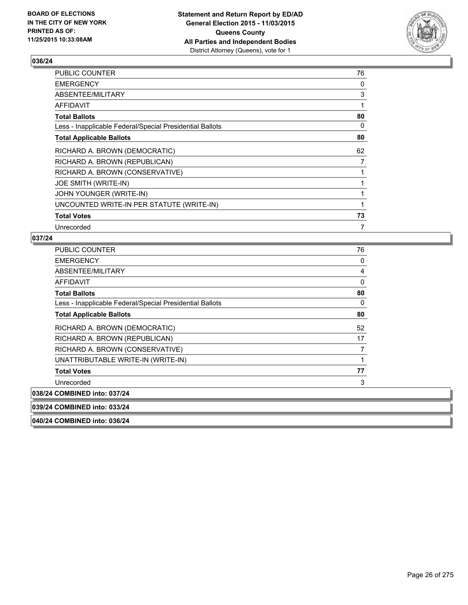

| PUBLIC COUNTER                                           | 76 |
|----------------------------------------------------------|----|
| <b>EMERGENCY</b>                                         | 0  |
| ABSENTEE/MILITARY                                        | 3  |
| AFFIDAVIT                                                | 1  |
| <b>Total Ballots</b>                                     | 80 |
| Less - Inapplicable Federal/Special Presidential Ballots | 0  |
| <b>Total Applicable Ballots</b>                          | 80 |
| RICHARD A. BROWN (DEMOCRATIC)                            | 62 |
| RICHARD A. BROWN (REPUBLICAN)                            | 7  |
| RICHARD A. BROWN (CONSERVATIVE)                          |    |
| JOE SMITH (WRITE-IN)                                     |    |
| JOHN YOUNGER (WRITE-IN)                                  |    |
| UNCOUNTED WRITE-IN PER STATUTE (WRITE-IN)                |    |
| <b>Total Votes</b>                                       | 73 |
| Unrecorded                                               | 7  |

### **037/24**

| PUBLIC COUNTER                                           | 76 |
|----------------------------------------------------------|----|
| <b>EMERGENCY</b>                                         | 0  |
| ABSENTEE/MILITARY                                        | 4  |
| <b>AFFIDAVIT</b>                                         | 0  |
| <b>Total Ballots</b>                                     | 80 |
| Less - Inapplicable Federal/Special Presidential Ballots | 0  |
| <b>Total Applicable Ballots</b>                          | 80 |
| RICHARD A. BROWN (DEMOCRATIC)                            | 52 |
| RICHARD A. BROWN (REPUBLICAN)                            | 17 |
| RICHARD A. BROWN (CONSERVATIVE)                          | 7  |
| UNATTRIBUTABLE WRITE-IN (WRITE-IN)                       |    |
| <b>Total Votes</b>                                       | 77 |
| Unrecorded                                               | 3  |
| 038/24 COMBINED into: 037/24                             |    |
| 039/24 COMBINED into: 033/24                             |    |

**040/24 COMBINED into: 036/24**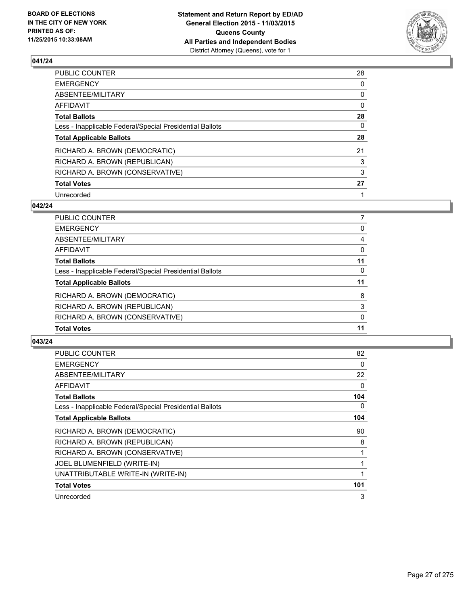

| PUBLIC COUNTER                                           | 28       |
|----------------------------------------------------------|----------|
| <b>EMERGENCY</b>                                         | 0        |
| ABSENTEE/MILITARY                                        | 0        |
| <b>AFFIDAVIT</b>                                         | $\Omega$ |
| <b>Total Ballots</b>                                     | 28       |
| Less - Inapplicable Federal/Special Presidential Ballots | $\Omega$ |
| <b>Total Applicable Ballots</b>                          | 28       |
| RICHARD A. BROWN (DEMOCRATIC)                            | 21       |
| RICHARD A. BROWN (REPUBLICAN)                            | 3        |
| RICHARD A. BROWN (CONSERVATIVE)                          | 3        |
| <b>Total Votes</b>                                       | 27       |
| Unrecorded                                               |          |

#### **042/24**

| PUBLIC COUNTER                                           | 7  |
|----------------------------------------------------------|----|
| EMERGENCY                                                | 0  |
| ABSENTEE/MILITARY                                        | 4  |
| AFFIDAVIT                                                | 0  |
| Total Ballots                                            | 11 |
| Less - Inapplicable Federal/Special Presidential Ballots | 0  |
| <b>Total Applicable Ballots</b>                          | 11 |
| RICHARD A. BROWN (DEMOCRATIC)                            | 8  |
| RICHARD A. BROWN (REPUBLICAN)                            | 3  |
| RICHARD A. BROWN (CONSERVATIVE)                          | 0  |
| <b>Total Votes</b>                                       | 11 |
|                                                          |    |

| PUBLIC COUNTER                                           | 82  |
|----------------------------------------------------------|-----|
| <b>EMERGENCY</b>                                         | 0   |
| ABSENTEE/MILITARY                                        | 22  |
| AFFIDAVIT                                                | 0   |
| <b>Total Ballots</b>                                     | 104 |
| Less - Inapplicable Federal/Special Presidential Ballots | 0   |
| <b>Total Applicable Ballots</b>                          | 104 |
| RICHARD A. BROWN (DEMOCRATIC)                            | 90  |
| RICHARD A. BROWN (REPUBLICAN)                            | 8   |
| RICHARD A. BROWN (CONSERVATIVE)                          |     |
| JOEL BLUMENFIELD (WRITE-IN)                              |     |
| UNATTRIBUTABLE WRITE-IN (WRITE-IN)                       |     |
| <b>Total Votes</b>                                       | 101 |
| Unrecorded                                               | 3   |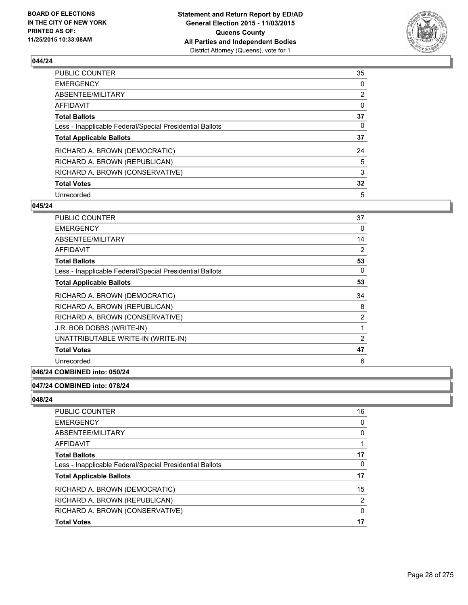

| PUBLIC COUNTER                                           | 35             |
|----------------------------------------------------------|----------------|
| <b>EMERGENCY</b>                                         | 0              |
| ABSENTEE/MILITARY                                        | $\overline{2}$ |
| <b>AFFIDAVIT</b>                                         | $\Omega$       |
| <b>Total Ballots</b>                                     | 37             |
| Less - Inapplicable Federal/Special Presidential Ballots | 0              |
| <b>Total Applicable Ballots</b>                          | 37             |
| RICHARD A. BROWN (DEMOCRATIC)                            | 24             |
| RICHARD A. BROWN (REPUBLICAN)                            | 5              |
| RICHARD A. BROWN (CONSERVATIVE)                          | 3              |
| <b>Total Votes</b>                                       | 32             |
| Unrecorded                                               | 5              |

#### **045/24**

| PUBLIC COUNTER                                           | 37 |
|----------------------------------------------------------|----|
| <b>EMERGENCY</b>                                         | 0  |
| ABSENTEE/MILITARY                                        | 14 |
| AFFIDAVIT                                                | 2  |
| <b>Total Ballots</b>                                     | 53 |
| Less - Inapplicable Federal/Special Presidential Ballots | 0  |
| <b>Total Applicable Ballots</b>                          | 53 |
| RICHARD A. BROWN (DEMOCRATIC)                            | 34 |
| RICHARD A. BROWN (REPUBLICAN)                            | 8  |
| RICHARD A. BROWN (CONSERVATIVE)                          | 2  |
| J.R. BOB DOBBS (WRITE-IN)                                | 1  |
| UNATTRIBUTABLE WRITE-IN (WRITE-IN)                       | 2  |
| <b>Total Votes</b>                                       | 47 |
| Unrecorded                                               | 6  |

### **046/24 COMBINED into: 050/24**

### **047/24 COMBINED into: 078/24**

| PUBLIC COUNTER                                           | 16       |
|----------------------------------------------------------|----------|
| <b>EMERGENCY</b>                                         | 0        |
| ABSENTEE/MILITARY                                        | 0        |
| <b>AFFIDAVIT</b>                                         |          |
| <b>Total Ballots</b>                                     | 17       |
| Less - Inapplicable Federal/Special Presidential Ballots | 0        |
| <b>Total Applicable Ballots</b>                          | 17       |
| RICHARD A. BROWN (DEMOCRATIC)                            | 15       |
| RICHARD A. BROWN (REPUBLICAN)                            | 2        |
| RICHARD A. BROWN (CONSERVATIVE)                          | $\Omega$ |
| <b>Total Votes</b>                                       | 17       |
|                                                          |          |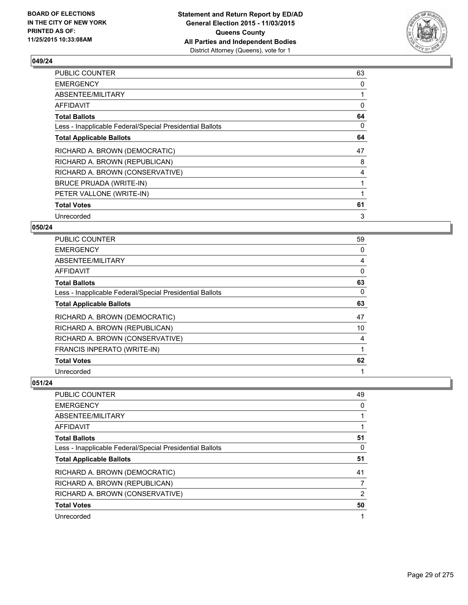

| <b>PUBLIC COUNTER</b>                                    | 63 |
|----------------------------------------------------------|----|
| <b>EMERGENCY</b>                                         | 0  |
| ABSENTEE/MILITARY                                        |    |
| AFFIDAVIT                                                | 0  |
| <b>Total Ballots</b>                                     | 64 |
| Less - Inapplicable Federal/Special Presidential Ballots | 0  |
| <b>Total Applicable Ballots</b>                          | 64 |
| RICHARD A. BROWN (DEMOCRATIC)                            | 47 |
| RICHARD A. BROWN (REPUBLICAN)                            | 8  |
| RICHARD A. BROWN (CONSERVATIVE)                          | 4  |
| <b>BRUCE PRUADA (WRITE-IN)</b>                           |    |
| PETER VALLONE (WRITE-IN)                                 |    |
| <b>Total Votes</b>                                       | 61 |
| Unrecorded                                               | 3  |

### **050/24**

| <b>PUBLIC COUNTER</b>                                    | 59       |
|----------------------------------------------------------|----------|
| <b>EMERGENCY</b>                                         | 0        |
| <b>ABSENTEE/MILITARY</b>                                 | 4        |
| <b>AFFIDAVIT</b>                                         | 0        |
| <b>Total Ballots</b>                                     | 63       |
| Less - Inapplicable Federal/Special Presidential Ballots | $\Omega$ |
| <b>Total Applicable Ballots</b>                          | 63       |
| RICHARD A. BROWN (DEMOCRATIC)                            | 47       |
| RICHARD A. BROWN (REPUBLICAN)                            | 10       |
| RICHARD A. BROWN (CONSERVATIVE)                          | 4        |
| FRANCIS INPERATO (WRITE-IN)                              |          |
| <b>Total Votes</b>                                       | 62       |
| Unrecorded                                               |          |

| 49             |
|----------------|
| 0              |
|                |
|                |
| 51             |
| 0              |
| 51             |
| 41             |
| 7              |
| $\overline{2}$ |
| 50             |
|                |
|                |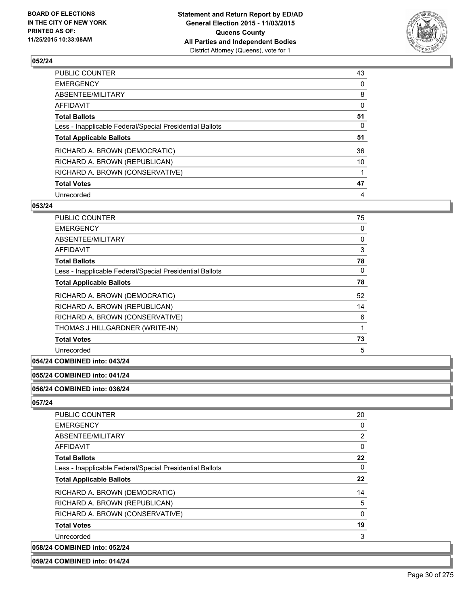

| PUBLIC COUNTER                                           | 43       |
|----------------------------------------------------------|----------|
| <b>EMERGENCY</b>                                         | 0        |
| ABSENTEE/MILITARY                                        | 8        |
| <b>AFFIDAVIT</b>                                         | 0        |
| <b>Total Ballots</b>                                     | 51       |
| Less - Inapplicable Federal/Special Presidential Ballots | $\Omega$ |
| <b>Total Applicable Ballots</b>                          | 51       |
| RICHARD A. BROWN (DEMOCRATIC)                            | 36       |
| RICHARD A. BROWN (REPUBLICAN)                            | 10       |
| RICHARD A. BROWN (CONSERVATIVE)                          |          |
| <b>Total Votes</b>                                       | 47       |
| Unrecorded                                               | 4        |

#### **053/24**

| <b>PUBLIC COUNTER</b>                                    | 75 |
|----------------------------------------------------------|----|
| <b>EMERGENCY</b>                                         | 0  |
| ABSENTEE/MILITARY                                        | 0  |
| AFFIDAVIT                                                | 3  |
| <b>Total Ballots</b>                                     | 78 |
| Less - Inapplicable Federal/Special Presidential Ballots | 0  |
| <b>Total Applicable Ballots</b>                          | 78 |
| RICHARD A. BROWN (DEMOCRATIC)                            | 52 |
| RICHARD A. BROWN (REPUBLICAN)                            | 14 |
| RICHARD A. BROWN (CONSERVATIVE)                          | 6  |
| THOMAS J HILLGARDNER (WRITE-IN)                          |    |
| <b>Total Votes</b>                                       | 73 |
| Unrecorded                                               | 5  |

# **054/24 COMBINED into: 043/24**

#### **055/24 COMBINED into: 041/24**

**056/24 COMBINED into: 036/24**

**057/24** 

| PUBLIC COUNTER                                           | 20             |
|----------------------------------------------------------|----------------|
| <b>EMERGENCY</b>                                         | 0              |
| ABSENTEE/MILITARY                                        | $\overline{2}$ |
| AFFIDAVIT                                                | 0              |
| <b>Total Ballots</b>                                     | 22             |
| Less - Inapplicable Federal/Special Presidential Ballots | 0              |
| <b>Total Applicable Ballots</b>                          | 22             |
| RICHARD A. BROWN (DEMOCRATIC)                            | 14             |
| RICHARD A. BROWN (REPUBLICAN)                            | 5              |
| RICHARD A. BROWN (CONSERVATIVE)                          | $\Omega$       |
| <b>Total Votes</b>                                       | 19             |
| Unrecorded                                               | 3              |
| 058/24 COMBINED into: 052/24                             |                |

#### **059/24 COMBINED into: 014/24**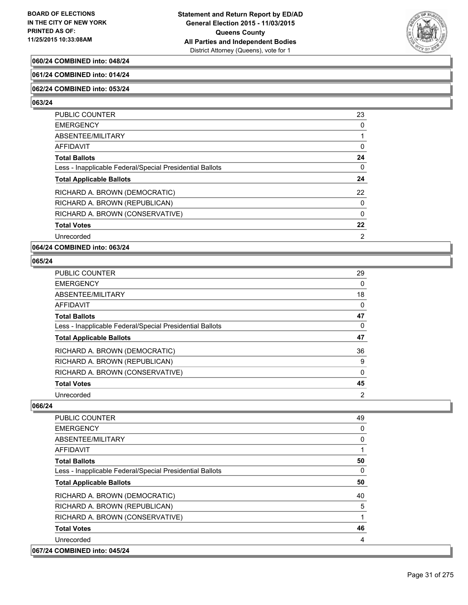

### **060/24 COMBINED into: 048/24**

#### **061/24 COMBINED into: 014/24**

#### **062/24 COMBINED into: 053/24**

**063/24** 

| PUBLIC COUNTER                                           | 23 |
|----------------------------------------------------------|----|
| <b>EMERGENCY</b>                                         | 0  |
| ABSENTEE/MILITARY                                        |    |
| AFFIDAVIT                                                | 0  |
| <b>Total Ballots</b>                                     | 24 |
| Less - Inapplicable Federal/Special Presidential Ballots | 0  |
| <b>Total Applicable Ballots</b>                          | 24 |
| RICHARD A. BROWN (DEMOCRATIC)                            | 22 |
| RICHARD A. BROWN (REPUBLICAN)                            | 0  |
| RICHARD A. BROWN (CONSERVATIVE)                          | 0  |
| <b>Total Votes</b>                                       | 22 |
| Unrecorded                                               | 2  |

### **064/24 COMBINED into: 063/24**

### **065/24**

| PUBLIC COUNTER                                           | 29 |
|----------------------------------------------------------|----|
| <b>EMERGENCY</b>                                         | 0  |
| ABSENTEE/MILITARY                                        | 18 |
| AFFIDAVIT                                                | 0  |
| <b>Total Ballots</b>                                     | 47 |
| Less - Inapplicable Federal/Special Presidential Ballots | 0  |
|                                                          |    |
| <b>Total Applicable Ballots</b>                          | 47 |
| RICHARD A. BROWN (DEMOCRATIC)                            | 36 |
| RICHARD A. BROWN (REPUBLICAN)                            | 9  |
| RICHARD A. BROWN (CONSERVATIVE)                          | 0  |
| <b>Total Votes</b>                                       | 45 |

| <b>PUBLIC COUNTER</b>                                    | 49           |
|----------------------------------------------------------|--------------|
| <b>EMERGENCY</b>                                         | 0            |
| ABSENTEE/MILITARY                                        | $\mathbf{0}$ |
| AFFIDAVIT                                                |              |
| <b>Total Ballots</b>                                     | 50           |
| Less - Inapplicable Federal/Special Presidential Ballots | 0            |
| <b>Total Applicable Ballots</b>                          | 50           |
| RICHARD A. BROWN (DEMOCRATIC)                            | 40           |
| RICHARD A. BROWN (REPUBLICAN)                            | 5            |
| RICHARD A. BROWN (CONSERVATIVE)                          |              |
| <b>Total Votes</b>                                       | 46           |
| Unrecorded                                               | 4            |
| 067/24 COMBINED into: 045/24                             |              |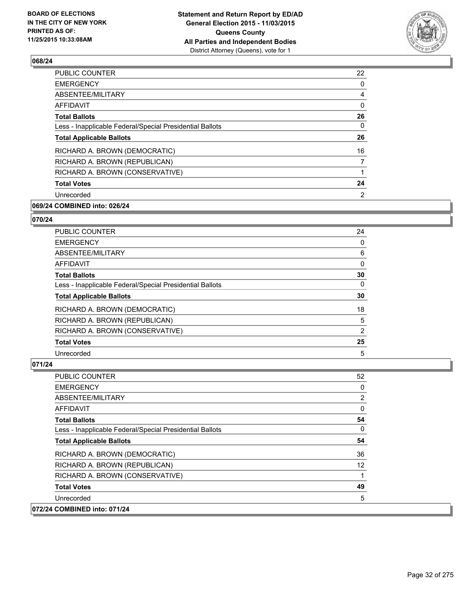

| <b>PUBLIC COUNTER</b>                                    | 22 |
|----------------------------------------------------------|----|
| <b>EMERGENCY</b>                                         | 0  |
| ABSENTEE/MILITARY                                        | 4  |
| AFFIDAVIT                                                | 0  |
| <b>Total Ballots</b>                                     | 26 |
| Less - Inapplicable Federal/Special Presidential Ballots | 0  |
| <b>Total Applicable Ballots</b>                          | 26 |
| RICHARD A. BROWN (DEMOCRATIC)                            | 16 |
| RICHARD A. BROWN (REPUBLICAN)                            | 7  |
| RICHARD A. BROWN (CONSERVATIVE)                          | 1  |
| <b>Total Votes</b>                                       | 24 |
| Unrecorded                                               | 2  |
|                                                          |    |

### **069/24 COMBINED into: 026/24**

#### **070/24**

| PUBLIC COUNTER                                           | 24             |
|----------------------------------------------------------|----------------|
| <b>EMERGENCY</b>                                         | 0              |
| ABSENTEE/MILITARY                                        | 6              |
| AFFIDAVIT                                                | 0              |
| <b>Total Ballots</b>                                     | 30             |
| Less - Inapplicable Federal/Special Presidential Ballots | 0              |
| <b>Total Applicable Ballots</b>                          | 30             |
| RICHARD A. BROWN (DEMOCRATIC)                            | 18             |
| RICHARD A. BROWN (REPUBLICAN)                            | 5              |
| RICHARD A. BROWN (CONSERVATIVE)                          | $\overline{2}$ |
| <b>Total Votes</b>                                       | 25             |
| Unrecorded                                               | 5              |

| <b>PUBLIC COUNTER</b>                                    | 52       |
|----------------------------------------------------------|----------|
| <b>EMERGENCY</b>                                         | 0        |
| ABSENTEE/MILITARY                                        | 2        |
| <b>AFFIDAVIT</b>                                         | 0        |
| <b>Total Ballots</b>                                     | 54       |
| Less - Inapplicable Federal/Special Presidential Ballots | $\Omega$ |
| <b>Total Applicable Ballots</b>                          | 54       |
| RICHARD A. BROWN (DEMOCRATIC)                            | 36       |
| RICHARD A. BROWN (REPUBLICAN)                            | 12       |
| RICHARD A. BROWN (CONSERVATIVE)                          |          |
| <b>Total Votes</b>                                       | 49       |
| Unrecorded                                               | 5        |
| 072/24 COMBINED into: 071/24                             |          |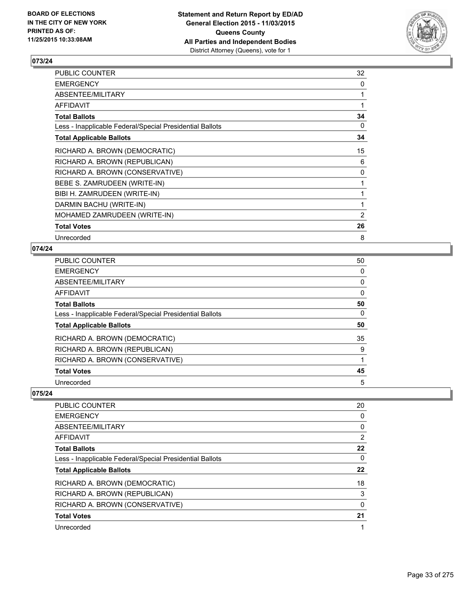

| PUBLIC COUNTER                                           | 32 |
|----------------------------------------------------------|----|
| <b>EMERGENCY</b>                                         | 0  |
| ABSENTEE/MILITARY                                        |    |
| AFFIDAVIT                                                |    |
| <b>Total Ballots</b>                                     | 34 |
| Less - Inapplicable Federal/Special Presidential Ballots | 0  |
| <b>Total Applicable Ballots</b>                          | 34 |
| RICHARD A. BROWN (DEMOCRATIC)                            | 15 |
| RICHARD A. BROWN (REPUBLICAN)                            | 6  |
| RICHARD A. BROWN (CONSERVATIVE)                          | 0  |
| BEBE S. ZAMRUDEEN (WRITE-IN)                             |    |
| BIBI H. ZAMRUDEEN (WRITE-IN)                             | 1  |
| DARMIN BACHU (WRITE-IN)                                  |    |
| MOHAMED ZAMRUDEEN (WRITE-IN)                             | 2  |
| <b>Total Votes</b>                                       | 26 |
| Unrecorded                                               | 8  |

### **074/24**

| PUBLIC COUNTER                                           | 50 |
|----------------------------------------------------------|----|
| EMERGENCY                                                | 0  |
| ABSENTEE/MILITARY                                        | 0  |
| AFFIDAVIT                                                | 0  |
| Total Ballots                                            | 50 |
| Less - Inapplicable Federal/Special Presidential Ballots | 0  |
| <b>Total Applicable Ballots</b>                          | 50 |
| RICHARD A. BROWN (DEMOCRATIC)                            | 35 |
| RICHARD A. BROWN (REPUBLICAN)                            | 9  |
| RICHARD A. BROWN (CONSERVATIVE)                          |    |
| <b>Total Votes</b>                                       | 45 |
| Unrecorded                                               | 5  |

| <b>PUBLIC COUNTER</b>                                    | 20             |
|----------------------------------------------------------|----------------|
| <b>EMERGENCY</b>                                         | 0              |
| ABSENTEE/MILITARY                                        | 0              |
| AFFIDAVIT                                                | $\overline{2}$ |
| <b>Total Ballots</b>                                     | 22             |
| Less - Inapplicable Federal/Special Presidential Ballots | 0              |
| <b>Total Applicable Ballots</b>                          | 22             |
| RICHARD A. BROWN (DEMOCRATIC)                            | 18             |
| RICHARD A. BROWN (REPUBLICAN)                            | 3              |
| RICHARD A. BROWN (CONSERVATIVE)                          | 0              |
| <b>Total Votes</b>                                       | 21             |
| Unrecorded                                               |                |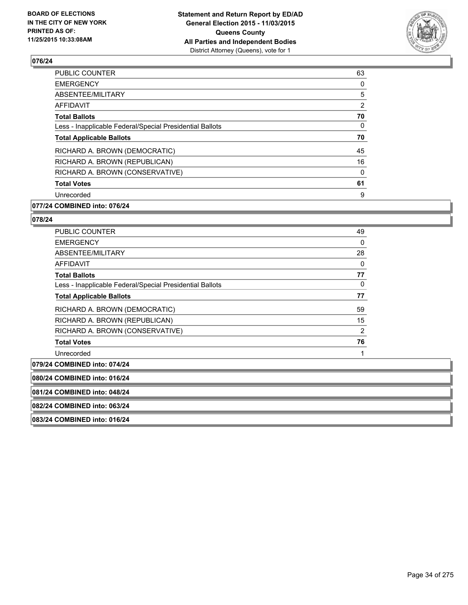

| <b>PUBLIC COUNTER</b>                                    | 63 |
|----------------------------------------------------------|----|
| <b>EMERGENCY</b>                                         | 0  |
| ABSENTEE/MILITARY                                        | 5  |
| AFFIDAVIT                                                | 2  |
| <b>Total Ballots</b>                                     | 70 |
| Less - Inapplicable Federal/Special Presidential Ballots | 0  |
| <b>Total Applicable Ballots</b>                          | 70 |
| RICHARD A. BROWN (DEMOCRATIC)                            | 45 |
| RICHARD A. BROWN (REPUBLICAN)                            | 16 |
| RICHARD A. BROWN (CONSERVATIVE)                          | 0  |
| <b>Total Votes</b>                                       | 61 |
| Unrecorded                                               | 9  |
|                                                          |    |

### **077/24 COMBINED into: 076/24**

| <b>PUBLIC COUNTER</b>                                    | 49 |
|----------------------------------------------------------|----|
| <b>EMERGENCY</b>                                         | 0  |
| ABSENTEE/MILITARY                                        | 28 |
| <b>AFFIDAVIT</b>                                         | 0  |
| <b>Total Ballots</b>                                     | 77 |
| Less - Inapplicable Federal/Special Presidential Ballots | 0  |
| <b>Total Applicable Ballots</b>                          | 77 |
| RICHARD A. BROWN (DEMOCRATIC)                            | 59 |
| RICHARD A. BROWN (REPUBLICAN)                            | 15 |
| RICHARD A. BROWN (CONSERVATIVE)                          | 2  |
| <b>Total Votes</b>                                       | 76 |
| Unrecorded                                               | 1  |
| COMRINED into: 074/24                                    |    |

| 083/24 COMBINED into: 016/24 |  |
|------------------------------|--|
| 082/24 COMBINED into: 063/24 |  |
| 081/24 COMBINED into: 048/24 |  |
| 080/24 COMBINED into: 016/24 |  |
| 079/24 COMBINED into: 074/24 |  |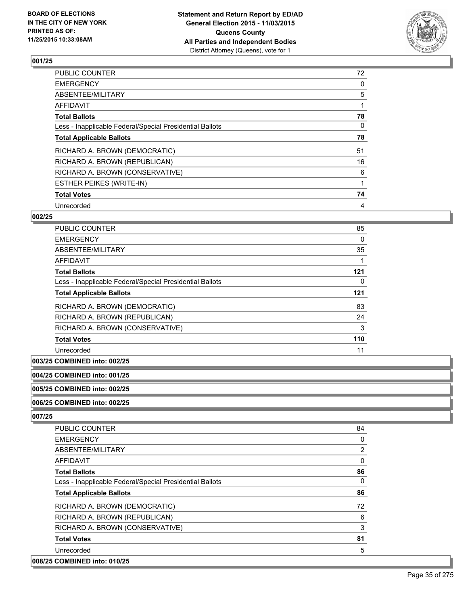

| <b>PUBLIC COUNTER</b>                                    | 72 |
|----------------------------------------------------------|----|
| <b>EMERGENCY</b>                                         | 0  |
| ABSENTEE/MILITARY                                        | 5  |
| AFFIDAVIT                                                |    |
| <b>Total Ballots</b>                                     | 78 |
| Less - Inapplicable Federal/Special Presidential Ballots | 0  |
| <b>Total Applicable Ballots</b>                          | 78 |
| RICHARD A. BROWN (DEMOCRATIC)                            | 51 |
| RICHARD A. BROWN (REPUBLICAN)                            | 16 |
| RICHARD A. BROWN (CONSERVATIVE)                          | 6  |
| <b>ESTHER PEIKES (WRITE-IN)</b>                          |    |
| <b>Total Votes</b>                                       | 74 |
| Unrecorded                                               | 4  |

### **002/25**

| PUBLIC COUNTER                                           | 85  |
|----------------------------------------------------------|-----|
| <b>EMERGENCY</b>                                         | 0   |
| ABSENTEE/MILITARY                                        | 35  |
| AFFIDAVIT                                                |     |
| <b>Total Ballots</b>                                     | 121 |
| Less - Inapplicable Federal/Special Presidential Ballots | 0   |
| <b>Total Applicable Ballots</b>                          | 121 |
| RICHARD A. BROWN (DEMOCRATIC)                            | 83  |
| RICHARD A. BROWN (REPUBLICAN)                            | 24  |
| RICHARD A. BROWN (CONSERVATIVE)                          | 3   |
| <b>Total Votes</b>                                       | 110 |
| Unrecorded                                               | 11  |

# **003/25 COMBINED into: 002/25**

### **004/25 COMBINED into: 001/25**

**005/25 COMBINED into: 002/25**

### **006/25 COMBINED into: 002/25**

| <b>PUBLIC COUNTER</b>                                    | 84             |
|----------------------------------------------------------|----------------|
| <b>EMERGENCY</b>                                         | 0              |
| ABSENTEE/MILITARY                                        | $\overline{2}$ |
| <b>AFFIDAVIT</b>                                         | 0              |
| <b>Total Ballots</b>                                     | 86             |
| Less - Inapplicable Federal/Special Presidential Ballots | $\Omega$       |
| <b>Total Applicable Ballots</b>                          | 86             |
| RICHARD A. BROWN (DEMOCRATIC)                            | 72             |
| RICHARD A. BROWN (REPUBLICAN)                            | 6              |
| RICHARD A. BROWN (CONSERVATIVE)                          | 3              |
| <b>Total Votes</b>                                       | 81             |
| Unrecorded                                               | 5              |
| 008/25 COMBINED into: 010/25                             |                |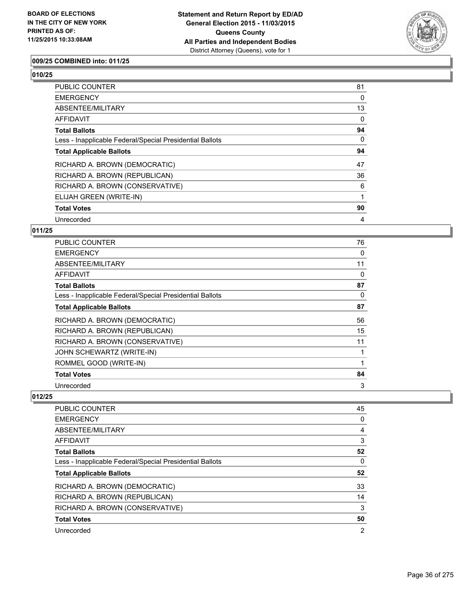

### **009/25 COMBINED into: 011/25**

### **010/25**

| PUBLIC COUNTER                                           | 81       |
|----------------------------------------------------------|----------|
| <b>EMERGENCY</b>                                         | $\Omega$ |
| ABSENTEE/MILITARY                                        | 13       |
| <b>AFFIDAVIT</b>                                         | 0        |
| <b>Total Ballots</b>                                     | 94       |
| Less - Inapplicable Federal/Special Presidential Ballots | $\Omega$ |
| <b>Total Applicable Ballots</b>                          | 94       |
| RICHARD A. BROWN (DEMOCRATIC)                            | 47       |
| RICHARD A. BROWN (REPUBLICAN)                            | 36       |
| RICHARD A. BROWN (CONSERVATIVE)                          | 6        |
| ELIJAH GREEN (WRITE-IN)                                  |          |
| <b>Total Votes</b>                                       | 90       |
| Unrecorded                                               | 4        |

#### **011/25**

| <b>PUBLIC COUNTER</b>                                    | 76 |
|----------------------------------------------------------|----|
| <b>EMERGENCY</b>                                         | 0  |
| ABSENTEE/MILITARY                                        | 11 |
| <b>AFFIDAVIT</b>                                         | 0  |
| <b>Total Ballots</b>                                     | 87 |
| Less - Inapplicable Federal/Special Presidential Ballots | 0  |
| <b>Total Applicable Ballots</b>                          | 87 |
| RICHARD A. BROWN (DEMOCRATIC)                            | 56 |
| RICHARD A. BROWN (REPUBLICAN)                            | 15 |
| RICHARD A. BROWN (CONSERVATIVE)                          | 11 |
| JOHN SCHEWARTZ (WRITE-IN)                                |    |
| ROMMEL GOOD (WRITE-IN)                                   |    |
| <b>Total Votes</b>                                       | 84 |
| Unrecorded                                               | 3  |

| <b>PUBLIC COUNTER</b>                                    | 45 |
|----------------------------------------------------------|----|
| <b>EMERGENCY</b>                                         | 0  |
| ABSENTEE/MILITARY                                        | 4  |
| <b>AFFIDAVIT</b>                                         | 3  |
| <b>Total Ballots</b>                                     | 52 |
| Less - Inapplicable Federal/Special Presidential Ballots | 0  |
| <b>Total Applicable Ballots</b>                          | 52 |
| RICHARD A. BROWN (DEMOCRATIC)                            | 33 |
| RICHARD A. BROWN (REPUBLICAN)                            | 14 |
| RICHARD A. BROWN (CONSERVATIVE)                          | 3  |
| <b>Total Votes</b>                                       | 50 |
| Unrecorded                                               | 2  |
|                                                          |    |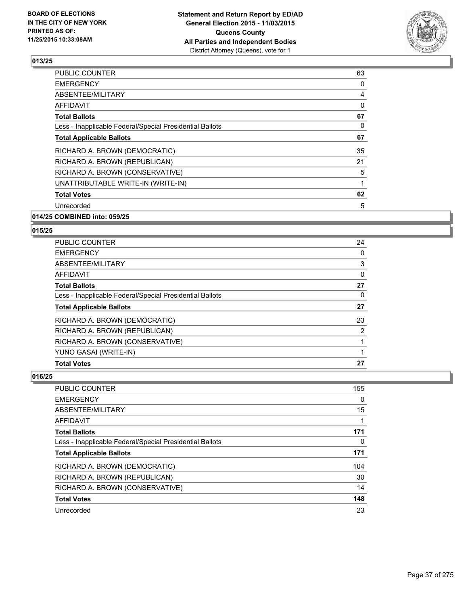

| <b>PUBLIC COUNTER</b>                                    | 63 |
|----------------------------------------------------------|----|
| <b>EMERGENCY</b>                                         | 0  |
| ABSENTEE/MILITARY                                        | 4  |
| AFFIDAVIT                                                | 0  |
| <b>Total Ballots</b>                                     | 67 |
| Less - Inapplicable Federal/Special Presidential Ballots | 0  |
| <b>Total Applicable Ballots</b>                          | 67 |
| RICHARD A. BROWN (DEMOCRATIC)                            | 35 |
| RICHARD A. BROWN (REPUBLICAN)                            | 21 |
| RICHARD A. BROWN (CONSERVATIVE)                          | 5  |
| UNATTRIBUTABLE WRITE-IN (WRITE-IN)                       |    |
| <b>Total Votes</b>                                       | 62 |
| Unrecorded                                               | 5  |
|                                                          |    |

### **014/25 COMBINED into: 059/25**

### **015/25**

| <b>PUBLIC COUNTER</b>                                    | 24                    |
|----------------------------------------------------------|-----------------------|
| <b>EMERGENCY</b>                                         | 0                     |
| ABSENTEE/MILITARY                                        | 3                     |
| AFFIDAVIT                                                | 0                     |
| <b>Total Ballots</b>                                     | 27                    |
| Less - Inapplicable Federal/Special Presidential Ballots | 0                     |
| <b>Total Applicable Ballots</b>                          | 27                    |
| RICHARD A. BROWN (DEMOCRATIC)                            | 23                    |
| RICHARD A. BROWN (REPUBLICAN)                            | $\mathbf{2}^{\prime}$ |
| RICHARD A. BROWN (CONSERVATIVE)                          |                       |
| YUNO GASAI (WRITE-IN)                                    |                       |
| <b>Total Votes</b>                                       | 27                    |

| <b>PUBLIC COUNTER</b>                                    | 155 |
|----------------------------------------------------------|-----|
| <b>EMERGENCY</b>                                         | 0   |
| ABSENTEE/MILITARY                                        | 15  |
| <b>AFFIDAVIT</b>                                         |     |
| <b>Total Ballots</b>                                     | 171 |
| Less - Inapplicable Federal/Special Presidential Ballots | 0   |
| <b>Total Applicable Ballots</b>                          | 171 |
| RICHARD A. BROWN (DEMOCRATIC)                            | 104 |
| RICHARD A. BROWN (REPUBLICAN)                            | 30  |
| RICHARD A. BROWN (CONSERVATIVE)                          | 14  |
| <b>Total Votes</b>                                       | 148 |
| Unrecorded                                               | 23  |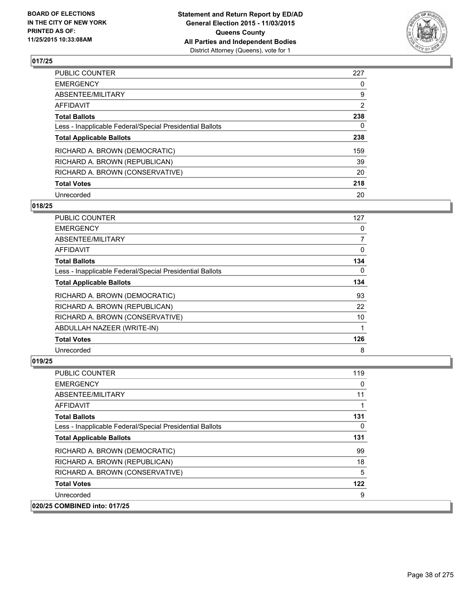

| PUBLIC COUNTER                                           | 227            |
|----------------------------------------------------------|----------------|
| <b>EMERGENCY</b>                                         | 0              |
| ABSENTEE/MILITARY                                        | 9              |
| AFFIDAVIT                                                | $\overline{2}$ |
| <b>Total Ballots</b>                                     | 238            |
| Less - Inapplicable Federal/Special Presidential Ballots | 0              |
| <b>Total Applicable Ballots</b>                          | 238            |
| RICHARD A. BROWN (DEMOCRATIC)                            | 159            |
| RICHARD A. BROWN (REPUBLICAN)                            | 39             |
| RICHARD A. BROWN (CONSERVATIVE)                          | 20             |
| <b>Total Votes</b>                                       | 218            |
| Unrecorded                                               | 20             |

#### **018/25**

| <b>PUBLIC COUNTER</b>                                    | 127 |
|----------------------------------------------------------|-----|
| <b>EMERGENCY</b>                                         | 0   |
| ABSENTEE/MILITARY                                        | 7   |
| <b>AFFIDAVIT</b>                                         | 0   |
| <b>Total Ballots</b>                                     | 134 |
| Less - Inapplicable Federal/Special Presidential Ballots | 0   |
| <b>Total Applicable Ballots</b>                          | 134 |
| RICHARD A. BROWN (DEMOCRATIC)                            | 93  |
| RICHARD A. BROWN (REPUBLICAN)                            | 22  |
| RICHARD A. BROWN (CONSERVATIVE)                          | 10  |
| ABDULLAH NAZEER (WRITE-IN)                               |     |
| <b>Total Votes</b>                                       | 126 |
| Unrecorded                                               | 8   |

| <b>PUBLIC COUNTER</b>                                    | 119 |
|----------------------------------------------------------|-----|
| <b>EMERGENCY</b>                                         | 0   |
| ABSENTEE/MILITARY                                        | 11  |
| AFFIDAVIT                                                | 1   |
| <b>Total Ballots</b>                                     | 131 |
| Less - Inapplicable Federal/Special Presidential Ballots | 0   |
| <b>Total Applicable Ballots</b>                          | 131 |
| RICHARD A. BROWN (DEMOCRATIC)                            | 99  |
| RICHARD A. BROWN (REPUBLICAN)                            | 18  |
| RICHARD A. BROWN (CONSERVATIVE)                          | 5   |
| <b>Total Votes</b>                                       | 122 |
| Unrecorded                                               | 9   |
| 020/25 COMBINED into: 017/25                             |     |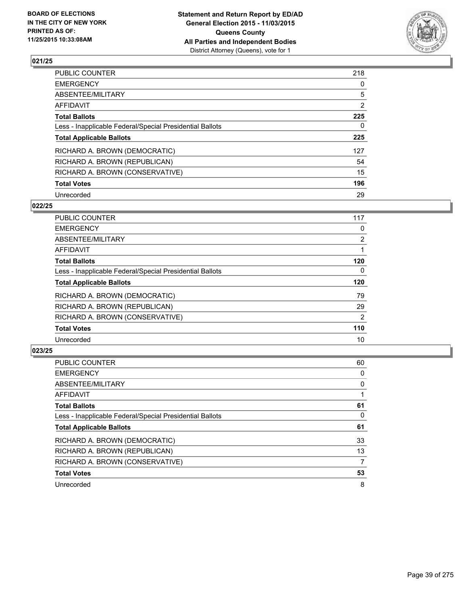

| PUBLIC COUNTER                                           | 218            |
|----------------------------------------------------------|----------------|
| <b>EMERGENCY</b>                                         | 0              |
| ABSENTEE/MILITARY                                        | 5              |
| <b>AFFIDAVIT</b>                                         | $\overline{2}$ |
| <b>Total Ballots</b>                                     | 225            |
| Less - Inapplicable Federal/Special Presidential Ballots | 0              |
| <b>Total Applicable Ballots</b>                          | 225            |
| RICHARD A. BROWN (DEMOCRATIC)                            | 127            |
| RICHARD A. BROWN (REPUBLICAN)                            | 54             |
| RICHARD A. BROWN (CONSERVATIVE)                          | 15             |
| <b>Total Votes</b>                                       | 196            |
| Unrecorded                                               | 29             |

#### **022/25**

| <b>PUBLIC COUNTER</b>                                    | 117            |
|----------------------------------------------------------|----------------|
| <b>EMERGENCY</b>                                         | 0              |
| ABSENTEE/MILITARY                                        | $\overline{2}$ |
| <b>AFFIDAVIT</b>                                         |                |
| <b>Total Ballots</b>                                     | 120            |
| Less - Inapplicable Federal/Special Presidential Ballots | 0              |
| <b>Total Applicable Ballots</b>                          | 120            |
| RICHARD A. BROWN (DEMOCRATIC)                            | 79             |
| RICHARD A. BROWN (REPUBLICAN)                            | 29             |
| RICHARD A. BROWN (CONSERVATIVE)                          | $\overline{2}$ |
| <b>Total Votes</b>                                       | 110            |
| Unrecorded                                               | 10             |
|                                                          |                |

| PUBLIC COUNTER                                           | 60 |
|----------------------------------------------------------|----|
| <b>EMERGENCY</b>                                         | 0  |
| ABSENTEE/MILITARY                                        | 0  |
| AFFIDAVIT                                                |    |
| <b>Total Ballots</b>                                     | 61 |
| Less - Inapplicable Federal/Special Presidential Ballots | 0  |
| <b>Total Applicable Ballots</b>                          | 61 |
| RICHARD A. BROWN (DEMOCRATIC)                            | 33 |
| RICHARD A. BROWN (REPUBLICAN)                            | 13 |
| RICHARD A. BROWN (CONSERVATIVE)                          | 7  |
| <b>Total Votes</b>                                       | 53 |
| Unrecorded                                               | 8  |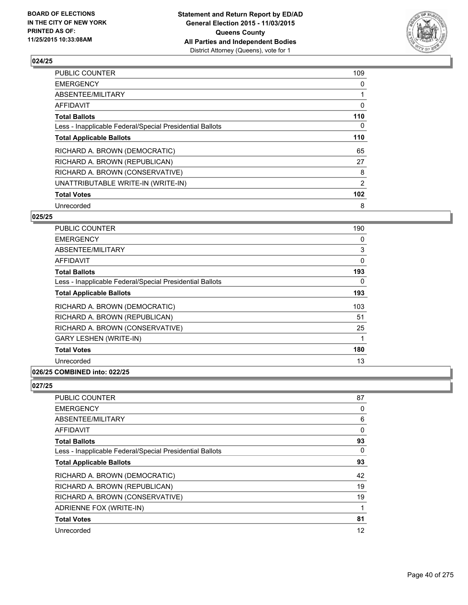

| <b>PUBLIC COUNTER</b>                                    | 109            |
|----------------------------------------------------------|----------------|
| <b>EMERGENCY</b>                                         | 0              |
| ABSENTEE/MILITARY                                        |                |
| AFFIDAVIT                                                | 0              |
| <b>Total Ballots</b>                                     | 110            |
| Less - Inapplicable Federal/Special Presidential Ballots | 0              |
| <b>Total Applicable Ballots</b>                          | 110            |
| RICHARD A. BROWN (DEMOCRATIC)                            | 65             |
| RICHARD A. BROWN (REPUBLICAN)                            | 27             |
| RICHARD A. BROWN (CONSERVATIVE)                          | 8              |
| UNATTRIBUTABLE WRITE-IN (WRITE-IN)                       | $\overline{2}$ |
| <b>Total Votes</b>                                       | 102            |
| Unrecorded                                               | 8              |

### **025/25**

| PUBLIC COUNTER                                           | 190 |
|----------------------------------------------------------|-----|
| <b>EMERGENCY</b>                                         | 0   |
| ABSENTEE/MILITARY                                        | 3   |
| <b>AFFIDAVIT</b>                                         | 0   |
| <b>Total Ballots</b>                                     | 193 |
| Less - Inapplicable Federal/Special Presidential Ballots | 0   |
| <b>Total Applicable Ballots</b>                          | 193 |
| RICHARD A. BROWN (DEMOCRATIC)                            | 103 |
| RICHARD A. BROWN (REPUBLICAN)                            | 51  |
| RICHARD A. BROWN (CONSERVATIVE)                          | 25  |
| <b>GARY LESHEN (WRITE-IN)</b>                            | 1   |
| <b>Total Votes</b>                                       | 180 |
| Unrecorded                                               | 13  |
|                                                          |     |

### **026/25 COMBINED into: 022/25**

| <b>PUBLIC COUNTER</b>                                    | 87 |
|----------------------------------------------------------|----|
| <b>EMERGENCY</b>                                         | 0  |
| ABSENTEE/MILITARY                                        | 6  |
| AFFIDAVIT                                                | 0  |
| <b>Total Ballots</b>                                     | 93 |
| Less - Inapplicable Federal/Special Presidential Ballots | 0  |
| <b>Total Applicable Ballots</b>                          | 93 |
| RICHARD A. BROWN (DEMOCRATIC)                            | 42 |
| RICHARD A. BROWN (REPUBLICAN)                            | 19 |
| RICHARD A. BROWN (CONSERVATIVE)                          | 19 |
| ADRIENNE FOX (WRITE-IN)                                  | 1  |
| <b>Total Votes</b>                                       | 81 |
| Unrecorded                                               | 12 |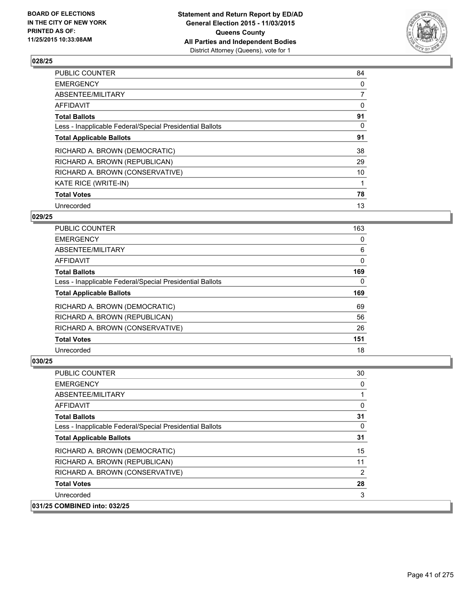

| <b>PUBLIC COUNTER</b>                                    | 84 |
|----------------------------------------------------------|----|
| <b>EMERGENCY</b>                                         | 0  |
| ABSENTEE/MILITARY                                        | 7  |
| AFFIDAVIT                                                | 0  |
| <b>Total Ballots</b>                                     | 91 |
| Less - Inapplicable Federal/Special Presidential Ballots | 0  |
| <b>Total Applicable Ballots</b>                          | 91 |
| RICHARD A. BROWN (DEMOCRATIC)                            | 38 |
| RICHARD A. BROWN (REPUBLICAN)                            | 29 |
| RICHARD A. BROWN (CONSERVATIVE)                          | 10 |
| KATE RICE (WRITE-IN)                                     |    |
| <b>Total Votes</b>                                       | 78 |
| Unrecorded                                               | 13 |

### **029/25**

| <b>PUBLIC COUNTER</b>                                    | 163 |
|----------------------------------------------------------|-----|
| <b>EMERGENCY</b>                                         | 0   |
| ABSENTEE/MILITARY                                        | 6   |
| AFFIDAVIT                                                | 0   |
| <b>Total Ballots</b>                                     | 169 |
| Less - Inapplicable Federal/Special Presidential Ballots | 0   |
| <b>Total Applicable Ballots</b>                          | 169 |
| RICHARD A. BROWN (DEMOCRATIC)                            | 69  |
| RICHARD A. BROWN (REPUBLICAN)                            | 56  |
| RICHARD A. BROWN (CONSERVATIVE)                          | 26  |
| <b>Total Votes</b>                                       | 151 |
| Unrecorded                                               | 18  |

| <b>PUBLIC COUNTER</b>                                    | 30 |
|----------------------------------------------------------|----|
| <b>EMERGENCY</b>                                         | 0  |
| ABSENTEE/MILITARY                                        |    |
| AFFIDAVIT                                                | 0  |
| <b>Total Ballots</b>                                     | 31 |
| Less - Inapplicable Federal/Special Presidential Ballots | 0  |
| <b>Total Applicable Ballots</b>                          | 31 |
| RICHARD A. BROWN (DEMOCRATIC)                            | 15 |
| RICHARD A. BROWN (REPUBLICAN)                            | 11 |
| RICHARD A. BROWN (CONSERVATIVE)                          | 2  |
| <b>Total Votes</b>                                       | 28 |
| Unrecorded                                               | 3  |
| 031/25 COMBINED into: 032/25                             |    |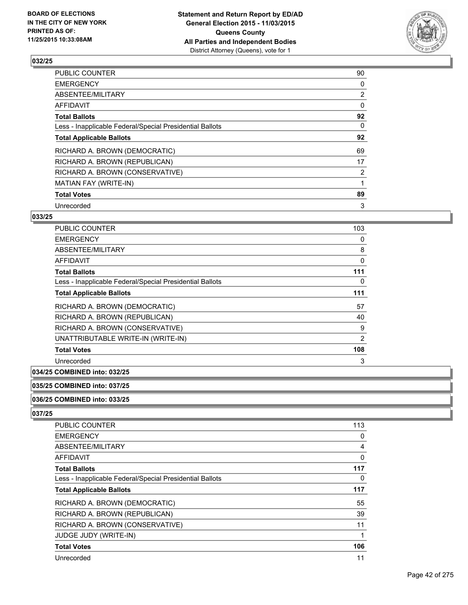

| <b>PUBLIC COUNTER</b>                                    | 90             |
|----------------------------------------------------------|----------------|
| <b>EMERGENCY</b>                                         | 0              |
| ABSENTEE/MILITARY                                        | $\overline{2}$ |
| <b>AFFIDAVIT</b>                                         | 0              |
| <b>Total Ballots</b>                                     | 92             |
| Less - Inapplicable Federal/Special Presidential Ballots | 0              |
| <b>Total Applicable Ballots</b>                          | 92             |
| RICHARD A. BROWN (DEMOCRATIC)                            | 69             |
| RICHARD A. BROWN (REPUBLICAN)                            | 17             |
| RICHARD A. BROWN (CONSERVATIVE)                          | $\overline{2}$ |
| MATIAN FAY (WRITE-IN)                                    |                |
| <b>Total Votes</b>                                       | 89             |
| Unrecorded                                               | 3              |

### **033/25**

| <b>PUBLIC COUNTER</b>                                    | 103 |
|----------------------------------------------------------|-----|
| <b>EMERGENCY</b>                                         | 0   |
| ABSENTEE/MILITARY                                        | 8   |
| AFFIDAVIT                                                | 0   |
| <b>Total Ballots</b>                                     | 111 |
| Less - Inapplicable Federal/Special Presidential Ballots | 0   |
| <b>Total Applicable Ballots</b>                          | 111 |
| RICHARD A. BROWN (DEMOCRATIC)                            | 57  |
| RICHARD A. BROWN (REPUBLICAN)                            | 40  |
| RICHARD A. BROWN (CONSERVATIVE)                          | 9   |
| UNATTRIBUTABLE WRITE-IN (WRITE-IN)                       | 2   |
| <b>Total Votes</b>                                       | 108 |
| Unrecorded                                               | 3   |

### **034/25 COMBINED into: 032/25**

#### **035/25 COMBINED into: 037/25**

#### **036/25 COMBINED into: 033/25**

| <b>PUBLIC COUNTER</b>                                    | 113 |
|----------------------------------------------------------|-----|
| <b>EMERGENCY</b>                                         | 0   |
| ABSENTEE/MILITARY                                        | 4   |
| AFFIDAVIT                                                | 0   |
| <b>Total Ballots</b>                                     | 117 |
| Less - Inapplicable Federal/Special Presidential Ballots | 0   |
| <b>Total Applicable Ballots</b>                          | 117 |
| RICHARD A. BROWN (DEMOCRATIC)                            | 55  |
| RICHARD A. BROWN (REPUBLICAN)                            | 39  |
| RICHARD A. BROWN (CONSERVATIVE)                          | 11  |
| <b>JUDGE JUDY (WRITE-IN)</b>                             |     |
| <b>Total Votes</b>                                       | 106 |
| Unrecorded                                               | 11  |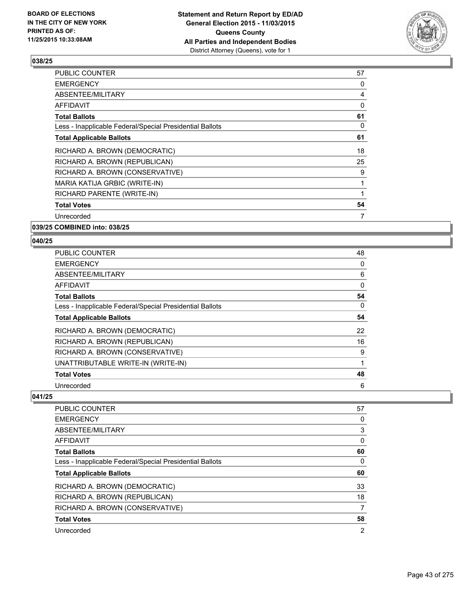

| <b>PUBLIC COUNTER</b>                                    | 57 |
|----------------------------------------------------------|----|
| <b>EMERGENCY</b>                                         | 0  |
| ABSENTEE/MILITARY                                        | 4  |
| AFFIDAVIT                                                | 0  |
| <b>Total Ballots</b>                                     | 61 |
| Less - Inapplicable Federal/Special Presidential Ballots | 0  |
| <b>Total Applicable Ballots</b>                          | 61 |
| RICHARD A. BROWN (DEMOCRATIC)                            | 18 |
| RICHARD A. BROWN (REPUBLICAN)                            | 25 |
| RICHARD A. BROWN (CONSERVATIVE)                          | 9  |
| MARIA KATIJA GRBIC (WRITE-IN)                            | 1  |
| RICHARD PARENTE (WRITE-IN)                               |    |
| <b>Total Votes</b>                                       | 54 |
| Unrecorded                                               | 7  |
|                                                          |    |

**039/25 COMBINED into: 038/25**

#### **040/25**

| <b>PUBLIC COUNTER</b>                                    | 48 |
|----------------------------------------------------------|----|
| <b>EMERGENCY</b>                                         | 0  |
| ABSENTEE/MILITARY                                        | 6  |
| AFFIDAVIT                                                | 0  |
| <b>Total Ballots</b>                                     | 54 |
| Less - Inapplicable Federal/Special Presidential Ballots | 0  |
| <b>Total Applicable Ballots</b>                          | 54 |
| RICHARD A. BROWN (DEMOCRATIC)                            | 22 |
| RICHARD A. BROWN (REPUBLICAN)                            | 16 |
| RICHARD A. BROWN (CONSERVATIVE)                          | 9  |
| UNATTRIBUTABLE WRITE-IN (WRITE-IN)                       | 1  |
| <b>Total Votes</b>                                       | 48 |
| Unrecorded                                               | 6  |

| <b>PUBLIC COUNTER</b>                                    | 57 |
|----------------------------------------------------------|----|
| <b>EMERGENCY</b>                                         | 0  |
| ABSENTEE/MILITARY                                        | 3  |
| <b>AFFIDAVIT</b>                                         | 0  |
| <b>Total Ballots</b>                                     | 60 |
| Less - Inapplicable Federal/Special Presidential Ballots | 0  |
| <b>Total Applicable Ballots</b>                          | 60 |
| RICHARD A. BROWN (DEMOCRATIC)                            | 33 |
| RICHARD A. BROWN (REPUBLICAN)                            | 18 |
| RICHARD A. BROWN (CONSERVATIVE)                          | 7  |
| <b>Total Votes</b>                                       | 58 |
| Unrecorded                                               | 2  |
|                                                          |    |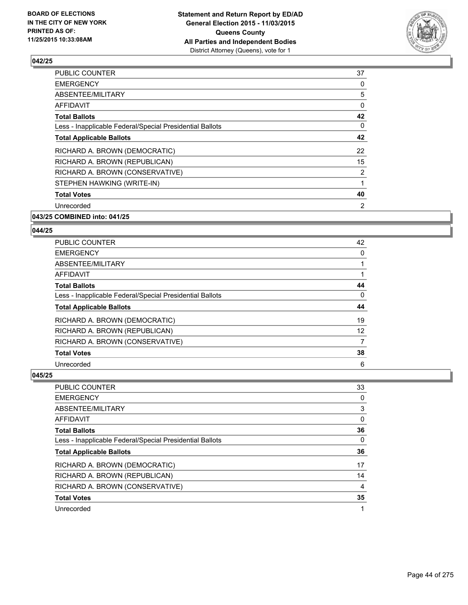

| <b>PUBLIC COUNTER</b>                                    | 37             |
|----------------------------------------------------------|----------------|
| <b>EMERGENCY</b>                                         | 0              |
| ABSENTEE/MILITARY                                        | 5              |
| AFFIDAVIT                                                | 0              |
| <b>Total Ballots</b>                                     | 42             |
| Less - Inapplicable Federal/Special Presidential Ballots | 0              |
| <b>Total Applicable Ballots</b>                          | 42             |
| RICHARD A. BROWN (DEMOCRATIC)                            | 22             |
| RICHARD A. BROWN (REPUBLICAN)                            | 15             |
| RICHARD A. BROWN (CONSERVATIVE)                          | $\overline{2}$ |
| STEPHEN HAWKING (WRITE-IN)                               | 1              |
| <b>Total Votes</b>                                       | 40             |
| Unrecorded                                               | 2              |
| 043/25 COMBINED into: 041/25                             |                |

# **044/25**

| 25                                                       |    |
|----------------------------------------------------------|----|
| <b>PUBLIC COUNTER</b>                                    | 42 |
| <b>EMERGENCY</b>                                         |    |
| ABSENTEE/MILITARY                                        |    |
| AFFIDAVIT                                                |    |
| <b>Total Ballots</b>                                     | 44 |
| Less - Inapplicable Federal/Special Presidential Ballots | 0  |
| <b>Total Applicable Ballots</b>                          | 44 |
| RICHARD A. BROWN (DEMOCRATIC)                            | 19 |
| RICHARD A. BROWN (REPUBLICAN)                            | 12 |
| RICHARD A. BROWN (CONSERVATIVE)                          |    |
| <b>Total Votes</b>                                       | 38 |
| Unrecorded                                               | 6  |

| <b>PUBLIC COUNTER</b>                                    | 33 |
|----------------------------------------------------------|----|
| <b>EMERGENCY</b>                                         | 0  |
| ABSENTEE/MILITARY                                        | 3  |
| AFFIDAVIT                                                | 0  |
| <b>Total Ballots</b>                                     | 36 |
| Less - Inapplicable Federal/Special Presidential Ballots | 0  |
| <b>Total Applicable Ballots</b>                          | 36 |
|                                                          |    |
| RICHARD A. BROWN (DEMOCRATIC)                            | 17 |
| RICHARD A. BROWN (REPUBLICAN)                            | 14 |
| RICHARD A. BROWN (CONSERVATIVE)                          | 4  |
| <b>Total Votes</b>                                       | 35 |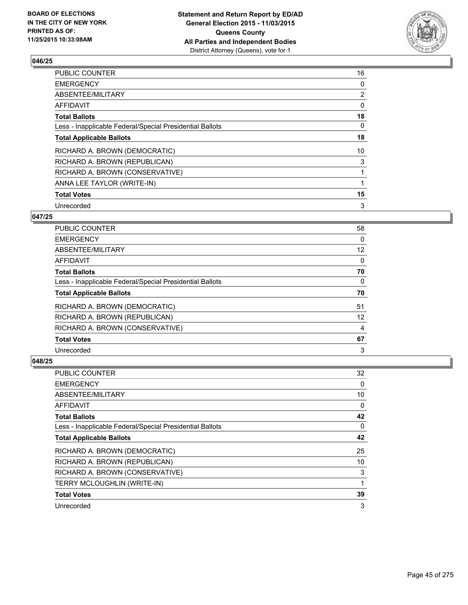

| PUBLIC COUNTER                                           | 16             |
|----------------------------------------------------------|----------------|
| <b>EMERGENCY</b>                                         | 0              |
| ABSENTEE/MILITARY                                        | $\overline{2}$ |
| AFFIDAVIT                                                | 0              |
| <b>Total Ballots</b>                                     | 18             |
| Less - Inapplicable Federal/Special Presidential Ballots | 0              |
| <b>Total Applicable Ballots</b>                          | 18             |
| RICHARD A. BROWN (DEMOCRATIC)                            | 10             |
| RICHARD A. BROWN (REPUBLICAN)                            | 3              |
| RICHARD A. BROWN (CONSERVATIVE)                          |                |
| ANNA LEE TAYLOR (WRITE-IN)                               |                |
| <b>Total Votes</b>                                       | 15             |
| Unrecorded                                               | 3              |

#### **047/25**

| PUBLIC COUNTER                                           | 58 |
|----------------------------------------------------------|----|
| <b>EMERGENCY</b>                                         | 0  |
| ABSENTEE/MILITARY                                        | 12 |
| AFFIDAVIT                                                | 0  |
| <b>Total Ballots</b>                                     | 70 |
| Less - Inapplicable Federal/Special Presidential Ballots | 0  |
| <b>Total Applicable Ballots</b>                          | 70 |
| RICHARD A. BROWN (DEMOCRATIC)                            | 51 |
| RICHARD A. BROWN (REPUBLICAN)                            | 12 |
| RICHARD A. BROWN (CONSERVATIVE)                          | 4  |
| <b>Total Votes</b>                                       | 67 |
| Unrecorded                                               | 3  |

| <b>PUBLIC COUNTER</b>                                    | 32 |
|----------------------------------------------------------|----|
| <b>EMERGENCY</b>                                         | 0  |
| ABSENTEE/MILITARY                                        | 10 |
| AFFIDAVIT                                                | 0  |
| <b>Total Ballots</b>                                     | 42 |
| Less - Inapplicable Federal/Special Presidential Ballots | 0  |
| <b>Total Applicable Ballots</b>                          | 42 |
| RICHARD A. BROWN (DEMOCRATIC)                            | 25 |
| RICHARD A. BROWN (REPUBLICAN)                            | 10 |
| RICHARD A. BROWN (CONSERVATIVE)                          | 3  |
| TERRY MCLOUGHLIN (WRITE-IN)                              |    |
| <b>Total Votes</b>                                       | 39 |
| Unrecorded                                               | 3  |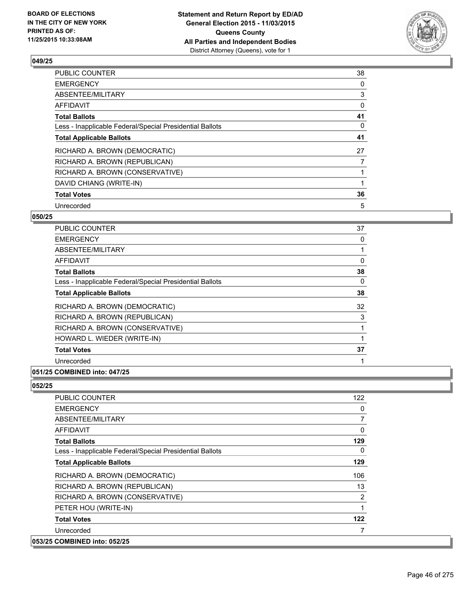

| <b>PUBLIC COUNTER</b>                                    | 38 |
|----------------------------------------------------------|----|
| <b>EMERGENCY</b>                                         | 0  |
| ABSENTEE/MILITARY                                        | 3  |
| AFFIDAVIT                                                | 0  |
| <b>Total Ballots</b>                                     | 41 |
| Less - Inapplicable Federal/Special Presidential Ballots | 0  |
| <b>Total Applicable Ballots</b>                          | 41 |
| RICHARD A. BROWN (DEMOCRATIC)                            | 27 |
| RICHARD A. BROWN (REPUBLICAN)                            | 7  |
| RICHARD A. BROWN (CONSERVATIVE)                          |    |
| DAVID CHIANG (WRITE-IN)                                  |    |
| <b>Total Votes</b>                                       | 36 |
| Unrecorded                                               | 5  |

### **050/25**

| PUBLIC COUNTER                                           | 37 |
|----------------------------------------------------------|----|
| <b>EMERGENCY</b>                                         | 0  |
| ABSENTEE/MILITARY                                        |    |
| AFFIDAVIT                                                | 0  |
| <b>Total Ballots</b>                                     | 38 |
| Less - Inapplicable Federal/Special Presidential Ballots | 0  |
| <b>Total Applicable Ballots</b>                          | 38 |
| RICHARD A. BROWN (DEMOCRATIC)                            | 32 |
| RICHARD A. BROWN (REPUBLICAN)                            | 3  |
| RICHARD A. BROWN (CONSERVATIVE)                          |    |
| HOWARD L. WIEDER (WRITE-IN)                              |    |
| <b>Total Votes</b>                                       | 37 |
| Unrecorded                                               |    |
|                                                          |    |

### **051/25 COMBINED into: 047/25**

| <b>PUBLIC COUNTER</b>                                    | 122 |
|----------------------------------------------------------|-----|
| <b>EMERGENCY</b>                                         | 0   |
| ABSENTEE/MILITARY                                        | 7   |
| AFFIDAVIT                                                | 0   |
| <b>Total Ballots</b>                                     | 129 |
| Less - Inapplicable Federal/Special Presidential Ballots | 0   |
| <b>Total Applicable Ballots</b>                          | 129 |
| RICHARD A. BROWN (DEMOCRATIC)                            | 106 |
| RICHARD A. BROWN (REPUBLICAN)                            | 13  |
| RICHARD A. BROWN (CONSERVATIVE)                          | 2   |
| PETER HOU (WRITE-IN)                                     | 1   |
| <b>Total Votes</b>                                       | 122 |
| Unrecorded                                               | 7   |
| 053/25 COMBINED into: 052/25                             |     |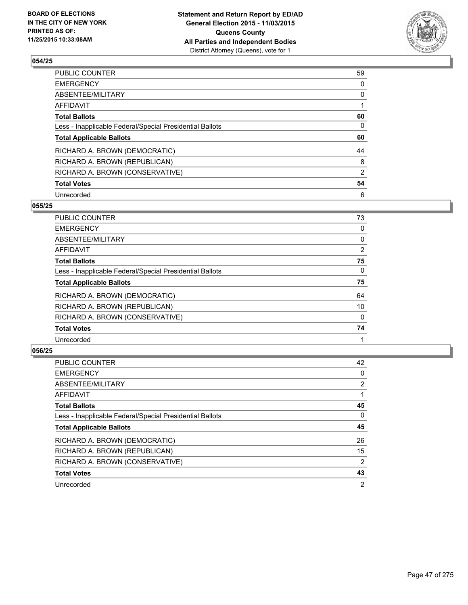

| PUBLIC COUNTER                                           | 59             |
|----------------------------------------------------------|----------------|
| <b>EMERGENCY</b>                                         | 0              |
| ABSENTEE/MILITARY                                        | 0              |
| AFFIDAVIT                                                |                |
| <b>Total Ballots</b>                                     | 60             |
| Less - Inapplicable Federal/Special Presidential Ballots | 0              |
| <b>Total Applicable Ballots</b>                          | 60             |
| RICHARD A. BROWN (DEMOCRATIC)                            | 44             |
| RICHARD A. BROWN (REPUBLICAN)                            | 8              |
| RICHARD A. BROWN (CONSERVATIVE)                          | $\overline{2}$ |
| <b>Total Votes</b>                                       | 54             |
| Unrecorded                                               | 6              |

#### **055/25**

| <b>PUBLIC COUNTER</b>                                    | 73       |
|----------------------------------------------------------|----------|
| <b>EMERGENCY</b>                                         | 0        |
| ABSENTEE/MILITARY                                        | 0        |
| <b>AFFIDAVIT</b>                                         | 2        |
| <b>Total Ballots</b>                                     | 75       |
| Less - Inapplicable Federal/Special Presidential Ballots | 0        |
| <b>Total Applicable Ballots</b>                          | 75       |
| RICHARD A. BROWN (DEMOCRATIC)                            | 64       |
| RICHARD A. BROWN (REPUBLICAN)                            | 10       |
| RICHARD A. BROWN (CONSERVATIVE)                          | $\Omega$ |
| <b>Total Votes</b>                                       | 74       |
| Unrecorded                                               |          |
|                                                          |          |

| PUBLIC COUNTER                                           | 42             |
|----------------------------------------------------------|----------------|
| <b>EMERGENCY</b>                                         | 0              |
| ABSENTEE/MILITARY                                        | $\overline{2}$ |
| <b>AFFIDAVIT</b>                                         |                |
| <b>Total Ballots</b>                                     | 45             |
| Less - Inapplicable Federal/Special Presidential Ballots | 0              |
| <b>Total Applicable Ballots</b>                          | 45             |
| RICHARD A. BROWN (DEMOCRATIC)                            | 26             |
| RICHARD A. BROWN (REPUBLICAN)                            | 15             |
| RICHARD A. BROWN (CONSERVATIVE)                          | 2              |
| <b>Total Votes</b>                                       | 43             |
| Unrecorded                                               | $\overline{2}$ |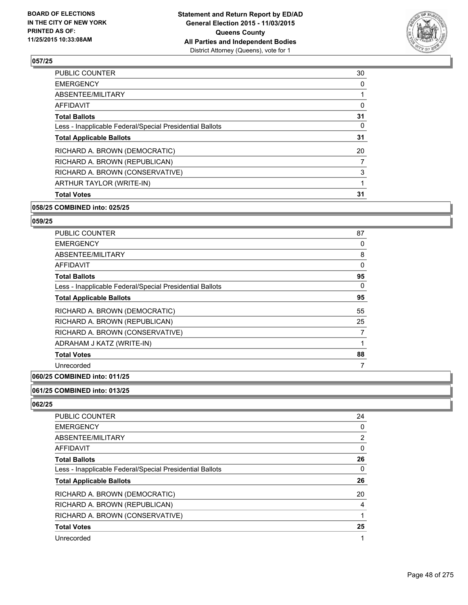

| <b>Total Votes</b>                                       | 31 |
|----------------------------------------------------------|----|
| ARTHUR TAYLOR (WRITE-IN)                                 |    |
| RICHARD A. BROWN (CONSERVATIVE)                          | 3  |
| RICHARD A. BROWN (REPUBLICAN)                            | 7  |
| RICHARD A. BROWN (DEMOCRATIC)                            | 20 |
| <b>Total Applicable Ballots</b>                          | 31 |
| Less - Inapplicable Federal/Special Presidential Ballots | 0  |
| <b>Total Ballots</b>                                     | 31 |
| AFFIDAVIT                                                | 0  |
| ABSENTEE/MILITARY                                        |    |
| <b>EMERGENCY</b>                                         | 0  |
| PUBLIC COUNTER                                           | 30 |

#### **058/25 COMBINED into: 025/25**

### **059/25**

| <b>PUBLIC COUNTER</b>                                    | 87 |
|----------------------------------------------------------|----|
| <b>EMERGENCY</b>                                         | 0  |
| ABSENTEE/MILITARY                                        | 8  |
| <b>AFFIDAVIT</b>                                         | 0  |
| <b>Total Ballots</b>                                     | 95 |
| Less - Inapplicable Federal/Special Presidential Ballots | 0  |
| <b>Total Applicable Ballots</b>                          | 95 |
| RICHARD A. BROWN (DEMOCRATIC)                            | 55 |
| RICHARD A. BROWN (REPUBLICAN)                            | 25 |
| RICHARD A. BROWN (CONSERVATIVE)                          | 7  |
| ADRAHAM J KATZ (WRITE-IN)                                |    |
| <b>Total Votes</b>                                       | 88 |
| Unrecorded                                               | 7  |

#### **060/25 COMBINED into: 011/25**

#### **061/25 COMBINED into: 013/25**

| PUBLIC COUNTER                                           | 24 |
|----------------------------------------------------------|----|
| <b>EMERGENCY</b>                                         | 0  |
| ABSENTEE/MILITARY                                        | 2  |
| AFFIDAVIT                                                | 0  |
| <b>Total Ballots</b>                                     | 26 |
| Less - Inapplicable Federal/Special Presidential Ballots | 0  |
| <b>Total Applicable Ballots</b>                          | 26 |
| RICHARD A. BROWN (DEMOCRATIC)                            | 20 |
| RICHARD A. BROWN (REPUBLICAN)                            | 4  |
| RICHARD A. BROWN (CONSERVATIVE)                          |    |
| <b>Total Votes</b>                                       | 25 |
| Unrecorded                                               |    |
|                                                          |    |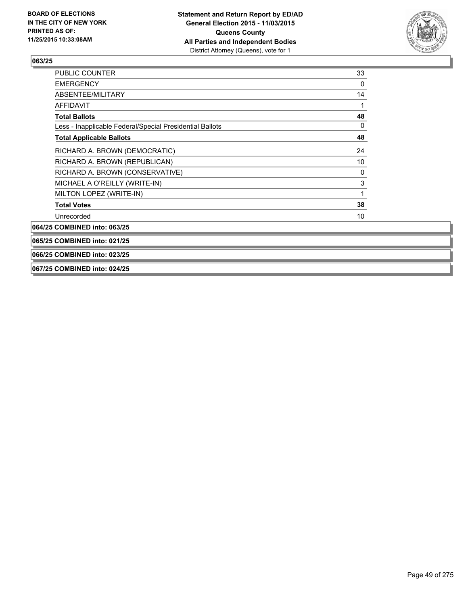

| <b>PUBLIC COUNTER</b>                                    | 33           |
|----------------------------------------------------------|--------------|
| <b>EMERGENCY</b>                                         | $\mathbf{0}$ |
| ABSENTEE/MILITARY                                        | 14           |
| <b>AFFIDAVIT</b>                                         | 1            |
| <b>Total Ballots</b>                                     | 48           |
| Less - Inapplicable Federal/Special Presidential Ballots | 0            |
| <b>Total Applicable Ballots</b>                          | 48           |
| RICHARD A. BROWN (DEMOCRATIC)                            | 24           |
| RICHARD A. BROWN (REPUBLICAN)                            | 10           |
| RICHARD A. BROWN (CONSERVATIVE)                          | 0            |
| MICHAEL A O'REILLY (WRITE-IN)                            | 3            |
| MILTON LOPEZ (WRITE-IN)                                  | 1            |
| <b>Total Votes</b>                                       | 38           |
| Unrecorded                                               | 10           |
| 064/25 COMBINED into: 063/25                             |              |

**065/25 COMBINED into: 021/25**

#### **066/25 COMBINED into: 023/25**

**067/25 COMBINED into: 024/25**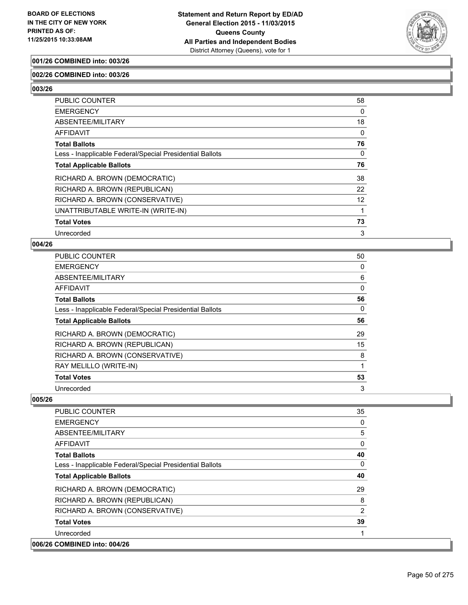

### **001/26 COMBINED into: 003/26**

#### **002/26 COMBINED into: 003/26**

**003/26** 

| PUBLIC COUNTER                                           | 58              |
|----------------------------------------------------------|-----------------|
| EMERGENCY                                                | 0               |
| ABSENTEE/MILITARY                                        | 18              |
| AFFIDAVIT                                                | 0               |
| Total Ballots                                            | 76              |
| Less - Inapplicable Federal/Special Presidential Ballots | 0               |
| <b>Total Applicable Ballots</b>                          | 76              |
| RICHARD A. BROWN (DEMOCRATIC)                            | 38              |
| RICHARD A. BROWN (REPUBLICAN)                            | 22              |
| RICHARD A. BROWN (CONSERVATIVE)                          | 12 <sup>°</sup> |
| UNATTRIBUTABLE WRITE-IN (WRITE-IN)                       |                 |
| <b>Total Votes</b>                                       | 73              |
| Unrecorded                                               | 3               |

#### **004/26**

| <b>PUBLIC COUNTER</b>                                    | 50 |
|----------------------------------------------------------|----|
| <b>EMERGENCY</b>                                         | 0  |
| <b>ABSENTEE/MILITARY</b>                                 | 6  |
| <b>AFFIDAVIT</b>                                         | 0  |
| <b>Total Ballots</b>                                     | 56 |
| Less - Inapplicable Federal/Special Presidential Ballots | 0  |
| <b>Total Applicable Ballots</b>                          | 56 |
| RICHARD A. BROWN (DEMOCRATIC)                            | 29 |
| RICHARD A. BROWN (REPUBLICAN)                            | 15 |
| RICHARD A. BROWN (CONSERVATIVE)                          | 8  |
| RAY MELILLO (WRITE-IN)                                   |    |
| <b>Total Votes</b>                                       | 53 |
| Unrecorded                                               | 3  |

| <b>PUBLIC COUNTER</b>                                    | 35 |
|----------------------------------------------------------|----|
| <b>EMERGENCY</b>                                         | 0  |
| ABSENTEE/MILITARY                                        | 5  |
| <b>AFFIDAVIT</b>                                         | 0  |
| <b>Total Ballots</b>                                     | 40 |
| Less - Inapplicable Federal/Special Presidential Ballots | 0  |
| <b>Total Applicable Ballots</b>                          | 40 |
| RICHARD A. BROWN (DEMOCRATIC)                            | 29 |
| RICHARD A. BROWN (REPUBLICAN)                            | 8  |
| RICHARD A. BROWN (CONSERVATIVE)                          | 2  |
| <b>Total Votes</b>                                       | 39 |
| Unrecorded                                               |    |
| 006/26 COMBINED into: 004/26                             |    |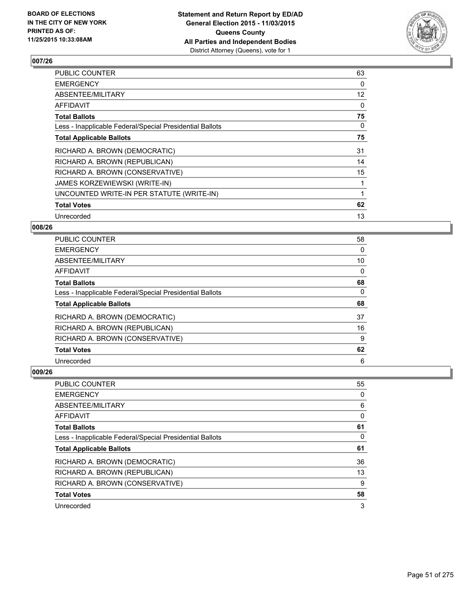

| PUBLIC COUNTER                                           | 63                |
|----------------------------------------------------------|-------------------|
| <b>EMERGENCY</b>                                         | 0                 |
| ABSENTEE/MILITARY                                        | $12 \overline{ }$ |
| <b>AFFIDAVIT</b>                                         | 0                 |
| <b>Total Ballots</b>                                     | 75                |
| Less - Inapplicable Federal/Special Presidential Ballots | 0                 |
| <b>Total Applicable Ballots</b>                          | 75                |
| RICHARD A. BROWN (DEMOCRATIC)                            | 31                |
| RICHARD A. BROWN (REPUBLICAN)                            | 14                |
| RICHARD A. BROWN (CONSERVATIVE)                          | 15                |
| JAMES KORZEWIEWSKI (WRITE-IN)                            |                   |
| UNCOUNTED WRITE-IN PER STATUTE (WRITE-IN)                |                   |
| <b>Total Votes</b>                                       | 62                |
| Unrecorded                                               | 13                |
|                                                          |                   |

### **008/26**

| PUBLIC COUNTER                                           | 58 |
|----------------------------------------------------------|----|
| <b>EMERGENCY</b>                                         | 0  |
| ABSENTEE/MILITARY                                        | 10 |
| <b>AFFIDAVIT</b>                                         | 0  |
| <b>Total Ballots</b>                                     | 68 |
| Less - Inapplicable Federal/Special Presidential Ballots | 0  |
| <b>Total Applicable Ballots</b>                          | 68 |
| RICHARD A. BROWN (DEMOCRATIC)                            | 37 |
| RICHARD A. BROWN (REPUBLICAN)                            | 16 |
| RICHARD A. BROWN (CONSERVATIVE)                          | 9  |
| <b>Total Votes</b>                                       | 62 |
| Unrecorded                                               | 6  |

| <b>PUBLIC COUNTER</b>                                    | 55 |
|----------------------------------------------------------|----|
| <b>EMERGENCY</b>                                         | 0  |
| ABSENTEE/MILITARY                                        | 6  |
| AFFIDAVIT                                                | 0  |
| <b>Total Ballots</b>                                     | 61 |
| Less - Inapplicable Federal/Special Presidential Ballots | 0  |
| <b>Total Applicable Ballots</b>                          | 61 |
| RICHARD A. BROWN (DEMOCRATIC)                            | 36 |
|                                                          |    |
| RICHARD A. BROWN (REPUBLICAN)                            | 13 |
| RICHARD A. BROWN (CONSERVATIVE)                          | 9  |
| <b>Total Votes</b>                                       | 58 |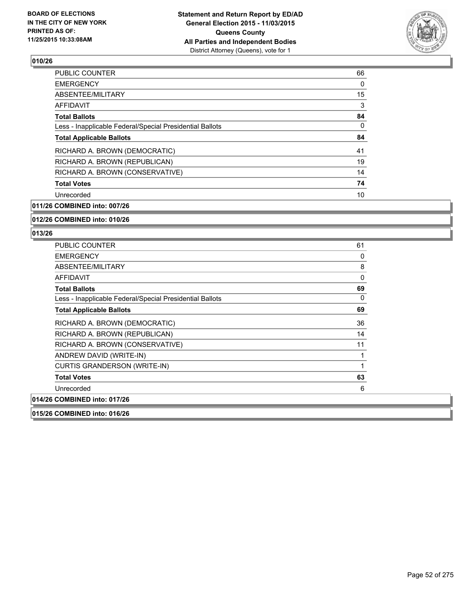

| <b>PUBLIC COUNTER</b>                                    | 66 |
|----------------------------------------------------------|----|
| <b>EMERGENCY</b>                                         | 0  |
| ABSENTEE/MILITARY                                        | 15 |
| AFFIDAVIT                                                | 3  |
| <b>Total Ballots</b>                                     | 84 |
| Less - Inapplicable Federal/Special Presidential Ballots | 0  |
| <b>Total Applicable Ballots</b>                          | 84 |
| RICHARD A. BROWN (DEMOCRATIC)                            | 41 |
| RICHARD A. BROWN (REPUBLICAN)                            | 19 |
| RICHARD A. BROWN (CONSERVATIVE)                          | 14 |
| <b>Total Votes</b>                                       | 74 |
| Unrecorded                                               | 10 |
|                                                          |    |

**011/26 COMBINED into: 007/26**

**012/26 COMBINED into: 010/26**

| <b>PUBLIC COUNTER</b>                                    | 61 |
|----------------------------------------------------------|----|
| <b>EMERGENCY</b>                                         | 0  |
| ABSENTEE/MILITARY                                        | 8  |
| <b>AFFIDAVIT</b>                                         | 0  |
| <b>Total Ballots</b>                                     | 69 |
| Less - Inapplicable Federal/Special Presidential Ballots | 0  |
| <b>Total Applicable Ballots</b>                          | 69 |
| RICHARD A. BROWN (DEMOCRATIC)                            | 36 |
| RICHARD A. BROWN (REPUBLICAN)                            | 14 |
| RICHARD A. BROWN (CONSERVATIVE)                          | 11 |
| ANDREW DAVID (WRITE-IN)                                  | 1  |
| CURTIS GRANDERSON (WRITE-IN)                             | 1  |
| <b>Total Votes</b>                                       | 63 |
| Unrecorded                                               | 6  |
| 014/26 COMBINED into: 017/26                             |    |
| 015/26 COMBINED into: 016/26                             |    |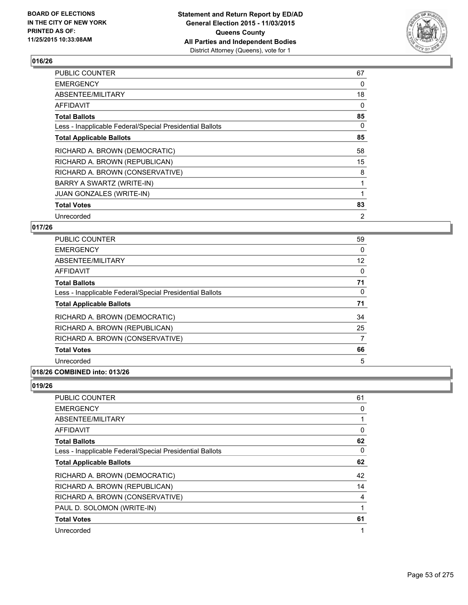

| <b>PUBLIC COUNTER</b>                                    | 67 |
|----------------------------------------------------------|----|
| <b>EMERGENCY</b>                                         | 0  |
| ABSENTEE/MILITARY                                        | 18 |
| AFFIDAVIT                                                | 0  |
| <b>Total Ballots</b>                                     | 85 |
| Less - Inapplicable Federal/Special Presidential Ballots | 0  |
| <b>Total Applicable Ballots</b>                          | 85 |
| RICHARD A. BROWN (DEMOCRATIC)                            | 58 |
| RICHARD A. BROWN (REPUBLICAN)                            | 15 |
| RICHARD A. BROWN (CONSERVATIVE)                          | 8  |
| BARRY A SWARTZ (WRITE-IN)                                | 1  |
| <b>JUAN GONZALES (WRITE-IN)</b>                          |    |
| <b>Total Votes</b>                                       | 83 |
| Unrecorded                                               | 2  |

### **017/26**

| PUBLIC COUNTER                                           | 59 |
|----------------------------------------------------------|----|
| <b>EMERGENCY</b>                                         | 0  |
| ABSENTEE/MILITARY                                        | 12 |
| <b>AFFIDAVIT</b>                                         | 0  |
| <b>Total Ballots</b>                                     | 71 |
| Less - Inapplicable Federal/Special Presidential Ballots | 0  |
| <b>Total Applicable Ballots</b>                          | 71 |
| RICHARD A. BROWN (DEMOCRATIC)                            | 34 |
| RICHARD A. BROWN (REPUBLICAN)                            | 25 |
| RICHARD A. BROWN (CONSERVATIVE)                          | 7  |
| <b>Total Votes</b>                                       | 66 |
| Unrecorded                                               | 5  |
|                                                          |    |

### **018/26 COMBINED into: 013/26**

| PUBLIC COUNTER                                           | 61             |
|----------------------------------------------------------|----------------|
| <b>EMERGENCY</b>                                         | 0              |
| ABSENTEE/MILITARY                                        | 1              |
| AFFIDAVIT                                                | 0              |
| <b>Total Ballots</b>                                     | 62             |
| Less - Inapplicable Federal/Special Presidential Ballots | 0              |
| <b>Total Applicable Ballots</b>                          | 62             |
| RICHARD A. BROWN (DEMOCRATIC)                            | 42             |
| RICHARD A. BROWN (REPUBLICAN)                            | 14             |
| RICHARD A. BROWN (CONSERVATIVE)                          | $\overline{4}$ |
| PAUL D. SOLOMON (WRITE-IN)                               | 1              |
| <b>Total Votes</b>                                       | 61             |
| Unrecorded                                               | 1              |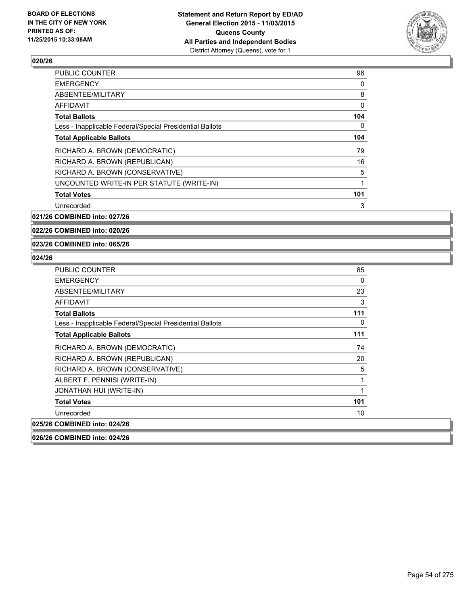

| <b>PUBLIC COUNTER</b>                                    | 96  |
|----------------------------------------------------------|-----|
| <b>EMERGENCY</b>                                         | 0   |
| ABSENTEE/MILITARY                                        | 8   |
| <b>AFFIDAVIT</b>                                         | 0   |
| <b>Total Ballots</b>                                     | 104 |
| Less - Inapplicable Federal/Special Presidential Ballots | 0   |
| <b>Total Applicable Ballots</b>                          | 104 |
| RICHARD A. BROWN (DEMOCRATIC)                            | 79  |
| RICHARD A. BROWN (REPUBLICAN)                            | 16  |
| RICHARD A. BROWN (CONSERVATIVE)                          | 5   |
| UNCOUNTED WRITE-IN PER STATUTE (WRITE-IN)                | 1   |
| <b>Total Votes</b>                                       | 101 |
| Unrecorded                                               | 3   |

**021/26 COMBINED into: 027/26**

**022/26 COMBINED into: 020/26**

**023/26 COMBINED into: 065/26**

#### **024/26**

| <b>PUBLIC COUNTER</b>                                    | 85  |
|----------------------------------------------------------|-----|
| <b>EMERGENCY</b>                                         | 0   |
| ABSENTEE/MILITARY                                        | 23  |
| <b>AFFIDAVIT</b>                                         | 3   |
| <b>Total Ballots</b>                                     | 111 |
| Less - Inapplicable Federal/Special Presidential Ballots | 0   |
| <b>Total Applicable Ballots</b>                          | 111 |
| RICHARD A. BROWN (DEMOCRATIC)                            | 74  |
| RICHARD A. BROWN (REPUBLICAN)                            | 20  |
| RICHARD A. BROWN (CONSERVATIVE)                          | 5   |
| ALBERT F. PENNISI (WRITE-IN)                             | 1   |
| <b>JONATHAN HUI (WRITE-IN)</b>                           | 1   |
| <b>Total Votes</b>                                       | 101 |
| Unrecorded                                               | 10  |
| 025/26 COMBINED into: 024/26                             |     |
|                                                          |     |

**026/26 COMBINED into: 024/26**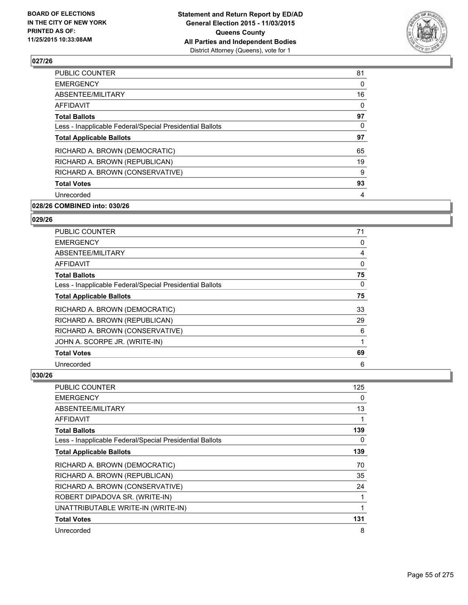

| <b>PUBLIC COUNTER</b>                                    | 81 |
|----------------------------------------------------------|----|
| <b>EMERGENCY</b>                                         | 0  |
| ABSENTEE/MILITARY                                        | 16 |
| AFFIDAVIT                                                | 0  |
| <b>Total Ballots</b>                                     | 97 |
| Less - Inapplicable Federal/Special Presidential Ballots | 0  |
| <b>Total Applicable Ballots</b>                          | 97 |
| RICHARD A. BROWN (DEMOCRATIC)                            | 65 |
| RICHARD A. BROWN (REPUBLICAN)                            | 19 |
| RICHARD A. BROWN (CONSERVATIVE)                          | 9  |
| <b>Total Votes</b>                                       | 93 |
| Unrecorded                                               | 4  |
|                                                          |    |

### **028/26 COMBINED into: 030/26**

#### **029/26**

| <b>PUBLIC COUNTER</b>                                    | 71 |
|----------------------------------------------------------|----|
| <b>EMERGENCY</b>                                         | 0  |
| ABSENTEE/MILITARY                                        | 4  |
| <b>AFFIDAVIT</b>                                         | 0  |
| <b>Total Ballots</b>                                     | 75 |
| Less - Inapplicable Federal/Special Presidential Ballots | 0  |
| <b>Total Applicable Ballots</b>                          | 75 |
| RICHARD A. BROWN (DEMOCRATIC)                            | 33 |
| RICHARD A. BROWN (REPUBLICAN)                            | 29 |
| RICHARD A. BROWN (CONSERVATIVE)                          | 6  |
| JOHN A. SCORPE JR. (WRITE-IN)                            | 1  |
| <b>Total Votes</b>                                       | 69 |
| Unrecorded                                               | 6  |

| PUBLIC COUNTER                                           | 125 |
|----------------------------------------------------------|-----|
| <b>EMERGENCY</b>                                         | 0   |
| ABSENTEE/MILITARY                                        | 13  |
| <b>AFFIDAVIT</b>                                         | 1   |
| <b>Total Ballots</b>                                     | 139 |
| Less - Inapplicable Federal/Special Presidential Ballots | 0   |
| <b>Total Applicable Ballots</b>                          | 139 |
| RICHARD A. BROWN (DEMOCRATIC)                            | 70  |
| RICHARD A. BROWN (REPUBLICAN)                            | 35  |
| RICHARD A. BROWN (CONSERVATIVE)                          | 24  |
| ROBERT DIPADOVA SR. (WRITE-IN)                           | 1   |
| UNATTRIBUTABLE WRITE-IN (WRITE-IN)                       | 1   |
| <b>Total Votes</b>                                       | 131 |
| Unrecorded                                               | 8   |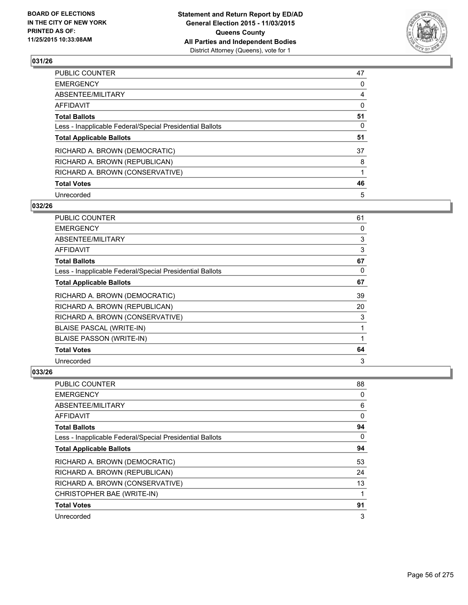

| PUBLIC COUNTER                                           | 47             |
|----------------------------------------------------------|----------------|
| <b>EMERGENCY</b>                                         | 0              |
| ABSENTEE/MILITARY                                        | $\overline{4}$ |
| <b>AFFIDAVIT</b>                                         | 0              |
| <b>Total Ballots</b>                                     | 51             |
| Less - Inapplicable Federal/Special Presidential Ballots | 0              |
| <b>Total Applicable Ballots</b>                          | 51             |
| RICHARD A. BROWN (DEMOCRATIC)                            | 37             |
| RICHARD A. BROWN (REPUBLICAN)                            | 8              |
| RICHARD A. BROWN (CONSERVATIVE)                          |                |
| <b>Total Votes</b>                                       | 46             |
| Unrecorded                                               | 5              |

#### **032/26**

| PUBLIC COUNTER                                           | 61 |
|----------------------------------------------------------|----|
| <b>EMERGENCY</b>                                         | 0  |
| <b>ABSENTEE/MILITARY</b>                                 | 3  |
| <b>AFFIDAVIT</b>                                         | 3  |
| <b>Total Ballots</b>                                     | 67 |
| Less - Inapplicable Federal/Special Presidential Ballots | 0  |
| <b>Total Applicable Ballots</b>                          | 67 |
| RICHARD A. BROWN (DEMOCRATIC)                            | 39 |
| RICHARD A. BROWN (REPUBLICAN)                            | 20 |
| RICHARD A. BROWN (CONSERVATIVE)                          | 3  |
| <b>BLAISE PASCAL (WRITE-IN)</b>                          |    |
| <b>BLAISE PASSON (WRITE-IN)</b>                          |    |
| <b>Total Votes</b>                                       | 64 |
| Unrecorded                                               | 3  |

| PUBLIC COUNTER                                           | 88 |
|----------------------------------------------------------|----|
| <b>EMERGENCY</b>                                         | 0  |
| ABSENTEE/MILITARY                                        | 6  |
| <b>AFFIDAVIT</b>                                         | 0  |
| <b>Total Ballots</b>                                     | 94 |
| Less - Inapplicable Federal/Special Presidential Ballots | 0  |
| <b>Total Applicable Ballots</b>                          | 94 |
| RICHARD A. BROWN (DEMOCRATIC)                            | 53 |
| RICHARD A. BROWN (REPUBLICAN)                            | 24 |
| RICHARD A. BROWN (CONSERVATIVE)                          | 13 |
| CHRISTOPHER BAE (WRITE-IN)                               | 1  |
| <b>Total Votes</b>                                       | 91 |
| Unrecorded                                               | 3  |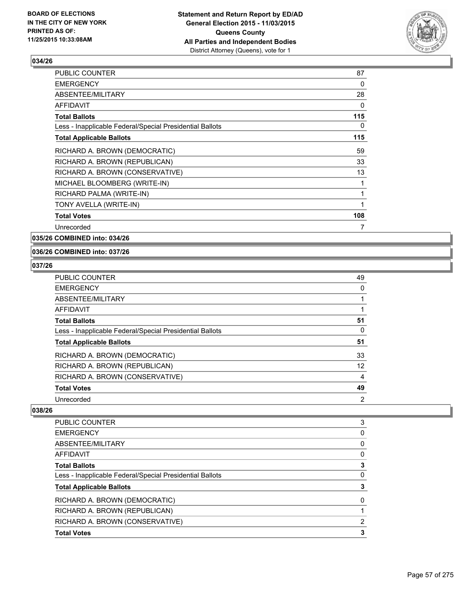

| <b>PUBLIC COUNTER</b>                                    | 87  |
|----------------------------------------------------------|-----|
| <b>EMERGENCY</b>                                         | 0   |
| ABSENTEE/MILITARY                                        | 28  |
| AFFIDAVIT                                                | 0   |
| <b>Total Ballots</b>                                     | 115 |
| Less - Inapplicable Federal/Special Presidential Ballots | 0   |
| <b>Total Applicable Ballots</b>                          | 115 |
| RICHARD A. BROWN (DEMOCRATIC)                            | 59  |
| RICHARD A. BROWN (REPUBLICAN)                            | 33  |
| RICHARD A. BROWN (CONSERVATIVE)                          | 13  |
| MICHAEL BLOOMBERG (WRITE-IN)                             | 1   |
| RICHARD PALMA (WRITE-IN)                                 | 1   |
| TONY AVELLA (WRITE-IN)                                   | 1   |
| <b>Total Votes</b>                                       | 108 |
| Unrecorded                                               | 7   |

**035/26 COMBINED into: 034/26**

#### **036/26 COMBINED into: 037/26**

#### **037/26**

| <b>PUBLIC COUNTER</b>                                    | 49             |
|----------------------------------------------------------|----------------|
| <b>EMERGENCY</b>                                         | 0              |
| <b>ABSENTEE/MILITARY</b>                                 |                |
| AFFIDAVIT                                                |                |
| <b>Total Ballots</b>                                     | 51             |
| Less - Inapplicable Federal/Special Presidential Ballots | 0              |
| <b>Total Applicable Ballots</b>                          | 51             |
| RICHARD A. BROWN (DEMOCRATIC)                            | 33             |
| RICHARD A. BROWN (REPUBLICAN)                            | 12             |
| RICHARD A. BROWN (CONSERVATIVE)                          | 4              |
| <b>Total Votes</b>                                       | 49             |
| Unrecorded                                               | $\overline{2}$ |

| PUBLIC COUNTER                                           | 3 |
|----------------------------------------------------------|---|
| <b>EMERGENCY</b>                                         | 0 |
| ABSENTEE/MILITARY                                        | 0 |
| <b>AFFIDAVIT</b>                                         | 0 |
| <b>Total Ballots</b>                                     | 3 |
| Less - Inapplicable Federal/Special Presidential Ballots | 0 |
| <b>Total Applicable Ballots</b>                          | 3 |
| RICHARD A. BROWN (DEMOCRATIC)                            | 0 |
| RICHARD A. BROWN (REPUBLICAN)                            |   |
| RICHARD A. BROWN (CONSERVATIVE)                          | 2 |
| <b>Total Votes</b>                                       | 3 |
|                                                          |   |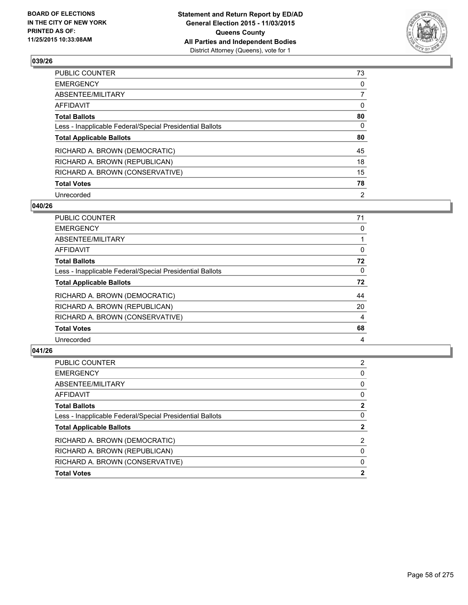

| PUBLIC COUNTER                                           | 73             |
|----------------------------------------------------------|----------------|
| <b>EMERGENCY</b>                                         | 0              |
| ABSENTEE/MILITARY                                        | $\overline{7}$ |
| <b>AFFIDAVIT</b>                                         | 0              |
| <b>Total Ballots</b>                                     | 80             |
| Less - Inapplicable Federal/Special Presidential Ballots | $\Omega$       |
| <b>Total Applicable Ballots</b>                          | 80             |
| RICHARD A. BROWN (DEMOCRATIC)                            | 45             |
| RICHARD A. BROWN (REPUBLICAN)                            | 18             |
| RICHARD A. BROWN (CONSERVATIVE)                          | 15             |
| <b>Total Votes</b>                                       | 78             |
| Unrecorded                                               | 2              |

#### **040/26**

| PUBLIC COUNTER                                           | 71 |
|----------------------------------------------------------|----|
|                                                          |    |
| <b>EMERGENCY</b>                                         | 0  |
| ABSENTEE/MILITARY                                        |    |
| AFFIDAVIT                                                | 0  |
| <b>Total Ballots</b>                                     | 72 |
| Less - Inapplicable Federal/Special Presidential Ballots | 0  |
| <b>Total Applicable Ballots</b>                          | 72 |
| RICHARD A. BROWN (DEMOCRATIC)                            | 44 |
| RICHARD A. BROWN (REPUBLICAN)                            | 20 |
| RICHARD A. BROWN (CONSERVATIVE)                          | 4  |
| <b>Total Votes</b>                                       | 68 |
| Unrecorded                                               | 4  |
|                                                          |    |

| PUBLIC COUNTER                                           | 2              |
|----------------------------------------------------------|----------------|
| EMERGENCY                                                | 0              |
| ABSENTEE/MILITARY                                        | 0              |
| AFFIDAVIT                                                | 0              |
| Total Ballots                                            | $\mathbf{2}$   |
| Less - Inapplicable Federal/Special Presidential Ballots | 0              |
| <b>Total Applicable Ballots</b>                          | $\mathbf{2}$   |
| RICHARD A. BROWN (DEMOCRATIC)                            | $\overline{2}$ |
| RICHARD A. BROWN (REPUBLICAN)                            | 0              |
| RICHARD A. BROWN (CONSERVATIVE)                          | 0              |
| <b>Total Votes</b>                                       | $\mathbf{2}$   |
|                                                          |                |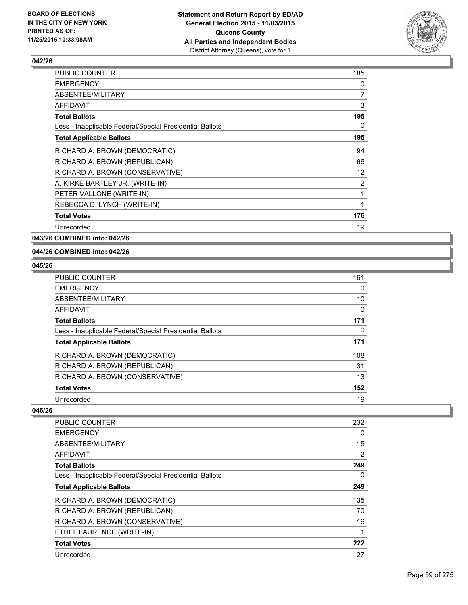

| <b>PUBLIC COUNTER</b>                                    | 185 |
|----------------------------------------------------------|-----|
| <b>EMERGENCY</b>                                         | 0   |
| ABSENTEE/MILITARY                                        | 7   |
| <b>AFFIDAVIT</b>                                         | 3   |
| <b>Total Ballots</b>                                     | 195 |
| Less - Inapplicable Federal/Special Presidential Ballots | 0   |
| <b>Total Applicable Ballots</b>                          | 195 |
| RICHARD A. BROWN (DEMOCRATIC)                            | 94  |
| RICHARD A. BROWN (REPUBLICAN)                            | 66  |
| RICHARD A. BROWN (CONSERVATIVE)                          | 12  |
| A. KIRKE BARTLEY JR. (WRITE-IN)                          | 2   |
| PETER VALLONE (WRITE-IN)                                 | 1   |
| REBECCA D. LYNCH (WRITE-IN)                              | 1   |
| <b>Total Votes</b>                                       | 176 |
| Unrecorded                                               | 19  |

**043/26 COMBINED into: 042/26**

#### **044/26 COMBINED into: 042/26**

### **045/26**

| <b>PUBLIC COUNTER</b>                                    | 161      |
|----------------------------------------------------------|----------|
| <b>EMERGENCY</b>                                         | 0        |
| ABSENTEE/MILITARY                                        | 10       |
| <b>AFFIDAVIT</b>                                         | 0        |
| <b>Total Ballots</b>                                     | 171      |
| Less - Inapplicable Federal/Special Presidential Ballots | $\Omega$ |
| <b>Total Applicable Ballots</b>                          | 171      |
| RICHARD A. BROWN (DEMOCRATIC)                            | 108      |
| RICHARD A. BROWN (REPUBLICAN)                            | 31       |
| RICHARD A. BROWN (CONSERVATIVE)                          | 13       |
| <b>Total Votes</b>                                       | 152      |
| Unrecorded                                               | 19       |

| <b>PUBLIC COUNTER</b>                                    | 232            |
|----------------------------------------------------------|----------------|
| <b>EMERGENCY</b>                                         | 0              |
| ABSENTEE/MILITARY                                        | 15             |
| <b>AFFIDAVIT</b>                                         | $\overline{2}$ |
| <b>Total Ballots</b>                                     | 249            |
| Less - Inapplicable Federal/Special Presidential Ballots | 0              |
| <b>Total Applicable Ballots</b>                          | 249            |
| RICHARD A. BROWN (DEMOCRATIC)                            | 135            |
| RICHARD A. BROWN (REPUBLICAN)                            | 70             |
| RICHARD A. BROWN (CONSERVATIVE)                          | 16             |
| ETHEL LAURENCE (WRITE-IN)                                | 1              |
| <b>Total Votes</b>                                       | 222            |
| Unrecorded                                               | 27             |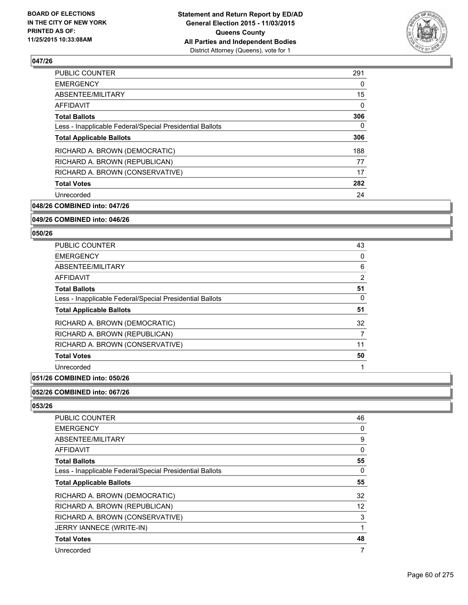

| <b>PUBLIC COUNTER</b>                                    | 291 |
|----------------------------------------------------------|-----|
| <b>EMERGENCY</b>                                         | 0   |
| ABSENTEE/MILITARY                                        | 15  |
| AFFIDAVIT                                                | 0   |
| <b>Total Ballots</b>                                     | 306 |
| Less - Inapplicable Federal/Special Presidential Ballots | 0   |
| <b>Total Applicable Ballots</b>                          | 306 |
| RICHARD A. BROWN (DEMOCRATIC)                            | 188 |
| RICHARD A. BROWN (REPUBLICAN)                            | 77  |
| RICHARD A. BROWN (CONSERVATIVE)                          | 17  |
| <b>Total Votes</b>                                       | 282 |
| Unrecorded                                               | 24  |
|                                                          |     |

**048/26 COMBINED into: 047/26**

#### **049/26 COMBINED into: 046/26**

#### **050/26**

| <b>PUBLIC COUNTER</b>                                    | 43 |
|----------------------------------------------------------|----|
| <b>EMERGENCY</b>                                         | 0  |
| ABSENTEE/MILITARY                                        | 6  |
| AFFIDAVIT                                                | 2  |
| <b>Total Ballots</b>                                     | 51 |
| Less - Inapplicable Federal/Special Presidential Ballots | 0  |
| <b>Total Applicable Ballots</b>                          | 51 |
| RICHARD A. BROWN (DEMOCRATIC)                            | 32 |
| RICHARD A. BROWN (REPUBLICAN)                            | 7  |
| RICHARD A. BROWN (CONSERVATIVE)                          | 11 |
| <b>Total Votes</b>                                       | 50 |
| Unrecorded                                               |    |

### **051/26 COMBINED into: 050/26**

### **052/26 COMBINED into: 067/26**

| PUBLIC COUNTER                                           | 46       |
|----------------------------------------------------------|----------|
| <b>EMERGENCY</b>                                         | 0        |
| ABSENTEE/MILITARY                                        | 9        |
| AFFIDAVIT                                                | $\Omega$ |
| <b>Total Ballots</b>                                     | 55       |
| Less - Inapplicable Federal/Special Presidential Ballots | 0        |
| <b>Total Applicable Ballots</b>                          | 55       |
| RICHARD A. BROWN (DEMOCRATIC)                            | 32       |
| RICHARD A. BROWN (REPUBLICAN)                            | 12       |
| RICHARD A. BROWN (CONSERVATIVE)                          | 3        |
| JERRY IANNECE (WRITE-IN)                                 |          |
| <b>Total Votes</b>                                       | 48       |
| Unrecorded                                               | 7        |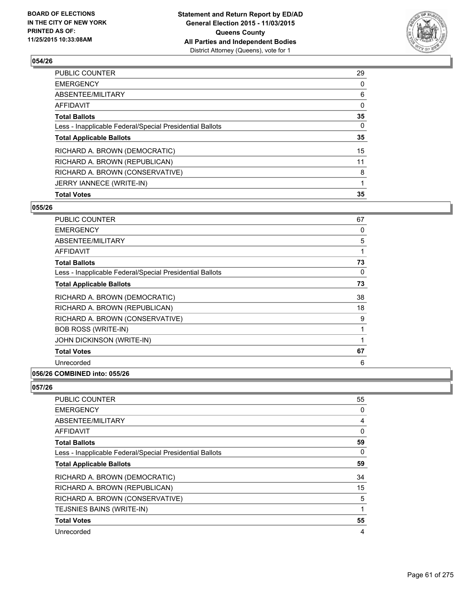

| <b>Total Votes</b>                                       | 35       |
|----------------------------------------------------------|----------|
| JERRY IANNECE (WRITE-IN)                                 |          |
| RICHARD A. BROWN (CONSERVATIVE)                          | 8        |
| RICHARD A. BROWN (REPUBLICAN)                            | 11       |
| RICHARD A. BROWN (DEMOCRATIC)                            | 15       |
| <b>Total Applicable Ballots</b>                          | 35       |
| Less - Inapplicable Federal/Special Presidential Ballots | $\Omega$ |
| <b>Total Ballots</b>                                     | 35       |
| <b>AFFIDAVIT</b>                                         | 0        |
| ABSENTEE/MILITARY                                        | 6        |
| <b>EMERGENCY</b>                                         | 0        |
| PUBLIC COUNTER                                           | 29       |

### **055/26**

| <b>PUBLIC COUNTER</b>                                    | 67 |
|----------------------------------------------------------|----|
| <b>EMERGENCY</b>                                         | 0  |
| ABSENTEE/MILITARY                                        | 5  |
| AFFIDAVIT                                                | 1  |
| <b>Total Ballots</b>                                     | 73 |
| Less - Inapplicable Federal/Special Presidential Ballots | 0  |
| <b>Total Applicable Ballots</b>                          | 73 |
| RICHARD A. BROWN (DEMOCRATIC)                            | 38 |
| RICHARD A. BROWN (REPUBLICAN)                            | 18 |
| RICHARD A. BROWN (CONSERVATIVE)                          | 9  |
| <b>BOB ROSS (WRITE-IN)</b>                               | 1  |
| JOHN DICKINSON (WRITE-IN)                                | 1  |
| <b>Total Votes</b>                                       | 67 |
| Unrecorded                                               | 6  |

#### **056/26 COMBINED into: 055/26**

| <b>PUBLIC COUNTER</b>                                    | 55             |
|----------------------------------------------------------|----------------|
| <b>EMERGENCY</b>                                         | 0              |
| ABSENTEE/MILITARY                                        | $\overline{4}$ |
| AFFIDAVIT                                                | 0              |
| <b>Total Ballots</b>                                     | 59             |
| Less - Inapplicable Federal/Special Presidential Ballots | 0              |
| <b>Total Applicable Ballots</b>                          | 59             |
| RICHARD A. BROWN (DEMOCRATIC)                            | 34             |
| RICHARD A. BROWN (REPUBLICAN)                            | 15             |
| RICHARD A. BROWN (CONSERVATIVE)                          | 5              |
| TEJSNIES BAINS (WRITE-IN)                                | $\mathbf{1}$   |
| <b>Total Votes</b>                                       | 55             |
| Unrecorded                                               | 4              |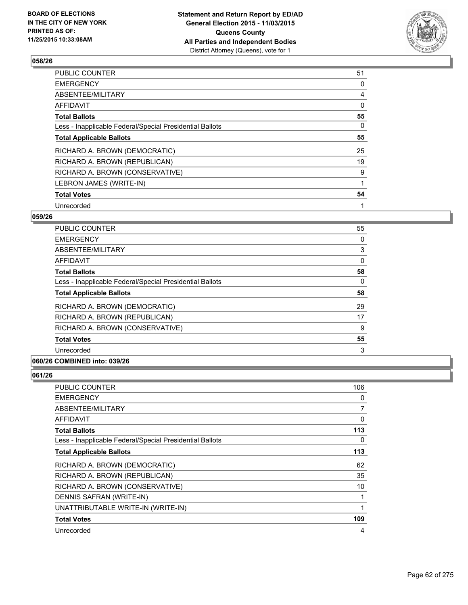

| <b>PUBLIC COUNTER</b>                                    | 51 |
|----------------------------------------------------------|----|
| <b>EMERGENCY</b>                                         | 0  |
| ABSENTEE/MILITARY                                        | 4  |
| AFFIDAVIT                                                | 0  |
| <b>Total Ballots</b>                                     | 55 |
| Less - Inapplicable Federal/Special Presidential Ballots | 0  |
| <b>Total Applicable Ballots</b>                          | 55 |
| RICHARD A. BROWN (DEMOCRATIC)                            | 25 |
| RICHARD A. BROWN (REPUBLICAN)                            | 19 |
| RICHARD A. BROWN (CONSERVATIVE)                          | 9  |
| LEBRON JAMES (WRITE-IN)                                  | 1  |
| <b>Total Votes</b>                                       | 54 |
| Unrecorded                                               | 1  |

#### **059/26**

| 55       |
|----------|
| 0        |
| 3        |
| 0        |
| 58       |
| $\Omega$ |
| 58       |
| 29       |
| 17       |
| 9        |
| 55       |
| 3        |
|          |

### **060/26 COMBINED into: 039/26**

| <b>PUBLIC COUNTER</b>                                    | 106 |
|----------------------------------------------------------|-----|
| <b>EMERGENCY</b>                                         | 0   |
| ABSENTEE/MILITARY                                        | 7   |
| <b>AFFIDAVIT</b>                                         | 0   |
| <b>Total Ballots</b>                                     | 113 |
| Less - Inapplicable Federal/Special Presidential Ballots | 0   |
| <b>Total Applicable Ballots</b>                          | 113 |
| RICHARD A. BROWN (DEMOCRATIC)                            | 62  |
| RICHARD A. BROWN (REPUBLICAN)                            | 35  |
| RICHARD A. BROWN (CONSERVATIVE)                          | 10  |
| DENNIS SAFRAN (WRITE-IN)                                 | 1   |
| UNATTRIBUTABLE WRITE-IN (WRITE-IN)                       | 1   |
| <b>Total Votes</b>                                       | 109 |
| Unrecorded                                               | 4   |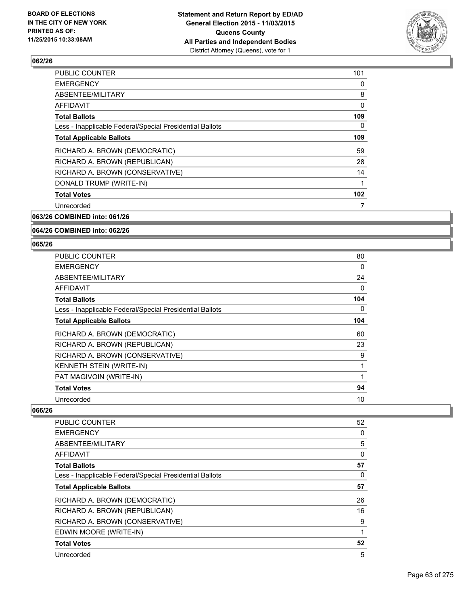

| <b>PUBLIC COUNTER</b>                                    | 101          |
|----------------------------------------------------------|--------------|
| <b>EMERGENCY</b>                                         | 0            |
| ABSENTEE/MILITARY                                        | 8            |
| AFFIDAVIT                                                | 0            |
| <b>Total Ballots</b>                                     | 109          |
| Less - Inapplicable Federal/Special Presidential Ballots | 0            |
| <b>Total Applicable Ballots</b>                          | 109          |
| RICHARD A. BROWN (DEMOCRATIC)                            | 59           |
| RICHARD A. BROWN (REPUBLICAN)                            | 28           |
| RICHARD A. BROWN (CONSERVATIVE)                          | 14           |
| DONALD TRUMP (WRITE-IN)                                  | $\mathbf{1}$ |
| <b>Total Votes</b>                                       | 102          |
| Unrecorded                                               | 7            |
|                                                          |              |

#### **063/26 COMBINED into: 061/26**

#### **064/26 COMBINED into: 062/26**

#### **065/26**

| <b>PUBLIC COUNTER</b>                                    | 80  |
|----------------------------------------------------------|-----|
| <b>EMERGENCY</b>                                         | 0   |
| ABSENTEE/MILITARY                                        | 24  |
| AFFIDAVIT                                                | 0   |
| <b>Total Ballots</b>                                     | 104 |
| Less - Inapplicable Federal/Special Presidential Ballots | 0   |
| <b>Total Applicable Ballots</b>                          | 104 |
| RICHARD A. BROWN (DEMOCRATIC)                            | 60  |
| RICHARD A. BROWN (REPUBLICAN)                            | 23  |
| RICHARD A. BROWN (CONSERVATIVE)                          | 9   |
| KENNETH STEIN (WRITE-IN)                                 | 1   |
| PAT MAGIVOIN (WRITE-IN)                                  |     |
| <b>Total Votes</b>                                       | 94  |
| Unrecorded                                               | 10  |

| <b>PUBLIC COUNTER</b>                                    | 52 |
|----------------------------------------------------------|----|
|                                                          |    |
| <b>EMERGENCY</b>                                         | 0  |
| ABSENTEE/MILITARY                                        | 5  |
| <b>AFFIDAVIT</b>                                         | 0  |
| <b>Total Ballots</b>                                     | 57 |
| Less - Inapplicable Federal/Special Presidential Ballots | 0  |
| <b>Total Applicable Ballots</b>                          | 57 |
| RICHARD A. BROWN (DEMOCRATIC)                            | 26 |
| RICHARD A. BROWN (REPUBLICAN)                            | 16 |
| RICHARD A. BROWN (CONSERVATIVE)                          | 9  |
| EDWIN MOORE (WRITE-IN)                                   | 1  |
| <b>Total Votes</b>                                       | 52 |
| Unrecorded                                               | 5  |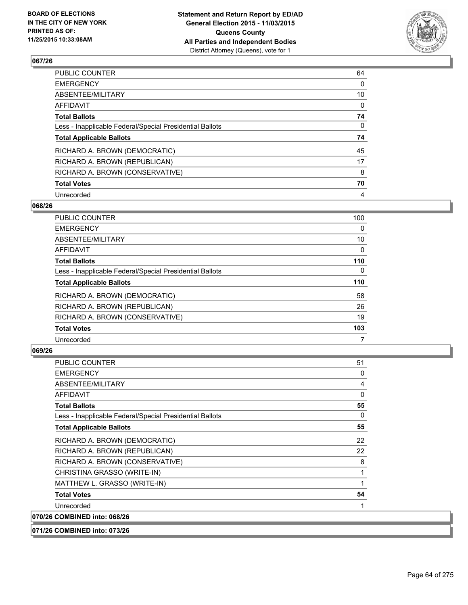

| PUBLIC COUNTER                                           | 64 |
|----------------------------------------------------------|----|
| <b>EMERGENCY</b>                                         | 0  |
| ABSENTEE/MILITARY                                        | 10 |
| AFFIDAVIT                                                | 0  |
| <b>Total Ballots</b>                                     | 74 |
| Less - Inapplicable Federal/Special Presidential Ballots | 0  |
| <b>Total Applicable Ballots</b>                          | 74 |
| RICHARD A. BROWN (DEMOCRATIC)                            | 45 |
| RICHARD A. BROWN (REPUBLICAN)                            | 17 |
| RICHARD A. BROWN (CONSERVATIVE)                          | 8  |
| <b>Total Votes</b>                                       | 70 |
| Unrecorded                                               | 4  |

#### **068/26**

| <b>PUBLIC COUNTER</b>                                    | 100 |
|----------------------------------------------------------|-----|
| <b>EMERGENCY</b>                                         | 0   |
| ABSENTEE/MILITARY                                        | 10  |
| <b>AFFIDAVIT</b>                                         | 0   |
| <b>Total Ballots</b>                                     | 110 |
| Less - Inapplicable Federal/Special Presidential Ballots | 0   |
| <b>Total Applicable Ballots</b>                          | 110 |
| RICHARD A. BROWN (DEMOCRATIC)                            | 58  |
| RICHARD A. BROWN (REPUBLICAN)                            | 26  |
| RICHARD A. BROWN (CONSERVATIVE)                          | 19  |
| <b>Total Votes</b>                                       | 103 |
| Unrecorded                                               | 7   |
|                                                          |     |

| <b>PUBLIC COUNTER</b>                                    | 51           |
|----------------------------------------------------------|--------------|
| <b>EMERGENCY</b>                                         | 0            |
| ABSENTEE/MILITARY                                        | 4            |
| <b>AFFIDAVIT</b>                                         | $\mathbf{0}$ |
| <b>Total Ballots</b>                                     | 55           |
| Less - Inapplicable Federal/Special Presidential Ballots | 0            |
| <b>Total Applicable Ballots</b>                          | 55           |
| RICHARD A. BROWN (DEMOCRATIC)                            | 22           |
| RICHARD A. BROWN (REPUBLICAN)                            | 22           |
| RICHARD A. BROWN (CONSERVATIVE)                          | 8            |
| CHRISTINA GRASSO (WRITE-IN)                              | 1            |
| MATTHEW L. GRASSO (WRITE-IN)                             |              |
| <b>Total Votes</b>                                       | 54           |
| Unrecorded                                               |              |
| 070/26 COMBINED into: 068/26                             |              |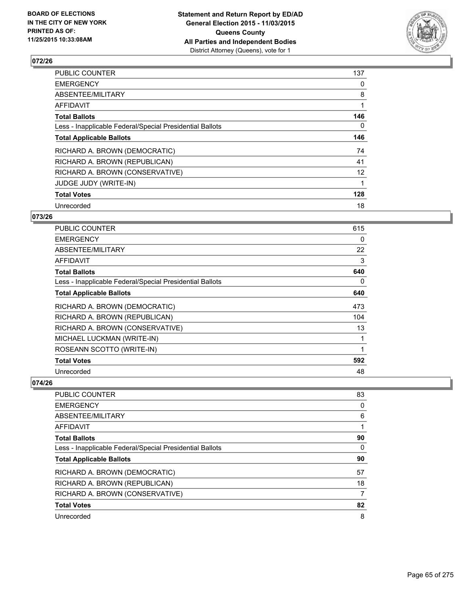

| <b>PUBLIC COUNTER</b>                                    | 137 |
|----------------------------------------------------------|-----|
| <b>EMERGENCY</b>                                         | 0   |
| ABSENTEE/MILITARY                                        | 8   |
| <b>AFFIDAVIT</b>                                         |     |
| <b>Total Ballots</b>                                     | 146 |
| Less - Inapplicable Federal/Special Presidential Ballots | 0   |
| <b>Total Applicable Ballots</b>                          | 146 |
| RICHARD A. BROWN (DEMOCRATIC)                            | 74  |
| RICHARD A. BROWN (REPUBLICAN)                            | 41  |
| RICHARD A. BROWN (CONSERVATIVE)                          | 12  |
| <b>JUDGE JUDY (WRITE-IN)</b>                             | 1   |
| <b>Total Votes</b>                                       | 128 |
| Unrecorded                                               | 18  |

#### **073/26**

| <b>PUBLIC COUNTER</b>                                    | 615 |
|----------------------------------------------------------|-----|
| <b>EMERGENCY</b>                                         | 0   |
| ABSENTEE/MILITARY                                        | 22  |
| <b>AFFIDAVIT</b>                                         | 3   |
| <b>Total Ballots</b>                                     | 640 |
| Less - Inapplicable Federal/Special Presidential Ballots | 0   |
| <b>Total Applicable Ballots</b>                          | 640 |
| RICHARD A. BROWN (DEMOCRATIC)                            | 473 |
| RICHARD A. BROWN (REPUBLICAN)                            | 104 |
| RICHARD A. BROWN (CONSERVATIVE)                          | 13  |
| MICHAEL LUCKMAN (WRITE-IN)                               | 1   |
| ROSEANN SCOTTO (WRITE-IN)                                | 1   |
| <b>Total Votes</b>                                       | 592 |
| Unrecorded                                               | 48  |

| PUBLIC COUNTER                                           | 83 |
|----------------------------------------------------------|----|
| <b>EMERGENCY</b>                                         | 0  |
| ABSENTEE/MILITARY                                        | 6  |
| AFFIDAVIT                                                |    |
| <b>Total Ballots</b>                                     | 90 |
| Less - Inapplicable Federal/Special Presidential Ballots | 0  |
| <b>Total Applicable Ballots</b>                          | 90 |
| RICHARD A. BROWN (DEMOCRATIC)                            | 57 |
| RICHARD A. BROWN (REPUBLICAN)                            | 18 |
| RICHARD A. BROWN (CONSERVATIVE)                          | 7  |
| <b>Total Votes</b>                                       | 82 |
| Unrecorded                                               | 8  |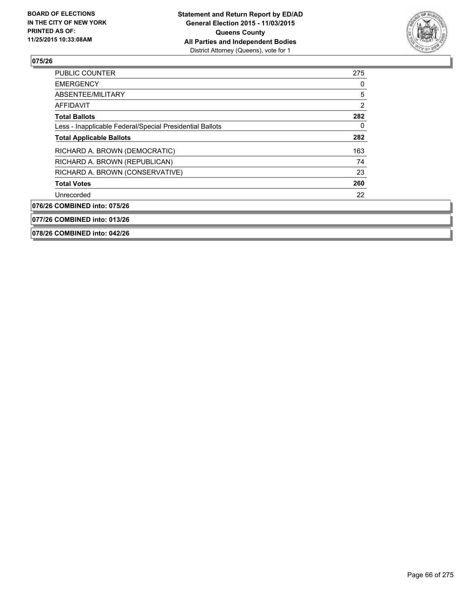

| <b>PUBLIC COUNTER</b>                                    | 275            |
|----------------------------------------------------------|----------------|
| <b>EMERGENCY</b>                                         | 0              |
| ABSENTEE/MILITARY                                        | 5              |
| AFFIDAVIT                                                | $\overline{2}$ |
| <b>Total Ballots</b>                                     | 282            |
| Less - Inapplicable Federal/Special Presidential Ballots | 0              |
| <b>Total Applicable Ballots</b>                          | 282            |
| RICHARD A. BROWN (DEMOCRATIC)                            | 163            |
| RICHARD A. BROWN (REPUBLICAN)                            | 74             |
| RICHARD A. BROWN (CONSERVATIVE)                          | 23             |
| <b>Total Votes</b>                                       | 260            |
| Unrecorded                                               | 22             |
| 076/26 COMBINED into: 075/26                             |                |
| 077/26 COMBINED into: 013/26                             |                |
| 078/26 COMBINED into: 042/26                             |                |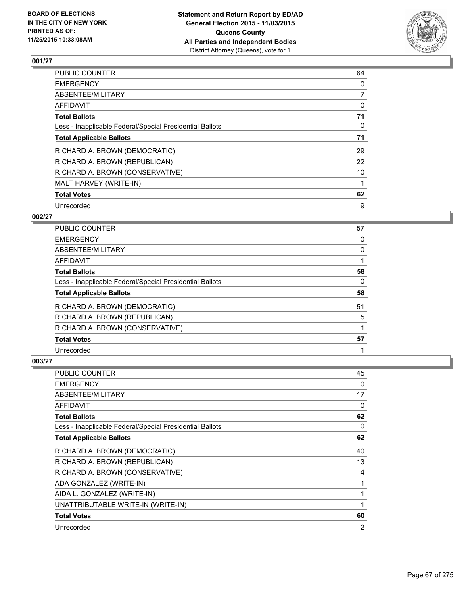

| PUBLIC COUNTER                                           | 64 |
|----------------------------------------------------------|----|
| <b>EMERGENCY</b>                                         | 0  |
| ABSENTEE/MILITARY                                        | 7  |
| AFFIDAVIT                                                | 0  |
| <b>Total Ballots</b>                                     | 71 |
| Less - Inapplicable Federal/Special Presidential Ballots | 0  |
| <b>Total Applicable Ballots</b>                          | 71 |
| RICHARD A. BROWN (DEMOCRATIC)                            | 29 |
| RICHARD A. BROWN (REPUBLICAN)                            | 22 |
| RICHARD A. BROWN (CONSERVATIVE)                          | 10 |
| MALT HARVEY (WRITE-IN)                                   |    |
| <b>Total Votes</b>                                       | 62 |
| Unrecorded                                               | 9  |

#### **002/27**

| <b>PUBLIC COUNTER</b>                                    | 57 |
|----------------------------------------------------------|----|
| <b>EMERGENCY</b>                                         | 0  |
| ABSENTEE/MILITARY                                        | 0  |
| <b>AFFIDAVIT</b>                                         |    |
| <b>Total Ballots</b>                                     | 58 |
| Less - Inapplicable Federal/Special Presidential Ballots | 0  |
| <b>Total Applicable Ballots</b>                          | 58 |
| RICHARD A. BROWN (DEMOCRATIC)                            | 51 |
| RICHARD A. BROWN (REPUBLICAN)                            | 5  |
| RICHARD A. BROWN (CONSERVATIVE)                          |    |
| <b>Total Votes</b>                                       | 57 |
| Unrecorded                                               |    |

| <b>PUBLIC COUNTER</b>                                    | 45 |
|----------------------------------------------------------|----|
| <b>EMERGENCY</b>                                         | 0  |
| ABSENTEE/MILITARY                                        | 17 |
| AFFIDAVIT                                                | 0  |
| <b>Total Ballots</b>                                     | 62 |
| Less - Inapplicable Federal/Special Presidential Ballots | 0  |
| <b>Total Applicable Ballots</b>                          | 62 |
| RICHARD A. BROWN (DEMOCRATIC)                            | 40 |
| RICHARD A. BROWN (REPUBLICAN)                            | 13 |
| RICHARD A. BROWN (CONSERVATIVE)                          | 4  |
| ADA GONZALEZ (WRITE-IN)                                  | 1  |
| AIDA L. GONZALEZ (WRITE-IN)                              | 1  |
| UNATTRIBUTABLE WRITE-IN (WRITE-IN)                       | 1  |
| <b>Total Votes</b>                                       | 60 |
| Unrecorded                                               | 2  |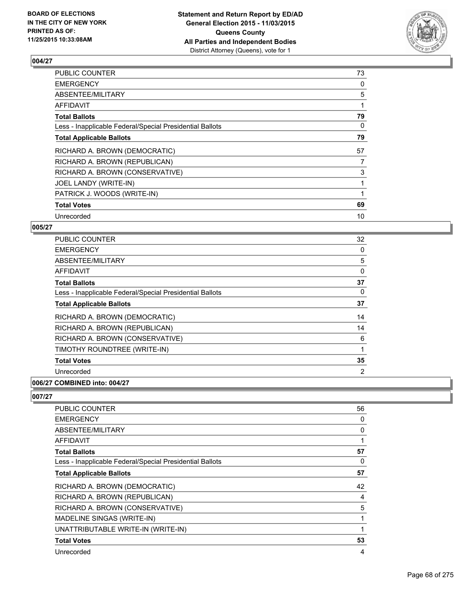

| <b>PUBLIC COUNTER</b>                                    | 73 |
|----------------------------------------------------------|----|
| <b>EMERGENCY</b>                                         | 0  |
| ABSENTEE/MILITARY                                        | 5  |
| AFFIDAVIT                                                |    |
| <b>Total Ballots</b>                                     | 79 |
| Less - Inapplicable Federal/Special Presidential Ballots | 0  |
| <b>Total Applicable Ballots</b>                          | 79 |
| RICHARD A. BROWN (DEMOCRATIC)                            | 57 |
| RICHARD A. BROWN (REPUBLICAN)                            | 7  |
| RICHARD A. BROWN (CONSERVATIVE)                          | 3  |
| JOEL LANDY (WRITE-IN)                                    |    |
| PATRICK J. WOODS (WRITE-IN)                              |    |
| <b>Total Votes</b>                                       | 69 |
| Unrecorded                                               | 10 |

### **005/27**

| PUBLIC COUNTER                                           | 32 |
|----------------------------------------------------------|----|
| <b>EMERGENCY</b>                                         | 0  |
| ABSENTEE/MILITARY                                        | 5  |
| AFFIDAVIT                                                | 0  |
| <b>Total Ballots</b>                                     | 37 |
| Less - Inapplicable Federal/Special Presidential Ballots | 0  |
| <b>Total Applicable Ballots</b>                          | 37 |
| RICHARD A. BROWN (DEMOCRATIC)                            | 14 |
| RICHARD A. BROWN (REPUBLICAN)                            | 14 |
| RICHARD A. BROWN (CONSERVATIVE)                          | 6  |
| TIMOTHY ROUNDTREE (WRITE-IN)                             |    |
| <b>Total Votes</b>                                       | 35 |
| Unrecorded                                               | 2  |
| A                                                        |    |

## **006/27 COMBINED into: 004/27**

| PUBLIC COUNTER                                           | 56 |
|----------------------------------------------------------|----|
| <b>EMERGENCY</b>                                         | 0  |
| ABSENTEE/MILITARY                                        | 0  |
| <b>AFFIDAVIT</b>                                         |    |
| <b>Total Ballots</b>                                     | 57 |
| Less - Inapplicable Federal/Special Presidential Ballots | 0  |
| <b>Total Applicable Ballots</b>                          | 57 |
| RICHARD A. BROWN (DEMOCRATIC)                            | 42 |
| RICHARD A. BROWN (REPUBLICAN)                            | 4  |
| RICHARD A. BROWN (CONSERVATIVE)                          | 5  |
| MADELINE SINGAS (WRITE-IN)                               | 1  |
| UNATTRIBUTABLE WRITE-IN (WRITE-IN)                       | 1  |
| <b>Total Votes</b>                                       | 53 |
| Unrecorded                                               | 4  |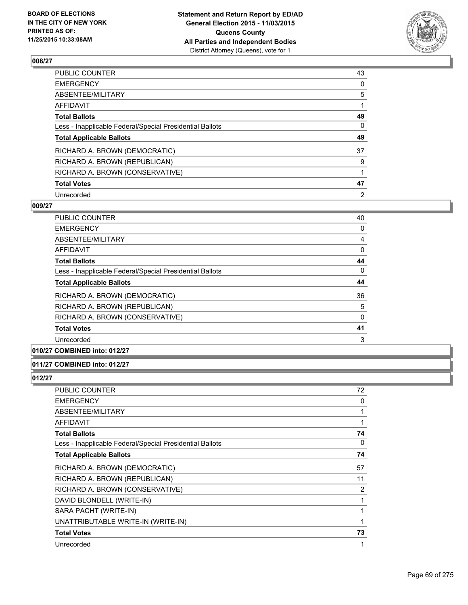

| PUBLIC COUNTER                                           | 43 |
|----------------------------------------------------------|----|
| <b>EMERGENCY</b>                                         | 0  |
| ABSENTEE/MILITARY                                        | 5  |
| <b>AFFIDAVIT</b>                                         |    |
| <b>Total Ballots</b>                                     | 49 |
| Less - Inapplicable Federal/Special Presidential Ballots | 0  |
| <b>Total Applicable Ballots</b>                          | 49 |
| RICHARD A. BROWN (DEMOCRATIC)                            | 37 |
| RICHARD A. BROWN (REPUBLICAN)                            | 9  |
| RICHARD A. BROWN (CONSERVATIVE)                          |    |
| <b>Total Votes</b>                                       | 47 |
| Unrecorded                                               | 2  |

#### **009/27**

| PUBLIC COUNTER                                           | 40 |
|----------------------------------------------------------|----|
| <b>EMERGENCY</b>                                         | 0  |
| ABSENTEE/MILITARY                                        | 4  |
| AFFIDAVIT                                                | 0  |
| <b>Total Ballots</b>                                     | 44 |
| Less - Inapplicable Federal/Special Presidential Ballots | 0  |
| <b>Total Applicable Ballots</b>                          | 44 |
| RICHARD A. BROWN (DEMOCRATIC)                            | 36 |
| RICHARD A. BROWN (REPUBLICAN)                            | 5  |
| RICHARD A. BROWN (CONSERVATIVE)                          | 0  |
| <b>Total Votes</b>                                       | 41 |
| Unrecorded                                               | 3  |
|                                                          |    |

### **010/27 COMBINED into: 012/27**

#### **011/27 COMBINED into: 012/27**

| <b>PUBLIC COUNTER</b>                                    | 72 |
|----------------------------------------------------------|----|
| <b>EMERGENCY</b>                                         | 0  |
| ABSENTEE/MILITARY                                        | 1  |
| AFFIDAVIT                                                | 1  |
| <b>Total Ballots</b>                                     | 74 |
| Less - Inapplicable Federal/Special Presidential Ballots | 0  |
| <b>Total Applicable Ballots</b>                          | 74 |
| RICHARD A. BROWN (DEMOCRATIC)                            | 57 |
| RICHARD A. BROWN (REPUBLICAN)                            | 11 |
| RICHARD A. BROWN (CONSERVATIVE)                          | 2  |
| DAVID BLONDELL (WRITE-IN)                                | 1  |
| SARA PACHT (WRITE-IN)                                    |    |
| UNATTRIBUTABLE WRITE-IN (WRITE-IN)                       | 1  |
| <b>Total Votes</b>                                       | 73 |
| Unrecorded                                               | 1  |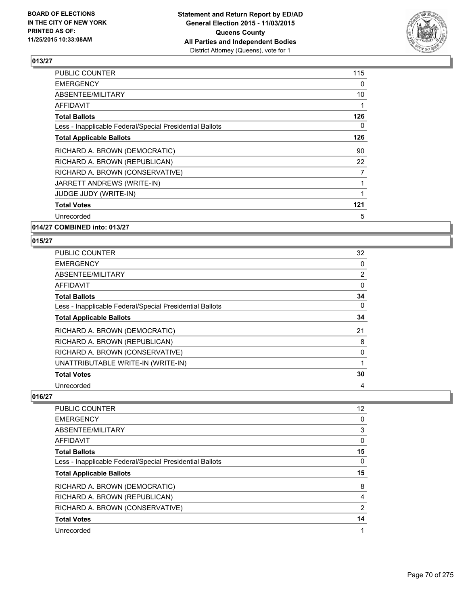

| <b>PUBLIC COUNTER</b>                                    | 115 |
|----------------------------------------------------------|-----|
| <b>EMERGENCY</b>                                         | 0   |
| ABSENTEE/MILITARY                                        | 10  |
| AFFIDAVIT                                                |     |
| <b>Total Ballots</b>                                     | 126 |
| Less - Inapplicable Federal/Special Presidential Ballots | 0   |
| <b>Total Applicable Ballots</b>                          | 126 |
| RICHARD A. BROWN (DEMOCRATIC)                            | 90  |
| RICHARD A. BROWN (REPUBLICAN)                            | 22  |
| RICHARD A. BROWN (CONSERVATIVE)                          | 7   |
| JARRETT ANDREWS (WRITE-IN)                               |     |
| JUDGE JUDY (WRITE-IN)                                    | 1   |
| <b>Total Votes</b>                                       | 121 |
| Unrecorded                                               | 5   |
|                                                          |     |

**014/27 COMBINED into: 013/27**

#### **015/27**

| <b>PUBLIC COUNTER</b>                                    | 32 |
|----------------------------------------------------------|----|
| <b>EMERGENCY</b>                                         | 0  |
| ABSENTEE/MILITARY                                        | 2  |
| AFFIDAVIT                                                | 0  |
| <b>Total Ballots</b>                                     | 34 |
| Less - Inapplicable Federal/Special Presidential Ballots | 0  |
| <b>Total Applicable Ballots</b>                          | 34 |
| RICHARD A. BROWN (DEMOCRATIC)                            | 21 |
| RICHARD A. BROWN (REPUBLICAN)                            | 8  |
| RICHARD A. BROWN (CONSERVATIVE)                          | 0  |
| UNATTRIBUTABLE WRITE-IN (WRITE-IN)                       | 1  |
| <b>Total Votes</b>                                       | 30 |
| Unrecorded                                               | 4  |

| 12             |
|----------------|
| 0              |
| 3              |
| 0              |
| 15             |
| 0              |
| 15             |
| 8              |
| 4              |
| $\overline{2}$ |
|                |
| 14             |
|                |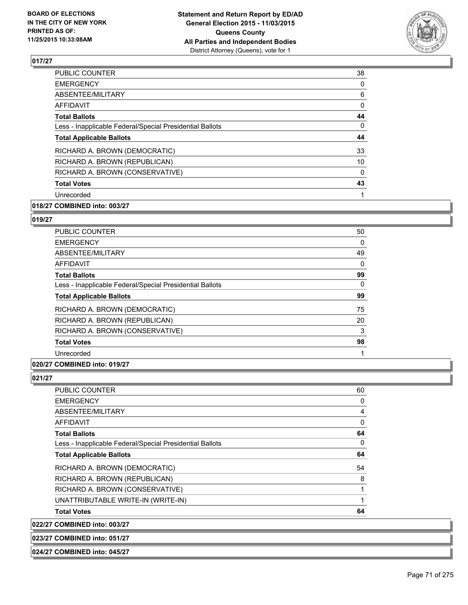

| <b>PUBLIC COUNTER</b>                                    | 38 |
|----------------------------------------------------------|----|
| <b>EMERGENCY</b>                                         | 0  |
| ABSENTEE/MILITARY                                        | 6  |
| AFFIDAVIT                                                | 0  |
| <b>Total Ballots</b>                                     | 44 |
| Less - Inapplicable Federal/Special Presidential Ballots | 0  |
| <b>Total Applicable Ballots</b>                          | 44 |
| RICHARD A. BROWN (DEMOCRATIC)                            | 33 |
| RICHARD A. BROWN (REPUBLICAN)                            | 10 |
| RICHARD A. BROWN (CONSERVATIVE)                          | 0  |
| <b>Total Votes</b>                                       | 43 |
| Unrecorded                                               |    |
|                                                          |    |

### **018/27 COMBINED into: 003/27**

#### **019/27**

| <b>PUBLIC COUNTER</b>                                    | 50       |
|----------------------------------------------------------|----------|
| <b>EMERGENCY</b>                                         | 0        |
| ABSENTEE/MILITARY                                        | 49       |
| <b>AFFIDAVIT</b>                                         | $\Omega$ |
| <b>Total Ballots</b>                                     | 99       |
| Less - Inapplicable Federal/Special Presidential Ballots | $\Omega$ |
| <b>Total Applicable Ballots</b>                          | 99       |
| RICHARD A. BROWN (DEMOCRATIC)                            | 75       |
| RICHARD A. BROWN (REPUBLICAN)                            | 20       |
| RICHARD A. BROWN (CONSERVATIVE)                          | 3        |
| <b>Total Votes</b>                                       | 98       |
| Unrecorded                                               |          |

#### **020/27 COMBINED into: 019/27**

**021/27** 

**022/27** 

| <b>COMBINED into: 003/27</b>                             |    |
|----------------------------------------------------------|----|
| <b>Total Votes</b>                                       | 64 |
| UNATTRIBUTABLE WRITE-IN (WRITE-IN)                       | 1  |
| RICHARD A. BROWN (CONSERVATIVE)                          | 1  |
| RICHARD A. BROWN (REPUBLICAN)                            | 8  |
| RICHARD A. BROWN (DEMOCRATIC)                            | 54 |
| <b>Total Applicable Ballots</b>                          | 64 |
| Less - Inapplicable Federal/Special Presidential Ballots | 0  |
| <b>Total Ballots</b>                                     | 64 |
| <b>AFFIDAVIT</b>                                         | 0  |
| ABSENTEE/MILITARY                                        | 4  |
| <b>EMERGENCY</b>                                         | 0  |
| <b>PUBLIC COUNTER</b>                                    | 60 |

**023/27 COMBINED into: 051/27**

**024/27 COMBINED into: 045/27**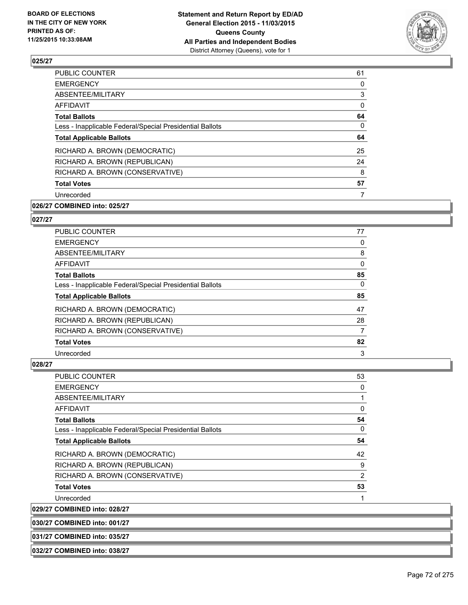

| <b>PUBLIC COUNTER</b>                                    | 61 |
|----------------------------------------------------------|----|
| <b>EMERGENCY</b>                                         | 0  |
| ABSENTEE/MILITARY                                        | 3  |
| AFFIDAVIT                                                | 0  |
| <b>Total Ballots</b>                                     | 64 |
| Less - Inapplicable Federal/Special Presidential Ballots | 0  |
| <b>Total Applicable Ballots</b>                          | 64 |
| RICHARD A. BROWN (DEMOCRATIC)                            | 25 |
| RICHARD A. BROWN (REPUBLICAN)                            | 24 |
| RICHARD A. BROWN (CONSERVATIVE)                          | 8  |
| <b>Total Votes</b>                                       | 57 |
| Unrecorded                                               | 7  |
|                                                          |    |

### **026/27 COMBINED into: 025/27**

#### **027/27**

| PUBLIC COUNTER                                           | 77 |
|----------------------------------------------------------|----|
| <b>EMERGENCY</b>                                         | 0  |
| ABSENTEE/MILITARY                                        | 8  |
| AFFIDAVIT                                                | 0  |
| <b>Total Ballots</b>                                     | 85 |
| Less - Inapplicable Federal/Special Presidential Ballots | 0  |
| <b>Total Applicable Ballots</b>                          | 85 |
| RICHARD A. BROWN (DEMOCRATIC)                            | 47 |
| RICHARD A. BROWN (REPUBLICAN)                            | 28 |
| RICHARD A. BROWN (CONSERVATIVE)                          | 7  |
| <b>Total Votes</b>                                       | 82 |
| Unrecorded                                               | 3  |

### **028/27**

| PUBLIC COUNTER                                           | 53             |
|----------------------------------------------------------|----------------|
| <b>EMERGENCY</b>                                         | 0              |
| ABSENTEE/MILITARY                                        | 1              |
| <b>AFFIDAVIT</b>                                         | 0              |
| <b>Total Ballots</b>                                     | 54             |
| Less - Inapplicable Federal/Special Presidential Ballots | 0              |
| <b>Total Applicable Ballots</b>                          | 54             |
| RICHARD A. BROWN (DEMOCRATIC)                            | 42             |
| RICHARD A. BROWN (REPUBLICAN)                            | 9              |
| RICHARD A. BROWN (CONSERVATIVE)                          | $\overline{2}$ |
| <b>Total Votes</b>                                       | 53             |
| Unrecorded                                               |                |
| 029/27 COMBINED into: 028/27                             |                |
| 030/27 COMBINED into: 001/27                             |                |

**031/27 COMBINED into: 035/27**

#### **032/27 COMBINED into: 038/27**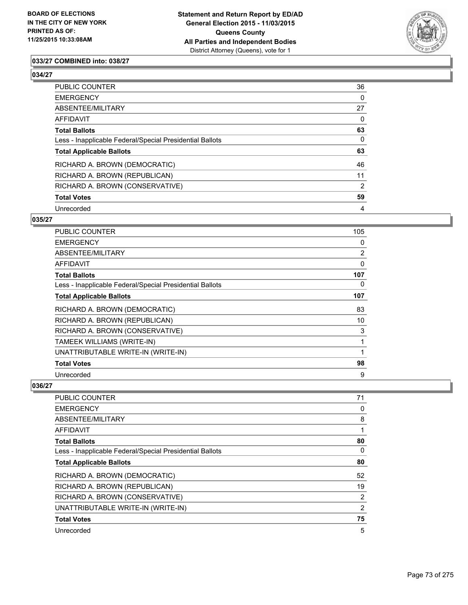

# **033/27 COMBINED into: 038/27**

#### **034/27**

| PUBLIC COUNTER                                           | 36             |
|----------------------------------------------------------|----------------|
| EMERGENCY                                                | 0              |
| ABSENTEE/MILITARY                                        | 27             |
| AFFIDAVIT                                                | 0              |
| Total Ballots                                            | 63             |
| Less - Inapplicable Federal/Special Presidential Ballots | $\Omega$       |
| <b>Total Applicable Ballots</b>                          | 63             |
| RICHARD A. BROWN (DEMOCRATIC)                            | 46             |
| RICHARD A. BROWN (REPUBLICAN)                            | 11             |
| RICHARD A. BROWN (CONSERVATIVE)                          | $\overline{2}$ |
| <b>Total Votes</b>                                       | 59             |
| Unrecorded                                               | $\overline{4}$ |

#### **035/27**

| <b>PUBLIC COUNTER</b>                                    | 105 |
|----------------------------------------------------------|-----|
| <b>EMERGENCY</b>                                         | 0   |
| ABSENTEE/MILITARY                                        | 2   |
| <b>AFFIDAVIT</b>                                         | 0   |
| <b>Total Ballots</b>                                     | 107 |
| Less - Inapplicable Federal/Special Presidential Ballots | 0   |
| <b>Total Applicable Ballots</b>                          | 107 |
| RICHARD A. BROWN (DEMOCRATIC)                            | 83  |
| RICHARD A. BROWN (REPUBLICAN)                            | 10  |
| RICHARD A. BROWN (CONSERVATIVE)                          | 3   |
| TAMEEK WILLIAMS (WRITE-IN)                               | 1   |
| UNATTRIBUTABLE WRITE-IN (WRITE-IN)                       | 1   |
| <b>Total Votes</b>                                       | 98  |
| Unrecorded                                               | 9   |

| PUBLIC COUNTER                                           | 71             |
|----------------------------------------------------------|----------------|
| <b>EMERGENCY</b>                                         | 0              |
| ABSENTEE/MILITARY                                        | 8              |
| AFFIDAVIT                                                |                |
| <b>Total Ballots</b>                                     | 80             |
| Less - Inapplicable Federal/Special Presidential Ballots | 0              |
| <b>Total Applicable Ballots</b>                          | 80             |
| RICHARD A. BROWN (DEMOCRATIC)                            | 52             |
| RICHARD A. BROWN (REPUBLICAN)                            | 19             |
| RICHARD A. BROWN (CONSERVATIVE)                          | $\overline{2}$ |
| UNATTRIBUTABLE WRITE-IN (WRITE-IN)                       | $\overline{2}$ |
| <b>Total Votes</b>                                       | 75             |
| Unrecorded                                               | 5              |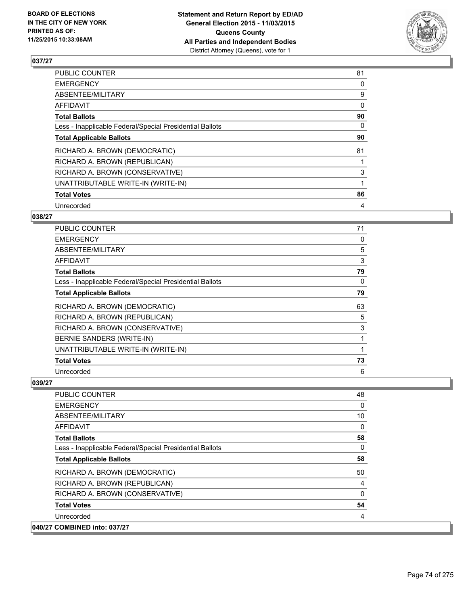

| <b>PUBLIC COUNTER</b>                                    | 81 |
|----------------------------------------------------------|----|
| <b>EMERGENCY</b>                                         | 0  |
| ABSENTEE/MILITARY                                        | 9  |
| AFFIDAVIT                                                | 0  |
| <b>Total Ballots</b>                                     | 90 |
| Less - Inapplicable Federal/Special Presidential Ballots | 0  |
| <b>Total Applicable Ballots</b>                          | 90 |
| RICHARD A. BROWN (DEMOCRATIC)                            | 81 |
| RICHARD A. BROWN (REPUBLICAN)                            |    |
| RICHARD A. BROWN (CONSERVATIVE)                          | 3  |
| UNATTRIBUTABLE WRITE-IN (WRITE-IN)                       |    |
| <b>Total Votes</b>                                       | 86 |
| Unrecorded                                               | 4  |

# **038/27**

| PUBLIC COUNTER                                           | 71 |
|----------------------------------------------------------|----|
| <b>EMERGENCY</b>                                         | 0  |
| ABSENTEE/MILITARY                                        | 5  |
| <b>AFFIDAVIT</b>                                         | 3  |
| <b>Total Ballots</b>                                     | 79 |
| Less - Inapplicable Federal/Special Presidential Ballots | 0  |
| <b>Total Applicable Ballots</b>                          | 79 |
| RICHARD A. BROWN (DEMOCRATIC)                            | 63 |
| RICHARD A. BROWN (REPUBLICAN)                            | 5  |
| RICHARD A. BROWN (CONSERVATIVE)                          | 3  |
| BERNIE SANDERS (WRITE-IN)                                | 1  |
| UNATTRIBUTABLE WRITE-IN (WRITE-IN)                       | 1  |
| <b>Total Votes</b>                                       | 73 |
| Unrecorded                                               | 6  |

| <b>PUBLIC COUNTER</b>                                    | 48 |
|----------------------------------------------------------|----|
| <b>EMERGENCY</b>                                         | 0  |
| ABSENTEE/MILITARY                                        | 10 |
| <b>AFFIDAVIT</b>                                         | 0  |
| <b>Total Ballots</b>                                     | 58 |
| Less - Inapplicable Federal/Special Presidential Ballots | 0  |
| <b>Total Applicable Ballots</b>                          | 58 |
| RICHARD A. BROWN (DEMOCRATIC)                            | 50 |
| RICHARD A. BROWN (REPUBLICAN)                            | 4  |
| RICHARD A. BROWN (CONSERVATIVE)                          | 0  |
| <b>Total Votes</b>                                       | 54 |
| Unrecorded                                               | 4  |
| 040/27 COMBINED into: 037/27                             |    |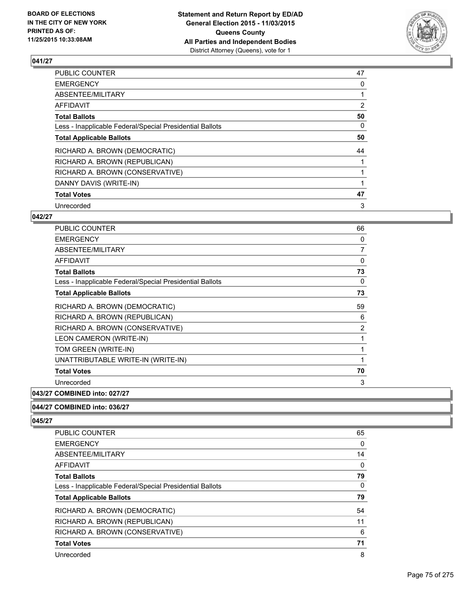

| <b>PUBLIC COUNTER</b>                                    | 47             |
|----------------------------------------------------------|----------------|
| <b>EMERGENCY</b>                                         | 0              |
| ABSENTEE/MILITARY                                        |                |
| AFFIDAVIT                                                | $\overline{2}$ |
| <b>Total Ballots</b>                                     | 50             |
| Less - Inapplicable Federal/Special Presidential Ballots | 0              |
| <b>Total Applicable Ballots</b>                          | 50             |
| RICHARD A. BROWN (DEMOCRATIC)                            | 44             |
| RICHARD A. BROWN (REPUBLICAN)                            |                |
| RICHARD A. BROWN (CONSERVATIVE)                          |                |
| DANNY DAVIS (WRITE-IN)                                   |                |
| <b>Total Votes</b>                                       | 47             |
| Unrecorded                                               | 3              |

## **042/27**

| <b>PUBLIC COUNTER</b>                                    | 66 |
|----------------------------------------------------------|----|
| <b>EMERGENCY</b>                                         | 0  |
| ABSENTEE/MILITARY                                        | 7  |
| AFFIDAVIT                                                | 0  |
| <b>Total Ballots</b>                                     | 73 |
| Less - Inapplicable Federal/Special Presidential Ballots | 0  |
| <b>Total Applicable Ballots</b>                          | 73 |
| RICHARD A. BROWN (DEMOCRATIC)                            | 59 |
| RICHARD A. BROWN (REPUBLICAN)                            | 6  |
| RICHARD A. BROWN (CONSERVATIVE)                          | 2  |
| LEON CAMERON (WRITE-IN)                                  | 1  |
| TOM GREEN (WRITE-IN)                                     | 1  |
| UNATTRIBUTABLE WRITE-IN (WRITE-IN)                       | 1  |
| <b>Total Votes</b>                                       | 70 |
| Unrecorded                                               | 3  |
|                                                          |    |

# **043/27 COMBINED into: 027/27**

# **044/27 COMBINED into: 036/27**

| <b>PUBLIC COUNTER</b>                                    | 65 |
|----------------------------------------------------------|----|
| <b>EMERGENCY</b>                                         | 0  |
| ABSENTEE/MILITARY                                        | 14 |
| AFFIDAVIT                                                | 0  |
| <b>Total Ballots</b>                                     | 79 |
| Less - Inapplicable Federal/Special Presidential Ballots | 0  |
| <b>Total Applicable Ballots</b>                          | 79 |
| RICHARD A. BROWN (DEMOCRATIC)                            | 54 |
| RICHARD A. BROWN (REPUBLICAN)                            | 11 |
| RICHARD A. BROWN (CONSERVATIVE)                          | 6  |
| <b>Total Votes</b>                                       | 71 |
| Unrecorded                                               | 8  |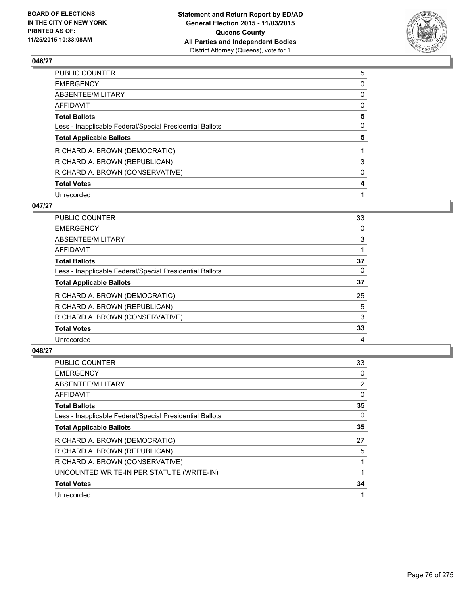

| PUBLIC COUNTER                                           | 5 |
|----------------------------------------------------------|---|
| <b>EMERGENCY</b>                                         | 0 |
| <b>ABSENTEE/MILITARY</b>                                 | 0 |
| AFFIDAVIT                                                | 0 |
| <b>Total Ballots</b>                                     | 5 |
| Less - Inapplicable Federal/Special Presidential Ballots | 0 |
| <b>Total Applicable Ballots</b>                          | 5 |
| RICHARD A. BROWN (DEMOCRATIC)                            |   |
| RICHARD A. BROWN (REPUBLICAN)                            | 3 |
| RICHARD A. BROWN (CONSERVATIVE)                          | 0 |
| <b>Total Votes</b>                                       | 4 |
| Unrecorded                                               |   |

### **047/27**

| <b>PUBLIC COUNTER</b>                                    | 33 |
|----------------------------------------------------------|----|
| <b>EMERGENCY</b>                                         | 0  |
| ABSENTEE/MILITARY                                        | 3  |
| <b>AFFIDAVIT</b>                                         |    |
| <b>Total Ballots</b>                                     | 37 |
| Less - Inapplicable Federal/Special Presidential Ballots | 0  |
| <b>Total Applicable Ballots</b>                          | 37 |
| RICHARD A. BROWN (DEMOCRATIC)                            | 25 |
| RICHARD A. BROWN (REPUBLICAN)                            | 5  |
| RICHARD A. BROWN (CONSERVATIVE)                          | 3  |
| <b>Total Votes</b>                                       | 33 |
| Unrecorded                                               | 4  |

| <b>PUBLIC COUNTER</b>                                    | 33 |
|----------------------------------------------------------|----|
| <b>EMERGENCY</b>                                         | 0  |
| ABSENTEE/MILITARY                                        | 2  |
| AFFIDAVIT                                                | 0  |
| <b>Total Ballots</b>                                     | 35 |
| Less - Inapplicable Federal/Special Presidential Ballots | 0  |
| <b>Total Applicable Ballots</b>                          | 35 |
| RICHARD A. BROWN (DEMOCRATIC)                            | 27 |
| RICHARD A. BROWN (REPUBLICAN)                            | 5  |
| RICHARD A. BROWN (CONSERVATIVE)                          |    |
| UNCOUNTED WRITE-IN PER STATUTE (WRITE-IN)                |    |
| <b>Total Votes</b>                                       | 34 |
| Unrecorded                                               |    |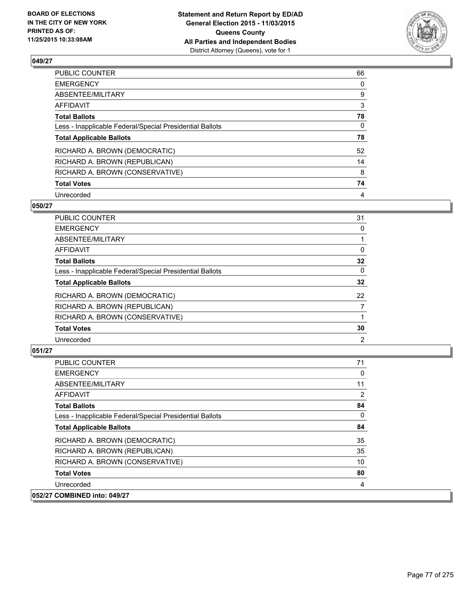

| PUBLIC COUNTER                                           | 66 |
|----------------------------------------------------------|----|
| <b>EMERGENCY</b>                                         | 0  |
| ABSENTEE/MILITARY                                        | 9  |
| <b>AFFIDAVIT</b>                                         | 3  |
| <b>Total Ballots</b>                                     | 78 |
| Less - Inapplicable Federal/Special Presidential Ballots | 0  |
| <b>Total Applicable Ballots</b>                          | 78 |
| RICHARD A. BROWN (DEMOCRATIC)                            | 52 |
| RICHARD A. BROWN (REPUBLICAN)                            | 14 |
| RICHARD A. BROWN (CONSERVATIVE)                          | 8  |
| <b>Total Votes</b>                                       | 74 |
| Unrecorded                                               | 4  |

### **050/27**

| PUBLIC COUNTER                                           | 31 |
|----------------------------------------------------------|----|
| <b>EMERGENCY</b>                                         | 0  |
| ABSENTEE/MILITARY                                        |    |
| AFFIDAVIT                                                | 0  |
| <b>Total Ballots</b>                                     | 32 |
| Less - Inapplicable Federal/Special Presidential Ballots | 0  |
| <b>Total Applicable Ballots</b>                          | 32 |
| RICHARD A. BROWN (DEMOCRATIC)                            | 22 |
| RICHARD A. BROWN (REPUBLICAN)                            | 7  |
| RICHARD A. BROWN (CONSERVATIVE)                          |    |
| <b>Total Votes</b>                                       | 30 |
| Unrecorded                                               | 2  |
|                                                          |    |

| <b>PUBLIC COUNTER</b>                                    | 71             |
|----------------------------------------------------------|----------------|
| <b>EMERGENCY</b>                                         | 0              |
| ABSENTEE/MILITARY                                        | 11             |
| <b>AFFIDAVIT</b>                                         | $\overline{2}$ |
| <b>Total Ballots</b>                                     | 84             |
| Less - Inapplicable Federal/Special Presidential Ballots | $\mathbf{0}$   |
| <b>Total Applicable Ballots</b>                          | 84             |
| RICHARD A. BROWN (DEMOCRATIC)                            | 35             |
| RICHARD A. BROWN (REPUBLICAN)                            | 35             |
| RICHARD A. BROWN (CONSERVATIVE)                          | 10             |
| <b>Total Votes</b>                                       | 80             |
| Unrecorded                                               | 4              |
| 052/27 COMBINED into: 049/27                             |                |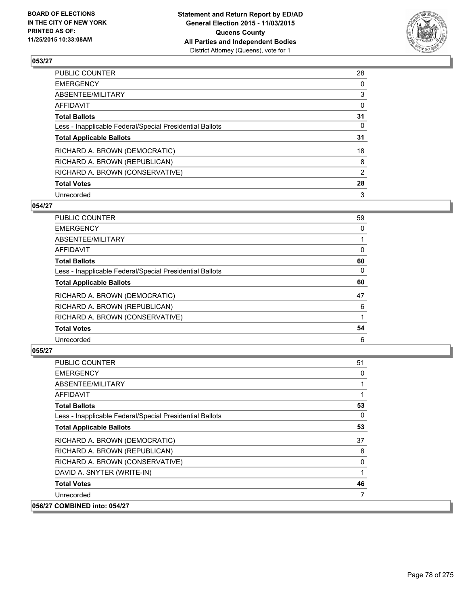

| PUBLIC COUNTER                                           | 28             |
|----------------------------------------------------------|----------------|
| <b>EMERGENCY</b>                                         | 0              |
| ABSENTEE/MILITARY                                        | 3              |
| <b>AFFIDAVIT</b>                                         | 0              |
| <b>Total Ballots</b>                                     | 31             |
| Less - Inapplicable Federal/Special Presidential Ballots | 0              |
| <b>Total Applicable Ballots</b>                          | 31             |
| RICHARD A. BROWN (DEMOCRATIC)                            | 18             |
| RICHARD A. BROWN (REPUBLICAN)                            | 8              |
| RICHARD A. BROWN (CONSERVATIVE)                          | $\overline{2}$ |
| <b>Total Votes</b>                                       | 28             |
| Unrecorded                                               | 3              |

### **054/27**

| <b>PUBLIC COUNTER</b>                                    | 59 |
|----------------------------------------------------------|----|
| <b>EMERGENCY</b>                                         | 0  |
| <b>ABSENTEE/MILITARY</b>                                 |    |
| AFFIDAVIT                                                | 0  |
| <b>Total Ballots</b>                                     | 60 |
| Less - Inapplicable Federal/Special Presidential Ballots | 0  |
| <b>Total Applicable Ballots</b>                          | 60 |
| RICHARD A. BROWN (DEMOCRATIC)                            | 47 |
| RICHARD A. BROWN (REPUBLICAN)                            | 6  |
| RICHARD A. BROWN (CONSERVATIVE)                          |    |
| <b>Total Votes</b>                                       | 54 |
| Unrecorded                                               | 6  |
|                                                          |    |

| <b>PUBLIC COUNTER</b>                                    | 51 |
|----------------------------------------------------------|----|
| <b>EMERGENCY</b>                                         | 0  |
| ABSENTEE/MILITARY                                        |    |
| <b>AFFIDAVIT</b>                                         | 1  |
| <b>Total Ballots</b>                                     | 53 |
| Less - Inapplicable Federal/Special Presidential Ballots | 0  |
| <b>Total Applicable Ballots</b>                          | 53 |
| RICHARD A. BROWN (DEMOCRATIC)                            | 37 |
| RICHARD A. BROWN (REPUBLICAN)                            | 8  |
| RICHARD A. BROWN (CONSERVATIVE)                          | 0  |
| DAVID A. SNYTER (WRITE-IN)                               | 1  |
| <b>Total Votes</b>                                       | 46 |
| Unrecorded                                               | 7  |
| 056/27 COMBINED into: 054/27                             |    |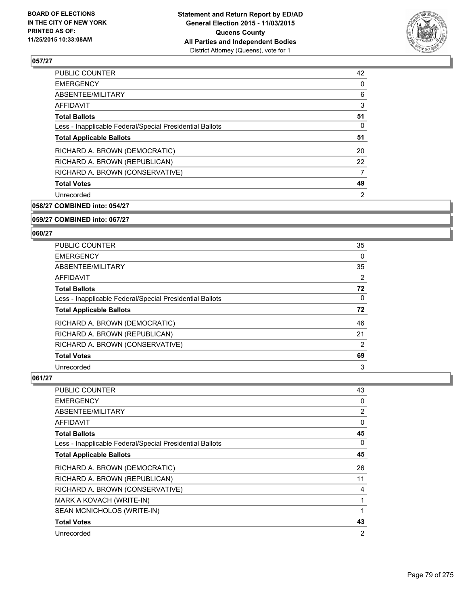

| <b>PUBLIC COUNTER</b>                                    | 42 |
|----------------------------------------------------------|----|
| <b>EMERGENCY</b>                                         | 0  |
| ABSENTEE/MILITARY                                        | 6  |
| AFFIDAVIT                                                | 3  |
| <b>Total Ballots</b>                                     | 51 |
| Less - Inapplicable Federal/Special Presidential Ballots | 0  |
| <b>Total Applicable Ballots</b>                          | 51 |
| RICHARD A. BROWN (DEMOCRATIC)                            | 20 |
| RICHARD A. BROWN (REPUBLICAN)                            | 22 |
| RICHARD A. BROWN (CONSERVATIVE)                          | 7  |
| <b>Total Votes</b>                                       | 49 |
| Unrecorded                                               | 2  |
|                                                          |    |

**058/27 COMBINED into: 054/27**

**059/27 COMBINED into: 067/27**

#### **060/27**

| PUBLIC COUNTER                                           | 35             |
|----------------------------------------------------------|----------------|
| <b>EMERGENCY</b>                                         | 0              |
| ABSENTEE/MILITARY                                        | 35             |
| AFFIDAVIT                                                | $\overline{2}$ |
| <b>Total Ballots</b>                                     | 72             |
| Less - Inapplicable Federal/Special Presidential Ballots | 0              |
| <b>Total Applicable Ballots</b>                          | 72             |
| RICHARD A. BROWN (DEMOCRATIC)                            | 46             |
| RICHARD A. BROWN (REPUBLICAN)                            | 21             |
| RICHARD A. BROWN (CONSERVATIVE)                          | 2              |
| <b>Total Votes</b>                                       | 69             |
| Unrecorded                                               | 3              |

| PUBLIC COUNTER                                           | 43             |
|----------------------------------------------------------|----------------|
| <b>EMERGENCY</b>                                         | 0              |
| ABSENTEE/MILITARY                                        | $\overline{2}$ |
| AFFIDAVIT                                                | 0              |
| <b>Total Ballots</b>                                     | 45             |
| Less - Inapplicable Federal/Special Presidential Ballots | 0              |
| <b>Total Applicable Ballots</b>                          | 45             |
| RICHARD A. BROWN (DEMOCRATIC)                            | 26             |
| RICHARD A. BROWN (REPUBLICAN)                            | 11             |
| RICHARD A. BROWN (CONSERVATIVE)                          | 4              |
| MARK A KOVACH (WRITE-IN)                                 |                |
| SEAN MCNICHOLOS (WRITE-IN)                               |                |
| <b>Total Votes</b>                                       | 43             |
| Unrecorded                                               | $\overline{2}$ |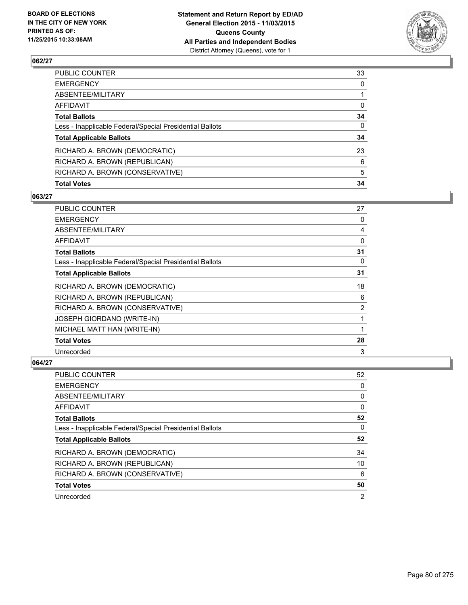

| PUBLIC COUNTER                                           | 33           |
|----------------------------------------------------------|--------------|
| <b>EMERGENCY</b>                                         | $\mathbf{0}$ |
| ABSENTEE/MILITARY                                        |              |
| AFFIDAVIT                                                | 0            |
| <b>Total Ballots</b>                                     | 34           |
| Less - Inapplicable Federal/Special Presidential Ballots | $\mathbf{0}$ |
| <b>Total Applicable Ballots</b>                          | 34           |
| RICHARD A. BROWN (DEMOCRATIC)                            | 23           |
| RICHARD A. BROWN (REPUBLICAN)                            | 6            |
| RICHARD A. BROWN (CONSERVATIVE)                          | 5            |
| <b>Total Votes</b>                                       | 34           |

# **063/27**

| PUBLIC COUNTER                                           | 27 |
|----------------------------------------------------------|----|
| <b>EMERGENCY</b>                                         | 0  |
| ABSENTEE/MILITARY                                        | 4  |
| AFFIDAVIT                                                | 0  |
| <b>Total Ballots</b>                                     | 31 |
| Less - Inapplicable Federal/Special Presidential Ballots | 0  |
| <b>Total Applicable Ballots</b>                          | 31 |
| RICHARD A. BROWN (DEMOCRATIC)                            | 18 |
| RICHARD A. BROWN (REPUBLICAN)                            | 6  |
| RICHARD A. BROWN (CONSERVATIVE)                          | 2  |
| <b>JOSEPH GIORDANO (WRITE-IN)</b>                        | 1  |
| MICHAEL MATT HAN (WRITE-IN)                              |    |
| <b>Total Votes</b>                                       | 28 |
| Unrecorded                                               | 3  |
|                                                          |    |

| <b>PUBLIC COUNTER</b>                                    | 52 |
|----------------------------------------------------------|----|
| <b>EMERGENCY</b>                                         | 0  |
| ABSENTEE/MILITARY                                        | 0  |
| AFFIDAVIT                                                | 0  |
| <b>Total Ballots</b>                                     | 52 |
| Less - Inapplicable Federal/Special Presidential Ballots | 0  |
| <b>Total Applicable Ballots</b>                          | 52 |
| RICHARD A. BROWN (DEMOCRATIC)                            | 34 |
| RICHARD A. BROWN (REPUBLICAN)                            | 10 |
| RICHARD A. BROWN (CONSERVATIVE)                          | 6  |
| <b>Total Votes</b>                                       | 50 |
| Unrecorded                                               | 2  |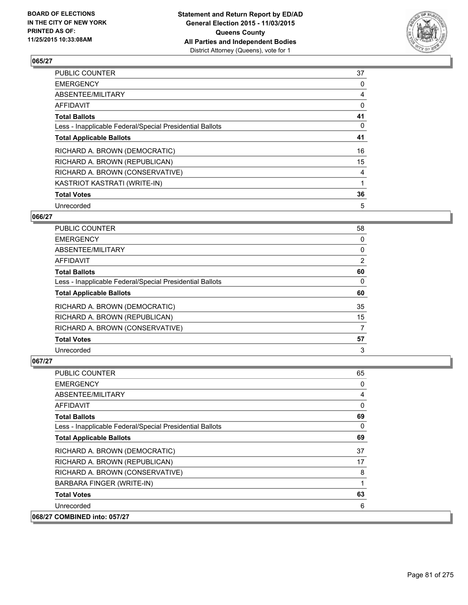

| <b>PUBLIC COUNTER</b>                                    | 37 |
|----------------------------------------------------------|----|
| <b>EMERGENCY</b>                                         | 0  |
| ABSENTEE/MILITARY                                        | 4  |
| AFFIDAVIT                                                | 0  |
| <b>Total Ballots</b>                                     | 41 |
| Less - Inapplicable Federal/Special Presidential Ballots | 0  |
| <b>Total Applicable Ballots</b>                          | 41 |
| RICHARD A. BROWN (DEMOCRATIC)                            | 16 |
| RICHARD A. BROWN (REPUBLICAN)                            | 15 |
| RICHARD A. BROWN (CONSERVATIVE)                          | 4  |
| KASTRIOT KASTRATI (WRITE-IN)                             |    |
| <b>Total Votes</b>                                       | 36 |
| Unrecorded                                               | 5  |

## **066/27**

| PUBLIC COUNTER                                           | 58             |
|----------------------------------------------------------|----------------|
| <b>EMERGENCY</b>                                         | 0              |
| ABSENTEE/MILITARY                                        | 0              |
| AFFIDAVIT                                                | $\overline{2}$ |
| <b>Total Ballots</b>                                     | 60             |
| Less - Inapplicable Federal/Special Presidential Ballots | 0              |
| <b>Total Applicable Ballots</b>                          | 60             |
| RICHARD A. BROWN (DEMOCRATIC)                            | 35             |
| RICHARD A. BROWN (REPUBLICAN)                            | 15             |
| RICHARD A. BROWN (CONSERVATIVE)                          | 7              |
| <b>Total Votes</b>                                       | 57             |
| Unrecorded                                               | 3              |

| <b>PUBLIC COUNTER</b>                                    | 65       |
|----------------------------------------------------------|----------|
| <b>EMERGENCY</b>                                         | 0        |
| ABSENTEE/MILITARY                                        | 4        |
| AFFIDAVIT                                                | $\Omega$ |
| <b>Total Ballots</b>                                     | 69       |
| Less - Inapplicable Federal/Special Presidential Ballots | $\Omega$ |
| <b>Total Applicable Ballots</b>                          | 69       |
| RICHARD A. BROWN (DEMOCRATIC)                            | 37       |
| RICHARD A. BROWN (REPUBLICAN)                            | 17       |
| RICHARD A. BROWN (CONSERVATIVE)                          | 8        |
| BARBARA FINGER (WRITE-IN)                                | 1        |
| <b>Total Votes</b>                                       | 63       |
| Unrecorded                                               | 6        |
| 068/27 COMBINED into: 057/27                             |          |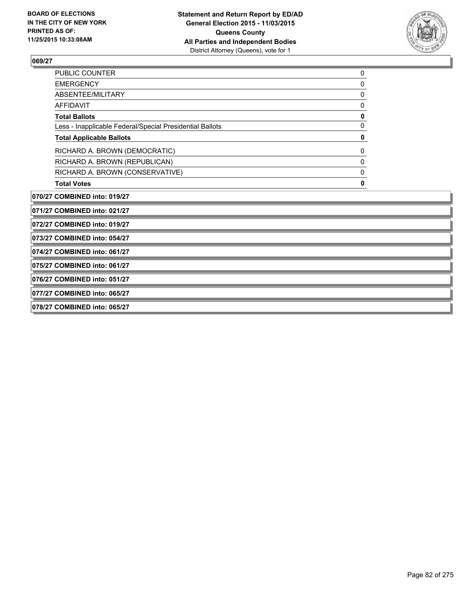

| <b>PUBLIC COUNTER</b>                                    | 0 |  |
|----------------------------------------------------------|---|--|
| <b>EMERGENCY</b>                                         | 0 |  |
| ABSENTEE/MILITARY                                        | 0 |  |
| <b>AFFIDAVIT</b>                                         | 0 |  |
| <b>Total Ballots</b>                                     | 0 |  |
| Less - Inapplicable Federal/Special Presidential Ballots | 0 |  |
| <b>Total Applicable Ballots</b>                          | 0 |  |
| RICHARD A. BROWN (DEMOCRATIC)                            | 0 |  |
| RICHARD A. BROWN (REPUBLICAN)                            | 0 |  |
| RICHARD A. BROWN (CONSERVATIVE)                          | 0 |  |
| <b>Total Votes</b>                                       | 0 |  |
| 070/27 COMBINED into: 019/27                             |   |  |
| 071/27 COMBINED into: 021/27                             |   |  |
| 072/27 COMBINED into: 019/27                             |   |  |
| 073/27 COMBINED into: 054/27                             |   |  |
| 074/27 COMBINED into: 061/27                             |   |  |
| 075/27 COMBINED into: 061/27                             |   |  |
| 076/27 COMBINED into: 051/27                             |   |  |
| 077/27 COMBINED into: 065/27                             |   |  |
| 078/27 COMBINED into: 065/27                             |   |  |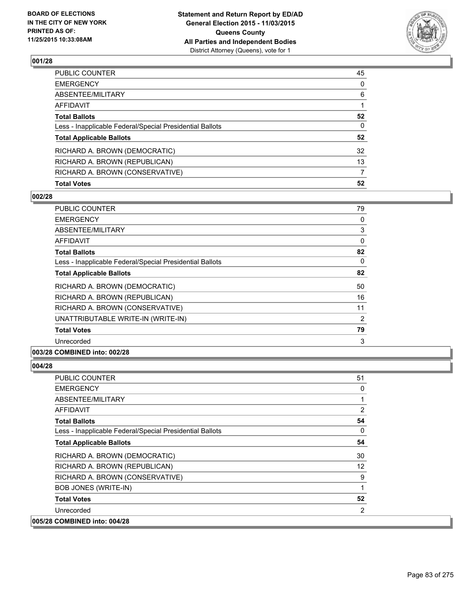

| <b>Total Votes</b>                                       | 52       |
|----------------------------------------------------------|----------|
| RICHARD A. BROWN (CONSERVATIVE)                          | 7        |
| RICHARD A. BROWN (REPUBLICAN)                            | 13       |
| RICHARD A. BROWN (DEMOCRATIC)                            | 32       |
| <b>Total Applicable Ballots</b>                          | 52       |
| Less - Inapplicable Federal/Special Presidential Ballots | 0        |
| <b>Total Ballots</b>                                     | 52       |
| AFFIDAVIT                                                |          |
| ABSENTEE/MILITARY                                        | 6        |
| <b>EMERGENCY</b>                                         | $\Omega$ |
| PUBLIC COUNTER                                           | 45       |

# **002/28**

| <b>PUBLIC COUNTER</b>                                    | 79             |
|----------------------------------------------------------|----------------|
| <b>EMERGENCY</b>                                         | 0              |
| ABSENTEE/MILITARY                                        | 3              |
| <b>AFFIDAVIT</b>                                         | $\Omega$       |
| <b>Total Ballots</b>                                     | 82             |
| Less - Inapplicable Federal/Special Presidential Ballots | 0              |
| <b>Total Applicable Ballots</b>                          | 82             |
| RICHARD A. BROWN (DEMOCRATIC)                            | 50             |
| RICHARD A. BROWN (REPUBLICAN)                            | 16             |
| RICHARD A. BROWN (CONSERVATIVE)                          | 11             |
| UNATTRIBUTABLE WRITE-IN (WRITE-IN)                       | $\overline{2}$ |
| <b>Total Votes</b>                                       | 79             |
| Unrecorded                                               | 3              |
| 003/28 COMBINED into: 002/28                             |                |

| PUBLIC COUNTER                                           | 51             |
|----------------------------------------------------------|----------------|
| <b>EMERGENCY</b>                                         | 0              |
| ABSENTEE/MILITARY                                        |                |
| <b>AFFIDAVIT</b>                                         | $\overline{2}$ |
| <b>Total Ballots</b>                                     | 54             |
| Less - Inapplicable Federal/Special Presidential Ballots | 0              |
| <b>Total Applicable Ballots</b>                          | 54             |
| RICHARD A. BROWN (DEMOCRATIC)                            | 30             |
| RICHARD A. BROWN (REPUBLICAN)                            | 12             |
| RICHARD A. BROWN (CONSERVATIVE)                          | 9              |
| <b>BOB JONES (WRITE-IN)</b>                              | 1              |
| <b>Total Votes</b>                                       | 52             |
| Unrecorded                                               | 2              |
| 005/28 COMBINED into: 004/28                             |                |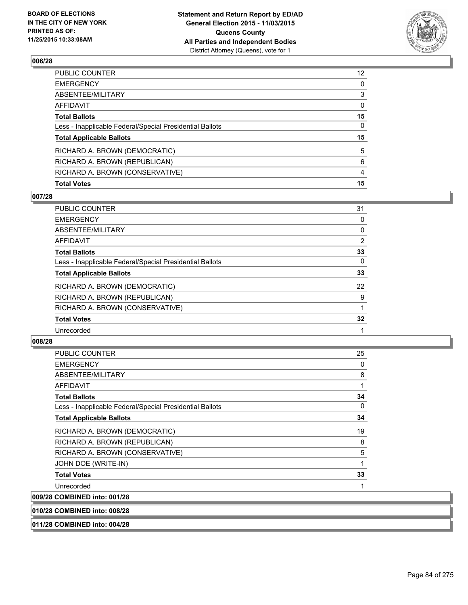

| <b>Total Votes</b>                                       | 15              |
|----------------------------------------------------------|-----------------|
| RICHARD A. BROWN (CONSERVATIVE)                          | 4               |
| RICHARD A. BROWN (REPUBLICAN)                            | 6               |
| RICHARD A. BROWN (DEMOCRATIC)                            | 5               |
| <b>Total Applicable Ballots</b>                          | 15              |
| Less - Inapplicable Federal/Special Presidential Ballots | $\mathbf{0}$    |
| <b>Total Ballots</b>                                     | 15              |
| <b>AFFIDAVIT</b>                                         | $\mathbf{0}$    |
| ABSENTEE/MILITARY                                        | 3               |
| <b>EMERGENCY</b>                                         | 0               |
| PUBLIC COUNTER                                           | 12 <sup>2</sup> |

# **007/28**

| PUBLIC COUNTER                                           | 31             |
|----------------------------------------------------------|----------------|
| <b>EMERGENCY</b>                                         | 0              |
| <b>ABSENTEE/MILITARY</b>                                 | 0              |
| AFFIDAVIT                                                | $\overline{2}$ |
| <b>Total Ballots</b>                                     | 33             |
| Less - Inapplicable Federal/Special Presidential Ballots | 0              |
| <b>Total Applicable Ballots</b>                          | 33             |
| RICHARD A. BROWN (DEMOCRATIC)                            | 22             |
| RICHARD A. BROWN (REPUBLICAN)                            | 9              |
| RICHARD A. BROWN (CONSERVATIVE)                          |                |
| <b>Total Votes</b>                                       | 32             |
| Unrecorded                                               |                |
|                                                          |                |

### **008/28**

| <b>PUBLIC COUNTER</b>                                    | 25 |
|----------------------------------------------------------|----|
| <b>EMERGENCY</b>                                         | 0  |
| ABSENTEE/MILITARY                                        | 8  |
| AFFIDAVIT                                                | 1  |
| <b>Total Ballots</b>                                     | 34 |
| Less - Inapplicable Federal/Special Presidential Ballots | 0  |
| <b>Total Applicable Ballots</b>                          | 34 |
| RICHARD A. BROWN (DEMOCRATIC)                            | 19 |
| RICHARD A. BROWN (REPUBLICAN)                            | 8  |
| RICHARD A. BROWN (CONSERVATIVE)                          | 5  |
| JOHN DOE (WRITE-IN)                                      | 1  |
| <b>Total Votes</b>                                       | 33 |
| Unrecorded                                               | 1  |
| 009/28 COMBINED into: 001/28                             |    |
| 010/28 COMBINED into: 008/28                             |    |

**011/28 COMBINED into: 004/28**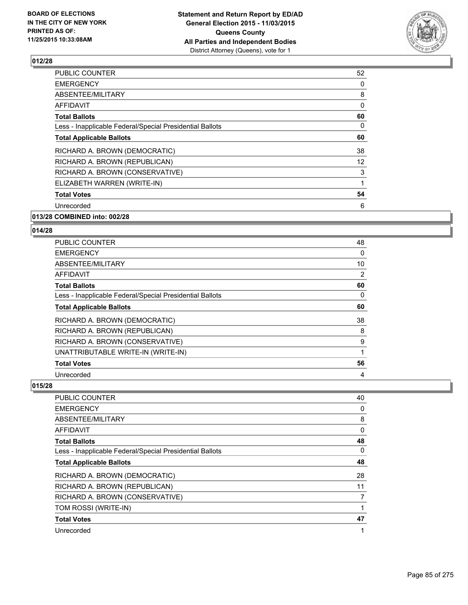

| <b>PUBLIC COUNTER</b>                                    | 52                |
|----------------------------------------------------------|-------------------|
| <b>EMERGENCY</b>                                         | 0                 |
| ABSENTEE/MILITARY                                        | 8                 |
| AFFIDAVIT                                                | 0                 |
| <b>Total Ballots</b>                                     | 60                |
| Less - Inapplicable Federal/Special Presidential Ballots | 0                 |
| <b>Total Applicable Ballots</b>                          | 60                |
| RICHARD A. BROWN (DEMOCRATIC)                            | 38                |
| RICHARD A. BROWN (REPUBLICAN)                            | $12 \overline{ }$ |
| RICHARD A. BROWN (CONSERVATIVE)                          | 3                 |
| ELIZABETH WARREN (WRITE-IN)                              | 1                 |
| <b>Total Votes</b>                                       | 54                |
| Unrecorded                                               | 6                 |
| 013/28 COMBINED into: 002/28                             |                   |

# **014/28**

| <b>PUBLIC COUNTER</b>                                    | 48 |
|----------------------------------------------------------|----|
| <b>EMERGENCY</b>                                         | 0  |
| ABSENTEE/MILITARY                                        | 10 |
| AFFIDAVIT                                                | 2  |
| <b>Total Ballots</b>                                     | 60 |
| Less - Inapplicable Federal/Special Presidential Ballots | 0  |
| <b>Total Applicable Ballots</b>                          | 60 |
| RICHARD A. BROWN (DEMOCRATIC)                            | 38 |
| RICHARD A. BROWN (REPUBLICAN)                            | 8  |
| RICHARD A. BROWN (CONSERVATIVE)                          | 9  |
| UNATTRIBUTABLE WRITE-IN (WRITE-IN)                       | 1  |
| <b>Total Votes</b>                                       | 56 |
| Unrecorded                                               | 4  |

| <b>PUBLIC COUNTER</b>                                    | 40 |
|----------------------------------------------------------|----|
| <b>EMERGENCY</b>                                         | 0  |
| ABSENTEE/MILITARY                                        | 8  |
| AFFIDAVIT                                                | 0  |
| <b>Total Ballots</b>                                     | 48 |
| Less - Inapplicable Federal/Special Presidential Ballots | 0  |
| <b>Total Applicable Ballots</b>                          | 48 |
| RICHARD A. BROWN (DEMOCRATIC)                            | 28 |
| RICHARD A. BROWN (REPUBLICAN)                            | 11 |
| RICHARD A. BROWN (CONSERVATIVE)                          | 7  |
| TOM ROSSI (WRITE-IN)                                     |    |
| <b>Total Votes</b>                                       | 47 |
| Unrecorded                                               | 1  |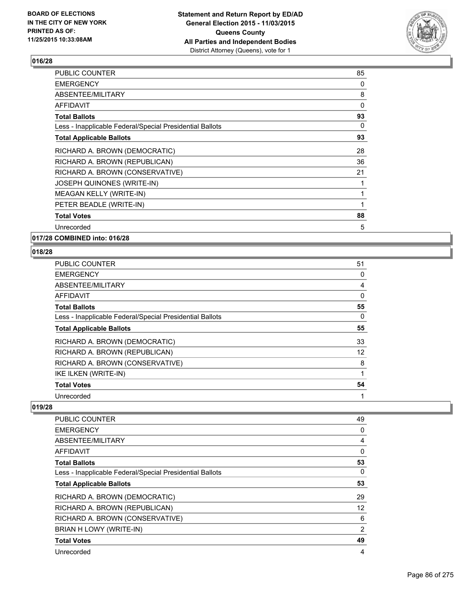

| PUBLIC COUNTER                                           | 85       |
|----------------------------------------------------------|----------|
| <b>EMERGENCY</b>                                         | 0        |
| ABSENTEE/MILITARY                                        | 8        |
| AFFIDAVIT                                                | $\Omega$ |
| <b>Total Ballots</b>                                     | 93       |
| Less - Inapplicable Federal/Special Presidential Ballots | 0        |
| <b>Total Applicable Ballots</b>                          | 93       |
| RICHARD A. BROWN (DEMOCRATIC)                            | 28       |
| RICHARD A. BROWN (REPUBLICAN)                            | 36       |
| RICHARD A. BROWN (CONSERVATIVE)                          | 21       |
| JOSEPH QUINONES (WRITE-IN)                               |          |
| MEAGAN KELLY (WRITE-IN)                                  | 1        |
| PETER BEADLE (WRITE-IN)                                  | 1        |
| <b>Total Votes</b>                                       | 88       |
| Unrecorded                                               | 5        |
|                                                          |          |

**017/28 COMBINED into: 016/28**

# **018/28**

| PUBLIC COUNTER                                           | 51       |
|----------------------------------------------------------|----------|
| EMERGENCY                                                | 0        |
| ABSENTEE/MILITARY                                        | 4        |
| AFFIDAVIT                                                | 0        |
| Total Ballots                                            | 55       |
| Less - Inapplicable Federal/Special Presidential Ballots | $\Omega$ |
| <b>Total Applicable Ballots</b>                          | 55       |
| RICHARD A. BROWN (DEMOCRATIC)                            | 33       |
| RICHARD A. BROWN (REPUBLICAN)                            | 12       |
| RICHARD A. BROWN (CONSERVATIVE)                          | 8        |
| IKE ILKEN (WRITE-IN)                                     |          |
| <b>Total Votes</b>                                       | 54       |
| Unrecorded                                               | 1        |

| PUBLIC COUNTER                                           | 49             |
|----------------------------------------------------------|----------------|
| <b>EMERGENCY</b>                                         | 0              |
| ABSENTEE/MILITARY                                        | 4              |
| AFFIDAVIT                                                | 0              |
| <b>Total Ballots</b>                                     | 53             |
| Less - Inapplicable Federal/Special Presidential Ballots | 0              |
| <b>Total Applicable Ballots</b>                          | 53             |
| RICHARD A. BROWN (DEMOCRATIC)                            | 29             |
| RICHARD A. BROWN (REPUBLICAN)                            | 12             |
| RICHARD A. BROWN (CONSERVATIVE)                          | 6              |
| BRIAN H LOWY (WRITE-IN)                                  | $\overline{2}$ |
| <b>Total Votes</b>                                       | 49             |
| Unrecorded                                               | 4              |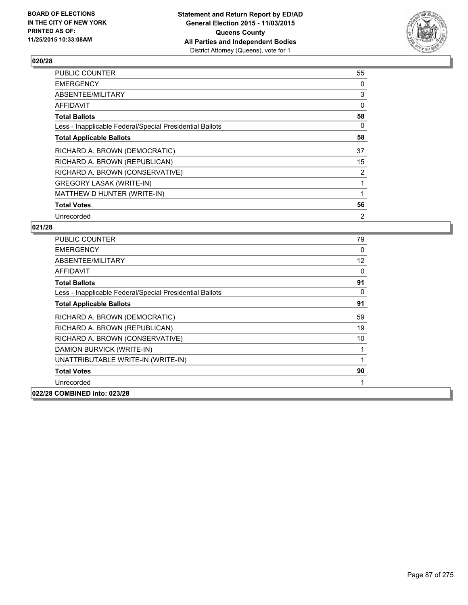

| <b>PUBLIC COUNTER</b>                                    | 55 |
|----------------------------------------------------------|----|
| <b>EMERGENCY</b>                                         | 0  |
| ABSENTEE/MILITARY                                        | 3  |
| AFFIDAVIT                                                | 0  |
| <b>Total Ballots</b>                                     | 58 |
| Less - Inapplicable Federal/Special Presidential Ballots | 0  |
| <b>Total Applicable Ballots</b>                          | 58 |
| RICHARD A. BROWN (DEMOCRATIC)                            | 37 |
| RICHARD A. BROWN (REPUBLICAN)                            | 15 |
| RICHARD A. BROWN (CONSERVATIVE)                          | 2  |
| <b>GREGORY LASAK (WRITE-IN)</b>                          |    |
| MATTHEW D HUNTER (WRITE-IN)                              |    |
| <b>Total Votes</b>                                       | 56 |
| Unrecorded                                               | 2  |

| <b>PUBLIC COUNTER</b>                                    | 79              |
|----------------------------------------------------------|-----------------|
| <b>EMERGENCY</b>                                         | 0               |
| ABSENTEE/MILITARY                                        | 12 <sup>°</sup> |
| AFFIDAVIT                                                | 0               |
| <b>Total Ballots</b>                                     | 91              |
| Less - Inapplicable Federal/Special Presidential Ballots | 0               |
| <b>Total Applicable Ballots</b>                          | 91              |
| RICHARD A. BROWN (DEMOCRATIC)                            | 59              |
| RICHARD A. BROWN (REPUBLICAN)                            | 19              |
| RICHARD A. BROWN (CONSERVATIVE)                          | 10              |
| DAMION BURVICK (WRITE-IN)                                | 1               |
| UNATTRIBUTABLE WRITE-IN (WRITE-IN)                       | 1               |
| <b>Total Votes</b>                                       | 90              |
| Unrecorded                                               | 1               |
| 022/28 COMBINED into: 023/28                             |                 |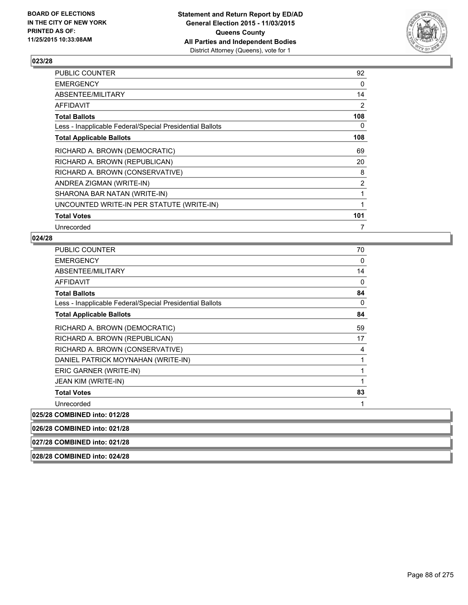

| <b>EMERGENCY</b><br>ABSENTEE/MILITARY<br>AFFIDAVIT<br><b>Total Ballots</b><br><b>Total Applicable Ballots</b><br>UNCOUNTED WRITE-IN PER STATUTE (WRITE-IN)<br><b>Total Votes</b><br>Unrecorded | PUBLIC COUNTER                                           | 92             |
|------------------------------------------------------------------------------------------------------------------------------------------------------------------------------------------------|----------------------------------------------------------|----------------|
|                                                                                                                                                                                                |                                                          | 0              |
|                                                                                                                                                                                                |                                                          | 14             |
|                                                                                                                                                                                                |                                                          | 2              |
|                                                                                                                                                                                                |                                                          | 108            |
|                                                                                                                                                                                                | Less - Inapplicable Federal/Special Presidential Ballots | 0              |
|                                                                                                                                                                                                |                                                          | 108            |
|                                                                                                                                                                                                | RICHARD A. BROWN (DEMOCRATIC)                            | 69             |
|                                                                                                                                                                                                | RICHARD A. BROWN (REPUBLICAN)                            | 20             |
|                                                                                                                                                                                                | RICHARD A. BROWN (CONSERVATIVE)                          | 8              |
|                                                                                                                                                                                                | ANDREA ZIGMAN (WRITE-IN)                                 | $\overline{2}$ |
|                                                                                                                                                                                                | SHARONA BAR NATAN (WRITE-IN)                             | 1              |
|                                                                                                                                                                                                |                                                          | 1              |
|                                                                                                                                                                                                |                                                          | 101            |
|                                                                                                                                                                                                |                                                          | 7              |

## **024/28**

| <b>PUBLIC COUNTER</b>                                    | 70 |
|----------------------------------------------------------|----|
| <b>EMERGENCY</b>                                         | 0  |
| ABSENTEE/MILITARY                                        | 14 |
| <b>AFFIDAVIT</b>                                         | 0  |
| <b>Total Ballots</b>                                     | 84 |
| Less - Inapplicable Federal/Special Presidential Ballots | 0  |
| <b>Total Applicable Ballots</b>                          | 84 |
| RICHARD A. BROWN (DEMOCRATIC)                            | 59 |
| RICHARD A. BROWN (REPUBLICAN)                            | 17 |
| RICHARD A. BROWN (CONSERVATIVE)                          | 4  |
| DANIEL PATRICK MOYNAHAN (WRITE-IN)                       | 1  |
| ERIC GARNER (WRITE-IN)                                   | 1  |
| JEAN KIM (WRITE-IN)                                      | 1  |
| <b>Total Votes</b>                                       | 83 |
| Unrecorded                                               |    |
| 025/28 COMBINED into: 012/28                             |    |
| 026/28 COMBINED into: 021/28                             |    |

**027/28 COMBINED into: 021/28**

**028/28 COMBINED into: 024/28**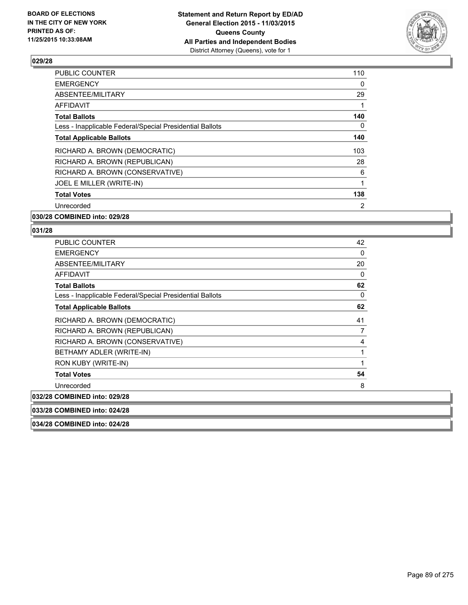

| <b>PUBLIC COUNTER</b>                                    | 110 |
|----------------------------------------------------------|-----|
| <b>EMERGENCY</b>                                         | 0   |
| ABSENTEE/MILITARY                                        | 29  |
| AFFIDAVIT                                                | 1   |
| <b>Total Ballots</b>                                     | 140 |
| Less - Inapplicable Federal/Special Presidential Ballots | 0   |
| <b>Total Applicable Ballots</b>                          | 140 |
| RICHARD A. BROWN (DEMOCRATIC)                            | 103 |
| RICHARD A. BROWN (REPUBLICAN)                            | 28  |
| RICHARD A. BROWN (CONSERVATIVE)                          | 6   |
| JOEL E MILLER (WRITE-IN)                                 | 1   |
| <b>Total Votes</b>                                       | 138 |
| Unrecorded                                               | 2   |
|                                                          |     |

### **030/28 COMBINED into: 029/28**

#### **031/28**

| <b>PUBLIC COUNTER</b>                                    | 42 |
|----------------------------------------------------------|----|
| <b>EMERGENCY</b>                                         | 0  |
| ABSENTEE/MILITARY                                        | 20 |
| <b>AFFIDAVIT</b>                                         | 0  |
| <b>Total Ballots</b>                                     | 62 |
| Less - Inapplicable Federal/Special Presidential Ballots | 0  |
| <b>Total Applicable Ballots</b>                          | 62 |
| RICHARD A. BROWN (DEMOCRATIC)                            | 41 |
| RICHARD A. BROWN (REPUBLICAN)                            | 7  |
| RICHARD A. BROWN (CONSERVATIVE)                          | 4  |
| BETHAMY ADLER (WRITE-IN)                                 | 1  |
| RON KUBY (WRITE-IN)                                      | 1  |
| <b>Total Votes</b>                                       | 54 |
| Unrecorded                                               | 8  |
| 032/28 COMBINED into: 029/28                             |    |
| 033/28 COMBINED into: 024/28                             |    |

**034/28 COMBINED into: 024/28**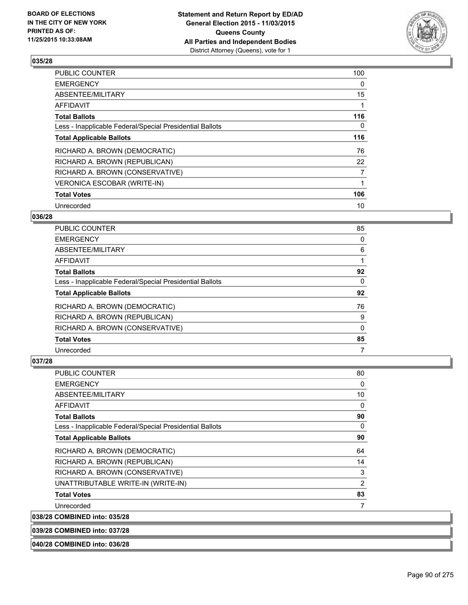

| <b>PUBLIC COUNTER</b>                                    | 100 |
|----------------------------------------------------------|-----|
| <b>EMERGENCY</b>                                         | 0   |
| ABSENTEE/MILITARY                                        | 15  |
| AFFIDAVIT                                                |     |
| <b>Total Ballots</b>                                     | 116 |
| Less - Inapplicable Federal/Special Presidential Ballots | 0   |
| <b>Total Applicable Ballots</b>                          | 116 |
| RICHARD A. BROWN (DEMOCRATIC)                            | 76  |
| RICHARD A. BROWN (REPUBLICAN)                            | 22  |
| RICHARD A. BROWN (CONSERVATIVE)                          | 7   |
| <b>VERONICA ESCOBAR (WRITE-IN)</b>                       | 1   |
| <b>Total Votes</b>                                       | 106 |
| Unrecorded                                               | 10  |

# **036/28**

| <b>PUBLIC COUNTER</b>                                    | 85 |
|----------------------------------------------------------|----|
| <b>EMERGENCY</b>                                         | 0  |
| ABSENTEE/MILITARY                                        | 6  |
| AFFIDAVIT                                                |    |
| <b>Total Ballots</b>                                     | 92 |
| Less - Inapplicable Federal/Special Presidential Ballots | 0  |
| <b>Total Applicable Ballots</b>                          | 92 |
| RICHARD A. BROWN (DEMOCRATIC)                            | 76 |
| RICHARD A. BROWN (REPUBLICAN)                            | 9  |
| RICHARD A. BROWN (CONSERVATIVE)                          | 0  |
| <b>Total Votes</b>                                       | 85 |
| Unrecorded                                               | 7  |

# **037/28**

| PUBLIC COUNTER                                           | 80 |
|----------------------------------------------------------|----|
| <b>EMERGENCY</b>                                         | 0  |
| ABSENTEE/MILITARY                                        | 10 |
| AFFIDAVIT                                                | 0  |
| <b>Total Ballots</b>                                     | 90 |
| Less - Inapplicable Federal/Special Presidential Ballots | 0  |
| <b>Total Applicable Ballots</b>                          | 90 |
| RICHARD A. BROWN (DEMOCRATIC)                            | 64 |
| RICHARD A. BROWN (REPUBLICAN)                            | 14 |
| RICHARD A. BROWN (CONSERVATIVE)                          | 3  |
| UNATTRIBUTABLE WRITE-IN (WRITE-IN)                       | 2  |
| <b>Total Votes</b>                                       | 83 |
| Unrecorded                                               | 7  |

**038/28 COMBINED into: 035/28**

**039/28 COMBINED into: 037/28**

**040/28 COMBINED into: 036/28**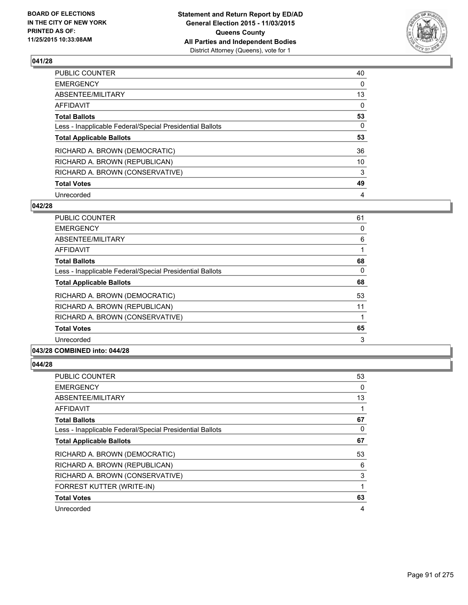

| PUBLIC COUNTER                                           | 40       |
|----------------------------------------------------------|----------|
| <b>EMERGENCY</b>                                         | 0        |
| ABSENTEE/MILITARY                                        | 13       |
| <b>AFFIDAVIT</b>                                         | $\Omega$ |
| <b>Total Ballots</b>                                     | 53       |
| Less - Inapplicable Federal/Special Presidential Ballots | 0        |
| <b>Total Applicable Ballots</b>                          | 53       |
| RICHARD A. BROWN (DEMOCRATIC)                            | 36       |
| RICHARD A. BROWN (REPUBLICAN)                            | 10       |
| RICHARD A. BROWN (CONSERVATIVE)                          | 3        |
| <b>Total Votes</b>                                       | 49       |
| Unrecorded                                               | 4        |

### **042/28**

| PUBLIC COUNTER                                           | 61 |
|----------------------------------------------------------|----|
| <b>EMERGENCY</b>                                         | 0  |
| ABSENTEE/MILITARY                                        | 6  |
| AFFIDAVIT                                                |    |
| <b>Total Ballots</b>                                     | 68 |
| Less - Inapplicable Federal/Special Presidential Ballots | 0  |
| <b>Total Applicable Ballots</b>                          | 68 |
| RICHARD A. BROWN (DEMOCRATIC)                            | 53 |
| RICHARD A. BROWN (REPUBLICAN)                            | 11 |
| RICHARD A. BROWN (CONSERVATIVE)                          |    |
| <b>Total Votes</b>                                       | 65 |
| Unrecorded                                               | 3  |
|                                                          |    |

## **043/28 COMBINED into: 044/28**

| PUBLIC COUNTER                                           | 53 |
|----------------------------------------------------------|----|
| <b>EMERGENCY</b>                                         | 0  |
| ABSENTEE/MILITARY                                        | 13 |
| AFFIDAVIT                                                |    |
| <b>Total Ballots</b>                                     | 67 |
| Less - Inapplicable Federal/Special Presidential Ballots | 0  |
| <b>Total Applicable Ballots</b>                          | 67 |
| RICHARD A. BROWN (DEMOCRATIC)                            | 53 |
| RICHARD A. BROWN (REPUBLICAN)                            | 6  |
| RICHARD A. BROWN (CONSERVATIVE)                          | 3  |
| FORREST KUTTER (WRITE-IN)                                |    |
| <b>Total Votes</b>                                       | 63 |
| Unrecorded                                               | 4  |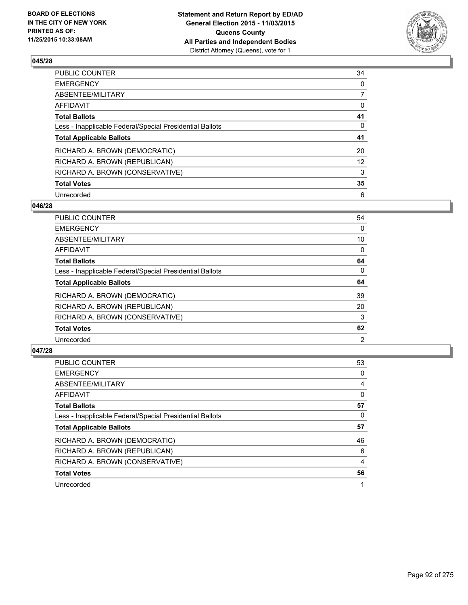

| PUBLIC COUNTER                                           | 34              |
|----------------------------------------------------------|-----------------|
| <b>EMERGENCY</b>                                         | 0               |
| ABSENTEE/MILITARY                                        | 7               |
| <b>AFFIDAVIT</b>                                         | 0               |
| <b>Total Ballots</b>                                     | 41              |
| Less - Inapplicable Federal/Special Presidential Ballots | 0               |
| <b>Total Applicable Ballots</b>                          | 41              |
| RICHARD A. BROWN (DEMOCRATIC)                            | 20              |
| RICHARD A. BROWN (REPUBLICAN)                            | 12 <sup>°</sup> |
| RICHARD A. BROWN (CONSERVATIVE)                          | 3               |
| <b>Total Votes</b>                                       | 35              |
| Unrecorded                                               | 6               |

### **046/28**

| PUBLIC COUNTER                                           | 54 |
|----------------------------------------------------------|----|
| <b>EMERGENCY</b>                                         | 0  |
| ABSENTEE/MILITARY                                        | 10 |
| AFFIDAVIT                                                | 0  |
| <b>Total Ballots</b>                                     | 64 |
| Less - Inapplicable Federal/Special Presidential Ballots | 0  |
| <b>Total Applicable Ballots</b>                          | 64 |
| RICHARD A. BROWN (DEMOCRATIC)                            | 39 |
| RICHARD A. BROWN (REPUBLICAN)                            | 20 |
| RICHARD A. BROWN (CONSERVATIVE)                          | 3  |
| <b>Total Votes</b>                                       | 62 |
| Unrecorded                                               | 2  |

| <b>PUBLIC COUNTER</b>                                    | 53 |
|----------------------------------------------------------|----|
| <b>EMERGENCY</b>                                         | 0  |
| ABSENTEE/MILITARY                                        | 4  |
| <b>AFFIDAVIT</b>                                         | 0  |
| <b>Total Ballots</b>                                     | 57 |
| Less - Inapplicable Federal/Special Presidential Ballots | 0  |
| <b>Total Applicable Ballots</b>                          | 57 |
| RICHARD A. BROWN (DEMOCRATIC)                            | 46 |
| RICHARD A. BROWN (REPUBLICAN)                            | 6  |
| RICHARD A. BROWN (CONSERVATIVE)                          | 4  |
| <b>Total Votes</b>                                       | 56 |
|                                                          |    |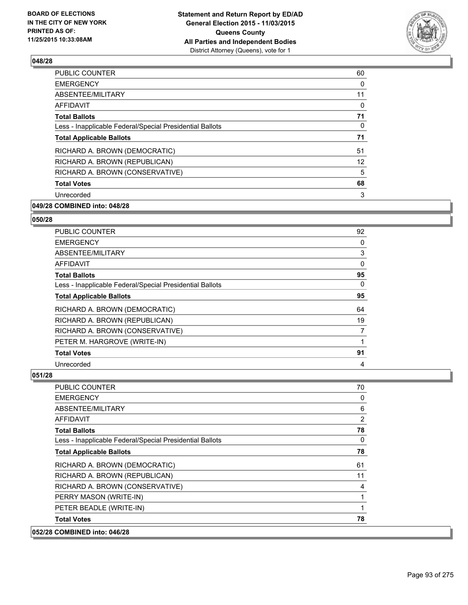

| PUBLIC COUNTER                                           | 60 |
|----------------------------------------------------------|----|
| <b>EMERGENCY</b>                                         | 0  |
| ABSENTEE/MILITARY                                        | 11 |
| AFFIDAVIT                                                | 0  |
| <b>Total Ballots</b>                                     | 71 |
| Less - Inapplicable Federal/Special Presidential Ballots | 0  |
| <b>Total Applicable Ballots</b>                          | 71 |
| RICHARD A. BROWN (DEMOCRATIC)                            | 51 |
| RICHARD A. BROWN (REPUBLICAN)                            | 12 |
| RICHARD A. BROWN (CONSERVATIVE)                          | 5  |
| <b>Total Votes</b>                                       | 68 |
| Unrecorded                                               | 3  |
|                                                          |    |

# **049/28 COMBINED into: 048/28**

#### **050/28**

| <b>PUBLIC COUNTER</b>                                    | 92 |
|----------------------------------------------------------|----|
| <b>EMERGENCY</b>                                         | 0  |
| ABSENTEE/MILITARY                                        | 3  |
| AFFIDAVIT                                                | 0  |
| <b>Total Ballots</b>                                     | 95 |
| Less - Inapplicable Federal/Special Presidential Ballots | 0  |
| <b>Total Applicable Ballots</b>                          | 95 |
| RICHARD A. BROWN (DEMOCRATIC)                            | 64 |
| RICHARD A. BROWN (REPUBLICAN)                            | 19 |
| RICHARD A. BROWN (CONSERVATIVE)                          | 7  |
| PETER M. HARGROVE (WRITE-IN)                             |    |
| <b>Total Votes</b>                                       | 91 |
| Unrecorded                                               | 4  |

| PUBLIC COUNTER                                           | 70 |
|----------------------------------------------------------|----|
| <b>EMERGENCY</b>                                         | 0  |
| ABSENTEE/MILITARY                                        | 6  |
| AFFIDAVIT                                                | 2  |
| <b>Total Ballots</b>                                     | 78 |
| Less - Inapplicable Federal/Special Presidential Ballots | 0  |
| <b>Total Applicable Ballots</b>                          | 78 |
| RICHARD A. BROWN (DEMOCRATIC)                            | 61 |
| RICHARD A. BROWN (REPUBLICAN)                            | 11 |
| RICHARD A. BROWN (CONSERVATIVE)                          | 4  |
| PERRY MASON (WRITE-IN)                                   |    |
| PETER BEADLE (WRITE-IN)                                  | 1  |
| <b>Total Votes</b>                                       | 78 |
| 052/28 COMBINED into: 046/28                             |    |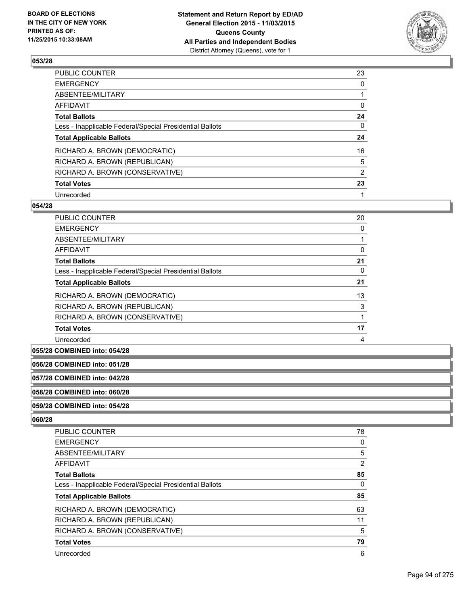

| <b>PUBLIC COUNTER</b>                                    | 23             |
|----------------------------------------------------------|----------------|
| <b>EMERGENCY</b>                                         | 0              |
| ABSENTEE/MILITARY                                        |                |
| AFFIDAVIT                                                | $\Omega$       |
| <b>Total Ballots</b>                                     | 24             |
| Less - Inapplicable Federal/Special Presidential Ballots | 0              |
| <b>Total Applicable Ballots</b>                          | 24             |
| RICHARD A. BROWN (DEMOCRATIC)                            | 16             |
| RICHARD A. BROWN (REPUBLICAN)                            | 5              |
| RICHARD A. BROWN (CONSERVATIVE)                          | $\overline{2}$ |
| <b>Total Votes</b>                                       | 23             |
| Unrecorded                                               |                |

### **054/28**

| <b>PUBLIC COUNTER</b>                                    | 20 |
|----------------------------------------------------------|----|
| <b>EMERGENCY</b>                                         | 0  |
| ABSENTEE/MILITARY                                        |    |
| AFFIDAVIT                                                | 0  |
| <b>Total Ballots</b>                                     | 21 |
| Less - Inapplicable Federal/Special Presidential Ballots | 0  |
| <b>Total Applicable Ballots</b>                          | 21 |
| RICHARD A. BROWN (DEMOCRATIC)                            | 13 |
| RICHARD A. BROWN (REPUBLICAN)                            | 3  |
| RICHARD A. BROWN (CONSERVATIVE)                          |    |
| <b>Total Votes</b>                                       | 17 |
| Unrecorded                                               | 4  |

### **055/28 COMBINED into: 054/28**

**056/28 COMBINED into: 051/28**

### **057/28 COMBINED into: 042/28**

**058/28 COMBINED into: 060/28**

#### **059/28 COMBINED into: 054/28**

| PUBLIC COUNTER                                           | 78 |
|----------------------------------------------------------|----|
| <b>EMERGENCY</b>                                         | 0  |
| ABSENTEE/MILITARY                                        | 5  |
| AFFIDAVIT                                                | 2  |
| <b>Total Ballots</b>                                     | 85 |
| Less - Inapplicable Federal/Special Presidential Ballots | 0  |
| <b>Total Applicable Ballots</b>                          | 85 |
|                                                          |    |
| RICHARD A. BROWN (DEMOCRATIC)                            | 63 |
| RICHARD A. BROWN (REPUBLICAN)                            | 11 |
| RICHARD A. BROWN (CONSERVATIVE)                          | 5  |
| <b>Total Votes</b>                                       | 79 |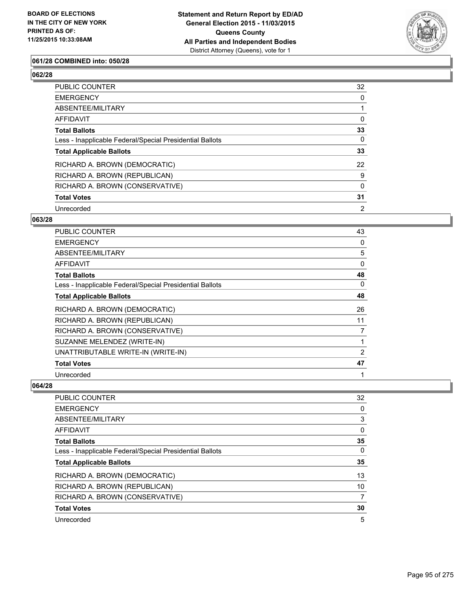

# **061/28 COMBINED into: 050/28**

# **062/28**

| <b>PUBLIC COUNTER</b>                                    | 32 |
|----------------------------------------------------------|----|
| <b>EMERGENCY</b>                                         | 0  |
| ABSENTEE/MILITARY                                        |    |
| <b>AFFIDAVIT</b>                                         | 0  |
| <b>Total Ballots</b>                                     | 33 |
| Less - Inapplicable Federal/Special Presidential Ballots | 0  |
| <b>Total Applicable Ballots</b>                          | 33 |
| RICHARD A. BROWN (DEMOCRATIC)                            | 22 |
| RICHARD A. BROWN (REPUBLICAN)                            | 9  |
| RICHARD A. BROWN (CONSERVATIVE)                          | 0  |
| <b>Total Votes</b>                                       | 31 |
| Unrecorded                                               | 2  |

#### **063/28**

| <b>PUBLIC COUNTER</b>                                    | 43 |
|----------------------------------------------------------|----|
| <b>EMERGENCY</b>                                         | 0  |
| ABSENTEE/MILITARY                                        | 5  |
| AFFIDAVIT                                                | 0  |
| <b>Total Ballots</b>                                     | 48 |
| Less - Inapplicable Federal/Special Presidential Ballots | 0  |
| <b>Total Applicable Ballots</b>                          | 48 |
| RICHARD A. BROWN (DEMOCRATIC)                            | 26 |
| RICHARD A. BROWN (REPUBLICAN)                            | 11 |
| RICHARD A. BROWN (CONSERVATIVE)                          | 7  |
| SUZANNE MELENDEZ (WRITE-IN)                              | 1  |
| UNATTRIBUTABLE WRITE-IN (WRITE-IN)                       | 2  |
| <b>Total Votes</b>                                       | 47 |
| Unrecorded                                               | 1  |

| PUBLIC COUNTER                                           | 32 |
|----------------------------------------------------------|----|
| <b>EMERGENCY</b>                                         | 0  |
| ABSENTEE/MILITARY                                        | 3  |
| <b>AFFIDAVIT</b>                                         | 0  |
| <b>Total Ballots</b>                                     | 35 |
| Less - Inapplicable Federal/Special Presidential Ballots | 0  |
| <b>Total Applicable Ballots</b>                          | 35 |
| RICHARD A. BROWN (DEMOCRATIC)                            | 13 |
| RICHARD A. BROWN (REPUBLICAN)                            | 10 |
| RICHARD A. BROWN (CONSERVATIVE)                          | 7  |
| <b>Total Votes</b>                                       | 30 |
| Unrecorded                                               | 5  |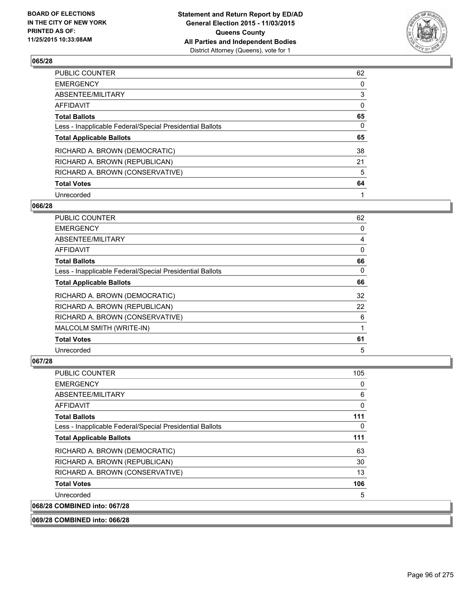

| PUBLIC COUNTER                                           | 62       |
|----------------------------------------------------------|----------|
| <b>EMERGENCY</b>                                         | 0        |
| ABSENTEE/MILITARY                                        | 3        |
| AFFIDAVIT                                                | $\Omega$ |
| <b>Total Ballots</b>                                     | 65       |
| Less - Inapplicable Federal/Special Presidential Ballots | 0        |
| <b>Total Applicable Ballots</b>                          | 65       |
| RICHARD A. BROWN (DEMOCRATIC)                            | 38       |
| RICHARD A. BROWN (REPUBLICAN)                            | 21       |
| RICHARD A. BROWN (CONSERVATIVE)                          | 5        |
| <b>Total Votes</b>                                       | 64       |
| Unrecorded                                               |          |

### **066/28**

| <b>PUBLIC COUNTER</b>                                    | 62 |
|----------------------------------------------------------|----|
| <b>EMERGENCY</b>                                         | 0  |
| ABSENTEE/MILITARY                                        | 4  |
| AFFIDAVIT                                                | 0  |
| <b>Total Ballots</b>                                     | 66 |
| Less - Inapplicable Federal/Special Presidential Ballots | 0  |
| <b>Total Applicable Ballots</b>                          | 66 |
| RICHARD A. BROWN (DEMOCRATIC)                            | 32 |
| RICHARD A. BROWN (REPUBLICAN)                            | 22 |
| RICHARD A. BROWN (CONSERVATIVE)                          | 6  |
| MALCOLM SMITH (WRITE-IN)                                 |    |
| <b>Total Votes</b>                                       | 61 |
| Unrecorded                                               | 5  |

# **067/28**

| <b>Total Applicable Ballots</b> | 111 |
|---------------------------------|-----|
| RICHARD A. BROWN (DEMOCRATIC)   | 63  |
| RICHARD A. BROWN (REPUBLICAN)   | 30  |
| RICHARD A. BROWN (CONSERVATIVE) | 13  |
| <b>Total Votes</b>              | 106 |
| Unrecorded                      | 5   |

**069/28 COMBINED into: 066/28**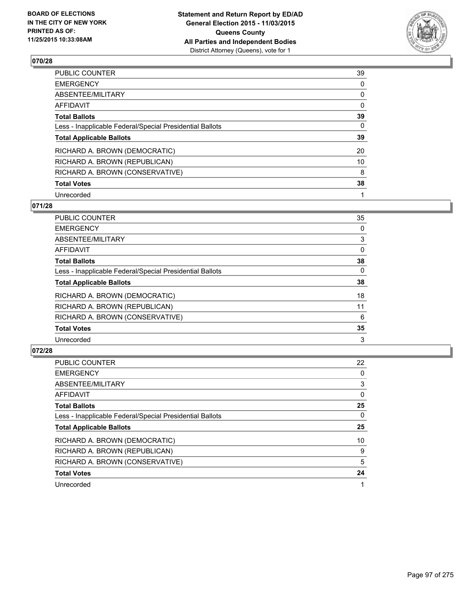

| PUBLIC COUNTER                                           | 39       |
|----------------------------------------------------------|----------|
| <b>EMERGENCY</b>                                         | 0        |
| ABSENTEE/MILITARY                                        | 0        |
| AFFIDAVIT                                                | $\Omega$ |
| <b>Total Ballots</b>                                     | 39       |
| Less - Inapplicable Federal/Special Presidential Ballots | $\Omega$ |
| <b>Total Applicable Ballots</b>                          | 39       |
| RICHARD A. BROWN (DEMOCRATIC)                            | 20       |
| RICHARD A. BROWN (REPUBLICAN)                            | 10       |
| RICHARD A. BROWN (CONSERVATIVE)                          | 8        |
| <b>Total Votes</b>                                       | 38       |
| Unrecorded                                               |          |

### **071/28**

| <b>PUBLIC COUNTER</b>                                    | 35 |
|----------------------------------------------------------|----|
| <b>EMERGENCY</b>                                         | 0  |
| ABSENTEE/MILITARY                                        | 3  |
| <b>AFFIDAVIT</b>                                         | 0  |
| <b>Total Ballots</b>                                     | 38 |
| Less - Inapplicable Federal/Special Presidential Ballots | 0  |
| <b>Total Applicable Ballots</b>                          | 38 |
| RICHARD A. BROWN (DEMOCRATIC)                            | 18 |
| RICHARD A. BROWN (REPUBLICAN)                            | 11 |
| RICHARD A. BROWN (CONSERVATIVE)                          | 6  |
| <b>Total Votes</b>                                       | 35 |
| Unrecorded                                               | 3  |
|                                                          |    |

| <b>PUBLIC COUNTER</b>                                    | 22 |
|----------------------------------------------------------|----|
| <b>EMERGENCY</b>                                         | 0  |
| ABSENTEE/MILITARY                                        | 3  |
| <b>AFFIDAVIT</b>                                         | 0  |
| <b>Total Ballots</b>                                     | 25 |
| Less - Inapplicable Federal/Special Presidential Ballots | 0  |
| <b>Total Applicable Ballots</b>                          | 25 |
| RICHARD A. BROWN (DEMOCRATIC)                            | 10 |
| RICHARD A. BROWN (REPUBLICAN)                            | 9  |
| RICHARD A. BROWN (CONSERVATIVE)                          | 5  |
| <b>Total Votes</b>                                       | 24 |
| Unrecorded                                               |    |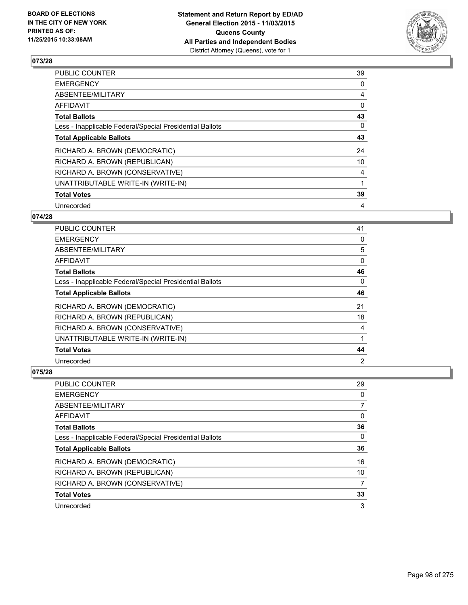

| PUBLIC COUNTER                                           | 39       |
|----------------------------------------------------------|----------|
| <b>EMERGENCY</b>                                         | 0        |
| ABSENTEE/MILITARY                                        | 4        |
| AFFIDAVIT                                                | $\Omega$ |
| <b>Total Ballots</b>                                     | 43       |
| Less - Inapplicable Federal/Special Presidential Ballots | 0        |
| <b>Total Applicable Ballots</b>                          | 43       |
| RICHARD A. BROWN (DEMOCRATIC)                            | 24       |
| RICHARD A. BROWN (REPUBLICAN)                            | 10       |
| RICHARD A. BROWN (CONSERVATIVE)                          | 4        |
| UNATTRIBUTABLE WRITE-IN (WRITE-IN)                       | 1        |
| <b>Total Votes</b>                                       | 39       |
| Unrecorded                                               | 4        |

## **074/28**

| PUBLIC COUNTER                                           | 41       |
|----------------------------------------------------------|----------|
| <b>EMERGENCY</b>                                         | 0        |
| ABSENTEE/MILITARY                                        | 5        |
| <b>AFFIDAVIT</b>                                         | 0        |
| <b>Total Ballots</b>                                     | 46       |
| Less - Inapplicable Federal/Special Presidential Ballots | $\Omega$ |
| <b>Total Applicable Ballots</b>                          | 46       |
| RICHARD A. BROWN (DEMOCRATIC)                            | 21       |
| RICHARD A. BROWN (REPUBLICAN)                            | 18       |
| RICHARD A. BROWN (CONSERVATIVE)                          | 4        |
| UNATTRIBUTABLE WRITE-IN (WRITE-IN)                       |          |
| <b>Total Votes</b>                                       | 44       |
| Unrecorded                                               | 2        |

| <b>PUBLIC COUNTER</b>                                    | 29 |
|----------------------------------------------------------|----|
| <b>EMERGENCY</b>                                         | 0  |
| ABSENTEE/MILITARY                                        |    |
| <b>AFFIDAVIT</b>                                         | 0  |
| <b>Total Ballots</b>                                     | 36 |
| Less - Inapplicable Federal/Special Presidential Ballots | 0  |
| <b>Total Applicable Ballots</b>                          | 36 |
| RICHARD A. BROWN (DEMOCRATIC)                            | 16 |
| RICHARD A. BROWN (REPUBLICAN)                            | 10 |
| RICHARD A. BROWN (CONSERVATIVE)                          | 7  |
| <b>Total Votes</b>                                       | 33 |
|                                                          |    |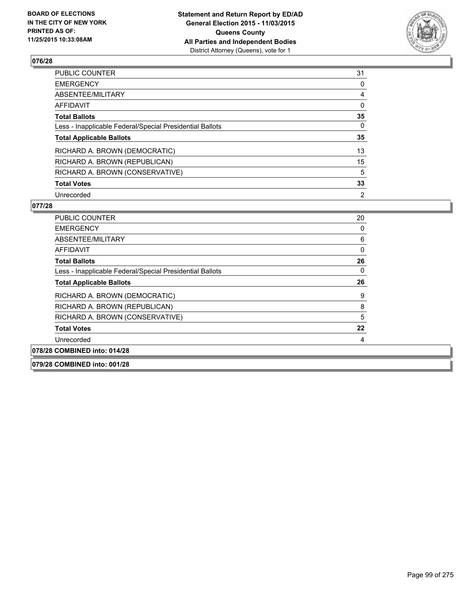

| PUBLIC COUNTER                                           | 31 |
|----------------------------------------------------------|----|
| <b>EMERGENCY</b>                                         | 0  |
| ABSENTEE/MILITARY                                        | 4  |
| AFFIDAVIT                                                | 0  |
| <b>Total Ballots</b>                                     | 35 |
| Less - Inapplicable Federal/Special Presidential Ballots | 0  |
| <b>Total Applicable Ballots</b>                          | 35 |
| RICHARD A. BROWN (DEMOCRATIC)                            | 13 |
| RICHARD A. BROWN (REPUBLICAN)                            | 15 |
| RICHARD A. BROWN (CONSERVATIVE)                          | 5  |
| <b>Total Votes</b>                                       | 33 |
| Unrecorded                                               | 2  |

| <b>PUBLIC COUNTER</b>                                    | 20       |
|----------------------------------------------------------|----------|
| <b>EMERGENCY</b>                                         | 0        |
| ABSENTEE/MILITARY                                        | 6        |
| AFFIDAVIT                                                | 0        |
| <b>Total Ballots</b>                                     | 26       |
| Less - Inapplicable Federal/Special Presidential Ballots | $\Omega$ |
| <b>Total Applicable Ballots</b>                          | 26       |
| RICHARD A. BROWN (DEMOCRATIC)                            | 9        |
| RICHARD A. BROWN (REPUBLICAN)                            | 8        |
| RICHARD A. BROWN (CONSERVATIVE)                          | 5        |
| <b>Total Votes</b>                                       | 22       |
| Unrecorded                                               | 4        |
| 078/28 COMBINED into: 014/28                             |          |
| 079/28 COMBINED into: 001/28                             |          |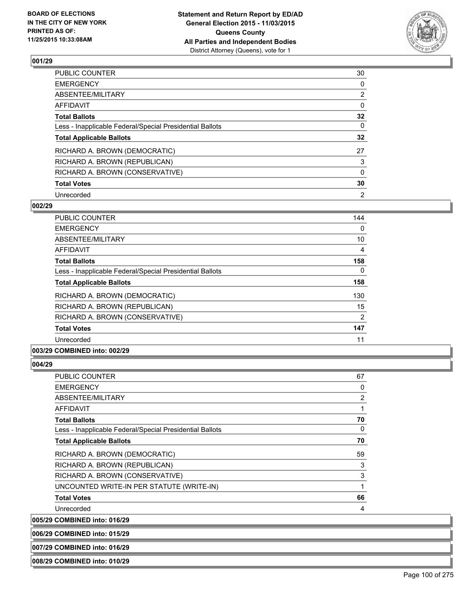

| PUBLIC COUNTER                                           | 30             |
|----------------------------------------------------------|----------------|
| <b>EMERGENCY</b>                                         | 0              |
| ABSENTEE/MILITARY                                        | $\overline{2}$ |
| AFFIDAVIT                                                | $\Omega$       |
| <b>Total Ballots</b>                                     | 32             |
| Less - Inapplicable Federal/Special Presidential Ballots | $\Omega$       |
| <b>Total Applicable Ballots</b>                          | 32             |
| RICHARD A. BROWN (DEMOCRATIC)                            | 27             |
| RICHARD A. BROWN (REPUBLICAN)                            | 3              |
| RICHARD A. BROWN (CONSERVATIVE)                          | $\Omega$       |
| <b>Total Votes</b>                                       | 30             |
| Unrecorded                                               | 2              |

### **002/29**

| <b>PUBLIC COUNTER</b>                                    | 144 |
|----------------------------------------------------------|-----|
| <b>EMERGENCY</b>                                         | 0   |
| ABSENTEE/MILITARY                                        | 10  |
| AFFIDAVIT                                                | 4   |
| <b>Total Ballots</b>                                     | 158 |
| Less - Inapplicable Federal/Special Presidential Ballots | 0   |
| <b>Total Applicable Ballots</b>                          | 158 |
| RICHARD A. BROWN (DEMOCRATIC)                            | 130 |
| RICHARD A. BROWN (REPUBLICAN)                            | 15  |
| RICHARD A. BROWN (CONSERVATIVE)                          | 2   |
| <b>Total Votes</b>                                       | 147 |
| Unrecorded                                               | 11  |
|                                                          |     |

## **003/29 COMBINED into: 002/29**

### **004/29**

| <b>PUBLIC COUNTER</b>                                    | 67             |
|----------------------------------------------------------|----------------|
| <b>EMERGENCY</b>                                         | $\Omega$       |
| ABSENTEE/MILITARY                                        | $\overline{2}$ |
| AFFIDAVIT                                                |                |
| <b>Total Ballots</b>                                     | 70             |
| Less - Inapplicable Federal/Special Presidential Ballots | 0              |
| <b>Total Applicable Ballots</b>                          | 70             |
| RICHARD A. BROWN (DEMOCRATIC)                            | 59             |
| RICHARD A. BROWN (REPUBLICAN)                            | 3              |
| RICHARD A. BROWN (CONSERVATIVE)                          | 3              |
| UNCOUNTED WRITE-IN PER STATUTE (WRITE-IN)                |                |
| <b>Total Votes</b>                                       | 66             |
| Unrecorded                                               | 4              |
|                                                          |                |

**005/29 COMBINED into: 016/29**

**006/29 COMBINED into: 015/29**

**007/29 COMBINED into: 016/29**

**008/29 COMBINED into: 010/29**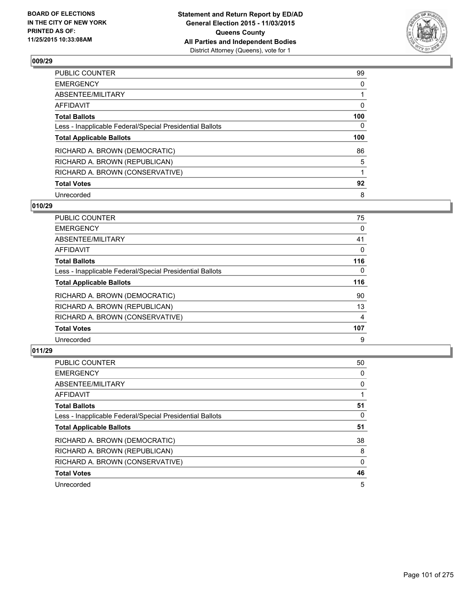

| PUBLIC COUNTER                                           | 99  |
|----------------------------------------------------------|-----|
| <b>EMERGENCY</b>                                         | 0   |
| ABSENTEE/MILITARY                                        |     |
| <b>AFFIDAVIT</b>                                         | 0   |
| <b>Total Ballots</b>                                     | 100 |
| Less - Inapplicable Federal/Special Presidential Ballots | 0   |
| <b>Total Applicable Ballots</b>                          | 100 |
| RICHARD A. BROWN (DEMOCRATIC)                            | 86  |
| RICHARD A. BROWN (REPUBLICAN)                            | 5   |
| RICHARD A. BROWN (CONSERVATIVE)                          |     |
| <b>Total Votes</b>                                       | 92  |
| Unrecorded                                               | 8   |

# **010/29**

| <b>PUBLIC COUNTER</b>                                    | 75  |
|----------------------------------------------------------|-----|
| <b>EMERGENCY</b>                                         | 0   |
| ABSENTEE/MILITARY                                        | 41  |
| AFFIDAVIT                                                | 0   |
| <b>Total Ballots</b>                                     | 116 |
| Less - Inapplicable Federal/Special Presidential Ballots | 0   |
| <b>Total Applicable Ballots</b>                          | 116 |
| RICHARD A. BROWN (DEMOCRATIC)                            | 90  |
| RICHARD A. BROWN (REPUBLICAN)                            | 13  |
| RICHARD A. BROWN (CONSERVATIVE)                          | 4   |
| <b>Total Votes</b>                                       | 107 |
| Unrecorded                                               | 9   |

| <b>PUBLIC COUNTER</b>                                    | 50       |
|----------------------------------------------------------|----------|
| <b>EMERGENCY</b>                                         | 0        |
| ABSENTEE/MILITARY                                        | 0        |
| <b>AFFIDAVIT</b>                                         |          |
| <b>Total Ballots</b>                                     | 51       |
| Less - Inapplicable Federal/Special Presidential Ballots | 0        |
| <b>Total Applicable Ballots</b>                          | 51       |
| RICHARD A. BROWN (DEMOCRATIC)                            | 38       |
| RICHARD A. BROWN (REPUBLICAN)                            | 8        |
| RICHARD A. BROWN (CONSERVATIVE)                          | $\Omega$ |
| <b>Total Votes</b>                                       | 46       |
| Unrecorded                                               | 5        |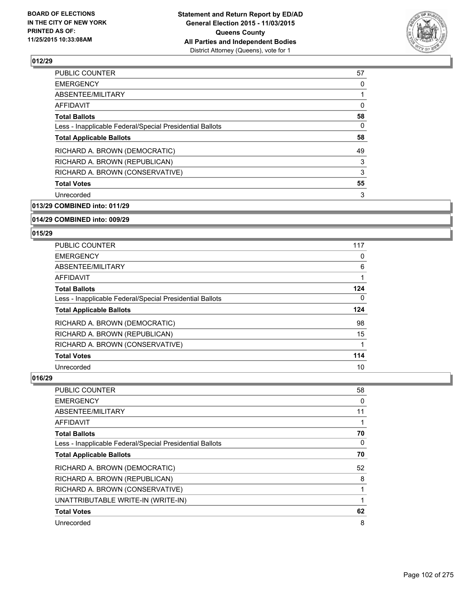

| <b>PUBLIC COUNTER</b>                                    | 57 |
|----------------------------------------------------------|----|
| <b>EMERGENCY</b>                                         | 0  |
| ABSENTEE/MILITARY                                        |    |
| AFFIDAVIT                                                | 0  |
| <b>Total Ballots</b>                                     | 58 |
| Less - Inapplicable Federal/Special Presidential Ballots | 0  |
| <b>Total Applicable Ballots</b>                          | 58 |
| RICHARD A. BROWN (DEMOCRATIC)                            | 49 |
| RICHARD A. BROWN (REPUBLICAN)                            | 3  |
| RICHARD A. BROWN (CONSERVATIVE)                          | 3  |
| <b>Total Votes</b>                                       | 55 |
| Unrecorded                                               | 3  |
|                                                          |    |

**013/29 COMBINED into: 011/29**

### **014/29 COMBINED into: 009/29**

### **015/29**

| <b>PUBLIC COUNTER</b>                                    | 117 |
|----------------------------------------------------------|-----|
| <b>EMERGENCY</b>                                         | 0   |
| ABSENTEE/MILITARY                                        | 6   |
| <b>AFFIDAVIT</b>                                         |     |
| <b>Total Ballots</b>                                     | 124 |
| Less - Inapplicable Federal/Special Presidential Ballots | 0   |
| <b>Total Applicable Ballots</b>                          | 124 |
| RICHARD A. BROWN (DEMOCRATIC)                            | 98  |
| RICHARD A. BROWN (REPUBLICAN)                            | 15  |
| RICHARD A. BROWN (CONSERVATIVE)                          |     |
| <b>Total Votes</b>                                       | 114 |
| Unrecorded                                               | 10  |

| <b>PUBLIC COUNTER</b>                                    | 58 |
|----------------------------------------------------------|----|
| <b>EMERGENCY</b>                                         | 0  |
| ABSENTEE/MILITARY                                        | 11 |
| <b>AFFIDAVIT</b>                                         |    |
| <b>Total Ballots</b>                                     | 70 |
| Less - Inapplicable Federal/Special Presidential Ballots | 0  |
| <b>Total Applicable Ballots</b>                          | 70 |
| RICHARD A. BROWN (DEMOCRATIC)                            | 52 |
| RICHARD A. BROWN (REPUBLICAN)                            | 8  |
| RICHARD A. BROWN (CONSERVATIVE)                          |    |
| UNATTRIBUTABLE WRITE-IN (WRITE-IN)                       |    |
| <b>Total Votes</b>                                       | 62 |
| Unrecorded                                               | 8  |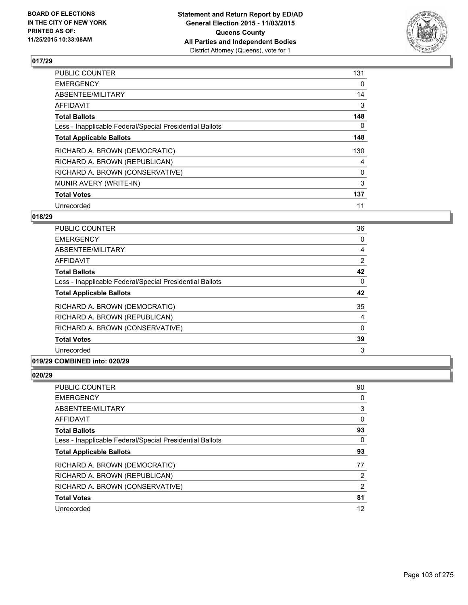

| <b>PUBLIC COUNTER</b>                                    | 131 |
|----------------------------------------------------------|-----|
| <b>EMERGENCY</b>                                         | 0   |
| ABSENTEE/MILITARY                                        | 14  |
| AFFIDAVIT                                                | 3   |
| <b>Total Ballots</b>                                     | 148 |
| Less - Inapplicable Federal/Special Presidential Ballots | 0   |
| <b>Total Applicable Ballots</b>                          | 148 |
| RICHARD A. BROWN (DEMOCRATIC)                            | 130 |
| RICHARD A. BROWN (REPUBLICAN)                            | 4   |
| RICHARD A. BROWN (CONSERVATIVE)                          | 0   |
| MUNIR AVERY (WRITE-IN)                                   | 3   |
| <b>Total Votes</b>                                       | 137 |
| Unrecorded                                               | 11  |

# **018/29**

| <b>PUBLIC COUNTER</b>                                    | 36             |
|----------------------------------------------------------|----------------|
| <b>EMERGENCY</b>                                         | 0              |
| ABSENTEE/MILITARY                                        | 4              |
| AFFIDAVIT                                                | $\overline{2}$ |
| <b>Total Ballots</b>                                     | 42             |
| Less - Inapplicable Federal/Special Presidential Ballots | 0              |
| <b>Total Applicable Ballots</b>                          | 42             |
| RICHARD A. BROWN (DEMOCRATIC)                            | 35             |
| RICHARD A. BROWN (REPUBLICAN)                            | 4              |
| RICHARD A. BROWN (CONSERVATIVE)                          | $\Omega$       |
| <b>Total Votes</b>                                       | 39             |
| Unrecorded                                               | 3              |
|                                                          |                |

# **019/29 COMBINED into: 020/29**

| PUBLIC COUNTER                                           | 90             |
|----------------------------------------------------------|----------------|
| EMERGENCY                                                | 0              |
| ABSENTEE/MILITARY                                        | 3              |
| AFFIDAVIT                                                | 0              |
| Total Ballots                                            | 93             |
| Less - Inapplicable Federal/Special Presidential Ballots | 0              |
| <b>Total Applicable Ballots</b>                          | 93             |
| RICHARD A. BROWN (DEMOCRATIC)                            | 77             |
| RICHARD A. BROWN (REPUBLICAN)                            | 2              |
| RICHARD A. BROWN (CONSERVATIVE)                          | $\overline{2}$ |
| <b>Total Votes</b>                                       | 81             |
|                                                          |                |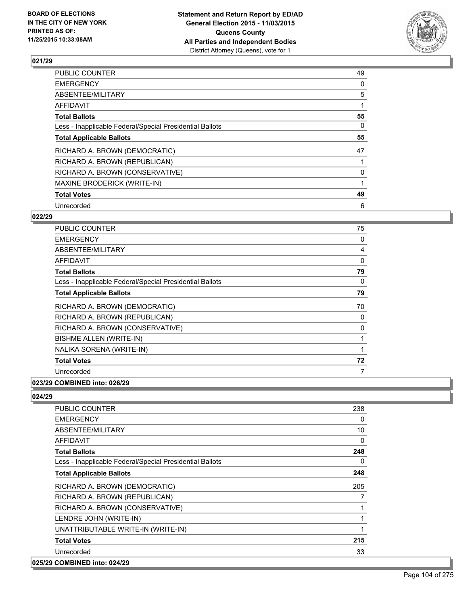

| <b>PUBLIC COUNTER</b>                                    | 49 |
|----------------------------------------------------------|----|
| <b>EMERGENCY</b>                                         | 0  |
| ABSENTEE/MILITARY                                        | 5  |
| AFFIDAVIT                                                |    |
| <b>Total Ballots</b>                                     | 55 |
| Less - Inapplicable Federal/Special Presidential Ballots | 0  |
| <b>Total Applicable Ballots</b>                          | 55 |
| RICHARD A. BROWN (DEMOCRATIC)                            | 47 |
| RICHARD A. BROWN (REPUBLICAN)                            |    |
| RICHARD A. BROWN (CONSERVATIVE)                          | 0  |
| MAXINE BRODERICK (WRITE-IN)                              |    |
| <b>Total Votes</b>                                       | 49 |
| Unrecorded                                               | 6  |

## **022/29**

| <b>PUBLIC COUNTER</b>                                    | 75 |
|----------------------------------------------------------|----|
| <b>EMERGENCY</b>                                         | 0  |
| ABSENTEE/MILITARY                                        | 4  |
| AFFIDAVIT                                                | 0  |
| <b>Total Ballots</b>                                     | 79 |
| Less - Inapplicable Federal/Special Presidential Ballots | 0  |
| <b>Total Applicable Ballots</b>                          | 79 |
| RICHARD A. BROWN (DEMOCRATIC)                            | 70 |
| RICHARD A. BROWN (REPUBLICAN)                            | 0  |
| RICHARD A. BROWN (CONSERVATIVE)                          | 0  |
| <b>BISHME ALLEN (WRITE-IN)</b>                           | 1  |
| NALIKA SORENA (WRITE-IN)                                 | 1  |
| <b>Total Votes</b>                                       | 72 |
| Unrecorded                                               | 7  |
| 0.01101100                                               |    |

# **023/29 COMBINED into: 026/29**

| PUBLIC COUNTER                                           | 238 |
|----------------------------------------------------------|-----|
| <b>EMERGENCY</b>                                         | 0   |
| <b>ABSENTEE/MILITARY</b>                                 | 10  |
| AFFIDAVIT                                                | 0   |
| <b>Total Ballots</b>                                     | 248 |
| Less - Inapplicable Federal/Special Presidential Ballots | 0   |
| <b>Total Applicable Ballots</b>                          | 248 |
| RICHARD A. BROWN (DEMOCRATIC)                            | 205 |
| RICHARD A. BROWN (REPUBLICAN)                            | 7   |
| RICHARD A. BROWN (CONSERVATIVE)                          | 1   |
| LENDRE JOHN (WRITE-IN)                                   | 1   |
| UNATTRIBUTABLE WRITE-IN (WRITE-IN)                       | 1   |
| <b>Total Votes</b>                                       | 215 |
| Unrecorded                                               | 33  |
| 025/29 COMBINED into: 024/29                             |     |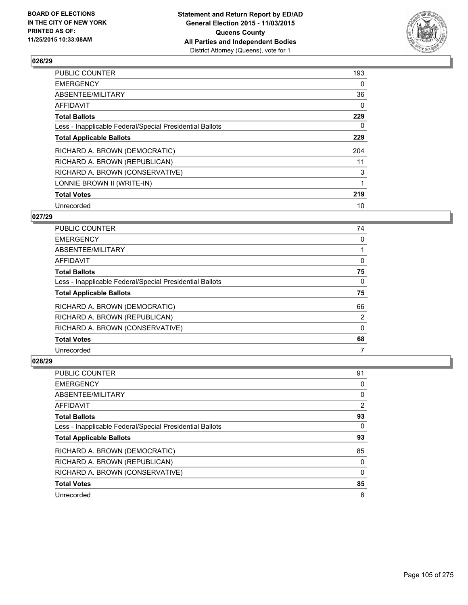

| <b>PUBLIC COUNTER</b>                                    | 193 |
|----------------------------------------------------------|-----|
| <b>EMERGENCY</b>                                         | 0   |
| ABSENTEE/MILITARY                                        | 36  |
| AFFIDAVIT                                                | 0   |
| <b>Total Ballots</b>                                     | 229 |
| Less - Inapplicable Federal/Special Presidential Ballots | 0   |
| <b>Total Applicable Ballots</b>                          | 229 |
| RICHARD A. BROWN (DEMOCRATIC)                            | 204 |
| RICHARD A. BROWN (REPUBLICAN)                            | 11  |
| RICHARD A. BROWN (CONSERVATIVE)                          | 3   |
| LONNIE BROWN II (WRITE-IN)                               | 1   |
| <b>Total Votes</b>                                       | 219 |
| Unrecorded                                               | 10  |

# **027/29**

| PUBLIC COUNTER                                           | 74 |
|----------------------------------------------------------|----|
| <b>EMERGENCY</b>                                         | 0  |
| ABSENTEE/MILITARY                                        |    |
| AFFIDAVIT                                                | 0  |
| <b>Total Ballots</b>                                     | 75 |
| Less - Inapplicable Federal/Special Presidential Ballots | 0  |
|                                                          |    |
| <b>Total Applicable Ballots</b>                          | 75 |
| RICHARD A. BROWN (DEMOCRATIC)                            | 66 |
| RICHARD A. BROWN (REPUBLICAN)                            | 2  |
| RICHARD A. BROWN (CONSERVATIVE)                          | 0  |
| <b>Total Votes</b>                                       | 68 |

| PUBLIC COUNTER                                           | 91 |
|----------------------------------------------------------|----|
| <b>EMERGENCY</b>                                         | 0  |
| ABSENTEE/MILITARY                                        | 0  |
| AFFIDAVIT                                                | 2  |
| <b>Total Ballots</b>                                     | 93 |
| Less - Inapplicable Federal/Special Presidential Ballots | 0  |
| <b>Total Applicable Ballots</b>                          | 93 |
|                                                          |    |
| RICHARD A. BROWN (DEMOCRATIC)                            | 85 |
| RICHARD A. BROWN (REPUBLICAN)                            | 0  |
| RICHARD A. BROWN (CONSERVATIVE)                          | 0  |
| <b>Total Votes</b>                                       | 85 |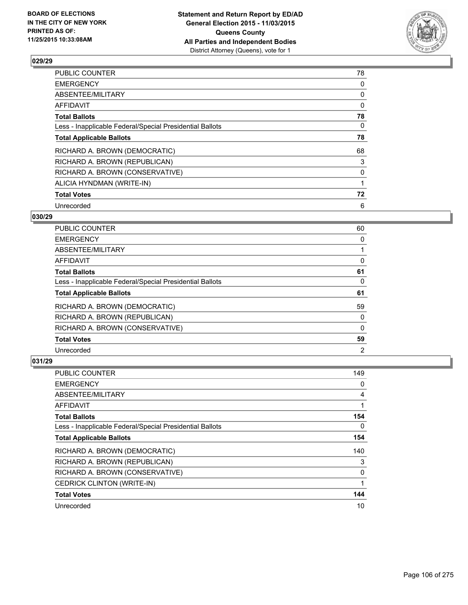

| <b>PUBLIC COUNTER</b>                                    | 78 |
|----------------------------------------------------------|----|
| <b>EMERGENCY</b>                                         | 0  |
| ABSENTEE/MILITARY                                        | 0  |
| AFFIDAVIT                                                | 0  |
| <b>Total Ballots</b>                                     | 78 |
| Less - Inapplicable Federal/Special Presidential Ballots | 0  |
| <b>Total Applicable Ballots</b>                          | 78 |
| RICHARD A. BROWN (DEMOCRATIC)                            | 68 |
| RICHARD A. BROWN (REPUBLICAN)                            | 3  |
| RICHARD A. BROWN (CONSERVATIVE)                          | 0  |
| ALICIA HYNDMAN (WRITE-IN)                                |    |
| <b>Total Votes</b>                                       | 72 |
| Unrecorded                                               | 6  |

# **030/29**

| <b>PUBLIC COUNTER</b>                                    | 60 |
|----------------------------------------------------------|----|
| <b>EMERGENCY</b>                                         | 0  |
| ABSENTEE/MILITARY                                        |    |
| AFFIDAVIT                                                | 0  |
| <b>Total Ballots</b>                                     | 61 |
| Less - Inapplicable Federal/Special Presidential Ballots | 0  |
| <b>Total Applicable Ballots</b>                          | 61 |
| RICHARD A. BROWN (DEMOCRATIC)                            | 59 |
| RICHARD A. BROWN (REPUBLICAN)                            | 0  |
| RICHARD A. BROWN (CONSERVATIVE)                          | 0  |
| <b>Total Votes</b>                                       | 59 |
| Unrecorded                                               | 2  |

| <b>PUBLIC COUNTER</b>                                    | 149 |
|----------------------------------------------------------|-----|
| <b>EMERGENCY</b>                                         | 0   |
| ABSENTEE/MILITARY                                        | 4   |
| AFFIDAVIT                                                |     |
| <b>Total Ballots</b>                                     | 154 |
| Less - Inapplicable Federal/Special Presidential Ballots | 0   |
| <b>Total Applicable Ballots</b>                          | 154 |
| RICHARD A. BROWN (DEMOCRATIC)                            | 140 |
| RICHARD A. BROWN (REPUBLICAN)                            | 3   |
| RICHARD A. BROWN (CONSERVATIVE)                          | 0   |
| <b>CEDRICK CLINTON (WRITE-IN)</b>                        |     |
| <b>Total Votes</b>                                       | 144 |
| Unrecorded                                               | 10  |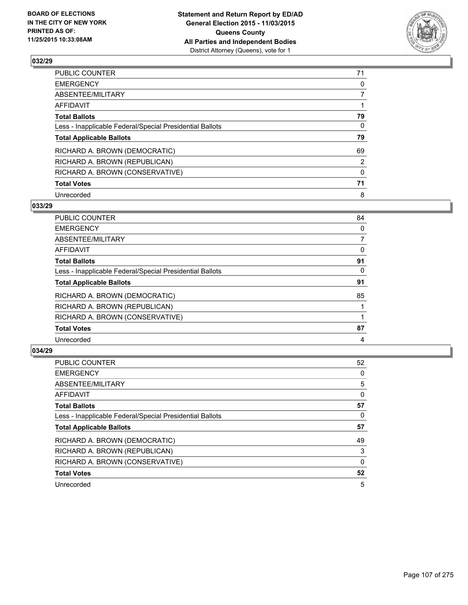

| PUBLIC COUNTER                                           | 71       |
|----------------------------------------------------------|----------|
| <b>EMERGENCY</b>                                         | 0        |
| ABSENTEE/MILITARY                                        | 7        |
| <b>AFFIDAVIT</b>                                         |          |
| <b>Total Ballots</b>                                     | 79       |
| Less - Inapplicable Federal/Special Presidential Ballots | $\Omega$ |
| <b>Total Applicable Ballots</b>                          | 79       |
| RICHARD A. BROWN (DEMOCRATIC)                            | 69       |
| RICHARD A. BROWN (REPUBLICAN)                            | 2        |
| RICHARD A. BROWN (CONSERVATIVE)                          | $\Omega$ |
| <b>Total Votes</b>                                       | 71       |
| Unrecorded                                               | 8        |

### **033/29**

| 84 |
|----|
| 0  |
| 7  |
| 0  |
| 91 |
| 0  |
| 91 |
| 85 |
|    |
|    |
| 87 |
| 4  |
|    |

| PUBLIC COUNTER                                           | 52       |
|----------------------------------------------------------|----------|
| <b>EMERGENCY</b>                                         | 0        |
| ABSENTEE/MILITARY                                        | 5        |
| <b>AFFIDAVIT</b>                                         | 0        |
| <b>Total Ballots</b>                                     | 57       |
| Less - Inapplicable Federal/Special Presidential Ballots | 0        |
| <b>Total Applicable Ballots</b>                          | 57       |
| RICHARD A. BROWN (DEMOCRATIC)                            | 49       |
| RICHARD A. BROWN (REPUBLICAN)                            | 3        |
| RICHARD A. BROWN (CONSERVATIVE)                          | $\Omega$ |
| <b>Total Votes</b>                                       | 52       |
| Unrecorded                                               | 5        |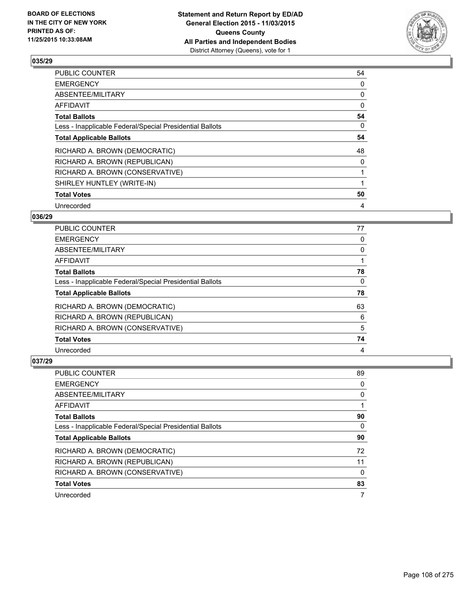

| <b>PUBLIC COUNTER</b>                                    | 54 |
|----------------------------------------------------------|----|
| <b>EMERGENCY</b>                                         | 0  |
| ABSENTEE/MILITARY                                        | 0  |
| AFFIDAVIT                                                | 0  |
| <b>Total Ballots</b>                                     | 54 |
| Less - Inapplicable Federal/Special Presidential Ballots | 0  |
| <b>Total Applicable Ballots</b>                          | 54 |
| RICHARD A. BROWN (DEMOCRATIC)                            | 48 |
| RICHARD A. BROWN (REPUBLICAN)                            | 0  |
| RICHARD A. BROWN (CONSERVATIVE)                          |    |
| SHIRLEY HUNTLEY (WRITE-IN)                               |    |
| <b>Total Votes</b>                                       | 50 |
| Unrecorded                                               | 4  |

## **036/29**

| PUBLIC COUNTER                                           | 77 |
|----------------------------------------------------------|----|
| <b>EMERGENCY</b>                                         | 0  |
| ABSENTEE/MILITARY                                        | 0  |
| AFFIDAVIT                                                |    |
| <b>Total Ballots</b>                                     | 78 |
| Less - Inapplicable Federal/Special Presidential Ballots | 0  |
| <b>Total Applicable Ballots</b>                          | 78 |
| RICHARD A. BROWN (DEMOCRATIC)                            | 63 |
| RICHARD A. BROWN (REPUBLICAN)                            | 6  |
| RICHARD A. BROWN (CONSERVATIVE)                          | 5  |
| <b>Total Votes</b>                                       | 74 |
| Unrecorded                                               | 4  |

| <b>PUBLIC COUNTER</b>                                    | 89 |
|----------------------------------------------------------|----|
| <b>EMERGENCY</b>                                         | 0  |
| ABSENTEE/MILITARY                                        | 0  |
| AFFIDAVIT                                                |    |
| <b>Total Ballots</b>                                     | 90 |
| Less - Inapplicable Federal/Special Presidential Ballots | 0  |
| <b>Total Applicable Ballots</b>                          | 90 |
|                                                          |    |
| RICHARD A. BROWN (DEMOCRATIC)                            | 72 |
| RICHARD A. BROWN (REPUBLICAN)                            | 11 |
| RICHARD A. BROWN (CONSERVATIVE)                          | 0  |
| <b>Total Votes</b>                                       | 83 |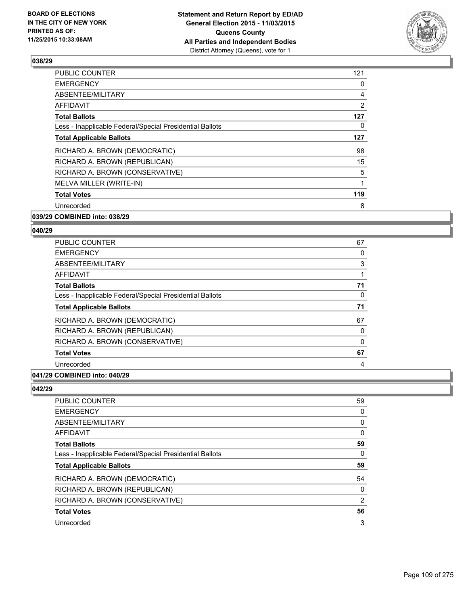

| <b>PUBLIC COUNTER</b>                                    | 121            |
|----------------------------------------------------------|----------------|
| <b>EMERGENCY</b>                                         | 0              |
| ABSENTEE/MILITARY                                        | 4              |
| AFFIDAVIT                                                | $\overline{2}$ |
| <b>Total Ballots</b>                                     | 127            |
| Less - Inapplicable Federal/Special Presidential Ballots | 0              |
| <b>Total Applicable Ballots</b>                          | 127            |
| RICHARD A. BROWN (DEMOCRATIC)                            | 98             |
| RICHARD A. BROWN (REPUBLICAN)                            | 15             |
| RICHARD A. BROWN (CONSERVATIVE)                          | 5              |
| MELVA MILLER (WRITE-IN)                                  | 1              |
| <b>Total Votes</b>                                       | 119            |
| Unrecorded                                               | 8              |
|                                                          |                |

# **039/29 COMBINED into: 038/29**

### **040/29**

| <b>PUBLIC COUNTER</b>                                    | 67 |
|----------------------------------------------------------|----|
| <b>EMERGENCY</b>                                         | 0  |
| ABSENTEE/MILITARY                                        | 3  |
| AFFIDAVIT                                                |    |
| <b>Total Ballots</b>                                     | 71 |
| Less - Inapplicable Federal/Special Presidential Ballots | 0  |
| <b>Total Applicable Ballots</b>                          | 71 |
| RICHARD A. BROWN (DEMOCRATIC)                            | 67 |
| RICHARD A. BROWN (REPUBLICAN)                            | 0  |
| RICHARD A. BROWN (CONSERVATIVE)                          | 0  |
| <b>Total Votes</b>                                       | 67 |
| Unrecorded                                               | 4  |

# **041/29 COMBINED into: 040/29**

| 59 |
|----|
| 0  |
| 0  |
| 0  |
| 59 |
| 0  |
| 59 |
| 54 |
| 0  |
| 2  |
| 56 |
| 3  |
|    |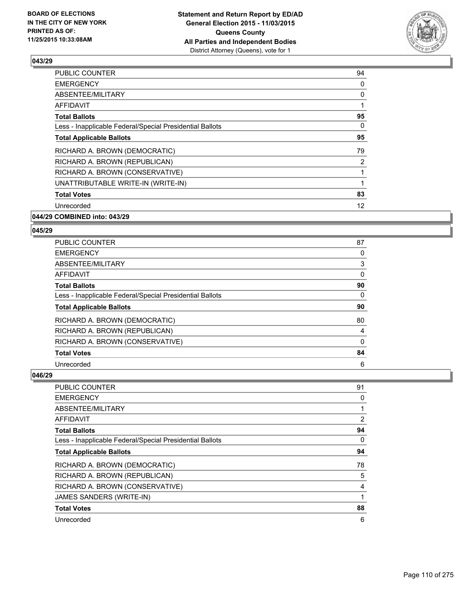

| <b>PUBLIC COUNTER</b>                                    | 94             |
|----------------------------------------------------------|----------------|
| <b>EMERGENCY</b>                                         | 0              |
| ABSENTEE/MILITARY                                        | 0              |
| AFFIDAVIT                                                |                |
| <b>Total Ballots</b>                                     | 95             |
| Less - Inapplicable Federal/Special Presidential Ballots | 0              |
| <b>Total Applicable Ballots</b>                          | 95             |
| RICHARD A. BROWN (DEMOCRATIC)                            | 79             |
| RICHARD A. BROWN (REPUBLICAN)                            | $\overline{2}$ |
| RICHARD A. BROWN (CONSERVATIVE)                          |                |
| UNATTRIBUTABLE WRITE-IN (WRITE-IN)                       |                |
| <b>Total Votes</b>                                       | 83             |
| Unrecorded                                               | 12             |
| 044/29 COMBINED into: 043/29                             |                |

### **045/29**

| <b>PUBLIC COUNTER</b>                                    | 87 |
|----------------------------------------------------------|----|
| <b>EMERGENCY</b>                                         | 0  |
| ABSENTEE/MILITARY                                        | 3  |
| AFFIDAVIT                                                | 0  |
| <b>Total Ballots</b>                                     | 90 |
| Less - Inapplicable Federal/Special Presidential Ballots | 0  |
| <b>Total Applicable Ballots</b>                          | 90 |
| RICHARD A. BROWN (DEMOCRATIC)                            | 80 |
| RICHARD A. BROWN (REPUBLICAN)                            | 4  |
| RICHARD A. BROWN (CONSERVATIVE)                          | 0  |
| <b>Total Votes</b>                                       | 84 |
| Unrecorded                                               | 6  |

| <b>PUBLIC COUNTER</b>                                    | 91       |
|----------------------------------------------------------|----------|
| <b>EMERGENCY</b>                                         | 0        |
| ABSENTEE/MILITARY                                        |          |
| AFFIDAVIT                                                | 2        |
| <b>Total Ballots</b>                                     | 94       |
| Less - Inapplicable Federal/Special Presidential Ballots | $\Omega$ |
| <b>Total Applicable Ballots</b>                          | 94       |
| RICHARD A. BROWN (DEMOCRATIC)                            | 78       |
| RICHARD A. BROWN (REPUBLICAN)                            | 5        |
| RICHARD A. BROWN (CONSERVATIVE)                          | 4        |
| JAMES SANDERS (WRITE-IN)                                 |          |
| <b>Total Votes</b>                                       | 88       |
| Unrecorded                                               | 6        |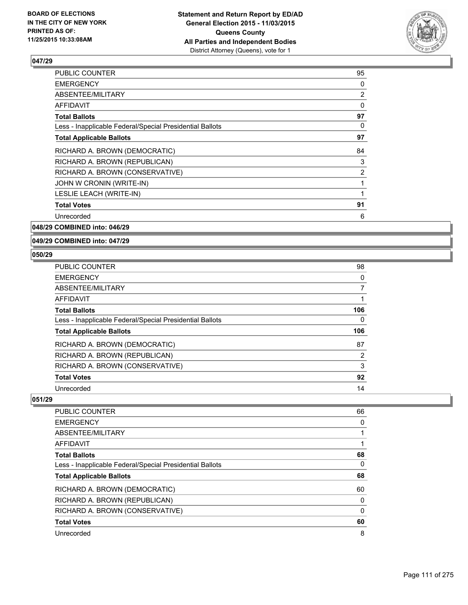

| <b>PUBLIC COUNTER</b>                                    | 95             |
|----------------------------------------------------------|----------------|
| <b>EMERGENCY</b>                                         | 0              |
| ABSENTEE/MILITARY                                        | $\overline{2}$ |
| <b>AFFIDAVIT</b>                                         | 0              |
| <b>Total Ballots</b>                                     | 97             |
| Less - Inapplicable Federal/Special Presidential Ballots | 0              |
| <b>Total Applicable Ballots</b>                          | 97             |
| RICHARD A. BROWN (DEMOCRATIC)                            | 84             |
| RICHARD A. BROWN (REPUBLICAN)                            | 3              |
| RICHARD A. BROWN (CONSERVATIVE)                          | $\overline{2}$ |
| JOHN W CRONIN (WRITE-IN)                                 |                |
| LESLIE LEACH (WRITE-IN)                                  | 1              |
| <b>Total Votes</b>                                       | 91             |
| Unrecorded                                               | 6              |
|                                                          |                |

**048/29 COMBINED into: 046/29**

**049/29 COMBINED into: 047/29**

### **050/29**

| PUBLIC COUNTER                                           | 98  |
|----------------------------------------------------------|-----|
| EMERGENCY                                                | 0   |
| ABSENTEE/MILITARY                                        |     |
| AFFIDAVIT                                                |     |
| Total Ballots                                            | 106 |
| Less - Inapplicable Federal/Special Presidential Ballots | 0   |
| <b>Total Applicable Ballots</b>                          | 106 |
| RICHARD A. BROWN (DEMOCRATIC)                            | 87  |
| RICHARD A. BROWN (REPUBLICAN)                            | 2   |
| RICHARD A. BROWN (CONSERVATIVE)                          | 3   |
|                                                          |     |
| <b>Total Votes</b>                                       | 92  |

| PUBLIC COUNTER                                           | 66 |
|----------------------------------------------------------|----|
| <b>EMERGENCY</b>                                         | 0  |
| ABSENTEE/MILITARY                                        |    |
| AFFIDAVIT                                                |    |
| <b>Total Ballots</b>                                     | 68 |
| Less - Inapplicable Federal/Special Presidential Ballots | 0  |
| <b>Total Applicable Ballots</b>                          | 68 |
| RICHARD A. BROWN (DEMOCRATIC)                            | 60 |
| RICHARD A. BROWN (REPUBLICAN)                            | 0  |
| RICHARD A. BROWN (CONSERVATIVE)                          | 0  |
| <b>Total Votes</b>                                       | 60 |
| Unrecorded                                               | 8  |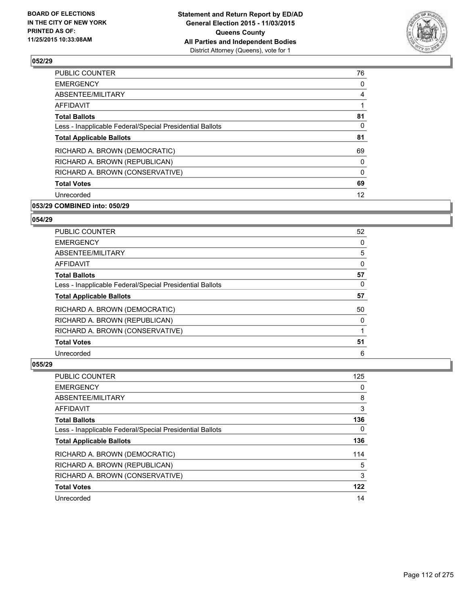

| <b>PUBLIC COUNTER</b>                                    | 76 |
|----------------------------------------------------------|----|
| <b>EMERGENCY</b>                                         | 0  |
| ABSENTEE/MILITARY                                        | 4  |
| AFFIDAVIT                                                |    |
| <b>Total Ballots</b>                                     | 81 |
| Less - Inapplicable Federal/Special Presidential Ballots | 0  |
| <b>Total Applicable Ballots</b>                          | 81 |
| RICHARD A. BROWN (DEMOCRATIC)                            | 69 |
| RICHARD A. BROWN (REPUBLICAN)                            | 0  |
| RICHARD A. BROWN (CONSERVATIVE)                          | 0  |
| <b>Total Votes</b>                                       | 69 |
| Unrecorded                                               | 12 |
|                                                          |    |

# **053/29 COMBINED into: 050/29**

### **054/29**

| <b>PUBLIC COUNTER</b>                                    | 52 |
|----------------------------------------------------------|----|
| <b>EMERGENCY</b>                                         | 0  |
| ABSENTEE/MILITARY                                        | 5  |
| AFFIDAVIT                                                | 0  |
| <b>Total Ballots</b>                                     | 57 |
| Less - Inapplicable Federal/Special Presidential Ballots | 0  |
| <b>Total Applicable Ballots</b>                          | 57 |
| RICHARD A. BROWN (DEMOCRATIC)                            | 50 |
| RICHARD A. BROWN (REPUBLICAN)                            | 0  |
| RICHARD A. BROWN (CONSERVATIVE)                          |    |
| <b>Total Votes</b>                                       | 51 |
| Unrecorded                                               | 6  |

| <b>PUBLIC COUNTER</b>                                    | 125 |
|----------------------------------------------------------|-----|
| <b>EMERGENCY</b>                                         | 0   |
| ABSENTEE/MILITARY                                        | 8   |
| <b>AFFIDAVIT</b>                                         | 3   |
| <b>Total Ballots</b>                                     | 136 |
| Less - Inapplicable Federal/Special Presidential Ballots | 0   |
| <b>Total Applicable Ballots</b>                          | 136 |
| RICHARD A. BROWN (DEMOCRATIC)                            | 114 |
| RICHARD A. BROWN (REPUBLICAN)                            | 5   |
| RICHARD A. BROWN (CONSERVATIVE)                          | 3   |
| <b>Total Votes</b>                                       | 122 |
| Unrecorded                                               | 14  |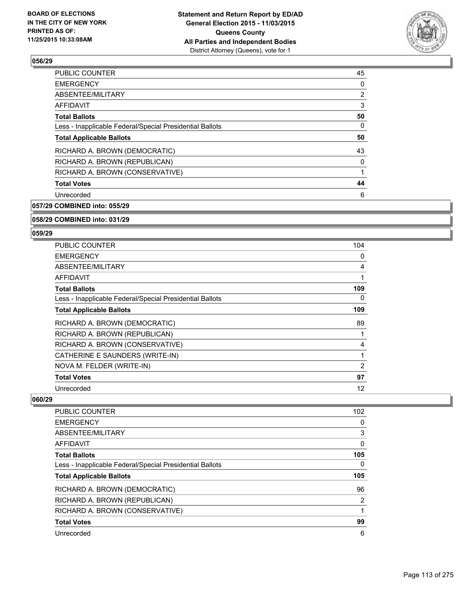

| <b>PUBLIC COUNTER</b>                                    | 45                    |
|----------------------------------------------------------|-----------------------|
| <b>EMERGENCY</b>                                         | 0                     |
| ABSENTEE/MILITARY                                        | $\mathbf{2}^{\prime}$ |
| AFFIDAVIT                                                | 3                     |
| <b>Total Ballots</b>                                     | 50                    |
| Less - Inapplicable Federal/Special Presidential Ballots | 0                     |
| <b>Total Applicable Ballots</b>                          | 50                    |
| RICHARD A. BROWN (DEMOCRATIC)                            | 43                    |
| RICHARD A. BROWN (REPUBLICAN)                            | 0                     |
| RICHARD A. BROWN (CONSERVATIVE)                          |                       |
| <b>Total Votes</b>                                       | 44                    |
| Unrecorded                                               | 6                     |
|                                                          |                       |

**057/29 COMBINED into: 055/29**

**058/29 COMBINED into: 031/29**

### **059/29**

| <b>PUBLIC COUNTER</b>                                    | 104            |
|----------------------------------------------------------|----------------|
| <b>EMERGENCY</b>                                         | 0              |
| ABSENTEE/MILITARY                                        | 4              |
| AFFIDAVIT                                                | 1              |
| <b>Total Ballots</b>                                     | 109            |
| Less - Inapplicable Federal/Special Presidential Ballots | 0              |
| <b>Total Applicable Ballots</b>                          | 109            |
| RICHARD A. BROWN (DEMOCRATIC)                            | 89             |
| RICHARD A. BROWN (REPUBLICAN)                            | 1              |
| RICHARD A. BROWN (CONSERVATIVE)                          | 4              |
| CATHERINE E SAUNDERS (WRITE-IN)                          | 1              |
| NOVA M. FELDER (WRITE-IN)                                | $\overline{2}$ |
| <b>Total Votes</b>                                       | 97             |
| Unrecorded                                               | 12             |

| 102 |
|-----|
| 0   |
| 3   |
| 0   |
| 105 |
| 0   |
| 105 |
| 96  |
| 2   |
|     |
| 99  |
| 6   |
|     |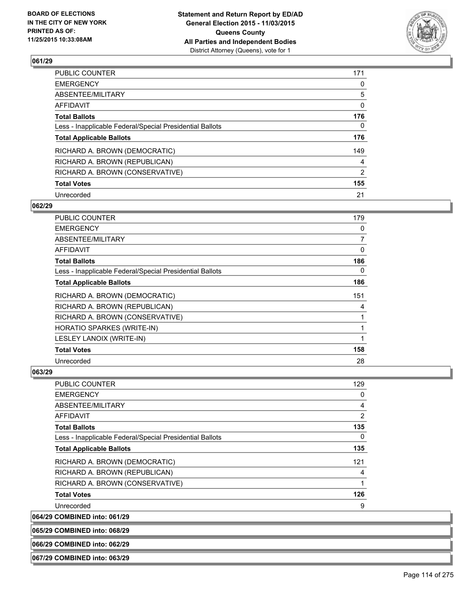

| PUBLIC COUNTER                                           | 171            |
|----------------------------------------------------------|----------------|
| <b>EMERGENCY</b>                                         | 0              |
| ABSENTEE/MILITARY                                        | 5              |
| AFFIDAVIT                                                | 0              |
| <b>Total Ballots</b>                                     | 176            |
| Less - Inapplicable Federal/Special Presidential Ballots | 0              |
| <b>Total Applicable Ballots</b>                          | 176            |
| RICHARD A. BROWN (DEMOCRATIC)                            | 149            |
| RICHARD A. BROWN (REPUBLICAN)                            | 4              |
| RICHARD A. BROWN (CONSERVATIVE)                          | $\overline{2}$ |
| <b>Total Votes</b>                                       | 155            |
| Unrecorded                                               | 21             |

### **062/29**

| <b>PUBLIC COUNTER</b>                                    | 179 |
|----------------------------------------------------------|-----|
| <b>EMERGENCY</b>                                         | 0   |
| ABSENTEE/MILITARY                                        | 7   |
| AFFIDAVIT                                                | 0   |
| <b>Total Ballots</b>                                     | 186 |
| Less - Inapplicable Federal/Special Presidential Ballots | 0   |
| <b>Total Applicable Ballots</b>                          | 186 |
| RICHARD A. BROWN (DEMOCRATIC)                            | 151 |
| RICHARD A. BROWN (REPUBLICAN)                            | 4   |
| RICHARD A. BROWN (CONSERVATIVE)                          | 1   |
| HORATIO SPARKES (WRITE-IN)                               | 1   |
| LESLEY LANOIX (WRITE-IN)                                 | 1   |
| <b>Total Votes</b>                                       | 158 |
| Unrecorded                                               | 28  |

### **063/29**

| <b>PUBLIC COUNTER</b>                                    | 129 |
|----------------------------------------------------------|-----|
| <b>EMERGENCY</b>                                         | 0   |
| ABSENTEE/MILITARY                                        | 4   |
| AFFIDAVIT                                                | 2   |
| <b>Total Ballots</b>                                     | 135 |
| Less - Inapplicable Federal/Special Presidential Ballots | 0   |
| <b>Total Applicable Ballots</b>                          | 135 |
| RICHARD A. BROWN (DEMOCRATIC)                            | 121 |
| RICHARD A. BROWN (REPUBLICAN)                            | 4   |
| RICHARD A. BROWN (CONSERVATIVE)                          |     |
| <b>Total Votes</b>                                       | 126 |
| Unrecorded                                               | 9   |

**064/29 COMBINED into: 061/29**

**065/29 COMBINED into: 068/29**

**066/29 COMBINED into: 062/29**

**067/29 COMBINED into: 063/29**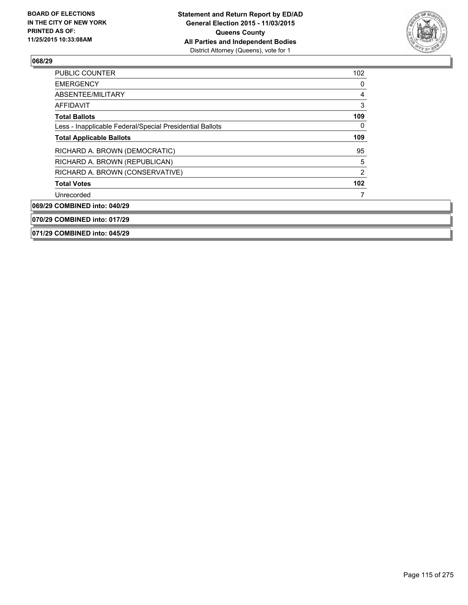

| <b>PUBLIC COUNTER</b>                                    | 102 |
|----------------------------------------------------------|-----|
| <b>EMERGENCY</b>                                         | 0   |
| ABSENTEE/MILITARY                                        | 4   |
| AFFIDAVIT                                                | 3   |
| <b>Total Ballots</b>                                     | 109 |
| Less - Inapplicable Federal/Special Presidential Ballots | 0   |
| <b>Total Applicable Ballots</b>                          | 109 |
| RICHARD A. BROWN (DEMOCRATIC)                            | 95  |
| RICHARD A. BROWN (REPUBLICAN)                            | 5   |
| RICHARD A. BROWN (CONSERVATIVE)                          | 2   |
| <b>Total Votes</b>                                       | 102 |
| Unrecorded                                               |     |
| 069/29 COMBINED into: 040/29                             |     |
| 070/29 COMBINED into: 017/29                             |     |
| 071/29 COMBINED into: 045/29                             |     |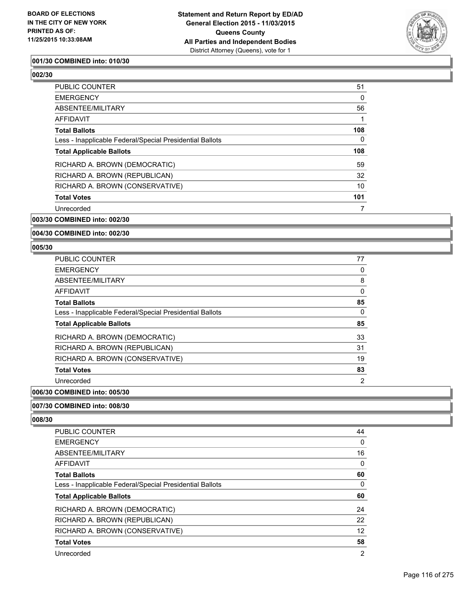

### **001/30 COMBINED into: 010/30**

# **002/30**

| 51       |
|----------|
| 0        |
| 56       |
|          |
| 108      |
| $\Omega$ |
| 108      |
| 59       |
| 32       |
| 10       |
| 101      |
| 7        |
|          |

### **003/30 COMBINED into: 002/30**

### **004/30 COMBINED into: 002/30**

### **005/30**

| 77             |
|----------------|
| 0              |
| 8              |
| 0              |
| 85             |
| 0              |
| 85             |
| 33             |
| 31             |
| 19             |
| 83             |
| $\overline{2}$ |
|                |

### **006/30 COMBINED into: 005/30**

### **007/30 COMBINED into: 008/30**

| PUBLIC COUNTER                                           | 44             |
|----------------------------------------------------------|----------------|
| <b>EMERGENCY</b>                                         | 0              |
| ABSENTEE/MILITARY                                        | 16             |
| AFFIDAVIT                                                | 0              |
| <b>Total Ballots</b>                                     | 60             |
| Less - Inapplicable Federal/Special Presidential Ballots | 0              |
| <b>Total Applicable Ballots</b>                          | 60             |
| RICHARD A. BROWN (DEMOCRATIC)                            | 24             |
| RICHARD A. BROWN (REPUBLICAN)                            | 22             |
| RICHARD A. BROWN (CONSERVATIVE)                          | 12             |
| <b>Total Votes</b>                                       | 58             |
| Unrecorded                                               | $\overline{2}$ |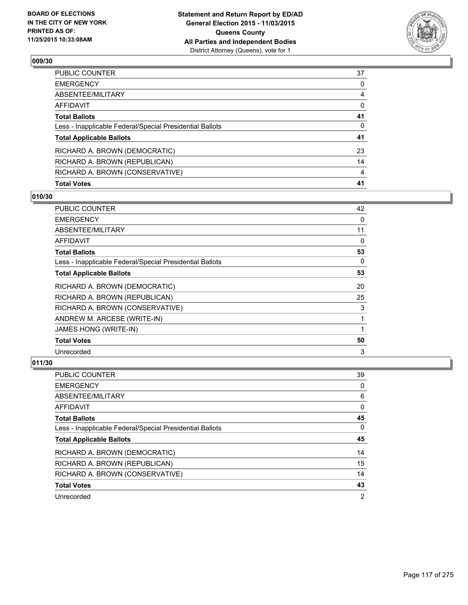

| Total Votes                                              | 41           |
|----------------------------------------------------------|--------------|
| RICHARD A. BROWN (CONSERVATIVE)                          | 4            |
| RICHARD A. BROWN (REPUBLICAN)                            | 14           |
| RICHARD A. BROWN (DEMOCRATIC)                            | 23           |
| <b>Total Applicable Ballots</b>                          | 41           |
| Less - Inapplicable Federal/Special Presidential Ballots | 0            |
| Total Ballots                                            | 41           |
| AFFIDAVIT                                                | 0            |
| ABSENTEE/MILITARY                                        | 4            |
| EMERGENCY                                                | $\mathbf{0}$ |
| PUBLIC COUNTER                                           | 37           |

# **010/30**

| PUBLIC COUNTER                                           | 42           |
|----------------------------------------------------------|--------------|
| <b>EMERGENCY</b>                                         | 0            |
| <b>ABSENTEE/MILITARY</b>                                 | 11           |
| <b>AFFIDAVIT</b>                                         | $\mathbf{0}$ |
| <b>Total Ballots</b>                                     | 53           |
| Less - Inapplicable Federal/Special Presidential Ballots | $\Omega$     |
| <b>Total Applicable Ballots</b>                          | 53           |
| RICHARD A. BROWN (DEMOCRATIC)                            | 20           |
| RICHARD A. BROWN (REPUBLICAN)                            | 25           |
| RICHARD A. BROWN (CONSERVATIVE)                          | 3            |
| ANDREW M. ARCESE (WRITE-IN)                              | 1            |
| JAMES HONG (WRITE-IN)                                    | 1            |
| <b>Total Votes</b>                                       | 50           |
| Unrecorded                                               | 3            |

| PUBLIC COUNTER                                           | 39 |
|----------------------------------------------------------|----|
| <b>EMERGENCY</b>                                         | 0  |
| ABSENTEE/MILITARY                                        | 6  |
| AFFIDAVIT                                                | 0  |
| <b>Total Ballots</b>                                     | 45 |
| Less - Inapplicable Federal/Special Presidential Ballots | 0  |
| <b>Total Applicable Ballots</b>                          | 45 |
| RICHARD A. BROWN (DEMOCRATIC)                            | 14 |
| RICHARD A. BROWN (REPUBLICAN)                            | 15 |
| RICHARD A. BROWN (CONSERVATIVE)                          | 14 |
| <b>Total Votes</b>                                       | 43 |
|                                                          |    |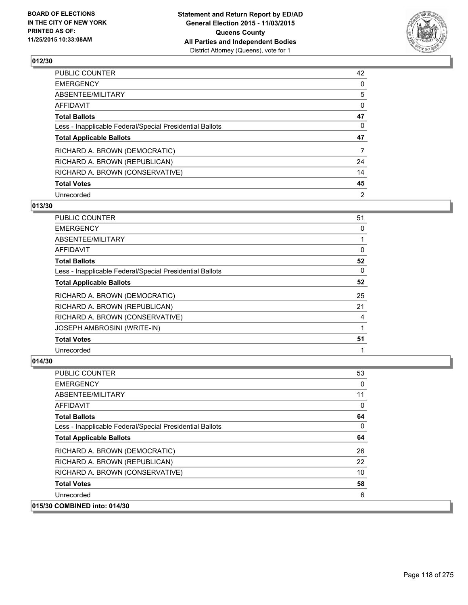

| PUBLIC COUNTER                                           | 42             |
|----------------------------------------------------------|----------------|
| <b>EMERGENCY</b>                                         | 0              |
| ABSENTEE/MILITARY                                        | 5              |
| <b>AFFIDAVIT</b>                                         | 0              |
| <b>Total Ballots</b>                                     | 47             |
| Less - Inapplicable Federal/Special Presidential Ballots | 0              |
| <b>Total Applicable Ballots</b>                          | 47             |
| RICHARD A. BROWN (DEMOCRATIC)                            | $\overline{7}$ |
| RICHARD A. BROWN (REPUBLICAN)                            | 24             |
| RICHARD A. BROWN (CONSERVATIVE)                          | 14             |
| <b>Total Votes</b>                                       | 45             |
| Unrecorded                                               | 2              |

### **013/30**

| <b>PUBLIC COUNTER</b>                                    | 51       |
|----------------------------------------------------------|----------|
| <b>EMERGENCY</b>                                         | 0        |
| <b>ABSENTEE/MILITARY</b>                                 |          |
| <b>AFFIDAVIT</b>                                         | $\Omega$ |
| <b>Total Ballots</b>                                     | 52       |
| Less - Inapplicable Federal/Special Presidential Ballots | 0        |
| <b>Total Applicable Ballots</b>                          | 52       |
| RICHARD A. BROWN (DEMOCRATIC)                            | 25       |
| RICHARD A. BROWN (REPUBLICAN)                            | 21       |
| RICHARD A. BROWN (CONSERVATIVE)                          | 4        |
| <b>JOSEPH AMBROSINI (WRITE-IN)</b>                       |          |
| <b>Total Votes</b>                                       | 51       |
| Unrecorded                                               |          |

| <b>PUBLIC COUNTER</b>                                    | 53 |
|----------------------------------------------------------|----|
| <b>EMERGENCY</b>                                         | 0  |
| ABSENTEE/MILITARY                                        | 11 |
| AFFIDAVIT                                                | 0  |
| <b>Total Ballots</b>                                     | 64 |
| Less - Inapplicable Federal/Special Presidential Ballots | 0  |
| <b>Total Applicable Ballots</b>                          | 64 |
| RICHARD A. BROWN (DEMOCRATIC)                            | 26 |
| RICHARD A. BROWN (REPUBLICAN)                            | 22 |
| RICHARD A. BROWN (CONSERVATIVE)                          | 10 |
| <b>Total Votes</b>                                       | 58 |
| Unrecorded                                               | 6  |
| 015/30 COMBINED into: 014/30                             |    |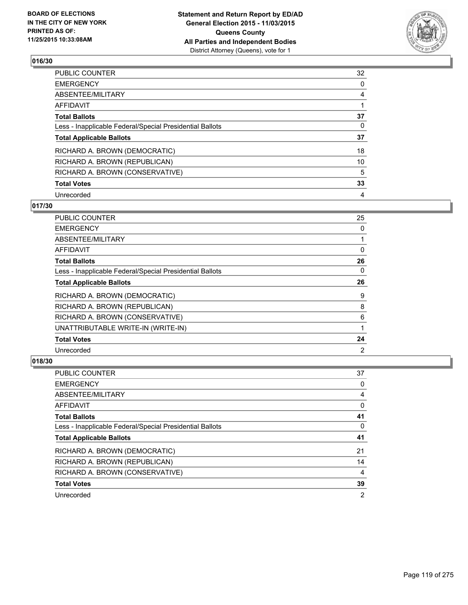

| PUBLIC COUNTER                                           | 32 |
|----------------------------------------------------------|----|
| <b>EMERGENCY</b>                                         | 0  |
| ABSENTEE/MILITARY                                        | 4  |
| <b>AFFIDAVIT</b>                                         |    |
| <b>Total Ballots</b>                                     | 37 |
| Less - Inapplicable Federal/Special Presidential Ballots | 0  |
| <b>Total Applicable Ballots</b>                          | 37 |
| RICHARD A. BROWN (DEMOCRATIC)                            | 18 |
| RICHARD A. BROWN (REPUBLICAN)                            | 10 |
| RICHARD A. BROWN (CONSERVATIVE)                          | 5  |
| <b>Total Votes</b>                                       | 33 |
| Unrecorded                                               | 4  |

# **017/30**

| <b>PUBLIC COUNTER</b>                                    | 25 |
|----------------------------------------------------------|----|
| <b>EMERGENCY</b>                                         | 0  |
| ABSENTEE/MILITARY                                        |    |
| <b>AFFIDAVIT</b>                                         | 0  |
| <b>Total Ballots</b>                                     | 26 |
| Less - Inapplicable Federal/Special Presidential Ballots | 0  |
| <b>Total Applicable Ballots</b>                          | 26 |
| RICHARD A. BROWN (DEMOCRATIC)                            | 9  |
| RICHARD A. BROWN (REPUBLICAN)                            | 8  |
| RICHARD A. BROWN (CONSERVATIVE)                          | 6  |
| UNATTRIBUTABLE WRITE-IN (WRITE-IN)                       |    |
| <b>Total Votes</b>                                       | 24 |
| Unrecorded                                               | 2  |

| <b>PUBLIC COUNTER</b>                                    | 37 |
|----------------------------------------------------------|----|
| <b>EMERGENCY</b>                                         | 0  |
| ABSENTEE/MILITARY                                        | 4  |
| AFFIDAVIT                                                | 0  |
| <b>Total Ballots</b>                                     | 41 |
| Less - Inapplicable Federal/Special Presidential Ballots | 0  |
| <b>Total Applicable Ballots</b>                          | 41 |
| RICHARD A. BROWN (DEMOCRATIC)                            | 21 |
| RICHARD A. BROWN (REPUBLICAN)                            | 14 |
| RICHARD A. BROWN (CONSERVATIVE)                          | 4  |
| <b>Total Votes</b>                                       | 39 |
| Unrecorded                                               | 2  |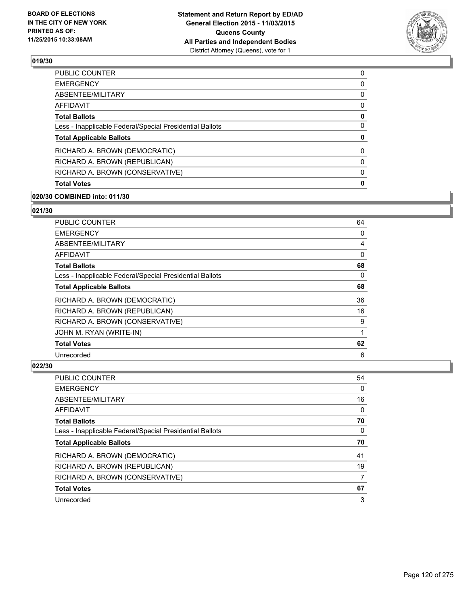

| <b>PUBLIC COUNTER</b>                                    | 0        |
|----------------------------------------------------------|----------|
| <b>EMERGENCY</b>                                         | 0        |
| ABSENTEE/MILITARY                                        | 0        |
| <b>AFFIDAVIT</b>                                         | 0        |
| <b>Total Ballots</b>                                     | 0        |
| Less - Inapplicable Federal/Special Presidential Ballots | 0        |
| <b>Total Applicable Ballots</b>                          | 0        |
| RICHARD A. BROWN (DEMOCRATIC)                            | 0        |
| RICHARD A. BROWN (REPUBLICAN)                            | $\Omega$ |
| RICHARD A. BROWN (CONSERVATIVE)                          | 0        |
| <b>Total Votes</b>                                       | 0        |
|                                                          |          |

### **020/30 COMBINED into: 011/30**

### **021/30**

| PUBLIC COUNTER                                           | 64 |
|----------------------------------------------------------|----|
| <b>EMERGENCY</b>                                         | 0  |
| ABSENTEE/MILITARY                                        | 4  |
| AFFIDAVIT                                                | 0  |
| <b>Total Ballots</b>                                     | 68 |
| Less - Inapplicable Federal/Special Presidential Ballots | 0  |
| <b>Total Applicable Ballots</b>                          | 68 |
| RICHARD A. BROWN (DEMOCRATIC)                            | 36 |
| RICHARD A. BROWN (REPUBLICAN)                            | 16 |
| RICHARD A. BROWN (CONSERVATIVE)                          | 9  |
| JOHN M. RYAN (WRITE-IN)                                  |    |
| <b>Total Votes</b>                                       | 62 |
| Unrecorded                                               | 6  |

| PUBLIC COUNTER                                           | 54 |
|----------------------------------------------------------|----|
| <b>EMERGENCY</b>                                         | 0  |
| ABSENTEE/MILITARY                                        | 16 |
| AFFIDAVIT                                                | 0  |
| <b>Total Ballots</b>                                     | 70 |
| Less - Inapplicable Federal/Special Presidential Ballots | 0  |
| <b>Total Applicable Ballots</b>                          | 70 |
| RICHARD A. BROWN (DEMOCRATIC)                            | 41 |
| RICHARD A. BROWN (REPUBLICAN)                            | 19 |
| RICHARD A. BROWN (CONSERVATIVE)                          | 7  |
| <b>Total Votes</b>                                       | 67 |
| Unrecorded                                               | 3  |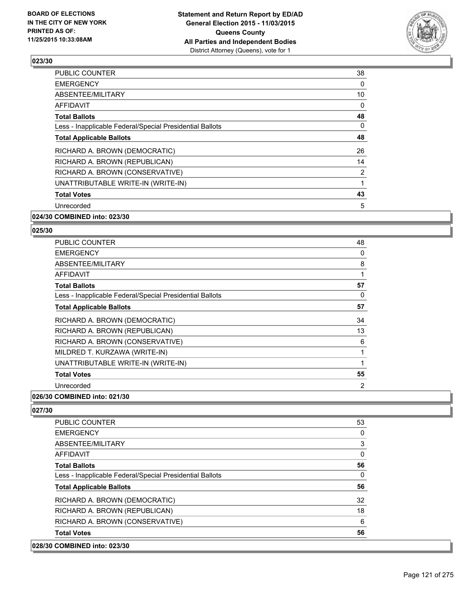

| <b>PUBLIC COUNTER</b>                                    | 38             |
|----------------------------------------------------------|----------------|
| <b>EMERGENCY</b>                                         | 0              |
| ABSENTEE/MILITARY                                        | 10             |
| AFFIDAVIT                                                | 0              |
| <b>Total Ballots</b>                                     | 48             |
| Less - Inapplicable Federal/Special Presidential Ballots | 0              |
| <b>Total Applicable Ballots</b>                          | 48             |
| RICHARD A. BROWN (DEMOCRATIC)                            | 26             |
| RICHARD A. BROWN (REPUBLICAN)                            | 14             |
| RICHARD A. BROWN (CONSERVATIVE)                          | $\overline{2}$ |
| UNATTRIBUTABLE WRITE-IN (WRITE-IN)                       | 1              |
| <b>Total Votes</b>                                       | 43             |
| Unrecorded                                               | 5              |
|                                                          |                |

### **024/30 COMBINED into: 023/30**

### **025/30**

| PUBLIC COUNTER                                           | 48 |
|----------------------------------------------------------|----|
| <b>EMERGENCY</b>                                         | 0  |
| ABSENTEE/MILITARY                                        | 8  |
| AFFIDAVIT                                                | 1  |
| <b>Total Ballots</b>                                     | 57 |
| Less - Inapplicable Federal/Special Presidential Ballots | 0  |
| <b>Total Applicable Ballots</b>                          | 57 |
| RICHARD A. BROWN (DEMOCRATIC)                            | 34 |
| RICHARD A. BROWN (REPUBLICAN)                            | 13 |
| RICHARD A. BROWN (CONSERVATIVE)                          | 6  |
| MILDRED T. KURZAWA (WRITE-IN)                            | 1  |
| UNATTRIBUTABLE WRITE-IN (WRITE-IN)                       | 1  |
| <b>Total Votes</b>                                       | 55 |
| Unrecorded                                               | 2  |

# **026/30 COMBINED into: 021/30**

# **027/30**

**028/30 COMBINED into: 023/30**

| <b>COMBINED into: 023/30</b>                             |    |
|----------------------------------------------------------|----|
| <b>Total Votes</b>                                       | 56 |
| RICHARD A. BROWN (CONSERVATIVE)                          | 6  |
| RICHARD A. BROWN (REPUBLICAN)                            | 18 |
| RICHARD A. BROWN (DEMOCRATIC)                            | 32 |
| <b>Total Applicable Ballots</b>                          | 56 |
| Less - Inapplicable Federal/Special Presidential Ballots | 0  |
| <b>Total Ballots</b>                                     | 56 |
| AFFIDAVIT                                                | 0  |
| ABSENTEE/MILITARY                                        | 3  |
| <b>EMERGENCY</b>                                         | 0  |
| PUBLIC COUNTER                                           | 53 |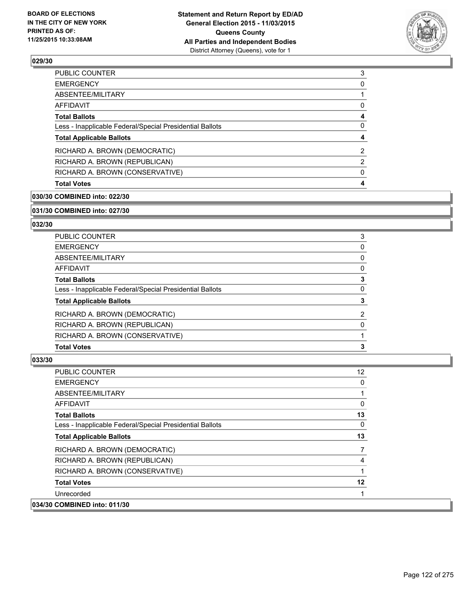

| <b>PUBLIC COUNTER</b>                                    | 3              |
|----------------------------------------------------------|----------------|
| <b>EMERGENCY</b>                                         | 0              |
| ABSENTEE/MILITARY                                        |                |
| <b>AFFIDAVIT</b>                                         | 0              |
| <b>Total Ballots</b>                                     | 4              |
| Less - Inapplicable Federal/Special Presidential Ballots | 0              |
| <b>Total Applicable Ballots</b>                          | 4              |
| RICHARD A. BROWN (DEMOCRATIC)                            | $\overline{2}$ |
| RICHARD A. BROWN (REPUBLICAN)                            | 2              |
| RICHARD A. BROWN (CONSERVATIVE)                          | 0              |
| <b>Total Votes</b>                                       | 4              |
|                                                          |                |

### **030/30 COMBINED into: 022/30**

### **031/30 COMBINED into: 027/30**

### **032/30**

| <b>Total Votes</b>                                       | 3 |
|----------------------------------------------------------|---|
| RICHARD A. BROWN (CONSERVATIVE)                          |   |
| RICHARD A. BROWN (REPUBLICAN)                            | 0 |
| RICHARD A. BROWN (DEMOCRATIC)                            | 2 |
| <b>Total Applicable Ballots</b>                          | 3 |
| Less - Inapplicable Federal/Special Presidential Ballots | 0 |
| <b>Total Ballots</b>                                     | 3 |
| <b>AFFIDAVIT</b>                                         | 0 |
| ABSENTEE/MILITARY                                        | 0 |
| <b>EMERGENCY</b>                                         | 0 |
| PUBLIC COUNTER                                           | 3 |

| <b>PUBLIC COUNTER</b>                                    | 12 <sup>°</sup> |
|----------------------------------------------------------|-----------------|
| <b>EMERGENCY</b>                                         | 0               |
| ABSENTEE/MILITARY                                        |                 |
| <b>AFFIDAVIT</b>                                         | 0               |
| <b>Total Ballots</b>                                     | 13              |
| Less - Inapplicable Federal/Special Presidential Ballots | 0               |
| <b>Total Applicable Ballots</b>                          | 13              |
| RICHARD A. BROWN (DEMOCRATIC)                            |                 |
| RICHARD A. BROWN (REPUBLICAN)                            | 4               |
| RICHARD A. BROWN (CONSERVATIVE)                          |                 |
| <b>Total Votes</b>                                       | 12              |
| Unrecorded                                               |                 |
| 034/30 COMBINED into: 011/30                             |                 |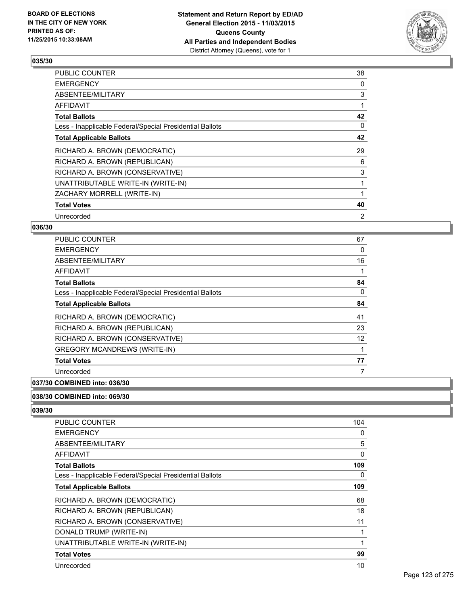

| <b>PUBLIC COUNTER</b>                                    | 38 |
|----------------------------------------------------------|----|
| <b>EMERGENCY</b>                                         | 0  |
| ABSENTEE/MILITARY                                        | 3  |
| AFFIDAVIT                                                |    |
| <b>Total Ballots</b>                                     | 42 |
| Less - Inapplicable Federal/Special Presidential Ballots | 0  |
| <b>Total Applicable Ballots</b>                          | 42 |
| RICHARD A. BROWN (DEMOCRATIC)                            | 29 |
| RICHARD A. BROWN (REPUBLICAN)                            | 6  |
| RICHARD A. BROWN (CONSERVATIVE)                          | 3  |
| UNATTRIBUTABLE WRITE-IN (WRITE-IN)                       |    |
| ZACHARY MORRELL (WRITE-IN)                               |    |
| <b>Total Votes</b>                                       | 40 |
| Unrecorded                                               | 2  |

# **036/30**

| <b>PUBLIC COUNTER</b>                                    | 67 |
|----------------------------------------------------------|----|
| <b>EMERGENCY</b>                                         | 0  |
| ABSENTEE/MILITARY                                        | 16 |
| AFFIDAVIT                                                |    |
| <b>Total Ballots</b>                                     | 84 |
| Less - Inapplicable Federal/Special Presidential Ballots | 0  |
| <b>Total Applicable Ballots</b>                          | 84 |
| RICHARD A. BROWN (DEMOCRATIC)                            | 41 |
| RICHARD A. BROWN (REPUBLICAN)                            | 23 |
| RICHARD A. BROWN (CONSERVATIVE)                          | 12 |
| <b>GREGORY MCANDREWS (WRITE-IN)</b>                      |    |
| <b>Total Votes</b>                                       | 77 |
| Unrecorded                                               |    |
|                                                          |    |

# **037/30 COMBINED into: 036/30**

### **038/30 COMBINED into: 069/30**

| <b>PUBLIC COUNTER</b>                                    | 104 |
|----------------------------------------------------------|-----|
| <b>EMERGENCY</b>                                         | 0   |
| ABSENTEE/MILITARY                                        | 5   |
| AFFIDAVIT                                                | 0   |
| <b>Total Ballots</b>                                     | 109 |
| Less - Inapplicable Federal/Special Presidential Ballots | 0   |
| <b>Total Applicable Ballots</b>                          | 109 |
| RICHARD A. BROWN (DEMOCRATIC)                            | 68  |
| RICHARD A. BROWN (REPUBLICAN)                            | 18  |
| RICHARD A. BROWN (CONSERVATIVE)                          | 11  |
| DONALD TRUMP (WRITE-IN)                                  | 1   |
| UNATTRIBUTABLE WRITE-IN (WRITE-IN)                       |     |
| <b>Total Votes</b>                                       | 99  |
| Unrecorded                                               | 10  |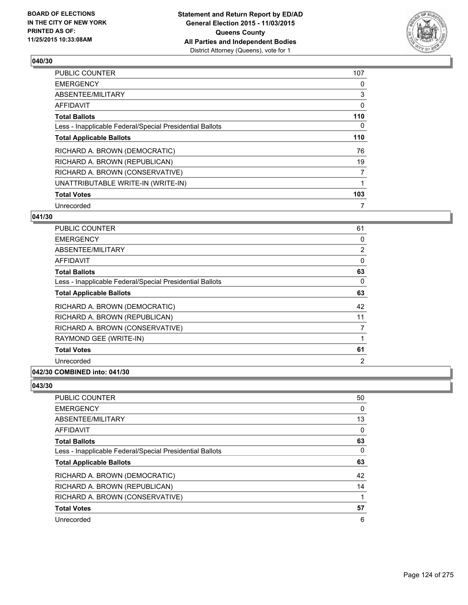

| <b>PUBLIC COUNTER</b>                                    | 107 |
|----------------------------------------------------------|-----|
| <b>EMERGENCY</b>                                         | 0   |
| ABSENTEE/MILITARY                                        | 3   |
| AFFIDAVIT                                                | 0   |
| <b>Total Ballots</b>                                     | 110 |
| Less - Inapplicable Federal/Special Presidential Ballots | 0   |
| <b>Total Applicable Ballots</b>                          | 110 |
| RICHARD A. BROWN (DEMOCRATIC)                            | 76  |
| RICHARD A. BROWN (REPUBLICAN)                            | 19  |
| RICHARD A. BROWN (CONSERVATIVE)                          | 7   |
| UNATTRIBUTABLE WRITE-IN (WRITE-IN)                       | 1   |
| <b>Total Votes</b>                                       | 103 |
| Unrecorded                                               | 7   |

# **041/30**

| <b>PUBLIC COUNTER</b>                                    | 61             |
|----------------------------------------------------------|----------------|
| <b>EMERGENCY</b>                                         | 0              |
| ABSENTEE/MILITARY                                        | $\overline{2}$ |
| <b>AFFIDAVIT</b>                                         | $\Omega$       |
| <b>Total Ballots</b>                                     | 63             |
| Less - Inapplicable Federal/Special Presidential Ballots | $\Omega$       |
| <b>Total Applicable Ballots</b>                          | 63             |
| RICHARD A. BROWN (DEMOCRATIC)                            | 42             |
| RICHARD A. BROWN (REPUBLICAN)                            | 11             |
| RICHARD A. BROWN (CONSERVATIVE)                          | 7              |
| RAYMOND GEE (WRITE-IN)                                   |                |
| <b>Total Votes</b>                                       | 61             |
| Unrecorded                                               | 2              |
| 042/30 COMBINED into: 041/30                             |                |

| 50 |
|----|
| 0  |
| 13 |
| 0  |
| 63 |
| 0  |
| 63 |
| 42 |
| 14 |
|    |
| 57 |
| 6  |
|    |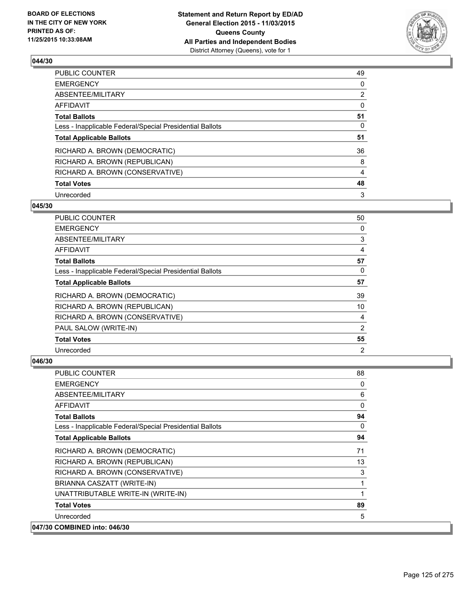

| <b>PUBLIC COUNTER</b>                                    | 49             |
|----------------------------------------------------------|----------------|
| <b>EMERGENCY</b>                                         | 0              |
| ABSENTEE/MILITARY                                        | $\overline{2}$ |
| AFFIDAVIT                                                | 0              |
| <b>Total Ballots</b>                                     | 51             |
| Less - Inapplicable Federal/Special Presidential Ballots | 0              |
| <b>Total Applicable Ballots</b>                          | 51             |
| RICHARD A. BROWN (DEMOCRATIC)                            | 36             |
| RICHARD A. BROWN (REPUBLICAN)                            | 8              |
| RICHARD A. BROWN (CONSERVATIVE)                          | 4              |
| <b>Total Votes</b>                                       | 48             |
| Unrecorded                                               | 3              |

### **045/30**

| <b>PUBLIC COUNTER</b>                                    | 50 |
|----------------------------------------------------------|----|
| <b>EMERGENCY</b>                                         | 0  |
| ABSENTEE/MILITARY                                        | 3  |
| AFFIDAVIT                                                | 4  |
| <b>Total Ballots</b>                                     | 57 |
| Less - Inapplicable Federal/Special Presidential Ballots | 0  |
| <b>Total Applicable Ballots</b>                          | 57 |
| RICHARD A. BROWN (DEMOCRATIC)                            | 39 |
| RICHARD A. BROWN (REPUBLICAN)                            | 10 |
| RICHARD A. BROWN (CONSERVATIVE)                          | 4  |
| PAUL SALOW (WRITE-IN)                                    | 2  |
| <b>Total Votes</b>                                       | 55 |
| Unrecorded                                               | 2  |

| <b>PUBLIC COUNTER</b>                                    | 88 |
|----------------------------------------------------------|----|
| <b>EMERGENCY</b>                                         | 0  |
| ABSENTEE/MILITARY                                        | 6  |
| <b>AFFIDAVIT</b>                                         | 0  |
| <b>Total Ballots</b>                                     | 94 |
| Less - Inapplicable Federal/Special Presidential Ballots | 0  |
| <b>Total Applicable Ballots</b>                          | 94 |
| RICHARD A. BROWN (DEMOCRATIC)                            | 71 |
| RICHARD A. BROWN (REPUBLICAN)                            | 13 |
| RICHARD A. BROWN (CONSERVATIVE)                          | 3  |
| BRIANNA CASZATT (WRITE-IN)                               |    |
| UNATTRIBUTABLE WRITE-IN (WRITE-IN)                       | 1  |
| <b>Total Votes</b>                                       | 89 |
| Unrecorded                                               | 5  |
| 047/30 COMBINED into: 046/30                             |    |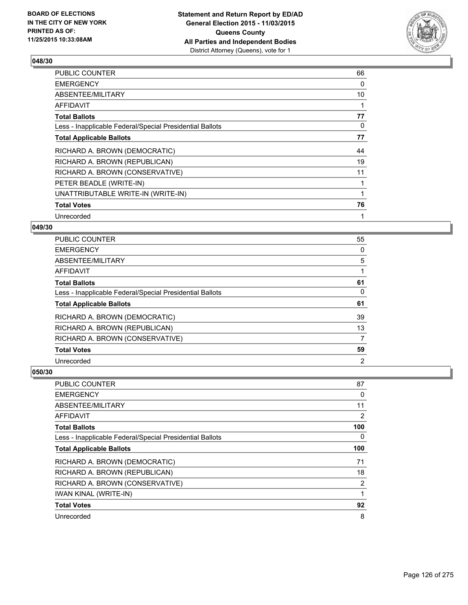

| <b>PUBLIC COUNTER</b>                                    | 66           |
|----------------------------------------------------------|--------------|
| <b>EMERGENCY</b>                                         | 0            |
| ABSENTEE/MILITARY                                        | 10           |
| AFFIDAVIT                                                | 1            |
| <b>Total Ballots</b>                                     | 77           |
| Less - Inapplicable Federal/Special Presidential Ballots | 0            |
| <b>Total Applicable Ballots</b>                          | 77           |
| RICHARD A. BROWN (DEMOCRATIC)                            | 44           |
| RICHARD A. BROWN (REPUBLICAN)                            | 19           |
| RICHARD A. BROWN (CONSERVATIVE)                          | 11           |
| PETER BEADLE (WRITE-IN)                                  | 1            |
| UNATTRIBUTABLE WRITE-IN (WRITE-IN)                       | 1            |
| <b>Total Votes</b>                                       | 76           |
| Unrecorded                                               | $\mathbf{1}$ |

# **049/30**

| PUBLIC COUNTER                                           | 55 |
|----------------------------------------------------------|----|
| <b>EMERGENCY</b>                                         | 0  |
| ABSENTEE/MILITARY                                        | 5  |
| AFFIDAVIT                                                |    |
| <b>Total Ballots</b>                                     | 61 |
| Less - Inapplicable Federal/Special Presidential Ballots | 0  |
| <b>Total Applicable Ballots</b>                          | 61 |
| RICHARD A. BROWN (DEMOCRATIC)                            | 39 |
| RICHARD A. BROWN (REPUBLICAN)                            | 13 |
| RICHARD A. BROWN (CONSERVATIVE)                          | 7  |
| <b>Total Votes</b>                                       | 59 |
| Unrecorded                                               | 2  |

| <b>PUBLIC COUNTER</b>                                    | 87  |
|----------------------------------------------------------|-----|
| <b>EMERGENCY</b>                                         | 0   |
| ABSENTEE/MILITARY                                        | 11  |
| AFFIDAVIT                                                | 2   |
| <b>Total Ballots</b>                                     | 100 |
| Less - Inapplicable Federal/Special Presidential Ballots | 0   |
| <b>Total Applicable Ballots</b>                          | 100 |
| RICHARD A. BROWN (DEMOCRATIC)                            | 71  |
| RICHARD A. BROWN (REPUBLICAN)                            | 18  |
| RICHARD A. BROWN (CONSERVATIVE)                          | 2   |
| <b>IWAN KINAL (WRITE-IN)</b>                             | 1   |
| <b>Total Votes</b>                                       | 92  |
| Unrecorded                                               | 8   |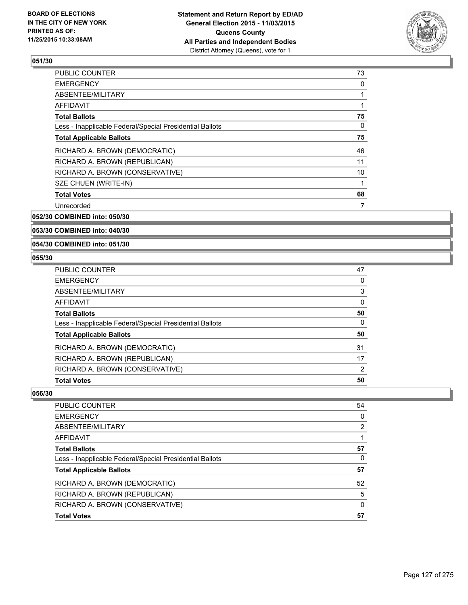

| <b>PUBLIC COUNTER</b>                                    | 73 |
|----------------------------------------------------------|----|
| <b>EMERGENCY</b>                                         | 0  |
| ABSENTEE/MILITARY                                        |    |
| <b>AFFIDAVIT</b>                                         | 1  |
| <b>Total Ballots</b>                                     | 75 |
| Less - Inapplicable Federal/Special Presidential Ballots | 0  |
| <b>Total Applicable Ballots</b>                          | 75 |
| RICHARD A. BROWN (DEMOCRATIC)                            | 46 |
| RICHARD A. BROWN (REPUBLICAN)                            | 11 |
| RICHARD A. BROWN (CONSERVATIVE)                          | 10 |
| SZE CHUEN (WRITE-IN)                                     |    |
| <b>Total Votes</b>                                       | 68 |
| Unrecorded                                               | 7  |
|                                                          |    |

**052/30 COMBINED into: 050/30**

**053/30 COMBINED into: 040/30**

**054/30 COMBINED into: 051/30**

### **055/30**

| <b>Total Votes</b>                                       | 50 |
|----------------------------------------------------------|----|
| RICHARD A. BROWN (CONSERVATIVE)                          | 2  |
| RICHARD A. BROWN (REPUBLICAN)                            | 17 |
| RICHARD A. BROWN (DEMOCRATIC)                            | 31 |
| <b>Total Applicable Ballots</b>                          | 50 |
| Less - Inapplicable Federal/Special Presidential Ballots | 0  |
| <b>Total Ballots</b>                                     | 50 |
| AFFIDAVIT                                                | 0  |
| ABSENTEE/MILITARY                                        | 3  |
| <b>EMERGENCY</b>                                         | 0  |
| PUBLIC COUNTER                                           | 47 |

| PUBLIC COUNTER                                           | 54 |
|----------------------------------------------------------|----|
| <b>EMERGENCY</b>                                         | 0  |
| ABSENTEE/MILITARY                                        | 2  |
| AFFIDAVIT                                                |    |
| <b>Total Ballots</b>                                     | 57 |
| Less - Inapplicable Federal/Special Presidential Ballots | 0  |
| <b>Total Applicable Ballots</b>                          | 57 |
| RICHARD A. BROWN (DEMOCRATIC)                            | 52 |
| RICHARD A. BROWN (REPUBLICAN)                            | 5  |
| RICHARD A. BROWN (CONSERVATIVE)                          | 0  |
| <b>Total Votes</b>                                       | 57 |
|                                                          |    |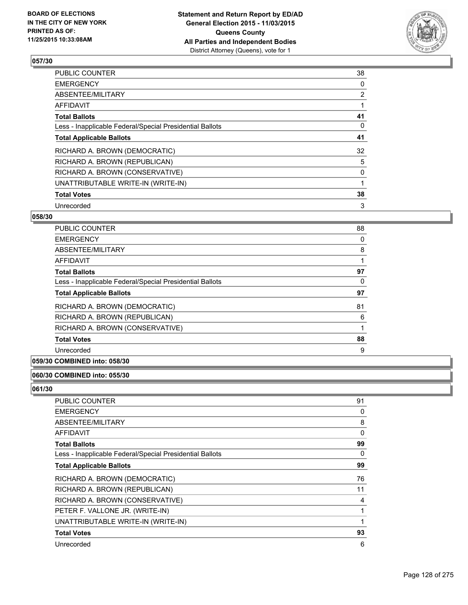

| <b>PUBLIC COUNTER</b>                                    | 38 |
|----------------------------------------------------------|----|
| <b>EMERGENCY</b>                                         | 0  |
| ABSENTEE/MILITARY                                        | 2  |
| AFFIDAVIT                                                |    |
| <b>Total Ballots</b>                                     | 41 |
| Less - Inapplicable Federal/Special Presidential Ballots | 0  |
| <b>Total Applicable Ballots</b>                          | 41 |
| RICHARD A. BROWN (DEMOCRATIC)                            | 32 |
| RICHARD A. BROWN (REPUBLICAN)                            | 5  |
| RICHARD A. BROWN (CONSERVATIVE)                          | 0  |
| UNATTRIBUTABLE WRITE-IN (WRITE-IN)                       | 1  |
| <b>Total Votes</b>                                       | 38 |
| Unrecorded                                               | 3  |

# **058/30**

| <b>PUBLIC COUNTER</b>                                    | 88 |
|----------------------------------------------------------|----|
| <b>EMERGENCY</b>                                         | 0  |
| ABSENTEE/MILITARY                                        | 8  |
| AFFIDAVIT                                                |    |
| <b>Total Ballots</b>                                     | 97 |
| Less - Inapplicable Federal/Special Presidential Ballots | 0  |
| <b>Total Applicable Ballots</b>                          | 97 |
| RICHARD A. BROWN (DEMOCRATIC)                            | 81 |
| RICHARD A. BROWN (REPUBLICAN)                            | 6  |
| RICHARD A. BROWN (CONSERVATIVE)                          |    |
| <b>Total Votes</b>                                       | 88 |
| Unrecorded                                               | 9  |

# **059/30 COMBINED into: 058/30**

### **060/30 COMBINED into: 055/30**

| <b>PUBLIC COUNTER</b>                                    | 91 |
|----------------------------------------------------------|----|
| <b>EMERGENCY</b>                                         | 0  |
| ABSENTEE/MILITARY                                        | 8  |
| AFFIDAVIT                                                | 0  |
| Total Ballots                                            | 99 |
| Less - Inapplicable Federal/Special Presidential Ballots | 0  |
| <b>Total Applicable Ballots</b>                          | 99 |
| RICHARD A. BROWN (DEMOCRATIC)                            | 76 |
| RICHARD A. BROWN (REPUBLICAN)                            | 11 |
| RICHARD A. BROWN (CONSERVATIVE)                          | 4  |
| PETER F. VALLONE JR. (WRITE-IN)                          | 1  |
| UNATTRIBUTABLE WRITE-IN (WRITE-IN)                       | 1  |
| <b>Total Votes</b>                                       | 93 |
| Unrecorded                                               | 6  |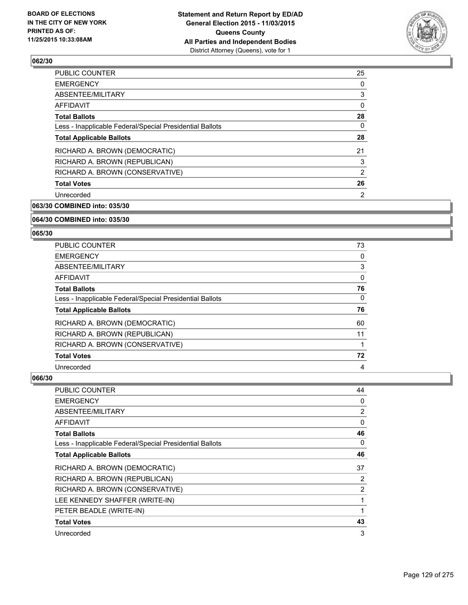

| <b>PUBLIC COUNTER</b>                                    | 25 |
|----------------------------------------------------------|----|
| <b>EMERGENCY</b>                                         | 0  |
| ABSENTEE/MILITARY                                        | 3  |
| AFFIDAVIT                                                | 0  |
| <b>Total Ballots</b>                                     | 28 |
| Less - Inapplicable Federal/Special Presidential Ballots | 0  |
| <b>Total Applicable Ballots</b>                          | 28 |
| RICHARD A. BROWN (DEMOCRATIC)                            | 21 |
| RICHARD A. BROWN (REPUBLICAN)                            | 3  |
| RICHARD A. BROWN (CONSERVATIVE)                          | 2  |
| <b>Total Votes</b>                                       | 26 |
| Unrecorded                                               | 2  |
|                                                          |    |

**063/30 COMBINED into: 035/30**

### **064/30 COMBINED into: 035/30**

### **065/30**

| <b>PUBLIC COUNTER</b>                                    | 73 |
|----------------------------------------------------------|----|
| <b>EMERGENCY</b>                                         | 0  |
| ABSENTEE/MILITARY                                        | 3  |
| AFFIDAVIT                                                | 0  |
| <b>Total Ballots</b>                                     | 76 |
| Less - Inapplicable Federal/Special Presidential Ballots | 0  |
| <b>Total Applicable Ballots</b>                          | 76 |
| RICHARD A. BROWN (DEMOCRATIC)                            | 60 |
| RICHARD A. BROWN (REPUBLICAN)                            | 11 |
| RICHARD A. BROWN (CONSERVATIVE)                          |    |
| <b>Total Votes</b>                                       | 72 |
| Unrecorded                                               | 4  |

| <b>PUBLIC COUNTER</b>                                    | 44             |
|----------------------------------------------------------|----------------|
| <b>EMERGENCY</b>                                         | 0              |
| ABSENTEE/MILITARY                                        | $\overline{2}$ |
| AFFIDAVIT                                                | $\Omega$       |
| <b>Total Ballots</b>                                     | 46             |
| Less - Inapplicable Federal/Special Presidential Ballots | 0              |
| <b>Total Applicable Ballots</b>                          | 46             |
| RICHARD A. BROWN (DEMOCRATIC)                            | 37             |
| RICHARD A. BROWN (REPUBLICAN)                            | 2              |
| RICHARD A. BROWN (CONSERVATIVE)                          | $\overline{2}$ |
| LEE KENNEDY SHAFFER (WRITE-IN)                           |                |
| PETER BEADLE (WRITE-IN)                                  |                |
| <b>Total Votes</b>                                       | 43             |
| Unrecorded                                               | 3              |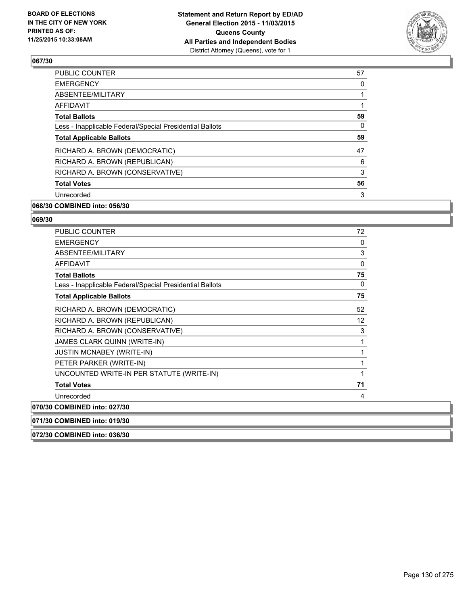

| <b>PUBLIC COUNTER</b>                                    | 57 |
|----------------------------------------------------------|----|
| <b>EMERGENCY</b>                                         | 0  |
| ABSENTEE/MILITARY                                        |    |
| AFFIDAVIT                                                |    |
| <b>Total Ballots</b>                                     | 59 |
| Less - Inapplicable Federal/Special Presidential Ballots | 0  |
| <b>Total Applicable Ballots</b>                          | 59 |
| RICHARD A. BROWN (DEMOCRATIC)                            | 47 |
| RICHARD A. BROWN (REPUBLICAN)                            | 6  |
| RICHARD A. BROWN (CONSERVATIVE)                          | 3  |
| <b>Total Votes</b>                                       | 56 |
| Unrecorded                                               | 3  |
|                                                          |    |

# **068/30 COMBINED into: 056/30**

| <b>PUBLIC COUNTER</b>                                    | 72 |
|----------------------------------------------------------|----|
| <b>EMERGENCY</b>                                         | 0  |
| <b>ABSENTEE/MILITARY</b>                                 | 3  |
| <b>AFFIDAVIT</b>                                         | 0  |
| <b>Total Ballots</b>                                     | 75 |
| Less - Inapplicable Federal/Special Presidential Ballots | 0  |
| <b>Total Applicable Ballots</b>                          | 75 |
| RICHARD A. BROWN (DEMOCRATIC)                            | 52 |
| RICHARD A. BROWN (REPUBLICAN)                            | 12 |
| RICHARD A. BROWN (CONSERVATIVE)                          | 3  |
| JAMES CLARK QUINN (WRITE-IN)                             |    |
| <b>JUSTIN MCNABEY (WRITE-IN)</b>                         |    |
| PETER PARKER (WRITE-IN)                                  |    |
| UNCOUNTED WRITE-IN PER STATUTE (WRITE-IN)                |    |
| <b>Total Votes</b>                                       | 71 |
| Unrecorded                                               | 4  |
| 070/30 COMBINED into: 027/30                             |    |
| 071/30 COMBINED into: 019/30                             |    |
| 072/30 COMBINED into: 036/30                             |    |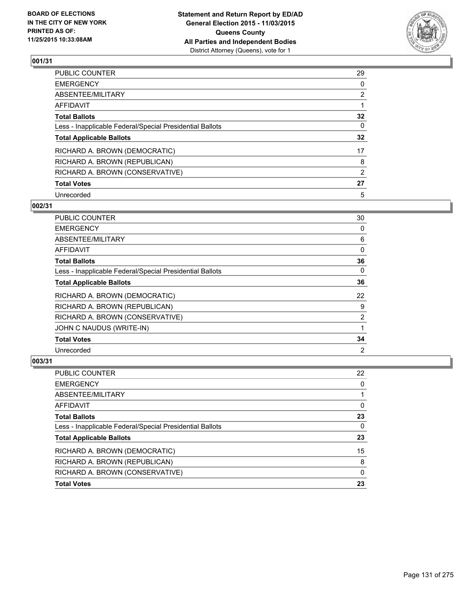

| PUBLIC COUNTER                                           | 29              |
|----------------------------------------------------------|-----------------|
| <b>EMERGENCY</b>                                         | 0               |
| ABSENTEE/MILITARY                                        | $\overline{2}$  |
| AFFIDAVIT                                                |                 |
| <b>Total Ballots</b>                                     | $32\phantom{a}$ |
| Less - Inapplicable Federal/Special Presidential Ballots | $\Omega$        |
| <b>Total Applicable Ballots</b>                          | 32              |
| RICHARD A. BROWN (DEMOCRATIC)                            | 17              |
| RICHARD A. BROWN (REPUBLICAN)                            | 8               |
| RICHARD A. BROWN (CONSERVATIVE)                          | $\overline{2}$  |
| <b>Total Votes</b>                                       | 27              |
| Unrecorded                                               | 5               |

# **002/31**

| <b>PUBLIC COUNTER</b>                                    | 30             |
|----------------------------------------------------------|----------------|
| <b>EMERGENCY</b>                                         | 0              |
| <b>ABSENTEE/MILITARY</b>                                 | 6              |
| <b>AFFIDAVIT</b>                                         | 0              |
| <b>Total Ballots</b>                                     | 36             |
| Less - Inapplicable Federal/Special Presidential Ballots | 0              |
| <b>Total Applicable Ballots</b>                          | 36             |
| RICHARD A. BROWN (DEMOCRATIC)                            | 22             |
| RICHARD A. BROWN (REPUBLICAN)                            | 9              |
| RICHARD A. BROWN (CONSERVATIVE)                          | $\overline{2}$ |
| JOHN C NAUDUS (WRITE-IN)                                 |                |
| <b>Total Votes</b>                                       | 34             |
| Unrecorded                                               | 2              |

| <b>Total Votes</b>                                       | 23       |
|----------------------------------------------------------|----------|
| RICHARD A. BROWN (CONSERVATIVE)                          | 0        |
| RICHARD A. BROWN (REPUBLICAN)                            | 8        |
| RICHARD A. BROWN (DEMOCRATIC)                            | 15       |
| <b>Total Applicable Ballots</b>                          | 23       |
| Less - Inapplicable Federal/Special Presidential Ballots | 0        |
| <b>Total Ballots</b>                                     | 23       |
| <b>AFFIDAVIT</b>                                         | $\Omega$ |
| ABSENTEE/MILITARY                                        |          |
| <b>EMERGENCY</b>                                         | 0        |
| <b>PUBLIC COUNTER</b>                                    | 22       |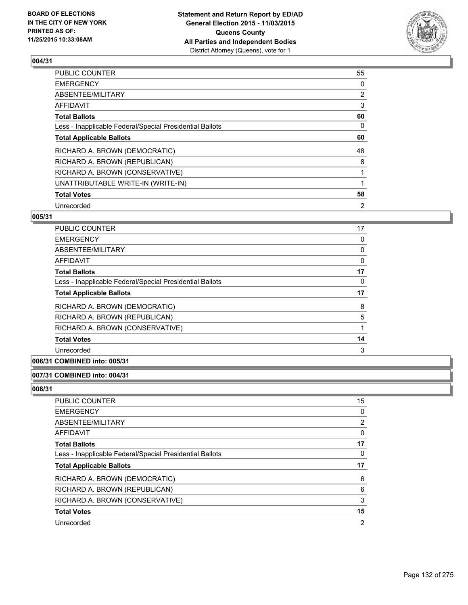

| <b>PUBLIC COUNTER</b>                                    | 55             |
|----------------------------------------------------------|----------------|
| <b>EMERGENCY</b>                                         | 0              |
| ABSENTEE/MILITARY                                        | $\overline{2}$ |
| AFFIDAVIT                                                | 3              |
| <b>Total Ballots</b>                                     | 60             |
| Less - Inapplicable Federal/Special Presidential Ballots | 0              |
| <b>Total Applicable Ballots</b>                          | 60             |
| RICHARD A. BROWN (DEMOCRATIC)                            | 48             |
| RICHARD A. BROWN (REPUBLICAN)                            | 8              |
| RICHARD A. BROWN (CONSERVATIVE)                          |                |
| UNATTRIBUTABLE WRITE-IN (WRITE-IN)                       |                |
| <b>Total Votes</b>                                       | 58             |
| Unrecorded                                               | 2              |

# **005/31**

| <b>PUBLIC COUNTER</b>                                    | 17 |
|----------------------------------------------------------|----|
| <b>EMERGENCY</b>                                         | 0  |
| ABSENTEE/MILITARY                                        | 0  |
| AFFIDAVIT                                                | 0  |
| <b>Total Ballots</b>                                     | 17 |
| Less - Inapplicable Federal/Special Presidential Ballots | 0  |
| <b>Total Applicable Ballots</b>                          | 17 |
| RICHARD A. BROWN (DEMOCRATIC)                            | 8  |
| RICHARD A. BROWN (REPUBLICAN)                            | 5  |
| RICHARD A. BROWN (CONSERVATIVE)                          |    |
| <b>Total Votes</b>                                       | 14 |
| Unrecorded                                               | 3  |
|                                                          |    |

# **006/31 COMBINED into: 005/31**

### **007/31 COMBINED into: 004/31**

| PUBLIC COUNTER                                           | 15 |
|----------------------------------------------------------|----|
| <b>EMERGENCY</b>                                         | 0  |
| ABSENTEE/MILITARY                                        | 2  |
| AFFIDAVIT                                                | 0  |
| <b>Total Ballots</b>                                     | 17 |
| Less - Inapplicable Federal/Special Presidential Ballots | 0  |
| <b>Total Applicable Ballots</b>                          | 17 |
|                                                          |    |
| RICHARD A. BROWN (DEMOCRATIC)                            | 6  |
| RICHARD A. BROWN (REPUBLICAN)                            | 6  |
| RICHARD A. BROWN (CONSERVATIVE)                          | 3  |
| <b>Total Votes</b>                                       | 15 |
| Unrecorded                                               | 2  |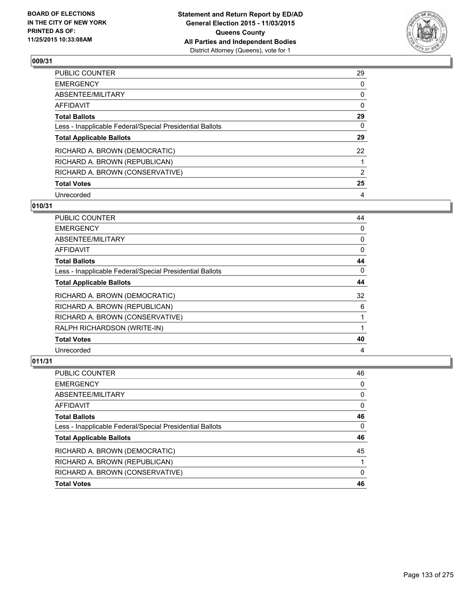

| PUBLIC COUNTER                                           | 29             |
|----------------------------------------------------------|----------------|
| <b>EMERGENCY</b>                                         | 0              |
| ABSENTEE/MILITARY                                        | 0              |
| AFFIDAVIT                                                | $\Omega$       |
| <b>Total Ballots</b>                                     | 29             |
| Less - Inapplicable Federal/Special Presidential Ballots | $\Omega$       |
| <b>Total Applicable Ballots</b>                          | 29             |
| RICHARD A. BROWN (DEMOCRATIC)                            | 22             |
| RICHARD A. BROWN (REPUBLICAN)                            |                |
| RICHARD A. BROWN (CONSERVATIVE)                          | $\overline{2}$ |
| <b>Total Votes</b>                                       | 25             |
| Unrecorded                                               | 4              |

# **010/31**

| <b>PUBLIC COUNTER</b>                                    | 44 |
|----------------------------------------------------------|----|
| <b>EMERGENCY</b>                                         | 0  |
| <b>ABSENTEE/MILITARY</b>                                 | 0  |
| AFFIDAVIT                                                | 0  |
| <b>Total Ballots</b>                                     | 44 |
| Less - Inapplicable Federal/Special Presidential Ballots | 0  |
| <b>Total Applicable Ballots</b>                          | 44 |
| RICHARD A. BROWN (DEMOCRATIC)                            | 32 |
| RICHARD A. BROWN (REPUBLICAN)                            | 6  |
| RICHARD A. BROWN (CONSERVATIVE)                          |    |
| RALPH RICHARDSON (WRITE-IN)                              |    |
| <b>Total Votes</b>                                       | 40 |
| Unrecorded                                               | 4  |

| <b>PUBLIC COUNTER</b>                                    | 46 |
|----------------------------------------------------------|----|
| <b>EMERGENCY</b>                                         | 0  |
| ABSENTEE/MILITARY                                        | 0  |
| <b>AFFIDAVIT</b>                                         | 0  |
| <b>Total Ballots</b>                                     | 46 |
| Less - Inapplicable Federal/Special Presidential Ballots | 0  |
| <b>Total Applicable Ballots</b>                          | 46 |
| RICHARD A. BROWN (DEMOCRATIC)                            | 45 |
| RICHARD A. BROWN (REPUBLICAN)                            |    |
| RICHARD A. BROWN (CONSERVATIVE)                          | 0  |
| <b>Total Votes</b>                                       | 46 |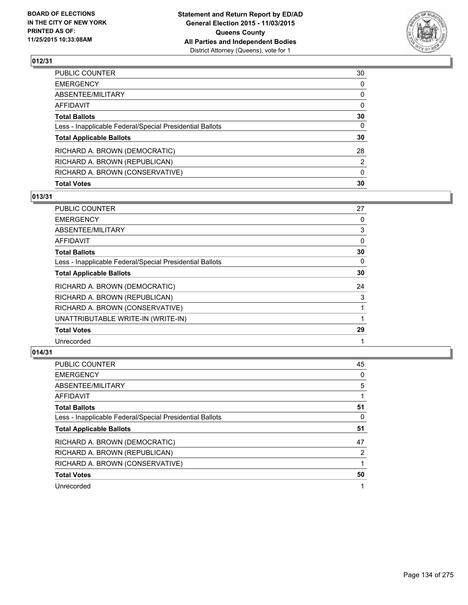

| PUBLIC COUNTER                                           | 30           |
|----------------------------------------------------------|--------------|
| EMERGENCY                                                | 0            |
| ABSENTEE/MILITARY                                        | 0            |
| AFFIDAVIT                                                | 0            |
| <b>Total Ballots</b>                                     | 30           |
| Less - Inapplicable Federal/Special Presidential Ballots | $\mathbf{0}$ |
| <b>Total Applicable Ballots</b>                          | 30           |
| RICHARD A. BROWN (DEMOCRATIC)                            | 28           |
| RICHARD A. BROWN (REPUBLICAN)                            | 2            |
| RICHARD A. BROWN (CONSERVATIVE)                          | $\Omega$     |
| <b>Total Votes</b>                                       | 30           |

# **013/31**

| PUBLIC COUNTER                                           | 27       |
|----------------------------------------------------------|----------|
| <b>EMERGENCY</b>                                         | 0        |
| ABSENTEE/MILITARY                                        | 3        |
| AFFIDAVIT                                                | 0        |
| <b>Total Ballots</b>                                     | 30       |
| Less - Inapplicable Federal/Special Presidential Ballots | $\Omega$ |
| <b>Total Applicable Ballots</b>                          | 30       |
| RICHARD A. BROWN (DEMOCRATIC)                            | 24       |
| RICHARD A. BROWN (REPUBLICAN)                            | 3        |
| RICHARD A. BROWN (CONSERVATIVE)                          |          |
| UNATTRIBUTABLE WRITE-IN (WRITE-IN)                       |          |
| <b>Total Votes</b>                                       | 29       |
| Unrecorded                                               |          |
|                                                          |          |

| <b>PUBLIC COUNTER</b>                                    | 45 |
|----------------------------------------------------------|----|
| <b>EMERGENCY</b>                                         | 0  |
| ABSENTEE/MILITARY                                        | 5  |
| <b>AFFIDAVIT</b>                                         |    |
| <b>Total Ballots</b>                                     | 51 |
| Less - Inapplicable Federal/Special Presidential Ballots | 0  |
| <b>Total Applicable Ballots</b>                          | 51 |
| RICHARD A. BROWN (DEMOCRATIC)                            | 47 |
| RICHARD A. BROWN (REPUBLICAN)                            | 2  |
| RICHARD A. BROWN (CONSERVATIVE)                          |    |
| <b>Total Votes</b>                                       | 50 |
| Unrecorded                                               | 1  |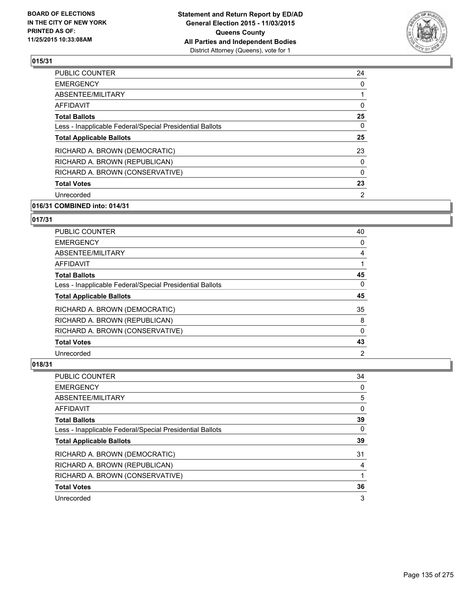

| <b>PUBLIC COUNTER</b>                                    | 24 |
|----------------------------------------------------------|----|
| <b>EMERGENCY</b>                                         | 0  |
| ABSENTEE/MILITARY                                        |    |
| AFFIDAVIT                                                | 0  |
| <b>Total Ballots</b>                                     | 25 |
| Less - Inapplicable Federal/Special Presidential Ballots | 0  |
| <b>Total Applicable Ballots</b>                          | 25 |
| RICHARD A. BROWN (DEMOCRATIC)                            | 23 |
| RICHARD A. BROWN (REPUBLICAN)                            | 0  |
| RICHARD A. BROWN (CONSERVATIVE)                          | 0  |
| <b>Total Votes</b>                                       | 23 |
| Unrecorded                                               | 2  |
|                                                          |    |

# **016/31 COMBINED into: 014/31**

# **017/31**

| <b>PUBLIC COUNTER</b>                                    | 40             |
|----------------------------------------------------------|----------------|
| <b>EMERGENCY</b>                                         | 0              |
| ABSENTEE/MILITARY                                        | 4              |
| <b>AFFIDAVIT</b>                                         |                |
| <b>Total Ballots</b>                                     | 45             |
| Less - Inapplicable Federal/Special Presidential Ballots | $\Omega$       |
| <b>Total Applicable Ballots</b>                          | 45             |
| RICHARD A. BROWN (DEMOCRATIC)                            | 35             |
| RICHARD A. BROWN (REPUBLICAN)                            | 8              |
| RICHARD A. BROWN (CONSERVATIVE)                          | 0              |
| <b>Total Votes</b>                                       | 43             |
| Unrecorded                                               | $\overline{2}$ |

| PUBLIC COUNTER                                           | 34 |
|----------------------------------------------------------|----|
| <b>EMERGENCY</b>                                         | 0  |
| ABSENTEE/MILITARY                                        | 5  |
| AFFIDAVIT                                                | 0  |
| <b>Total Ballots</b>                                     | 39 |
| Less - Inapplicable Federal/Special Presidential Ballots | 0  |
| <b>Total Applicable Ballots</b>                          | 39 |
| RICHARD A. BROWN (DEMOCRATIC)                            | 31 |
| RICHARD A. BROWN (REPUBLICAN)                            | 4  |
| RICHARD A. BROWN (CONSERVATIVE)                          |    |
| <b>Total Votes</b>                                       | 36 |
| Unrecorded                                               | 3  |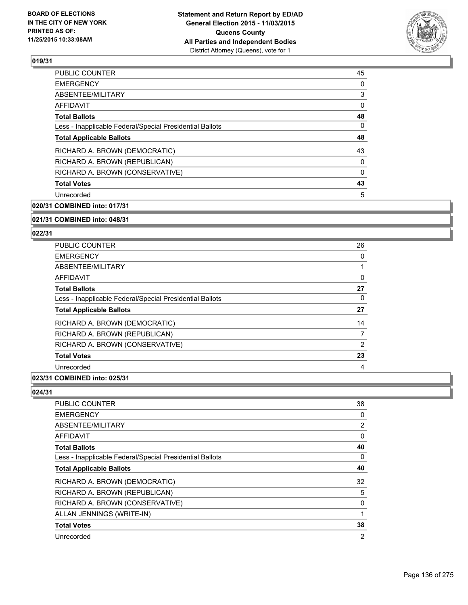

| <b>PUBLIC COUNTER</b>                                    | 45 |
|----------------------------------------------------------|----|
| <b>EMERGENCY</b>                                         | 0  |
| ABSENTEE/MILITARY                                        | 3  |
| AFFIDAVIT                                                | 0  |
| <b>Total Ballots</b>                                     | 48 |
| Less - Inapplicable Federal/Special Presidential Ballots | 0  |
| <b>Total Applicable Ballots</b>                          | 48 |
| RICHARD A. BROWN (DEMOCRATIC)                            | 43 |
| RICHARD A. BROWN (REPUBLICAN)                            | 0  |
| RICHARD A. BROWN (CONSERVATIVE)                          | 0  |
| <b>Total Votes</b>                                       | 43 |
| Unrecorded                                               | 5  |
|                                                          |    |

**020/31 COMBINED into: 017/31**

**021/31 COMBINED into: 048/31**

### **022/31**

| <b>PUBLIC COUNTER</b>                                    | 26 |
|----------------------------------------------------------|----|
| <b>EMERGENCY</b>                                         | 0  |
| ABSENTEE/MILITARY                                        |    |
| AFFIDAVIT                                                | 0  |
| <b>Total Ballots</b>                                     | 27 |
| Less - Inapplicable Federal/Special Presidential Ballots | 0  |
| <b>Total Applicable Ballots</b>                          | 27 |
| RICHARD A. BROWN (DEMOCRATIC)                            | 14 |
| RICHARD A. BROWN (REPUBLICAN)                            | 7  |
| RICHARD A. BROWN (CONSERVATIVE)                          | 2  |
| <b>Total Votes</b>                                       | 23 |
| Unrecorded                                               | 4  |

# **023/31 COMBINED into: 025/31**

| <b>PUBLIC COUNTER</b>                                    | 38 |
|----------------------------------------------------------|----|
| <b>EMERGENCY</b>                                         | 0  |
| ABSENTEE/MILITARY                                        | 2  |
| AFFIDAVIT                                                | 0  |
| <b>Total Ballots</b>                                     | 40 |
| Less - Inapplicable Federal/Special Presidential Ballots | 0  |
| <b>Total Applicable Ballots</b>                          | 40 |
| RICHARD A. BROWN (DEMOCRATIC)                            | 32 |
| RICHARD A. BROWN (REPUBLICAN)                            | 5  |
| RICHARD A. BROWN (CONSERVATIVE)                          | 0  |
| ALLAN JENNINGS (WRITE-IN)                                |    |
| <b>Total Votes</b>                                       | 38 |
| Unrecorded                                               | 2  |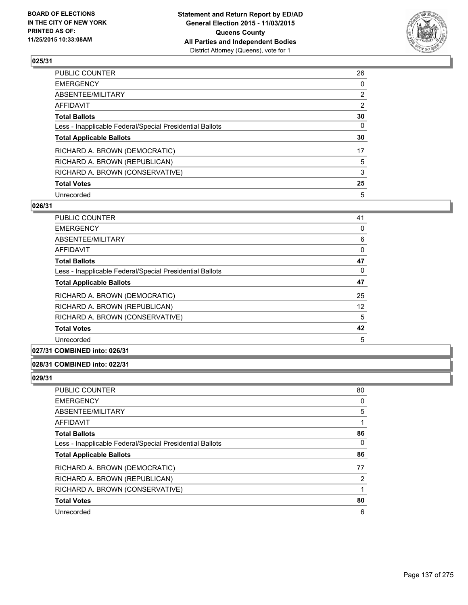

| PUBLIC COUNTER                                           | 26             |
|----------------------------------------------------------|----------------|
| <b>EMERGENCY</b>                                         | 0              |
| ABSENTEE/MILITARY                                        | $\overline{2}$ |
| <b>AFFIDAVIT</b>                                         | 2              |
| <b>Total Ballots</b>                                     | 30             |
| Less - Inapplicable Federal/Special Presidential Ballots | 0              |
| <b>Total Applicable Ballots</b>                          | 30             |
| RICHARD A. BROWN (DEMOCRATIC)                            | 17             |
| RICHARD A. BROWN (REPUBLICAN)                            | 5              |
| RICHARD A. BROWN (CONSERVATIVE)                          | 3              |
| <b>Total Votes</b>                                       | 25             |
| Unrecorded                                               | 5              |

### **026/31**

| <b>PUBLIC COUNTER</b>                                    | 41 |
|----------------------------------------------------------|----|
| <b>EMERGENCY</b>                                         | 0  |
| ABSENTEE/MILITARY                                        | 6  |
| AFFIDAVIT                                                | 0  |
| <b>Total Ballots</b>                                     | 47 |
| Less - Inapplicable Federal/Special Presidential Ballots | 0  |
| <b>Total Applicable Ballots</b>                          | 47 |
| RICHARD A. BROWN (DEMOCRATIC)                            | 25 |
| RICHARD A. BROWN (REPUBLICAN)                            | 12 |
| RICHARD A. BROWN (CONSERVATIVE)                          | 5  |
| <b>Total Votes</b>                                       | 42 |
| Unrecorded                                               | 5  |

**027/31 COMBINED into: 026/31**

### **028/31 COMBINED into: 022/31**

| <b>PUBLIC COUNTER</b>                                    | 80 |
|----------------------------------------------------------|----|
| <b>EMERGENCY</b>                                         | 0  |
| ABSENTEE/MILITARY                                        | 5  |
| AFFIDAVIT                                                |    |
| <b>Total Ballots</b>                                     | 86 |
| Less - Inapplicable Federal/Special Presidential Ballots | 0  |
| <b>Total Applicable Ballots</b>                          | 86 |
| RICHARD A. BROWN (DEMOCRATIC)                            | 77 |
| RICHARD A. BROWN (REPUBLICAN)                            | 2  |
| RICHARD A. BROWN (CONSERVATIVE)                          |    |
| <b>Total Votes</b>                                       | 80 |
| Unrecorded                                               | 6  |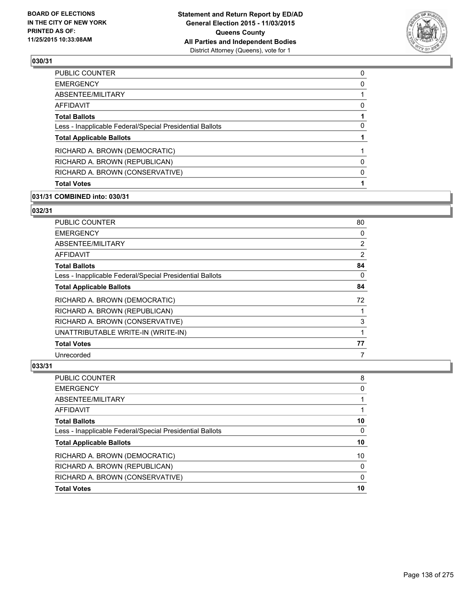

| 0<br>0<br>0<br>0<br>0 | PUBLIC COUNTER                                           | 0 |
|-----------------------|----------------------------------------------------------|---|
|                       | <b>EMERGENCY</b>                                         |   |
|                       | ABSENTEE/MILITARY                                        |   |
|                       | <b>AFFIDAVIT</b>                                         |   |
|                       | <b>Total Ballots</b>                                     |   |
|                       | Less - Inapplicable Federal/Special Presidential Ballots |   |
|                       | <b>Total Applicable Ballots</b>                          |   |
|                       | RICHARD A. BROWN (DEMOCRATIC)                            |   |
|                       | RICHARD A. BROWN (REPUBLICAN)                            |   |
|                       | RICHARD A. BROWN (CONSERVATIVE)                          |   |
|                       | <b>Total Votes</b>                                       |   |

### **031/31 COMBINED into: 030/31**

# **032/31**

| <b>PUBLIC COUNTER</b>                                    | 80 |
|----------------------------------------------------------|----|
| <b>EMERGENCY</b>                                         | 0  |
| ABSENTEE/MILITARY                                        | 2  |
| AFFIDAVIT                                                | 2  |
| <b>Total Ballots</b>                                     | 84 |
| Less - Inapplicable Federal/Special Presidential Ballots | 0  |
| <b>Total Applicable Ballots</b>                          | 84 |
| RICHARD A. BROWN (DEMOCRATIC)                            | 72 |
| RICHARD A. BROWN (REPUBLICAN)                            | 1  |
| RICHARD A. BROWN (CONSERVATIVE)                          | 3  |
| UNATTRIBUTABLE WRITE-IN (WRITE-IN)                       | 1  |
| <b>Total Votes</b>                                       | 77 |
| Unrecorded                                               | 7  |

| <b>Total Votes</b>                                       | 10 |
|----------------------------------------------------------|----|
| RICHARD A. BROWN (CONSERVATIVE)                          | 0  |
| RICHARD A. BROWN (REPUBLICAN)                            | 0  |
| RICHARD A. BROWN (DEMOCRATIC)                            | 10 |
| <b>Total Applicable Ballots</b>                          | 10 |
| Less - Inapplicable Federal/Special Presidential Ballots | 0  |
| <b>Total Ballots</b>                                     | 10 |
| <b>AFFIDAVIT</b>                                         |    |
| ABSENTEE/MILITARY                                        |    |
| <b>EMERGENCY</b>                                         | 0  |
| <b>PUBLIC COUNTER</b>                                    | 8  |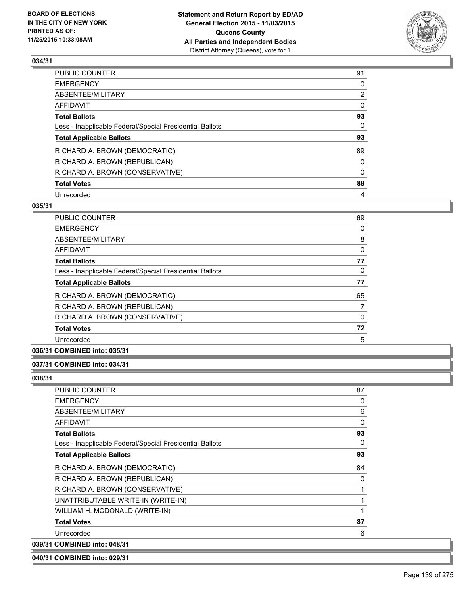

| PUBLIC COUNTER                                           | 91             |
|----------------------------------------------------------|----------------|
| <b>EMERGENCY</b>                                         | 0              |
| ABSENTEE/MILITARY                                        | $\overline{2}$ |
| <b>AFFIDAVIT</b>                                         | $\Omega$       |
| <b>Total Ballots</b>                                     | 93             |
| Less - Inapplicable Federal/Special Presidential Ballots | $\Omega$       |
| <b>Total Applicable Ballots</b>                          | 93             |
| RICHARD A. BROWN (DEMOCRATIC)                            | 89             |
| RICHARD A. BROWN (REPUBLICAN)                            | 0              |
| RICHARD A. BROWN (CONSERVATIVE)                          | $\Omega$       |
| <b>Total Votes</b>                                       | 89             |
| Unrecorded                                               | 4              |

### **035/31**

| <b>PUBLIC COUNTER</b>                                    | 69 |
|----------------------------------------------------------|----|
| <b>EMERGENCY</b>                                         | 0  |
| ABSENTEE/MILITARY                                        | 8  |
| AFFIDAVIT                                                | 0  |
| <b>Total Ballots</b>                                     | 77 |
| Less - Inapplicable Federal/Special Presidential Ballots | 0  |
| <b>Total Applicable Ballots</b>                          | 77 |
| RICHARD A. BROWN (DEMOCRATIC)                            | 65 |
| RICHARD A. BROWN (REPUBLICAN)                            | 7  |
| RICHARD A. BROWN (CONSERVATIVE)                          | 0  |
| <b>Total Votes</b>                                       | 72 |
| Unrecorded                                               | 5  |
|                                                          |    |

# **036/31 COMBINED into: 035/31**

### **037/31 COMBINED into: 034/31**

# **038/31**

| <b>PUBLIC COUNTER</b>                                    | 87 |
|----------------------------------------------------------|----|
| <b>EMERGENCY</b>                                         | 0  |
| <b>ABSENTEE/MILITARY</b>                                 | 6  |
| AFFIDAVIT                                                | 0  |
| <b>Total Ballots</b>                                     | 93 |
| Less - Inapplicable Federal/Special Presidential Ballots | 0  |
| <b>Total Applicable Ballots</b>                          | 93 |
| RICHARD A. BROWN (DEMOCRATIC)                            | 84 |
| RICHARD A. BROWN (REPUBLICAN)                            | 0  |
| RICHARD A. BROWN (CONSERVATIVE)                          | 1  |
| UNATTRIBUTABLE WRITE-IN (WRITE-IN)                       |    |
| WILLIAM H. MCDONALD (WRITE-IN)                           |    |
| <b>Total Votes</b>                                       | 87 |
| Unrecorded                                               | 6  |
| 039/31 COMBINED into: 048/31                             |    |

### **040/31 COMBINED into: 029/31**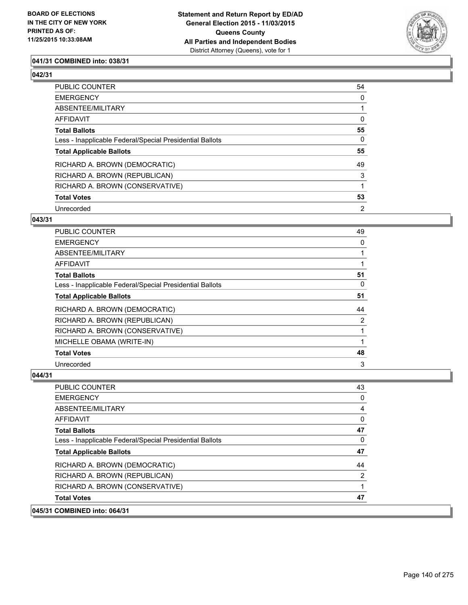

# **041/31 COMBINED into: 038/31**

### **042/31**

| PUBLIC COUNTER                                           | 54 |
|----------------------------------------------------------|----|
| <b>EMERGENCY</b>                                         | 0  |
| ABSENTEE/MILITARY                                        |    |
| AFFIDAVIT                                                | 0  |
| <b>Total Ballots</b>                                     | 55 |
| Less - Inapplicable Federal/Special Presidential Ballots | 0  |
| <b>Total Applicable Ballots</b>                          | 55 |
| RICHARD A. BROWN (DEMOCRATIC)                            | 49 |
| RICHARD A. BROWN (REPUBLICAN)                            | 3  |
| RICHARD A. BROWN (CONSERVATIVE)                          |    |
| <b>Total Votes</b>                                       | 53 |
| Unrecorded                                               | 2  |

### **043/31**

| <b>PUBLIC COUNTER</b>                                    | 49             |
|----------------------------------------------------------|----------------|
| <b>EMERGENCY</b>                                         | 0              |
| ABSENTEE/MILITARY                                        |                |
| <b>AFFIDAVIT</b>                                         |                |
| <b>Total Ballots</b>                                     | 51             |
| Less - Inapplicable Federal/Special Presidential Ballots | 0              |
| <b>Total Applicable Ballots</b>                          | 51             |
| RICHARD A. BROWN (DEMOCRATIC)                            | 44             |
| RICHARD A. BROWN (REPUBLICAN)                            | $\overline{2}$ |
| RICHARD A. BROWN (CONSERVATIVE)                          |                |
| MICHELLE OBAMA (WRITE-IN)                                |                |
| <b>Total Votes</b>                                       | 48             |
| Unrecorded                                               | 3              |

### **044/31**

 $|045/31$ 

| COMBINED into: 064/31                                    |                |
|----------------------------------------------------------|----------------|
| <b>Total Votes</b>                                       | 47             |
| RICHARD A. BROWN (CONSERVATIVE)                          |                |
| RICHARD A. BROWN (REPUBLICAN)                            | $\overline{2}$ |
| RICHARD A. BROWN (DEMOCRATIC)                            | 44             |
| <b>Total Applicable Ballots</b>                          | 47             |
| Less - Inapplicable Federal/Special Presidential Ballots | 0              |
| <b>Total Ballots</b>                                     | 47             |
| AFFIDAVIT                                                | 0              |
| ABSENTEE/MILITARY                                        | 4              |
| EMERGENCY                                                | 0              |
| PUBLIC COUNTER                                           | 43             |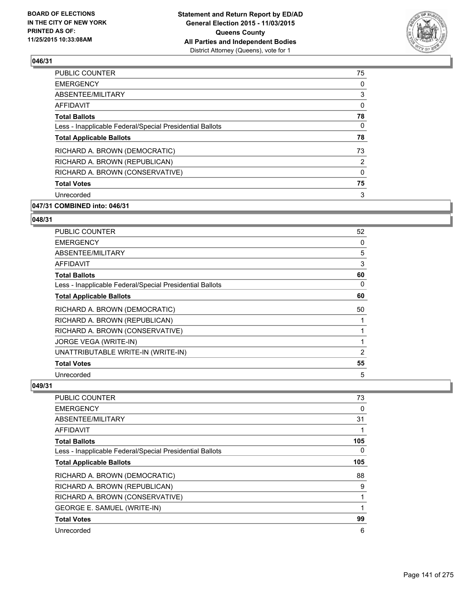

| <b>PUBLIC COUNTER</b>                                    | 75             |
|----------------------------------------------------------|----------------|
| <b>EMERGENCY</b>                                         | 0              |
| ABSENTEE/MILITARY                                        | 3              |
| AFFIDAVIT                                                | 0              |
| <b>Total Ballots</b>                                     | 78             |
| Less - Inapplicable Federal/Special Presidential Ballots | 0              |
| <b>Total Applicable Ballots</b>                          | 78             |
| RICHARD A. BROWN (DEMOCRATIC)                            | 73             |
| RICHARD A. BROWN (REPUBLICAN)                            | $\overline{2}$ |
| RICHARD A. BROWN (CONSERVATIVE)                          | 0              |
| <b>Total Votes</b>                                       | 75             |
| Unrecorded                                               | 3              |
|                                                          |                |

# **047/31 COMBINED into: 046/31**

### **048/31**

| <b>PUBLIC COUNTER</b>                                    | 52 |
|----------------------------------------------------------|----|
| <b>EMERGENCY</b>                                         | 0  |
| ABSENTEE/MILITARY                                        | 5  |
| AFFIDAVIT                                                | 3  |
| <b>Total Ballots</b>                                     | 60 |
| Less - Inapplicable Federal/Special Presidential Ballots | 0  |
| <b>Total Applicable Ballots</b>                          | 60 |
| RICHARD A. BROWN (DEMOCRATIC)                            | 50 |
| RICHARD A. BROWN (REPUBLICAN)                            |    |
| RICHARD A. BROWN (CONSERVATIVE)                          |    |
| JORGE VEGA (WRITE-IN)                                    | 1  |
| UNATTRIBUTABLE WRITE-IN (WRITE-IN)                       | 2  |
| <b>Total Votes</b>                                       | 55 |
| Unrecorded                                               | 5  |

| <b>PUBLIC COUNTER</b>                                    | 73  |
|----------------------------------------------------------|-----|
| <b>EMERGENCY</b>                                         | 0   |
| ABSENTEE/MILITARY                                        | 31  |
| AFFIDAVIT                                                |     |
| <b>Total Ballots</b>                                     | 105 |
| Less - Inapplicable Federal/Special Presidential Ballots | 0   |
| <b>Total Applicable Ballots</b>                          | 105 |
| RICHARD A. BROWN (DEMOCRATIC)                            | 88  |
| RICHARD A. BROWN (REPUBLICAN)                            | 9   |
| RICHARD A. BROWN (CONSERVATIVE)                          |     |
| <b>GEORGE E. SAMUEL (WRITE-IN)</b>                       |     |
| <b>Total Votes</b>                                       | 99  |
| Unrecorded                                               | 6   |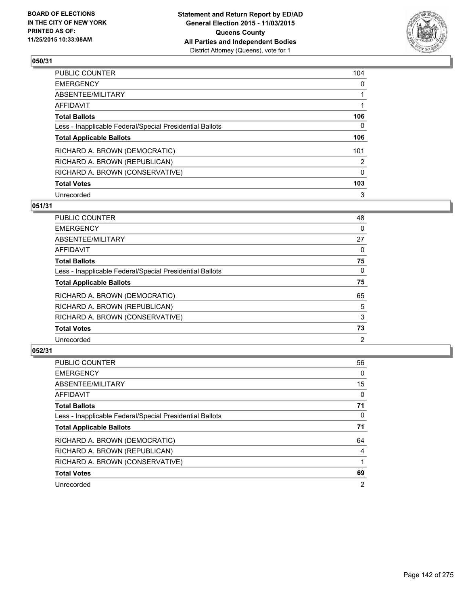

| PUBLIC COUNTER                                           | 104      |
|----------------------------------------------------------|----------|
| <b>EMERGENCY</b>                                         | 0        |
| ABSENTEE/MILITARY                                        |          |
| <b>AFFIDAVIT</b>                                         |          |
| <b>Total Ballots</b>                                     | 106      |
| Less - Inapplicable Federal/Special Presidential Ballots | 0        |
| <b>Total Applicable Ballots</b>                          | 106      |
| RICHARD A. BROWN (DEMOCRATIC)                            | 101      |
| RICHARD A. BROWN (REPUBLICAN)                            | 2        |
| RICHARD A. BROWN (CONSERVATIVE)                          | $\Omega$ |
| <b>Total Votes</b>                                       | 103      |
| Unrecorded                                               | 3        |

### **051/31**

| PUBLIC COUNTER                                           | 48             |
|----------------------------------------------------------|----------------|
| <b>EMERGENCY</b>                                         | 0              |
| ABSENTEE/MILITARY                                        | 27             |
| AFFIDAVIT                                                | $\Omega$       |
| <b>Total Ballots</b>                                     | 75             |
| Less - Inapplicable Federal/Special Presidential Ballots | 0              |
| <b>Total Applicable Ballots</b>                          | 75             |
| RICHARD A. BROWN (DEMOCRATIC)                            | 65             |
| RICHARD A. BROWN (REPUBLICAN)                            | 5              |
| RICHARD A. BROWN (CONSERVATIVE)                          | 3              |
| <b>Total Votes</b>                                       | 73             |
| Unrecorded                                               | $\overline{2}$ |
|                                                          |                |

| <b>PUBLIC COUNTER</b>                                    | 56             |
|----------------------------------------------------------|----------------|
| <b>EMERGENCY</b>                                         | 0              |
| ABSENTEE/MILITARY                                        | 15             |
| <b>AFFIDAVIT</b>                                         | 0              |
| <b>Total Ballots</b>                                     | 71             |
| Less - Inapplicable Federal/Special Presidential Ballots | 0              |
| <b>Total Applicable Ballots</b>                          | 71             |
| RICHARD A. BROWN (DEMOCRATIC)                            | 64             |
| RICHARD A. BROWN (REPUBLICAN)                            | 4              |
| RICHARD A. BROWN (CONSERVATIVE)                          |                |
| <b>Total Votes</b>                                       | 69             |
| Unrecorded                                               | $\overline{2}$ |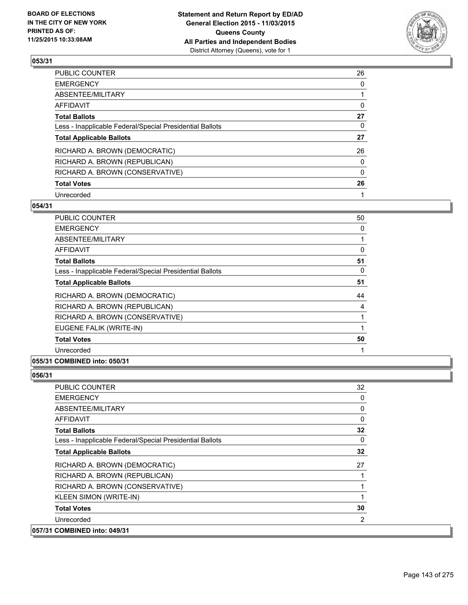

| PUBLIC COUNTER                                           | 26       |
|----------------------------------------------------------|----------|
| <b>EMERGENCY</b>                                         | 0        |
| ABSENTEE/MILITARY                                        |          |
| <b>AFFIDAVIT</b>                                         | 0        |
| <b>Total Ballots</b>                                     | 27       |
| Less - Inapplicable Federal/Special Presidential Ballots | 0        |
| <b>Total Applicable Ballots</b>                          | 27       |
| RICHARD A. BROWN (DEMOCRATIC)                            | 26       |
| RICHARD A. BROWN (REPUBLICAN)                            | 0        |
| RICHARD A. BROWN (CONSERVATIVE)                          | $\Omega$ |
| <b>Total Votes</b>                                       | 26       |
| Unrecorded                                               |          |

### **054/31**

| PUBLIC COUNTER                                           | 50 |
|----------------------------------------------------------|----|
| <b>EMERGENCY</b>                                         | 0  |
| ABSENTEE/MILITARY                                        | 1  |
| AFFIDAVIT                                                | 0  |
| <b>Total Ballots</b>                                     | 51 |
| Less - Inapplicable Federal/Special Presidential Ballots | 0  |
| <b>Total Applicable Ballots</b>                          | 51 |
| RICHARD A. BROWN (DEMOCRATIC)                            | 44 |
| RICHARD A. BROWN (REPUBLICAN)                            | 4  |
| RICHARD A. BROWN (CONSERVATIVE)                          |    |
| EUGENE FALIK (WRITE-IN)                                  | 1  |
| <b>Total Votes</b>                                       | 50 |
| Unrecorded                                               | 1  |

# **055/31 COMBINED into: 050/31**

| <b>PUBLIC COUNTER</b>                                    | 32       |
|----------------------------------------------------------|----------|
| <b>EMERGENCY</b>                                         | 0        |
| ABSENTEE/MILITARY                                        | 0        |
| AFFIDAVIT                                                | $\Omega$ |
| <b>Total Ballots</b>                                     | 32       |
| Less - Inapplicable Federal/Special Presidential Ballots | 0        |
| <b>Total Applicable Ballots</b>                          | 32       |
| RICHARD A. BROWN (DEMOCRATIC)                            | 27       |
| RICHARD A. BROWN (REPUBLICAN)                            |          |
| RICHARD A. BROWN (CONSERVATIVE)                          |          |
| <b>KLEEN SIMON (WRITE-IN)</b>                            | 1        |
| <b>Total Votes</b>                                       | 30       |
| Unrecorded                                               | 2        |
| 057/31 COMBINED into: 049/31                             |          |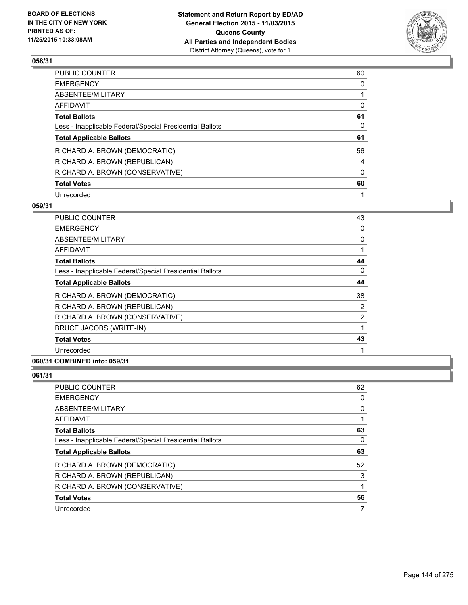

| PUBLIC COUNTER                                           | 60       |
|----------------------------------------------------------|----------|
| <b>EMERGENCY</b>                                         | 0        |
| ABSENTEE/MILITARY                                        |          |
| <b>AFFIDAVIT</b>                                         | 0        |
| <b>Total Ballots</b>                                     | 61       |
| Less - Inapplicable Federal/Special Presidential Ballots | $\Omega$ |
| <b>Total Applicable Ballots</b>                          | 61       |
| RICHARD A. BROWN (DEMOCRATIC)                            | 56       |
| RICHARD A. BROWN (REPUBLICAN)                            | 4        |
| RICHARD A. BROWN (CONSERVATIVE)                          | $\Omega$ |
| <b>Total Votes</b>                                       | 60       |
| Unrecorded                                               |          |

### **059/31**

| <b>PUBLIC COUNTER</b>                                    | 43 |
|----------------------------------------------------------|----|
| <b>EMERGENCY</b>                                         | 0  |
| <b>ABSENTEE/MILITARY</b>                                 | 0  |
| <b>AFFIDAVIT</b>                                         | 1  |
| <b>Total Ballots</b>                                     | 44 |
| Less - Inapplicable Federal/Special Presidential Ballots | 0  |
| <b>Total Applicable Ballots</b>                          | 44 |
| RICHARD A. BROWN (DEMOCRATIC)                            | 38 |
| RICHARD A. BROWN (REPUBLICAN)                            | 2  |
| RICHARD A. BROWN (CONSERVATIVE)                          | 2  |
| <b>BRUCE JACOBS (WRITE-IN)</b>                           | 1  |
| <b>Total Votes</b>                                       | 43 |
| Unrecorded                                               | 1  |

# **060/31 COMBINED into: 059/31**

| PUBLIC COUNTER                                           | 62 |
|----------------------------------------------------------|----|
| <b>EMERGENCY</b>                                         | 0  |
| <b>ABSENTEE/MILITARY</b>                                 | 0  |
| AFFIDAVIT                                                |    |
| <b>Total Ballots</b>                                     | 63 |
| Less - Inapplicable Federal/Special Presidential Ballots | 0  |
| <b>Total Applicable Ballots</b>                          | 63 |
| RICHARD A. BROWN (DEMOCRATIC)                            | 52 |
| RICHARD A. BROWN (REPUBLICAN)                            | 3  |
| RICHARD A. BROWN (CONSERVATIVE)                          |    |
| <b>Total Votes</b>                                       | 56 |
| Unrecorded                                               | 7  |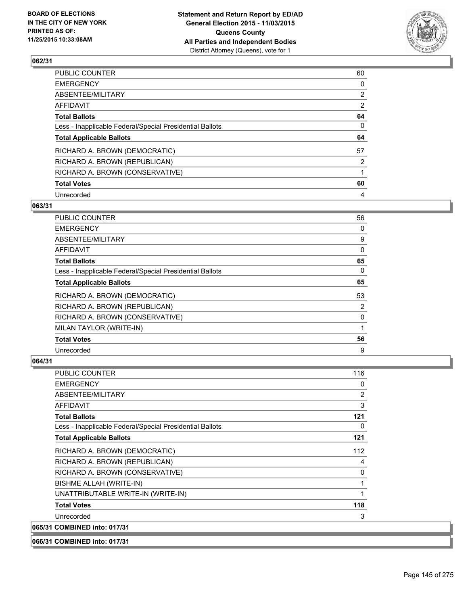

| PUBLIC COUNTER                                           | 60             |
|----------------------------------------------------------|----------------|
| <b>EMERGENCY</b>                                         | 0              |
| ABSENTEE/MILITARY                                        | $\overline{2}$ |
| <b>AFFIDAVIT</b>                                         | 2              |
| <b>Total Ballots</b>                                     | 64             |
| Less - Inapplicable Federal/Special Presidential Ballots | $\Omega$       |
| <b>Total Applicable Ballots</b>                          | 64             |
| RICHARD A. BROWN (DEMOCRATIC)                            | 57             |
| RICHARD A. BROWN (REPUBLICAN)                            | 2              |
| RICHARD A. BROWN (CONSERVATIVE)                          |                |
| <b>Total Votes</b>                                       | 60             |
| Unrecorded                                               | 4              |

#### **063/31**

| PUBLIC COUNTER                                           | 56 |
|----------------------------------------------------------|----|
| <b>EMERGENCY</b>                                         | 0  |
| ABSENTEE/MILITARY                                        | 9  |
| <b>AFFIDAVIT</b>                                         | 0  |
| <b>Total Ballots</b>                                     | 65 |
| Less - Inapplicable Federal/Special Presidential Ballots | 0  |
| <b>Total Applicable Ballots</b>                          | 65 |
| RICHARD A. BROWN (DEMOCRATIC)                            | 53 |
| RICHARD A. BROWN (REPUBLICAN)                            | 2  |
| RICHARD A. BROWN (CONSERVATIVE)                          | 0  |
| MILAN TAYLOR (WRITE-IN)                                  |    |
| <b>Total Votes</b>                                       | 56 |
| Unrecorded                                               | 9  |

| <b>PUBLIC COUNTER</b>                                    | 116            |
|----------------------------------------------------------|----------------|
| <b>EMERGENCY</b>                                         | 0              |
| ABSENTEE/MILITARY                                        | $\overline{2}$ |
| <b>AFFIDAVIT</b>                                         | 3              |
| <b>Total Ballots</b>                                     | 121            |
| Less - Inapplicable Federal/Special Presidential Ballots | 0              |
| <b>Total Applicable Ballots</b>                          | 121            |
| RICHARD A. BROWN (DEMOCRATIC)                            | 112            |
| RICHARD A. BROWN (REPUBLICAN)                            | 4              |
| RICHARD A. BROWN (CONSERVATIVE)                          | 0              |
| BISHME ALLAH (WRITE-IN)                                  | 1              |
| UNATTRIBUTABLE WRITE-IN (WRITE-IN)                       | 1              |
| <b>Total Votes</b>                                       | 118            |
| Unrecorded                                               | 3              |
| 065/31 COMBINED into: 017/31                             |                |
| 066/31 COMBINED into: 017/31                             |                |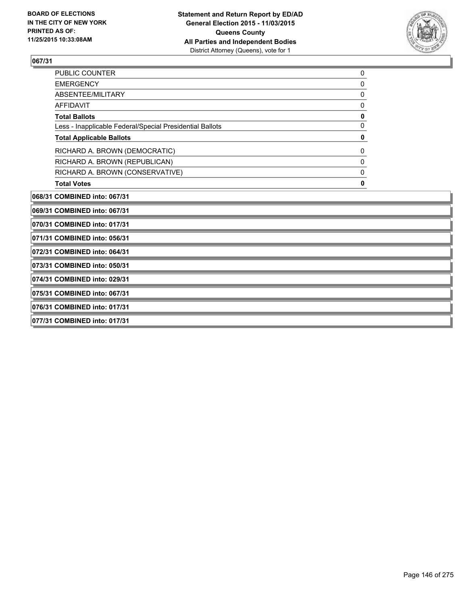

| <b>PUBLIC COUNTER</b>                                    | 0 |
|----------------------------------------------------------|---|
| <b>EMERGENCY</b>                                         | 0 |
| ABSENTEE/MILITARY                                        | 0 |
| <b>AFFIDAVIT</b>                                         | 0 |
| <b>Total Ballots</b>                                     | 0 |
| Less - Inapplicable Federal/Special Presidential Ballots | 0 |
| <b>Total Applicable Ballots</b>                          | 0 |
| RICHARD A. BROWN (DEMOCRATIC)                            | 0 |
| RICHARD A. BROWN (REPUBLICAN)                            | 0 |
| RICHARD A. BROWN (CONSERVATIVE)                          | 0 |
| <b>Total Votes</b>                                       | 0 |
| 068/31 COMBINED into: 067/31                             |   |
| 069/31 COMBINED into: 067/31                             |   |
| 070/31 COMBINED into: 017/31                             |   |
| 071/31 COMBINED into: 056/31                             |   |
| 072/31 COMBINED into: 064/31                             |   |
| 073/31 COMBINED into: 050/31                             |   |
| 074/31 COMBINED into: 029/31                             |   |
| 075/31 COMBINED into: 067/31                             |   |
| 076/31 COMBINED into: 017/31                             |   |
| 077/31 COMBINED into: 017/31                             |   |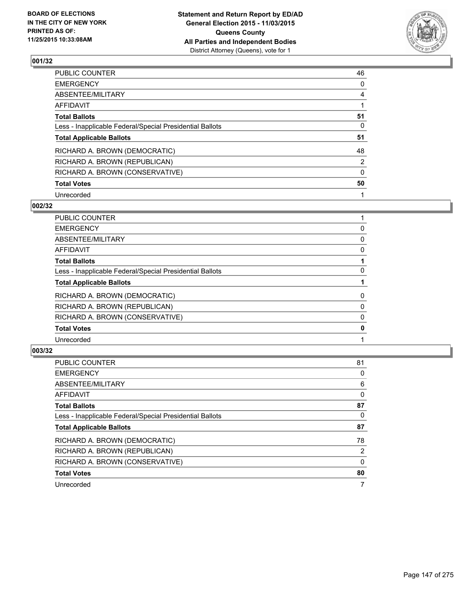

| PUBLIC COUNTER                                           | 46       |
|----------------------------------------------------------|----------|
| <b>EMERGENCY</b>                                         | 0        |
| ABSENTEE/MILITARY                                        | 4        |
| <b>AFFIDAVIT</b>                                         |          |
| <b>Total Ballots</b>                                     | 51       |
| Less - Inapplicable Federal/Special Presidential Ballots | 0        |
| <b>Total Applicable Ballots</b>                          | 51       |
| RICHARD A. BROWN (DEMOCRATIC)                            | 48       |
| RICHARD A. BROWN (REPUBLICAN)                            | 2        |
| RICHARD A. BROWN (CONSERVATIVE)                          | $\Omega$ |
| <b>Total Votes</b>                                       | 50       |
| Unrecorded                                               |          |

#### **002/32**

| <b>PUBLIC COUNTER</b>                                    |   |
|----------------------------------------------------------|---|
| <b>EMERGENCY</b>                                         | 0 |
| <b>ABSENTEE/MILITARY</b>                                 | 0 |
| AFFIDAVIT                                                | 0 |
| <b>Total Ballots</b>                                     |   |
| Less - Inapplicable Federal/Special Presidential Ballots | 0 |
| <b>Total Applicable Ballots</b>                          |   |
| RICHARD A. BROWN (DEMOCRATIC)                            | 0 |
| RICHARD A. BROWN (REPUBLICAN)                            | 0 |
| RICHARD A. BROWN (CONSERVATIVE)                          | 0 |
| <b>Total Votes</b>                                       | 0 |
| Unrecorded                                               |   |
|                                                          |   |

| <b>PUBLIC COUNTER</b>                                    | 81             |
|----------------------------------------------------------|----------------|
| <b>EMERGENCY</b>                                         | 0              |
| ABSENTEE/MILITARY                                        | 6              |
| <b>AFFIDAVIT</b>                                         | 0              |
| <b>Total Ballots</b>                                     | 87             |
| Less - Inapplicable Federal/Special Presidential Ballots | 0              |
| <b>Total Applicable Ballots</b>                          | 87             |
| RICHARD A. BROWN (DEMOCRATIC)                            | 78             |
| RICHARD A. BROWN (REPUBLICAN)                            | $\overline{2}$ |
| RICHARD A. BROWN (CONSERVATIVE)                          | 0              |
| <b>Total Votes</b>                                       | 80             |
| Unrecorded                                               | 7              |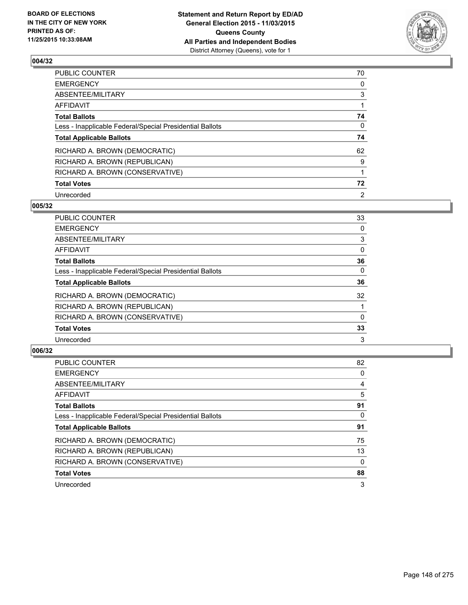

| PUBLIC COUNTER                                           | 70 |
|----------------------------------------------------------|----|
| <b>EMERGENCY</b>                                         | 0  |
| ABSENTEE/MILITARY                                        | 3  |
| AFFIDAVIT                                                |    |
| <b>Total Ballots</b>                                     | 74 |
| Less - Inapplicable Federal/Special Presidential Ballots | 0  |
| <b>Total Applicable Ballots</b>                          | 74 |
| RICHARD A. BROWN (DEMOCRATIC)                            | 62 |
| RICHARD A. BROWN (REPUBLICAN)                            | 9  |
| RICHARD A. BROWN (CONSERVATIVE)                          |    |
| <b>Total Votes</b>                                       | 72 |
| Unrecorded                                               | 2  |

#### **005/32**

| <b>PUBLIC COUNTER</b>                                    | 33 |
|----------------------------------------------------------|----|
| <b>EMERGENCY</b>                                         | 0  |
| ABSENTEE/MILITARY                                        | 3  |
| <b>AFFIDAVIT</b>                                         | 0  |
| <b>Total Ballots</b>                                     | 36 |
| Less - Inapplicable Federal/Special Presidential Ballots | 0  |
| <b>Total Applicable Ballots</b>                          | 36 |
| RICHARD A. BROWN (DEMOCRATIC)                            | 32 |
| RICHARD A. BROWN (REPUBLICAN)                            |    |
| RICHARD A. BROWN (CONSERVATIVE)                          | 0  |
| <b>Total Votes</b>                                       | 33 |
| Unrecorded                                               | 3  |
|                                                          |    |

| <b>PUBLIC COUNTER</b>                                    | 82 |
|----------------------------------------------------------|----|
| <b>EMERGENCY</b>                                         | 0  |
| ABSENTEE/MILITARY                                        | 4  |
| <b>AFFIDAVIT</b>                                         | 5  |
| <b>Total Ballots</b>                                     | 91 |
| Less - Inapplicable Federal/Special Presidential Ballots | 0  |
| <b>Total Applicable Ballots</b>                          | 91 |
| RICHARD A. BROWN (DEMOCRATIC)                            | 75 |
| RICHARD A. BROWN (REPUBLICAN)                            | 13 |
| RICHARD A. BROWN (CONSERVATIVE)                          | 0  |
| <b>Total Votes</b>                                       | 88 |
| Unrecorded                                               | 3  |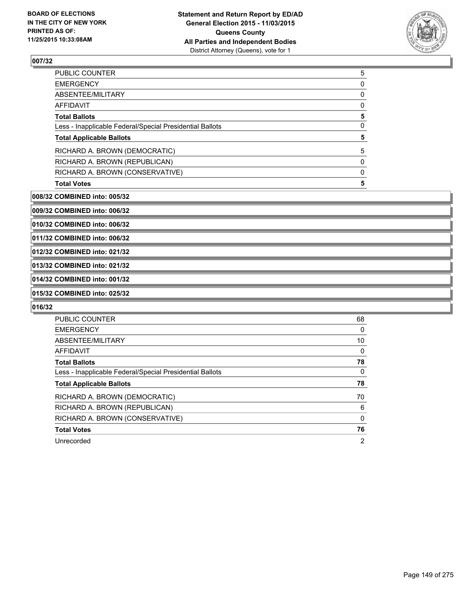

| <b>PUBLIC COUNTER</b>                                    | 5        |
|----------------------------------------------------------|----------|
| <b>EMERGENCY</b>                                         | 0        |
| ABSENTEE/MILITARY                                        | 0        |
| <b>AFFIDAVIT</b>                                         | 0        |
| <b>Total Ballots</b>                                     | 5        |
| Less - Inapplicable Federal/Special Presidential Ballots | 0        |
| <b>Total Applicable Ballots</b>                          | 5        |
| RICHARD A. BROWN (DEMOCRATIC)                            | 5        |
| RICHARD A. BROWN (REPUBLICAN)                            | $\Omega$ |
| RICHARD A. BROWN (CONSERVATIVE)                          | 0        |
| <b>Total Votes</b>                                       | 5        |

**008/32 COMBINED into: 005/32**

**009/32 COMBINED into: 006/32**

**010/32 COMBINED into: 006/32**

**011/32 COMBINED into: 006/32**

**012/32 COMBINED into: 021/32**

**013/32 COMBINED into: 021/32**

**014/32 COMBINED into: 001/32**

**015/32 COMBINED into: 025/32**

| <b>PUBLIC COUNTER</b>                                    | 68             |
|----------------------------------------------------------|----------------|
| <b>EMERGENCY</b>                                         | 0              |
| ABSENTEE/MILITARY                                        | 10             |
| <b>AFFIDAVIT</b>                                         | 0              |
| <b>Total Ballots</b>                                     | 78             |
| Less - Inapplicable Federal/Special Presidential Ballots | 0              |
| <b>Total Applicable Ballots</b>                          | 78             |
| RICHARD A. BROWN (DEMOCRATIC)                            | 70             |
| RICHARD A. BROWN (REPUBLICAN)                            | 6              |
| RICHARD A. BROWN (CONSERVATIVE)                          | 0              |
| <b>Total Votes</b>                                       | 76             |
| Unrecorded                                               | $\overline{2}$ |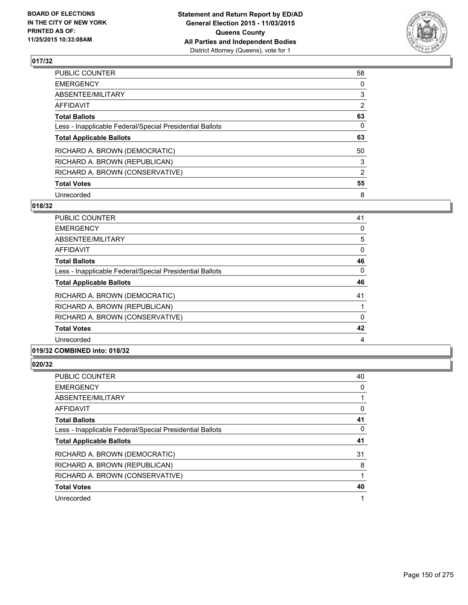

| PUBLIC COUNTER                                           | 58             |
|----------------------------------------------------------|----------------|
| <b>EMERGENCY</b>                                         | 0              |
| ABSENTEE/MILITARY                                        | 3              |
| <b>AFFIDAVIT</b>                                         | 2              |
| <b>Total Ballots</b>                                     | 63             |
| Less - Inapplicable Federal/Special Presidential Ballots | 0              |
| <b>Total Applicable Ballots</b>                          | 63             |
| RICHARD A. BROWN (DEMOCRATIC)                            | 50             |
| RICHARD A. BROWN (REPUBLICAN)                            | 3              |
| RICHARD A. BROWN (CONSERVATIVE)                          | $\overline{2}$ |
| <b>Total Votes</b>                                       | 55             |
| Unrecorded                                               | 8              |

# **018/32**

| <b>PUBLIC COUNTER</b>                                    | 41       |
|----------------------------------------------------------|----------|
| <b>EMERGENCY</b>                                         | 0        |
| ABSENTEE/MILITARY                                        | 5        |
| <b>AFFIDAVIT</b>                                         | 0        |
| <b>Total Ballots</b>                                     | 46       |
| Less - Inapplicable Federal/Special Presidential Ballots | $\Omega$ |
| <b>Total Applicable Ballots</b>                          | 46       |
| RICHARD A. BROWN (DEMOCRATIC)                            | 41       |
| RICHARD A. BROWN (REPUBLICAN)                            |          |
| RICHARD A. BROWN (CONSERVATIVE)                          | 0        |
| <b>Total Votes</b>                                       | 42       |
| Unrecorded                                               | 4        |
|                                                          |          |

## **019/32 COMBINED into: 018/32**

| PUBLIC COUNTER                                           | 40 |
|----------------------------------------------------------|----|
| <b>EMERGENCY</b>                                         | 0  |
| ABSENTEE/MILITARY                                        |    |
| AFFIDAVIT                                                | 0  |
| <b>Total Ballots</b>                                     | 41 |
| Less - Inapplicable Federal/Special Presidential Ballots | 0  |
| <b>Total Applicable Ballots</b>                          | 41 |
| RICHARD A. BROWN (DEMOCRATIC)                            | 31 |
| RICHARD A. BROWN (REPUBLICAN)                            | 8  |
| RICHARD A. BROWN (CONSERVATIVE)                          |    |
| <b>Total Votes</b>                                       | 40 |
| Unrecorded                                               |    |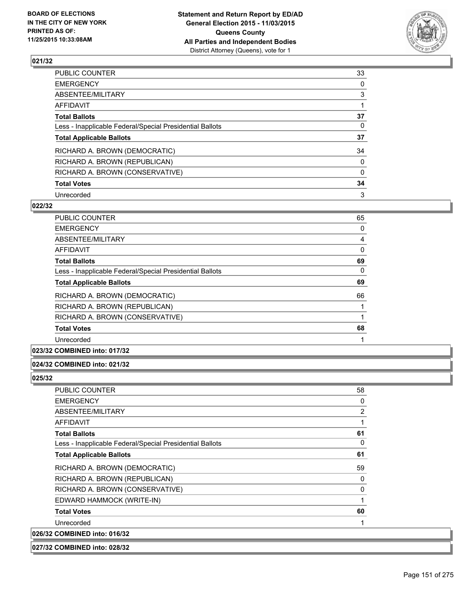

| PUBLIC COUNTER                                           | 33       |
|----------------------------------------------------------|----------|
| <b>EMERGENCY</b>                                         | 0        |
| ABSENTEE/MILITARY                                        | 3        |
| <b>AFFIDAVIT</b>                                         |          |
| <b>Total Ballots</b>                                     | 37       |
| Less - Inapplicable Federal/Special Presidential Ballots | 0        |
| <b>Total Applicable Ballots</b>                          | 37       |
| RICHARD A. BROWN (DEMOCRATIC)                            | 34       |
| RICHARD A. BROWN (REPUBLICAN)                            | 0        |
| RICHARD A. BROWN (CONSERVATIVE)                          | $\Omega$ |
| <b>Total Votes</b>                                       | 34       |
| Unrecorded                                               | 3        |

#### **022/32**

| <b>PUBLIC COUNTER</b>                                    | 65 |
|----------------------------------------------------------|----|
| <b>EMERGENCY</b>                                         | 0  |
| ABSENTEE/MILITARY                                        | 4  |
| AFFIDAVIT                                                | 0  |
| <b>Total Ballots</b>                                     | 69 |
| Less - Inapplicable Federal/Special Presidential Ballots | 0  |
| <b>Total Applicable Ballots</b>                          | 69 |
| RICHARD A. BROWN (DEMOCRATIC)                            | 66 |
| RICHARD A. BROWN (REPUBLICAN)                            |    |
| RICHARD A. BROWN (CONSERVATIVE)                          |    |
| <b>Total Votes</b>                                       | 68 |
| Unrecorded                                               |    |
|                                                          |    |

# **023/32 COMBINED into: 017/32**

#### **024/32 COMBINED into: 021/32**

| <b>PUBLIC COUNTER</b>                                    | 58             |
|----------------------------------------------------------|----------------|
| <b>EMERGENCY</b>                                         | 0              |
| ABSENTEE/MILITARY                                        | $\overline{2}$ |
| <b>AFFIDAVIT</b>                                         | 1              |
| <b>Total Ballots</b>                                     | 61             |
| Less - Inapplicable Federal/Special Presidential Ballots | 0              |
| <b>Total Applicable Ballots</b>                          | 61             |
| RICHARD A. BROWN (DEMOCRATIC)                            | 59             |
| RICHARD A. BROWN (REPUBLICAN)                            | 0              |
| RICHARD A. BROWN (CONSERVATIVE)                          | 0              |
| EDWARD HAMMOCK (WRITE-IN)                                | 1              |
| <b>Total Votes</b>                                       | 60             |
| Unrecorded                                               | 1              |
| 026/32 COMBINED into: 016/32                             |                |
| 027/32 COMBINED into: 028/32                             |                |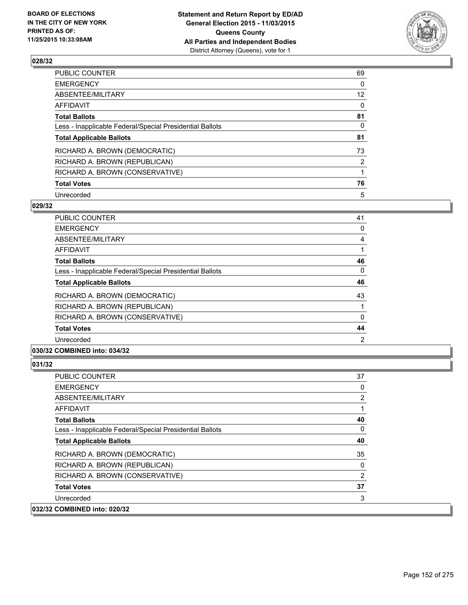

| PUBLIC COUNTER                                           | 69              |
|----------------------------------------------------------|-----------------|
| <b>EMERGENCY</b>                                         | 0               |
| ABSENTEE/MILITARY                                        | 12 <sup>2</sup> |
| <b>AFFIDAVIT</b>                                         | $\Omega$        |
| <b>Total Ballots</b>                                     | 81              |
| Less - Inapplicable Federal/Special Presidential Ballots | 0               |
| <b>Total Applicable Ballots</b>                          | 81              |
| RICHARD A. BROWN (DEMOCRATIC)                            | 73              |
| RICHARD A. BROWN (REPUBLICAN)                            | 2               |
| RICHARD A. BROWN (CONSERVATIVE)                          |                 |
| <b>Total Votes</b>                                       | 76              |
| Unrecorded                                               | 5               |

#### **029/32**

| PUBLIC COUNTER                                           | 41       |
|----------------------------------------------------------|----------|
| <b>EMERGENCY</b>                                         | 0        |
| ABSENTEE/MILITARY                                        | 4        |
| <b>AFFIDAVIT</b>                                         |          |
| <b>Total Ballots</b>                                     | 46       |
| Less - Inapplicable Federal/Special Presidential Ballots | $\Omega$ |
| <b>Total Applicable Ballots</b>                          | 46       |
| RICHARD A. BROWN (DEMOCRATIC)                            | 43       |
| RICHARD A. BROWN (REPUBLICAN)                            |          |
| RICHARD A. BROWN (CONSERVATIVE)                          | 0        |
| <b>Total Votes</b>                                       | 44       |
| Unrecorded                                               | 2        |
|                                                          |          |

#### **030/32 COMBINED into: 034/32**

| <b>PUBLIC COUNTER</b>                                    | 37       |
|----------------------------------------------------------|----------|
| <b>EMERGENCY</b>                                         | 0        |
| ABSENTEE/MILITARY                                        | 2        |
| AFFIDAVIT                                                | 1        |
| <b>Total Ballots</b>                                     | 40       |
| Less - Inapplicable Federal/Special Presidential Ballots | $\Omega$ |
| <b>Total Applicable Ballots</b>                          | 40       |
| RICHARD A. BROWN (DEMOCRATIC)                            | 35       |
| RICHARD A. BROWN (REPUBLICAN)                            | $\Omega$ |
| RICHARD A. BROWN (CONSERVATIVE)                          | 2        |
| <b>Total Votes</b>                                       | 37       |
| Unrecorded                                               | 3        |
| 032/32 COMBINED into: 020/32                             |          |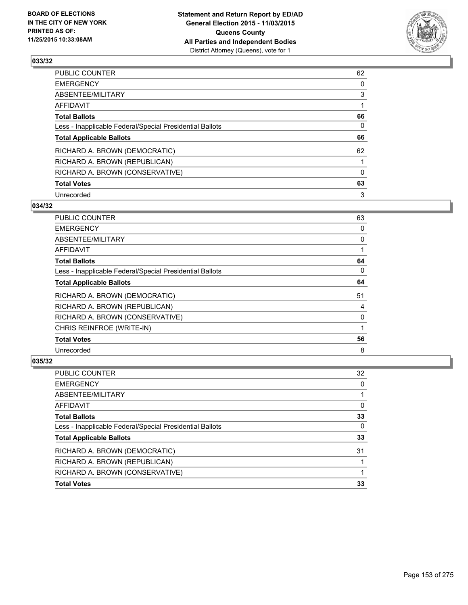

| PUBLIC COUNTER                                           | 62       |
|----------------------------------------------------------|----------|
| <b>EMERGENCY</b>                                         | 0        |
| ABSENTEE/MILITARY                                        | 3        |
| <b>AFFIDAVIT</b>                                         |          |
| <b>Total Ballots</b>                                     | 66       |
| Less - Inapplicable Federal/Special Presidential Ballots | 0        |
| <b>Total Applicable Ballots</b>                          | 66       |
| RICHARD A. BROWN (DEMOCRATIC)                            | 62       |
| RICHARD A. BROWN (REPUBLICAN)                            |          |
| RICHARD A. BROWN (CONSERVATIVE)                          | $\Omega$ |
| <b>Total Votes</b>                                       | 63       |
| Unrecorded                                               | 3        |

#### **034/32**

| <b>PUBLIC COUNTER</b>                                    | 63 |
|----------------------------------------------------------|----|
| <b>EMERGENCY</b>                                         | 0  |
| <b>ABSENTEE/MILITARY</b>                                 | 0  |
| <b>AFFIDAVIT</b>                                         |    |
| <b>Total Ballots</b>                                     | 64 |
| Less - Inapplicable Federal/Special Presidential Ballots | 0  |
| <b>Total Applicable Ballots</b>                          | 64 |
| RICHARD A. BROWN (DEMOCRATIC)                            | 51 |
| RICHARD A. BROWN (REPUBLICAN)                            | 4  |
| RICHARD A. BROWN (CONSERVATIVE)                          | 0  |
| CHRIS REINFROE (WRITE-IN)                                |    |
| <b>Total Votes</b>                                       | 56 |
| Unrecorded                                               | 8  |

| <b>PUBLIC COUNTER</b>                                    | 32 |
|----------------------------------------------------------|----|
| <b>EMERGENCY</b>                                         | 0  |
| ABSENTEE/MILITARY                                        |    |
| <b>AFFIDAVIT</b>                                         | 0  |
| <b>Total Ballots</b>                                     | 33 |
| Less - Inapplicable Federal/Special Presidential Ballots | 0  |
| <b>Total Applicable Ballots</b>                          | 33 |
| RICHARD A. BROWN (DEMOCRATIC)                            | 31 |
| RICHARD A. BROWN (REPUBLICAN)                            |    |
| RICHARD A. BROWN (CONSERVATIVE)                          |    |
| <b>Total Votes</b>                                       | 33 |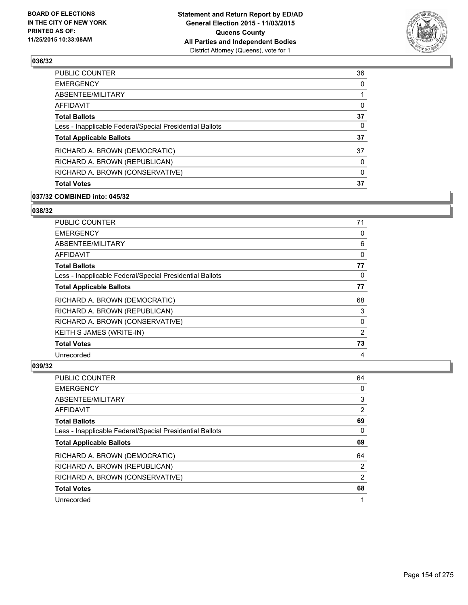

| 36       |
|----------|
| $\Omega$ |
|          |
| 0        |
| 37       |
| 0        |
| 37       |
| 37       |
| 0        |
| 0        |
| 37       |
|          |

#### **037/32 COMBINED into: 045/32**

## **038/32**

| <b>PUBLIC COUNTER</b>                                    | 71 |
|----------------------------------------------------------|----|
| <b>EMERGENCY</b>                                         | 0  |
| ABSENTEE/MILITARY                                        | 6  |
| <b>AFFIDAVIT</b>                                         | 0  |
| <b>Total Ballots</b>                                     | 77 |
| Less - Inapplicable Federal/Special Presidential Ballots | 0  |
| <b>Total Applicable Ballots</b>                          | 77 |
| RICHARD A. BROWN (DEMOCRATIC)                            | 68 |
| RICHARD A. BROWN (REPUBLICAN)                            | 3  |
| RICHARD A. BROWN (CONSERVATIVE)                          | 0  |
| KEITH S JAMES (WRITE-IN)                                 | 2  |
| <b>Total Votes</b>                                       | 73 |
| Unrecorded                                               | 4  |

| <b>PUBLIC COUNTER</b>                                    | 64 |
|----------------------------------------------------------|----|
| <b>EMERGENCY</b>                                         | 0  |
| ABSENTEE/MILITARY                                        | 3  |
| <b>AFFIDAVIT</b>                                         | 2  |
| <b>Total Ballots</b>                                     | 69 |
| Less - Inapplicable Federal/Special Presidential Ballots | 0  |
| <b>Total Applicable Ballots</b>                          | 69 |
| RICHARD A. BROWN (DEMOCRATIC)                            | 64 |
| RICHARD A. BROWN (REPUBLICAN)                            | 2  |
| RICHARD A. BROWN (CONSERVATIVE)                          | 2  |
| <b>Total Votes</b>                                       | 68 |
| Unrecorded                                               | 1  |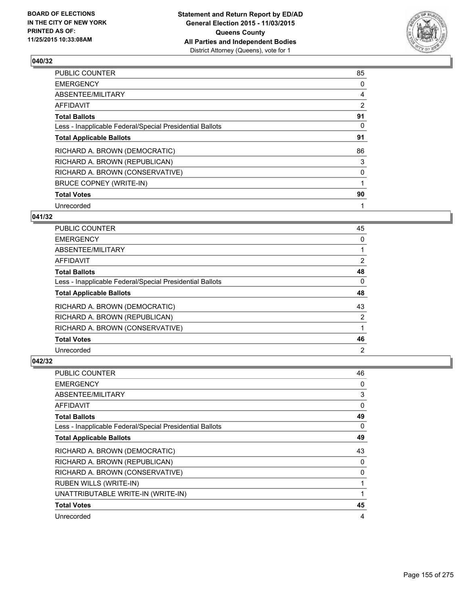

| PUBLIC COUNTER                                           | 85 |
|----------------------------------------------------------|----|
| <b>EMERGENCY</b>                                         | 0  |
| ABSENTEE/MILITARY                                        | 4  |
| AFFIDAVIT                                                | 2  |
| <b>Total Ballots</b>                                     | 91 |
| Less - Inapplicable Federal/Special Presidential Ballots | 0  |
| <b>Total Applicable Ballots</b>                          | 91 |
| RICHARD A. BROWN (DEMOCRATIC)                            | 86 |
| RICHARD A. BROWN (REPUBLICAN)                            | 3  |
| RICHARD A. BROWN (CONSERVATIVE)                          | 0  |
| BRUCE COPNEY (WRITE-IN)                                  | 1  |
| <b>Total Votes</b>                                       | 90 |
| Unrecorded                                               | 1  |

# **041/32**

| <b>PUBLIC COUNTER</b>                                    | 45                    |
|----------------------------------------------------------|-----------------------|
| <b>EMERGENCY</b>                                         | 0                     |
| ABSENTEE/MILITARY                                        |                       |
| <b>AFFIDAVIT</b>                                         | $\mathbf{2}^{\prime}$ |
| <b>Total Ballots</b>                                     | 48                    |
| Less - Inapplicable Federal/Special Presidential Ballots | 0                     |
| <b>Total Applicable Ballots</b>                          | 48                    |
| RICHARD A. BROWN (DEMOCRATIC)                            | 43                    |
| RICHARD A. BROWN (REPUBLICAN)                            | 2                     |
| RICHARD A. BROWN (CONSERVATIVE)                          |                       |
| <b>Total Votes</b>                                       | 46                    |
| Unrecorded                                               | 2                     |

| <b>PUBLIC COUNTER</b>                                    | 46 |
|----------------------------------------------------------|----|
| <b>EMERGENCY</b>                                         | 0  |
| ABSENTEE/MILITARY                                        | 3  |
| AFFIDAVIT                                                | 0  |
| <b>Total Ballots</b>                                     | 49 |
| Less - Inapplicable Federal/Special Presidential Ballots | 0  |
| <b>Total Applicable Ballots</b>                          | 49 |
| RICHARD A. BROWN (DEMOCRATIC)                            | 43 |
| RICHARD A. BROWN (REPUBLICAN)                            | 0  |
| RICHARD A. BROWN (CONSERVATIVE)                          | 0  |
| <b>RUBEN WILLS (WRITE-IN)</b>                            | 1  |
| UNATTRIBUTABLE WRITE-IN (WRITE-IN)                       |    |
| <b>Total Votes</b>                                       | 45 |
| Unrecorded                                               | 4  |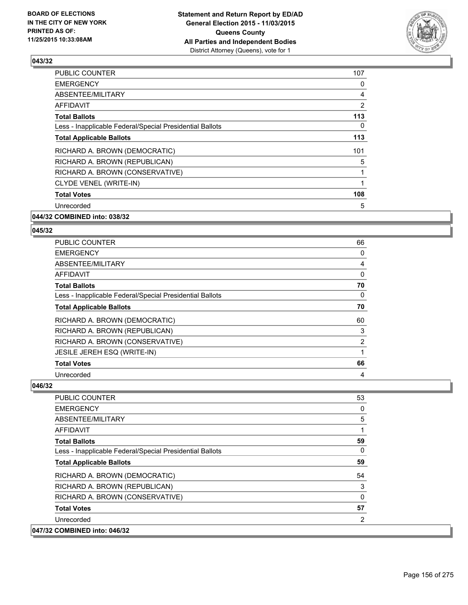

| <b>PUBLIC COUNTER</b>                                    | 107 |
|----------------------------------------------------------|-----|
| <b>EMERGENCY</b>                                         | 0   |
| ABSENTEE/MILITARY                                        | 4   |
| <b>AFFIDAVIT</b>                                         | 2   |
| <b>Total Ballots</b>                                     | 113 |
| Less - Inapplicable Federal/Special Presidential Ballots | 0   |
| <b>Total Applicable Ballots</b>                          | 113 |
| RICHARD A. BROWN (DEMOCRATIC)                            | 101 |
| RICHARD A. BROWN (REPUBLICAN)                            | 5   |
| RICHARD A. BROWN (CONSERVATIVE)                          | 1   |
| CLYDE VENEL (WRITE-IN)                                   | 1   |
| <b>Total Votes</b>                                       | 108 |
| Unrecorded                                               | 5   |
|                                                          |     |

### **044/32 COMBINED into: 038/32**

#### **045/32**

| <b>PUBLIC COUNTER</b>                                    | 66 |
|----------------------------------------------------------|----|
| <b>EMERGENCY</b>                                         | 0  |
| ABSENTEE/MILITARY                                        | 4  |
| AFFIDAVIT                                                | 0  |
| <b>Total Ballots</b>                                     | 70 |
| Less - Inapplicable Federal/Special Presidential Ballots | 0  |
| <b>Total Applicable Ballots</b>                          | 70 |
| RICHARD A. BROWN (DEMOCRATIC)                            | 60 |
| RICHARD A. BROWN (REPUBLICAN)                            | 3  |
| RICHARD A. BROWN (CONSERVATIVE)                          | 2  |
| JESILE JEREH ESQ (WRITE-IN)                              |    |
| <b>Total Votes</b>                                       | 66 |
| Unrecorded                                               | 4  |

| <b>PUBLIC COUNTER</b>                                    | 53             |
|----------------------------------------------------------|----------------|
| <b>EMERGENCY</b>                                         | 0              |
| ABSENTEE/MILITARY                                        | 5              |
| AFFIDAVIT                                                | 1              |
| <b>Total Ballots</b>                                     | 59             |
| Less - Inapplicable Federal/Special Presidential Ballots | 0              |
| <b>Total Applicable Ballots</b>                          | 59             |
| RICHARD A. BROWN (DEMOCRATIC)                            | 54             |
| RICHARD A. BROWN (REPUBLICAN)                            | 3              |
| RICHARD A. BROWN (CONSERVATIVE)                          | $\Omega$       |
| <b>Total Votes</b>                                       | 57             |
| Unrecorded                                               | $\overline{2}$ |
| 047/32 COMBINED into: 046/32                             |                |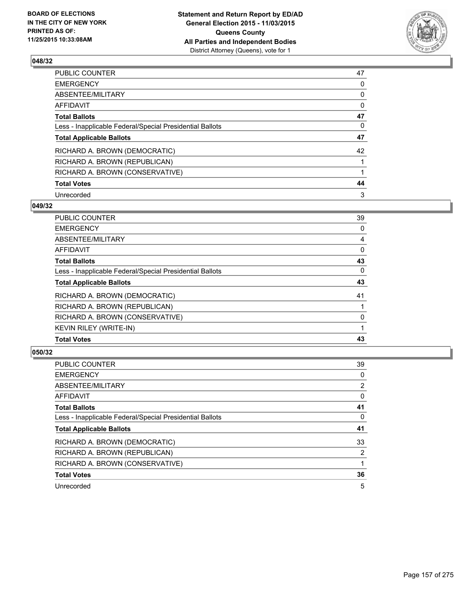

| PUBLIC COUNTER                                           | 47 |
|----------------------------------------------------------|----|
| <b>EMERGENCY</b>                                         | 0  |
| ABSENTEE/MILITARY                                        | 0  |
| <b>AFFIDAVIT</b>                                         | 0  |
| <b>Total Ballots</b>                                     | 47 |
| Less - Inapplicable Federal/Special Presidential Ballots | 0  |
| <b>Total Applicable Ballots</b>                          | 47 |
| RICHARD A. BROWN (DEMOCRATIC)                            | 42 |
| RICHARD A. BROWN (REPUBLICAN)                            |    |
| RICHARD A. BROWN (CONSERVATIVE)                          |    |
| <b>Total Votes</b>                                       | 44 |
| Unrecorded                                               | 3  |

#### **049/32**

| <b>EMERGENCY</b><br>ABSENTEE/MILITARY                    | 0<br>4 |
|----------------------------------------------------------|--------|
| AFFIDAVIT                                                | 0      |
| <b>Total Ballots</b>                                     | 43     |
| Less - Inapplicable Federal/Special Presidential Ballots | 0      |
| <b>Total Applicable Ballots</b>                          | 43     |
| RICHARD A. BROWN (DEMOCRATIC)                            | 41     |
| RICHARD A. BROWN (REPUBLICAN)                            |        |
| RICHARD A. BROWN (CONSERVATIVE)                          | 0      |
| <b>KEVIN RILEY (WRITE-IN)</b>                            |        |
| <b>Total Votes</b>                                       | 43     |
|                                                          |        |

| PUBLIC COUNTER                                           | 39             |
|----------------------------------------------------------|----------------|
| <b>EMERGENCY</b>                                         | 0              |
| ABSENTEE/MILITARY                                        | $\overline{2}$ |
| <b>AFFIDAVIT</b>                                         | 0              |
| <b>Total Ballots</b>                                     | 41             |
| Less - Inapplicable Federal/Special Presidential Ballots | 0              |
| <b>Total Applicable Ballots</b>                          | 41             |
| RICHARD A. BROWN (DEMOCRATIC)                            | 33             |
| RICHARD A. BROWN (REPUBLICAN)                            | 2              |
| RICHARD A. BROWN (CONSERVATIVE)                          |                |
| <b>Total Votes</b>                                       | 36             |
| Unrecorded                                               | 5              |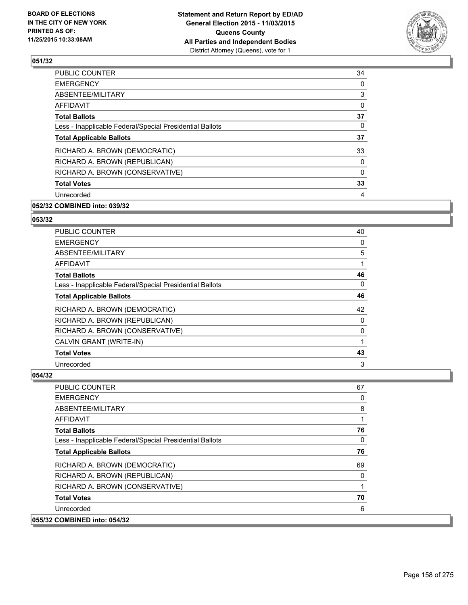

| <b>PUBLIC COUNTER</b>                                    | 34 |
|----------------------------------------------------------|----|
| <b>EMERGENCY</b>                                         | 0  |
| ABSENTEE/MILITARY                                        | 3  |
| AFFIDAVIT                                                | 0  |
| <b>Total Ballots</b>                                     | 37 |
| Less - Inapplicable Federal/Special Presidential Ballots | 0  |
| <b>Total Applicable Ballots</b>                          | 37 |
| RICHARD A. BROWN (DEMOCRATIC)                            | 33 |
| RICHARD A. BROWN (REPUBLICAN)                            | 0  |
| RICHARD A. BROWN (CONSERVATIVE)                          | 0  |
| <b>Total Votes</b>                                       | 33 |
| Unrecorded                                               | 4  |
|                                                          |    |

# **052/32 COMBINED into: 039/32**

# **053/32**

| <b>PUBLIC COUNTER</b>                                    | 40 |
|----------------------------------------------------------|----|
| <b>EMERGENCY</b>                                         | 0  |
| ABSENTEE/MILITARY                                        | 5  |
| AFFIDAVIT                                                | 1  |
| <b>Total Ballots</b>                                     | 46 |
| Less - Inapplicable Federal/Special Presidential Ballots | 0  |
| <b>Total Applicable Ballots</b>                          | 46 |
| RICHARD A. BROWN (DEMOCRATIC)                            | 42 |
| RICHARD A. BROWN (REPUBLICAN)                            | 0  |
| RICHARD A. BROWN (CONSERVATIVE)                          | 0  |
| CALVIN GRANT (WRITE-IN)                                  | 1  |
| <b>Total Votes</b>                                       | 43 |
| Unrecorded                                               | 3  |

| <b>PUBLIC COUNTER</b>                                    | 67           |
|----------------------------------------------------------|--------------|
| <b>EMERGENCY</b>                                         | 0            |
| ABSENTEE/MILITARY                                        | 8            |
| AFFIDAVIT                                                |              |
| <b>Total Ballots</b>                                     | 76           |
| Less - Inapplicable Federal/Special Presidential Ballots | $\mathbf{0}$ |
| <b>Total Applicable Ballots</b>                          | 76           |
| RICHARD A. BROWN (DEMOCRATIC)                            | 69           |
| RICHARD A. BROWN (REPUBLICAN)                            | 0            |
| RICHARD A. BROWN (CONSERVATIVE)                          |              |
| <b>Total Votes</b>                                       | 70           |
| Unrecorded                                               | 6            |
| 055/32 COMBINED into: 054/32                             |              |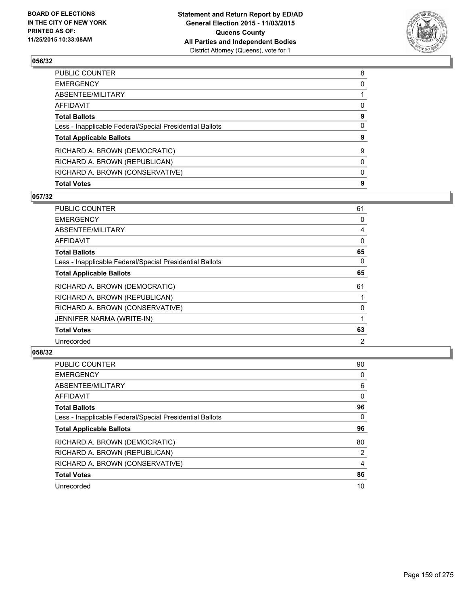

| PUBLIC COUNTER                                           | 8            |
|----------------------------------------------------------|--------------|
| EMERGENCY                                                | 0            |
| ABSENTEE/MILITARY                                        |              |
| AFFIDAVIT                                                | 0            |
| <b>Total Ballots</b>                                     | 9            |
| Less - Inapplicable Federal/Special Presidential Ballots | 0            |
| <b>Total Applicable Ballots</b>                          | 9            |
| RICHARD A. BROWN (DEMOCRATIC)                            | 9            |
| RICHARD A. BROWN (REPUBLICAN)                            | $\mathbf{0}$ |
| RICHARD A. BROWN (CONSERVATIVE)                          | $\mathbf{0}$ |
| <b>Total Votes</b>                                       | 9            |

# **057/32**

| PUBLIC COUNTER                                           | 61 |
|----------------------------------------------------------|----|
| <b>EMERGENCY</b>                                         | 0  |
| ABSENTEE/MILITARY                                        | 4  |
| AFFIDAVIT                                                | 0  |
| <b>Total Ballots</b>                                     | 65 |
| Less - Inapplicable Federal/Special Presidential Ballots | 0  |
| <b>Total Applicable Ballots</b>                          | 65 |
| RICHARD A. BROWN (DEMOCRATIC)                            | 61 |
| RICHARD A. BROWN (REPUBLICAN)                            |    |
| RICHARD A. BROWN (CONSERVATIVE)                          | 0  |
| JENNIFER NARMA (WRITE-IN)                                | 1  |
| <b>Total Votes</b>                                       | 63 |
| Unrecorded                                               | 2  |
|                                                          |    |

| <b>PUBLIC COUNTER</b>                                    | 90             |
|----------------------------------------------------------|----------------|
| <b>EMERGENCY</b>                                         | 0              |
| ABSENTEE/MILITARY                                        | 6              |
| <b>AFFIDAVIT</b>                                         | 0              |
| <b>Total Ballots</b>                                     | 96             |
| Less - Inapplicable Federal/Special Presidential Ballots | 0              |
| <b>Total Applicable Ballots</b>                          | 96             |
| RICHARD A. BROWN (DEMOCRATIC)                            | 80             |
| RICHARD A. BROWN (REPUBLICAN)                            | $\overline{2}$ |
| RICHARD A. BROWN (CONSERVATIVE)                          | 4              |
| <b>Total Votes</b>                                       | 86             |
| Unrecorded                                               | 10             |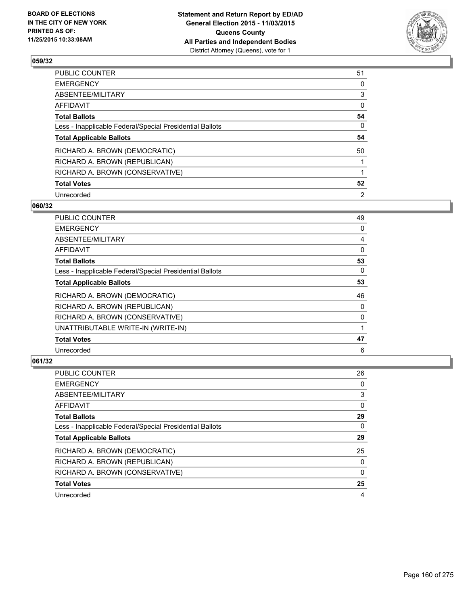

| PUBLIC COUNTER                                           | 51       |
|----------------------------------------------------------|----------|
| <b>EMERGENCY</b>                                         | 0        |
| ABSENTEE/MILITARY                                        | 3        |
| <b>AFFIDAVIT</b>                                         | 0        |
| <b>Total Ballots</b>                                     | 54       |
| Less - Inapplicable Federal/Special Presidential Ballots | $\Omega$ |
| <b>Total Applicable Ballots</b>                          | 54       |
| RICHARD A. BROWN (DEMOCRATIC)                            | 50       |
| RICHARD A. BROWN (REPUBLICAN)                            |          |
| RICHARD A. BROWN (CONSERVATIVE)                          |          |
| <b>Total Votes</b>                                       | 52       |
| Unrecorded                                               | 2        |

#### **060/32**

| PUBLIC COUNTER                                           | 49 |
|----------------------------------------------------------|----|
| <b>EMERGENCY</b>                                         | 0  |
| ABSENTEE/MILITARY                                        | 4  |
| AFFIDAVIT                                                | 0  |
| <b>Total Ballots</b>                                     | 53 |
| Less - Inapplicable Federal/Special Presidential Ballots | 0  |
| <b>Total Applicable Ballots</b>                          | 53 |
| RICHARD A. BROWN (DEMOCRATIC)                            | 46 |
| RICHARD A. BROWN (REPUBLICAN)                            | 0  |
| RICHARD A. BROWN (CONSERVATIVE)                          | 0  |
| UNATTRIBUTABLE WRITE-IN (WRITE-IN)                       |    |
| <b>Total Votes</b>                                       | 47 |
| Unrecorded                                               | 6  |

| <b>PUBLIC COUNTER</b>                                    | 26 |
|----------------------------------------------------------|----|
| <b>EMERGENCY</b>                                         | 0  |
| ABSENTEE/MILITARY                                        | 3  |
| AFFIDAVIT                                                | 0  |
| <b>Total Ballots</b>                                     | 29 |
| Less - Inapplicable Federal/Special Presidential Ballots | 0  |
| <b>Total Applicable Ballots</b>                          | 29 |
| RICHARD A. BROWN (DEMOCRATIC)                            | 25 |
| RICHARD A. BROWN (REPUBLICAN)                            | 0  |
| RICHARD A. BROWN (CONSERVATIVE)                          | 0  |
| <b>Total Votes</b>                                       | 25 |
| Unrecorded                                               | 4  |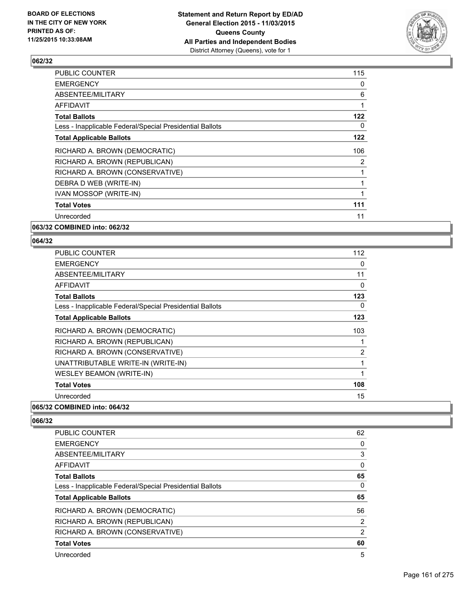

| <b>PUBLIC COUNTER</b>                                    | 115            |
|----------------------------------------------------------|----------------|
| <b>EMERGENCY</b>                                         | 0              |
| ABSENTEE/MILITARY                                        | 6              |
| AFFIDAVIT                                                | 1              |
| <b>Total Ballots</b>                                     | 122            |
| Less - Inapplicable Federal/Special Presidential Ballots | 0              |
| <b>Total Applicable Ballots</b>                          | 122            |
| RICHARD A. BROWN (DEMOCRATIC)                            | 106            |
| RICHARD A. BROWN (REPUBLICAN)                            | $\overline{2}$ |
| RICHARD A. BROWN (CONSERVATIVE)                          |                |
| DEBRA D WEB (WRITE-IN)                                   |                |
| IVAN MOSSOP (WRITE-IN)                                   |                |
| <b>Total Votes</b>                                       | 111            |
| Unrecorded                                               | 11             |
| 063/32 COMBINED into: 062/32                             |                |

## **064/32**

| <b>PUBLIC COUNTER</b>                                    | 112 |
|----------------------------------------------------------|-----|
| <b>EMERGENCY</b>                                         | 0   |
| ABSENTEE/MILITARY                                        | 11  |
| <b>AFFIDAVIT</b>                                         | 0   |
| <b>Total Ballots</b>                                     | 123 |
| Less - Inapplicable Federal/Special Presidential Ballots | 0   |
| <b>Total Applicable Ballots</b>                          | 123 |
| RICHARD A. BROWN (DEMOCRATIC)                            | 103 |
| RICHARD A. BROWN (REPUBLICAN)                            | 1   |
| RICHARD A. BROWN (CONSERVATIVE)                          | 2   |
| UNATTRIBUTABLE WRITE-IN (WRITE-IN)                       | 1   |
| <b>WESLEY BEAMON (WRITE-IN)</b>                          | 1   |
| <b>Total Votes</b>                                       | 108 |
| Unrecorded                                               | 15  |
|                                                          |     |

# **065/32 COMBINED into: 064/32**

| PUBLIC COUNTER                                           | 62             |
|----------------------------------------------------------|----------------|
| <b>EMERGENCY</b>                                         | 0              |
| ABSENTEE/MILITARY                                        | 3              |
| <b>AFFIDAVIT</b>                                         | 0              |
| <b>Total Ballots</b>                                     | 65             |
| Less - Inapplicable Federal/Special Presidential Ballots | 0              |
| <b>Total Applicable Ballots</b>                          | 65             |
| RICHARD A. BROWN (DEMOCRATIC)                            | 56             |
| RICHARD A. BROWN (REPUBLICAN)                            | 2              |
| RICHARD A. BROWN (CONSERVATIVE)                          | $\overline{2}$ |
| <b>Total Votes</b>                                       | 60             |
| Unrecorded                                               | 5              |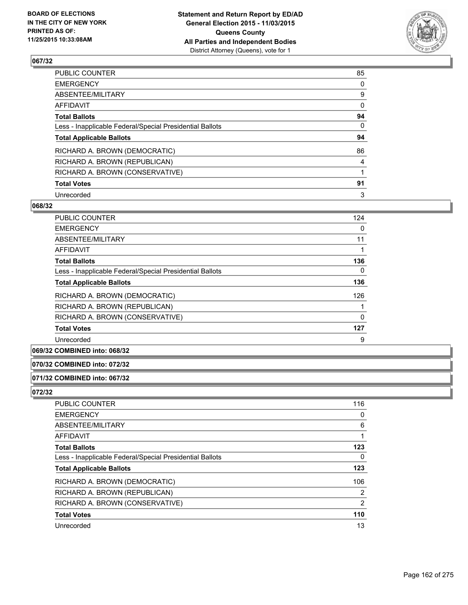

| PUBLIC COUNTER                                           | 85       |
|----------------------------------------------------------|----------|
| <b>EMERGENCY</b>                                         | 0        |
| ABSENTEE/MILITARY                                        | 9        |
| <b>AFFIDAVIT</b>                                         | 0        |
| <b>Total Ballots</b>                                     | 94       |
| Less - Inapplicable Federal/Special Presidential Ballots | $\Omega$ |
| <b>Total Applicable Ballots</b>                          | 94       |
| RICHARD A. BROWN (DEMOCRATIC)                            | 86       |
| RICHARD A. BROWN (REPUBLICAN)                            | 4        |
| RICHARD A. BROWN (CONSERVATIVE)                          |          |
| <b>Total Votes</b>                                       | 91       |
| Unrecorded                                               | 3        |

#### **068/32**

| <b>PUBLIC COUNTER</b>                                    | 124 |
|----------------------------------------------------------|-----|
| <b>EMERGENCY</b>                                         | 0   |
| ABSENTEE/MILITARY                                        | 11  |
| AFFIDAVIT                                                |     |
| <b>Total Ballots</b>                                     | 136 |
| Less - Inapplicable Federal/Special Presidential Ballots | 0   |
| <b>Total Applicable Ballots</b>                          | 136 |
| RICHARD A. BROWN (DEMOCRATIC)                            | 126 |
| RICHARD A. BROWN (REPUBLICAN)                            |     |
| RICHARD A. BROWN (CONSERVATIVE)                          | 0   |
| <b>Total Votes</b>                                       | 127 |
| Unrecorded                                               | 9   |
|                                                          |     |

# **069/32 COMBINED into: 068/32**

#### **070/32 COMBINED into: 072/32**

# **071/32 COMBINED into: 067/32**

| PUBLIC COUNTER                                           | 116 |
|----------------------------------------------------------|-----|
| <b>EMERGENCY</b>                                         | 0   |
| ABSENTEE/MILITARY                                        | 6   |
| <b>AFFIDAVIT</b>                                         |     |
| <b>Total Ballots</b>                                     | 123 |
| Less - Inapplicable Federal/Special Presidential Ballots | 0   |
| <b>Total Applicable Ballots</b>                          | 123 |
| RICHARD A. BROWN (DEMOCRATIC)                            | 106 |
| RICHARD A. BROWN (REPUBLICAN)                            | 2   |
| RICHARD A. BROWN (CONSERVATIVE)                          | 2   |
| <b>Total Votes</b>                                       | 110 |
| Unrecorded                                               | 13  |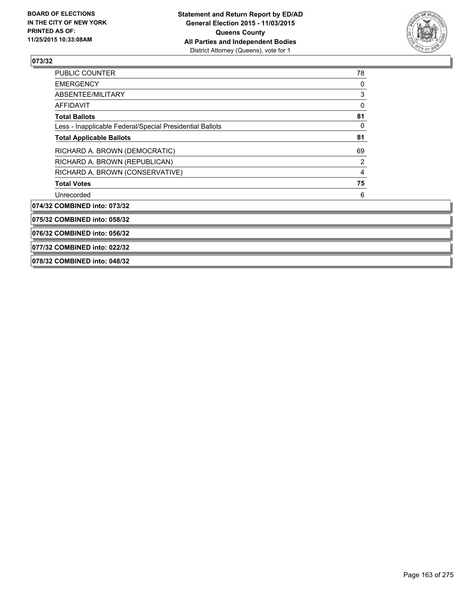

| <b>PUBLIC COUNTER</b>                                    | 78 |  |
|----------------------------------------------------------|----|--|
| <b>EMERGENCY</b>                                         | 0  |  |
| ABSENTEE/MILITARY                                        | 3  |  |
| <b>AFFIDAVIT</b>                                         | 0  |  |
| <b>Total Ballots</b>                                     | 81 |  |
| Less - Inapplicable Federal/Special Presidential Ballots | 0  |  |
| <b>Total Applicable Ballots</b>                          | 81 |  |
| RICHARD A. BROWN (DEMOCRATIC)                            | 69 |  |
| RICHARD A. BROWN (REPUBLICAN)                            | 2  |  |
| RICHARD A. BROWN (CONSERVATIVE)                          | 4  |  |
| <b>Total Votes</b>                                       | 75 |  |
| Unrecorded                                               | 6  |  |
| 074/32 COMBINED into: 073/32                             |    |  |
| 075/32 COMBINED into: 058/32                             |    |  |
| 076/32 COMBINED into: 056/32                             |    |  |
| 077/32 COMBINED into: 022/32                             |    |  |
| 078/32 COMBINED into: 048/32                             |    |  |
|                                                          |    |  |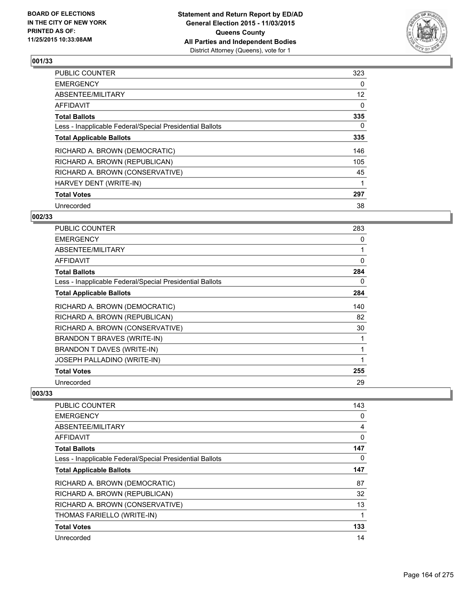

| <b>PUBLIC COUNTER</b>                                    | 323               |
|----------------------------------------------------------|-------------------|
| <b>EMERGENCY</b>                                         | 0                 |
| ABSENTEE/MILITARY                                        | $12 \overline{ }$ |
| <b>AFFIDAVIT</b>                                         | 0                 |
| <b>Total Ballots</b>                                     | 335               |
| Less - Inapplicable Federal/Special Presidential Ballots | 0                 |
| <b>Total Applicable Ballots</b>                          | 335               |
| RICHARD A. BROWN (DEMOCRATIC)                            | 146               |
| RICHARD A. BROWN (REPUBLICAN)                            | 105               |
| RICHARD A. BROWN (CONSERVATIVE)                          | 45                |
| HARVEY DENT (WRITE-IN)                                   |                   |
| <b>Total Votes</b>                                       | 297               |
| Unrecorded                                               | 38                |

# **002/33**

| <b>PUBLIC COUNTER</b>                                    | 283 |
|----------------------------------------------------------|-----|
| <b>EMERGENCY</b>                                         | 0   |
| <b>ABSENTEE/MILITARY</b>                                 | 1   |
| <b>AFFIDAVIT</b>                                         | 0   |
| <b>Total Ballots</b>                                     | 284 |
| Less - Inapplicable Federal/Special Presidential Ballots | 0   |
| <b>Total Applicable Ballots</b>                          | 284 |
| RICHARD A. BROWN (DEMOCRATIC)                            | 140 |
| RICHARD A. BROWN (REPUBLICAN)                            | 82  |
| RICHARD A. BROWN (CONSERVATIVE)                          | 30  |
| BRANDON T BRAVES (WRITE-IN)                              |     |
| BRANDON T DAVES (WRITE-IN)                               | 1   |
| <b>JOSEPH PALLADINO (WRITE-IN)</b>                       | 1   |
| <b>Total Votes</b>                                       | 255 |
| Unrecorded                                               | 29  |

| <b>PUBLIC COUNTER</b>                                    | 143 |
|----------------------------------------------------------|-----|
| <b>EMERGENCY</b>                                         | 0   |
| ABSENTEE/MILITARY                                        | 4   |
| AFFIDAVIT                                                | 0   |
| <b>Total Ballots</b>                                     | 147 |
| Less - Inapplicable Federal/Special Presidential Ballots | 0   |
| <b>Total Applicable Ballots</b>                          | 147 |
| RICHARD A. BROWN (DEMOCRATIC)                            | 87  |
| RICHARD A. BROWN (REPUBLICAN)                            | 32  |
| RICHARD A. BROWN (CONSERVATIVE)                          | 13  |
| THOMAS FARIELLO (WRITE-IN)                               | 1   |
| <b>Total Votes</b>                                       | 133 |
| Unrecorded                                               | 14  |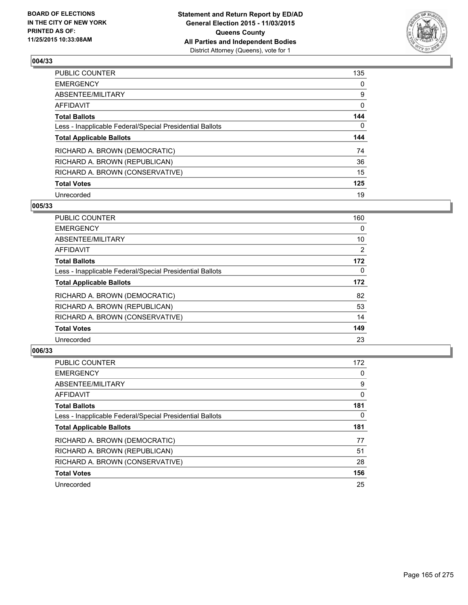

| PUBLIC COUNTER                                           | 135 |
|----------------------------------------------------------|-----|
| <b>EMERGENCY</b>                                         | 0   |
| ABSENTEE/MILITARY                                        | 9   |
| <b>AFFIDAVIT</b>                                         | 0   |
| <b>Total Ballots</b>                                     | 144 |
| Less - Inapplicable Federal/Special Presidential Ballots | 0   |
| <b>Total Applicable Ballots</b>                          | 144 |
| RICHARD A. BROWN (DEMOCRATIC)                            | 74  |
| RICHARD A. BROWN (REPUBLICAN)                            | 36  |
| RICHARD A. BROWN (CONSERVATIVE)                          | 15  |
| <b>Total Votes</b>                                       | 125 |
| Unrecorded                                               | 19  |

#### **005/33**

| <b>PUBLIC COUNTER</b>                                    | 160            |
|----------------------------------------------------------|----------------|
| <b>EMERGENCY</b>                                         | 0              |
| ABSENTEE/MILITARY                                        | 10             |
| <b>AFFIDAVIT</b>                                         | $\overline{2}$ |
| <b>Total Ballots</b>                                     | 172            |
| Less - Inapplicable Federal/Special Presidential Ballots | 0              |
| <b>Total Applicable Ballots</b>                          | 172            |
| RICHARD A. BROWN (DEMOCRATIC)                            | 82             |
| RICHARD A. BROWN (REPUBLICAN)                            | 53             |
| RICHARD A. BROWN (CONSERVATIVE)                          | 14             |
| <b>Total Votes</b>                                       | 149            |
| Unrecorded                                               | 23             |
|                                                          |                |

| <b>PUBLIC COUNTER</b>                                    | 172 |
|----------------------------------------------------------|-----|
| <b>EMERGENCY</b>                                         | 0   |
| ABSENTEE/MILITARY                                        | 9   |
| <b>AFFIDAVIT</b>                                         | 0   |
| <b>Total Ballots</b>                                     | 181 |
| Less - Inapplicable Federal/Special Presidential Ballots | 0   |
| <b>Total Applicable Ballots</b>                          | 181 |
| RICHARD A. BROWN (DEMOCRATIC)                            | 77  |
| RICHARD A. BROWN (REPUBLICAN)                            | 51  |
| RICHARD A. BROWN (CONSERVATIVE)                          | 28  |
| <b>Total Votes</b>                                       | 156 |
| Unrecorded                                               | 25  |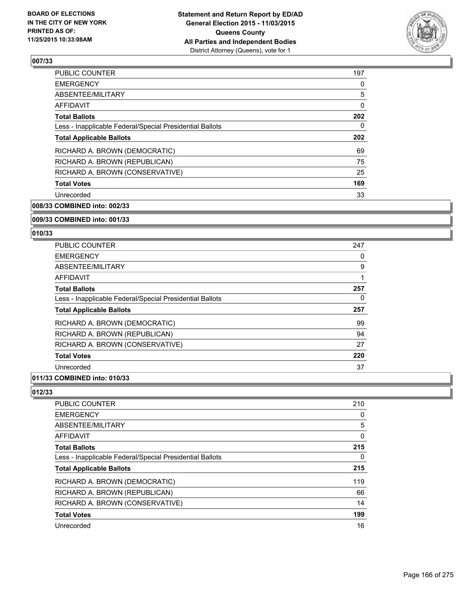

| <b>PUBLIC COUNTER</b>                                    | 197 |
|----------------------------------------------------------|-----|
| <b>EMERGENCY</b>                                         | 0   |
| ABSENTEE/MILITARY                                        | 5   |
| AFFIDAVIT                                                | 0   |
| <b>Total Ballots</b>                                     | 202 |
| Less - Inapplicable Federal/Special Presidential Ballots | 0   |
| <b>Total Applicable Ballots</b>                          | 202 |
| RICHARD A. BROWN (DEMOCRATIC)                            | 69  |
| RICHARD A. BROWN (REPUBLICAN)                            | 75  |
| RICHARD A. BROWN (CONSERVATIVE)                          | 25  |
| <b>Total Votes</b>                                       | 169 |
| Unrecorded                                               | 33  |
|                                                          |     |

**008/33 COMBINED into: 002/33**

#### **009/33 COMBINED into: 001/33**

#### **010/33**

| <b>PUBLIC COUNTER</b>                                    | 247 |
|----------------------------------------------------------|-----|
| <b>EMERGENCY</b>                                         | 0   |
| ABSENTEE/MILITARY                                        | 9   |
| AFFIDAVIT                                                | 1   |
| <b>Total Ballots</b>                                     | 257 |
| Less - Inapplicable Federal/Special Presidential Ballots | 0   |
| <b>Total Applicable Ballots</b>                          | 257 |
| RICHARD A. BROWN (DEMOCRATIC)                            | 99  |
| RICHARD A. BROWN (REPUBLICAN)                            | 94  |
| RICHARD A. BROWN (CONSERVATIVE)                          | 27  |
| <b>Total Votes</b>                                       | 220 |
| Unrecorded                                               | 37  |

# **011/33 COMBINED into: 010/33**

| PUBLIC COUNTER                                           | 210 |
|----------------------------------------------------------|-----|
| <b>EMERGENCY</b>                                         | 0   |
| ABSENTEE/MILITARY                                        | 5   |
| AFFIDAVIT                                                | 0   |
| <b>Total Ballots</b>                                     | 215 |
| Less - Inapplicable Federal/Special Presidential Ballots | 0   |
| <b>Total Applicable Ballots</b>                          | 215 |
| RICHARD A. BROWN (DEMOCRATIC)                            | 119 |
| RICHARD A. BROWN (REPUBLICAN)                            | 66  |
| RICHARD A. BROWN (CONSERVATIVE)                          | 14  |
| <b>Total Votes</b>                                       | 199 |
| Unrecorded                                               | 16  |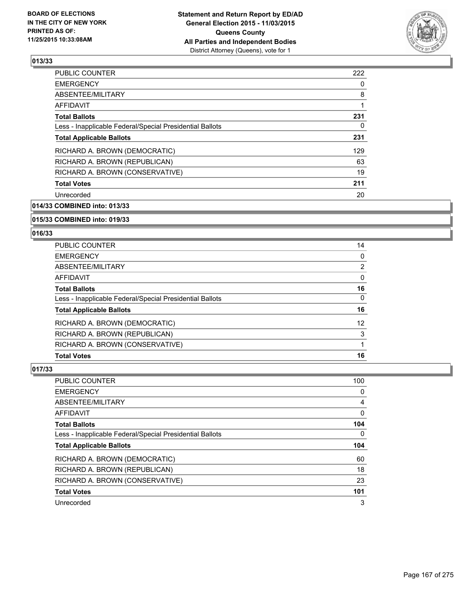

| <b>PUBLIC COUNTER</b>                                    | 222 |
|----------------------------------------------------------|-----|
| <b>EMERGENCY</b>                                         | 0   |
| ABSENTEE/MILITARY                                        | 8   |
| AFFIDAVIT                                                |     |
| <b>Total Ballots</b>                                     | 231 |
| Less - Inapplicable Federal/Special Presidential Ballots | 0   |
| <b>Total Applicable Ballots</b>                          | 231 |
| RICHARD A. BROWN (DEMOCRATIC)                            | 129 |
| RICHARD A. BROWN (REPUBLICAN)                            | 63  |
| RICHARD A. BROWN (CONSERVATIVE)                          | 19  |
| <b>Total Votes</b>                                       | 211 |
| Unrecorded                                               | 20  |
|                                                          |     |

**014/33 COMBINED into: 013/33**

#### **015/33 COMBINED into: 019/33**

#### **016/33**

| PUBLIC COUNTER                                           | 14              |
|----------------------------------------------------------|-----------------|
| <b>EMERGENCY</b>                                         | 0               |
| <b>ABSENTEE/MILITARY</b>                                 | $\overline{2}$  |
| AFFIDAVIT                                                | 0               |
| <b>Total Ballots</b>                                     | 16              |
| Less - Inapplicable Federal/Special Presidential Ballots | 0               |
| <b>Total Applicable Ballots</b>                          | 16              |
| RICHARD A. BROWN (DEMOCRATIC)                            | 12 <sup>2</sup> |
| RICHARD A. BROWN (REPUBLICAN)                            | 3               |
| RICHARD A. BROWN (CONSERVATIVE)                          |                 |
| <b>Total Votes</b>                                       | 16              |

| <b>PUBLIC COUNTER</b>                                    | 100 |
|----------------------------------------------------------|-----|
| <b>EMERGENCY</b>                                         | 0   |
| ABSENTEE/MILITARY                                        | 4   |
| AFFIDAVIT                                                | 0   |
| <b>Total Ballots</b>                                     | 104 |
| Less - Inapplicable Federal/Special Presidential Ballots | 0   |
| <b>Total Applicable Ballots</b>                          | 104 |
| RICHARD A. BROWN (DEMOCRATIC)                            | 60  |
| RICHARD A. BROWN (REPUBLICAN)                            | 18  |
| RICHARD A. BROWN (CONSERVATIVE)                          | 23  |
| <b>Total Votes</b>                                       | 101 |
| Unrecorded                                               | 3   |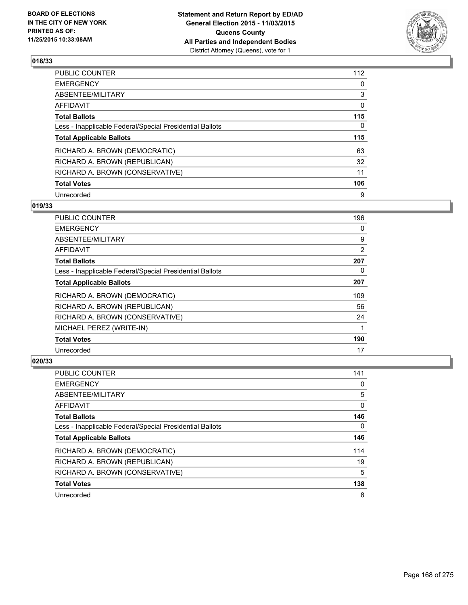

| PUBLIC COUNTER                                           | 112 |
|----------------------------------------------------------|-----|
| <b>EMERGENCY</b>                                         | 0   |
| ABSENTEE/MILITARY                                        | 3   |
| AFFIDAVIT                                                | 0   |
| <b>Total Ballots</b>                                     | 115 |
| Less - Inapplicable Federal/Special Presidential Ballots | 0   |
| <b>Total Applicable Ballots</b>                          | 115 |
| RICHARD A. BROWN (DEMOCRATIC)                            | 63  |
| RICHARD A. BROWN (REPUBLICAN)                            | 32  |
| RICHARD A. BROWN (CONSERVATIVE)                          | 11  |
| <b>Total Votes</b>                                       | 106 |
| Unrecorded                                               | 9   |

# **019/33**

| PUBLIC COUNTER                                           | 196 |
|----------------------------------------------------------|-----|
| <b>EMERGENCY</b>                                         | 0   |
| ABSENTEE/MILITARY                                        | 9   |
| AFFIDAVIT                                                | 2   |
| <b>Total Ballots</b>                                     | 207 |
| Less - Inapplicable Federal/Special Presidential Ballots | 0   |
| <b>Total Applicable Ballots</b>                          | 207 |
| RICHARD A. BROWN (DEMOCRATIC)                            | 109 |
| RICHARD A. BROWN (REPUBLICAN)                            | 56  |
| RICHARD A. BROWN (CONSERVATIVE)                          | 24  |
| MICHAEL PEREZ (WRITE-IN)                                 | 1   |
| <b>Total Votes</b>                                       | 190 |
| Unrecorded                                               | 17  |

| PUBLIC COUNTER                                           | 141 |
|----------------------------------------------------------|-----|
| <b>EMERGENCY</b>                                         | 0   |
| ABSENTEE/MILITARY                                        | 5   |
| AFFIDAVIT                                                | 0   |
| <b>Total Ballots</b>                                     | 146 |
| Less - Inapplicable Federal/Special Presidential Ballots | 0   |
| <b>Total Applicable Ballots</b>                          | 146 |
| RICHARD A. BROWN (DEMOCRATIC)                            | 114 |
| RICHARD A. BROWN (REPUBLICAN)                            | 19  |
| RICHARD A. BROWN (CONSERVATIVE)                          | 5   |
| <b>Total Votes</b>                                       | 138 |
| Unrecorded                                               | 8   |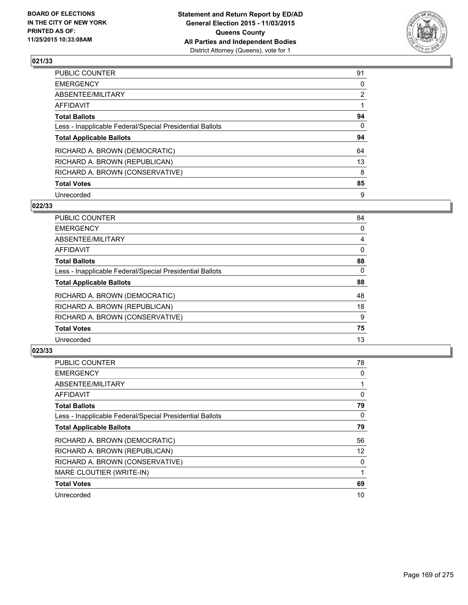

| PUBLIC COUNTER                                           | 91             |
|----------------------------------------------------------|----------------|
| <b>EMERGENCY</b>                                         | 0              |
| ABSENTEE/MILITARY                                        | $\overline{2}$ |
| <b>AFFIDAVIT</b>                                         |                |
| <b>Total Ballots</b>                                     | 94             |
| Less - Inapplicable Federal/Special Presidential Ballots | $\Omega$       |
| <b>Total Applicable Ballots</b>                          | 94             |
| RICHARD A. BROWN (DEMOCRATIC)                            | 64             |
| RICHARD A. BROWN (REPUBLICAN)                            | 13             |
| RICHARD A. BROWN (CONSERVATIVE)                          | 8              |
| <b>Total Votes</b>                                       | 85             |
| Unrecorded                                               | 9              |

#### **022/33**

| <b>PUBLIC COUNTER</b>                                    | 84       |
|----------------------------------------------------------|----------|
| <b>EMERGENCY</b>                                         | 0        |
| ABSENTEE/MILITARY                                        | 4        |
| <b>AFFIDAVIT</b>                                         | 0        |
| <b>Total Ballots</b>                                     | 88       |
| Less - Inapplicable Federal/Special Presidential Ballots | $\Omega$ |
| <b>Total Applicable Ballots</b>                          | 88       |
| RICHARD A. BROWN (DEMOCRATIC)                            | 48       |
| RICHARD A. BROWN (REPUBLICAN)                            | 18       |
| RICHARD A. BROWN (CONSERVATIVE)                          | 9        |
| <b>Total Votes</b>                                       | 75       |
| Unrecorded                                               | 13       |

| PUBLIC COUNTER                                           | 78 |
|----------------------------------------------------------|----|
| <b>EMERGENCY</b>                                         | 0  |
| ABSENTEE/MILITARY                                        |    |
| AFFIDAVIT                                                | 0  |
| <b>Total Ballots</b>                                     | 79 |
| Less - Inapplicable Federal/Special Presidential Ballots | 0  |
| <b>Total Applicable Ballots</b>                          | 79 |
| RICHARD A. BROWN (DEMOCRATIC)                            | 56 |
| RICHARD A. BROWN (REPUBLICAN)                            | 12 |
| RICHARD A. BROWN (CONSERVATIVE)                          | 0  |
| MARE CLOUTIER (WRITE-IN)                                 |    |
| <b>Total Votes</b>                                       | 69 |
| Unrecorded                                               | 10 |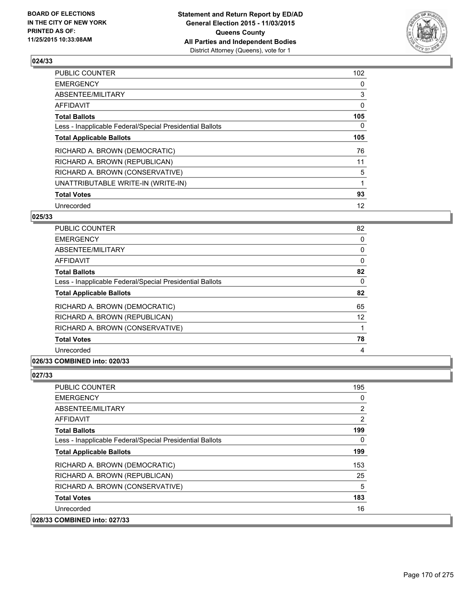

| <b>PUBLIC COUNTER</b>                                    | 102      |
|----------------------------------------------------------|----------|
| <b>EMERGENCY</b>                                         | 0        |
| ABSENTEE/MILITARY                                        | 3        |
| <b>AFFIDAVIT</b>                                         | $\Omega$ |
| <b>Total Ballots</b>                                     | 105      |
| Less - Inapplicable Federal/Special Presidential Ballots | 0        |
| <b>Total Applicable Ballots</b>                          | 105      |
| RICHARD A. BROWN (DEMOCRATIC)                            | 76       |
| RICHARD A. BROWN (REPUBLICAN)                            | 11       |
| RICHARD A. BROWN (CONSERVATIVE)                          | 5        |
| UNATTRIBUTABLE WRITE-IN (WRITE-IN)                       | 1        |
| <b>Total Votes</b>                                       | 93       |
| Unrecorded                                               | 12       |

# **025/33**

| <b>PUBLIC COUNTER</b>                                    | 82       |
|----------------------------------------------------------|----------|
| <b>EMERGENCY</b>                                         | 0        |
| ABSENTEE/MILITARY                                        | 0        |
| <b>AFFIDAVIT</b>                                         | 0        |
| <b>Total Ballots</b>                                     | 82       |
| Less - Inapplicable Federal/Special Presidential Ballots | $\Omega$ |
| <b>Total Applicable Ballots</b>                          | 82       |
| RICHARD A. BROWN (DEMOCRATIC)                            | 65       |
| RICHARD A. BROWN (REPUBLICAN)                            | 12       |
| RICHARD A. BROWN (CONSERVATIVE)                          |          |
| <b>Total Votes</b>                                       | 78       |
| Unrecorded                                               | 4        |

# **026/33 COMBINED into: 020/33**

| <b>PUBLIC COUNTER</b>                                    | 195 |
|----------------------------------------------------------|-----|
| <b>EMERGENCY</b>                                         | 0   |
| ABSENTEE/MILITARY                                        | 2   |
| <b>AFFIDAVIT</b>                                         | 2   |
| <b>Total Ballots</b>                                     | 199 |
| Less - Inapplicable Federal/Special Presidential Ballots | 0   |
| <b>Total Applicable Ballots</b>                          | 199 |
| RICHARD A. BROWN (DEMOCRATIC)                            | 153 |
| RICHARD A. BROWN (REPUBLICAN)                            | 25  |
| RICHARD A. BROWN (CONSERVATIVE)                          | 5   |
| <b>Total Votes</b>                                       | 183 |
| Unrecorded                                               | 16  |
| 028/33 COMBINED into: 027/33                             |     |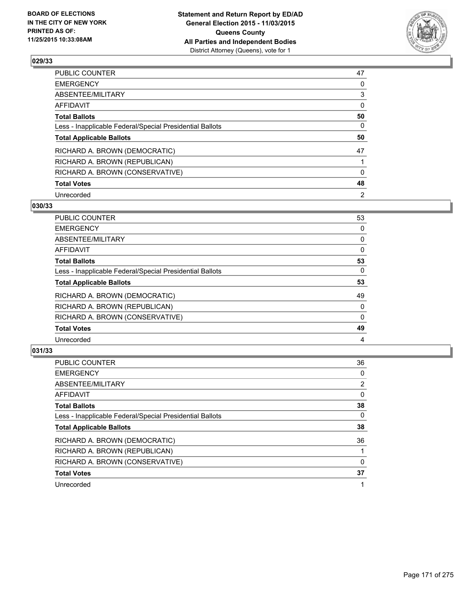

| PUBLIC COUNTER                                           | 47       |
|----------------------------------------------------------|----------|
| <b>EMERGENCY</b>                                         | 0        |
| ABSENTEE/MILITARY                                        | 3        |
| <b>AFFIDAVIT</b>                                         | $\Omega$ |
| <b>Total Ballots</b>                                     | 50       |
| Less - Inapplicable Federal/Special Presidential Ballots | 0        |
| <b>Total Applicable Ballots</b>                          | 50       |
| RICHARD A. BROWN (DEMOCRATIC)                            | 47       |
| RICHARD A. BROWN (REPUBLICAN)                            |          |
| RICHARD A. BROWN (CONSERVATIVE)                          | $\Omega$ |
| <b>Total Votes</b>                                       | 48       |
| Unrecorded                                               | 2        |

#### **030/33**

| PUBLIC COUNTER                                           | 53 |
|----------------------------------------------------------|----|
| <b>EMERGENCY</b>                                         | 0  |
| <b>ABSENTEE/MILITARY</b>                                 | 0  |
| <b>AFFIDAVIT</b>                                         | 0  |
| <b>Total Ballots</b>                                     | 53 |
| Less - Inapplicable Federal/Special Presidential Ballots | 0  |
| <b>Total Applicable Ballots</b>                          | 53 |
| RICHARD A. BROWN (DEMOCRATIC)                            | 49 |
| RICHARD A. BROWN (REPUBLICAN)                            | 0  |
| RICHARD A. BROWN (CONSERVATIVE)                          | 0  |
| <b>Total Votes</b>                                       | 49 |
| Unrecorded                                               | 4  |

| PUBLIC COUNTER                                           | 36             |
|----------------------------------------------------------|----------------|
| <b>EMERGENCY</b>                                         | 0              |
| ABSENTEE/MILITARY                                        | $\overline{2}$ |
| <b>AFFIDAVIT</b>                                         | 0              |
| <b>Total Ballots</b>                                     | 38             |
| Less - Inapplicable Federal/Special Presidential Ballots | 0              |
| <b>Total Applicable Ballots</b>                          | 38             |
| RICHARD A. BROWN (DEMOCRATIC)                            | 36             |
| RICHARD A. BROWN (REPUBLICAN)                            |                |
| RICHARD A. BROWN (CONSERVATIVE)                          | 0              |
| <b>Total Votes</b>                                       | 37             |
| Unrecorded                                               |                |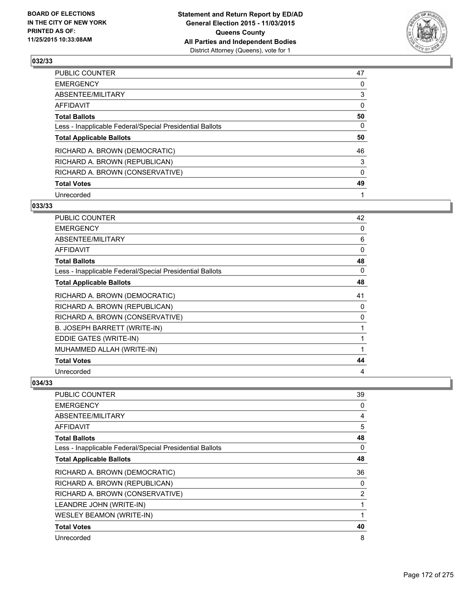

| PUBLIC COUNTER                                           | 47       |
|----------------------------------------------------------|----------|
| <b>EMERGENCY</b>                                         | 0        |
| ABSENTEE/MILITARY                                        | 3        |
| <b>AFFIDAVIT</b>                                         | $\Omega$ |
| <b>Total Ballots</b>                                     | 50       |
| Less - Inapplicable Federal/Special Presidential Ballots | 0        |
| <b>Total Applicable Ballots</b>                          | 50       |
| RICHARD A. BROWN (DEMOCRATIC)                            | 46       |
| RICHARD A. BROWN (REPUBLICAN)                            | 3        |
| RICHARD A. BROWN (CONSERVATIVE)                          | $\Omega$ |
| <b>Total Votes</b>                                       | 49       |
| Unrecorded                                               |          |

#### **033/33**

| PUBLIC COUNTER                                           | 42           |
|----------------------------------------------------------|--------------|
| <b>EMERGENCY</b>                                         | 0            |
| ABSENTEE/MILITARY                                        | 6            |
| <b>AFFIDAVIT</b>                                         | 0            |
| <b>Total Ballots</b>                                     | 48           |
| Less - Inapplicable Federal/Special Presidential Ballots | 0            |
| <b>Total Applicable Ballots</b>                          | 48           |
| RICHARD A. BROWN (DEMOCRATIC)                            | 41           |
| RICHARD A. BROWN (REPUBLICAN)                            | 0            |
| RICHARD A. BROWN (CONSERVATIVE)                          | $\mathbf{0}$ |
| B. JOSEPH BARRETT (WRITE-IN)                             | 1            |
| EDDIE GATES (WRITE-IN)                                   | 1            |
| MUHAMMED ALLAH (WRITE-IN)                                |              |
| <b>Total Votes</b>                                       | 44           |
| Unrecorded                                               | 4            |

| PUBLIC COUNTER                                           | 39 |
|----------------------------------------------------------|----|
| <b>EMERGENCY</b>                                         | 0  |
| ABSENTEE/MILITARY                                        | 4  |
| AFFIDAVIT                                                | 5  |
| <b>Total Ballots</b>                                     | 48 |
| Less - Inapplicable Federal/Special Presidential Ballots | 0  |
| <b>Total Applicable Ballots</b>                          | 48 |
| RICHARD A. BROWN (DEMOCRATIC)                            | 36 |
| RICHARD A. BROWN (REPUBLICAN)                            | 0  |
| RICHARD A. BROWN (CONSERVATIVE)                          | 2  |
| LEANDRE JOHN (WRITE-IN)                                  | 1  |
| <b>WESLEY BEAMON (WRITE-IN)</b>                          | 1  |
| <b>Total Votes</b>                                       | 40 |
| Unrecorded                                               | 8  |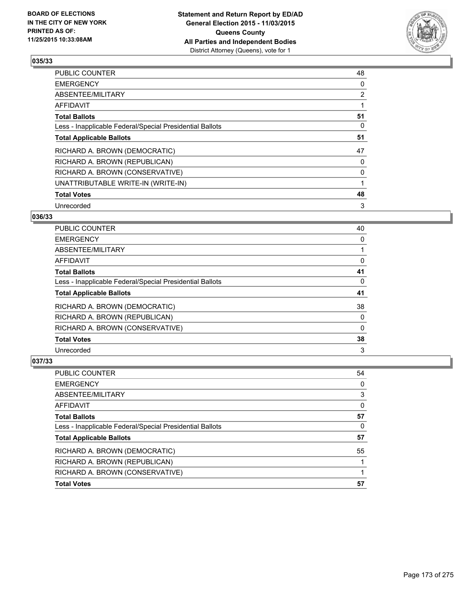

| PUBLIC COUNTER                                           | 48             |
|----------------------------------------------------------|----------------|
| <b>EMERGENCY</b>                                         | 0              |
| ABSENTEE/MILITARY                                        | $\overline{2}$ |
| AFFIDAVIT                                                |                |
| <b>Total Ballots</b>                                     | 51             |
| Less - Inapplicable Federal/Special Presidential Ballots | 0              |
| <b>Total Applicable Ballots</b>                          | 51             |
| RICHARD A. BROWN (DEMOCRATIC)                            | 47             |
| RICHARD A. BROWN (REPUBLICAN)                            | 0              |
| RICHARD A. BROWN (CONSERVATIVE)                          | 0              |
| UNATTRIBUTABLE WRITE-IN (WRITE-IN)                       |                |
| <b>Total Votes</b>                                       | 48             |
| Unrecorded                                               | 3              |

## **036/33**

| PUBLIC COUNTER                                           | 40 |
|----------------------------------------------------------|----|
| <b>EMERGENCY</b>                                         | 0  |
| ABSENTEE/MILITARY                                        |    |
| <b>AFFIDAVIT</b>                                         | 0  |
| <b>Total Ballots</b>                                     | 41 |
| Less - Inapplicable Federal/Special Presidential Ballots | 0  |
| <b>Total Applicable Ballots</b>                          | 41 |
| RICHARD A. BROWN (DEMOCRATIC)                            | 38 |
| RICHARD A. BROWN (REPUBLICAN)                            | 0  |
| RICHARD A. BROWN (CONSERVATIVE)                          | 0  |
|                                                          |    |
| <b>Total Votes</b>                                       | 38 |

| PUBLIC COUNTER                                           | 54 |
|----------------------------------------------------------|----|
| <b>EMERGENCY</b>                                         | 0  |
| ABSENTEE/MILITARY                                        | 3  |
| <b>AFFIDAVIT</b>                                         | 0  |
| <b>Total Ballots</b>                                     | 57 |
| Less - Inapplicable Federal/Special Presidential Ballots | 0  |
| <b>Total Applicable Ballots</b>                          | 57 |
| RICHARD A. BROWN (DEMOCRATIC)                            | 55 |
| RICHARD A. BROWN (REPUBLICAN)                            |    |
| RICHARD A. BROWN (CONSERVATIVE)                          |    |
| <b>Total Votes</b>                                       | 57 |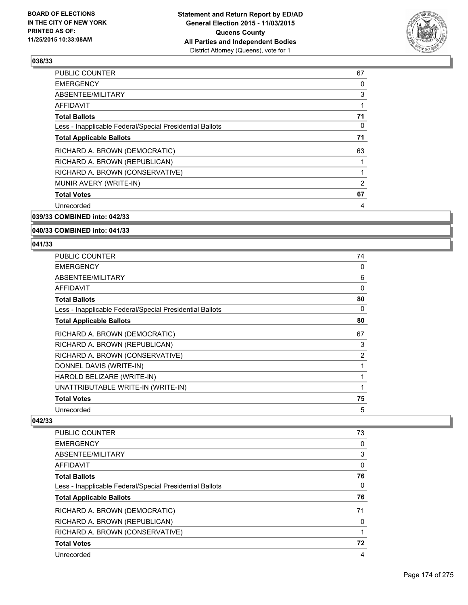

| <b>PUBLIC COUNTER</b>                                    | 67 |
|----------------------------------------------------------|----|
| <b>EMERGENCY</b>                                         | 0  |
| ABSENTEE/MILITARY                                        | 3  |
| AFFIDAVIT                                                |    |
| <b>Total Ballots</b>                                     | 71 |
| Less - Inapplicable Federal/Special Presidential Ballots | 0  |
| <b>Total Applicable Ballots</b>                          | 71 |
| RICHARD A. BROWN (DEMOCRATIC)                            | 63 |
| RICHARD A. BROWN (REPUBLICAN)                            |    |
| RICHARD A. BROWN (CONSERVATIVE)                          |    |
| MUNIR AVERY (WRITE-IN)                                   | 2  |
| <b>Total Votes</b>                                       | 67 |
| Unrecorded                                               | 4  |
|                                                          |    |

# **039/33 COMBINED into: 042/33**

#### **040/33 COMBINED into: 041/33**

#### **041/33**

| <b>PUBLIC COUNTER</b>                                    | 74 |
|----------------------------------------------------------|----|
| <b>EMERGENCY</b>                                         | 0  |
| ABSENTEE/MILITARY                                        | 6  |
| <b>AFFIDAVIT</b>                                         | 0  |
| <b>Total Ballots</b>                                     | 80 |
| Less - Inapplicable Federal/Special Presidential Ballots | 0  |
| <b>Total Applicable Ballots</b>                          | 80 |
| RICHARD A. BROWN (DEMOCRATIC)                            | 67 |
| RICHARD A. BROWN (REPUBLICAN)                            | 3  |
| RICHARD A. BROWN (CONSERVATIVE)                          | 2  |
| DONNEL DAVIS (WRITE-IN)                                  | 1  |
| HAROLD BELIZARE (WRITE-IN)                               | 1  |
| UNATTRIBUTABLE WRITE-IN (WRITE-IN)                       | 1  |
| <b>Total Votes</b>                                       | 75 |
| Unrecorded                                               | 5  |

| <b>PUBLIC COUNTER</b>                                    | 73 |
|----------------------------------------------------------|----|
| <b>EMERGENCY</b>                                         | 0  |
| ABSENTEE/MILITARY                                        | 3  |
| AFFIDAVIT                                                | 0  |
| <b>Total Ballots</b>                                     | 76 |
| Less - Inapplicable Federal/Special Presidential Ballots | 0  |
|                                                          |    |
| <b>Total Applicable Ballots</b>                          | 76 |
| RICHARD A. BROWN (DEMOCRATIC)                            | 71 |
| RICHARD A. BROWN (REPUBLICAN)                            | 0  |
| RICHARD A. BROWN (CONSERVATIVE)                          |    |
| <b>Total Votes</b>                                       | 72 |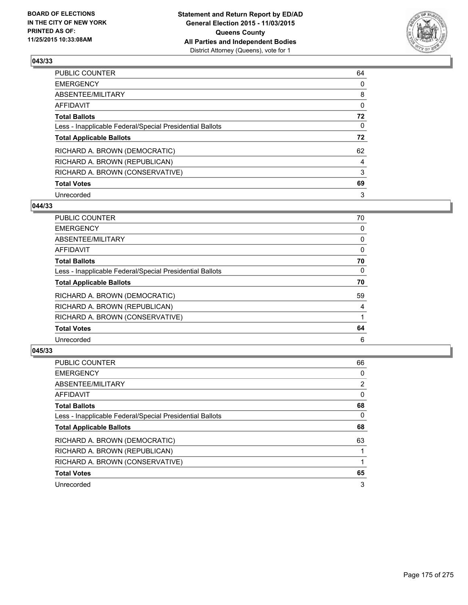

| PUBLIC COUNTER                                           | 64       |
|----------------------------------------------------------|----------|
| <b>EMERGENCY</b>                                         | 0        |
| ABSENTEE/MILITARY                                        | 8        |
| AFFIDAVIT                                                | 0        |
| <b>Total Ballots</b>                                     | 72       |
| Less - Inapplicable Federal/Special Presidential Ballots | $\Omega$ |
| <b>Total Applicable Ballots</b>                          | 72       |
| RICHARD A. BROWN (DEMOCRATIC)                            | 62       |
| RICHARD A. BROWN (REPUBLICAN)                            | 4        |
| RICHARD A. BROWN (CONSERVATIVE)                          | 3        |
| <b>Total Votes</b>                                       | 69       |
| Unrecorded                                               | 3        |

# **044/33**

| PUBLIC COUNTER                                           | 70 |
|----------------------------------------------------------|----|
| <b>EMERGENCY</b>                                         | 0  |
| <b>ABSENTEE/MILITARY</b>                                 | 0  |
| AFFIDAVIT                                                | 0  |
| <b>Total Ballots</b>                                     | 70 |
| Less - Inapplicable Federal/Special Presidential Ballots | 0  |
| <b>Total Applicable Ballots</b>                          | 70 |
| RICHARD A. BROWN (DEMOCRATIC)                            | 59 |
| RICHARD A. BROWN (REPUBLICAN)                            | 4  |
| RICHARD A. BROWN (CONSERVATIVE)                          |    |
| <b>Total Votes</b>                                       | 64 |
| Unrecorded                                               | 6  |
|                                                          |    |

| PUBLIC COUNTER                                           | 66             |
|----------------------------------------------------------|----------------|
| <b>EMERGENCY</b>                                         | 0              |
| ABSENTEE/MILITARY                                        | $\overline{2}$ |
| AFFIDAVIT                                                | 0              |
| <b>Total Ballots</b>                                     | 68             |
| Less - Inapplicable Federal/Special Presidential Ballots | 0              |
| <b>Total Applicable Ballots</b>                          | 68             |
| RICHARD A. BROWN (DEMOCRATIC)                            | 63             |
| RICHARD A. BROWN (REPUBLICAN)                            |                |
| RICHARD A. BROWN (CONSERVATIVE)                          |                |
| <b>Total Votes</b>                                       | 65             |
| Unrecorded                                               | 3              |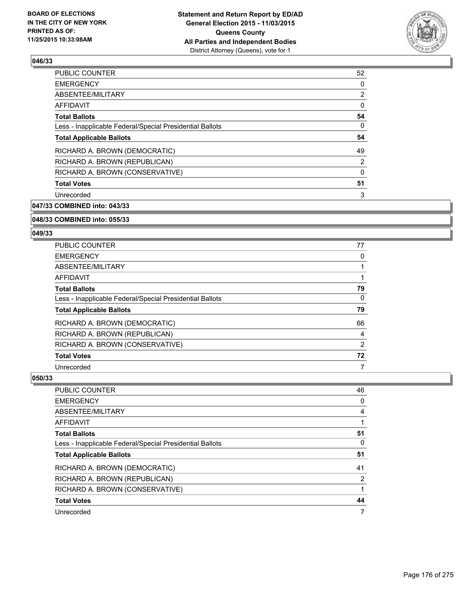

| <b>PUBLIC COUNTER</b>                                    | 52                    |
|----------------------------------------------------------|-----------------------|
| <b>EMERGENCY</b>                                         | 0                     |
| ABSENTEE/MILITARY                                        | $\mathbf{2}^{\prime}$ |
| AFFIDAVIT                                                | 0                     |
| <b>Total Ballots</b>                                     | 54                    |
| Less - Inapplicable Federal/Special Presidential Ballots | 0                     |
| <b>Total Applicable Ballots</b>                          | 54                    |
| RICHARD A. BROWN (DEMOCRATIC)                            | 49                    |
| RICHARD A. BROWN (REPUBLICAN)                            | 2                     |
| RICHARD A. BROWN (CONSERVATIVE)                          | 0                     |
| <b>Total Votes</b>                                       | 51                    |
| Unrecorded                                               | 3                     |
|                                                          |                       |

**047/33 COMBINED into: 043/33**

#### **048/33 COMBINED into: 055/33**

#### **049/33**

| <b>PUBLIC COUNTER</b>                                    | 77             |
|----------------------------------------------------------|----------------|
| <b>EMERGENCY</b>                                         | 0              |
| ABSENTEE/MILITARY                                        |                |
| AFFIDAVIT                                                |                |
| <b>Total Ballots</b>                                     | 79             |
| Less - Inapplicable Federal/Special Presidential Ballots | 0              |
| <b>Total Applicable Ballots</b>                          | 79             |
| RICHARD A. BROWN (DEMOCRATIC)                            | 66             |
| RICHARD A. BROWN (REPUBLICAN)                            | 4              |
| RICHARD A. BROWN (CONSERVATIVE)                          | $\overline{2}$ |
| <b>Total Votes</b>                                       | 72             |
| Unrecorded                                               | 7              |

| PUBLIC COUNTER                                           | 46                    |
|----------------------------------------------------------|-----------------------|
| <b>EMERGENCY</b>                                         | 0                     |
| ABSENTEE/MILITARY                                        | 4                     |
| AFFIDAVIT                                                |                       |
| <b>Total Ballots</b>                                     | 51                    |
| Less - Inapplicable Federal/Special Presidential Ballots | 0                     |
| <b>Total Applicable Ballots</b>                          | 51                    |
| RICHARD A. BROWN (DEMOCRATIC)                            | 41                    |
| RICHARD A. BROWN (REPUBLICAN)                            | $\mathbf{2}^{\prime}$ |
| RICHARD A. BROWN (CONSERVATIVE)                          |                       |
| <b>Total Votes</b>                                       | 44                    |
| Unrecorded                                               | 7                     |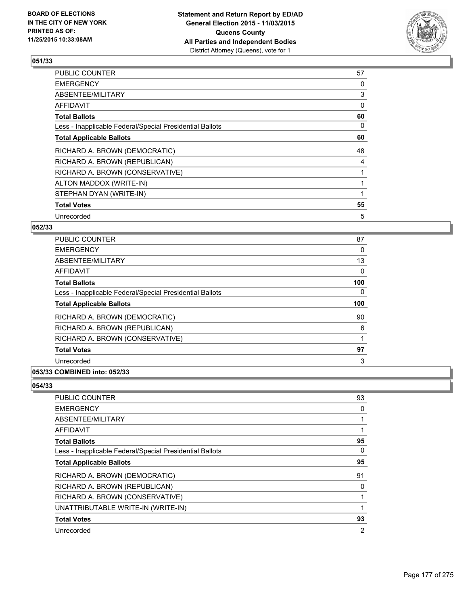

| <b>PUBLIC COUNTER</b>                                    | 57 |
|----------------------------------------------------------|----|
| <b>EMERGENCY</b>                                         | 0  |
| ABSENTEE/MILITARY                                        | 3  |
| AFFIDAVIT                                                | 0  |
| <b>Total Ballots</b>                                     | 60 |
| Less - Inapplicable Federal/Special Presidential Ballots | 0  |
| <b>Total Applicable Ballots</b>                          | 60 |
| RICHARD A. BROWN (DEMOCRATIC)                            | 48 |
| RICHARD A. BROWN (REPUBLICAN)                            | 4  |
| RICHARD A. BROWN (CONSERVATIVE)                          |    |
| ALTON MADDOX (WRITE-IN)                                  |    |
| STEPHAN DYAN (WRITE-IN)                                  |    |
| <b>Total Votes</b>                                       | 55 |
| Unrecorded                                               | 5  |

# **052/33**

| PUBLIC COUNTER                                           | 87  |
|----------------------------------------------------------|-----|
| <b>EMERGENCY</b>                                         | 0   |
| ABSENTEE/MILITARY                                        | 13  |
| <b>AFFIDAVIT</b>                                         | 0   |
| <b>Total Ballots</b>                                     | 100 |
| Less - Inapplicable Federal/Special Presidential Ballots | 0   |
| <b>Total Applicable Ballots</b>                          | 100 |
| RICHARD A. BROWN (DEMOCRATIC)                            | 90  |
| RICHARD A. BROWN (REPUBLICAN)                            | 6   |
| RICHARD A. BROWN (CONSERVATIVE)                          |     |
| <b>Total Votes</b>                                       | 97  |
| Unrecorded                                               | 3   |
|                                                          |     |

# **053/33 COMBINED into: 052/33**

| <b>PUBLIC COUNTER</b>                                    | 93 |
|----------------------------------------------------------|----|
| <b>EMERGENCY</b>                                         | 0  |
| ABSENTEE/MILITARY                                        | 1  |
| AFFIDAVIT                                                | 1  |
| <b>Total Ballots</b>                                     | 95 |
| Less - Inapplicable Federal/Special Presidential Ballots | 0  |
| <b>Total Applicable Ballots</b>                          | 95 |
| RICHARD A. BROWN (DEMOCRATIC)                            | 91 |
| RICHARD A. BROWN (REPUBLICAN)                            | 0  |
| RICHARD A. BROWN (CONSERVATIVE)                          | 1  |
| UNATTRIBUTABLE WRITE-IN (WRITE-IN)                       | 1  |
| <b>Total Votes</b>                                       | 93 |
| Unrecorded                                               | 2  |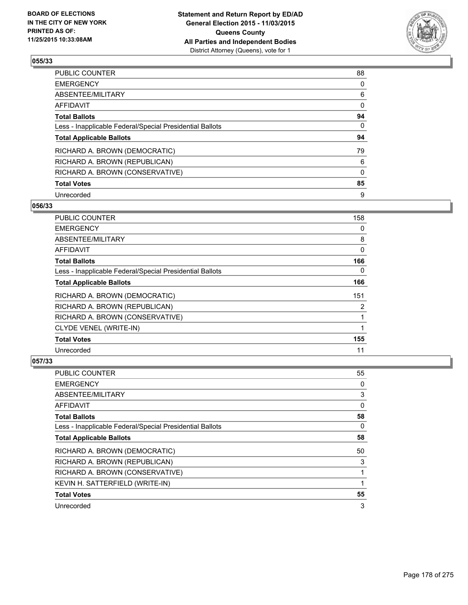

| PUBLIC COUNTER                                           | 88       |
|----------------------------------------------------------|----------|
| <b>EMERGENCY</b>                                         | 0        |
| ABSENTEE/MILITARY                                        | 6        |
| <b>AFFIDAVIT</b>                                         | 0        |
| <b>Total Ballots</b>                                     | 94       |
| Less - Inapplicable Federal/Special Presidential Ballots | $\Omega$ |
| <b>Total Applicable Ballots</b>                          | 94       |
| RICHARD A. BROWN (DEMOCRATIC)                            | 79       |
| RICHARD A. BROWN (REPUBLICAN)                            | 6        |
| RICHARD A. BROWN (CONSERVATIVE)                          | $\Omega$ |
| <b>Total Votes</b>                                       | 85       |
| Unrecorded                                               | 9        |

#### **056/33**

| PUBLIC COUNTER                                           | 158 |
|----------------------------------------------------------|-----|
| <b>EMERGENCY</b>                                         | 0   |
| ABSENTEE/MILITARY                                        | 8   |
| <b>AFFIDAVIT</b>                                         | 0   |
| <b>Total Ballots</b>                                     | 166 |
| Less - Inapplicable Federal/Special Presidential Ballots | 0   |
| <b>Total Applicable Ballots</b>                          | 166 |
| RICHARD A. BROWN (DEMOCRATIC)                            | 151 |
| RICHARD A. BROWN (REPUBLICAN)                            | 2   |
| RICHARD A. BROWN (CONSERVATIVE)                          |     |
| CLYDE VENEL (WRITE-IN)                                   |     |
| <b>Total Votes</b>                                       | 155 |
| Unrecorded                                               | 11  |

| <b>PUBLIC COUNTER</b>                                    | 55 |
|----------------------------------------------------------|----|
| <b>EMERGENCY</b>                                         | 0  |
| ABSENTEE/MILITARY                                        | 3  |
| <b>AFFIDAVIT</b>                                         | 0  |
| <b>Total Ballots</b>                                     | 58 |
| Less - Inapplicable Federal/Special Presidential Ballots | 0  |
| <b>Total Applicable Ballots</b>                          | 58 |
| RICHARD A. BROWN (DEMOCRATIC)                            | 50 |
| RICHARD A. BROWN (REPUBLICAN)                            | 3  |
| RICHARD A. BROWN (CONSERVATIVE)                          | 1  |
| KEVIN H. SATTERFIELD (WRITE-IN)                          |    |
| <b>Total Votes</b>                                       | 55 |
| Unrecorded                                               | 3  |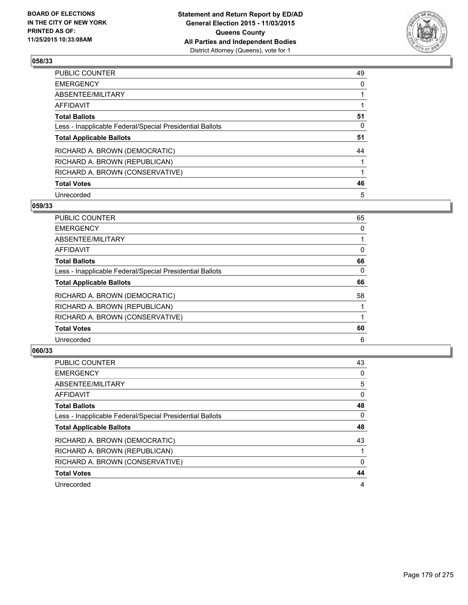

| PUBLIC COUNTER                                           | 49 |
|----------------------------------------------------------|----|
| <b>EMERGENCY</b>                                         | 0  |
| ABSENTEE/MILITARY                                        |    |
| <b>AFFIDAVIT</b>                                         |    |
| <b>Total Ballots</b>                                     | 51 |
| Less - Inapplicable Federal/Special Presidential Ballots | 0  |
| <b>Total Applicable Ballots</b>                          | 51 |
| RICHARD A. BROWN (DEMOCRATIC)                            | 44 |
| RICHARD A. BROWN (REPUBLICAN)                            |    |
| RICHARD A. BROWN (CONSERVATIVE)                          |    |
| <b>Total Votes</b>                                       | 46 |
| Unrecorded                                               | 5  |

#### **059/33**

| PUBLIC COUNTER                                           | 65 |
|----------------------------------------------------------|----|
| <b>EMERGENCY</b>                                         | 0  |
| ABSENTEE/MILITARY                                        |    |
| <b>AFFIDAVIT</b>                                         | 0  |
| <b>Total Ballots</b>                                     | 66 |
| Less - Inapplicable Federal/Special Presidential Ballots | 0  |
| <b>Total Applicable Ballots</b>                          | 66 |
| RICHARD A. BROWN (DEMOCRATIC)                            | 58 |
| RICHARD A. BROWN (REPUBLICAN)                            |    |
| RICHARD A. BROWN (CONSERVATIVE)                          |    |
| <b>Total Votes</b>                                       | 60 |
| Unrecorded                                               | 6  |

| <b>PUBLIC COUNTER</b>                                    | 43 |
|----------------------------------------------------------|----|
| <b>EMERGENCY</b>                                         | 0  |
| ABSENTEE/MILITARY                                        | 5  |
| <b>AFFIDAVIT</b>                                         | 0  |
| <b>Total Ballots</b>                                     | 48 |
| Less - Inapplicable Federal/Special Presidential Ballots | 0  |
| <b>Total Applicable Ballots</b>                          | 48 |
| RICHARD A. BROWN (DEMOCRATIC)                            | 43 |
| RICHARD A. BROWN (REPUBLICAN)                            |    |
| RICHARD A. BROWN (CONSERVATIVE)                          | 0  |
| <b>Total Votes</b>                                       | 44 |
| Unrecorded                                               | 4  |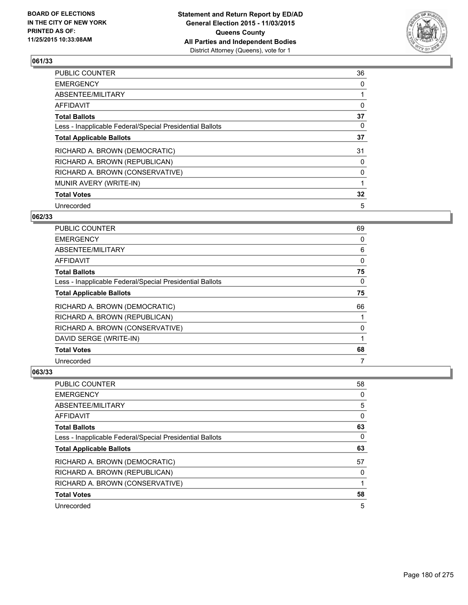

| <b>PUBLIC COUNTER</b>                                    | 36 |
|----------------------------------------------------------|----|
| <b>EMERGENCY</b>                                         | 0  |
| ABSENTEE/MILITARY                                        |    |
| <b>AFFIDAVIT</b>                                         | 0  |
| <b>Total Ballots</b>                                     | 37 |
| Less - Inapplicable Federal/Special Presidential Ballots | 0  |
| <b>Total Applicable Ballots</b>                          | 37 |
| RICHARD A. BROWN (DEMOCRATIC)                            | 31 |
| RICHARD A. BROWN (REPUBLICAN)                            | 0  |
| RICHARD A. BROWN (CONSERVATIVE)                          | 0  |
| MUNIR AVERY (WRITE-IN)                                   | 1  |
| <b>Total Votes</b>                                       | 32 |
| Unrecorded                                               | 5  |

# **062/33**

| PUBLIC COUNTER                                           | 69       |
|----------------------------------------------------------|----------|
| <b>EMERGENCY</b>                                         | 0        |
| <b>ABSENTEE/MILITARY</b>                                 | 6        |
| <b>AFFIDAVIT</b>                                         | 0        |
| <b>Total Ballots</b>                                     | 75       |
| Less - Inapplicable Federal/Special Presidential Ballots | $\Omega$ |
| <b>Total Applicable Ballots</b>                          | 75       |
| RICHARD A. BROWN (DEMOCRATIC)                            | 66       |
| RICHARD A. BROWN (REPUBLICAN)                            |          |
| RICHARD A. BROWN (CONSERVATIVE)                          | 0        |
| DAVID SERGE (WRITE-IN)                                   |          |
| <b>Total Votes</b>                                       | 68       |
| Unrecorded                                               | 7        |

| <b>PUBLIC COUNTER</b>                                    | 58 |
|----------------------------------------------------------|----|
| <b>EMERGENCY</b>                                         | 0  |
| ABSENTEE/MILITARY                                        | 5  |
| <b>AFFIDAVIT</b>                                         | 0  |
| <b>Total Ballots</b>                                     | 63 |
| Less - Inapplicable Federal/Special Presidential Ballots | 0  |
| <b>Total Applicable Ballots</b>                          | 63 |
|                                                          |    |
| RICHARD A. BROWN (DEMOCRATIC)                            | 57 |
| RICHARD A. BROWN (REPUBLICAN)                            | 0  |
| RICHARD A. BROWN (CONSERVATIVE)                          |    |
| <b>Total Votes</b>                                       | 58 |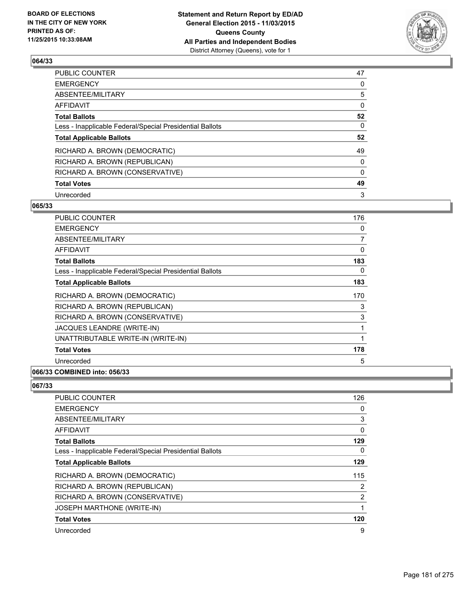

| PUBLIC COUNTER                                           | 47       |
|----------------------------------------------------------|----------|
| <b>EMERGENCY</b>                                         | 0        |
| ABSENTEE/MILITARY                                        | 5        |
| AFFIDAVIT                                                | 0        |
| <b>Total Ballots</b>                                     | 52       |
| Less - Inapplicable Federal/Special Presidential Ballots | $\Omega$ |
| <b>Total Applicable Ballots</b>                          | 52       |
| RICHARD A. BROWN (DEMOCRATIC)                            | 49       |
| RICHARD A. BROWN (REPUBLICAN)                            | 0        |
| RICHARD A. BROWN (CONSERVATIVE)                          | $\Omega$ |
| <b>Total Votes</b>                                       | 49       |
| Unrecorded                                               | 3        |

#### **065/33**

| PUBLIC COUNTER                                           | 176 |
|----------------------------------------------------------|-----|
| <b>EMERGENCY</b>                                         | 0   |
| ABSENTEE/MILITARY                                        | 7   |
| AFFIDAVIT                                                | 0   |
| <b>Total Ballots</b>                                     | 183 |
| Less - Inapplicable Federal/Special Presidential Ballots | 0   |
| <b>Total Applicable Ballots</b>                          | 183 |
| RICHARD A. BROWN (DEMOCRATIC)                            | 170 |
| RICHARD A. BROWN (REPUBLICAN)                            | 3   |
| RICHARD A. BROWN (CONSERVATIVE)                          | 3   |
| JACQUES LEANDRE (WRITE-IN)                               | 1   |
| UNATTRIBUTABLE WRITE-IN (WRITE-IN)                       | 1   |
| <b>Total Votes</b>                                       | 178 |
| Unrecorded                                               | 5   |
|                                                          |     |

# **066/33 COMBINED into: 056/33**

| <b>PUBLIC COUNTER</b>                                    | 126 |
|----------------------------------------------------------|-----|
| <b>EMERGENCY</b>                                         | 0   |
| ABSENTEE/MILITARY                                        | 3   |
| AFFIDAVIT                                                | 0   |
| <b>Total Ballots</b>                                     | 129 |
| Less - Inapplicable Federal/Special Presidential Ballots | 0   |
| <b>Total Applicable Ballots</b>                          | 129 |
| RICHARD A. BROWN (DEMOCRATIC)                            | 115 |
| RICHARD A. BROWN (REPUBLICAN)                            | 2   |
| RICHARD A. BROWN (CONSERVATIVE)                          | 2   |
| <b>JOSEPH MARTHONE (WRITE-IN)</b>                        | 1   |
| <b>Total Votes</b>                                       | 120 |
| Unrecorded                                               | 9   |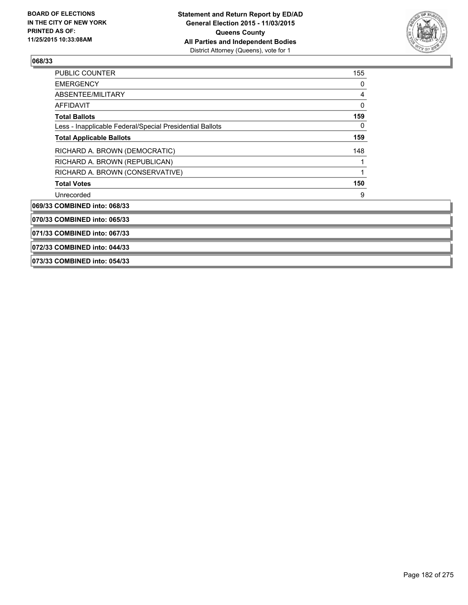

| <b>PUBLIC COUNTER</b>                                    | 155 |
|----------------------------------------------------------|-----|
| <b>EMERGENCY</b>                                         | 0   |
| ABSENTEE/MILITARY                                        | 4   |
| <b>AFFIDAVIT</b>                                         | 0   |
| <b>Total Ballots</b>                                     | 159 |
| Less - Inapplicable Federal/Special Presidential Ballots | 0   |
| <b>Total Applicable Ballots</b>                          | 159 |
| RICHARD A. BROWN (DEMOCRATIC)                            | 148 |
| RICHARD A. BROWN (REPUBLICAN)                            |     |
| RICHARD A. BROWN (CONSERVATIVE)                          |     |
| <b>Total Votes</b>                                       | 150 |
| Unrecorded                                               | 9   |
| 069/33 COMBINED into: 068/33                             |     |
| 070/33 COMBINED into: 065/33                             |     |
| 071/33 COMBINED into: 067/33                             |     |
| 072/33 COMBINED into: 044/33                             |     |
| 073/33 COMBINED into: 054/33                             |     |
|                                                          |     |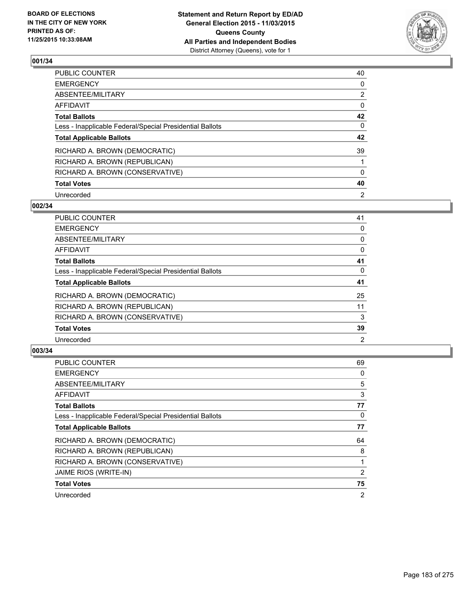

| PUBLIC COUNTER                                           | 40             |
|----------------------------------------------------------|----------------|
| <b>EMERGENCY</b>                                         | 0              |
| ABSENTEE/MILITARY                                        | $\overline{2}$ |
| <b>AFFIDAVIT</b>                                         | 0              |
| <b>Total Ballots</b>                                     | 42             |
| Less - Inapplicable Federal/Special Presidential Ballots | 0              |
| <b>Total Applicable Ballots</b>                          | 42             |
| RICHARD A. BROWN (DEMOCRATIC)                            | 39             |
| RICHARD A. BROWN (REPUBLICAN)                            |                |
| RICHARD A. BROWN (CONSERVATIVE)                          | $\Omega$       |
| <b>Total Votes</b>                                       | 40             |
| Unrecorded                                               | 2              |

#### **002/34**

| PUBLIC COUNTER                                           | 41 |
|----------------------------------------------------------|----|
| <b>EMERGENCY</b>                                         | 0  |
| ABSENTEE/MILITARY                                        | 0  |
| AFFIDAVIT                                                | 0  |
| <b>Total Ballots</b>                                     | 41 |
| Less - Inapplicable Federal/Special Presidential Ballots | 0  |
| <b>Total Applicable Ballots</b>                          | 41 |
| RICHARD A. BROWN (DEMOCRATIC)                            | 25 |
| RICHARD A. BROWN (REPUBLICAN)                            | 11 |
| RICHARD A. BROWN (CONSERVATIVE)                          | 3  |
| <b>Total Votes</b>                                       | 39 |
| Unrecorded                                               | 2  |

| PUBLIC COUNTER                                           | 69             |
|----------------------------------------------------------|----------------|
| <b>EMERGENCY</b>                                         | 0              |
| ABSENTEE/MILITARY                                        | 5              |
| AFFIDAVIT                                                | 3              |
| <b>Total Ballots</b>                                     | 77             |
| Less - Inapplicable Federal/Special Presidential Ballots | 0              |
| <b>Total Applicable Ballots</b>                          | 77             |
| RICHARD A. BROWN (DEMOCRATIC)                            | 64             |
| RICHARD A. BROWN (REPUBLICAN)                            | 8              |
| RICHARD A. BROWN (CONSERVATIVE)                          | 1              |
| JAIME RIOS (WRITE-IN)                                    | 2              |
| <b>Total Votes</b>                                       | 75             |
| Unrecorded                                               | $\overline{2}$ |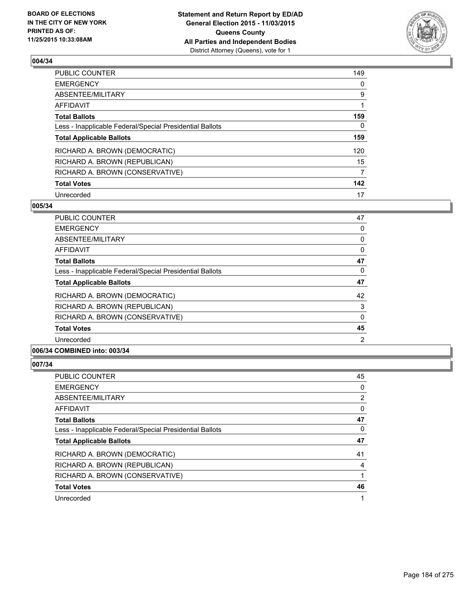

| PUBLIC COUNTER                                           | 149 |
|----------------------------------------------------------|-----|
| <b>EMERGENCY</b>                                         | 0   |
| ABSENTEE/MILITARY                                        | 9   |
| <b>AFFIDAVIT</b>                                         |     |
| <b>Total Ballots</b>                                     | 159 |
| Less - Inapplicable Federal/Special Presidential Ballots | 0   |
| <b>Total Applicable Ballots</b>                          | 159 |
| RICHARD A. BROWN (DEMOCRATIC)                            | 120 |
| RICHARD A. BROWN (REPUBLICAN)                            | 15  |
| RICHARD A. BROWN (CONSERVATIVE)                          | 7   |
| <b>Total Votes</b>                                       | 142 |
| Unrecorded                                               | 17  |

#### **005/34**

| PUBLIC COUNTER                                           | 47 |
|----------------------------------------------------------|----|
| <b>EMERGENCY</b>                                         | 0  |
| ABSENTEE/MILITARY                                        | 0  |
| AFFIDAVIT                                                | 0  |
| <b>Total Ballots</b>                                     | 47 |
| Less - Inapplicable Federal/Special Presidential Ballots | 0  |
| <b>Total Applicable Ballots</b>                          | 47 |
| RICHARD A. BROWN (DEMOCRATIC)                            | 42 |
| RICHARD A. BROWN (REPUBLICAN)                            | 3  |
| RICHARD A. BROWN (CONSERVATIVE)                          | 0  |
| <b>Total Votes</b>                                       | 45 |
| Unrecorded                                               | 2  |
| A                                                        |    |

### **006/34 COMBINED into: 003/34**

| PUBLIC COUNTER                                           | 45       |
|----------------------------------------------------------|----------|
| <b>EMERGENCY</b>                                         | $\Omega$ |
| ABSENTEE/MILITARY                                        | 2        |
| AFFIDAVIT                                                | 0        |
| <b>Total Ballots</b>                                     | 47       |
| Less - Inapplicable Federal/Special Presidential Ballots | 0        |
| <b>Total Applicable Ballots</b>                          | 47       |
| RICHARD A. BROWN (DEMOCRATIC)                            | 41       |
| RICHARD A. BROWN (REPUBLICAN)                            | 4        |
| RICHARD A. BROWN (CONSERVATIVE)                          |          |
| <b>Total Votes</b>                                       | 46       |
| Unrecorded                                               | 1        |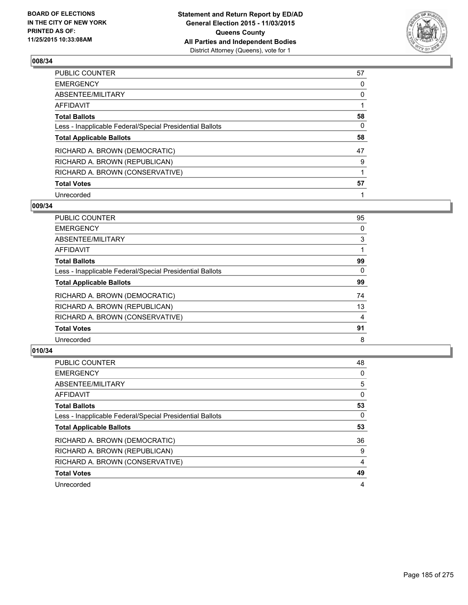

| PUBLIC COUNTER                                           | 57 |
|----------------------------------------------------------|----|
| <b>EMERGENCY</b>                                         | 0  |
| ABSENTEE/MILITARY                                        | 0  |
| AFFIDAVIT                                                |    |
| <b>Total Ballots</b>                                     | 58 |
| Less - Inapplicable Federal/Special Presidential Ballots | 0  |
| <b>Total Applicable Ballots</b>                          | 58 |
| RICHARD A. BROWN (DEMOCRATIC)                            | 47 |
| RICHARD A. BROWN (REPUBLICAN)                            | 9  |
| RICHARD A. BROWN (CONSERVATIVE)                          |    |
| <b>Total Votes</b>                                       | 57 |
| Unrecorded                                               |    |

#### **009/34**

| <b>PUBLIC COUNTER</b>                                    | 95 |
|----------------------------------------------------------|----|
| <b>EMERGENCY</b>                                         | 0  |
| <b>ABSENTEE/MILITARY</b>                                 | 3  |
| <b>AFFIDAVIT</b>                                         |    |
| <b>Total Ballots</b>                                     | 99 |
| Less - Inapplicable Federal/Special Presidential Ballots | 0  |
| <b>Total Applicable Ballots</b>                          | 99 |
| RICHARD A. BROWN (DEMOCRATIC)                            | 74 |
| RICHARD A. BROWN (REPUBLICAN)                            | 13 |
| RICHARD A. BROWN (CONSERVATIVE)                          | 4  |
| <b>Total Votes</b>                                       | 91 |
| Unrecorded                                               | 8  |
|                                                          |    |

| PUBLIC COUNTER                                           | 48 |
|----------------------------------------------------------|----|
| <b>EMERGENCY</b>                                         | 0  |
| ABSENTEE/MILITARY                                        | 5  |
| <b>AFFIDAVIT</b>                                         | 0  |
| <b>Total Ballots</b>                                     | 53 |
| Less - Inapplicable Federal/Special Presidential Ballots | 0  |
| <b>Total Applicable Ballots</b>                          | 53 |
| RICHARD A. BROWN (DEMOCRATIC)                            | 36 |
| RICHARD A. BROWN (REPUBLICAN)                            | 9  |
| RICHARD A. BROWN (CONSERVATIVE)                          | 4  |
| <b>Total Votes</b>                                       | 49 |
| Unrecorded                                               | 4  |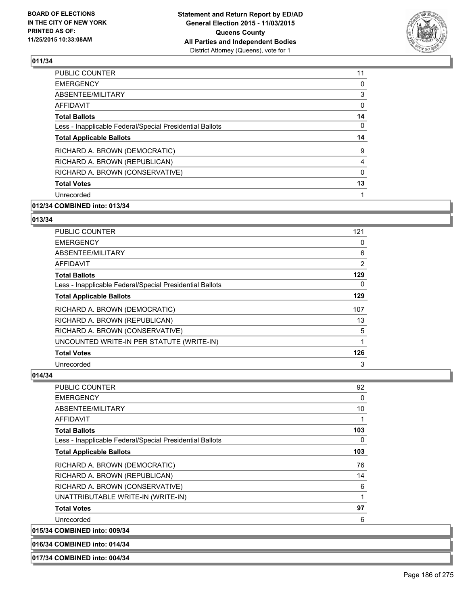

| <b>PUBLIC COUNTER</b>                                    | 11 |
|----------------------------------------------------------|----|
| <b>EMERGENCY</b>                                         | 0  |
| ABSENTEE/MILITARY                                        | 3  |
| AFFIDAVIT                                                | 0  |
| <b>Total Ballots</b>                                     | 14 |
| Less - Inapplicable Federal/Special Presidential Ballots | 0  |
| <b>Total Applicable Ballots</b>                          | 14 |
| RICHARD A. BROWN (DEMOCRATIC)                            | 9  |
| RICHARD A. BROWN (REPUBLICAN)                            | 4  |
| RICHARD A. BROWN (CONSERVATIVE)                          | 0  |
| <b>Total Votes</b>                                       | 13 |
| Unrecorded                                               |    |
|                                                          |    |

# **012/34 COMBINED into: 013/34**

#### **013/34**

| <b>PUBLIC COUNTER</b>                                    | 121            |
|----------------------------------------------------------|----------------|
| <b>EMERGENCY</b>                                         | 0              |
| ABSENTEE/MILITARY                                        | 6              |
| AFFIDAVIT                                                | $\overline{2}$ |
| <b>Total Ballots</b>                                     | 129            |
| Less - Inapplicable Federal/Special Presidential Ballots | 0              |
| <b>Total Applicable Ballots</b>                          | 129            |
| RICHARD A. BROWN (DEMOCRATIC)                            | 107            |
| RICHARD A. BROWN (REPUBLICAN)                            | 13             |
| RICHARD A. BROWN (CONSERVATIVE)                          | 5              |
| UNCOUNTED WRITE-IN PER STATUTE (WRITE-IN)                | 1              |
| <b>Total Votes</b>                                       | 126            |
| Unrecorded                                               | 3              |

#### **014/34**

| <b>PUBLIC COUNTER</b>                                    | 92       |
|----------------------------------------------------------|----------|
| <b>EMERGENCY</b>                                         | 0        |
| ABSENTEE/MILITARY                                        | 10       |
| AFFIDAVIT                                                |          |
| Total Ballots                                            | 103      |
| Less - Inapplicable Federal/Special Presidential Ballots | $\Omega$ |
| <b>Total Applicable Ballots</b>                          | 103      |
| RICHARD A. BROWN (DEMOCRATIC)                            | 76       |
| RICHARD A. BROWN (REPUBLICAN)                            | 14       |
| RICHARD A. BROWN (CONSERVATIVE)                          | 6        |
| UNATTRIBUTABLE WRITE-IN (WRITE-IN)                       |          |
| <b>Total Votes</b>                                       | 97       |
| Unrecorded                                               | 6        |
| 015/34 COMBINED into: 009/34                             |          |

# **016/34 COMBINED into: 014/34**

**017/34 COMBINED into: 004/34**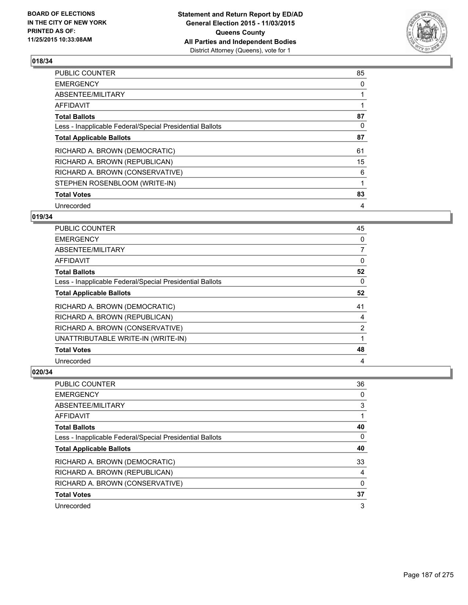

| <b>PUBLIC COUNTER</b>                                    | 85 |
|----------------------------------------------------------|----|
| <b>EMERGENCY</b>                                         | 0  |
| ABSENTEE/MILITARY                                        |    |
| AFFIDAVIT                                                |    |
| <b>Total Ballots</b>                                     | 87 |
| Less - Inapplicable Federal/Special Presidential Ballots | 0  |
| <b>Total Applicable Ballots</b>                          | 87 |
| RICHARD A. BROWN (DEMOCRATIC)                            | 61 |
| RICHARD A. BROWN (REPUBLICAN)                            | 15 |
| RICHARD A. BROWN (CONSERVATIVE)                          | 6  |
| STEPHEN ROSENBLOOM (WRITE-IN)                            |    |
| <b>Total Votes</b>                                       | 83 |
| Unrecorded                                               | 4  |

## **019/34**

| <b>PUBLIC COUNTER</b>                                    | 45             |
|----------------------------------------------------------|----------------|
| <b>EMERGENCY</b>                                         | 0              |
| ABSENTEE/MILITARY                                        | 7              |
| <b>AFFIDAVIT</b>                                         | 0              |
| <b>Total Ballots</b>                                     | 52             |
| Less - Inapplicable Federal/Special Presidential Ballots | $\Omega$       |
| <b>Total Applicable Ballots</b>                          | 52             |
| RICHARD A. BROWN (DEMOCRATIC)                            | 41             |
| RICHARD A. BROWN (REPUBLICAN)                            | 4              |
| RICHARD A. BROWN (CONSERVATIVE)                          | $\overline{2}$ |
| UNATTRIBUTABLE WRITE-IN (WRITE-IN)                       |                |
| <b>Total Votes</b>                                       | 48             |
| Unrecorded                                               | 4              |

| PUBLIC COUNTER                                           | 36 |
|----------------------------------------------------------|----|
| <b>EMERGENCY</b>                                         | 0  |
| ABSENTEE/MILITARY                                        | 3  |
| <b>AFFIDAVIT</b>                                         |    |
| <b>Total Ballots</b>                                     | 40 |
| Less - Inapplicable Federal/Special Presidential Ballots | 0  |
| <b>Total Applicable Ballots</b>                          | 40 |
| RICHARD A. BROWN (DEMOCRATIC)                            | 33 |
| RICHARD A. BROWN (REPUBLICAN)                            | 4  |
| RICHARD A. BROWN (CONSERVATIVE)                          | 0  |
| <b>Total Votes</b>                                       | 37 |
| Unrecorded                                               | 3  |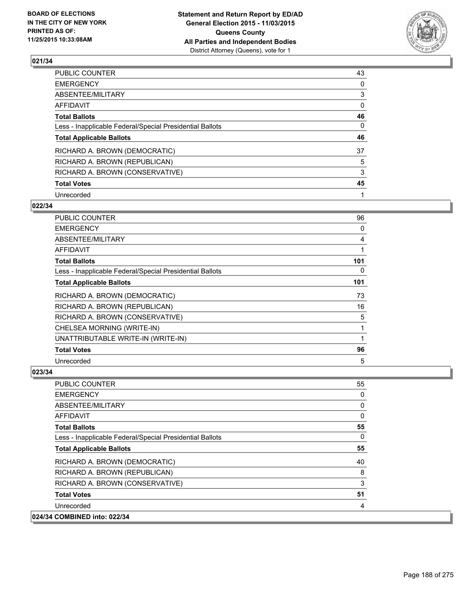

| PUBLIC COUNTER                                           | 43 |
|----------------------------------------------------------|----|
| <b>EMERGENCY</b>                                         | 0  |
| ABSENTEE/MILITARY                                        | 3  |
| <b>AFFIDAVIT</b>                                         | 0  |
| <b>Total Ballots</b>                                     | 46 |
| Less - Inapplicable Federal/Special Presidential Ballots | 0  |
| <b>Total Applicable Ballots</b>                          | 46 |
| RICHARD A. BROWN (DEMOCRATIC)                            | 37 |
| RICHARD A. BROWN (REPUBLICAN)                            | 5  |
| RICHARD A. BROWN (CONSERVATIVE)                          | 3  |
| <b>Total Votes</b>                                       | 45 |
| Unrecorded                                               |    |

#### **022/34**

| <b>PUBLIC COUNTER</b>                                    | 96  |
|----------------------------------------------------------|-----|
| <b>EMERGENCY</b>                                         | 0   |
| ABSENTEE/MILITARY                                        | 4   |
| <b>AFFIDAVIT</b>                                         | 1   |
| <b>Total Ballots</b>                                     | 101 |
| Less - Inapplicable Federal/Special Presidential Ballots | 0   |
| <b>Total Applicable Ballots</b>                          | 101 |
| RICHARD A. BROWN (DEMOCRATIC)                            | 73  |
| RICHARD A. BROWN (REPUBLICAN)                            | 16  |
| RICHARD A. BROWN (CONSERVATIVE)                          | 5   |
| CHELSEA MORNING (WRITE-IN)                               | 1   |
| UNATTRIBUTABLE WRITE-IN (WRITE-IN)                       | 1   |
| <b>Total Votes</b>                                       | 96  |
| Unrecorded                                               | 5   |

| <b>PUBLIC COUNTER</b>                                    | 55       |
|----------------------------------------------------------|----------|
| <b>EMERGENCY</b>                                         | 0        |
| ABSENTEE/MILITARY                                        | 0        |
| <b>AFFIDAVIT</b>                                         | 0        |
| <b>Total Ballots</b>                                     | 55       |
| Less - Inapplicable Federal/Special Presidential Ballots | $\Omega$ |
| <b>Total Applicable Ballots</b>                          | 55       |
| RICHARD A. BROWN (DEMOCRATIC)                            | 40       |
| RICHARD A. BROWN (REPUBLICAN)                            | 8        |
| RICHARD A. BROWN (CONSERVATIVE)                          | 3        |
| <b>Total Votes</b>                                       | 51       |
| Unrecorded                                               | 4        |
| 024/34 COMBINED into: 022/34                             |          |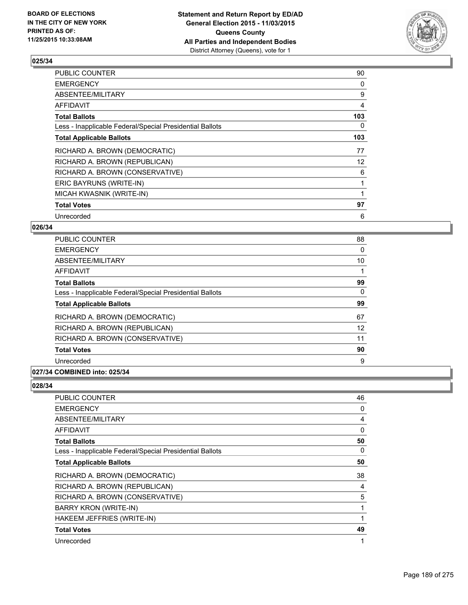

| <b>PUBLIC COUNTER</b>                                    | 90  |
|----------------------------------------------------------|-----|
| <b>EMERGENCY</b>                                         | 0   |
| ABSENTEE/MILITARY                                        | 9   |
| AFFIDAVIT                                                | 4   |
| <b>Total Ballots</b>                                     | 103 |
| Less - Inapplicable Federal/Special Presidential Ballots | 0   |
| <b>Total Applicable Ballots</b>                          | 103 |
| RICHARD A. BROWN (DEMOCRATIC)                            | 77  |
| RICHARD A. BROWN (REPUBLICAN)                            | 12  |
| RICHARD A. BROWN (CONSERVATIVE)                          | 6   |
| ERIC BAYRUNS (WRITE-IN)                                  | 1   |
| MICAH KWASNIK (WRITE-IN)                                 |     |
| <b>Total Votes</b>                                       | 97  |
| Unrecorded                                               | 6   |

### **026/34**

| PUBLIC COUNTER                                           | 88 |
|----------------------------------------------------------|----|
| <b>EMERGENCY</b>                                         | 0  |
| ABSENTEE/MILITARY                                        | 10 |
| <b>AFFIDAVIT</b>                                         |    |
| <b>Total Ballots</b>                                     | 99 |
| Less - Inapplicable Federal/Special Presidential Ballots | 0  |
| <b>Total Applicable Ballots</b>                          | 99 |
| RICHARD A. BROWN (DEMOCRATIC)                            | 67 |
| RICHARD A. BROWN (REPUBLICAN)                            | 12 |
| RICHARD A. BROWN (CONSERVATIVE)                          | 11 |
| <b>Total Votes</b>                                       | 90 |
| Unrecorded                                               | 9  |
|                                                          |    |

### **027/34 COMBINED into: 025/34**

| PUBLIC COUNTER                                           | 46 |
|----------------------------------------------------------|----|
| <b>EMERGENCY</b>                                         | 0  |
| ABSENTEE/MILITARY                                        | 4  |
| AFFIDAVIT                                                | 0  |
| <b>Total Ballots</b>                                     | 50 |
| Less - Inapplicable Federal/Special Presidential Ballots | 0  |
| <b>Total Applicable Ballots</b>                          | 50 |
| RICHARD A. BROWN (DEMOCRATIC)                            | 38 |
| RICHARD A. BROWN (REPUBLICAN)                            | 4  |
| RICHARD A. BROWN (CONSERVATIVE)                          | 5  |
| BARRY KRON (WRITE-IN)                                    | 1  |
| HAKEEM JEFFRIES (WRITE-IN)                               | 1  |
| <b>Total Votes</b>                                       | 49 |
| Unrecorded                                               | 1  |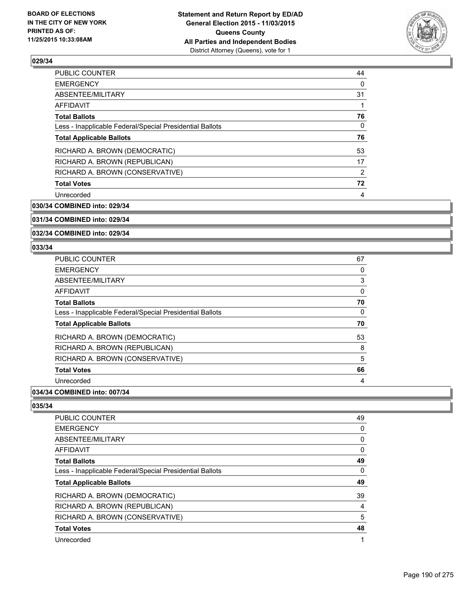

| 44 |
|----|
| 0  |
| 31 |
| 1  |
| 76 |
| 0  |
| 76 |
| 53 |
| 17 |
| 2  |
| 72 |
| 4  |
|    |

**030/34 COMBINED into: 029/34**

### **031/34 COMBINED into: 029/34**

**032/34 COMBINED into: 029/34**

#### **033/34**

| <b>PUBLIC COUNTER</b>                                    | 67 |
|----------------------------------------------------------|----|
| <b>EMERGENCY</b>                                         | 0  |
| ABSENTEE/MILITARY                                        | 3  |
| <b>AFFIDAVIT</b>                                         | 0  |
| <b>Total Ballots</b>                                     | 70 |
| Less - Inapplicable Federal/Special Presidential Ballots | 0  |
| <b>Total Applicable Ballots</b>                          | 70 |
| RICHARD A. BROWN (DEMOCRATIC)                            | 53 |
| RICHARD A. BROWN (REPUBLICAN)                            | 8  |
| RICHARD A. BROWN (CONSERVATIVE)                          | 5  |
| <b>Total Votes</b>                                       | 66 |
| Unrecorded                                               | 4  |
|                                                          |    |

#### **034/34 COMBINED into: 007/34**

| 49 |
|----|
| 0  |
| 0  |
| 0  |
| 49 |
| 0  |
| 49 |
| 39 |
| 4  |
| 5  |
| 48 |
| 1  |
|    |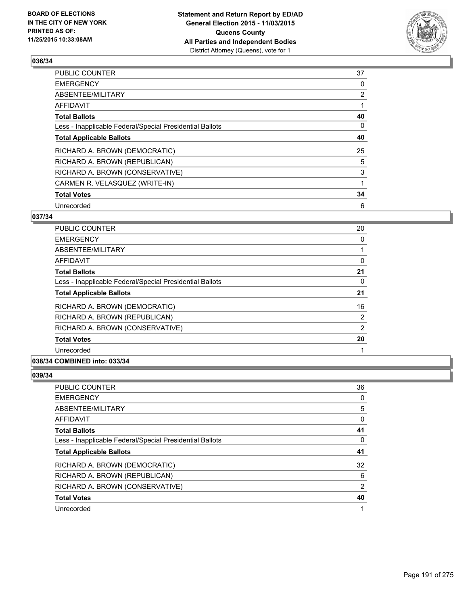

| PUBLIC COUNTER                                           | 37             |
|----------------------------------------------------------|----------------|
| <b>EMERGENCY</b>                                         | 0              |
| ABSENTEE/MILITARY                                        | $\overline{2}$ |
| AFFIDAVIT                                                |                |
| <b>Total Ballots</b>                                     | 40             |
| Less - Inapplicable Federal/Special Presidential Ballots | 0              |
| <b>Total Applicable Ballots</b>                          | 40             |
| RICHARD A. BROWN (DEMOCRATIC)                            | 25             |
| RICHARD A. BROWN (REPUBLICAN)                            | 5              |
| RICHARD A. BROWN (CONSERVATIVE)                          | 3              |
| CARMEN R. VELASQUEZ (WRITE-IN)                           |                |
| <b>Total Votes</b>                                       | 34             |
| Unrecorded                                               | 6              |

### **037/34**

| 20             |
|----------------|
| 0              |
|                |
| 0              |
| 21             |
| $\Omega$       |
| 21             |
| 16             |
| $\overline{2}$ |
| $\overline{2}$ |
| 20             |
|                |
|                |

# **038/34 COMBINED into: 033/34**

| PUBLIC COUNTER                                           | 36 |
|----------------------------------------------------------|----|
| <b>EMERGENCY</b>                                         | 0  |
| ABSENTEE/MILITARY                                        | 5  |
| AFFIDAVIT                                                | 0  |
| <b>Total Ballots</b>                                     | 41 |
| Less - Inapplicable Federal/Special Presidential Ballots | 0  |
| <b>Total Applicable Ballots</b>                          | 41 |
| RICHARD A. BROWN (DEMOCRATIC)                            | 32 |
| RICHARD A. BROWN (REPUBLICAN)                            | 6  |
| RICHARD A. BROWN (CONSERVATIVE)                          | 2  |
| <b>Total Votes</b>                                       | 40 |
| Unrecorded                                               |    |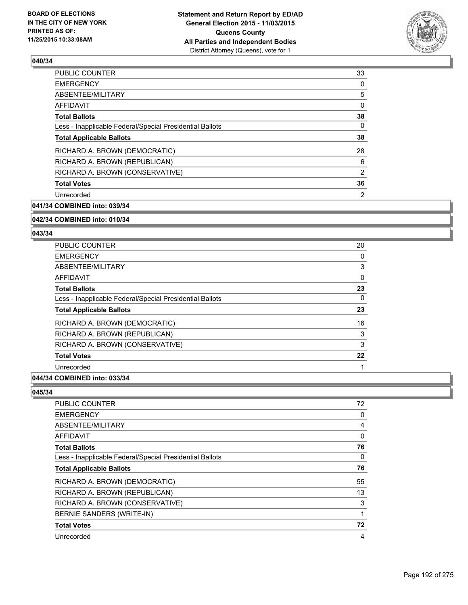

| <b>PUBLIC COUNTER</b>                                    | 33 |
|----------------------------------------------------------|----|
| <b>EMERGENCY</b>                                         | 0  |
| ABSENTEE/MILITARY                                        | 5  |
| AFFIDAVIT                                                | 0  |
| <b>Total Ballots</b>                                     | 38 |
| Less - Inapplicable Federal/Special Presidential Ballots | 0  |
| <b>Total Applicable Ballots</b>                          | 38 |
| RICHARD A. BROWN (DEMOCRATIC)                            | 28 |
| RICHARD A. BROWN (REPUBLICAN)                            | 6  |
| RICHARD A. BROWN (CONSERVATIVE)                          | 2  |
| <b>Total Votes</b>                                       | 36 |
| Unrecorded                                               | 2  |
| . <b>.</b>                                               |    |

**041/34 COMBINED into: 039/34**

#### **042/34 COMBINED into: 010/34**

#### **043/34**

| PUBLIC COUNTER                                           | 20       |
|----------------------------------------------------------|----------|
| <b>EMERGENCY</b>                                         | 0        |
| ABSENTEE/MILITARY                                        | 3        |
| <b>AFFIDAVIT</b>                                         | 0        |
| <b>Total Ballots</b>                                     | 23       |
| Less - Inapplicable Federal/Special Presidential Ballots | $\Omega$ |
| <b>Total Applicable Ballots</b>                          | 23       |
| RICHARD A. BROWN (DEMOCRATIC)                            | 16       |
| RICHARD A. BROWN (REPUBLICAN)                            | 3        |
| RICHARD A. BROWN (CONSERVATIVE)                          | 3        |
| <b>Total Votes</b>                                       | 22       |
| Unrecorded                                               |          |

# **044/34 COMBINED into: 033/34**

| PUBLIC COUNTER                                           | 72       |
|----------------------------------------------------------|----------|
| <b>EMERGENCY</b>                                         | 0        |
| ABSENTEE/MILITARY                                        | 4        |
| AFFIDAVIT                                                | $\Omega$ |
| <b>Total Ballots</b>                                     | 76       |
| Less - Inapplicable Federal/Special Presidential Ballots | 0        |
| <b>Total Applicable Ballots</b>                          | 76       |
| RICHARD A. BROWN (DEMOCRATIC)                            | 55       |
| RICHARD A. BROWN (REPUBLICAN)                            | 13       |
| RICHARD A. BROWN (CONSERVATIVE)                          | 3        |
| BERNIE SANDERS (WRITE-IN)                                |          |
| <b>Total Votes</b>                                       | 72       |
| Unrecorded                                               | 4        |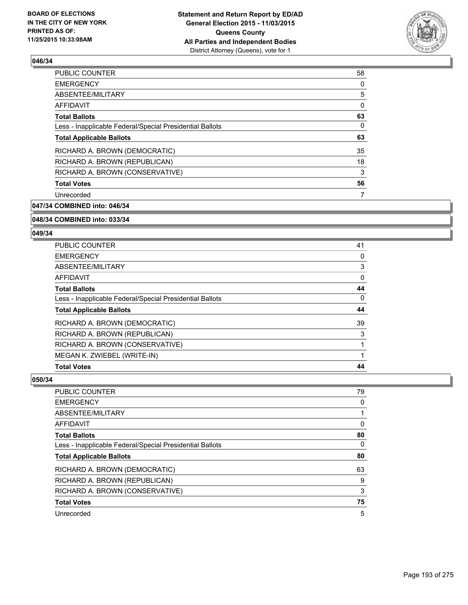

| <b>PUBLIC COUNTER</b>                                    | 58 |
|----------------------------------------------------------|----|
| <b>EMERGENCY</b>                                         | 0  |
| ABSENTEE/MILITARY                                        | 5  |
| AFFIDAVIT                                                | 0  |
| <b>Total Ballots</b>                                     | 63 |
| Less - Inapplicable Federal/Special Presidential Ballots | 0  |
| <b>Total Applicable Ballots</b>                          | 63 |
| RICHARD A. BROWN (DEMOCRATIC)                            | 35 |
| RICHARD A. BROWN (REPUBLICAN)                            | 18 |
| RICHARD A. BROWN (CONSERVATIVE)                          | 3  |
| <b>Total Votes</b>                                       | 56 |
| Unrecorded                                               | 7  |
|                                                          |    |

**047/34 COMBINED into: 046/34**

#### **048/34 COMBINED into: 033/34**

#### **049/34**

| <b>Total Votes</b>                                       | 44 |
|----------------------------------------------------------|----|
| MEGAN K. ZWIEBEL (WRITE-IN)                              |    |
| RICHARD A. BROWN (CONSERVATIVE)                          |    |
| RICHARD A. BROWN (REPUBLICAN)                            | 3  |
| RICHARD A. BROWN (DEMOCRATIC)                            | 39 |
| <b>Total Applicable Ballots</b>                          | 44 |
| Less - Inapplicable Federal/Special Presidential Ballots | 0  |
| <b>Total Ballots</b>                                     | 44 |
| AFFIDAVIT                                                | 0  |
| ABSENTEE/MILITARY                                        | 3  |
| <b>EMERGENCY</b>                                         | 0  |
| PUBLIC COUNTER                                           | 41 |

| <b>PUBLIC COUNTER</b>                                    | 79 |
|----------------------------------------------------------|----|
| <b>EMERGENCY</b>                                         | 0  |
| ABSENTEE/MILITARY                                        |    |
| AFFIDAVIT                                                | 0  |
| <b>Total Ballots</b>                                     | 80 |
| Less - Inapplicable Federal/Special Presidential Ballots | 0  |
| <b>Total Applicable Ballots</b>                          | 80 |
| RICHARD A. BROWN (DEMOCRATIC)                            | 63 |
| RICHARD A. BROWN (REPUBLICAN)                            | 9  |
| RICHARD A. BROWN (CONSERVATIVE)                          | 3  |
| <b>Total Votes</b>                                       | 75 |
| Unrecorded                                               | 5  |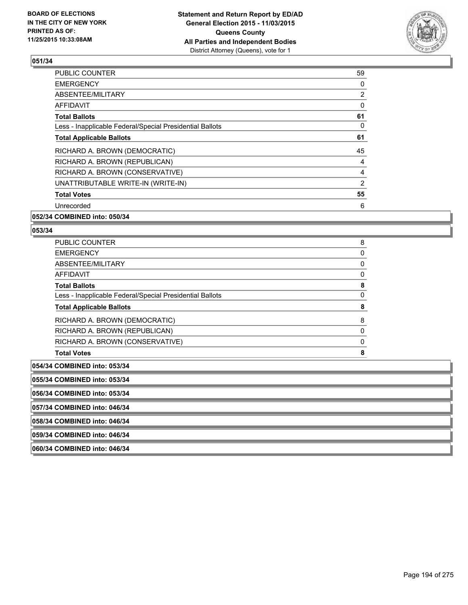

| <b>PUBLIC COUNTER</b>                                    | 59             |
|----------------------------------------------------------|----------------|
| <b>EMERGENCY</b>                                         | 0              |
| ABSENTEE/MILITARY                                        | $\overline{2}$ |
| AFFIDAVIT                                                | 0              |
| <b>Total Ballots</b>                                     | 61             |
| Less - Inapplicable Federal/Special Presidential Ballots | 0              |
| <b>Total Applicable Ballots</b>                          | 61             |
| RICHARD A. BROWN (DEMOCRATIC)                            | 45             |
| RICHARD A. BROWN (REPUBLICAN)                            | 4              |
| RICHARD A. BROWN (CONSERVATIVE)                          | 4              |
| UNATTRIBUTABLE WRITE-IN (WRITE-IN)                       | 2              |
| <b>Total Votes</b>                                       | 55             |
| Unrecorded                                               | 6              |
|                                                          |                |

### **052/34 COMBINED into: 050/34**

#### **053/34**

| PUBLIC COUNTER                                           | 8        |
|----------------------------------------------------------|----------|
| <b>EMERGENCY</b>                                         | 0        |
| ABSENTEE/MILITARY                                        | 0        |
| <b>AFFIDAVIT</b>                                         | 0        |
| <b>Total Ballots</b>                                     | 8        |
| Less - Inapplicable Federal/Special Presidential Ballots | $\Omega$ |
| <b>Total Applicable Ballots</b>                          | 8        |
| RICHARD A. BROWN (DEMOCRATIC)                            | 8        |
| RICHARD A. BROWN (REPUBLICAN)                            | 0        |
| RICHARD A. BROWN (CONSERVATIVE)                          | 0        |
| <b>Total Votes</b>                                       | 8        |

|  |  | 054/34 COMBINED into: 053/34 |  |
|--|--|------------------------------|--|
|--|--|------------------------------|--|

**055/34 COMBINED into: 053/34**

**056/34 COMBINED into: 053/34**

**057/34 COMBINED into: 046/34**

**058/34 COMBINED into: 046/34**

**059/34 COMBINED into: 046/34**

**060/34 COMBINED into: 046/34**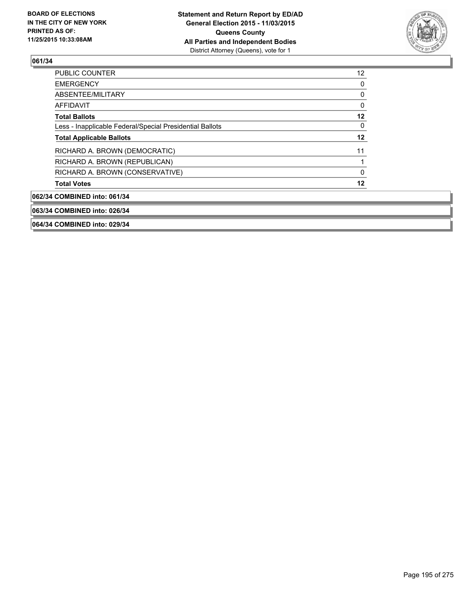

| 064/34 COMBINED into: 029/34                             |          |
|----------------------------------------------------------|----------|
| 063/34 COMBINED into: 026/34                             |          |
| 062/34 COMBINED into: 061/34                             |          |
| <b>Total Votes</b>                                       | 12       |
| RICHARD A. BROWN (CONSERVATIVE)                          | $\Omega$ |
| RICHARD A. BROWN (REPUBLICAN)                            |          |
| RICHARD A. BROWN (DEMOCRATIC)                            | 11       |
| <b>Total Applicable Ballots</b>                          | $12 \,$  |
| Less - Inapplicable Federal/Special Presidential Ballots | 0        |
| <b>Total Ballots</b>                                     | 12       |
| <b>AFFIDAVIT</b>                                         | 0        |
| ABSENTEE/MILITARY                                        | 0        |
| <b>EMERGENCY</b>                                         | 0        |
| <b>PUBLIC COUNTER</b>                                    | 12       |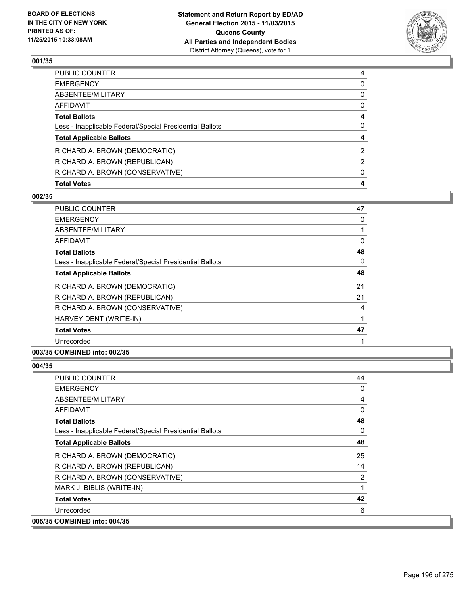

| PUBLIC COUNTER                                           | 4              |
|----------------------------------------------------------|----------------|
| EMERGENCY                                                | 0              |
| ABSENTEE/MILITARY                                        | $\mathbf{0}$   |
| AFFIDAVIT                                                | $\mathbf{0}$   |
| Total Ballots                                            | 4              |
| Less - Inapplicable Federal/Special Presidential Ballots | $\mathbf{0}$   |
| <b>Total Applicable Ballots</b>                          | 4              |
| RICHARD A. BROWN (DEMOCRATIC)                            | 2              |
| RICHARD A. BROWN (REPUBLICAN)                            | $\overline{2}$ |
| RICHARD A. BROWN (CONSERVATIVE)                          | $\Omega$       |
| <b>Total Votes</b>                                       | 4              |

### **002/35**

| <b>PUBLIC COUNTER</b>                                    | 47 |
|----------------------------------------------------------|----|
| <b>EMERGENCY</b>                                         | 0  |
| ABSENTEE/MILITARY                                        |    |
| <b>AFFIDAVIT</b>                                         | 0  |
| <b>Total Ballots</b>                                     | 48 |
| Less - Inapplicable Federal/Special Presidential Ballots | 0  |
| <b>Total Applicable Ballots</b>                          | 48 |
| RICHARD A. BROWN (DEMOCRATIC)                            | 21 |
| RICHARD A. BROWN (REPUBLICAN)                            | 21 |
| RICHARD A. BROWN (CONSERVATIVE)                          | 4  |
| HARVEY DENT (WRITE-IN)                                   |    |
| <b>Total Votes</b>                                       | 47 |
| Unrecorded                                               |    |
| 003/35 COMBINED into: 002/35                             |    |

| <b>PUBLIC COUNTER</b>                                    | 44 |
|----------------------------------------------------------|----|
| <b>EMERGENCY</b>                                         | 0  |
| ABSENTEE/MILITARY                                        | 4  |
| AFFIDAVIT                                                | 0  |
| <b>Total Ballots</b>                                     | 48 |
| Less - Inapplicable Federal/Special Presidential Ballots | 0  |
| <b>Total Applicable Ballots</b>                          | 48 |
| RICHARD A. BROWN (DEMOCRATIC)                            | 25 |
| RICHARD A. BROWN (REPUBLICAN)                            | 14 |
| RICHARD A. BROWN (CONSERVATIVE)                          | 2  |
| MARK J. BIBLIS (WRITE-IN)                                | 1  |
| <b>Total Votes</b>                                       | 42 |
| Unrecorded                                               | 6  |
| 005/35 COMBINED into: 004/35                             |    |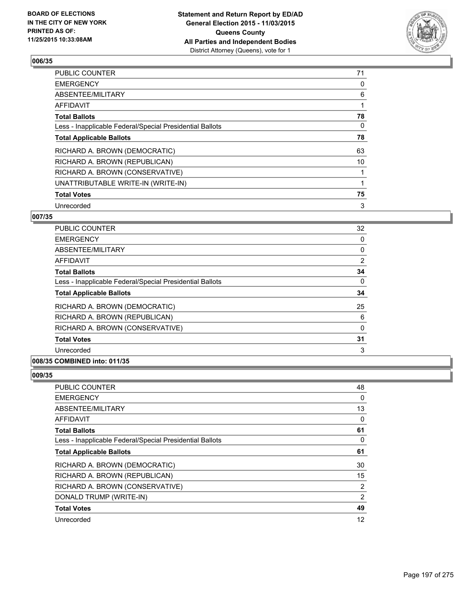

| PUBLIC COUNTER                                           | 71 |
|----------------------------------------------------------|----|
| <b>EMERGENCY</b>                                         | 0  |
| ABSENTEE/MILITARY                                        | 6  |
| AFFIDAVIT                                                |    |
| <b>Total Ballots</b>                                     | 78 |
| Less - Inapplicable Federal/Special Presidential Ballots | 0  |
| <b>Total Applicable Ballots</b>                          | 78 |
| RICHARD A. BROWN (DEMOCRATIC)                            | 63 |
| RICHARD A. BROWN (REPUBLICAN)                            | 10 |
| RICHARD A. BROWN (CONSERVATIVE)                          |    |
| UNATTRIBUTABLE WRITE-IN (WRITE-IN)                       | 1  |
| <b>Total Votes</b>                                       | 75 |
| Unrecorded                                               | 3  |

#### **007/35**

| <b>PUBLIC COUNTER</b>                                    | 32             |
|----------------------------------------------------------|----------------|
| <b>EMERGENCY</b>                                         | 0              |
| ABSENTEE/MILITARY                                        | 0              |
| AFFIDAVIT                                                | $\overline{2}$ |
| <b>Total Ballots</b>                                     | 34             |
| Less - Inapplicable Federal/Special Presidential Ballots | $\Omega$       |
| <b>Total Applicable Ballots</b>                          | 34             |
| RICHARD A. BROWN (DEMOCRATIC)                            | 25             |
| RICHARD A. BROWN (REPUBLICAN)                            | 6              |
| RICHARD A. BROWN (CONSERVATIVE)                          | $\Omega$       |
| <b>Total Votes</b>                                       | 31             |
| Unrecorded                                               | 3              |

# **008/35 COMBINED into: 011/35**

| <b>PUBLIC COUNTER</b>                                    | 48             |
|----------------------------------------------------------|----------------|
| <b>EMERGENCY</b>                                         | 0              |
| <b>ABSENTEE/MILITARY</b>                                 | 13             |
| <b>AFFIDAVIT</b>                                         | 0              |
| <b>Total Ballots</b>                                     | 61             |
| Less - Inapplicable Federal/Special Presidential Ballots | $\Omega$       |
| <b>Total Applicable Ballots</b>                          | 61             |
| RICHARD A. BROWN (DEMOCRATIC)                            | 30             |
| RICHARD A. BROWN (REPUBLICAN)                            | 15             |
| RICHARD A. BROWN (CONSERVATIVE)                          | $\overline{2}$ |
| DONALD TRUMP (WRITE-IN)                                  | $\overline{2}$ |
| <b>Total Votes</b>                                       | 49             |
| Unrecorded                                               | 12             |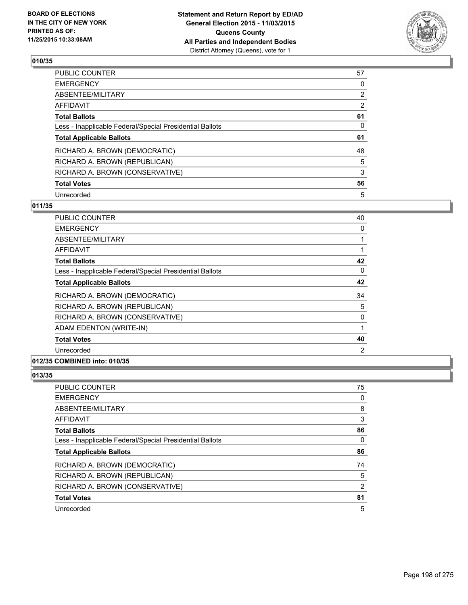

| PUBLIC COUNTER                                           | 57             |
|----------------------------------------------------------|----------------|
| <b>EMERGENCY</b>                                         | 0              |
| ABSENTEE/MILITARY                                        | $\overline{2}$ |
| <b>AFFIDAVIT</b>                                         | 2              |
| <b>Total Ballots</b>                                     | 61             |
| Less - Inapplicable Federal/Special Presidential Ballots | 0              |
| <b>Total Applicable Ballots</b>                          | 61             |
| RICHARD A. BROWN (DEMOCRATIC)                            | 48             |
| RICHARD A. BROWN (REPUBLICAN)                            | 5              |
| RICHARD A. BROWN (CONSERVATIVE)                          | 3              |
| <b>Total Votes</b>                                       | 56             |
| Unrecorded                                               | 5              |

# **011/35**

| PUBLIC COUNTER                                           | 40       |
|----------------------------------------------------------|----------|
| <b>EMERGENCY</b>                                         | 0        |
| ABSENTEE/MILITARY                                        |          |
| <b>AFFIDAVIT</b>                                         |          |
| <b>Total Ballots</b>                                     | 42       |
| Less - Inapplicable Federal/Special Presidential Ballots | $\Omega$ |
| <b>Total Applicable Ballots</b>                          | 42       |
| RICHARD A. BROWN (DEMOCRATIC)                            | 34       |
| RICHARD A. BROWN (REPUBLICAN)                            | 5        |
| RICHARD A. BROWN (CONSERVATIVE)                          | 0        |
| ADAM EDENTON (WRITE-IN)                                  |          |
| <b>Total Votes</b>                                       | 40       |
| Unrecorded                                               | 2        |

# **012/35 COMBINED into: 010/35**

| <b>PUBLIC COUNTER</b>                                    | 75 |
|----------------------------------------------------------|----|
| <b>EMERGENCY</b>                                         | 0  |
| ABSENTEE/MILITARY                                        | 8  |
| AFFIDAVIT                                                | 3  |
| <b>Total Ballots</b>                                     | 86 |
| Less - Inapplicable Federal/Special Presidential Ballots | 0  |
| <b>Total Applicable Ballots</b>                          | 86 |
| RICHARD A. BROWN (DEMOCRATIC)                            | 74 |
| RICHARD A. BROWN (REPUBLICAN)                            | 5  |
| RICHARD A. BROWN (CONSERVATIVE)                          | 2  |
| <b>Total Votes</b>                                       | 81 |
| Unrecorded                                               | 5  |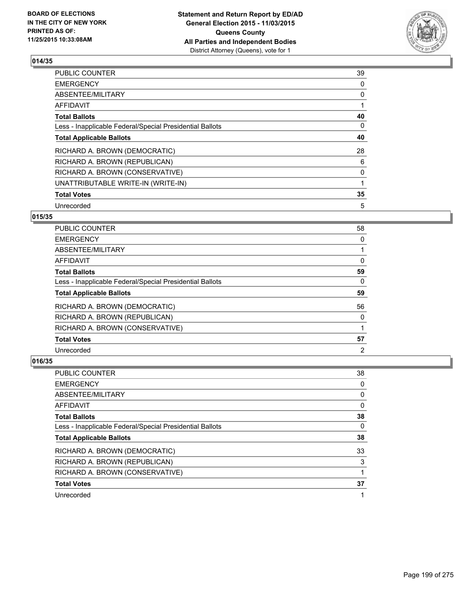

| <b>PUBLIC COUNTER</b>                                    | 39 |
|----------------------------------------------------------|----|
| <b>EMERGENCY</b>                                         | 0  |
| ABSENTEE/MILITARY                                        | 0  |
| AFFIDAVIT                                                |    |
| <b>Total Ballots</b>                                     | 40 |
| Less - Inapplicable Federal/Special Presidential Ballots | 0  |
| <b>Total Applicable Ballots</b>                          | 40 |
| RICHARD A. BROWN (DEMOCRATIC)                            | 28 |
| RICHARD A. BROWN (REPUBLICAN)                            | 6  |
| RICHARD A. BROWN (CONSERVATIVE)                          | 0  |
| UNATTRIBUTABLE WRITE-IN (WRITE-IN)                       |    |
| <b>Total Votes</b>                                       | 35 |
| Unrecorded                                               | 5  |

# **015/35**

| PUBLIC COUNTER                                           | 58             |
|----------------------------------------------------------|----------------|
| <b>EMERGENCY</b>                                         | 0              |
| ABSENTEE/MILITARY                                        |                |
| AFFIDAVIT                                                | 0              |
| <b>Total Ballots</b>                                     | 59             |
| Less - Inapplicable Federal/Special Presidential Ballots | 0              |
| <b>Total Applicable Ballots</b>                          | 59             |
| RICHARD A. BROWN (DEMOCRATIC)                            | 56             |
| RICHARD A. BROWN (REPUBLICAN)                            | 0              |
| RICHARD A. BROWN (CONSERVATIVE)                          |                |
| <b>Total Votes</b>                                       | 57             |
| Unrecorded                                               | $\overline{2}$ |

| PUBLIC COUNTER                                           | 38 |
|----------------------------------------------------------|----|
| <b>EMERGENCY</b>                                         | 0  |
| ABSENTEE/MILITARY                                        | 0  |
| AFFIDAVIT                                                | 0  |
| <b>Total Ballots</b>                                     | 38 |
| Less - Inapplicable Federal/Special Presidential Ballots | 0  |
| <b>Total Applicable Ballots</b>                          | 38 |
| RICHARD A. BROWN (DEMOCRATIC)                            | 33 |
| RICHARD A. BROWN (REPUBLICAN)                            | 3  |
| RICHARD A. BROWN (CONSERVATIVE)                          |    |
| <b>Total Votes</b>                                       | 37 |
| Unrecorded                                               | 1  |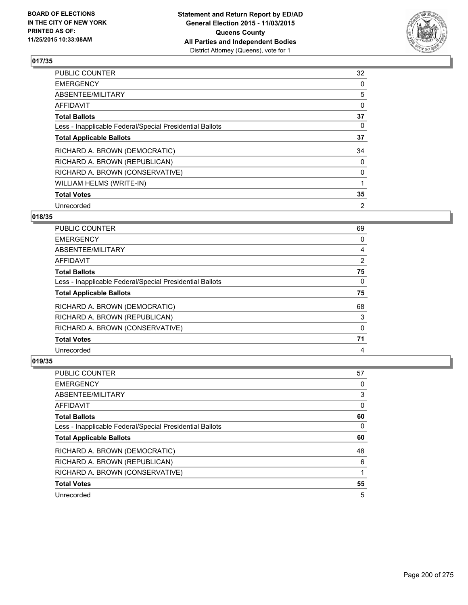

| <b>PUBLIC COUNTER</b>                                    | 32 |
|----------------------------------------------------------|----|
| <b>EMERGENCY</b>                                         | 0  |
| ABSENTEE/MILITARY                                        | 5  |
| AFFIDAVIT                                                | 0  |
| <b>Total Ballots</b>                                     | 37 |
| Less - Inapplicable Federal/Special Presidential Ballots | 0  |
| <b>Total Applicable Ballots</b>                          | 37 |
| RICHARD A. BROWN (DEMOCRATIC)                            | 34 |
| RICHARD A. BROWN (REPUBLICAN)                            | 0  |
| RICHARD A. BROWN (CONSERVATIVE)                          | 0  |
| WILLIAM HELMS (WRITE-IN)                                 |    |
| <b>Total Votes</b>                                       | 35 |
| Unrecorded                                               | 2  |

# **018/35**

| PUBLIC COUNTER                                           | 69 |
|----------------------------------------------------------|----|
| <b>EMERGENCY</b>                                         | 0  |
| ABSENTEE/MILITARY                                        | 4  |
| AFFIDAVIT                                                | 2  |
| <b>Total Ballots</b>                                     | 75 |
| Less - Inapplicable Federal/Special Presidential Ballots | 0  |
| <b>Total Applicable Ballots</b>                          | 75 |
| RICHARD A. BROWN (DEMOCRATIC)                            | 68 |
| RICHARD A. BROWN (REPUBLICAN)                            | 3  |
|                                                          |    |
| RICHARD A. BROWN (CONSERVATIVE)                          | 0  |
| <b>Total Votes</b>                                       | 71 |

| PUBLIC COUNTER                                           | 57 |
|----------------------------------------------------------|----|
| <b>EMERGENCY</b>                                         | 0  |
| ABSENTEE/MILITARY                                        | 3  |
| AFFIDAVIT                                                | 0  |
| <b>Total Ballots</b>                                     | 60 |
| Less - Inapplicable Federal/Special Presidential Ballots | 0  |
| <b>Total Applicable Ballots</b>                          | 60 |
|                                                          |    |
| RICHARD A. BROWN (DEMOCRATIC)                            | 48 |
| RICHARD A. BROWN (REPUBLICAN)                            | 6  |
| RICHARD A. BROWN (CONSERVATIVE)                          |    |
| <b>Total Votes</b>                                       | 55 |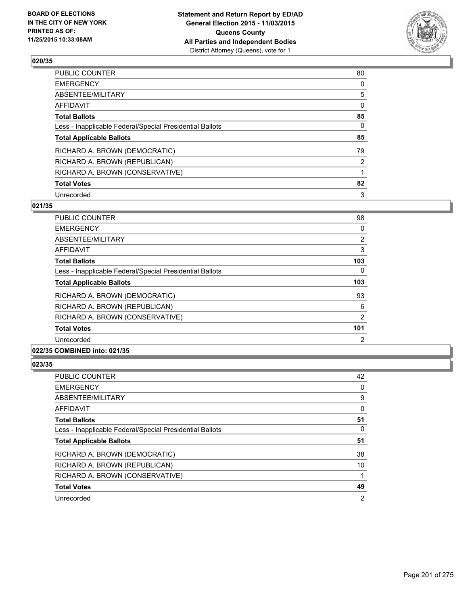

| PUBLIC COUNTER                                           | 80       |
|----------------------------------------------------------|----------|
| <b>EMERGENCY</b>                                         | 0        |
| ABSENTEE/MILITARY                                        | 5        |
| <b>AFFIDAVIT</b>                                         | $\Omega$ |
| <b>Total Ballots</b>                                     | 85       |
| Less - Inapplicable Federal/Special Presidential Ballots | $\Omega$ |
| <b>Total Applicable Ballots</b>                          | 85       |
| RICHARD A. BROWN (DEMOCRATIC)                            | 79       |
| RICHARD A. BROWN (REPUBLICAN)                            | 2        |
| RICHARD A. BROWN (CONSERVATIVE)                          |          |
| <b>Total Votes</b>                                       | 82       |
| Unrecorded                                               | 3        |

#### **021/35**

| Unrecorded                                               | 2              |
|----------------------------------------------------------|----------------|
| <b>Total Votes</b>                                       | 101            |
| RICHARD A. BROWN (CONSERVATIVE)                          | 2              |
| RICHARD A. BROWN (REPUBLICAN)                            | 6              |
| RICHARD A. BROWN (DEMOCRATIC)                            | 93             |
| <b>Total Applicable Ballots</b>                          | 103            |
| Less - Inapplicable Federal/Special Presidential Ballots | 0              |
| <b>Total Ballots</b>                                     | 103            |
| <b>AFFIDAVIT</b>                                         | 3              |
| ABSENTEE/MILITARY                                        | $\overline{2}$ |
| <b>EMERGENCY</b>                                         | 0              |
| <b>PUBLIC COUNTER</b>                                    | 98             |

#### **022/35 COMBINED into: 021/35**

| <b>PUBLIC COUNTER</b>                                    | 42 |
|----------------------------------------------------------|----|
| <b>EMERGENCY</b>                                         | 0  |
| ABSENTEE/MILITARY                                        | 9  |
| AFFIDAVIT                                                | 0  |
| <b>Total Ballots</b>                                     | 51 |
| Less - Inapplicable Federal/Special Presidential Ballots | 0  |
| <b>Total Applicable Ballots</b>                          | 51 |
| RICHARD A. BROWN (DEMOCRATIC)                            | 38 |
| RICHARD A. BROWN (REPUBLICAN)                            | 10 |
| RICHARD A. BROWN (CONSERVATIVE)                          |    |
| <b>Total Votes</b>                                       | 49 |
| Unrecorded                                               | 2  |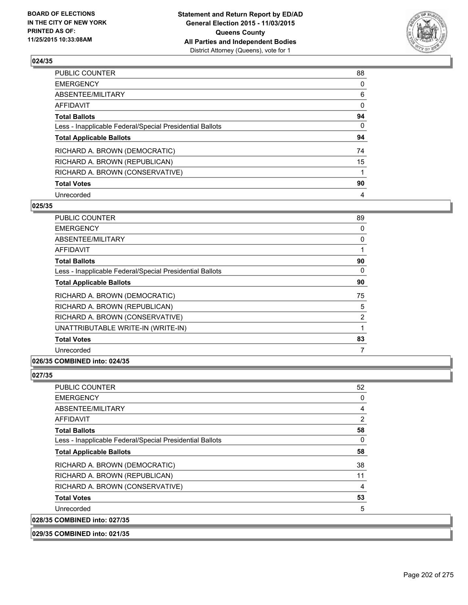

| PUBLIC COUNTER                                           | 88       |
|----------------------------------------------------------|----------|
| <b>EMERGENCY</b>                                         | 0        |
| ABSENTEE/MILITARY                                        | 6        |
| <b>AFFIDAVIT</b>                                         | 0        |
| <b>Total Ballots</b>                                     | 94       |
| Less - Inapplicable Federal/Special Presidential Ballots | $\Omega$ |
| <b>Total Applicable Ballots</b>                          | 94       |
| RICHARD A. BROWN (DEMOCRATIC)                            | 74       |
| RICHARD A. BROWN (REPUBLICAN)                            | 15       |
| RICHARD A. BROWN (CONSERVATIVE)                          |          |
| <b>Total Votes</b>                                       | 90       |
| Unrecorded                                               | 4        |

#### **025/35**

| PUBLIC COUNTER                                           | 89             |
|----------------------------------------------------------|----------------|
| <b>EMERGENCY</b>                                         | 0              |
| ABSENTEE/MILITARY                                        | 0              |
| <b>AFFIDAVIT</b>                                         |                |
| <b>Total Ballots</b>                                     | 90             |
| Less - Inapplicable Federal/Special Presidential Ballots | $\Omega$       |
| <b>Total Applicable Ballots</b>                          | 90             |
| RICHARD A. BROWN (DEMOCRATIC)                            | 75             |
| RICHARD A. BROWN (REPUBLICAN)                            | 5              |
| RICHARD A. BROWN (CONSERVATIVE)                          | $\overline{2}$ |
| UNATTRIBUTABLE WRITE-IN (WRITE-IN)                       |                |
| <b>Total Votes</b>                                       | 83             |
| Unrecorded                                               | 7              |

### **026/35 COMBINED into: 024/35**

| <b>PUBLIC COUNTER</b>                                    | 52             |
|----------------------------------------------------------|----------------|
| <b>EMERGENCY</b>                                         | 0              |
| ABSENTEE/MILITARY                                        | 4              |
| <b>AFFIDAVIT</b>                                         | $\overline{2}$ |
| <b>Total Ballots</b>                                     | 58             |
| Less - Inapplicable Federal/Special Presidential Ballots | 0              |
| <b>Total Applicable Ballots</b>                          | 58             |
| RICHARD A. BROWN (DEMOCRATIC)                            | 38             |
| RICHARD A. BROWN (REPUBLICAN)                            | 11             |
| RICHARD A. BROWN (CONSERVATIVE)                          | 4              |
| <b>Total Votes</b>                                       | 53             |
| Unrecorded                                               | 5              |
| 028/35 COMBINED into: 027/35                             |                |
| 029/35 COMBINED into: 021/35                             |                |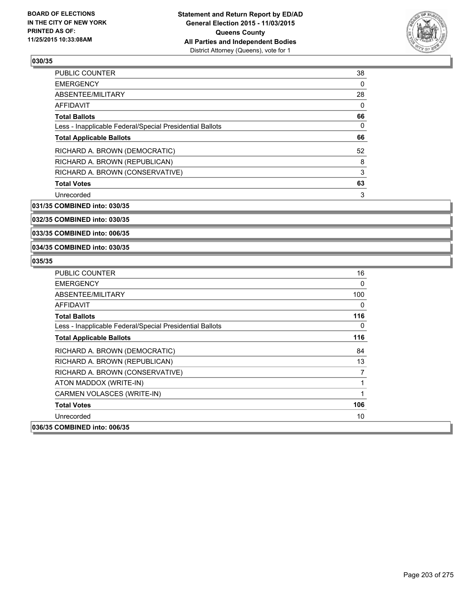

| <b>PUBLIC COUNTER</b>                                    | 38 |
|----------------------------------------------------------|----|
| <b>EMERGENCY</b>                                         | 0  |
| ABSENTEE/MILITARY                                        | 28 |
| <b>AFFIDAVIT</b>                                         | 0  |
| <b>Total Ballots</b>                                     | 66 |
| Less - Inapplicable Federal/Special Presidential Ballots | 0  |
| <b>Total Applicable Ballots</b>                          | 66 |
| RICHARD A. BROWN (DEMOCRATIC)                            | 52 |
| RICHARD A. BROWN (REPUBLICAN)                            | 8  |
| RICHARD A. BROWN (CONSERVATIVE)                          | 3  |
| <b>Total Votes</b>                                       | 63 |
| Unrecorded                                               | 3  |

**031/35 COMBINED into: 030/35**

**032/35 COMBINED into: 030/35**

**033/35 COMBINED into: 006/35**

**034/35 COMBINED into: 030/35**

| <b>PUBLIC COUNTER</b>                                    | 16  |
|----------------------------------------------------------|-----|
| <b>EMERGENCY</b>                                         | 0   |
| ABSENTEE/MILITARY                                        | 100 |
| AFFIDAVIT                                                | 0   |
| <b>Total Ballots</b>                                     | 116 |
| Less - Inapplicable Federal/Special Presidential Ballots | 0   |
| <b>Total Applicable Ballots</b>                          | 116 |
| RICHARD A. BROWN (DEMOCRATIC)                            | 84  |
| RICHARD A. BROWN (REPUBLICAN)                            | 13  |
| RICHARD A. BROWN (CONSERVATIVE)                          | 7   |
| ATON MADDOX (WRITE-IN)                                   | 1   |
| CARMEN VOLASCES (WRITE-IN)                               | 1   |
| <b>Total Votes</b>                                       | 106 |
| Unrecorded                                               | 10  |
| 036/35 COMBINED into: 006/35                             |     |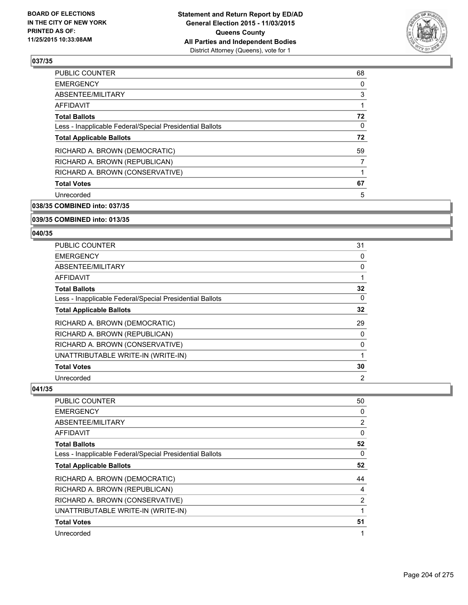

| <b>PUBLIC COUNTER</b>                                    | 68 |
|----------------------------------------------------------|----|
| <b>EMERGENCY</b>                                         | 0  |
| ABSENTEE/MILITARY                                        | 3  |
| AFFIDAVIT                                                |    |
| <b>Total Ballots</b>                                     | 72 |
| Less - Inapplicable Federal/Special Presidential Ballots | 0  |
| <b>Total Applicable Ballots</b>                          | 72 |
| RICHARD A. BROWN (DEMOCRATIC)                            | 59 |
| RICHARD A. BROWN (REPUBLICAN)                            |    |
| RICHARD A. BROWN (CONSERVATIVE)                          |    |
| <b>Total Votes</b>                                       | 67 |
| Unrecorded                                               | 5  |
|                                                          |    |

**038/35 COMBINED into: 037/35**

**039/35 COMBINED into: 013/35**

#### **040/35**

| <b>PUBLIC COUNTER</b>                                    | 31 |
|----------------------------------------------------------|----|
| <b>EMERGENCY</b>                                         | 0  |
| ABSENTEE/MILITARY                                        | 0  |
| AFFIDAVIT                                                |    |
| <b>Total Ballots</b>                                     | 32 |
| Less - Inapplicable Federal/Special Presidential Ballots | 0  |
| <b>Total Applicable Ballots</b>                          | 32 |
| RICHARD A. BROWN (DEMOCRATIC)                            | 29 |
| RICHARD A. BROWN (REPUBLICAN)                            | 0  |
| RICHARD A. BROWN (CONSERVATIVE)                          | 0  |
| UNATTRIBUTABLE WRITE-IN (WRITE-IN)                       |    |
| <b>Total Votes</b>                                       | 30 |
| Unrecorded                                               | 2  |

| PUBLIC COUNTER                                           | 50 |
|----------------------------------------------------------|----|
| <b>EMERGENCY</b>                                         | 0  |
| ABSENTEE/MILITARY                                        | 2  |
| AFFIDAVIT                                                | 0  |
| <b>Total Ballots</b>                                     | 52 |
| Less - Inapplicable Federal/Special Presidential Ballots | 0  |
| <b>Total Applicable Ballots</b>                          | 52 |
| RICHARD A. BROWN (DEMOCRATIC)                            | 44 |
| RICHARD A. BROWN (REPUBLICAN)                            | 4  |
| RICHARD A. BROWN (CONSERVATIVE)                          | 2  |
| UNATTRIBUTABLE WRITE-IN (WRITE-IN)                       | 1  |
| <b>Total Votes</b>                                       | 51 |
| Unrecorded                                               | 1  |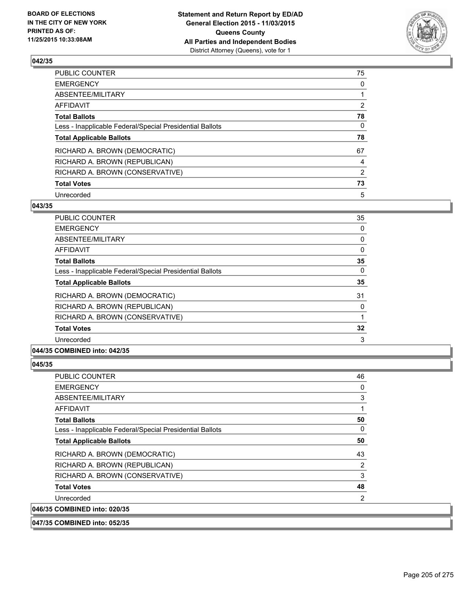

| PUBLIC COUNTER                                           | 75             |
|----------------------------------------------------------|----------------|
| <b>EMERGENCY</b>                                         | 0              |
| ABSENTEE/MILITARY                                        |                |
| AFFIDAVIT                                                | 2              |
| <b>Total Ballots</b>                                     | 78             |
| Less - Inapplicable Federal/Special Presidential Ballots | $\Omega$       |
| <b>Total Applicable Ballots</b>                          | 78             |
| RICHARD A. BROWN (DEMOCRATIC)                            | 67             |
| RICHARD A. BROWN (REPUBLICAN)                            | 4              |
| RICHARD A. BROWN (CONSERVATIVE)                          | $\overline{2}$ |
| <b>Total Votes</b>                                       | 73             |
| Unrecorded                                               | 5              |

#### **043/35**

| PUBLIC COUNTER                                           | 35 |
|----------------------------------------------------------|----|
| <b>EMERGENCY</b>                                         | 0  |
| ABSENTEE/MILITARY                                        | 0  |
| AFFIDAVIT                                                | 0  |
| <b>Total Ballots</b>                                     | 35 |
| Less - Inapplicable Federal/Special Presidential Ballots | 0  |
| <b>Total Applicable Ballots</b>                          | 35 |
| RICHARD A. BROWN (DEMOCRATIC)                            | 31 |
| RICHARD A. BROWN (REPUBLICAN)                            | 0  |
| RICHARD A. BROWN (CONSERVATIVE)                          |    |
| <b>Total Votes</b>                                       | 32 |
| Unrecorded                                               | 3  |
|                                                          |    |

### **044/35 COMBINED into: 042/35**

| PUBLIC COUNTER                                           | 46             |
|----------------------------------------------------------|----------------|
| <b>EMERGENCY</b>                                         | 0              |
| ABSENTEE/MILITARY                                        | 3              |
| AFFIDAVIT                                                |                |
| <b>Total Ballots</b>                                     | 50             |
| Less - Inapplicable Federal/Special Presidential Ballots | 0              |
| <b>Total Applicable Ballots</b>                          | 50             |
| RICHARD A. BROWN (DEMOCRATIC)                            | 43             |
| RICHARD A. BROWN (REPUBLICAN)                            | $\overline{2}$ |
| RICHARD A. BROWN (CONSERVATIVE)                          | 3              |
| <b>Total Votes</b>                                       | 48             |
| Unrecorded                                               | 2              |
| 046/35 COMBINED into: 020/35                             |                |
| 047/35 COMBINED into: 052/35                             |                |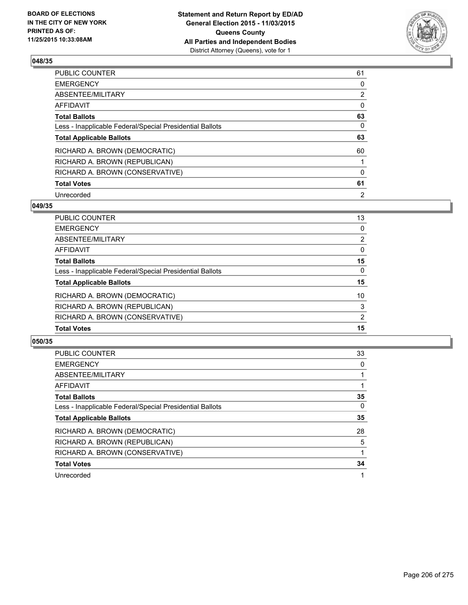

| PUBLIC COUNTER                                           | 61             |
|----------------------------------------------------------|----------------|
| <b>EMERGENCY</b>                                         | 0              |
| ABSENTEE/MILITARY                                        | $\overline{2}$ |
| <b>AFFIDAVIT</b>                                         | $\Omega$       |
| <b>Total Ballots</b>                                     | 63             |
| Less - Inapplicable Federal/Special Presidential Ballots | 0              |
| <b>Total Applicable Ballots</b>                          | 63             |
| RICHARD A. BROWN (DEMOCRATIC)                            | 60             |
| RICHARD A. BROWN (REPUBLICAN)                            |                |
| RICHARD A. BROWN (CONSERVATIVE)                          | $\Omega$       |
| <b>Total Votes</b>                                       | 61             |
| Unrecorded                                               | 2              |

#### **049/35**

| PUBLIC COUNTER                                           | 13             |
|----------------------------------------------------------|----------------|
| EMERGENCY                                                | 0              |
| ABSENTEE/MILITARY                                        | $\overline{2}$ |
| AFFIDAVIT                                                | 0              |
| Total Ballots                                            | 15             |
| Less - Inapplicable Federal/Special Presidential Ballots | 0              |
| <b>Total Applicable Ballots</b>                          | 15             |
| RICHARD A. BROWN (DEMOCRATIC)                            | 10             |
| RICHARD A. BROWN (REPUBLICAN)                            | 3              |
| RICHARD A. BROWN (CONSERVATIVE)                          | 2              |
| <b>Total Votes</b>                                       | 15             |
|                                                          |                |

| <b>PUBLIC COUNTER</b>                                    | 33 |
|----------------------------------------------------------|----|
| <b>EMERGENCY</b>                                         | 0  |
| ABSENTEE/MILITARY                                        |    |
| AFFIDAVIT                                                |    |
| <b>Total Ballots</b>                                     | 35 |
| Less - Inapplicable Federal/Special Presidential Ballots | 0  |
| <b>Total Applicable Ballots</b>                          | 35 |
| RICHARD A. BROWN (DEMOCRATIC)                            | 28 |
| RICHARD A. BROWN (REPUBLICAN)                            | 5  |
| RICHARD A. BROWN (CONSERVATIVE)                          |    |
| <b>Total Votes</b>                                       | 34 |
| Unrecorded                                               |    |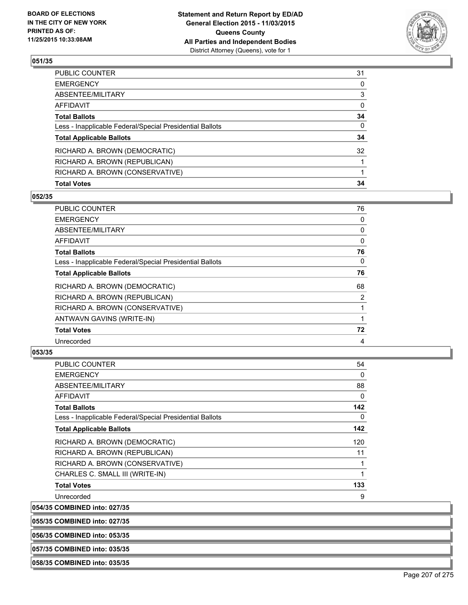

| PUBLIC COUNTER                                           | 31           |
|----------------------------------------------------------|--------------|
| EMERGENCY                                                | $\mathbf{0}$ |
| ABSENTEE/MILITARY                                        | 3            |
| AFFIDAVIT                                                | 0            |
| <b>Total Ballots</b>                                     | 34           |
| Less - Inapplicable Federal/Special Presidential Ballots | $\mathbf{0}$ |
| <b>Total Applicable Ballots</b>                          | 34           |
| RICHARD A. BROWN (DEMOCRATIC)                            | 32           |
| RICHARD A. BROWN (REPUBLICAN)                            |              |
| RICHARD A. BROWN (CONSERVATIVE)                          |              |
| <b>Total Votes</b>                                       | 34           |

### **052/35**

| PUBLIC COUNTER                                           | 76             |
|----------------------------------------------------------|----------------|
| EMERGENCY                                                | 0              |
| ABSENTEE/MILITARY                                        | 0              |
| AFFIDAVIT                                                | $\mathbf 0$    |
| <b>Total Ballots</b>                                     | 76             |
| Less - Inapplicable Federal/Special Presidential Ballots | 0              |
| <b>Total Applicable Ballots</b>                          | 76             |
| RICHARD A. BROWN (DEMOCRATIC)                            | 68             |
| RICHARD A. BROWN (REPUBLICAN)                            | $\overline{2}$ |
| RICHARD A. BROWN (CONSERVATIVE)                          | 1              |
| ANTWAVN GAVINS (WRITE-IN)                                |                |
| <b>Total Votes</b>                                       | 72             |
| Unrecorded                                               | 4              |
|                                                          |                |

# **053/35**

| PUBLIC COUNTER                                           | 54       |
|----------------------------------------------------------|----------|
| <b>EMERGENCY</b>                                         | 0        |
| <b>ABSENTEE/MILITARY</b>                                 | 88       |
| AFFIDAVIT                                                | $\Omega$ |
| <b>Total Ballots</b>                                     | 142      |
| Less - Inapplicable Federal/Special Presidential Ballots | $\Omega$ |
| <b>Total Applicable Ballots</b>                          | 142      |
| RICHARD A. BROWN (DEMOCRATIC)                            | 120      |
| RICHARD A. BROWN (REPUBLICAN)                            | 11       |
| RICHARD A. BROWN (CONSERVATIVE)                          | 1        |
| CHARLES C. SMALL III (WRITE-IN)                          | 1        |
| <b>Total Votes</b>                                       | 133      |
| Unrecorded                                               | 9        |
| 054/35 COMBINED into: 027/35                             |          |

**055/35 COMBINED into: 027/35**

**056/35 COMBINED into: 053/35**

**057/35 COMBINED into: 035/35**

**058/35 COMBINED into: 035/35**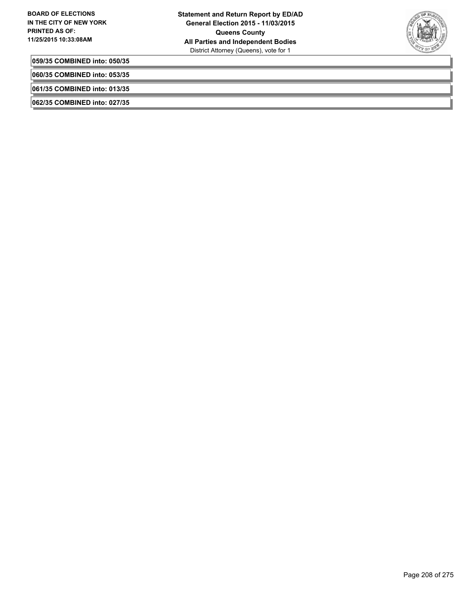

**059/35 COMBINED into: 050/35**

**060/35 COMBINED into: 053/35**

**061/35 COMBINED into: 013/35**

**062/35 COMBINED into: 027/35**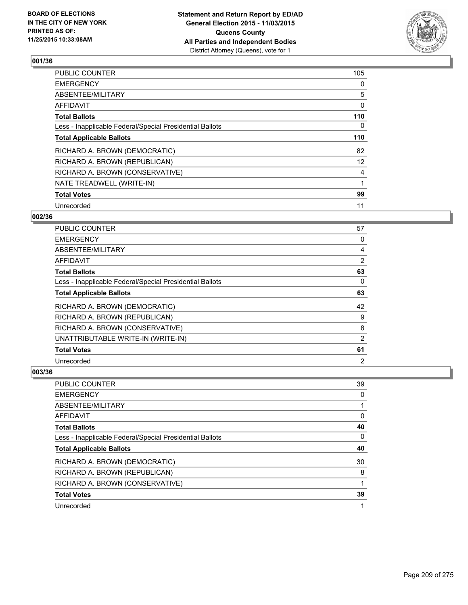

| <b>PUBLIC COUNTER</b>                                    | 105 |
|----------------------------------------------------------|-----|
| <b>EMERGENCY</b>                                         | 0   |
| ABSENTEE/MILITARY                                        | 5   |
| AFFIDAVIT                                                | 0   |
| <b>Total Ballots</b>                                     | 110 |
| Less - Inapplicable Federal/Special Presidential Ballots | 0   |
| <b>Total Applicable Ballots</b>                          | 110 |
| RICHARD A. BROWN (DEMOCRATIC)                            | 82  |
| RICHARD A. BROWN (REPUBLICAN)                            | 12  |
| RICHARD A. BROWN (CONSERVATIVE)                          | 4   |
| NATE TREADWELL (WRITE-IN)                                |     |
| <b>Total Votes</b>                                       | 99  |
| Unrecorded                                               | 11  |

## **002/36**

| PUBLIC COUNTER                                           | 57             |
|----------------------------------------------------------|----------------|
| <b>EMERGENCY</b>                                         | 0              |
| ABSENTEE/MILITARY                                        | 4              |
| <b>AFFIDAVIT</b>                                         | 2              |
| <b>Total Ballots</b>                                     | 63             |
| Less - Inapplicable Federal/Special Presidential Ballots | 0              |
| <b>Total Applicable Ballots</b>                          | 63             |
| RICHARD A. BROWN (DEMOCRATIC)                            | 42             |
| RICHARD A. BROWN (REPUBLICAN)                            | 9              |
| RICHARD A. BROWN (CONSERVATIVE)                          | 8              |
| UNATTRIBUTABLE WRITE-IN (WRITE-IN)                       | 2              |
| <b>Total Votes</b>                                       | 61             |
| Unrecorded                                               | $\overline{2}$ |

| <b>PUBLIC COUNTER</b>                                    | 39 |
|----------------------------------------------------------|----|
| <b>EMERGENCY</b>                                         | 0  |
| ABSENTEE/MILITARY                                        |    |
| AFFIDAVIT                                                | 0  |
| <b>Total Ballots</b>                                     | 40 |
| Less - Inapplicable Federal/Special Presidential Ballots | 0  |
| <b>Total Applicable Ballots</b>                          | 40 |
| RICHARD A. BROWN (DEMOCRATIC)                            | 30 |
| RICHARD A. BROWN (REPUBLICAN)                            | 8  |
| RICHARD A. BROWN (CONSERVATIVE)                          | 1  |
| <b>Total Votes</b>                                       | 39 |
|                                                          |    |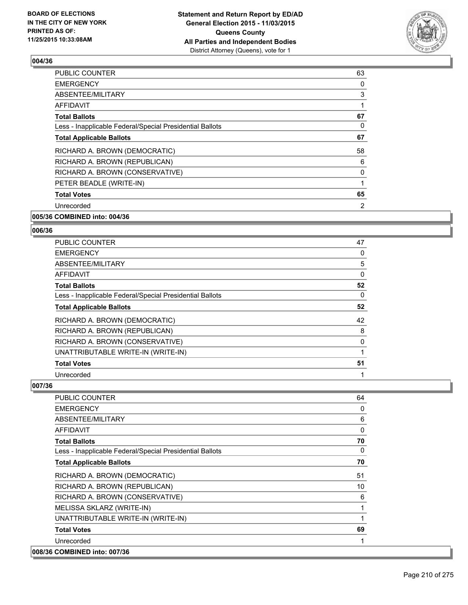

| <b>PUBLIC COUNTER</b>                                    | 63 |
|----------------------------------------------------------|----|
| <b>EMERGENCY</b>                                         | 0  |
| ABSENTEE/MILITARY                                        | 3  |
| AFFIDAVIT                                                |    |
| <b>Total Ballots</b>                                     | 67 |
| Less - Inapplicable Federal/Special Presidential Ballots | 0  |
| <b>Total Applicable Ballots</b>                          | 67 |
| RICHARD A. BROWN (DEMOCRATIC)                            | 58 |
| RICHARD A. BROWN (REPUBLICAN)                            | 6  |
| RICHARD A. BROWN (CONSERVATIVE)                          | 0  |
| PETER BEADLE (WRITE-IN)                                  | 1  |
| <b>Total Votes</b>                                       | 65 |
| Unrecorded                                               | 2  |
|                                                          |    |

# **005/36 COMBINED into: 004/36**

#### **006/36**

| PUBLIC COUNTER                                           | 47 |
|----------------------------------------------------------|----|
| <b>EMERGENCY</b>                                         | 0  |
| ABSENTEE/MILITARY                                        | 5  |
| AFFIDAVIT                                                | 0  |
| <b>Total Ballots</b>                                     | 52 |
| Less - Inapplicable Federal/Special Presidential Ballots | 0  |
| <b>Total Applicable Ballots</b>                          | 52 |
| RICHARD A. BROWN (DEMOCRATIC)                            | 42 |
| RICHARD A. BROWN (REPUBLICAN)                            | 8  |
| RICHARD A. BROWN (CONSERVATIVE)                          | 0  |
| UNATTRIBUTABLE WRITE-IN (WRITE-IN)                       |    |
| <b>Total Votes</b>                                       | 51 |
| Unrecorded                                               |    |

| <b>PUBLIC COUNTER</b>                                    | 64 |
|----------------------------------------------------------|----|
| <b>EMERGENCY</b>                                         | 0  |
| ABSENTEE/MILITARY                                        | 6  |
| <b>AFFIDAVIT</b>                                         | 0  |
| <b>Total Ballots</b>                                     | 70 |
| Less - Inapplicable Federal/Special Presidential Ballots | 0  |
| <b>Total Applicable Ballots</b>                          | 70 |
| RICHARD A. BROWN (DEMOCRATIC)                            | 51 |
| RICHARD A. BROWN (REPUBLICAN)                            | 10 |
| RICHARD A. BROWN (CONSERVATIVE)                          | 6  |
| MELISSA SKLARZ (WRITE-IN)                                |    |
| UNATTRIBUTABLE WRITE-IN (WRITE-IN)                       |    |
| <b>Total Votes</b>                                       | 69 |
| Unrecorded                                               |    |
| 008/36 COMBINED into: 007/36                             |    |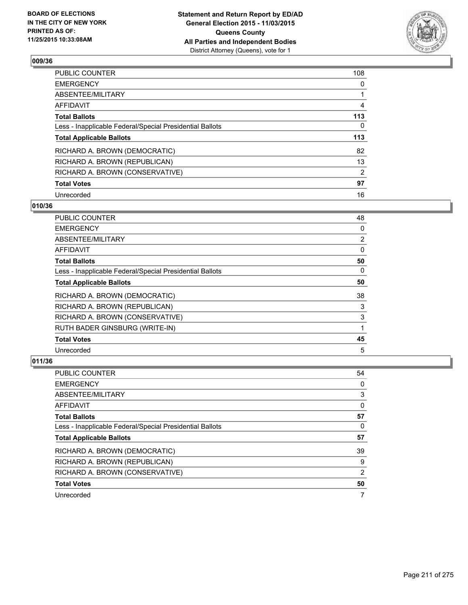

| PUBLIC COUNTER                                           | 108            |
|----------------------------------------------------------|----------------|
| <b>EMERGENCY</b>                                         | 0              |
| ABSENTEE/MILITARY                                        |                |
| <b>AFFIDAVIT</b>                                         | 4              |
| <b>Total Ballots</b>                                     | 113            |
| Less - Inapplicable Federal/Special Presidential Ballots | 0              |
| <b>Total Applicable Ballots</b>                          | 113            |
| RICHARD A. BROWN (DEMOCRATIC)                            | 82             |
| RICHARD A. BROWN (REPUBLICAN)                            | 13             |
| RICHARD A. BROWN (CONSERVATIVE)                          | $\overline{2}$ |
| <b>Total Votes</b>                                       | 97             |
| Unrecorded                                               | 16             |

# **010/36**

| <b>PUBLIC COUNTER</b>                                    | 48             |
|----------------------------------------------------------|----------------|
| <b>EMERGENCY</b>                                         | 0              |
| ABSENTEE/MILITARY                                        | $\overline{2}$ |
| <b>AFFIDAVIT</b>                                         | 0              |
| <b>Total Ballots</b>                                     | 50             |
| Less - Inapplicable Federal/Special Presidential Ballots | 0              |
| <b>Total Applicable Ballots</b>                          | 50             |
| RICHARD A. BROWN (DEMOCRATIC)                            | 38             |
| RICHARD A. BROWN (REPUBLICAN)                            | 3              |
| RICHARD A. BROWN (CONSERVATIVE)                          | 3              |
| RUTH BADER GINSBURG (WRITE-IN)                           |                |
| <b>Total Votes</b>                                       | 45             |
| Unrecorded                                               | 5              |

| <b>PUBLIC COUNTER</b>                                    | 54 |
|----------------------------------------------------------|----|
| <b>EMERGENCY</b>                                         | 0  |
| ABSENTEE/MILITARY                                        | 3  |
| AFFIDAVIT                                                | 0  |
| <b>Total Ballots</b>                                     | 57 |
| Less - Inapplicable Federal/Special Presidential Ballots | 0  |
| <b>Total Applicable Ballots</b>                          | 57 |
| RICHARD A. BROWN (DEMOCRATIC)                            | 39 |
| RICHARD A. BROWN (REPUBLICAN)                            | 9  |
| RICHARD A. BROWN (CONSERVATIVE)                          | 2  |
| <b>Total Votes</b>                                       | 50 |
| Unrecorded                                               | 7  |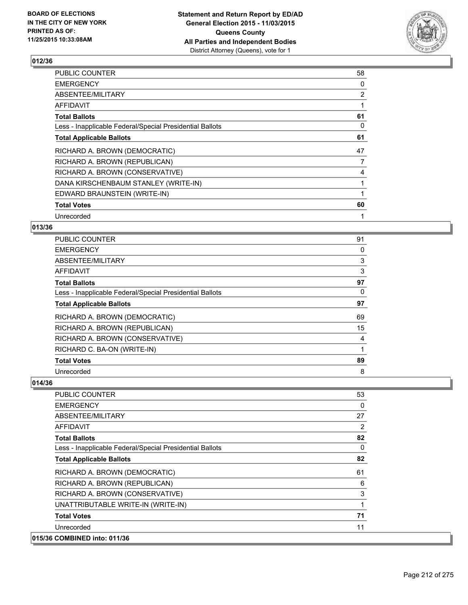

| <b>PUBLIC COUNTER</b>                                    | 58             |
|----------------------------------------------------------|----------------|
| <b>EMERGENCY</b>                                         | 0              |
| ABSENTEE/MILITARY                                        | $\overline{2}$ |
| AFFIDAVIT                                                |                |
| <b>Total Ballots</b>                                     | 61             |
| Less - Inapplicable Federal/Special Presidential Ballots | 0              |
| <b>Total Applicable Ballots</b>                          | 61             |
| RICHARD A. BROWN (DEMOCRATIC)                            | 47             |
| RICHARD A. BROWN (REPUBLICAN)                            | 7              |
| RICHARD A. BROWN (CONSERVATIVE)                          | 4              |
| DANA KIRSCHENBAUM STANLEY (WRITE-IN)                     |                |
| EDWARD BRAUNSTEIN (WRITE-IN)                             |                |
| <b>Total Votes</b>                                       | 60             |
| Unrecorded                                               | 1              |

# **013/36**

| <b>PUBLIC COUNTER</b>                                    | 91 |
|----------------------------------------------------------|----|
| <b>EMERGENCY</b>                                         | 0  |
| ABSENTEE/MILITARY                                        | 3  |
| <b>AFFIDAVIT</b>                                         | 3  |
| <b>Total Ballots</b>                                     | 97 |
| Less - Inapplicable Federal/Special Presidential Ballots | 0  |
| <b>Total Applicable Ballots</b>                          | 97 |
| RICHARD A. BROWN (DEMOCRATIC)                            | 69 |
| RICHARD A. BROWN (REPUBLICAN)                            | 15 |
| RICHARD A. BROWN (CONSERVATIVE)                          | 4  |
| RICHARD C. BA-ON (WRITE-IN)                              |    |
| <b>Total Votes</b>                                       | 89 |
| Unrecorded                                               | 8  |

| <b>PUBLIC COUNTER</b>                                    | 53       |
|----------------------------------------------------------|----------|
| <b>EMERGENCY</b>                                         | 0        |
| ABSENTEE/MILITARY                                        | 27       |
| <b>AFFIDAVIT</b>                                         | 2        |
| <b>Total Ballots</b>                                     | 82       |
| Less - Inapplicable Federal/Special Presidential Ballots | $\Omega$ |
| <b>Total Applicable Ballots</b>                          | 82       |
| RICHARD A. BROWN (DEMOCRATIC)                            | 61       |
| RICHARD A. BROWN (REPUBLICAN)                            | 6        |
| RICHARD A. BROWN (CONSERVATIVE)                          | 3        |
| UNATTRIBUTABLE WRITE-IN (WRITE-IN)                       | 1        |
| <b>Total Votes</b>                                       | 71       |
| Unrecorded                                               | 11       |
| 015/36 COMBINED into: 011/36                             |          |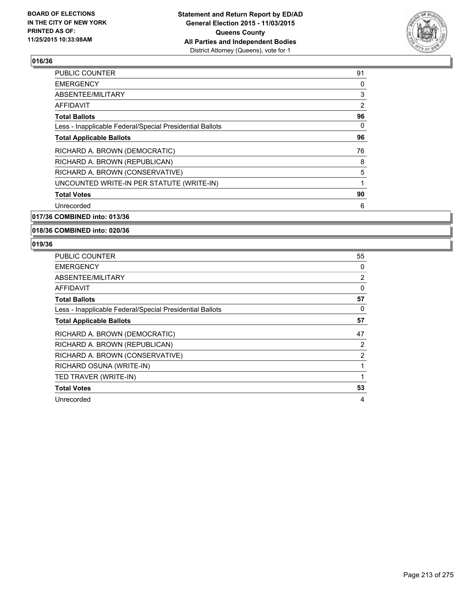

| <b>PUBLIC COUNTER</b>                                    | 91 |
|----------------------------------------------------------|----|
| <b>EMERGENCY</b>                                         | 0  |
| ABSENTEE/MILITARY                                        | 3  |
| AFFIDAVIT                                                | 2  |
| <b>Total Ballots</b>                                     | 96 |
| Less - Inapplicable Federal/Special Presidential Ballots | 0  |
| <b>Total Applicable Ballots</b>                          | 96 |
| RICHARD A. BROWN (DEMOCRATIC)                            | 76 |
| RICHARD A. BROWN (REPUBLICAN)                            | 8  |
| RICHARD A. BROWN (CONSERVATIVE)                          | 5  |
| UNCOUNTED WRITE-IN PER STATUTE (WRITE-IN)                |    |
| <b>Total Votes</b>                                       | 90 |
| Unrecorded                                               | 6  |
|                                                          |    |

**017/36 COMBINED into: 013/36**

#### **018/36 COMBINED into: 020/36**

| <b>PUBLIC COUNTER</b>                                    | 55 |
|----------------------------------------------------------|----|
| <b>EMERGENCY</b>                                         | 0  |
| ABSENTEE/MILITARY                                        | 2  |
| AFFIDAVIT                                                | 0  |
| <b>Total Ballots</b>                                     | 57 |
| Less - Inapplicable Federal/Special Presidential Ballots | 0  |
| <b>Total Applicable Ballots</b>                          | 57 |
| RICHARD A. BROWN (DEMOCRATIC)                            | 47 |
| RICHARD A. BROWN (REPUBLICAN)                            | 2  |
| RICHARD A. BROWN (CONSERVATIVE)                          | 2  |
| RICHARD OSUNA (WRITE-IN)                                 | 1  |
| TED TRAVER (WRITE-IN)                                    |    |
| <b>Total Votes</b>                                       | 53 |
| Unrecorded                                               | 4  |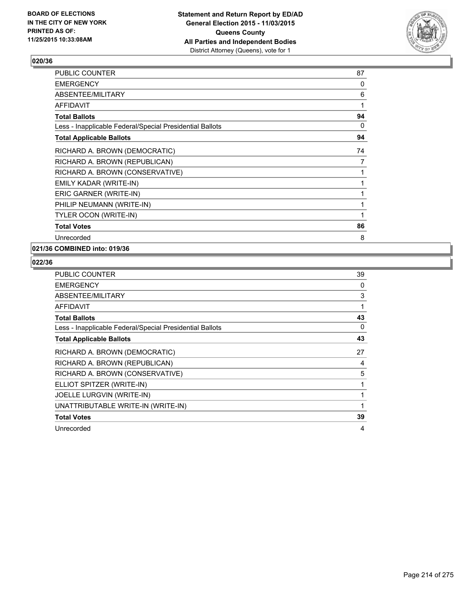

| PUBLIC COUNTER                                           | 87 |
|----------------------------------------------------------|----|
| <b>EMERGENCY</b>                                         | 0  |
| ABSENTEE/MILITARY                                        | 6  |
| <b>AFFIDAVIT</b>                                         | 1  |
| <b>Total Ballots</b>                                     | 94 |
| Less - Inapplicable Federal/Special Presidential Ballots | 0  |
| <b>Total Applicable Ballots</b>                          | 94 |
| RICHARD A. BROWN (DEMOCRATIC)                            | 74 |
| RICHARD A. BROWN (REPUBLICAN)                            | 7  |
| RICHARD A. BROWN (CONSERVATIVE)                          | 1  |
| EMILY KADAR (WRITE-IN)                                   |    |
| ERIC GARNER (WRITE-IN)                                   |    |
| PHILIP NEUMANN (WRITE-IN)                                | 1  |
| TYLER OCON (WRITE-IN)                                    | 1  |
| <b>Total Votes</b>                                       | 86 |
| Unrecorded                                               | 8  |
|                                                          |    |

# **021/36 COMBINED into: 019/36**

| PUBLIC COUNTER                                           | 39 |
|----------------------------------------------------------|----|
| <b>EMERGENCY</b>                                         | 0  |
| ABSENTEE/MILITARY                                        | 3  |
| AFFIDAVIT                                                |    |
| <b>Total Ballots</b>                                     | 43 |
| Less - Inapplicable Federal/Special Presidential Ballots | 0  |
| <b>Total Applicable Ballots</b>                          | 43 |
| RICHARD A. BROWN (DEMOCRATIC)                            | 27 |
| RICHARD A. BROWN (REPUBLICAN)                            | 4  |
| RICHARD A. BROWN (CONSERVATIVE)                          | 5  |
| ELLIOT SPITZER (WRITE-IN)                                |    |
| JOELLE LURGVIN (WRITE-IN)                                |    |
| UNATTRIBUTABLE WRITE-IN (WRITE-IN)                       | 1  |
| <b>Total Votes</b>                                       | 39 |
| Unrecorded                                               | 4  |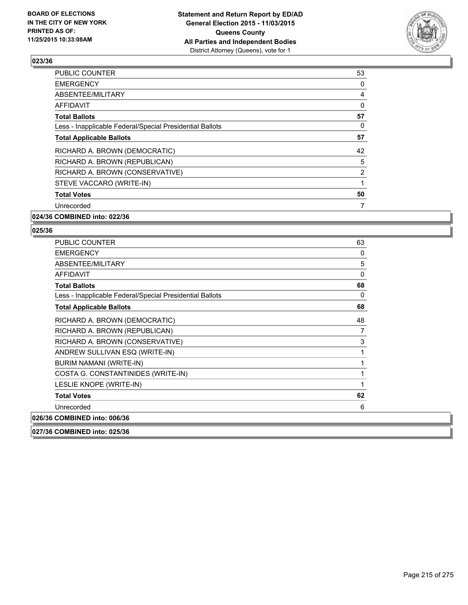

| <b>PUBLIC COUNTER</b>                                    | 53 |
|----------------------------------------------------------|----|
| <b>EMERGENCY</b>                                         | 0  |
| ABSENTEE/MILITARY                                        | 4  |
| AFFIDAVIT                                                | 0  |
| <b>Total Ballots</b>                                     | 57 |
| Less - Inapplicable Federal/Special Presidential Ballots | 0  |
| <b>Total Applicable Ballots</b>                          | 57 |
| RICHARD A. BROWN (DEMOCRATIC)                            | 42 |
| RICHARD A. BROWN (REPUBLICAN)                            | 5  |
| RICHARD A. BROWN (CONSERVATIVE)                          | 2  |
| STEVE VACCARO (WRITE-IN)                                 |    |
| <b>Total Votes</b>                                       | 50 |
| Unrecorded                                               | 7  |
|                                                          |    |

# **024/36 COMBINED into: 022/36**

| 027/36 COMBINED into: 025/36                             |    |
|----------------------------------------------------------|----|
| 026/36 COMBINED into: 006/36                             |    |
| Unrecorded                                               | 6  |
| <b>Total Votes</b>                                       | 62 |
| LESLIE KNOPE (WRITE-IN)                                  | 1  |
| COSTA G. CONSTANTINIDES (WRITE-IN)                       | 1  |
| <b>BURIM NAMANI (WRITE-IN)</b>                           | 1  |
| ANDREW SULLIVAN ESQ (WRITE-IN)                           | 1  |
| RICHARD A. BROWN (CONSERVATIVE)                          | 3  |
| RICHARD A. BROWN (REPUBLICAN)                            | 7  |
| RICHARD A. BROWN (DEMOCRATIC)                            | 48 |
| <b>Total Applicable Ballots</b>                          | 68 |
| Less - Inapplicable Federal/Special Presidential Ballots | 0  |
| <b>Total Ballots</b>                                     | 68 |
| <b>AFFIDAVIT</b>                                         | 0  |
| ABSENTEE/MILITARY                                        | 5  |
| <b>EMERGENCY</b>                                         | 0  |
| <b>PUBLIC COUNTER</b>                                    | 63 |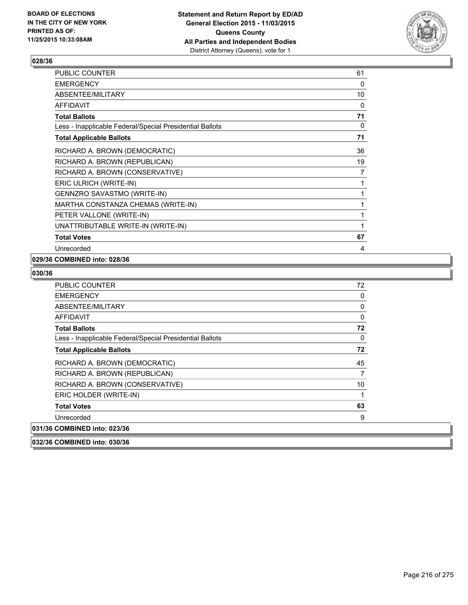

| PUBLIC COUNTER                                           | 61 |
|----------------------------------------------------------|----|
| <b>EMERGENCY</b>                                         | 0  |
| ABSENTEE/MILITARY                                        | 10 |
| <b>AFFIDAVIT</b>                                         | 0  |
| <b>Total Ballots</b>                                     | 71 |
| Less - Inapplicable Federal/Special Presidential Ballots | 0  |
| <b>Total Applicable Ballots</b>                          | 71 |
| RICHARD A. BROWN (DEMOCRATIC)                            | 36 |
| RICHARD A. BROWN (REPUBLICAN)                            | 19 |
| RICHARD A. BROWN (CONSERVATIVE)                          | 7  |
| ERIC ULRICH (WRITE-IN)                                   | 1  |
| <b>GENNZRO SAVASTMO (WRITE-IN)</b>                       | 1  |
| MARTHA CONSTANZA CHEMAS (WRITE-IN)                       | 1  |
| PETER VALLONE (WRITE-IN)                                 | 1  |
| UNATTRIBUTABLE WRITE-IN (WRITE-IN)                       | 1  |
| <b>Total Votes</b>                                       | 67 |
| Unrecorded                                               | 4  |
|                                                          |    |

### **029/36 COMBINED into: 028/36**

| <b>PUBLIC COUNTER</b>                                    | 72 |
|----------------------------------------------------------|----|
| <b>EMERGENCY</b>                                         | 0  |
| ABSENTEE/MILITARY                                        | 0  |
| AFFIDAVIT                                                | 0  |
| <b>Total Ballots</b>                                     | 72 |
| Less - Inapplicable Federal/Special Presidential Ballots | 0  |
| <b>Total Applicable Ballots</b>                          | 72 |
| RICHARD A. BROWN (DEMOCRATIC)                            | 45 |
| RICHARD A. BROWN (REPUBLICAN)                            | 7  |
| RICHARD A. BROWN (CONSERVATIVE)                          | 10 |
| ERIC HOLDER (WRITE-IN)                                   |    |
| <b>Total Votes</b>                                       | 63 |
| Unrecorded                                               | 9  |
| 031/36 COMBINED into: 023/36                             |    |
| 032/36 COMBINED into: 030/36                             |    |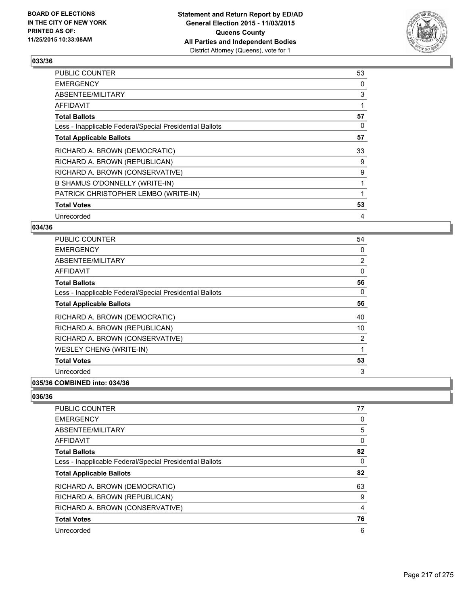

| 53 |
|----|
| 0  |
| 3  |
|    |
| 57 |
| 0  |
| 57 |
| 33 |
| 9  |
| 9  |
| 1  |
|    |
| 53 |
| 4  |
|    |

## **034/36**

| <b>PUBLIC COUNTER</b>                                    | 54             |
|----------------------------------------------------------|----------------|
| <b>EMERGENCY</b>                                         | 0              |
| ABSENTEE/MILITARY                                        | $\overline{2}$ |
| AFFIDAVIT                                                | 0              |
| <b>Total Ballots</b>                                     | 56             |
| Less - Inapplicable Federal/Special Presidential Ballots | $\Omega$       |
| <b>Total Applicable Ballots</b>                          | 56             |
| RICHARD A. BROWN (DEMOCRATIC)                            | 40             |
| RICHARD A. BROWN (REPUBLICAN)                            | 10             |
| RICHARD A. BROWN (CONSERVATIVE)                          | 2              |
| <b>WESLEY CHENG (WRITE-IN)</b>                           |                |
| <b>Total Votes</b>                                       | 53             |
| Unrecorded                                               | 3              |
| 035/36 COMBINED into: 034/36                             |                |

| 77 |
|----|
| 0  |
| 5  |
| 0  |
| 82 |
| 0  |
| 82 |
| 63 |
| 9  |
| 4  |
| 76 |
| 6  |
|    |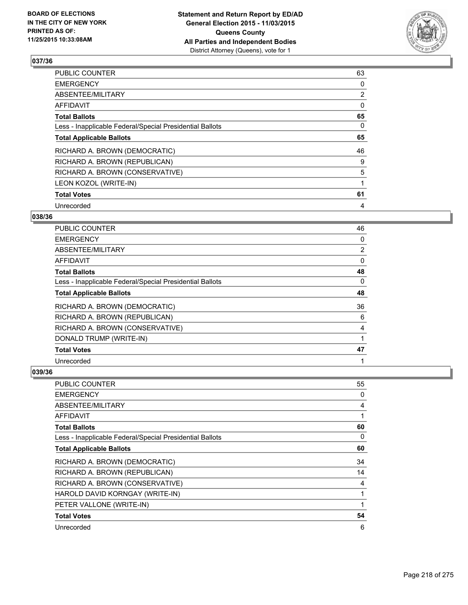

| PUBLIC COUNTER                                           | 63             |
|----------------------------------------------------------|----------------|
| <b>EMERGENCY</b>                                         | 0              |
| ABSENTEE/MILITARY                                        | $\overline{2}$ |
| <b>AFFIDAVIT</b>                                         | $\Omega$       |
| <b>Total Ballots</b>                                     | 65             |
| Less - Inapplicable Federal/Special Presidential Ballots | 0              |
| <b>Total Applicable Ballots</b>                          | 65             |
| RICHARD A. BROWN (DEMOCRATIC)                            | 46             |
| RICHARD A. BROWN (REPUBLICAN)                            | 9              |
| RICHARD A. BROWN (CONSERVATIVE)                          | 5              |
| LEON KOZOL (WRITE-IN)                                    |                |
| <b>Total Votes</b>                                       | 61             |
| Unrecorded                                               | 4              |

## **038/36**

| <b>PUBLIC COUNTER</b>                                    | 46             |
|----------------------------------------------------------|----------------|
| <b>EMERGENCY</b>                                         | 0              |
| <b>ABSENTEE/MILITARY</b>                                 | $\overline{2}$ |
| <b>AFFIDAVIT</b>                                         | 0              |
| <b>Total Ballots</b>                                     | 48             |
| Less - Inapplicable Federal/Special Presidential Ballots | $\Omega$       |
| <b>Total Applicable Ballots</b>                          | 48             |
| RICHARD A. BROWN (DEMOCRATIC)                            | 36             |
| RICHARD A. BROWN (REPUBLICAN)                            | 6              |
| RICHARD A. BROWN (CONSERVATIVE)                          | 4              |
| DONALD TRUMP (WRITE-IN)                                  |                |
| <b>Total Votes</b>                                       | 47             |
| Unrecorded                                               | 1              |

| <b>PUBLIC COUNTER</b>                                    | 55 |
|----------------------------------------------------------|----|
| <b>EMERGENCY</b>                                         | 0  |
| ABSENTEE/MILITARY                                        | 4  |
| AFFIDAVIT                                                | 1  |
| <b>Total Ballots</b>                                     | 60 |
| Less - Inapplicable Federal/Special Presidential Ballots | 0  |
| <b>Total Applicable Ballots</b>                          | 60 |
| RICHARD A. BROWN (DEMOCRATIC)                            | 34 |
| RICHARD A. BROWN (REPUBLICAN)                            | 14 |
| RICHARD A. BROWN (CONSERVATIVE)                          | 4  |
| HAROLD DAVID KORNGAY (WRITE-IN)                          | 1  |
| PETER VALLONE (WRITE-IN)                                 | 1  |
| <b>Total Votes</b>                                       | 54 |
| Unrecorded                                               | 6  |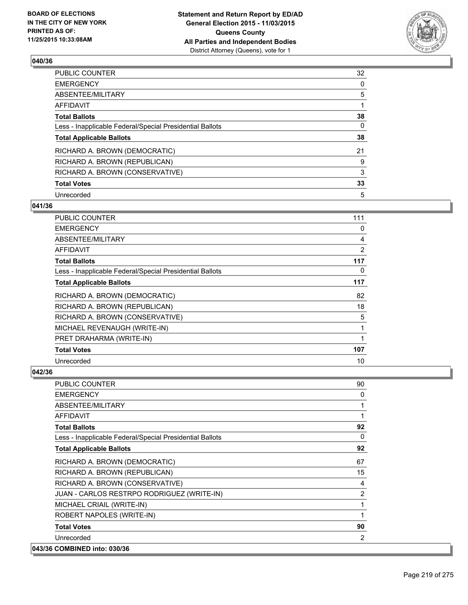

| PUBLIC COUNTER                                           | 32 |
|----------------------------------------------------------|----|
| <b>EMERGENCY</b>                                         | 0  |
| ABSENTEE/MILITARY                                        | 5  |
| <b>AFFIDAVIT</b>                                         |    |
| <b>Total Ballots</b>                                     | 38 |
| Less - Inapplicable Federal/Special Presidential Ballots | 0  |
| <b>Total Applicable Ballots</b>                          | 38 |
| RICHARD A. BROWN (DEMOCRATIC)                            | 21 |
| RICHARD A. BROWN (REPUBLICAN)                            | 9  |
| RICHARD A. BROWN (CONSERVATIVE)                          | 3  |
| <b>Total Votes</b>                                       | 33 |
| Unrecorded                                               | 5  |

### **041/36**

| PUBLIC COUNTER                                           | 111            |
|----------------------------------------------------------|----------------|
| <b>EMERGENCY</b>                                         | 0              |
| ABSENTEE/MILITARY                                        | 4              |
| AFFIDAVIT                                                | $\overline{2}$ |
| <b>Total Ballots</b>                                     | 117            |
| Less - Inapplicable Federal/Special Presidential Ballots | 0              |
| <b>Total Applicable Ballots</b>                          | 117            |
| RICHARD A. BROWN (DEMOCRATIC)                            | 82             |
| RICHARD A. BROWN (REPUBLICAN)                            | 18             |
| RICHARD A. BROWN (CONSERVATIVE)                          | 5              |
| MICHAEL REVENAUGH (WRITE-IN)                             | 1              |
| PRET DRAHARMA (WRITE-IN)                                 | 1              |
| <b>Total Votes</b>                                       | 107            |
| Unrecorded                                               | 10             |

| <b>PUBLIC COUNTER</b>                                    | 90 |
|----------------------------------------------------------|----|
| <b>EMERGENCY</b>                                         | 0  |
| ABSENTEE/MILITARY                                        | 1  |
| <b>AFFIDAVIT</b>                                         | 1  |
| <b>Total Ballots</b>                                     | 92 |
| Less - Inapplicable Federal/Special Presidential Ballots | 0  |
| <b>Total Applicable Ballots</b>                          | 92 |
| RICHARD A. BROWN (DEMOCRATIC)                            | 67 |
| RICHARD A. BROWN (REPUBLICAN)                            | 15 |
| RICHARD A. BROWN (CONSERVATIVE)                          | 4  |
| JUAN - CARLOS RESTRPO RODRIGUEZ (WRITE-IN)               | 2  |
| MICHAEL CRIAIL (WRITE-IN)                                | 1  |
| ROBERT NAPOLES (WRITE-IN)                                | 1  |
| <b>Total Votes</b>                                       | 90 |
| Unrecorded                                               | 2  |
| 043/36 COMBINED into: 030/36                             |    |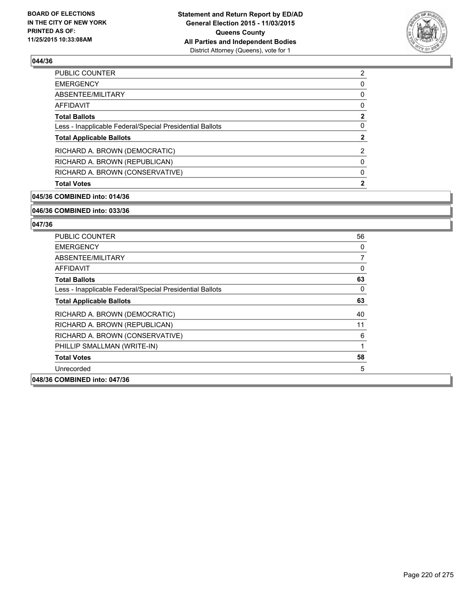

| <b>PUBLIC COUNTER</b>                                    | $\overline{2}$ |
|----------------------------------------------------------|----------------|
| <b>EMERGENCY</b>                                         | 0              |
| ABSENTEE/MILITARY                                        | 0              |
| <b>AFFIDAVIT</b>                                         | 0              |
| <b>Total Ballots</b>                                     | $\mathbf{2}$   |
| Less - Inapplicable Federal/Special Presidential Ballots | 0              |
| <b>Total Applicable Ballots</b>                          | $\mathbf{2}$   |
| RICHARD A. BROWN (DEMOCRATIC)                            | 2              |
| RICHARD A. BROWN (REPUBLICAN)                            | 0              |
| RICHARD A. BROWN (CONSERVATIVE)                          | 0              |
| <b>Total Votes</b>                                       | $\mathbf{2}$   |
|                                                          |                |

### **045/36 COMBINED into: 014/36**

#### **046/36 COMBINED into: 033/36**

| <b>PUBLIC COUNTER</b>                                    | 56             |
|----------------------------------------------------------|----------------|
| <b>EMERGENCY</b>                                         | 0              |
| ABSENTEE/MILITARY                                        | $\overline{7}$ |
| <b>AFFIDAVIT</b>                                         | 0              |
| <b>Total Ballots</b>                                     | 63             |
| Less - Inapplicable Federal/Special Presidential Ballots | 0              |
| <b>Total Applicable Ballots</b>                          | 63             |
| RICHARD A. BROWN (DEMOCRATIC)                            | 40             |
| RICHARD A. BROWN (REPUBLICAN)                            | 11             |
| RICHARD A. BROWN (CONSERVATIVE)                          | 6              |
| PHILLIP SMALLMAN (WRITE-IN)                              | 1              |
| <b>Total Votes</b>                                       | 58             |
| Unrecorded                                               | 5              |
| 048/36 COMBINED into: 047/36                             |                |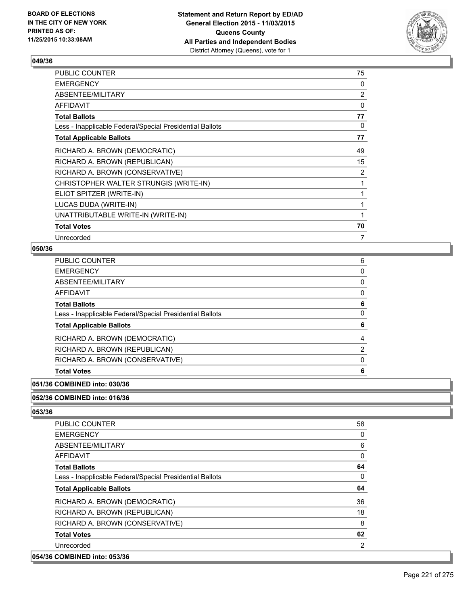

| <b>PUBLIC COUNTER</b>                                    | 75             |
|----------------------------------------------------------|----------------|
| <b>EMERGENCY</b>                                         | 0              |
| ABSENTEE/MILITARY                                        | $\overline{2}$ |
| <b>AFFIDAVIT</b>                                         | 0              |
| <b>Total Ballots</b>                                     | 77             |
| Less - Inapplicable Federal/Special Presidential Ballots | 0              |
| <b>Total Applicable Ballots</b>                          | 77             |
| RICHARD A. BROWN (DEMOCRATIC)                            | 49             |
| RICHARD A. BROWN (REPUBLICAN)                            | 15             |
| RICHARD A. BROWN (CONSERVATIVE)                          | 2              |
| CHRISTOPHER WALTER STRUNGIS (WRITE-IN)                   | 1              |
| ELIOT SPITZER (WRITE-IN)                                 | 1              |
| LUCAS DUDA (WRITE-IN)                                    |                |
| UNATTRIBUTABLE WRITE-IN (WRITE-IN)                       |                |
| <b>Total Votes</b>                                       | 70             |
| Unrecorded                                               | 7              |

## **050/36**

| PUBLIC COUNTER                                           | 6              |
|----------------------------------------------------------|----------------|
| EMERGENCY                                                | 0              |
| ABSENTEE/MILITARY                                        | 0              |
| AFFIDAVIT                                                | 0              |
| <b>Total Ballots</b>                                     | 6              |
| Less - Inapplicable Federal/Special Presidential Ballots | 0              |
| <b>Total Applicable Ballots</b>                          | 6              |
| RICHARD A. BROWN (DEMOCRATIC)                            | 4              |
| RICHARD A. BROWN (REPUBLICAN)                            | $\overline{2}$ |
| RICHARD A. BROWN (CONSERVATIVE)                          | 0              |
| <b>Total Votes</b>                                       | 6              |
|                                                          |                |

## **051/36 COMBINED into: 030/36**

### **052/36 COMBINED into: 016/36**

| <b>PUBLIC COUNTER</b>                                    | 58           |
|----------------------------------------------------------|--------------|
| <b>EMERGENCY</b>                                         | 0            |
| ABSENTEE/MILITARY                                        | 6            |
| <b>AFFIDAVIT</b>                                         | $\mathbf{0}$ |
| <b>Total Ballots</b>                                     | 64           |
| Less - Inapplicable Federal/Special Presidential Ballots | 0            |
| <b>Total Applicable Ballots</b>                          | 64           |
| RICHARD A. BROWN (DEMOCRATIC)                            | 36           |
| RICHARD A. BROWN (REPUBLICAN)                            | 18           |
| RICHARD A. BROWN (CONSERVATIVE)                          | 8            |
| <b>Total Votes</b>                                       | 62           |
| Unrecorded                                               | 2            |
| 054/36 COMBINED into: 053/36                             |              |
|                                                          |              |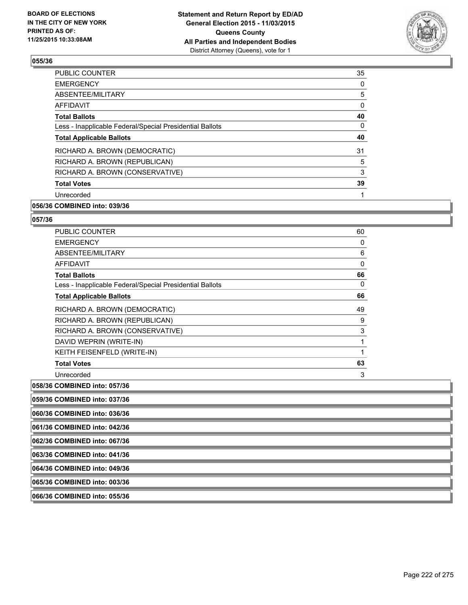

| 35 |
|----|
| 0  |
| 5  |
| 0  |
| 40 |
| 0  |
| 40 |
| 31 |
| 5  |
| 3  |
| 39 |
|    |
|    |

## **056/36 COMBINED into: 039/36**

#### **057/36**

| <b>PUBLIC COUNTER</b>                                    | 60 |
|----------------------------------------------------------|----|
| <b>EMERGENCY</b>                                         | 0  |
| ABSENTEE/MILITARY                                        | 6  |
| <b>AFFIDAVIT</b>                                         | 0  |
| <b>Total Ballots</b>                                     | 66 |
| Less - Inapplicable Federal/Special Presidential Ballots | 0  |
| <b>Total Applicable Ballots</b>                          | 66 |
| RICHARD A. BROWN (DEMOCRATIC)                            | 49 |
| RICHARD A. BROWN (REPUBLICAN)                            | 9  |
| RICHARD A. BROWN (CONSERVATIVE)                          | 3  |
| DAVID WEPRIN (WRITE-IN)                                  | 1  |
| KEITH FEISENFELD (WRITE-IN)                              |    |
| <b>Total Votes</b>                                       | 63 |
| Unrecorded                                               | 3  |
|                                                          |    |

**058/36 COMBINED into: 057/36**

**059/36 COMBINED into: 037/36**

**060/36 COMBINED into: 036/36**

**061/36 COMBINED into: 042/36**

**062/36 COMBINED into: 067/36**

**063/36 COMBINED into: 041/36**

**064/36 COMBINED into: 049/36**

**065/36 COMBINED into: 003/36**

**066/36 COMBINED into: 055/36**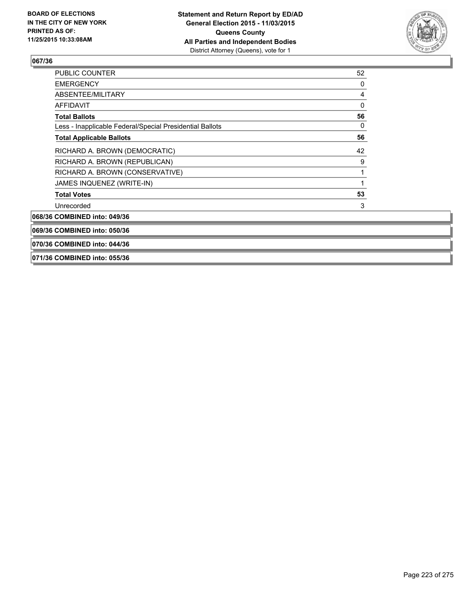

| <b>PUBLIC COUNTER</b>                                    | 52 |
|----------------------------------------------------------|----|
| <b>EMERGENCY</b>                                         | 0  |
| ABSENTEE/MILITARY                                        | 4  |
| <b>AFFIDAVIT</b>                                         | 0  |
| <b>Total Ballots</b>                                     | 56 |
| Less - Inapplicable Federal/Special Presidential Ballots | 0  |
| <b>Total Applicable Ballots</b>                          | 56 |
| RICHARD A. BROWN (DEMOCRATIC)                            | 42 |
| RICHARD A. BROWN (REPUBLICAN)                            | 9  |
| RICHARD A. BROWN (CONSERVATIVE)                          |    |
| JAMES INQUENEZ (WRITE-IN)                                |    |
| <b>Total Votes</b>                                       | 53 |
| Unrecorded                                               | 3  |
| 068/36 COMBINED into: 049/36                             |    |
| 069/36 COMBINED into: 050/36                             |    |
| 070/36 COMBINED into: 044/36                             |    |
| 071/36 COMBINED into: 055/36                             |    |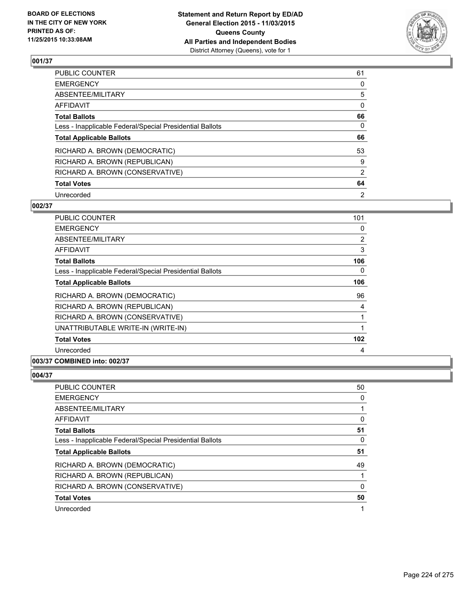

| PUBLIC COUNTER                                           | 61             |
|----------------------------------------------------------|----------------|
| <b>EMERGENCY</b>                                         | 0              |
| ABSENTEE/MILITARY                                        | 5              |
| AFFIDAVIT                                                | $\Omega$       |
| <b>Total Ballots</b>                                     | 66             |
| Less - Inapplicable Federal/Special Presidential Ballots | 0              |
| <b>Total Applicable Ballots</b>                          | 66             |
| RICHARD A. BROWN (DEMOCRATIC)                            | 53             |
| RICHARD A. BROWN (REPUBLICAN)                            | 9              |
| RICHARD A. BROWN (CONSERVATIVE)                          | $\overline{2}$ |
| <b>Total Votes</b>                                       | 64             |
| Unrecorded                                               | 2              |

### **002/37**

| <b>PUBLIC COUNTER</b>                                    | 101 |
|----------------------------------------------------------|-----|
| <b>EMERGENCY</b>                                         | 0   |
| ABSENTEE/MILITARY                                        | 2   |
| AFFIDAVIT                                                | 3   |
| <b>Total Ballots</b>                                     | 106 |
| Less - Inapplicable Federal/Special Presidential Ballots | 0   |
| <b>Total Applicable Ballots</b>                          | 106 |
| RICHARD A. BROWN (DEMOCRATIC)                            | 96  |
| RICHARD A. BROWN (REPUBLICAN)                            | 4   |
| RICHARD A. BROWN (CONSERVATIVE)                          |     |
| UNATTRIBUTABLE WRITE-IN (WRITE-IN)                       | 1   |
| <b>Total Votes</b>                                       | 102 |
| Unrecorded                                               | 4   |

## **003/37 COMBINED into: 002/37**

| <b>PUBLIC COUNTER</b>                                    | 50 |
|----------------------------------------------------------|----|
| <b>EMERGENCY</b>                                         | 0  |
| ABSENTEE/MILITARY                                        |    |
| <b>AFFIDAVIT</b>                                         | 0  |
| <b>Total Ballots</b>                                     | 51 |
| Less - Inapplicable Federal/Special Presidential Ballots | 0  |
|                                                          |    |
| <b>Total Applicable Ballots</b>                          | 51 |
| RICHARD A. BROWN (DEMOCRATIC)                            | 49 |
| RICHARD A. BROWN (REPUBLICAN)                            |    |
| RICHARD A. BROWN (CONSERVATIVE)                          | 0  |
| <b>Total Votes</b>                                       | 50 |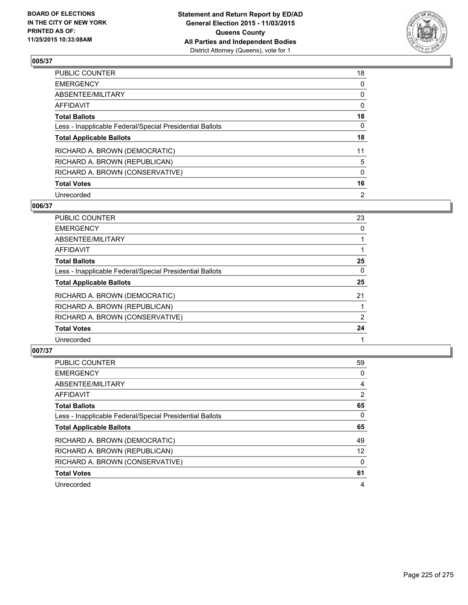

| PUBLIC COUNTER                                           | 18       |
|----------------------------------------------------------|----------|
| <b>EMERGENCY</b>                                         | 0        |
| ABSENTEE/MILITARY                                        | 0        |
| <b>AFFIDAVIT</b>                                         | 0        |
| <b>Total Ballots</b>                                     | 18       |
| Less - Inapplicable Federal/Special Presidential Ballots | 0        |
| <b>Total Applicable Ballots</b>                          | 18       |
| RICHARD A. BROWN (DEMOCRATIC)                            | 11       |
| RICHARD A. BROWN (REPUBLICAN)                            | 5        |
| RICHARD A. BROWN (CONSERVATIVE)                          | $\Omega$ |
| <b>Total Votes</b>                                       | 16       |
| Unrecorded                                               | 2        |

### **006/37**

| <b>PUBLIC COUNTER</b>                                    | 23 |
|----------------------------------------------------------|----|
| <b>EMERGENCY</b>                                         | 0  |
| <b>ABSENTEE/MILITARY</b>                                 |    |
| <b>AFFIDAVIT</b>                                         |    |
| <b>Total Ballots</b>                                     | 25 |
| Less - Inapplicable Federal/Special Presidential Ballots | 0  |
| <b>Total Applicable Ballots</b>                          | 25 |
| RICHARD A. BROWN (DEMOCRATIC)                            | 21 |
| RICHARD A. BROWN (REPUBLICAN)                            |    |
| RICHARD A. BROWN (CONSERVATIVE)                          | 2  |
| <b>Total Votes</b>                                       | 24 |
| Unrecorded                                               |    |
|                                                          |    |

| <b>PUBLIC COUNTER</b>                                    | 59                |
|----------------------------------------------------------|-------------------|
| <b>EMERGENCY</b>                                         | 0                 |
| ABSENTEE/MILITARY                                        | 4                 |
| <b>AFFIDAVIT</b>                                         | $\overline{2}$    |
| <b>Total Ballots</b>                                     | 65                |
| Less - Inapplicable Federal/Special Presidential Ballots | 0                 |
| <b>Total Applicable Ballots</b>                          | 65                |
|                                                          |                   |
| RICHARD A. BROWN (DEMOCRATIC)                            | 49                |
| RICHARD A. BROWN (REPUBLICAN)                            | $12 \overline{ }$ |
| RICHARD A. BROWN (CONSERVATIVE)                          | 0                 |
| <b>Total Votes</b>                                       | 61                |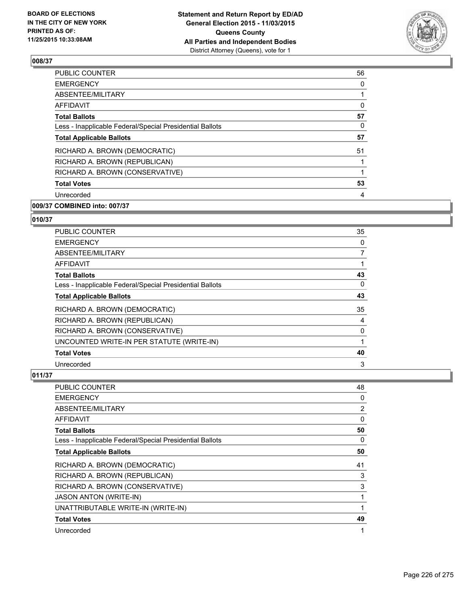

| <b>PUBLIC COUNTER</b>                                    | 56 |
|----------------------------------------------------------|----|
| <b>EMERGENCY</b>                                         | 0  |
| ABSENTEE/MILITARY                                        |    |
| AFFIDAVIT                                                | 0  |
| <b>Total Ballots</b>                                     | 57 |
| Less - Inapplicable Federal/Special Presidential Ballots | 0  |
| <b>Total Applicable Ballots</b>                          | 57 |
| RICHARD A. BROWN (DEMOCRATIC)                            | 51 |
| RICHARD A. BROWN (REPUBLICAN)                            |    |
| RICHARD A. BROWN (CONSERVATIVE)                          | 1  |
| <b>Total Votes</b>                                       | 53 |
| Unrecorded                                               | 4  |
|                                                          |    |

# **009/37 COMBINED into: 007/37**

# **010/37**

| <b>PUBLIC COUNTER</b>                                    | 35             |
|----------------------------------------------------------|----------------|
| <b>EMERGENCY</b>                                         | 0              |
| ABSENTEE/MILITARY                                        | $\overline{7}$ |
| <b>AFFIDAVIT</b>                                         |                |
| <b>Total Ballots</b>                                     | 43             |
| Less - Inapplicable Federal/Special Presidential Ballots | 0              |
| <b>Total Applicable Ballots</b>                          | 43             |
| RICHARD A. BROWN (DEMOCRATIC)                            | 35             |
| RICHARD A. BROWN (REPUBLICAN)                            | 4              |
| RICHARD A. BROWN (CONSERVATIVE)                          | 0              |
| UNCOUNTED WRITE-IN PER STATUTE (WRITE-IN)                | 1              |
| <b>Total Votes</b>                                       | 40             |
| Unrecorded                                               | 3              |

| PUBLIC COUNTER                                           | 48             |
|----------------------------------------------------------|----------------|
| <b>EMERGENCY</b>                                         | 0              |
| ABSENTEE/MILITARY                                        | $\overline{2}$ |
| <b>AFFIDAVIT</b>                                         | $\Omega$       |
| <b>Total Ballots</b>                                     | 50             |
| Less - Inapplicable Federal/Special Presidential Ballots | 0              |
| <b>Total Applicable Ballots</b>                          | 50             |
| RICHARD A. BROWN (DEMOCRATIC)                            | 41             |
| RICHARD A. BROWN (REPUBLICAN)                            | 3              |
| RICHARD A. BROWN (CONSERVATIVE)                          | 3              |
| <b>JASON ANTON (WRITE-IN)</b>                            |                |
| UNATTRIBUTABLE WRITE-IN (WRITE-IN)                       |                |
| <b>Total Votes</b>                                       | 49             |
| Unrecorded                                               | 1              |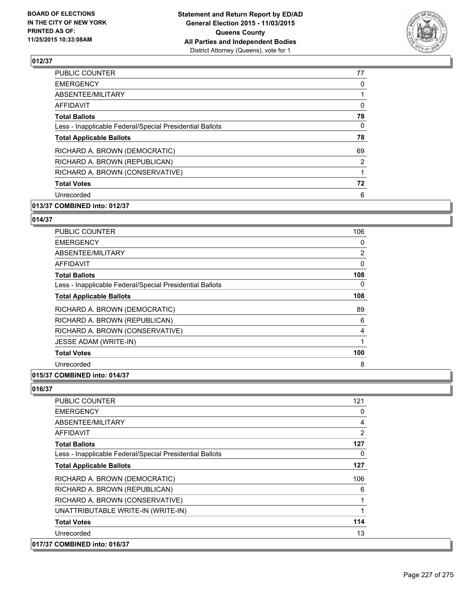

| <b>PUBLIC COUNTER</b>                                    | 77                    |
|----------------------------------------------------------|-----------------------|
| <b>EMERGENCY</b>                                         | 0                     |
| ABSENTEE/MILITARY                                        |                       |
| AFFIDAVIT                                                | 0                     |
| <b>Total Ballots</b>                                     | 78                    |
| Less - Inapplicable Federal/Special Presidential Ballots | 0                     |
| <b>Total Applicable Ballots</b>                          | 78                    |
| RICHARD A. BROWN (DEMOCRATIC)                            | 69                    |
| RICHARD A. BROWN (REPUBLICAN)                            | $\mathbf{2}^{\prime}$ |
| RICHARD A. BROWN (CONSERVATIVE)                          |                       |
| <b>Total Votes</b>                                       | 72                    |
| Unrecorded                                               | 6                     |
|                                                          |                       |

# **013/37 COMBINED into: 012/37**

#### **014/37**

| <b>PUBLIC COUNTER</b>                                    | 106 |
|----------------------------------------------------------|-----|
| <b>EMERGENCY</b>                                         | 0   |
| ABSENTEE/MILITARY                                        | 2   |
| <b>AFFIDAVIT</b>                                         | 0   |
| <b>Total Ballots</b>                                     | 108 |
| Less - Inapplicable Federal/Special Presidential Ballots | 0   |
| <b>Total Applicable Ballots</b>                          | 108 |
| RICHARD A. BROWN (DEMOCRATIC)                            | 89  |
| RICHARD A. BROWN (REPUBLICAN)                            | 6   |
| RICHARD A. BROWN (CONSERVATIVE)                          | 4   |
| <b>JESSE ADAM (WRITE-IN)</b>                             | 1   |
| <b>Total Votes</b>                                       | 100 |
| Unrecorded                                               | 8   |

## **015/37 COMBINED into: 014/37**

| <b>PUBLIC COUNTER</b>                                    | 121 |
|----------------------------------------------------------|-----|
| <b>EMERGENCY</b>                                         | 0   |
| ABSENTEE/MILITARY                                        | 4   |
| AFFIDAVIT                                                | 2   |
| <b>Total Ballots</b>                                     | 127 |
| Less - Inapplicable Federal/Special Presidential Ballots | 0   |
| <b>Total Applicable Ballots</b>                          | 127 |
| RICHARD A. BROWN (DEMOCRATIC)                            | 106 |
| RICHARD A. BROWN (REPUBLICAN)                            | 6   |
| RICHARD A. BROWN (CONSERVATIVE)                          | 1   |
| UNATTRIBUTABLE WRITE-IN (WRITE-IN)                       | 1   |
| <b>Total Votes</b>                                       | 114 |
| Unrecorded                                               | 13  |
| 017/37 COMBINED into: 016/37                             |     |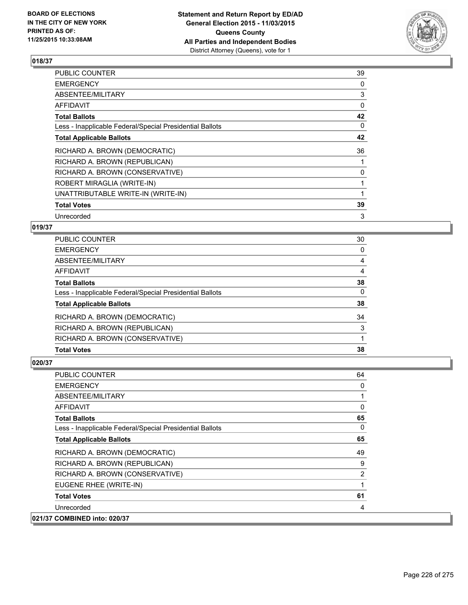

| <b>PUBLIC COUNTER</b>                                    | 39 |
|----------------------------------------------------------|----|
| <b>EMERGENCY</b>                                         | 0  |
| ABSENTEE/MILITARY                                        | 3  |
| AFFIDAVIT                                                | 0  |
| <b>Total Ballots</b>                                     | 42 |
| Less - Inapplicable Federal/Special Presidential Ballots | 0  |
| <b>Total Applicable Ballots</b>                          | 42 |
| RICHARD A. BROWN (DEMOCRATIC)                            | 36 |
| RICHARD A. BROWN (REPUBLICAN)                            |    |
| RICHARD A. BROWN (CONSERVATIVE)                          | 0  |
| ROBERT MIRAGLIA (WRITE-IN)                               |    |
| UNATTRIBUTABLE WRITE-IN (WRITE-IN)                       |    |
| <b>Total Votes</b>                                       | 39 |
| Unrecorded                                               | 3  |

## **019/37**

| PUBLIC COUNTER                                           | 30           |
|----------------------------------------------------------|--------------|
| <b>EMERGENCY</b>                                         | 0            |
| ABSENTEE/MILITARY                                        | 4            |
| <b>AFFIDAVIT</b>                                         | 4            |
| <b>Total Ballots</b>                                     | 38           |
| Less - Inapplicable Federal/Special Presidential Ballots | $\mathbf{0}$ |
| <b>Total Applicable Ballots</b>                          | 38           |
| RICHARD A. BROWN (DEMOCRATIC)                            | 34           |
| RICHARD A. BROWN (REPUBLICAN)                            | 3            |
| RICHARD A. BROWN (CONSERVATIVE)                          |              |
| <b>Total Votes</b>                                       | 38           |

| <b>PUBLIC COUNTER</b>                                    | 64           |
|----------------------------------------------------------|--------------|
| <b>EMERGENCY</b>                                         | 0            |
| ABSENTEE/MILITARY                                        |              |
| <b>AFFIDAVIT</b>                                         | $\mathbf{0}$ |
| <b>Total Ballots</b>                                     | 65           |
| Less - Inapplicable Federal/Special Presidential Ballots | 0            |
| <b>Total Applicable Ballots</b>                          | 65           |
| RICHARD A. BROWN (DEMOCRATIC)                            | 49           |
| RICHARD A. BROWN (REPUBLICAN)                            | 9            |
| RICHARD A. BROWN (CONSERVATIVE)                          | 2            |
| EUGENE RHEE (WRITE-IN)                                   |              |
| <b>Total Votes</b>                                       | 61           |
| Unrecorded                                               | 4            |
| 021/37 COMBINED into: 020/37                             |              |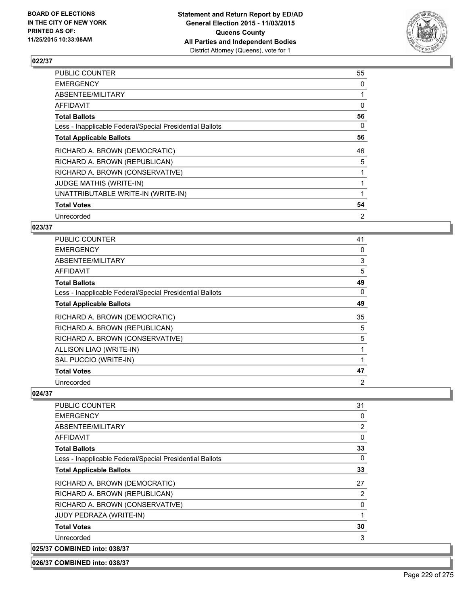

| <b>PUBLIC COUNTER</b>                                    | 55 |
|----------------------------------------------------------|----|
| <b>EMERGENCY</b>                                         | 0  |
| ABSENTEE/MILITARY                                        |    |
| AFFIDAVIT                                                | 0  |
| <b>Total Ballots</b>                                     | 56 |
| Less - Inapplicable Federal/Special Presidential Ballots | 0  |
| <b>Total Applicable Ballots</b>                          | 56 |
| RICHARD A. BROWN (DEMOCRATIC)                            | 46 |
| RICHARD A. BROWN (REPUBLICAN)                            | 5  |
| RICHARD A. BROWN (CONSERVATIVE)                          |    |
| <b>JUDGE MATHIS (WRITE-IN)</b>                           |    |
| UNATTRIBUTABLE WRITE-IN (WRITE-IN)                       |    |
| <b>Total Votes</b>                                       | 54 |
| Unrecorded                                               | 2  |

### **023/37**

| PUBLIC COUNTER                                           | 41 |
|----------------------------------------------------------|----|
| <b>EMERGENCY</b>                                         | 0  |
| ABSENTEE/MILITARY                                        | 3  |
| AFFIDAVIT                                                | 5  |
| <b>Total Ballots</b>                                     | 49 |
| Less - Inapplicable Federal/Special Presidential Ballots | 0  |
| <b>Total Applicable Ballots</b>                          | 49 |
| RICHARD A. BROWN (DEMOCRATIC)                            | 35 |
| RICHARD A. BROWN (REPUBLICAN)                            | 5  |
| RICHARD A. BROWN (CONSERVATIVE)                          | 5  |
| ALLISON LIAO (WRITE-IN)                                  |    |
| SAL PUCCIO (WRITE-IN)                                    |    |
| <b>Total Votes</b>                                       | 47 |
| Unrecorded                                               | 2  |

#### **024/37**

| PUBLIC COUNTER                                           | 31             |
|----------------------------------------------------------|----------------|
| <b>EMERGENCY</b>                                         | 0              |
| ABSENTEE/MILITARY                                        | $\overline{2}$ |
| AFFIDAVIT                                                | 0              |
| <b>Total Ballots</b>                                     | 33             |
| Less - Inapplicable Federal/Special Presidential Ballots | 0              |
| <b>Total Applicable Ballots</b>                          | 33             |
| RICHARD A. BROWN (DEMOCRATIC)                            | 27             |
| RICHARD A. BROWN (REPUBLICAN)                            | 2              |
| RICHARD A. BROWN (CONSERVATIVE)                          | 0              |
| <b>JUDY PEDRAZA (WRITE-IN)</b>                           | 1              |
| <b>Total Votes</b>                                       | 30             |
| Unrecorded                                               | 3              |
| 025/37 COMBINED into: 038/37                             |                |

### **026/37 COMBINED into: 038/37**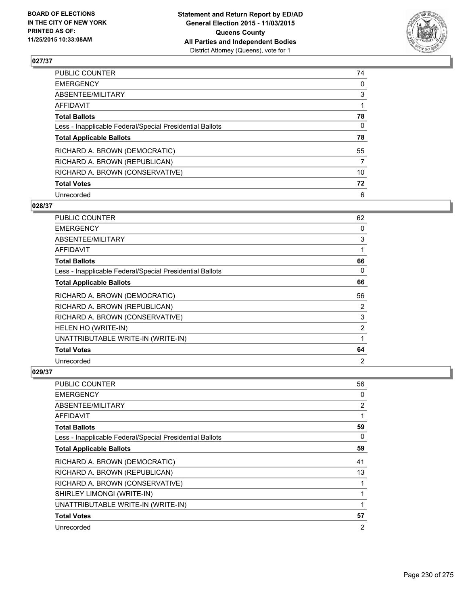

| PUBLIC COUNTER                                           | 74       |
|----------------------------------------------------------|----------|
| <b>EMERGENCY</b>                                         | 0        |
| ABSENTEE/MILITARY                                        | 3        |
| AFFIDAVIT                                                |          |
| <b>Total Ballots</b>                                     | 78       |
| Less - Inapplicable Federal/Special Presidential Ballots | $\Omega$ |
| <b>Total Applicable Ballots</b>                          | 78       |
| RICHARD A. BROWN (DEMOCRATIC)                            | 55       |
| RICHARD A. BROWN (REPUBLICAN)                            | 7        |
| RICHARD A. BROWN (CONSERVATIVE)                          | 10       |
| <b>Total Votes</b>                                       | 72       |
| Unrecorded                                               | 6        |

### **028/37**

| PUBLIC COUNTER                                           | 62             |
|----------------------------------------------------------|----------------|
| <b>EMERGENCY</b>                                         | 0              |
| <b>ABSENTEE/MILITARY</b>                                 | 3              |
| <b>AFFIDAVIT</b>                                         | 1              |
| <b>Total Ballots</b>                                     | 66             |
| Less - Inapplicable Federal/Special Presidential Ballots | 0              |
| <b>Total Applicable Ballots</b>                          | 66             |
| RICHARD A. BROWN (DEMOCRATIC)                            | 56             |
| RICHARD A. BROWN (REPUBLICAN)                            | 2              |
| RICHARD A. BROWN (CONSERVATIVE)                          | 3              |
| HELEN HO (WRITE-IN)                                      | $\overline{2}$ |
| UNATTRIBUTABLE WRITE-IN (WRITE-IN)                       | 1              |
| <b>Total Votes</b>                                       | 64             |
| Unrecorded                                               | 2              |

| PUBLIC COUNTER                                           | 56             |
|----------------------------------------------------------|----------------|
| <b>EMERGENCY</b>                                         | 0              |
| ABSENTEE/MILITARY                                        | 2              |
| AFFIDAVIT                                                | 1              |
| <b>Total Ballots</b>                                     | 59             |
| Less - Inapplicable Federal/Special Presidential Ballots | 0              |
| <b>Total Applicable Ballots</b>                          | 59             |
| RICHARD A. BROWN (DEMOCRATIC)                            | 41             |
| RICHARD A. BROWN (REPUBLICAN)                            | 13             |
| RICHARD A. BROWN (CONSERVATIVE)                          | 1              |
| SHIRLEY LIMONGI (WRITE-IN)                               | 1              |
| UNATTRIBUTABLE WRITE-IN (WRITE-IN)                       | 1              |
| <b>Total Votes</b>                                       | 57             |
| Unrecorded                                               | $\overline{2}$ |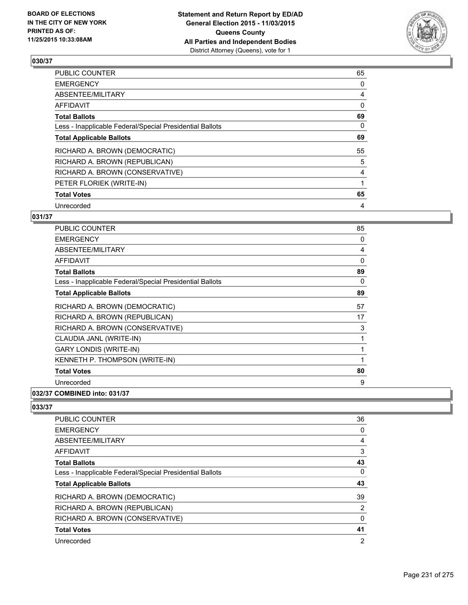

| <b>PUBLIC COUNTER</b>                                    | 65 |
|----------------------------------------------------------|----|
| <b>EMERGENCY</b>                                         | 0  |
| ABSENTEE/MILITARY                                        | 4  |
| AFFIDAVIT                                                | 0  |
| <b>Total Ballots</b>                                     | 69 |
| Less - Inapplicable Federal/Special Presidential Ballots | 0  |
| <b>Total Applicable Ballots</b>                          | 69 |
| RICHARD A. BROWN (DEMOCRATIC)                            | 55 |
| RICHARD A. BROWN (REPUBLICAN)                            | 5  |
| RICHARD A. BROWN (CONSERVATIVE)                          | 4  |
| PETER FLORIEK (WRITE-IN)                                 |    |
| <b>Total Votes</b>                                       | 65 |
| Unrecorded                                               | 4  |

## **031/37**

| PUBLIC COUNTER                                           | 85 |
|----------------------------------------------------------|----|
| <b>EMERGENCY</b>                                         | 0  |
| ABSENTEE/MILITARY                                        | 4  |
| <b>AFFIDAVIT</b>                                         | 0  |
| <b>Total Ballots</b>                                     | 89 |
| Less - Inapplicable Federal/Special Presidential Ballots | 0  |
| <b>Total Applicable Ballots</b>                          | 89 |
| RICHARD A. BROWN (DEMOCRATIC)                            | 57 |
| RICHARD A. BROWN (REPUBLICAN)                            | 17 |
| RICHARD A. BROWN (CONSERVATIVE)                          | 3  |
| CLAUDIA JANL (WRITE-IN)                                  | 1  |
| <b>GARY LONDIS (WRITE-IN)</b>                            | 1  |
| KENNETH P. THOMPSON (WRITE-IN)                           | 1  |
| <b>Total Votes</b>                                       | 80 |
| Unrecorded                                               | 9  |
|                                                          |    |

### **032/37 COMBINED into: 031/37**

| 36             |
|----------------|
| 0              |
| 4              |
| 3              |
| 43             |
| 0              |
| 43             |
| 39             |
| 2              |
| 0              |
| 41             |
| $\overline{2}$ |
|                |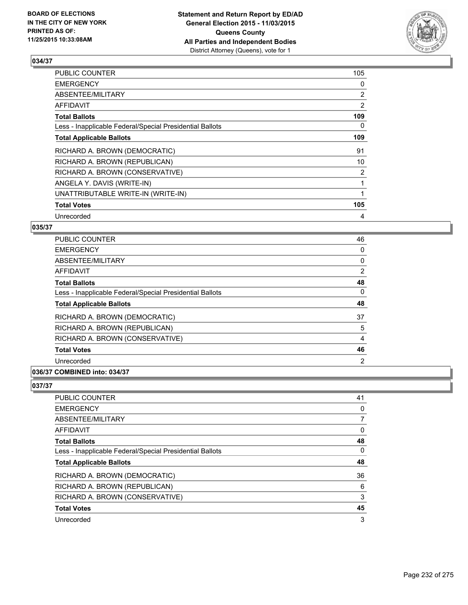

| <b>PUBLIC COUNTER</b>                                    | 105            |
|----------------------------------------------------------|----------------|
| <b>EMERGENCY</b>                                         | 0              |
| ABSENTEE/MILITARY                                        | $\overline{2}$ |
| AFFIDAVIT                                                | $\overline{2}$ |
| <b>Total Ballots</b>                                     | 109            |
| Less - Inapplicable Federal/Special Presidential Ballots | 0              |
| <b>Total Applicable Ballots</b>                          | 109            |
| RICHARD A. BROWN (DEMOCRATIC)                            | 91             |
| RICHARD A. BROWN (REPUBLICAN)                            | 10             |
| RICHARD A. BROWN (CONSERVATIVE)                          | $\overline{2}$ |
| ANGELA Y. DAVIS (WRITE-IN)                               |                |
| UNATTRIBUTABLE WRITE-IN (WRITE-IN)                       | 1              |
| <b>Total Votes</b>                                       | 105            |
| Unrecorded                                               | 4              |

## **035/37**

| PUBLIC COUNTER                                           | 46 |
|----------------------------------------------------------|----|
| <b>EMERGENCY</b>                                         | 0  |
| ABSENTEE/MILITARY                                        | 0  |
| AFFIDAVIT                                                | 2  |
| <b>Total Ballots</b>                                     | 48 |
| Less - Inapplicable Federal/Special Presidential Ballots | 0  |
| <b>Total Applicable Ballots</b>                          | 48 |
| RICHARD A. BROWN (DEMOCRATIC)                            | 37 |
| RICHARD A. BROWN (REPUBLICAN)                            | 5  |
| RICHARD A. BROWN (CONSERVATIVE)                          | 4  |
| <b>Total Votes</b>                                       | 46 |
| Unrecorded                                               | 2  |
|                                                          |    |

# **036/37 COMBINED into: 034/37**

| <b>PUBLIC COUNTER</b>                                    | 41 |
|----------------------------------------------------------|----|
| <b>EMERGENCY</b>                                         | 0  |
| ABSENTEE/MILITARY                                        | 7  |
| AFFIDAVIT                                                | 0  |
| <b>Total Ballots</b>                                     | 48 |
| Less - Inapplicable Federal/Special Presidential Ballots | 0  |
| <b>Total Applicable Ballots</b>                          | 48 |
| RICHARD A. BROWN (DEMOCRATIC)                            | 36 |
| RICHARD A. BROWN (REPUBLICAN)                            | 6  |
| RICHARD A. BROWN (CONSERVATIVE)                          | 3  |
| <b>Total Votes</b>                                       | 45 |
| Unrecorded                                               | 3  |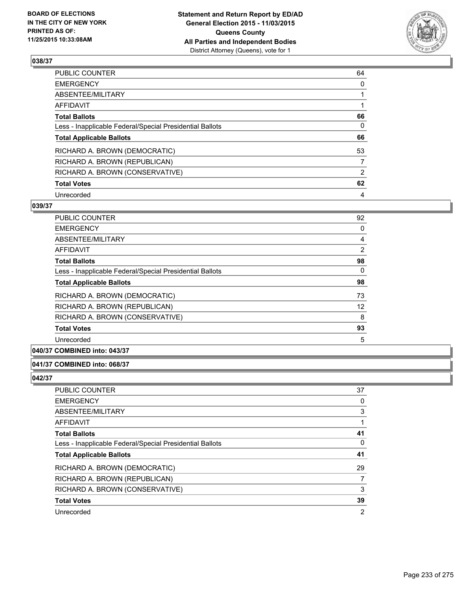

| PUBLIC COUNTER                                           | 64             |
|----------------------------------------------------------|----------------|
| <b>EMERGENCY</b>                                         | 0              |
| ABSENTEE/MILITARY                                        |                |
| <b>AFFIDAVIT</b>                                         |                |
| <b>Total Ballots</b>                                     | 66             |
| Less - Inapplicable Federal/Special Presidential Ballots | $\Omega$       |
| <b>Total Applicable Ballots</b>                          | 66             |
| RICHARD A. BROWN (DEMOCRATIC)                            | 53             |
| RICHARD A. BROWN (REPUBLICAN)                            | 7              |
| RICHARD A. BROWN (CONSERVATIVE)                          | $\overline{2}$ |
| <b>Total Votes</b>                                       | 62             |
| Unrecorded                                               | 4              |

### **039/37**

| <b>PUBLIC COUNTER</b>                                    | 92       |
|----------------------------------------------------------|----------|
| <b>EMERGENCY</b>                                         | 0        |
| ABSENTEE/MILITARY                                        | 4        |
| <b>AFFIDAVIT</b>                                         | 2        |
| <b>Total Ballots</b>                                     | 98       |
| Less - Inapplicable Federal/Special Presidential Ballots | $\Omega$ |
| <b>Total Applicable Ballots</b>                          | 98       |
| RICHARD A. BROWN (DEMOCRATIC)                            | 73       |
| RICHARD A. BROWN (REPUBLICAN)                            | 12       |
| RICHARD A. BROWN (CONSERVATIVE)                          | 8        |
| <b>Total Votes</b>                                       | 93       |
| Unrecorded                                               | 5        |

**040/37 COMBINED into: 043/37**

#### **041/37 COMBINED into: 068/37**

| <b>PUBLIC COUNTER</b>                                    | 37 |
|----------------------------------------------------------|----|
| <b>EMERGENCY</b>                                         | 0  |
| ABSENTEE/MILITARY                                        | 3  |
| AFFIDAVIT                                                |    |
| <b>Total Ballots</b>                                     | 41 |
| Less - Inapplicable Federal/Special Presidential Ballots | 0  |
| <b>Total Applicable Ballots</b>                          | 41 |
| RICHARD A. BROWN (DEMOCRATIC)                            | 29 |
| RICHARD A. BROWN (REPUBLICAN)                            |    |
| RICHARD A. BROWN (CONSERVATIVE)                          | 3  |
| <b>Total Votes</b>                                       | 39 |
| Unrecorded                                               | 2  |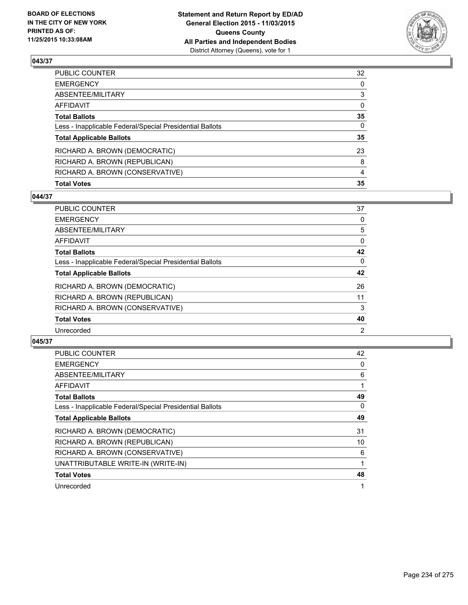

| RICHARD A. BROWN (CONSERVATIVE)                          | 4            |
|----------------------------------------------------------|--------------|
| RICHARD A. BROWN (REPUBLICAN)                            | 8            |
| RICHARD A. BROWN (DEMOCRATIC)                            | 23           |
| <b>Total Applicable Ballots</b>                          | 35           |
| Less - Inapplicable Federal/Special Presidential Ballots | $\mathbf{0}$ |
| <b>Total Ballots</b>                                     | 35           |
| AFFIDAVIT                                                | $\mathbf{0}$ |
| ABSENTEE/MILITARY                                        | 3            |
| <b>EMERGENCY</b>                                         | $\mathbf{0}$ |
| PUBLIC COUNTER                                           | 32           |

## **044/37**

| <b>PUBLIC COUNTER</b>                                    | 37 |
|----------------------------------------------------------|----|
| <b>EMERGENCY</b>                                         | 0  |
| ABSENTEE/MILITARY                                        | 5  |
| AFFIDAVIT                                                | 0  |
| <b>Total Ballots</b>                                     | 42 |
| Less - Inapplicable Federal/Special Presidential Ballots | 0  |
| <b>Total Applicable Ballots</b>                          | 42 |
| RICHARD A. BROWN (DEMOCRATIC)                            | 26 |
| RICHARD A. BROWN (REPUBLICAN)                            | 11 |
| RICHARD A. BROWN (CONSERVATIVE)                          | 3  |
| <b>Total Votes</b>                                       | 40 |
| Unrecorded                                               | 2  |
|                                                          |    |

| PUBLIC COUNTER                                           | 42 |
|----------------------------------------------------------|----|
| <b>EMERGENCY</b>                                         | 0  |
| ABSENTEE/MILITARY                                        | 6  |
| AFFIDAVIT                                                |    |
| <b>Total Ballots</b>                                     | 49 |
| Less - Inapplicable Federal/Special Presidential Ballots | 0  |
| <b>Total Applicable Ballots</b>                          | 49 |
| RICHARD A. BROWN (DEMOCRATIC)                            | 31 |
| RICHARD A. BROWN (REPUBLICAN)                            | 10 |
| RICHARD A. BROWN (CONSERVATIVE)                          | 6  |
| UNATTRIBUTABLE WRITE-IN (WRITE-IN)                       | 1  |
| <b>Total Votes</b>                                       | 48 |
| Unrecorded                                               | 1  |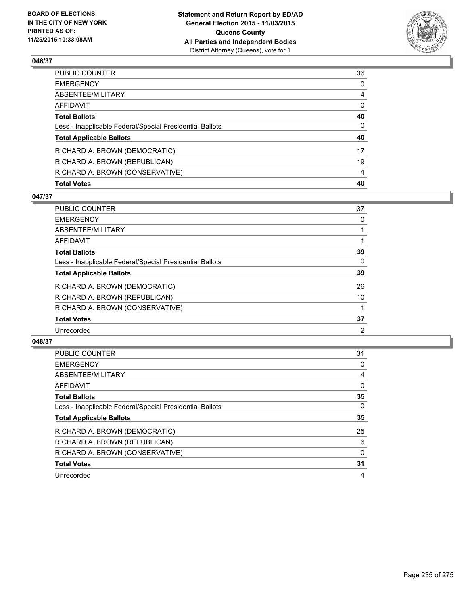

| <b>Total Votes</b>                                       | 40           |
|----------------------------------------------------------|--------------|
| RICHARD A. BROWN (CONSERVATIVE)                          | 4            |
| RICHARD A. BROWN (REPUBLICAN)                            | 19           |
| RICHARD A. BROWN (DEMOCRATIC)                            | 17           |
| <b>Total Applicable Ballots</b>                          | 40           |
| Less - Inapplicable Federal/Special Presidential Ballots | $\mathbf{0}$ |
| <b>Total Ballots</b>                                     | 40           |
| AFFIDAVIT                                                | 0            |
| ABSENTEE/MILITARY                                        | 4            |
| <b>EMERGENCY</b>                                         | $\mathbf{0}$ |
| PUBLIC COUNTER                                           | 36           |

## **047/37**

| <b>PUBLIC COUNTER</b>                                    | 37 |
|----------------------------------------------------------|----|
| <b>EMERGENCY</b>                                         | 0  |
| ABSENTEE/MILITARY                                        |    |
| AFFIDAVIT                                                |    |
| <b>Total Ballots</b>                                     | 39 |
| Less - Inapplicable Federal/Special Presidential Ballots | 0  |
| <b>Total Applicable Ballots</b>                          | 39 |
| RICHARD A. BROWN (DEMOCRATIC)                            | 26 |
| RICHARD A. BROWN (REPUBLICAN)                            | 10 |
| RICHARD A. BROWN (CONSERVATIVE)                          |    |
| <b>Total Votes</b>                                       | 37 |
| Unrecorded                                               | 2  |
|                                                          |    |

| <b>PUBLIC COUNTER</b>                                    | 31 |
|----------------------------------------------------------|----|
| <b>EMERGENCY</b>                                         | 0  |
| ABSENTEE/MILITARY                                        | 4  |
| <b>AFFIDAVIT</b>                                         | 0  |
| <b>Total Ballots</b>                                     | 35 |
| Less - Inapplicable Federal/Special Presidential Ballots | 0  |
| <b>Total Applicable Ballots</b>                          | 35 |
| RICHARD A. BROWN (DEMOCRATIC)                            | 25 |
| RICHARD A. BROWN (REPUBLICAN)                            | 6  |
| RICHARD A. BROWN (CONSERVATIVE)                          | 0  |
| <b>Total Votes</b>                                       | 31 |
| Unrecorded                                               | 4  |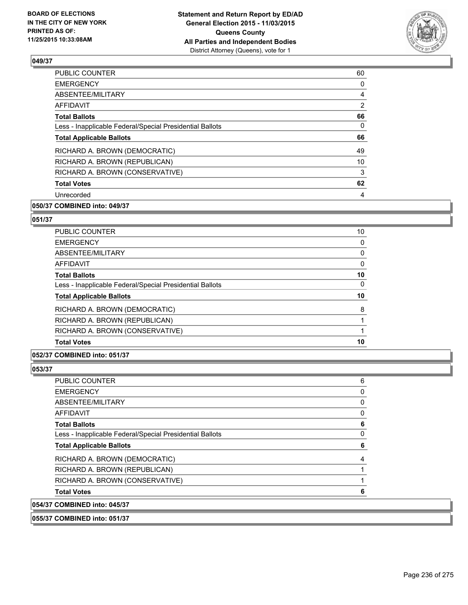

| <b>PUBLIC COUNTER</b>                                    | 60 |
|----------------------------------------------------------|----|
| <b>EMERGENCY</b>                                         | 0  |
| ABSENTEE/MILITARY                                        | 4  |
| AFFIDAVIT                                                | 2  |
| <b>Total Ballots</b>                                     | 66 |
| Less - Inapplicable Federal/Special Presidential Ballots | 0  |
| <b>Total Applicable Ballots</b>                          | 66 |
| RICHARD A. BROWN (DEMOCRATIC)                            | 49 |
| RICHARD A. BROWN (REPUBLICAN)                            | 10 |
| RICHARD A. BROWN (CONSERVATIVE)                          | 3  |
| <b>Total Votes</b>                                       | 62 |
| Unrecorded                                               | 4  |
|                                                          |    |

## **050/37 COMBINED into: 049/37**

### **051/37**

| <b>Total Votes</b>                                       | 10       |
|----------------------------------------------------------|----------|
| RICHARD A. BROWN (CONSERVATIVE)                          |          |
| RICHARD A. BROWN (REPUBLICAN)                            |          |
| RICHARD A. BROWN (DEMOCRATIC)                            | 8        |
| <b>Total Applicable Ballots</b>                          | 10       |
| Less - Inapplicable Federal/Special Presidential Ballots | $\Omega$ |
| <b>Total Ballots</b>                                     | 10       |
| <b>AFFIDAVIT</b>                                         | 0        |
| ABSENTEE/MILITARY                                        | 0        |
| <b>EMERGENCY</b>                                         | 0        |
| <b>PUBLIC COUNTER</b>                                    | 10       |

### **052/37 COMBINED into: 051/37**

#### **053/37**

| COMPINED into: 045/27                                    |   |
|----------------------------------------------------------|---|
| <b>Total Votes</b>                                       | 6 |
| RICHARD A. BROWN (CONSERVATIVE)                          |   |
| RICHARD A. BROWN (REPUBLICAN)                            |   |
| RICHARD A. BROWN (DEMOCRATIC)                            | 4 |
| <b>Total Applicable Ballots</b>                          | 6 |
| Less - Inapplicable Federal/Special Presidential Ballots | 0 |
| <b>Total Ballots</b>                                     | 6 |
| AFFIDAVIT                                                | 0 |
| ABSENTEE/MILITARY                                        | 0 |
| <b>EMERGENCY</b>                                         | 0 |
| PUBLIC COUNTER                                           | 6 |

**054/37 COMBINED into: 045/37**

**055/37 COMBINED into: 051/37**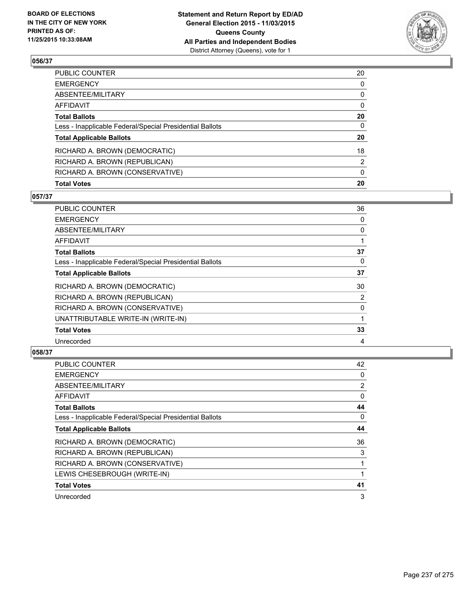

| PUBLIC COUNTER                                           | 20           |
|----------------------------------------------------------|--------------|
| EMERGENCY                                                | $\mathbf{0}$ |
| ABSENTEE/MILITARY                                        | 0            |
| AFFIDAVIT                                                | 0            |
| <b>Total Ballots</b>                                     | 20           |
| Less - Inapplicable Federal/Special Presidential Ballots | 0            |
| <b>Total Applicable Ballots</b>                          | 20           |
| RICHARD A. BROWN (DEMOCRATIC)                            | 18           |
| RICHARD A. BROWN (REPUBLICAN)                            | 2            |
| RICHARD A. BROWN (CONSERVATIVE)                          | $\Omega$     |
| <b>Total Votes</b>                                       | 20           |

### **057/37**

| <b>PUBLIC COUNTER</b>                                    | 36 |
|----------------------------------------------------------|----|
| <b>EMERGENCY</b>                                         | 0  |
| <b>ABSENTEE/MILITARY</b>                                 | 0  |
| <b>AFFIDAVIT</b>                                         |    |
| <b>Total Ballots</b>                                     | 37 |
| Less - Inapplicable Federal/Special Presidential Ballots | 0  |
| <b>Total Applicable Ballots</b>                          | 37 |
| RICHARD A. BROWN (DEMOCRATIC)                            | 30 |
| RICHARD A. BROWN (REPUBLICAN)                            | 2  |
| RICHARD A. BROWN (CONSERVATIVE)                          | 0  |
| UNATTRIBUTABLE WRITE-IN (WRITE-IN)                       | 1  |
| <b>Total Votes</b>                                       | 33 |
| Unrecorded                                               | 4  |
|                                                          |    |

| PUBLIC COUNTER                                           | 42             |
|----------------------------------------------------------|----------------|
| <b>EMERGENCY</b>                                         | 0              |
| ABSENTEE/MILITARY                                        | $\overline{2}$ |
| AFFIDAVIT                                                | 0              |
| <b>Total Ballots</b>                                     | 44             |
| Less - Inapplicable Federal/Special Presidential Ballots | 0              |
| <b>Total Applicable Ballots</b>                          | 44             |
| RICHARD A. BROWN (DEMOCRATIC)                            | 36             |
| RICHARD A. BROWN (REPUBLICAN)                            | 3              |
| RICHARD A. BROWN (CONSERVATIVE)                          |                |
| LEWIS CHESEBROUGH (WRITE-IN)                             |                |
| <b>Total Votes</b>                                       | 41             |
| Unrecorded                                               | 3              |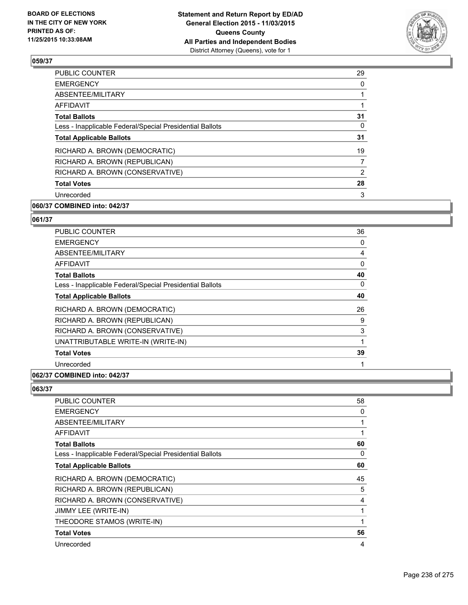

| <b>PUBLIC COUNTER</b>                                    | 29             |
|----------------------------------------------------------|----------------|
| <b>EMERGENCY</b>                                         | 0              |
| ABSENTEE/MILITARY                                        |                |
| AFFIDAVIT                                                |                |
| <b>Total Ballots</b>                                     | 31             |
| Less - Inapplicable Federal/Special Presidential Ballots | 0              |
| <b>Total Applicable Ballots</b>                          | 31             |
| RICHARD A. BROWN (DEMOCRATIC)                            | 19             |
| RICHARD A. BROWN (REPUBLICAN)                            | 7              |
| RICHARD A. BROWN (CONSERVATIVE)                          | $\overline{2}$ |
| <b>Total Votes</b>                                       | 28             |
| Unrecorded                                               | 3              |
|                                                          |                |

# **060/37 COMBINED into: 042/37**

# **061/37**

| <b>PUBLIC COUNTER</b>                                    | 36 |
|----------------------------------------------------------|----|
| <b>EMERGENCY</b>                                         | 0  |
| ABSENTEE/MILITARY                                        | 4  |
| AFFIDAVIT                                                | 0  |
| <b>Total Ballots</b>                                     | 40 |
| Less - Inapplicable Federal/Special Presidential Ballots | 0  |
| <b>Total Applicable Ballots</b>                          | 40 |
| RICHARD A. BROWN (DEMOCRATIC)                            | 26 |
| RICHARD A. BROWN (REPUBLICAN)                            | 9  |
| RICHARD A. BROWN (CONSERVATIVE)                          | 3  |
| UNATTRIBUTABLE WRITE-IN (WRITE-IN)                       | 1  |
| <b>Total Votes</b>                                       | 39 |
| Unrecorded                                               |    |

# **062/37 COMBINED into: 042/37**

| PUBLIC COUNTER                                           | 58 |
|----------------------------------------------------------|----|
| <b>EMERGENCY</b>                                         | 0  |
| ABSENTEE/MILITARY                                        | 1  |
| AFFIDAVIT                                                |    |
| <b>Total Ballots</b>                                     | 60 |
| Less - Inapplicable Federal/Special Presidential Ballots | 0  |
| <b>Total Applicable Ballots</b>                          | 60 |
| RICHARD A. BROWN (DEMOCRATIC)                            | 45 |
| RICHARD A. BROWN (REPUBLICAN)                            | 5  |
| RICHARD A. BROWN (CONSERVATIVE)                          | 4  |
| JIMMY LEE (WRITE-IN)                                     | 1  |
| THEODORE STAMOS (WRITE-IN)                               | 1  |
| <b>Total Votes</b>                                       | 56 |
| Unrecorded                                               | 4  |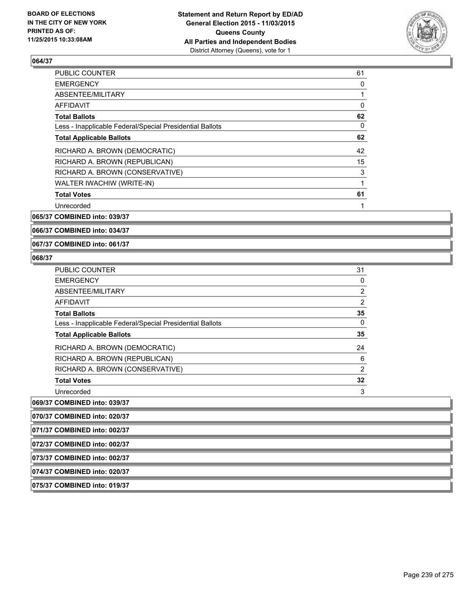

| <b>PUBLIC COUNTER</b>                                    | 61       |
|----------------------------------------------------------|----------|
| <b>EMERGENCY</b>                                         | 0        |
| ABSENTEE/MILITARY                                        | 1        |
| <b>AFFIDAVIT</b>                                         | $\Omega$ |
| <b>Total Ballots</b>                                     | 62       |
| Less - Inapplicable Federal/Special Presidential Ballots | 0        |
| <b>Total Applicable Ballots</b>                          | 62       |
| RICHARD A. BROWN (DEMOCRATIC)                            | 42       |
| RICHARD A. BROWN (REPUBLICAN)                            | 15       |
| RICHARD A. BROWN (CONSERVATIVE)                          | 3        |
| WALTER IWACHIW (WRITE-IN)                                | 1        |
| <b>Total Votes</b>                                       | 61       |
| Unrecorded                                               | 1        |

**065/37 COMBINED into: 039/37**

**066/37 COMBINED into: 034/37**

**067/37 COMBINED into: 061/37**

#### **068/37**

| <b>PUBLIC COUNTER</b>                                    | 31             |
|----------------------------------------------------------|----------------|
| <b>EMERGENCY</b>                                         | 0              |
| ABSENTEE/MILITARY                                        | $\overline{2}$ |
| <b>AFFIDAVIT</b>                                         | $\overline{2}$ |
| <b>Total Ballots</b>                                     | 35             |
| Less - Inapplicable Federal/Special Presidential Ballots | 0              |
| <b>Total Applicable Ballots</b>                          | 35             |
| RICHARD A. BROWN (DEMOCRATIC)                            | 24             |
| RICHARD A. BROWN (REPUBLICAN)                            | 6              |
| RICHARD A. BROWN (CONSERVATIVE)                          | 2              |
| <b>Total Votes</b>                                       | 32             |
| Unrecorded                                               | 3              |

**069/37 COMBINED into: 039/37**

**070/37 COMBINED into: 020/37**

**071/37 COMBINED into: 002/37**

**072/37 COMBINED into: 002/37**

**073/37 COMBINED into: 002/37**

**074/37 COMBINED into: 020/37**

**075/37 COMBINED into: 019/37**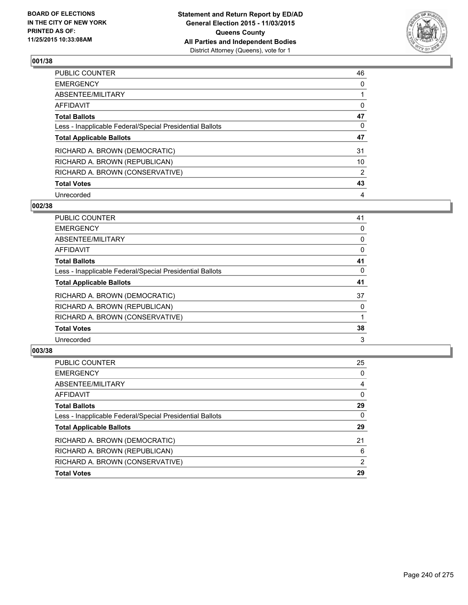

| PUBLIC COUNTER                                           | 46             |
|----------------------------------------------------------|----------------|
| <b>EMERGENCY</b>                                         | 0              |
| ABSENTEE/MILITARY                                        |                |
| <b>AFFIDAVIT</b>                                         | 0              |
| <b>Total Ballots</b>                                     | 47             |
| Less - Inapplicable Federal/Special Presidential Ballots | 0              |
| <b>Total Applicable Ballots</b>                          | 47             |
| RICHARD A. BROWN (DEMOCRATIC)                            | 31             |
| RICHARD A. BROWN (REPUBLICAN)                            | 10             |
| RICHARD A. BROWN (CONSERVATIVE)                          | $\overline{2}$ |
| <b>Total Votes</b>                                       | 43             |
| Unrecorded                                               | 4              |

### **002/38**

| <b>PUBLIC COUNTER</b>                                    | 41 |
|----------------------------------------------------------|----|
| <b>EMERGENCY</b>                                         | 0  |
| ABSENTEE/MILITARY                                        | 0  |
| <b>AFFIDAVIT</b>                                         | 0  |
| <b>Total Ballots</b>                                     | 41 |
| Less - Inapplicable Federal/Special Presidential Ballots | 0  |
| <b>Total Applicable Ballots</b>                          | 41 |
| RICHARD A. BROWN (DEMOCRATIC)                            | 37 |
| RICHARD A. BROWN (REPUBLICAN)                            | 0  |
| RICHARD A. BROWN (CONSERVATIVE)                          |    |
| <b>Total Votes</b>                                       | 38 |
| Unrecorded                                               | 3  |
|                                                          |    |

| 25 |
|----|
| 0  |
| 4  |
| 0  |
| 29 |
| 0  |
| 29 |
| 21 |
| 6  |
| 2  |
| 29 |
|    |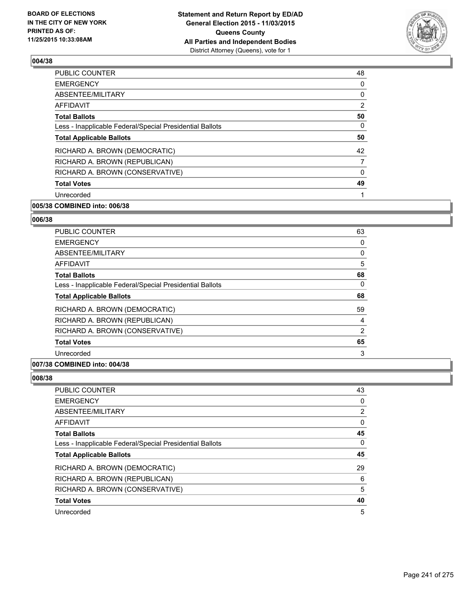

| <b>PUBLIC COUNTER</b>                                    | 48             |
|----------------------------------------------------------|----------------|
| <b>EMERGENCY</b>                                         | 0              |
| ABSENTEE/MILITARY                                        | 0              |
| AFFIDAVIT                                                | $\overline{2}$ |
| <b>Total Ballots</b>                                     | 50             |
| Less - Inapplicable Federal/Special Presidential Ballots | 0              |
| <b>Total Applicable Ballots</b>                          | 50             |
| RICHARD A. BROWN (DEMOCRATIC)                            | 42             |
| RICHARD A. BROWN (REPUBLICAN)                            | 7              |
| RICHARD A. BROWN (CONSERVATIVE)                          | 0              |
| <b>Total Votes</b>                                       | 49             |
| Unrecorded                                               |                |

# **005/38 COMBINED into: 006/38**

#### **006/38**

| <b>PUBLIC COUNTER</b>                                    | 63 |
|----------------------------------------------------------|----|
| <b>EMERGENCY</b>                                         | 0  |
| ABSENTEE/MILITARY                                        | 0  |
| AFFIDAVIT                                                | 5  |
| <b>Total Ballots</b>                                     | 68 |
| Less - Inapplicable Federal/Special Presidential Ballots | 0  |
| <b>Total Applicable Ballots</b>                          | 68 |
| RICHARD A. BROWN (DEMOCRATIC)                            | 59 |
| RICHARD A. BROWN (REPUBLICAN)                            | 4  |
| RICHARD A. BROWN (CONSERVATIVE)                          | 2  |
| <b>Total Votes</b>                                       | 65 |
| Unrecorded                                               | 3  |
|                                                          |    |

### **007/38 COMBINED into: 004/38**

| <b>PUBLIC COUNTER</b>                                    | 43 |
|----------------------------------------------------------|----|
| <b>EMERGENCY</b>                                         | 0  |
| ABSENTEE/MILITARY                                        | 2  |
| AFFIDAVIT                                                | 0  |
| <b>Total Ballots</b>                                     | 45 |
| Less - Inapplicable Federal/Special Presidential Ballots | 0  |
|                                                          |    |
| <b>Total Applicable Ballots</b>                          | 45 |
| RICHARD A. BROWN (DEMOCRATIC)                            | 29 |
| RICHARD A. BROWN (REPUBLICAN)                            | 6  |
| RICHARD A. BROWN (CONSERVATIVE)                          | 5  |
| <b>Total Votes</b>                                       | 40 |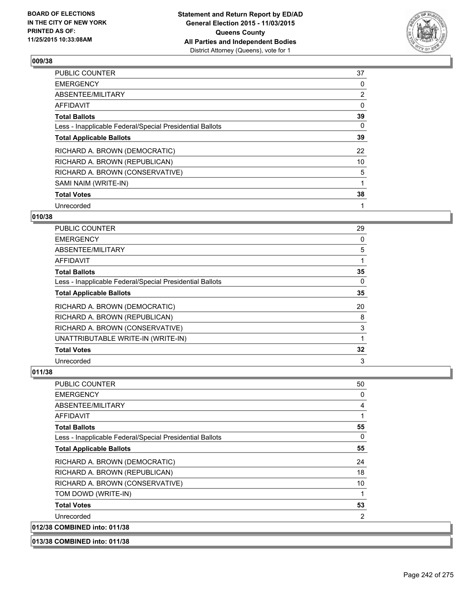

| <b>PUBLIC COUNTER</b>                                    | 37             |
|----------------------------------------------------------|----------------|
| <b>EMERGENCY</b>                                         | 0              |
| ABSENTEE/MILITARY                                        | $\overline{2}$ |
| AFFIDAVIT                                                | 0              |
| <b>Total Ballots</b>                                     | 39             |
| Less - Inapplicable Federal/Special Presidential Ballots | 0              |
| <b>Total Applicable Ballots</b>                          | 39             |
| RICHARD A. BROWN (DEMOCRATIC)                            | 22             |
| RICHARD A. BROWN (REPUBLICAN)                            | 10             |
| RICHARD A. BROWN (CONSERVATIVE)                          | 5              |
| SAMI NAIM (WRITE-IN)                                     |                |
| <b>Total Votes</b>                                       | 38             |
| Unrecorded                                               | 1              |

## **010/38**

| PUBLIC COUNTER                                           | 29 |
|----------------------------------------------------------|----|
| <b>EMERGENCY</b>                                         | 0  |
| ABSENTEE/MILITARY                                        | 5  |
| AFFIDAVIT                                                |    |
| <b>Total Ballots</b>                                     | 35 |
| Less - Inapplicable Federal/Special Presidential Ballots | 0  |
| <b>Total Applicable Ballots</b>                          | 35 |
| RICHARD A. BROWN (DEMOCRATIC)                            | 20 |
| RICHARD A. BROWN (REPUBLICAN)                            | 8  |
| RICHARD A. BROWN (CONSERVATIVE)                          | 3  |
| UNATTRIBUTABLE WRITE-IN (WRITE-IN)                       |    |
| <b>Total Votes</b>                                       | 32 |
| Unrecorded                                               | 3  |

| <b>PUBLIC COUNTER</b>                                    | 50 |
|----------------------------------------------------------|----|
| <b>EMERGENCY</b>                                         | 0  |
| <b>ABSENTEE/MILITARY</b>                                 | 4  |
| AFFIDAVIT                                                | 1  |
| <b>Total Ballots</b>                                     | 55 |
| Less - Inapplicable Federal/Special Presidential Ballots | 0  |
| <b>Total Applicable Ballots</b>                          | 55 |
| RICHARD A. BROWN (DEMOCRATIC)                            | 24 |
| RICHARD A. BROWN (REPUBLICAN)                            | 18 |
| RICHARD A. BROWN (CONSERVATIVE)                          | 10 |
| TOM DOWD (WRITE-IN)                                      | 1  |
| <b>Total Votes</b>                                       | 53 |
| Unrecorded                                               | 2  |
| 012/38 COMBINED into: 011/38                             |    |
| 013/38 COMBINED into: 011/38                             |    |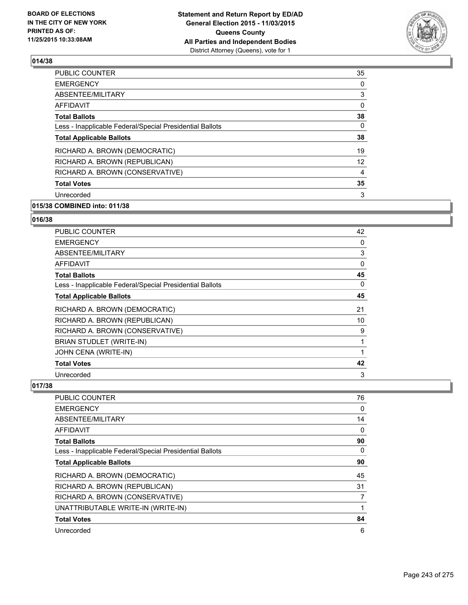

| <b>PUBLIC COUNTER</b>                                    | 35 |
|----------------------------------------------------------|----|
| <b>EMERGENCY</b>                                         | 0  |
| ABSENTEE/MILITARY                                        | 3  |
| AFFIDAVIT                                                | 0  |
| <b>Total Ballots</b>                                     | 38 |
| Less - Inapplicable Federal/Special Presidential Ballots | 0  |
| <b>Total Applicable Ballots</b>                          | 38 |
| RICHARD A. BROWN (DEMOCRATIC)                            | 19 |
| RICHARD A. BROWN (REPUBLICAN)                            | 12 |
| RICHARD A. BROWN (CONSERVATIVE)                          | 4  |
| <b>Total Votes</b>                                       | 35 |
| Unrecorded                                               | 3  |
|                                                          |    |

# **015/38 COMBINED into: 011/38**

#### **016/38**

| <b>PUBLIC COUNTER</b>                                    | 42 |
|----------------------------------------------------------|----|
| <b>EMERGENCY</b>                                         | 0  |
| ABSENTEE/MILITARY                                        | 3  |
| AFFIDAVIT                                                | 0  |
| <b>Total Ballots</b>                                     | 45 |
| Less - Inapplicable Federal/Special Presidential Ballots | 0  |
| <b>Total Applicable Ballots</b>                          | 45 |
| RICHARD A. BROWN (DEMOCRATIC)                            | 21 |
| RICHARD A. BROWN (REPUBLICAN)                            | 10 |
| RICHARD A. BROWN (CONSERVATIVE)                          | 9  |
| BRIAN STUDLET (WRITE-IN)                                 | 1  |
| JOHN CENA (WRITE-IN)                                     | 1  |
| <b>Total Votes</b>                                       | 42 |
| Unrecorded                                               | 3  |

| <b>PUBLIC COUNTER</b>                                    | 76       |
|----------------------------------------------------------|----------|
| <b>EMERGENCY</b>                                         | 0        |
| ABSENTEE/MILITARY                                        | 14       |
| AFFIDAVIT                                                | 0        |
| <b>Total Ballots</b>                                     | 90       |
| Less - Inapplicable Federal/Special Presidential Ballots | $\Omega$ |
| <b>Total Applicable Ballots</b>                          | 90       |
| RICHARD A. BROWN (DEMOCRATIC)                            | 45       |
| RICHARD A. BROWN (REPUBLICAN)                            | 31       |
| RICHARD A. BROWN (CONSERVATIVE)                          | 7        |
| UNATTRIBUTABLE WRITE-IN (WRITE-IN)                       |          |
| <b>Total Votes</b>                                       | 84       |
| Unrecorded                                               | 6        |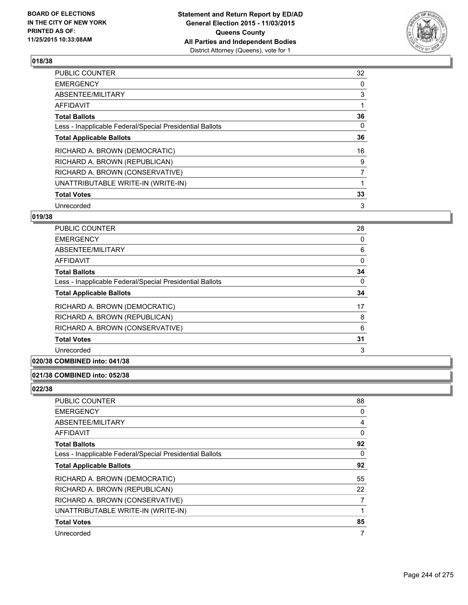

| <b>PUBLIC COUNTER</b>                                    | 32             |
|----------------------------------------------------------|----------------|
| <b>EMERGENCY</b>                                         | 0              |
| ABSENTEE/MILITARY                                        | 3              |
| AFFIDAVIT                                                |                |
| <b>Total Ballots</b>                                     | 36             |
| Less - Inapplicable Federal/Special Presidential Ballots | 0              |
| <b>Total Applicable Ballots</b>                          | 36             |
| RICHARD A. BROWN (DEMOCRATIC)                            | 16             |
| RICHARD A. BROWN (REPUBLICAN)                            | 9              |
| RICHARD A. BROWN (CONSERVATIVE)                          | $\overline{7}$ |
| UNATTRIBUTABLE WRITE-IN (WRITE-IN)                       |                |
| <b>Total Votes</b>                                       | 33             |
| Unrecorded                                               | 3              |

## **019/38**

| PUBLIC COUNTER                                           | 28 |
|----------------------------------------------------------|----|
| <b>EMERGENCY</b>                                         | 0  |
| ABSENTEE/MILITARY                                        | 6  |
| AFFIDAVIT                                                | 0  |
| <b>Total Ballots</b>                                     | 34 |
| Less - Inapplicable Federal/Special Presidential Ballots | 0  |
| <b>Total Applicable Ballots</b>                          | 34 |
| RICHARD A. BROWN (DEMOCRATIC)                            | 17 |
| RICHARD A. BROWN (REPUBLICAN)                            | 8  |
| RICHARD A. BROWN (CONSERVATIVE)                          | 6  |
| <b>Total Votes</b>                                       | 31 |
| Unrecorded                                               | 3  |

## **020/38 COMBINED into: 041/38**

#### **021/38 COMBINED into: 052/38**

| <b>PUBLIC COUNTER</b>                                    | 88       |
|----------------------------------------------------------|----------|
| <b>EMERGENCY</b>                                         | 0        |
| ABSENTEE/MILITARY                                        | 4        |
| <b>AFFIDAVIT</b>                                         | $\Omega$ |
| <b>Total Ballots</b>                                     | 92       |
| Less - Inapplicable Federal/Special Presidential Ballots | 0        |
| <b>Total Applicable Ballots</b>                          | 92       |
| RICHARD A. BROWN (DEMOCRATIC)                            | 55       |
| RICHARD A. BROWN (REPUBLICAN)                            | 22       |
| RICHARD A. BROWN (CONSERVATIVE)                          | 7        |
| UNATTRIBUTABLE WRITE-IN (WRITE-IN)                       |          |
| <b>Total Votes</b>                                       | 85       |
| Unrecorded                                               | 7        |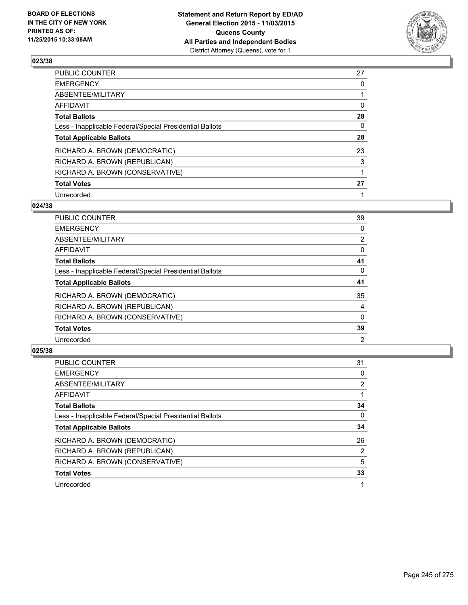

| PUBLIC COUNTER                                           | 27       |
|----------------------------------------------------------|----------|
| <b>EMERGENCY</b>                                         | 0        |
| ABSENTEE/MILITARY                                        |          |
| <b>AFFIDAVIT</b>                                         | 0        |
| <b>Total Ballots</b>                                     | 28       |
| Less - Inapplicable Federal/Special Presidential Ballots | $\Omega$ |
| <b>Total Applicable Ballots</b>                          | 28       |
| RICHARD A. BROWN (DEMOCRATIC)                            | 23       |
| RICHARD A. BROWN (REPUBLICAN)                            | 3        |
| RICHARD A. BROWN (CONSERVATIVE)                          |          |
| <b>Total Votes</b>                                       | 27       |
| Unrecorded                                               |          |

### **024/38**

| <b>PUBLIC COUNTER</b>                                    | 39             |
|----------------------------------------------------------|----------------|
| <b>EMERGENCY</b>                                         | 0              |
| ABSENTEE/MILITARY                                        | $\overline{2}$ |
| <b>AFFIDAVIT</b>                                         | 0              |
| <b>Total Ballots</b>                                     | 41             |
| Less - Inapplicable Federal/Special Presidential Ballots | 0              |
| <b>Total Applicable Ballots</b>                          | 41             |
| RICHARD A. BROWN (DEMOCRATIC)                            | 35             |
| RICHARD A. BROWN (REPUBLICAN)                            | 4              |
| RICHARD A. BROWN (CONSERVATIVE)                          | $\Omega$       |
| <b>Total Votes</b>                                       | 39             |
| Unrecorded                                               | 2              |
|                                                          |                |

| PUBLIC COUNTER                                           | 31             |
|----------------------------------------------------------|----------------|
| <b>EMERGENCY</b>                                         | 0              |
| ABSENTEE/MILITARY                                        | $\overline{2}$ |
| <b>AFFIDAVIT</b>                                         |                |
| <b>Total Ballots</b>                                     | 34             |
| Less - Inapplicable Federal/Special Presidential Ballots | 0              |
| <b>Total Applicable Ballots</b>                          | 34             |
| RICHARD A. BROWN (DEMOCRATIC)                            | 26             |
| RICHARD A. BROWN (REPUBLICAN)                            | $\overline{2}$ |
| RICHARD A. BROWN (CONSERVATIVE)                          | 5              |
| <b>Total Votes</b>                                       | 33             |
| Unrecorded                                               |                |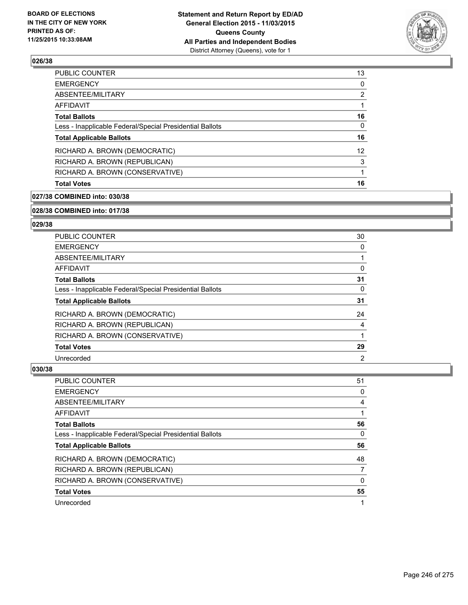

| <b>PUBLIC COUNTER</b>                                    | 13 |
|----------------------------------------------------------|----|
| <b>EMERGENCY</b>                                         | 0  |
| ABSENTEE/MILITARY                                        | 2  |
| <b>AFFIDAVIT</b>                                         |    |
| <b>Total Ballots</b>                                     | 16 |
| Less - Inapplicable Federal/Special Presidential Ballots | 0  |
| <b>Total Applicable Ballots</b>                          | 16 |
| RICHARD A. BROWN (DEMOCRATIC)                            | 12 |
| RICHARD A. BROWN (REPUBLICAN)                            | 3  |
| RICHARD A. BROWN (CONSERVATIVE)                          |    |
| <b>Total Votes</b>                                       | 16 |
|                                                          |    |

### **027/38 COMBINED into: 030/38**

#### **028/38 COMBINED into: 017/38**

#### **029/38**

| <b>PUBLIC COUNTER</b>                                    | 30 |
|----------------------------------------------------------|----|
| <b>EMERGENCY</b>                                         | 0  |
| ABSENTEE/MILITARY                                        |    |
| <b>AFFIDAVIT</b>                                         | 0  |
| <b>Total Ballots</b>                                     | 31 |
| Less - Inapplicable Federal/Special Presidential Ballots | 0  |
| <b>Total Applicable Ballots</b>                          | 31 |
| RICHARD A. BROWN (DEMOCRATIC)                            | 24 |
| RICHARD A. BROWN (REPUBLICAN)                            | 4  |
| RICHARD A. BROWN (CONSERVATIVE)                          |    |
| <b>Total Votes</b>                                       | 29 |
| Unrecorded                                               | 2  |

| PUBLIC COUNTER                                           | 51 |
|----------------------------------------------------------|----|
| <b>EMERGENCY</b>                                         | 0  |
| ABSENTEE/MILITARY                                        | 4  |
| AFFIDAVIT                                                |    |
| <b>Total Ballots</b>                                     | 56 |
| Less - Inapplicable Federal/Special Presidential Ballots | 0  |
| <b>Total Applicable Ballots</b>                          | 56 |
|                                                          |    |
| RICHARD A. BROWN (DEMOCRATIC)                            | 48 |
| RICHARD A. BROWN (REPUBLICAN)                            |    |
| RICHARD A. BROWN (CONSERVATIVE)                          | 0  |
| <b>Total Votes</b>                                       | 55 |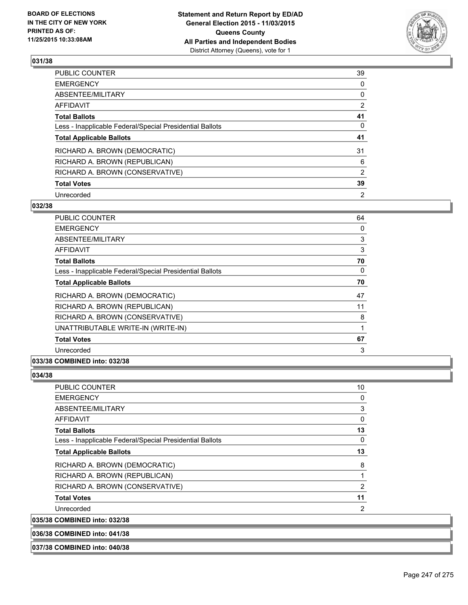

| PUBLIC COUNTER                                           | 39             |
|----------------------------------------------------------|----------------|
| <b>EMERGENCY</b>                                         | 0              |
| ABSENTEE/MILITARY                                        | 0              |
| <b>AFFIDAVIT</b>                                         | $\overline{2}$ |
| <b>Total Ballots</b>                                     | 41             |
| Less - Inapplicable Federal/Special Presidential Ballots | 0              |
| <b>Total Applicable Ballots</b>                          | 41             |
| RICHARD A. BROWN (DEMOCRATIC)                            | 31             |
| RICHARD A. BROWN (REPUBLICAN)                            | 6              |
| RICHARD A. BROWN (CONSERVATIVE)                          | $\overline{2}$ |
| <b>Total Votes</b>                                       | 39             |
| Unrecorded                                               | 2              |

### **032/38**

| <b>PUBLIC COUNTER</b>                                    | 64 |
|----------------------------------------------------------|----|
| <b>EMERGENCY</b>                                         | 0  |
| ABSENTEE/MILITARY                                        | 3  |
| <b>AFFIDAVIT</b>                                         | 3  |
| <b>Total Ballots</b>                                     | 70 |
| Less - Inapplicable Federal/Special Presidential Ballots | 0  |
| <b>Total Applicable Ballots</b>                          | 70 |
| RICHARD A. BROWN (DEMOCRATIC)                            | 47 |
| RICHARD A. BROWN (REPUBLICAN)                            | 11 |
| RICHARD A. BROWN (CONSERVATIVE)                          | 8  |
| UNATTRIBUTABLE WRITE-IN (WRITE-IN)                       |    |
| <b>Total Votes</b>                                       | 67 |
| Unrecorded                                               | 3  |

### **033/38 COMBINED into: 032/38**

#### **034/38**

 $|035/38$ 

| PUBLIC COUNTER                                           | 10 |
|----------------------------------------------------------|----|
| <b>EMERGENCY</b>                                         | 0  |
| ABSENTEE/MILITARY                                        | 3  |
| AFFIDAVIT                                                | 0  |
| <b>Total Ballots</b>                                     | 13 |
| Less - Inapplicable Federal/Special Presidential Ballots | 0  |
| <b>Total Applicable Ballots</b>                          | 13 |
| RICHARD A. BROWN (DEMOCRATIC)                            | 8  |
| RICHARD A. BROWN (REPUBLICAN)                            | 1  |
| RICHARD A. BROWN (CONSERVATIVE)                          | 2  |
| <b>Total Votes</b>                                       | 11 |
| Unrecorded                                               | 2  |
| <b>COMBINED into: 032/38</b>                             |    |

**036/38 COMBINED into: 041/38**

**037/38 COMBINED into: 040/38**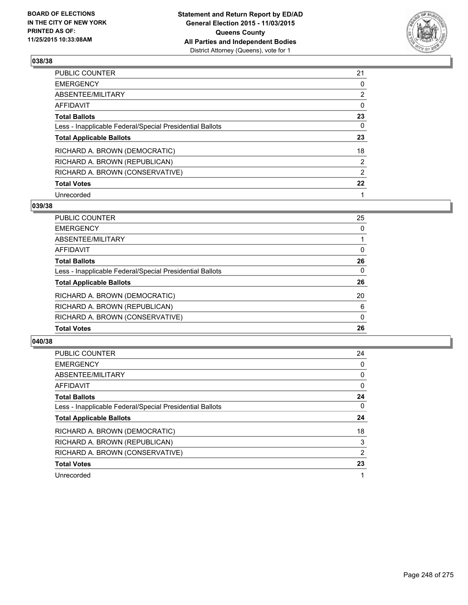

| PUBLIC COUNTER                                           | 21             |
|----------------------------------------------------------|----------------|
| <b>EMERGENCY</b>                                         | 0              |
| ABSENTEE/MILITARY                                        | $\overline{2}$ |
| <b>AFFIDAVIT</b>                                         | $\Omega$       |
| <b>Total Ballots</b>                                     | 23             |
| Less - Inapplicable Federal/Special Presidential Ballots | 0              |
| <b>Total Applicable Ballots</b>                          | 23             |
| RICHARD A. BROWN (DEMOCRATIC)                            | 18             |
| RICHARD A. BROWN (REPUBLICAN)                            | 2              |
| RICHARD A. BROWN (CONSERVATIVE)                          | $\overline{2}$ |
| <b>Total Votes</b>                                       | 22             |
| Unrecorded                                               |                |

### **039/38**

| <b>PUBLIC COUNTER</b>                                    | 25       |
|----------------------------------------------------------|----------|
| <b>EMERGENCY</b>                                         | $\Omega$ |
| <b>ABSENTEE/MILITARY</b>                                 |          |
| AFFIDAVIT                                                | 0        |
| <b>Total Ballots</b>                                     | 26       |
| Less - Inapplicable Federal/Special Presidential Ballots | $\Omega$ |
| <b>Total Applicable Ballots</b>                          | 26       |
| RICHARD A. BROWN (DEMOCRATIC)                            | 20       |
| RICHARD A. BROWN (REPUBLICAN)                            | 6        |
| RICHARD A. BROWN (CONSERVATIVE)                          | 0        |
| <b>Total Votes</b>                                       | 26       |
|                                                          |          |

| <b>PUBLIC COUNTER</b>                                    | 24 |
|----------------------------------------------------------|----|
| <b>EMERGENCY</b>                                         | 0  |
| ABSENTEE/MILITARY                                        | 0  |
| AFFIDAVIT                                                | 0  |
| <b>Total Ballots</b>                                     | 24 |
| Less - Inapplicable Federal/Special Presidential Ballots | 0  |
| <b>Total Applicable Ballots</b>                          | 24 |
| RICHARD A. BROWN (DEMOCRATIC)                            | 18 |
| RICHARD A. BROWN (REPUBLICAN)                            | 3  |
| RICHARD A. BROWN (CONSERVATIVE)                          | 2  |
| <b>Total Votes</b>                                       | 23 |
| Unrecorded                                               | 1  |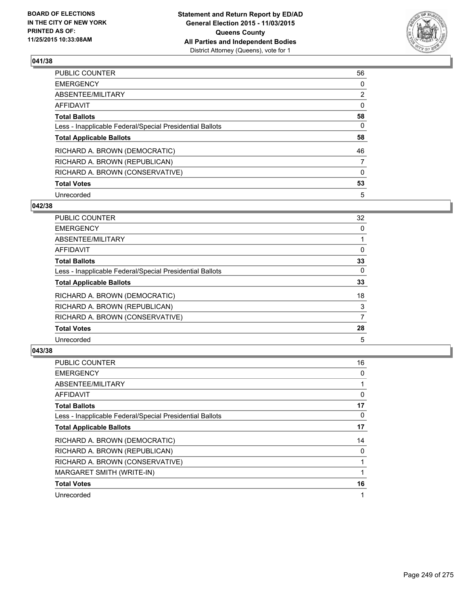

| PUBLIC COUNTER                                           | 56             |
|----------------------------------------------------------|----------------|
| <b>EMERGENCY</b>                                         | 0              |
| ABSENTEE/MILITARY                                        | $\overline{2}$ |
| <b>AFFIDAVIT</b>                                         | $\Omega$       |
| <b>Total Ballots</b>                                     | 58             |
| Less - Inapplicable Federal/Special Presidential Ballots | 0              |
| <b>Total Applicable Ballots</b>                          | 58             |
| RICHARD A. BROWN (DEMOCRATIC)                            | 46             |
| RICHARD A. BROWN (REPUBLICAN)                            | 7              |
| RICHARD A. BROWN (CONSERVATIVE)                          | $\Omega$       |
| <b>Total Votes</b>                                       | 53             |
| Unrecorded                                               | 5              |

### **042/38**

| 32       |
|----------|
| 0        |
|          |
| 0        |
| 33       |
| $\Omega$ |
| 33       |
| 18       |
| 3        |
| 7        |
| 28       |
| 5        |
|          |

| PUBLIC COUNTER                                           | 16 |
|----------------------------------------------------------|----|
| <b>EMERGENCY</b>                                         | 0  |
| ABSENTEE/MILITARY                                        |    |
| AFFIDAVIT                                                | 0  |
| <b>Total Ballots</b>                                     | 17 |
| Less - Inapplicable Federal/Special Presidential Ballots | 0  |
| <b>Total Applicable Ballots</b>                          | 17 |
| RICHARD A. BROWN (DEMOCRATIC)                            | 14 |
| RICHARD A. BROWN (REPUBLICAN)                            | 0  |
| RICHARD A. BROWN (CONSERVATIVE)                          |    |
| MARGARET SMITH (WRITE-IN)                                |    |
| <b>Total Votes</b>                                       | 16 |
| Unrecorded                                               |    |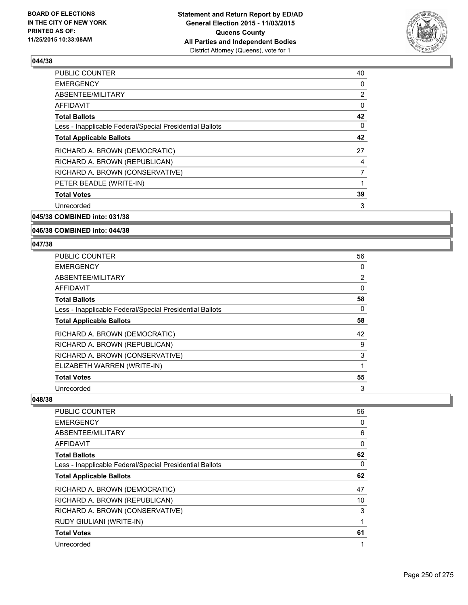

| PUBLIC COUNTER                                           | 40             |
|----------------------------------------------------------|----------------|
| <b>EMERGENCY</b>                                         | 0              |
| ABSENTEE/MILITARY                                        | $\overline{2}$ |
| <b>AFFIDAVIT</b>                                         | 0              |
| <b>Total Ballots</b>                                     | 42             |
| Less - Inapplicable Federal/Special Presidential Ballots | 0              |
| <b>Total Applicable Ballots</b>                          | 42             |
| RICHARD A. BROWN (DEMOCRATIC)                            | 27             |
| RICHARD A. BROWN (REPUBLICAN)                            | 4              |
| RICHARD A. BROWN (CONSERVATIVE)                          | 7              |
| PETER BEADLE (WRITE-IN)                                  |                |
| <b>Total Votes</b>                                       | 39             |
| Unrecorded                                               | 3              |
|                                                          |                |

## **045/38 COMBINED into: 031/38**

### **046/38 COMBINED into: 044/38**

#### **047/38**

| <b>PUBLIC COUNTER</b>                                    | 56             |
|----------------------------------------------------------|----------------|
| <b>EMERGENCY</b>                                         | 0              |
| ABSENTEE/MILITARY                                        | $\overline{2}$ |
| <b>AFFIDAVIT</b>                                         | 0              |
| <b>Total Ballots</b>                                     | 58             |
| Less - Inapplicable Federal/Special Presidential Ballots | 0              |
| <b>Total Applicable Ballots</b>                          | 58             |
| RICHARD A. BROWN (DEMOCRATIC)                            | 42             |
| RICHARD A. BROWN (REPUBLICAN)                            | 9              |
| RICHARD A. BROWN (CONSERVATIVE)                          | 3              |
| ELIZABETH WARREN (WRITE-IN)                              |                |
| <b>Total Votes</b>                                       | 55             |
| Unrecorded                                               | 3              |

| <b>PUBLIC COUNTER</b>                                    | 56 |
|----------------------------------------------------------|----|
| <b>EMERGENCY</b>                                         | 0  |
| ABSENTEE/MILITARY                                        | 6  |
| AFFIDAVIT                                                | 0  |
| <b>Total Ballots</b>                                     | 62 |
| Less - Inapplicable Federal/Special Presidential Ballots | 0  |
| <b>Total Applicable Ballots</b>                          | 62 |
| RICHARD A. BROWN (DEMOCRATIC)                            | 47 |
| RICHARD A. BROWN (REPUBLICAN)                            | 10 |
| RICHARD A. BROWN (CONSERVATIVE)                          | 3  |
| <b>RUDY GIULIANI (WRITE-IN)</b>                          | 1  |
| <b>Total Votes</b>                                       | 61 |
| Unrecorded                                               | 1  |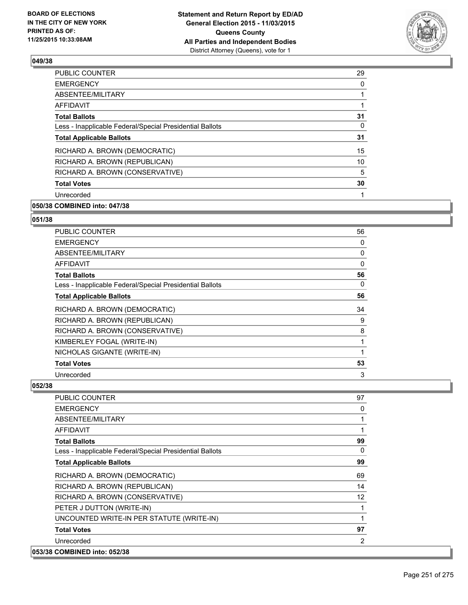

| <b>PUBLIC COUNTER</b>                                    | 29 |
|----------------------------------------------------------|----|
| <b>EMERGENCY</b>                                         | 0  |
| ABSENTEE/MILITARY                                        |    |
| AFFIDAVIT                                                |    |
| <b>Total Ballots</b>                                     | 31 |
| Less - Inapplicable Federal/Special Presidential Ballots | 0  |
| <b>Total Applicable Ballots</b>                          | 31 |
| RICHARD A. BROWN (DEMOCRATIC)                            | 15 |
| RICHARD A. BROWN (REPUBLICAN)                            | 10 |
| RICHARD A. BROWN (CONSERVATIVE)                          | 5  |
| <b>Total Votes</b>                                       | 30 |
| Unrecorded                                               |    |
|                                                          |    |

# **050/38 COMBINED into: 047/38**

## **051/38**

| PUBLIC COUNTER                                           | 56 |
|----------------------------------------------------------|----|
| <b>EMERGENCY</b>                                         | 0  |
| ABSENTEE/MILITARY                                        | 0  |
| AFFIDAVIT                                                | 0  |
| <b>Total Ballots</b>                                     | 56 |
| Less - Inapplicable Federal/Special Presidential Ballots | 0  |
| <b>Total Applicable Ballots</b>                          | 56 |
| RICHARD A. BROWN (DEMOCRATIC)                            | 34 |
| RICHARD A. BROWN (REPUBLICAN)                            | 9  |
| RICHARD A. BROWN (CONSERVATIVE)                          | 8  |
| KIMBERLEY FOGAL (WRITE-IN)                               | 1  |
| NICHOLAS GIGANTE (WRITE-IN)                              |    |
| <b>Total Votes</b>                                       | 53 |
| Unrecorded                                               | 3  |

| PUBLIC COUNTER                                           | 97 |
|----------------------------------------------------------|----|
| <b>EMERGENCY</b>                                         | 0  |
| ABSENTEE/MILITARY                                        |    |
| AFFIDAVIT                                                |    |
| <b>Total Ballots</b>                                     | 99 |
| Less - Inapplicable Federal/Special Presidential Ballots | 0  |
| <b>Total Applicable Ballots</b>                          | 99 |
| RICHARD A. BROWN (DEMOCRATIC)                            | 69 |
| RICHARD A. BROWN (REPUBLICAN)                            | 14 |
| RICHARD A. BROWN (CONSERVATIVE)                          | 12 |
| PETER J DUTTON (WRITE-IN)                                |    |
| UNCOUNTED WRITE-IN PER STATUTE (WRITE-IN)                | 1  |
| <b>Total Votes</b>                                       | 97 |
| Unrecorded                                               | 2  |
| 053/38 COMBINED into: 052/38                             |    |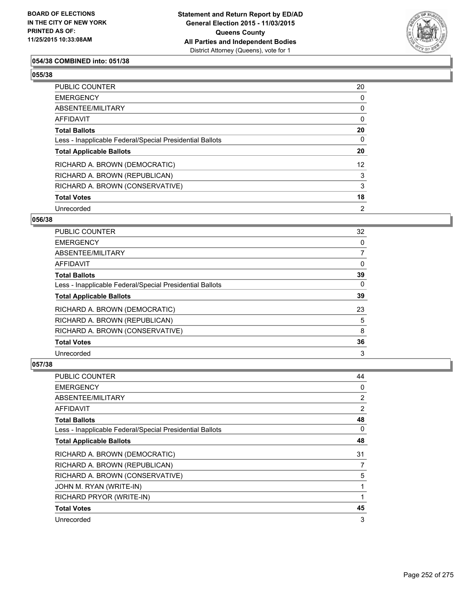

## **054/38 COMBINED into: 051/38**

# **055/38**

| <b>PUBLIC COUNTER</b>                                    | 20 |
|----------------------------------------------------------|----|
| <b>EMERGENCY</b>                                         | 0  |
| <b>ABSENTEE/MILITARY</b>                                 | 0  |
| AFFIDAVIT                                                | 0  |
| <b>Total Ballots</b>                                     | 20 |
| Less - Inapplicable Federal/Special Presidential Ballots | 0  |
| <b>Total Applicable Ballots</b>                          | 20 |
| RICHARD A. BROWN (DEMOCRATIC)                            | 12 |
| RICHARD A. BROWN (REPUBLICAN)                            | 3  |
| RICHARD A. BROWN (CONSERVATIVE)                          | 3  |
| <b>Total Votes</b>                                       | 18 |
| Unrecorded                                               | 2  |

#### **056/38**

| PUBLIC COUNTER                                           | 32       |
|----------------------------------------------------------|----------|
| <b>EMERGENCY</b>                                         | 0        |
| ABSENTEE/MILITARY                                        | 7        |
| <b>AFFIDAVIT</b>                                         | 0        |
| <b>Total Ballots</b>                                     | 39       |
| Less - Inapplicable Federal/Special Presidential Ballots | $\Omega$ |
| <b>Total Applicable Ballots</b>                          | 39       |
| RICHARD A. BROWN (DEMOCRATIC)                            | 23       |
| RICHARD A. BROWN (REPUBLICAN)                            | 5        |
| RICHARD A. BROWN (CONSERVATIVE)                          | 8        |
| <b>Total Votes</b>                                       | 36       |
| Unrecorded                                               | 3        |

| <b>PUBLIC COUNTER</b>                                    | 44             |
|----------------------------------------------------------|----------------|
| <b>EMERGENCY</b>                                         | 0              |
| ABSENTEE/MILITARY                                        | $\overline{2}$ |
| AFFIDAVIT                                                | 2              |
| <b>Total Ballots</b>                                     | 48             |
| Less - Inapplicable Federal/Special Presidential Ballots | 0              |
| <b>Total Applicable Ballots</b>                          | 48             |
| RICHARD A. BROWN (DEMOCRATIC)                            | 31             |
| RICHARD A. BROWN (REPUBLICAN)                            | 7              |
| RICHARD A. BROWN (CONSERVATIVE)                          | 5              |
| JOHN M. RYAN (WRITE-IN)                                  | 1              |
| RICHARD PRYOR (WRITE-IN)                                 |                |
| <b>Total Votes</b>                                       | 45             |
| Unrecorded                                               | 3              |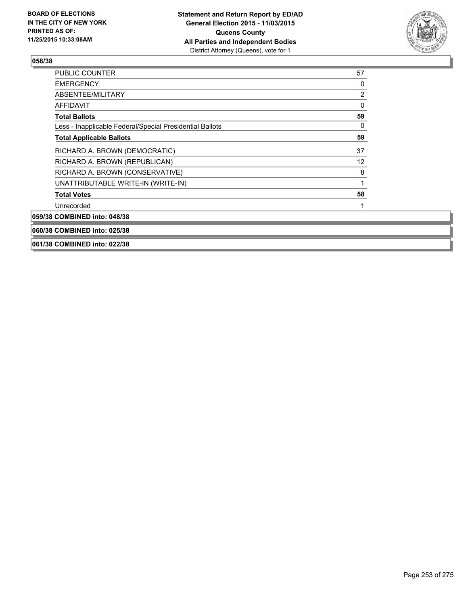

| <b>PUBLIC COUNTER</b>                                    | 57             |
|----------------------------------------------------------|----------------|
| <b>EMERGENCY</b>                                         | 0              |
| ABSENTEE/MILITARY                                        | $\overline{c}$ |
| <b>AFFIDAVIT</b>                                         | $\mathbf{0}$   |
| <b>Total Ballots</b>                                     | 59             |
| Less - Inapplicable Federal/Special Presidential Ballots | 0              |
| <b>Total Applicable Ballots</b>                          | 59             |
| RICHARD A. BROWN (DEMOCRATIC)                            | 37             |
| RICHARD A. BROWN (REPUBLICAN)                            | 12             |
| RICHARD A. BROWN (CONSERVATIVE)                          | 8              |
| UNATTRIBUTABLE WRITE-IN (WRITE-IN)                       | 1              |
| <b>Total Votes</b>                                       | 58             |
| Unrecorded                                               |                |
| 059/38 COMBINED into: 048/38                             |                |
| 060/38 COMBINED into: 025/38                             |                |

**061/38 COMBINED into: 022/38**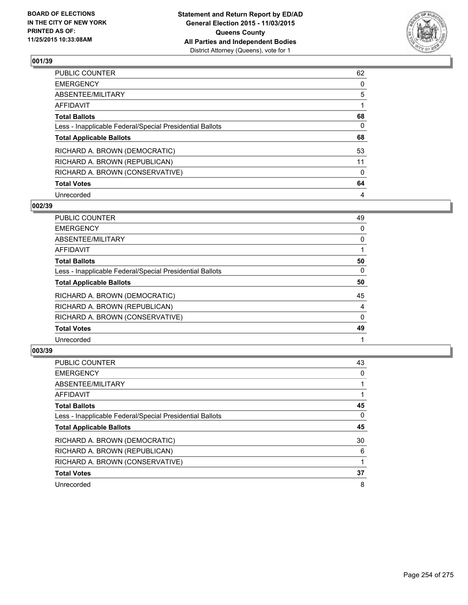

| PUBLIC COUNTER                                           | 62       |
|----------------------------------------------------------|----------|
| <b>EMERGENCY</b>                                         | 0        |
| ABSENTEE/MILITARY                                        | 5        |
| AFFIDAVIT                                                |          |
| <b>Total Ballots</b>                                     | 68       |
| Less - Inapplicable Federal/Special Presidential Ballots | 0        |
| <b>Total Applicable Ballots</b>                          | 68       |
| RICHARD A. BROWN (DEMOCRATIC)                            | 53       |
| RICHARD A. BROWN (REPUBLICAN)                            | 11       |
| RICHARD A. BROWN (CONSERVATIVE)                          | $\Omega$ |
| <b>Total Votes</b>                                       | 64       |
| Unrecorded                                               | 4        |

### **002/39**

| <b>PUBLIC COUNTER</b>                                    | 49 |
|----------------------------------------------------------|----|
| <b>EMERGENCY</b>                                         | 0  |
| <b>ABSENTEE/MILITARY</b>                                 | 0  |
| <b>AFFIDAVIT</b>                                         |    |
| <b>Total Ballots</b>                                     | 50 |
| Less - Inapplicable Federal/Special Presidential Ballots | 0  |
| <b>Total Applicable Ballots</b>                          | 50 |
| RICHARD A. BROWN (DEMOCRATIC)                            | 45 |
| RICHARD A. BROWN (REPUBLICAN)                            | 4  |
| RICHARD A. BROWN (CONSERVATIVE)                          | 0  |
| <b>Total Votes</b>                                       | 49 |
| Unrecorded                                               |    |
|                                                          |    |

| <b>PUBLIC COUNTER</b>                                    | 43 |
|----------------------------------------------------------|----|
| <b>EMERGENCY</b>                                         | 0  |
| ABSENTEE/MILITARY                                        |    |
| <b>AFFIDAVIT</b>                                         |    |
| <b>Total Ballots</b>                                     | 45 |
| Less - Inapplicable Federal/Special Presidential Ballots | 0  |
| <b>Total Applicable Ballots</b>                          | 45 |
| RICHARD A. BROWN (DEMOCRATIC)                            | 30 |
| RICHARD A. BROWN (REPUBLICAN)                            | 6  |
| RICHARD A. BROWN (CONSERVATIVE)                          |    |
| <b>Total Votes</b>                                       | 37 |
| Unrecorded                                               | 8  |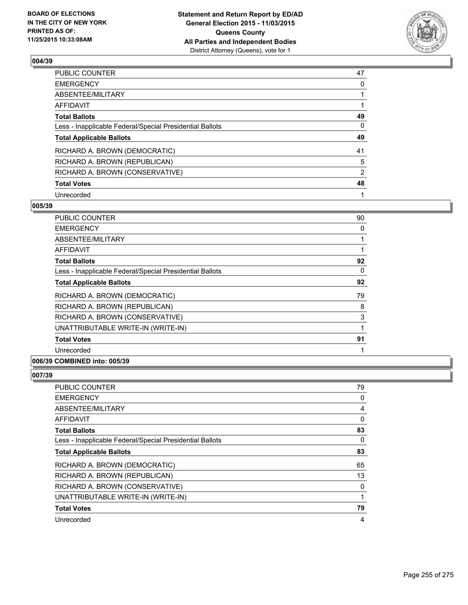

| PUBLIC COUNTER                                           | 47             |
|----------------------------------------------------------|----------------|
| <b>EMERGENCY</b>                                         | 0              |
| ABSENTEE/MILITARY                                        |                |
| <b>AFFIDAVIT</b>                                         |                |
| <b>Total Ballots</b>                                     | 49             |
| Less - Inapplicable Federal/Special Presidential Ballots | 0              |
| <b>Total Applicable Ballots</b>                          | 49             |
| RICHARD A. BROWN (DEMOCRATIC)                            | 41             |
| RICHARD A. BROWN (REPUBLICAN)                            | 5              |
| RICHARD A. BROWN (CONSERVATIVE)                          | $\overline{2}$ |
| <b>Total Votes</b>                                       | 48             |
| Unrecorded                                               |                |

### **005/39**

| <b>PUBLIC COUNTER</b>                                    | 90 |
|----------------------------------------------------------|----|
| <b>EMERGENCY</b>                                         | 0  |
| ABSENTEE/MILITARY                                        |    |
| <b>AFFIDAVIT</b>                                         | 1  |
| <b>Total Ballots</b>                                     | 92 |
| Less - Inapplicable Federal/Special Presidential Ballots | 0  |
| <b>Total Applicable Ballots</b>                          | 92 |
| RICHARD A. BROWN (DEMOCRATIC)                            | 79 |
| RICHARD A. BROWN (REPUBLICAN)                            | 8  |
| RICHARD A. BROWN (CONSERVATIVE)                          | 3  |
| UNATTRIBUTABLE WRITE-IN (WRITE-IN)                       | 1  |
| <b>Total Votes</b>                                       | 91 |
| Unrecorded                                               |    |
|                                                          |    |

# **006/39 COMBINED into: 005/39**

| <b>PUBLIC COUNTER</b>                                    | 79             |
|----------------------------------------------------------|----------------|
| <b>EMERGENCY</b>                                         | 0              |
| ABSENTEE/MILITARY                                        | $\overline{4}$ |
| AFFIDAVIT                                                | 0              |
| <b>Total Ballots</b>                                     | 83             |
| Less - Inapplicable Federal/Special Presidential Ballots | $\Omega$       |
| <b>Total Applicable Ballots</b>                          | 83             |
| RICHARD A. BROWN (DEMOCRATIC)                            | 65             |
| RICHARD A. BROWN (REPUBLICAN)                            | 13             |
| RICHARD A. BROWN (CONSERVATIVE)                          | 0              |
| UNATTRIBUTABLE WRITE-IN (WRITE-IN)                       |                |
| <b>Total Votes</b>                                       | 79             |
| Unrecorded                                               | 4              |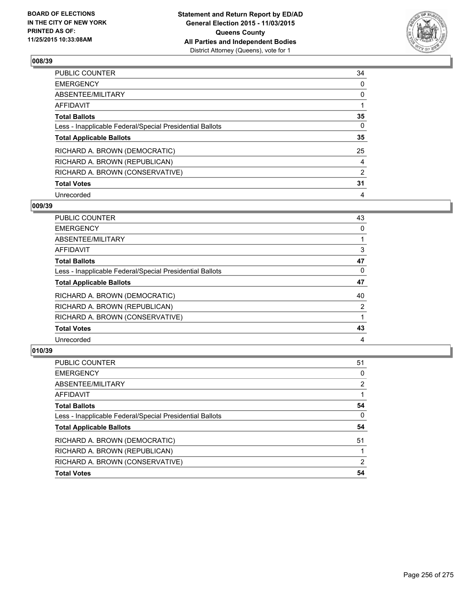

| PUBLIC COUNTER                                           | 34             |
|----------------------------------------------------------|----------------|
| <b>EMERGENCY</b>                                         | 0              |
| ABSENTEE/MILITARY                                        | 0              |
| <b>AFFIDAVIT</b>                                         |                |
| <b>Total Ballots</b>                                     | 35             |
| Less - Inapplicable Federal/Special Presidential Ballots | $\Omega$       |
| <b>Total Applicable Ballots</b>                          | 35             |
| RICHARD A. BROWN (DEMOCRATIC)                            | 25             |
| RICHARD A. BROWN (REPUBLICAN)                            | 4              |
| RICHARD A. BROWN (CONSERVATIVE)                          | $\overline{2}$ |
| <b>Total Votes</b>                                       | 31             |
| Unrecorded                                               | 4              |

### **009/39**

| <b>PUBLIC COUNTER</b>                                    | 43             |
|----------------------------------------------------------|----------------|
| <b>EMERGENCY</b>                                         | 0              |
| <b>ABSENTEE/MILITARY</b>                                 |                |
| <b>AFFIDAVIT</b>                                         | 3              |
| <b>Total Ballots</b>                                     | 47             |
| Less - Inapplicable Federal/Special Presidential Ballots | 0              |
| <b>Total Applicable Ballots</b>                          | 47             |
| RICHARD A. BROWN (DEMOCRATIC)                            | 40             |
| RICHARD A. BROWN (REPUBLICAN)                            | $\overline{2}$ |
| RICHARD A. BROWN (CONSERVATIVE)                          |                |
| <b>Total Votes</b>                                       | 43             |
| Unrecorded                                               | 4              |
|                                                          |                |

| 51 |
|----|
| 0  |
| 2  |
|    |
| 54 |
| 0  |
| 54 |
| 51 |
|    |
| 2  |
| 54 |
|    |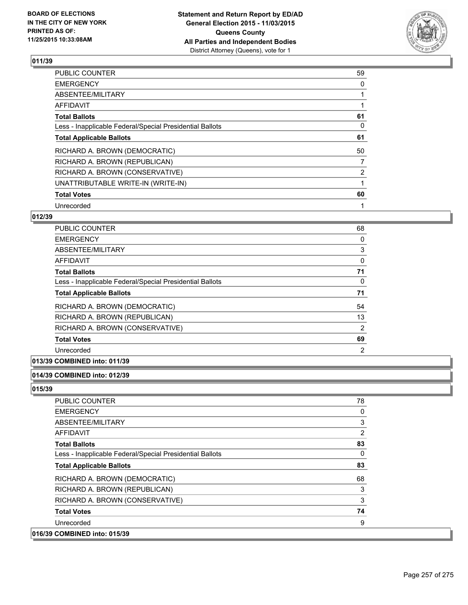

| <b>PUBLIC COUNTER</b>                                    | 59             |
|----------------------------------------------------------|----------------|
| <b>EMERGENCY</b>                                         | 0              |
| ABSENTEE/MILITARY                                        |                |
| AFFIDAVIT                                                |                |
| <b>Total Ballots</b>                                     | 61             |
| Less - Inapplicable Federal/Special Presidential Ballots | 0              |
| <b>Total Applicable Ballots</b>                          | 61             |
| RICHARD A. BROWN (DEMOCRATIC)                            | 50             |
| RICHARD A. BROWN (REPUBLICAN)                            | 7              |
| RICHARD A. BROWN (CONSERVATIVE)                          | $\overline{2}$ |
| UNATTRIBUTABLE WRITE-IN (WRITE-IN)                       | 1              |
| <b>Total Votes</b>                                       | 60             |
| Unrecorded                                               | 1              |

# **012/39**

| <b>PUBLIC COUNTER</b>                                    | 68             |
|----------------------------------------------------------|----------------|
| <b>EMERGENCY</b>                                         | 0              |
| ABSENTEE/MILITARY                                        | 3              |
| AFFIDAVIT                                                | 0              |
| <b>Total Ballots</b>                                     | 71             |
| Less - Inapplicable Federal/Special Presidential Ballots | 0              |
| <b>Total Applicable Ballots</b>                          | 71             |
| RICHARD A. BROWN (DEMOCRATIC)                            | 54             |
| RICHARD A. BROWN (REPUBLICAN)                            | 13             |
| RICHARD A. BROWN (CONSERVATIVE)                          | $\overline{2}$ |
| <b>Total Votes</b>                                       | 69             |
| Unrecorded                                               | $\overline{2}$ |

## **013/39 COMBINED into: 011/39**

### **014/39 COMBINED into: 012/39**

| <b>PUBLIC COUNTER</b>                                    | 78 |
|----------------------------------------------------------|----|
| <b>EMERGENCY</b>                                         | 0  |
| ABSENTEE/MILITARY                                        | 3  |
| <b>AFFIDAVIT</b>                                         | 2  |
| <b>Total Ballots</b>                                     | 83 |
| Less - Inapplicable Federal/Special Presidential Ballots | 0  |
| <b>Total Applicable Ballots</b>                          | 83 |
| RICHARD A. BROWN (DEMOCRATIC)                            | 68 |
| RICHARD A. BROWN (REPUBLICAN)                            | 3  |
| RICHARD A. BROWN (CONSERVATIVE)                          | 3  |
| <b>Total Votes</b>                                       | 74 |
| Unrecorded                                               | 9  |
| 016/39 COMBINED into: 015/39                             |    |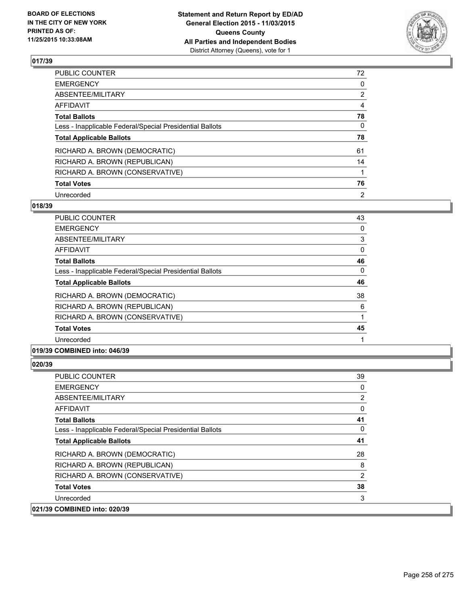

| PUBLIC COUNTER                                           | 72             |
|----------------------------------------------------------|----------------|
| <b>EMERGENCY</b>                                         | 0              |
| ABSENTEE/MILITARY                                        | $\overline{2}$ |
| AFFIDAVIT                                                | 4              |
| <b>Total Ballots</b>                                     | 78             |
| Less - Inapplicable Federal/Special Presidential Ballots | $\Omega$       |
| <b>Total Applicable Ballots</b>                          | 78             |
| RICHARD A. BROWN (DEMOCRATIC)                            | 61             |
| RICHARD A. BROWN (REPUBLICAN)                            | 14             |
| RICHARD A. BROWN (CONSERVATIVE)                          |                |
| <b>Total Votes</b>                                       | 76             |
| Unrecorded                                               | 2              |

### **018/39**

| <b>PUBLIC COUNTER</b>                                    | 43       |
|----------------------------------------------------------|----------|
| <b>EMERGENCY</b>                                         | 0        |
| ABSENTEE/MILITARY                                        | 3        |
| <b>AFFIDAVIT</b>                                         | 0        |
| <b>Total Ballots</b>                                     | 46       |
| Less - Inapplicable Federal/Special Presidential Ballots | $\Omega$ |
| <b>Total Applicable Ballots</b>                          | 46       |
| RICHARD A. BROWN (DEMOCRATIC)                            | 38       |
| RICHARD A. BROWN (REPUBLICAN)                            | 6        |
| RICHARD A. BROWN (CONSERVATIVE)                          |          |
| <b>Total Votes</b>                                       | 45       |
| Unrecorded                                               |          |
|                                                          |          |

## **019/39 COMBINED into: 046/39**

| <b>PUBLIC COUNTER</b>                                    | 39       |
|----------------------------------------------------------|----------|
| <b>EMERGENCY</b>                                         | 0        |
| ABSENTEE/MILITARY                                        | 2        |
| AFFIDAVIT                                                | 0        |
| <b>Total Ballots</b>                                     | 41       |
| Less - Inapplicable Federal/Special Presidential Ballots | $\Omega$ |
| <b>Total Applicable Ballots</b>                          | 41       |
| RICHARD A. BROWN (DEMOCRATIC)                            | 28       |
| RICHARD A. BROWN (REPUBLICAN)                            | 8        |
| RICHARD A. BROWN (CONSERVATIVE)                          | 2        |
| <b>Total Votes</b>                                       | 38       |
| Unrecorded                                               | 3        |
| 021/39 COMBINED into: 020/39                             |          |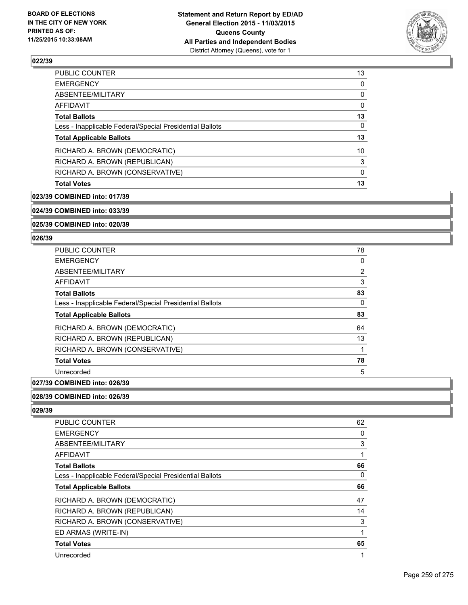

| PUBLIC COUNTER                                           | 13 |
|----------------------------------------------------------|----|
| <b>EMERGENCY</b>                                         | 0  |
| ABSENTEE/MILITARY                                        | 0  |
| AFFIDAVIT                                                | 0  |
| <b>Total Ballots</b>                                     | 13 |
| Less - Inapplicable Federal/Special Presidential Ballots | 0  |
| <b>Total Applicable Ballots</b>                          | 13 |
| RICHARD A. BROWN (DEMOCRATIC)                            | 10 |
| RICHARD A. BROWN (REPUBLICAN)                            | 3  |
| RICHARD A. BROWN (CONSERVATIVE)                          | 0  |
| <b>Total Votes</b>                                       | 13 |

### **023/39 COMBINED into: 017/39**

**024/39 COMBINED into: 033/39**

**025/39 COMBINED into: 020/39**

### **026/39**

| <b>PUBLIC COUNTER</b>                                    | 78             |
|----------------------------------------------------------|----------------|
| <b>EMERGENCY</b>                                         | 0              |
| ABSENTEE/MILITARY                                        | $\overline{2}$ |
| <b>AFFIDAVIT</b>                                         | 3              |
| <b>Total Ballots</b>                                     | 83             |
| Less - Inapplicable Federal/Special Presidential Ballots | 0              |
| <b>Total Applicable Ballots</b>                          | 83             |
| RICHARD A. BROWN (DEMOCRATIC)                            | 64             |
| RICHARD A. BROWN (REPUBLICAN)                            | 13             |
| RICHARD A. BROWN (CONSERVATIVE)                          |                |
| <b>Total Votes</b>                                       | 78             |
| Unrecorded                                               | 5              |
|                                                          |                |

# **027/39 COMBINED into: 026/39**

## **028/39 COMBINED into: 026/39**

| <b>PUBLIC COUNTER</b>                                    | 62 |
|----------------------------------------------------------|----|
| <b>EMERGENCY</b>                                         | 0  |
| ABSENTEE/MILITARY                                        | 3  |
| AFFIDAVIT                                                | 1  |
| <b>Total Ballots</b>                                     | 66 |
| Less - Inapplicable Federal/Special Presidential Ballots | 0  |
| <b>Total Applicable Ballots</b>                          | 66 |
| RICHARD A. BROWN (DEMOCRATIC)                            | 47 |
| RICHARD A. BROWN (REPUBLICAN)                            | 14 |
| RICHARD A. BROWN (CONSERVATIVE)                          | 3  |
| ED ARMAS (WRITE-IN)                                      | 1  |
| <b>Total Votes</b>                                       | 65 |
| Unrecorded                                               | 1  |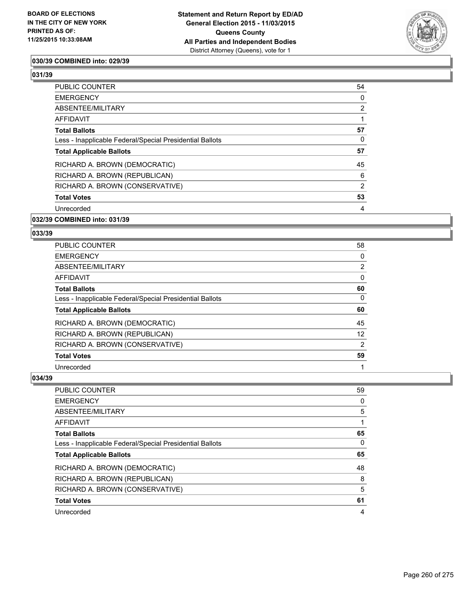

## **030/39 COMBINED into: 029/39**

# **031/39**

| <b>PUBLIC COUNTER</b>                                    | 54 |
|----------------------------------------------------------|----|
| <b>EMERGENCY</b>                                         | 0  |
| ABSENTEE/MILITARY                                        | 2  |
| <b>AFFIDAVIT</b>                                         |    |
| <b>Total Ballots</b>                                     | 57 |
| Less - Inapplicable Federal/Special Presidential Ballots | 0  |
| <b>Total Applicable Ballots</b>                          | 57 |
| RICHARD A. BROWN (DEMOCRATIC)                            | 45 |
| RICHARD A. BROWN (REPUBLICAN)                            | 6  |
| RICHARD A. BROWN (CONSERVATIVE)                          | 2  |
| <b>Total Votes</b>                                       | 53 |
| Unrecorded                                               | 4  |
|                                                          |    |

## **032/39 COMBINED into: 031/39**

### **033/39**

| <b>PUBLIC COUNTER</b>                                    | 58             |
|----------------------------------------------------------|----------------|
| <b>EMERGENCY</b>                                         | 0              |
| ABSENTEE/MILITARY                                        | $\overline{2}$ |
| AFFIDAVIT                                                | 0              |
| <b>Total Ballots</b>                                     | 60             |
| Less - Inapplicable Federal/Special Presidential Ballots | 0              |
| <b>Total Applicable Ballots</b>                          | 60             |
| RICHARD A. BROWN (DEMOCRATIC)                            | 45             |
|                                                          |                |
| RICHARD A. BROWN (REPUBLICAN)                            | 12             |
| RICHARD A. BROWN (CONSERVATIVE)                          | 2              |
| <b>Total Votes</b>                                       | 59             |

| <b>PUBLIC COUNTER</b>                                    | 59 |
|----------------------------------------------------------|----|
| <b>EMERGENCY</b>                                         | 0  |
| ABSENTEE/MILITARY                                        | 5  |
| AFFIDAVIT                                                |    |
| <b>Total Ballots</b>                                     | 65 |
| Less - Inapplicable Federal/Special Presidential Ballots | 0  |
|                                                          |    |
| <b>Total Applicable Ballots</b>                          | 65 |
| RICHARD A. BROWN (DEMOCRATIC)                            | 48 |
| RICHARD A. BROWN (REPUBLICAN)                            | 8  |
| RICHARD A. BROWN (CONSERVATIVE)                          | 5  |
| <b>Total Votes</b>                                       | 61 |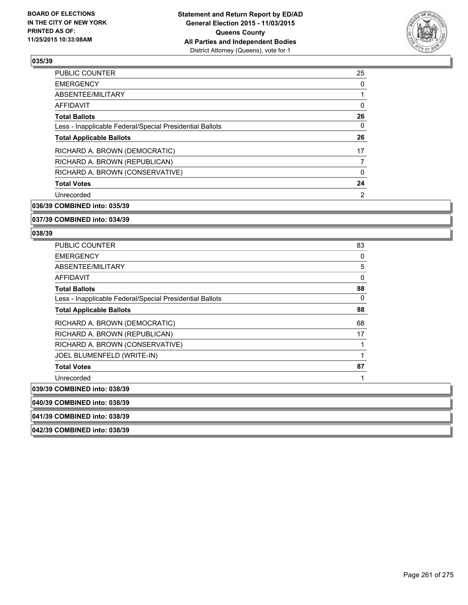

| <b>PUBLIC COUNTER</b>                                    | 25 |
|----------------------------------------------------------|----|
| <b>EMERGENCY</b>                                         | 0  |
| ABSENTEE/MILITARY                                        |    |
| AFFIDAVIT                                                | 0  |
| <b>Total Ballots</b>                                     | 26 |
| Less - Inapplicable Federal/Special Presidential Ballots | 0  |
| <b>Total Applicable Ballots</b>                          | 26 |
| RICHARD A. BROWN (DEMOCRATIC)                            | 17 |
| RICHARD A. BROWN (REPUBLICAN)                            |    |
| RICHARD A. BROWN (CONSERVATIVE)                          | 0  |
| <b>Total Votes</b>                                       | 24 |
| Unrecorded                                               | 2  |
|                                                          |    |

**036/39 COMBINED into: 035/39**

**037/39 COMBINED into: 034/39**

### **038/39**

| <b>PUBLIC COUNTER</b>                                    | 83 |
|----------------------------------------------------------|----|
| <b>EMERGENCY</b>                                         | 0  |
| ABSENTEE/MILITARY                                        | 5  |
| <b>AFFIDAVIT</b>                                         | 0  |
| <b>Total Ballots</b>                                     | 88 |
| Less - Inapplicable Federal/Special Presidential Ballots | 0  |
| <b>Total Applicable Ballots</b>                          | 88 |
| RICHARD A. BROWN (DEMOCRATIC)                            | 68 |
| RICHARD A. BROWN (REPUBLICAN)                            | 17 |
| RICHARD A. BROWN (CONSERVATIVE)                          |    |
| JOEL BLUMENFELD (WRITE-IN)                               |    |
| <b>Total Votes</b>                                       | 87 |
| Unrecorded                                               |    |
| 039/39 COMBINED into: 038/39                             |    |
| 040/39 COMBINED into: 038/39                             |    |
| 041/39 COMBINED into: 038/39                             |    |

**042/39 COMBINED into: 038/39**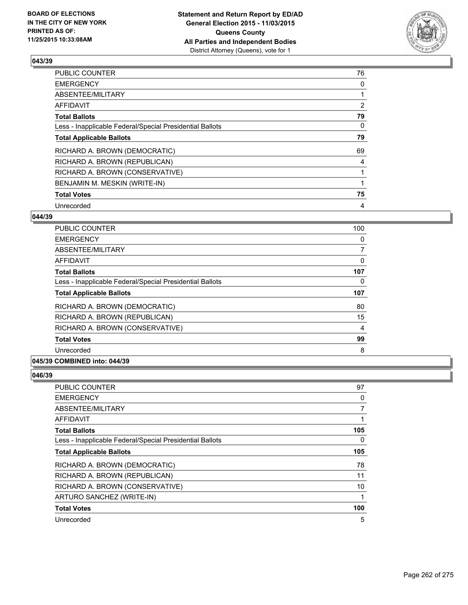

| PUBLIC COUNTER                                           | 76             |
|----------------------------------------------------------|----------------|
| <b>EMERGENCY</b>                                         | 0              |
| ABSENTEE/MILITARY                                        |                |
| AFFIDAVIT                                                | $\overline{2}$ |
| <b>Total Ballots</b>                                     | 79             |
| Less - Inapplicable Federal/Special Presidential Ballots | 0              |
| <b>Total Applicable Ballots</b>                          | 79             |
| RICHARD A. BROWN (DEMOCRATIC)                            | 69             |
| RICHARD A. BROWN (REPUBLICAN)                            | 4              |
| RICHARD A. BROWN (CONSERVATIVE)                          |                |
| BENJAMIN M. MESKIN (WRITE-IN)                            |                |
| <b>Total Votes</b>                                       | 75             |
| Unrecorded                                               | 4              |

# **044/39**

| <b>PUBLIC COUNTER</b>                                    | 100      |
|----------------------------------------------------------|----------|
| <b>EMERGENCY</b>                                         | 0        |
| ABSENTEE/MILITARY                                        | 7        |
| <b>AFFIDAVIT</b>                                         | 0        |
| <b>Total Ballots</b>                                     | 107      |
| Less - Inapplicable Federal/Special Presidential Ballots | $\Omega$ |
| <b>Total Applicable Ballots</b>                          | 107      |
| RICHARD A. BROWN (DEMOCRATIC)                            | 80       |
| RICHARD A. BROWN (REPUBLICAN)                            | 15       |
| RICHARD A. BROWN (CONSERVATIVE)                          | 4        |
| <b>Total Votes</b>                                       | 99       |
| Unrecorded                                               | 8        |

# **045/39 COMBINED into: 044/39**

| PUBLIC COUNTER                                           | 97             |
|----------------------------------------------------------|----------------|
| <b>EMERGENCY</b>                                         | 0              |
| ABSENTEE/MILITARY                                        | $\overline{7}$ |
| AFFIDAVIT                                                |                |
| <b>Total Ballots</b>                                     | 105            |
| Less - Inapplicable Federal/Special Presidential Ballots | $\Omega$       |
| <b>Total Applicable Ballots</b>                          | 105            |
| RICHARD A. BROWN (DEMOCRATIC)                            | 78             |
| RICHARD A. BROWN (REPUBLICAN)                            | 11             |
| RICHARD A. BROWN (CONSERVATIVE)                          | 10             |
| ARTURO SANCHEZ (WRITE-IN)                                |                |
| <b>Total Votes</b>                                       | 100            |
| Unrecorded                                               | 5              |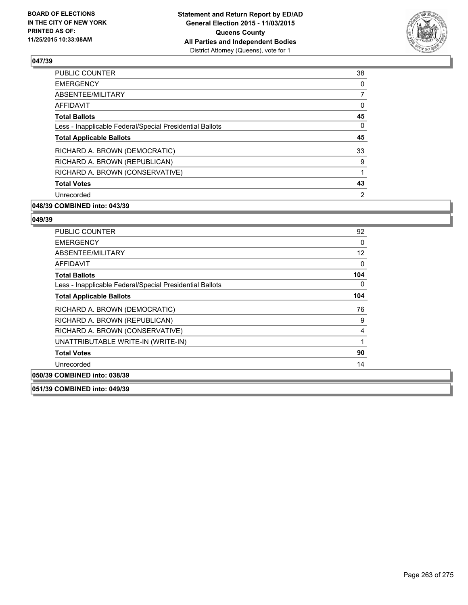

| PUBLIC COUNTER                                           | 38 |
|----------------------------------------------------------|----|
| <b>EMERGENCY</b>                                         | 0  |
| ABSENTEE/MILITARY                                        | 7  |
| AFFIDAVIT                                                | 0  |
| <b>Total Ballots</b>                                     | 45 |
| Less - Inapplicable Federal/Special Presidential Ballots | 0  |
| <b>Total Applicable Ballots</b>                          | 45 |
| RICHARD A. BROWN (DEMOCRATIC)                            | 33 |
| RICHARD A. BROWN (REPUBLICAN)                            | 9  |
| RICHARD A. BROWN (CONSERVATIVE)                          |    |
| <b>Total Votes</b>                                       | 43 |
| Unrecorded                                               | 2  |
|                                                          |    |

# **048/39 COMBINED into: 043/39**

#### **049/39**

| <b>PUBLIC COUNTER</b>                                    | 92  |
|----------------------------------------------------------|-----|
| <b>EMERGENCY</b>                                         | 0   |
| ABSENTEE/MILITARY                                        | 12  |
| <b>AFFIDAVIT</b>                                         | 0   |
| <b>Total Ballots</b>                                     | 104 |
| Less - Inapplicable Federal/Special Presidential Ballots | 0   |
| <b>Total Applicable Ballots</b>                          | 104 |
| RICHARD A. BROWN (DEMOCRATIC)                            | 76  |
| RICHARD A. BROWN (REPUBLICAN)                            | 9   |
| RICHARD A. BROWN (CONSERVATIVE)                          | 4   |
| UNATTRIBUTABLE WRITE-IN (WRITE-IN)                       | 1   |
| <b>Total Votes</b>                                       | 90  |
| Unrecorded                                               | 14  |
| 050/39 COMBINED into: 038/39                             |     |

**051/39 COMBINED into: 049/39**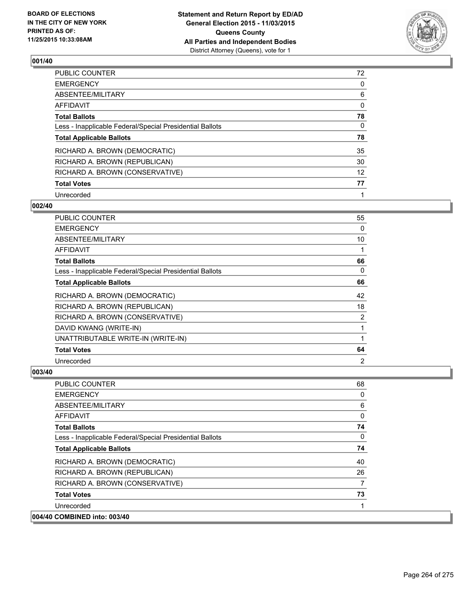

| PUBLIC COUNTER                                           | 72 |
|----------------------------------------------------------|----|
| <b>EMERGENCY</b>                                         | 0  |
| ABSENTEE/MILITARY                                        | 6  |
| AFFIDAVIT                                                | 0  |
| <b>Total Ballots</b>                                     | 78 |
| Less - Inapplicable Federal/Special Presidential Ballots | 0  |
| <b>Total Applicable Ballots</b>                          | 78 |
| RICHARD A. BROWN (DEMOCRATIC)                            | 35 |
| RICHARD A. BROWN (REPUBLICAN)                            | 30 |
| RICHARD A. BROWN (CONSERVATIVE)                          | 12 |
| <b>Total Votes</b>                                       | 77 |
| Unrecorded                                               |    |

### **002/40**

| <b>PUBLIC COUNTER</b>                                    | 55             |
|----------------------------------------------------------|----------------|
| <b>EMERGENCY</b>                                         | 0              |
| ABSENTEE/MILITARY                                        | 10             |
| AFFIDAVIT                                                | 1              |
| <b>Total Ballots</b>                                     | 66             |
| Less - Inapplicable Federal/Special Presidential Ballots | 0              |
| <b>Total Applicable Ballots</b>                          | 66             |
| RICHARD A. BROWN (DEMOCRATIC)                            | 42             |
| RICHARD A. BROWN (REPUBLICAN)                            | 18             |
| RICHARD A. BROWN (CONSERVATIVE)                          | 2              |
| DAVID KWANG (WRITE-IN)                                   | 1              |
| UNATTRIBUTABLE WRITE-IN (WRITE-IN)                       | 1              |
| <b>Total Votes</b>                                       | 64             |
| Unrecorded                                               | $\overline{2}$ |

| <b>PUBLIC COUNTER</b>                                    | 68           |
|----------------------------------------------------------|--------------|
| <b>EMERGENCY</b>                                         | 0            |
| ABSENTEE/MILITARY                                        | 6            |
| AFFIDAVIT                                                | 0            |
| <b>Total Ballots</b>                                     | 74           |
| Less - Inapplicable Federal/Special Presidential Ballots | $\mathbf{0}$ |
| <b>Total Applicable Ballots</b>                          | 74           |
| RICHARD A. BROWN (DEMOCRATIC)                            | 40           |
| RICHARD A. BROWN (REPUBLICAN)                            | 26           |
| RICHARD A. BROWN (CONSERVATIVE)                          | 7            |
| <b>Total Votes</b>                                       | 73           |
| Unrecorded                                               |              |
| 004/40 COMBINED into: 003/40                             |              |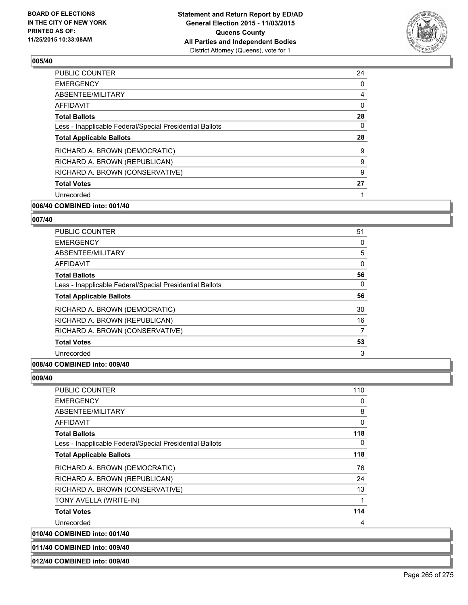

| 24 |
|----|
| 0  |
| 4  |
| 0  |
| 28 |
| 0  |
| 28 |
| 9  |
| 9  |
| 9  |
| 27 |
|    |
|    |

# **006/40 COMBINED into: 001/40**

### **007/40**

| <b>PUBLIC COUNTER</b>                                    | 51 |
|----------------------------------------------------------|----|
| <b>EMERGENCY</b>                                         | 0  |
| ABSENTEE/MILITARY                                        | 5  |
| <b>AFFIDAVIT</b>                                         | 0  |
| <b>Total Ballots</b>                                     | 56 |
| Less - Inapplicable Federal/Special Presidential Ballots | 0  |
| <b>Total Applicable Ballots</b>                          | 56 |
| RICHARD A. BROWN (DEMOCRATIC)                            | 30 |
| RICHARD A. BROWN (REPUBLICAN)                            | 16 |
| RICHARD A. BROWN (CONSERVATIVE)                          | 7  |
| <b>Total Votes</b>                                       | 53 |
| Unrecorded                                               | 3  |

### **008/40 COMBINED into: 009/40**

# **009/40**

| <b>PUBLIC COUNTER</b>                                    | 110          |
|----------------------------------------------------------|--------------|
| <b>EMERGENCY</b>                                         | 0            |
| ABSENTEE/MILITARY                                        | 8            |
| AFFIDAVIT                                                | 0            |
| <b>Total Ballots</b>                                     | 118          |
| Less - Inapplicable Federal/Special Presidential Ballots | 0            |
| <b>Total Applicable Ballots</b>                          | 118          |
| RICHARD A. BROWN (DEMOCRATIC)                            | 76           |
| RICHARD A. BROWN (REPUBLICAN)                            | 24           |
| RICHARD A. BROWN (CONSERVATIVE)                          | 13           |
| TONY AVELLA (WRITE-IN)                                   | $\mathbf{1}$ |
| <b>Total Votes</b>                                       | 114          |
| Unrecorded                                               | 4            |
| 010/40 COMBINED into: 001/40                             |              |
|                                                          |              |

**011/40 COMBINED into: 009/40 012/40 COMBINED into: 009/40**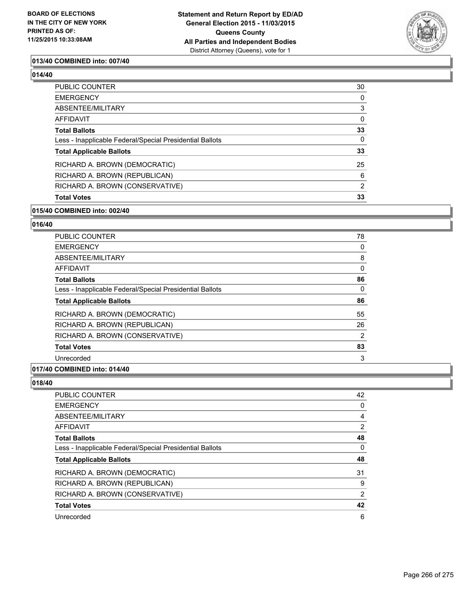

# **013/40 COMBINED into: 007/40**

### **014/40**

| PUBLIC COUNTER                                           | 30 |
|----------------------------------------------------------|----|
| EMERGENCY                                                | 0  |
| ABSENTEE/MILITARY                                        | 3  |
| AFFIDAVIT                                                | 0  |
| <b>Total Ballots</b>                                     | 33 |
| Less - Inapplicable Federal/Special Presidential Ballots | 0  |
| <b>Total Applicable Ballots</b>                          | 33 |
| RICHARD A. BROWN (DEMOCRATIC)                            | 25 |
| RICHARD A. BROWN (REPUBLICAN)                            | 6  |
| RICHARD A. BROWN (CONSERVATIVE)                          | 2  |
| <b>Total Votes</b>                                       | 33 |
|                                                          |    |

### **015/40 COMBINED into: 002/40**

# **016/40**

| PUBLIC COUNTER                                           | 78 |
|----------------------------------------------------------|----|
| <b>EMERGENCY</b>                                         | 0  |
| ABSENTEE/MILITARY                                        | 8  |
| AFFIDAVIT                                                | 0  |
| <b>Total Ballots</b>                                     | 86 |
| Less - Inapplicable Federal/Special Presidential Ballots | 0  |
| <b>Total Applicable Ballots</b>                          | 86 |
| RICHARD A. BROWN (DEMOCRATIC)                            | 55 |
| RICHARD A. BROWN (REPUBLICAN)                            | 26 |
| RICHARD A. BROWN (CONSERVATIVE)                          | 2  |
| <b>Total Votes</b>                                       | 83 |
| Unrecorded                                               | 3  |

# **017/40 COMBINED into: 014/40**

| PUBLIC COUNTER                                           | 42             |
|----------------------------------------------------------|----------------|
| <b>EMERGENCY</b>                                         | 0              |
| <b>ABSENTEE/MILITARY</b>                                 | 4              |
| AFFIDAVIT                                                | $\overline{2}$ |
| <b>Total Ballots</b>                                     | 48             |
| Less - Inapplicable Federal/Special Presidential Ballots | 0              |
| <b>Total Applicable Ballots</b>                          | 48             |
| RICHARD A. BROWN (DEMOCRATIC)                            | 31             |
| RICHARD A. BROWN (REPUBLICAN)                            | 9              |
| RICHARD A. BROWN (CONSERVATIVE)                          | 2              |
| <b>Total Votes</b>                                       | 42             |
| Unrecorded                                               | 6              |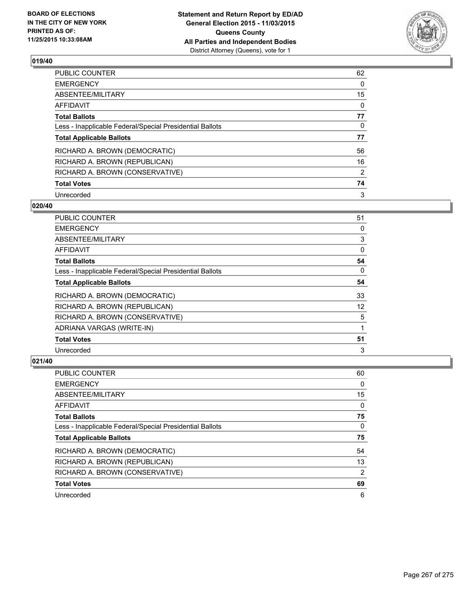

| <b>PUBLIC COUNTER</b>                                    | 62             |
|----------------------------------------------------------|----------------|
| <b>EMERGENCY</b>                                         | 0              |
| ABSENTEE/MILITARY                                        | 15             |
| AFFIDAVIT                                                | $\Omega$       |
| <b>Total Ballots</b>                                     | 77             |
| Less - Inapplicable Federal/Special Presidential Ballots | 0              |
| <b>Total Applicable Ballots</b>                          | 77             |
| RICHARD A. BROWN (DEMOCRATIC)                            | 56             |
| RICHARD A. BROWN (REPUBLICAN)                            | 16             |
| RICHARD A. BROWN (CONSERVATIVE)                          | $\overline{2}$ |
| <b>Total Votes</b>                                       | 74             |
| Unrecorded                                               | 3              |

### **020/40**

| PUBLIC COUNTER                                           | 51 |
|----------------------------------------------------------|----|
| <b>EMERGENCY</b>                                         | 0  |
| ABSENTEE/MILITARY                                        | 3  |
| AFFIDAVIT                                                | 0  |
| <b>Total Ballots</b>                                     | 54 |
| Less - Inapplicable Federal/Special Presidential Ballots | 0  |
| <b>Total Applicable Ballots</b>                          | 54 |
| RICHARD A. BROWN (DEMOCRATIC)                            | 33 |
| RICHARD A. BROWN (REPUBLICAN)                            | 12 |
| RICHARD A. BROWN (CONSERVATIVE)                          | 5  |
| ADRIANA VARGAS (WRITE-IN)                                |    |
| <b>Total Votes</b>                                       | 51 |
| Unrecorded                                               | 3  |

| <b>PUBLIC COUNTER</b>                                    | 60 |
|----------------------------------------------------------|----|
| <b>EMERGENCY</b>                                         | 0  |
| ABSENTEE/MILITARY                                        | 15 |
| AFFIDAVIT                                                | 0  |
| <b>Total Ballots</b>                                     | 75 |
| Less - Inapplicable Federal/Special Presidential Ballots | 0  |
| <b>Total Applicable Ballots</b>                          | 75 |
|                                                          |    |
| RICHARD A. BROWN (DEMOCRATIC)                            | 54 |
| RICHARD A. BROWN (REPUBLICAN)                            | 13 |
| RICHARD A. BROWN (CONSERVATIVE)                          | 2  |
| <b>Total Votes</b>                                       | 69 |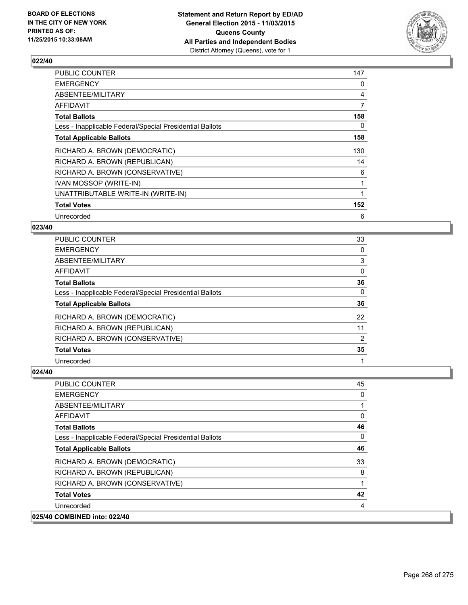

| <b>PUBLIC COUNTER</b>                                    | 147 |
|----------------------------------------------------------|-----|
| <b>EMERGENCY</b>                                         | 0   |
| ABSENTEE/MILITARY                                        | 4   |
| AFFIDAVIT                                                | 7   |
| <b>Total Ballots</b>                                     | 158 |
| Less - Inapplicable Federal/Special Presidential Ballots | 0   |
| <b>Total Applicable Ballots</b>                          | 158 |
| RICHARD A. BROWN (DEMOCRATIC)                            | 130 |
| RICHARD A. BROWN (REPUBLICAN)                            | 14  |
| RICHARD A. BROWN (CONSERVATIVE)                          | 6   |
| IVAN MOSSOP (WRITE-IN)                                   | 1   |
| UNATTRIBUTABLE WRITE-IN (WRITE-IN)                       | 1   |
| <b>Total Votes</b>                                       | 152 |
| Unrecorded                                               | 6   |

# **023/40**

| PUBLIC COUNTER                                           | 33 |
|----------------------------------------------------------|----|
| <b>EMERGENCY</b>                                         | 0  |
| ABSENTEE/MILITARY                                        | 3  |
| AFFIDAVIT                                                | 0  |
| <b>Total Ballots</b>                                     | 36 |
| Less - Inapplicable Federal/Special Presidential Ballots | 0  |
| <b>Total Applicable Ballots</b>                          | 36 |
| RICHARD A. BROWN (DEMOCRATIC)                            | 22 |
| RICHARD A. BROWN (REPUBLICAN)                            | 11 |
| RICHARD A. BROWN (CONSERVATIVE)                          | 2  |
| <b>Total Votes</b>                                       | 35 |
| Unrecorded                                               |    |

| <b>PUBLIC COUNTER</b>                                    | 45 |
|----------------------------------------------------------|----|
| <b>EMERGENCY</b>                                         | 0  |
| ABSENTEE/MILITARY                                        | 1  |
| AFFIDAVIT                                                | 0  |
| <b>Total Ballots</b>                                     | 46 |
| Less - Inapplicable Federal/Special Presidential Ballots | 0  |
| <b>Total Applicable Ballots</b>                          | 46 |
| RICHARD A. BROWN (DEMOCRATIC)                            | 33 |
| RICHARD A. BROWN (REPUBLICAN)                            | 8  |
| RICHARD A. BROWN (CONSERVATIVE)                          | 1  |
| <b>Total Votes</b>                                       | 42 |
| Unrecorded                                               | 4  |
| 025/40 COMBINED into: 022/40                             |    |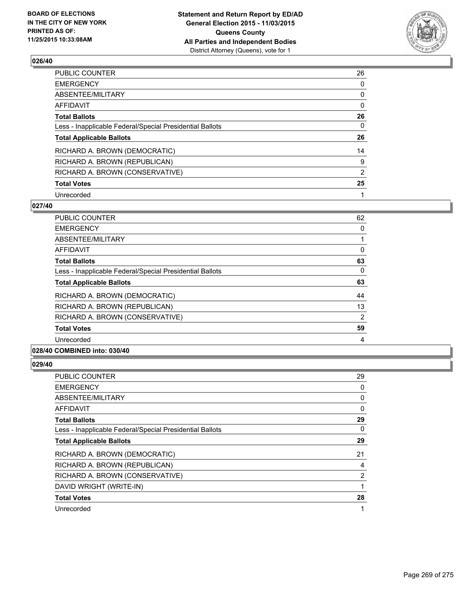

| PUBLIC COUNTER                                           | 26             |
|----------------------------------------------------------|----------------|
| <b>EMERGENCY</b>                                         | 0              |
| ABSENTEE/MILITARY                                        | 0              |
| <b>AFFIDAVIT</b>                                         | 0              |
| <b>Total Ballots</b>                                     | 26             |
| Less - Inapplicable Federal/Special Presidential Ballots | $\Omega$       |
| <b>Total Applicable Ballots</b>                          | 26             |
| RICHARD A. BROWN (DEMOCRATIC)                            | 14             |
| RICHARD A. BROWN (REPUBLICAN)                            | 9              |
| RICHARD A. BROWN (CONSERVATIVE)                          | $\overline{2}$ |
| <b>Total Votes</b>                                       | 25             |
| Unrecorded                                               |                |

### **027/40**

| <b>PUBLIC COUNTER</b>                                    | 62 |
|----------------------------------------------------------|----|
| <b>EMERGENCY</b>                                         | 0  |
| ABSENTEE/MILITARY                                        |    |
| AFFIDAVIT                                                | 0  |
| <b>Total Ballots</b>                                     | 63 |
| Less - Inapplicable Federal/Special Presidential Ballots | 0  |
| <b>Total Applicable Ballots</b>                          | 63 |
| RICHARD A. BROWN (DEMOCRATIC)                            | 44 |
| RICHARD A. BROWN (REPUBLICAN)                            | 13 |
| RICHARD A. BROWN (CONSERVATIVE)                          | 2  |
| <b>Total Votes</b>                                       | 59 |
| Unrecorded                                               | 4  |
|                                                          |    |

# **028/40 COMBINED into: 030/40**

| <b>PUBLIC COUNTER</b>                                    | 29 |
|----------------------------------------------------------|----|
| <b>EMERGENCY</b>                                         | 0  |
| ABSENTEE/MILITARY                                        | 0  |
| AFFIDAVIT                                                | 0  |
| <b>Total Ballots</b>                                     | 29 |
| Less - Inapplicable Federal/Special Presidential Ballots | 0  |
| <b>Total Applicable Ballots</b>                          | 29 |
| RICHARD A. BROWN (DEMOCRATIC)                            | 21 |
| RICHARD A. BROWN (REPUBLICAN)                            | 4  |
| RICHARD A. BROWN (CONSERVATIVE)                          | 2  |
| DAVID WRIGHT (WRITE-IN)                                  |    |
| <b>Total Votes</b>                                       | 28 |
| Unrecorded                                               | 1  |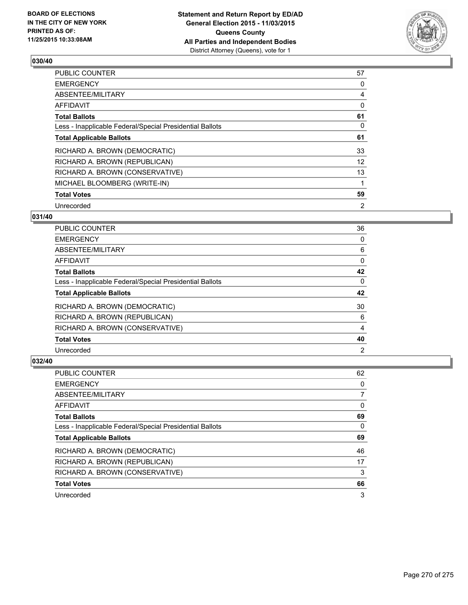

| <b>PUBLIC COUNTER</b>                                    | 57 |
|----------------------------------------------------------|----|
| <b>EMERGENCY</b>                                         | 0  |
| ABSENTEE/MILITARY                                        | 4  |
| AFFIDAVIT                                                | 0  |
| <b>Total Ballots</b>                                     | 61 |
| Less - Inapplicable Federal/Special Presidential Ballots | 0  |
| <b>Total Applicable Ballots</b>                          | 61 |
| RICHARD A. BROWN (DEMOCRATIC)                            | 33 |
| RICHARD A. BROWN (REPUBLICAN)                            | 12 |
| RICHARD A. BROWN (CONSERVATIVE)                          | 13 |
| MICHAEL BLOOMBERG (WRITE-IN)                             |    |
| <b>Total Votes</b>                                       | 59 |
| Unrecorded                                               | 2  |

# **031/40**

| PUBLIC COUNTER                                           | 36 |
|----------------------------------------------------------|----|
| <b>EMERGENCY</b>                                         | 0  |
| ABSENTEE/MILITARY                                        | 6  |
| AFFIDAVIT                                                | 0  |
| <b>Total Ballots</b>                                     | 42 |
| Less - Inapplicable Federal/Special Presidential Ballots | 0  |
| <b>Total Applicable Ballots</b>                          | 42 |
| RICHARD A. BROWN (DEMOCRATIC)                            | 30 |
| RICHARD A. BROWN (REPUBLICAN)                            | 6  |
| RICHARD A. BROWN (CONSERVATIVE)                          | 4  |
| <b>Total Votes</b>                                       | 40 |
| Unrecorded                                               | 2  |

| <b>PUBLIC COUNTER</b>                                    | 62 |
|----------------------------------------------------------|----|
| <b>EMERGENCY</b>                                         | 0  |
| ABSENTEE/MILITARY                                        |    |
| AFFIDAVIT                                                | 0  |
| <b>Total Ballots</b>                                     | 69 |
| Less - Inapplicable Federal/Special Presidential Ballots | 0  |
| <b>Total Applicable Ballots</b>                          | 69 |
|                                                          |    |
| RICHARD A. BROWN (DEMOCRATIC)                            | 46 |
| RICHARD A. BROWN (REPUBLICAN)                            | 17 |
| RICHARD A. BROWN (CONSERVATIVE)                          | 3  |
| <b>Total Votes</b>                                       | 66 |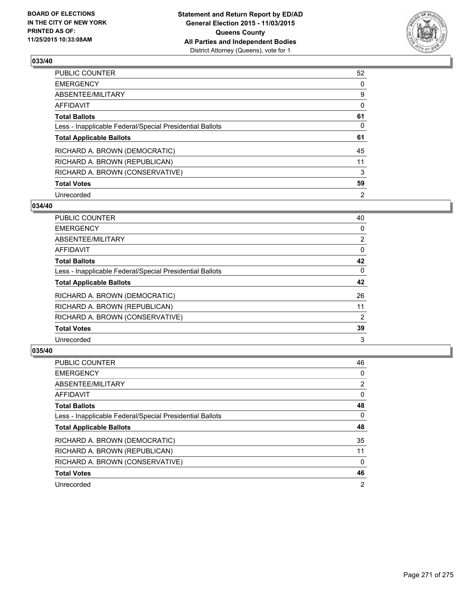

| PUBLIC COUNTER                                           | 52 |
|----------------------------------------------------------|----|
| <b>EMERGENCY</b>                                         | 0  |
| ABSENTEE/MILITARY                                        | 9  |
| <b>AFFIDAVIT</b>                                         | 0  |
| <b>Total Ballots</b>                                     | 61 |
| Less - Inapplicable Federal/Special Presidential Ballots | 0  |
| <b>Total Applicable Ballots</b>                          | 61 |
| RICHARD A. BROWN (DEMOCRATIC)                            | 45 |
| RICHARD A. BROWN (REPUBLICAN)                            | 11 |
| RICHARD A. BROWN (CONSERVATIVE)                          | 3  |
| <b>Total Votes</b>                                       | 59 |
| Unrecorded                                               | 2  |

### **034/40**

| <b>PUBLIC COUNTER</b>                                    | 40             |
|----------------------------------------------------------|----------------|
| <b>EMERGENCY</b>                                         | 0              |
| ABSENTEE/MILITARY                                        | $\overline{2}$ |
| <b>AFFIDAVIT</b>                                         | 0              |
| <b>Total Ballots</b>                                     | 42             |
| Less - Inapplicable Federal/Special Presidential Ballots | $\Omega$       |
| <b>Total Applicable Ballots</b>                          | 42             |
| RICHARD A. BROWN (DEMOCRATIC)                            | 26             |
| RICHARD A. BROWN (REPUBLICAN)                            | 11             |
| RICHARD A. BROWN (CONSERVATIVE)                          | 2              |
| <b>Total Votes</b>                                       | 39             |
| Unrecorded                                               | 3              |

| <b>PUBLIC COUNTER</b>                                    | 46             |
|----------------------------------------------------------|----------------|
| <b>EMERGENCY</b>                                         | 0              |
| ABSENTEE/MILITARY                                        | $\overline{2}$ |
| <b>AFFIDAVIT</b>                                         | 0              |
| <b>Total Ballots</b>                                     | 48             |
| Less - Inapplicable Federal/Special Presidential Ballots | 0              |
| <b>Total Applicable Ballots</b>                          | 48             |
| RICHARD A. BROWN (DEMOCRATIC)                            | 35             |
| RICHARD A. BROWN (REPUBLICAN)                            | 11             |
| RICHARD A. BROWN (CONSERVATIVE)                          | 0              |
| <b>Total Votes</b>                                       | 46             |
| Unrecorded                                               | $\overline{2}$ |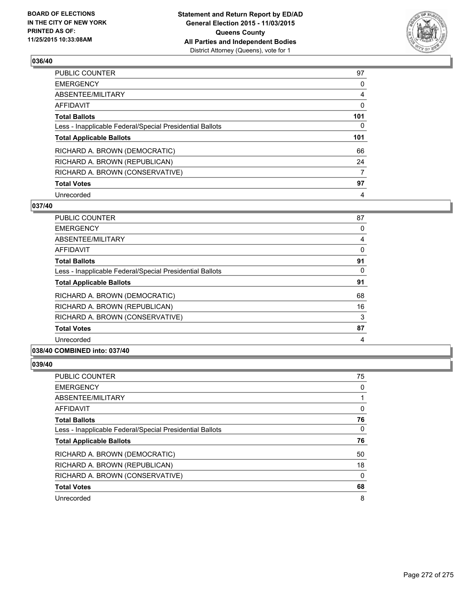

| PUBLIC COUNTER                                           | 97             |
|----------------------------------------------------------|----------------|
| <b>EMERGENCY</b>                                         | 0              |
| ABSENTEE/MILITARY                                        | $\overline{4}$ |
| <b>AFFIDAVIT</b>                                         | 0              |
| <b>Total Ballots</b>                                     | 101            |
| Less - Inapplicable Federal/Special Presidential Ballots | 0              |
| <b>Total Applicable Ballots</b>                          | 101            |
| RICHARD A. BROWN (DEMOCRATIC)                            | 66             |
| RICHARD A. BROWN (REPUBLICAN)                            | 24             |
| RICHARD A. BROWN (CONSERVATIVE)                          | 7              |
| <b>Total Votes</b>                                       | 97             |
| Unrecorded                                               | 4              |

### **037/40**

| <b>PUBLIC COUNTER</b>                                    | 87 |
|----------------------------------------------------------|----|
| <b>EMERGENCY</b>                                         | 0  |
| ABSENTEE/MILITARY                                        | 4  |
| AFFIDAVIT                                                | 0  |
| <b>Total Ballots</b>                                     | 91 |
| Less - Inapplicable Federal/Special Presidential Ballots | 0  |
| <b>Total Applicable Ballots</b>                          | 91 |
| RICHARD A. BROWN (DEMOCRATIC)                            | 68 |
| RICHARD A. BROWN (REPUBLICAN)                            | 16 |
| RICHARD A. BROWN (CONSERVATIVE)                          | 3  |
| <b>Total Votes</b>                                       | 87 |
| Unrecorded                                               | 4  |
|                                                          |    |

### **038/40 COMBINED into: 037/40**

| <b>PUBLIC COUNTER</b>                                    | 75 |
|----------------------------------------------------------|----|
| <b>EMERGENCY</b>                                         | 0  |
| ABSENTEE/MILITARY                                        |    |
| AFFIDAVIT                                                | 0  |
| <b>Total Ballots</b>                                     | 76 |
| Less - Inapplicable Federal/Special Presidential Ballots | 0  |
| <b>Total Applicable Ballots</b>                          | 76 |
| RICHARD A. BROWN (DEMOCRATIC)                            | 50 |
| RICHARD A. BROWN (REPUBLICAN)                            | 18 |
| RICHARD A. BROWN (CONSERVATIVE)                          | 0  |
| <b>Total Votes</b>                                       | 68 |
| Unrecorded                                               | 8  |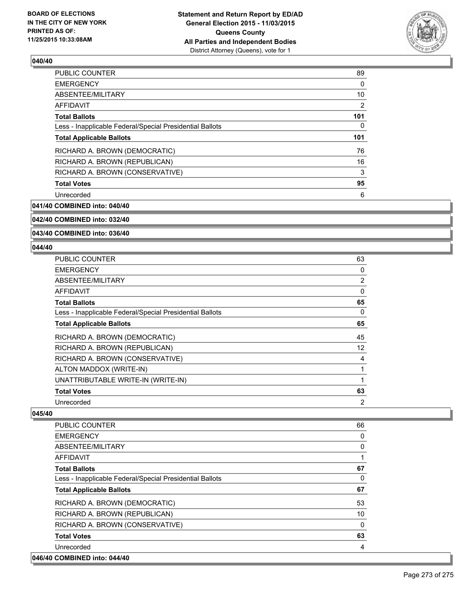

| <b>PUBLIC COUNTER</b>                                    | 89  |
|----------------------------------------------------------|-----|
| <b>EMERGENCY</b>                                         | 0   |
| ABSENTEE/MILITARY                                        | 10  |
| AFFIDAVIT                                                | 2   |
| <b>Total Ballots</b>                                     | 101 |
| Less - Inapplicable Federal/Special Presidential Ballots | 0   |
| <b>Total Applicable Ballots</b>                          | 101 |
| RICHARD A. BROWN (DEMOCRATIC)                            | 76  |
| RICHARD A. BROWN (REPUBLICAN)                            | 16  |
| RICHARD A. BROWN (CONSERVATIVE)                          | 3   |
| <b>Total Votes</b>                                       | 95  |
| Unrecorded                                               | 6   |
|                                                          |     |

**041/40 COMBINED into: 040/40**

#### **042/40 COMBINED into: 032/40**

#### **043/40 COMBINED into: 036/40**

### **044/40**

| <b>PUBLIC COUNTER</b>                                    | 63             |
|----------------------------------------------------------|----------------|
| <b>EMERGENCY</b>                                         | 0              |
| ABSENTEE/MILITARY                                        | $\overline{2}$ |
| <b>AFFIDAVIT</b>                                         | 0              |
| <b>Total Ballots</b>                                     | 65             |
| Less - Inapplicable Federal/Special Presidential Ballots | 0              |
| <b>Total Applicable Ballots</b>                          | 65             |
| RICHARD A. BROWN (DEMOCRATIC)                            | 45             |
| RICHARD A. BROWN (REPUBLICAN)                            | 12             |
| RICHARD A. BROWN (CONSERVATIVE)                          | 4              |
| ALTON MADDOX (WRITE-IN)                                  | 1              |
| UNATTRIBUTABLE WRITE-IN (WRITE-IN)                       | 1              |
| <b>Total Votes</b>                                       | 63             |
| Unrecorded                                               | 2              |

| PUBLIC COUNTER                                           | 66           |
|----------------------------------------------------------|--------------|
| <b>EMERGENCY</b>                                         | 0            |
| ABSENTEE/MILITARY                                        | 0            |
| <b>AFFIDAVIT</b>                                         | $\mathbf{1}$ |
| <b>Total Ballots</b>                                     | 67           |
| Less - Inapplicable Federal/Special Presidential Ballots | $\Omega$     |
| <b>Total Applicable Ballots</b>                          | 67           |
| RICHARD A. BROWN (DEMOCRATIC)                            | 53           |
| RICHARD A. BROWN (REPUBLICAN)                            | 10           |
| RICHARD A. BROWN (CONSERVATIVE)                          | $\mathbf{0}$ |
| <b>Total Votes</b>                                       | 63           |
| Unrecorded                                               | 4            |
| 046/40 COMBINED into: 044/40                             |              |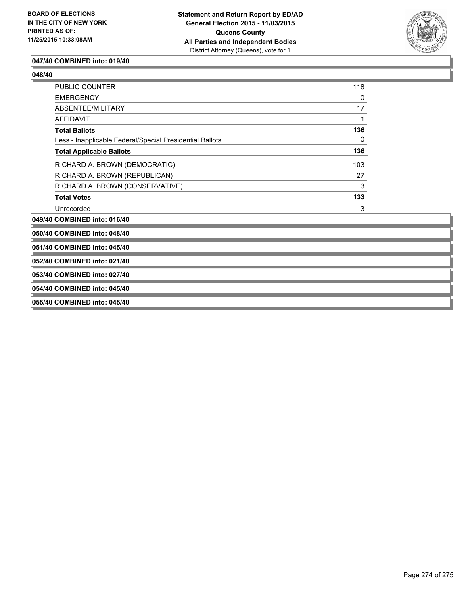

## **047/40 COMBINED into: 019/40**

| PUBLIC COUNTER                                           | 118 |
|----------------------------------------------------------|-----|
| <b>EMERGENCY</b>                                         | 0   |
| ABSENTEE/MILITARY                                        | 17  |
| <b>AFFIDAVIT</b>                                         |     |
| <b>Total Ballots</b>                                     | 136 |
| Less - Inapplicable Federal/Special Presidential Ballots | 0   |
| <b>Total Applicable Ballots</b>                          | 136 |
| RICHARD A. BROWN (DEMOCRATIC)                            | 103 |
| RICHARD A. BROWN (REPUBLICAN)                            | 27  |
| RICHARD A. BROWN (CONSERVATIVE)                          | 3   |
| <b>Total Votes</b>                                       | 133 |
| Unrecorded                                               | 3   |
| 049/40 COMBINED into: 016/40                             |     |
| 050/40 COMBINED into: 048/40                             |     |
| 051/40 COMBINED into: 045/40                             |     |
| 052/40 COMBINED into: 021/40                             |     |
| 053/40 COMBINED into: 027/40                             |     |
| 054/40 COMBINED into: 045/40                             |     |
| 055/40 COMBINED into: 045/40                             |     |